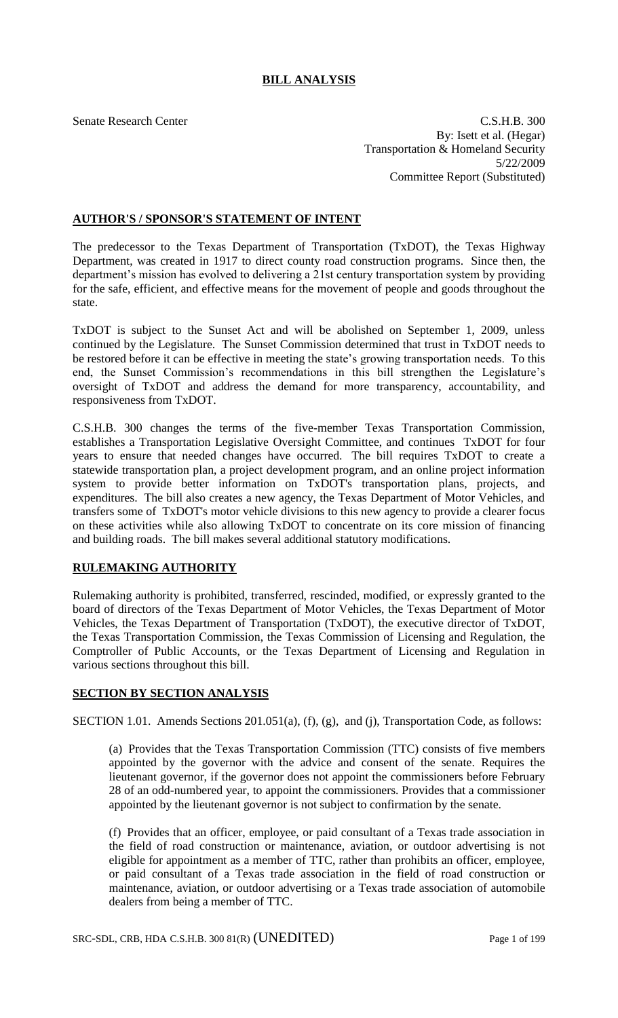# **BILL ANALYSIS**

Senate Research Center Cases and C.S.H.B. 300 By: Isett et al. (Hegar) Transportation & Homeland Security 5/22/2009 Committee Report (Substituted)

### **AUTHOR'S / SPONSOR'S STATEMENT OF INTENT**

The predecessor to the Texas Department of Transportation (TxDOT), the Texas Highway Department, was created in 1917 to direct county road construction programs. Since then, the department's mission has evolved to delivering a 21st century transportation system by providing for the safe, efficient, and effective means for the movement of people and goods throughout the state.

TxDOT is subject to the Sunset Act and will be abolished on September 1, 2009, unless continued by the Legislature. The Sunset Commission determined that trust in TxDOT needs to be restored before it can be effective in meeting the state's growing transportation needs. To this end, the Sunset Commission's recommendations in this bill strengthen the Legislature's oversight of TxDOT and address the demand for more transparency, accountability, and responsiveness from TxDOT.

C.S.H.B. 300 changes the terms of the five-member Texas Transportation Commission, establishes a Transportation Legislative Oversight Committee, and continues TxDOT for four years to ensure that needed changes have occurred. The bill requires TxDOT to create a statewide transportation plan, a project development program, and an online project information system to provide better information on TxDOT's transportation plans, projects, and expenditures. The bill also creates a new agency, the Texas Department of Motor Vehicles, and transfers some of TxDOT's motor vehicle divisions to this new agency to provide a clearer focus on these activities while also allowing TxDOT to concentrate on its core mission of financing and building roads. The bill makes several additional statutory modifications.

### **RULEMAKING AUTHORITY**

Rulemaking authority is prohibited, transferred, rescinded, modified, or expressly granted to the board of directors of the Texas Department of Motor Vehicles, the Texas Department of Motor Vehicles, the Texas Department of Transportation (TxDOT), the executive director of TxDOT, the Texas Transportation Commission, the Texas Commission of Licensing and Regulation, the Comptroller of Public Accounts, or the Texas Department of Licensing and Regulation in various sections throughout this bill.

### **SECTION BY SECTION ANALYSIS**

SECTION 1.01. Amends Sections 201.051(a), (f), (g), and (j), Transportation Code, as follows:

(a) Provides that the Texas Transportation Commission (TTC) consists of five members appointed by the governor with the advice and consent of the senate. Requires the lieutenant governor, if the governor does not appoint the commissioners before February 28 of an odd-numbered year, to appoint the commissioners. Provides that a commissioner appointed by the lieutenant governor is not subject to confirmation by the senate.

(f) Provides that an officer, employee, or paid consultant of a Texas trade association in the field of road construction or maintenance, aviation, or outdoor advertising is not eligible for appointment as a member of TTC, rather than prohibits an officer, employee, or paid consultant of a Texas trade association in the field of road construction or maintenance, aviation, or outdoor advertising or a Texas trade association of automobile dealers from being a member of TTC.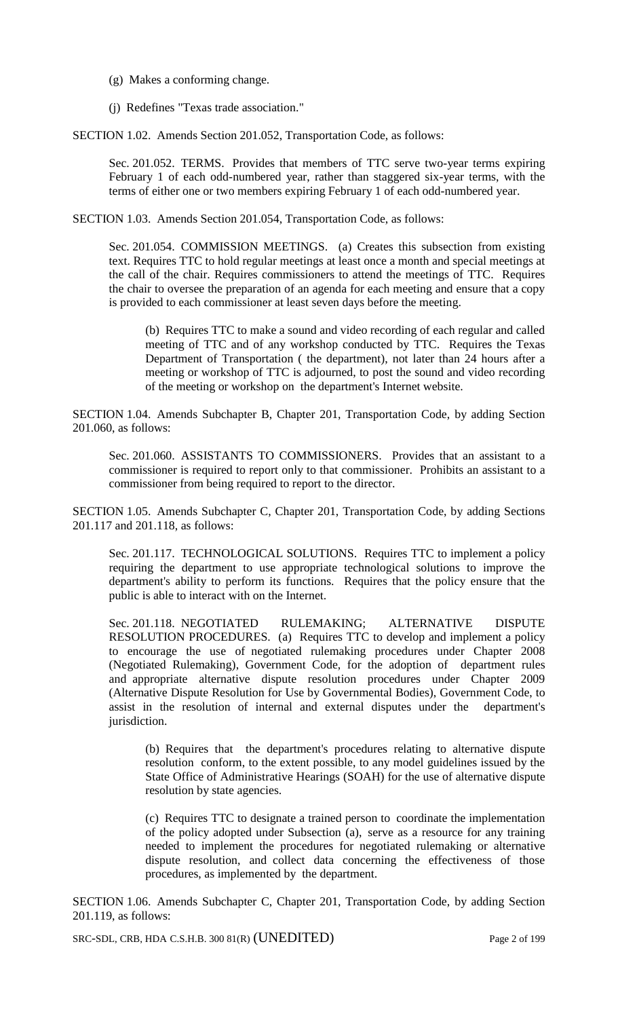- (g) Makes a conforming change.
- (j) Redefines "Texas trade association."

SECTION 1.02. Amends Section 201.052, Transportation Code, as follows:

Sec. 201.052. TERMS. Provides that members of TTC serve two-year terms expiring February 1 of each odd-numbered year, rather than staggered six-year terms, with the terms of either one or two members expiring February 1 of each odd-numbered year.

SECTION 1.03. Amends Section 201.054, Transportation Code, as follows:

Sec. 201.054. COMMISSION MEETINGS. (a) Creates this subsection from existing text. Requires TTC to hold regular meetings at least once a month and special meetings at the call of the chair. Requires commissioners to attend the meetings of TTC. Requires the chair to oversee the preparation of an agenda for each meeting and ensure that a copy is provided to each commissioner at least seven days before the meeting.

(b) Requires TTC to make a sound and video recording of each regular and called meeting of TTC and of any workshop conducted by TTC. Requires the Texas Department of Transportation ( the department), not later than 24 hours after a meeting or workshop of TTC is adjourned, to post the sound and video recording of the meeting or workshop on the department's Internet website.

SECTION 1.04. Amends Subchapter B, Chapter 201, Transportation Code, by adding Section 201.060, as follows:

Sec. 201.060. ASSISTANTS TO COMMISSIONERS. Provides that an assistant to a commissioner is required to report only to that commissioner. Prohibits an assistant to a commissioner from being required to report to the director.

SECTION 1.05. Amends Subchapter C, Chapter 201, Transportation Code, by adding Sections 201.117 and 201.118, as follows:

Sec. 201.117. TECHNOLOGICAL SOLUTIONS. Requires TTC to implement a policy requiring the department to use appropriate technological solutions to improve the department's ability to perform its functions. Requires that the policy ensure that the public is able to interact with on the Internet.

Sec. 201.118. NEGOTIATED RULEMAKING; ALTERNATIVE DISPUTE RESOLUTION PROCEDURES. (a) Requires TTC to develop and implement a policy to encourage the use of negotiated rulemaking procedures under Chapter 2008 (Negotiated Rulemaking), Government Code, for the adoption of department rules and appropriate alternative dispute resolution procedures under Chapter 2009 (Alternative Dispute Resolution for Use by Governmental Bodies), Government Code, to assist in the resolution of internal and external disputes under the department's jurisdiction.

(b) Requires that the department's procedures relating to alternative dispute resolution conform, to the extent possible, to any model guidelines issued by the State Office of Administrative Hearings (SOAH) for the use of alternative dispute resolution by state agencies.

(c) Requires TTC to designate a trained person to coordinate the implementation of the policy adopted under Subsection (a), serve as a resource for any training needed to implement the procedures for negotiated rulemaking or alternative dispute resolution, and collect data concerning the effectiveness of those procedures, as implemented by the department.

SECTION 1.06. Amends Subchapter C, Chapter 201, Transportation Code, by adding Section 201.119, as follows:

SRC-SDL, CRB, HDA C.S.H.B. 300 81(R) (UNEDITED) Page 2 of 199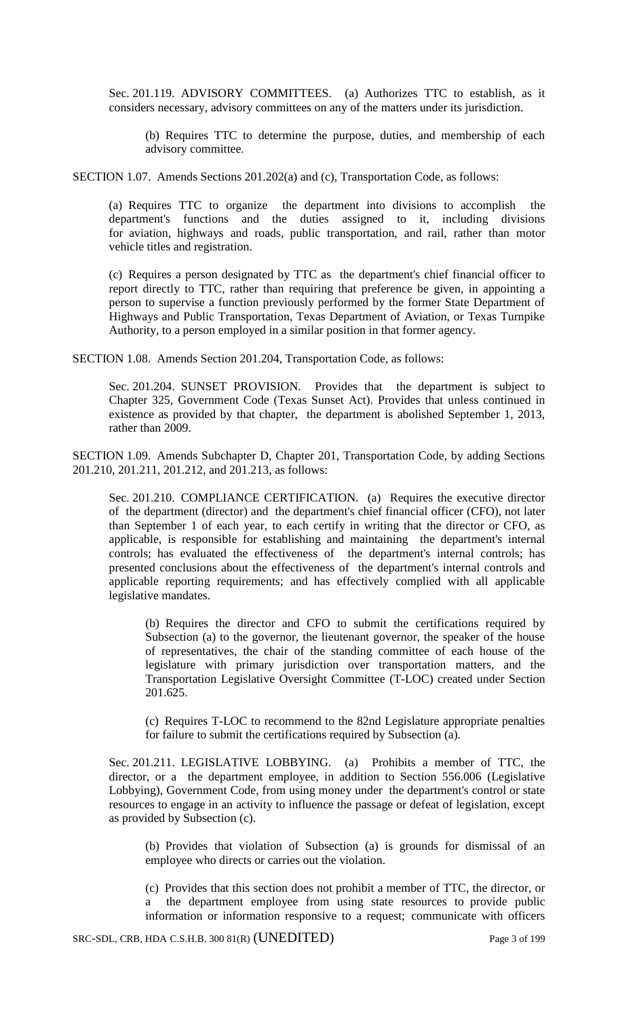Sec. 201.119. ADVISORY COMMITTEES. (a) Authorizes TTC to establish, as it considers necessary, advisory committees on any of the matters under its jurisdiction.

(b) Requires TTC to determine the purpose, duties, and membership of each advisory committee.

SECTION 1.07. Amends Sections 201.202(a) and (c), Transportation Code, as follows:

(a) Requires TTC to organize the department into divisions to accomplish the department's functions and the duties assigned to it, including divisions for aviation, highways and roads, public transportation, and rail, rather than motor vehicle titles and registration.

(c) Requires a person designated by TTC as the department's chief financial officer to report directly to TTC, rather than requiring that preference be given, in appointing a person to supervise a function previously performed by the former State Department of Highways and Public Transportation, Texas Department of Aviation, or Texas Turnpike Authority, to a person employed in a similar position in that former agency.

SECTION 1.08. Amends Section 201.204, Transportation Code, as follows:

Sec. 201.204. SUNSET PROVISION. Provides that the department is subject to Chapter 325, Government Code (Texas Sunset Act). Provides that unless continued in existence as provided by that chapter, the department is abolished September 1, 2013, rather than 2009.

SECTION 1.09. Amends Subchapter D, Chapter 201, Transportation Code, by adding Sections 201.210, 201.211, 201.212, and 201.213, as follows:

Sec. 201.210. COMPLIANCE CERTIFICATION. (a) Requires the executive director of the department (director) and the department's chief financial officer (CFO), not later than September 1 of each year, to each certify in writing that the director or CFO, as applicable, is responsible for establishing and maintaining the department's internal controls; has evaluated the effectiveness of the department's internal controls; has presented conclusions about the effectiveness of the department's internal controls and applicable reporting requirements; and has effectively complied with all applicable legislative mandates.

(b) Requires the director and CFO to submit the certifications required by Subsection (a) to the governor, the lieutenant governor, the speaker of the house of representatives, the chair of the standing committee of each house of the legislature with primary jurisdiction over transportation matters, and the Transportation Legislative Oversight Committee (T-LOC) created under Section 201.625.

(c) Requires T-LOC to recommend to the 82nd Legislature appropriate penalties for failure to submit the certifications required by Subsection (a).

Sec. 201.211. LEGISLATIVE LOBBYING. (a) Prohibits a member of TTC, the director, or a the department employee, in addition to Section 556.006 (Legislative Lobbying), Government Code, from using money under the department's control or state resources to engage in an activity to influence the passage or defeat of legislation, except as provided by Subsection (c).

(b) Provides that violation of Subsection (a) is grounds for dismissal of an employee who directs or carries out the violation.

(c) Provides that this section does not prohibit a member of TTC, the director, or a the department employee from using state resources to provide public information or information responsive to a request; communicate with officers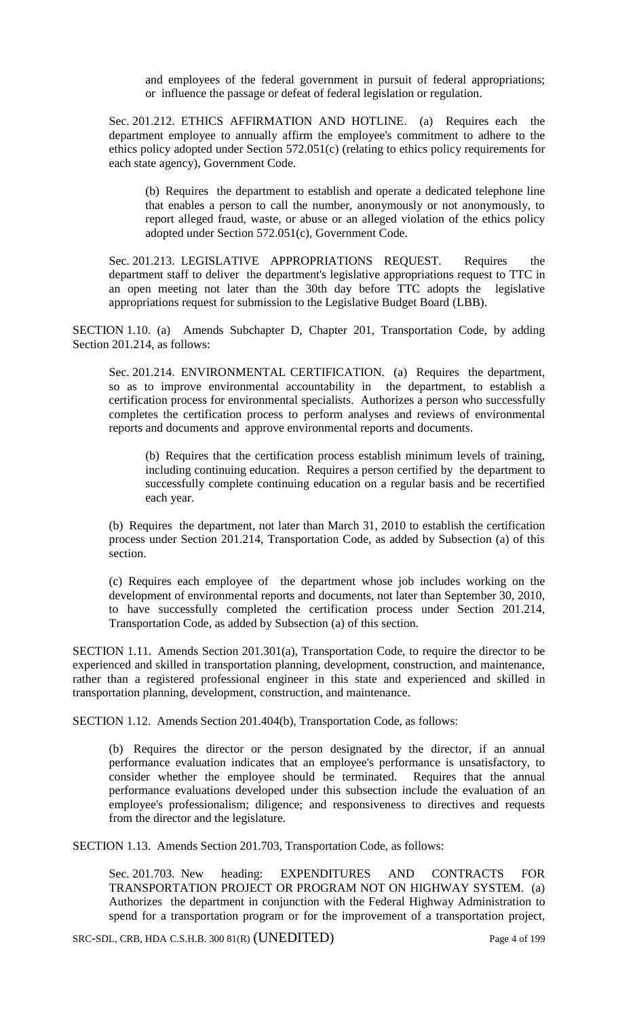and employees of the federal government in pursuit of federal appropriations; or influence the passage or defeat of federal legislation or regulation.

Sec. 201.212. ETHICS AFFIRMATION AND HOTLINE. (a) Requires each the department employee to annually affirm the employee's commitment to adhere to the ethics policy adopted under Section 572.051(c) (relating to ethics policy requirements for each state agency), Government Code.

(b) Requires the department to establish and operate a dedicated telephone line that enables a person to call the number, anonymously or not anonymously, to report alleged fraud, waste, or abuse or an alleged violation of the ethics policy adopted under Section 572.051(c), Government Code.

Sec. 201.213. LEGISLATIVE APPROPRIATIONS REQUEST. Requires the department staff to deliver the department's legislative appropriations request to TTC in an open meeting not later than the 30th day before TTC adopts the legislative appropriations request for submission to the Legislative Budget Board (LBB).

SECTION 1.10. (a) Amends Subchapter D, Chapter 201, Transportation Code, by adding Section 201.214, as follows:

Sec. 201.214. ENVIRONMENTAL CERTIFICATION. (a) Requires the department, so as to improve environmental accountability in the department, to establish a certification process for environmental specialists. Authorizes a person who successfully completes the certification process to perform analyses and reviews of environmental reports and documents and approve environmental reports and documents.

(b) Requires that the certification process establish minimum levels of training, including continuing education. Requires a person certified by the department to successfully complete continuing education on a regular basis and be recertified each year.

(b) Requires the department, not later than March 31, 2010 to establish the certification process under Section 201.214, Transportation Code, as added by Subsection (a) of this section.

(c) Requires each employee of the department whose job includes working on the development of environmental reports and documents, not later than September 30, 2010, to have successfully completed the certification process under Section 201.214, Transportation Code, as added by Subsection (a) of this section.

SECTION 1.11. Amends Section 201.301(a), Transportation Code, to require the director to be experienced and skilled in transportation planning, development, construction, and maintenance, rather than a registered professional engineer in this state and experienced and skilled in transportation planning, development, construction, and maintenance.

SECTION 1.12. Amends Section 201.404(b), Transportation Code, as follows:

(b) Requires the director or the person designated by the director, if an annual performance evaluation indicates that an employee's performance is unsatisfactory, to consider whether the employee should be terminated. Requires that the annual performance evaluations developed under this subsection include the evaluation of an employee's professionalism; diligence; and responsiveness to directives and requests from the director and the legislature.

SECTION 1.13. Amends Section 201.703, Transportation Code, as follows:

Sec. 201.703. New heading: EXPENDITURES AND CONTRACTS FOR TRANSPORTATION PROJECT OR PROGRAM NOT ON HIGHWAY SYSTEM. (a) Authorizes the department in conjunction with the Federal Highway Administration to spend for a transportation program or for the improvement of a transportation project,

SRC-SDL, CRB, HDA C.S.H.B. 300 81(R) (UNEDITED) Page 4 of 199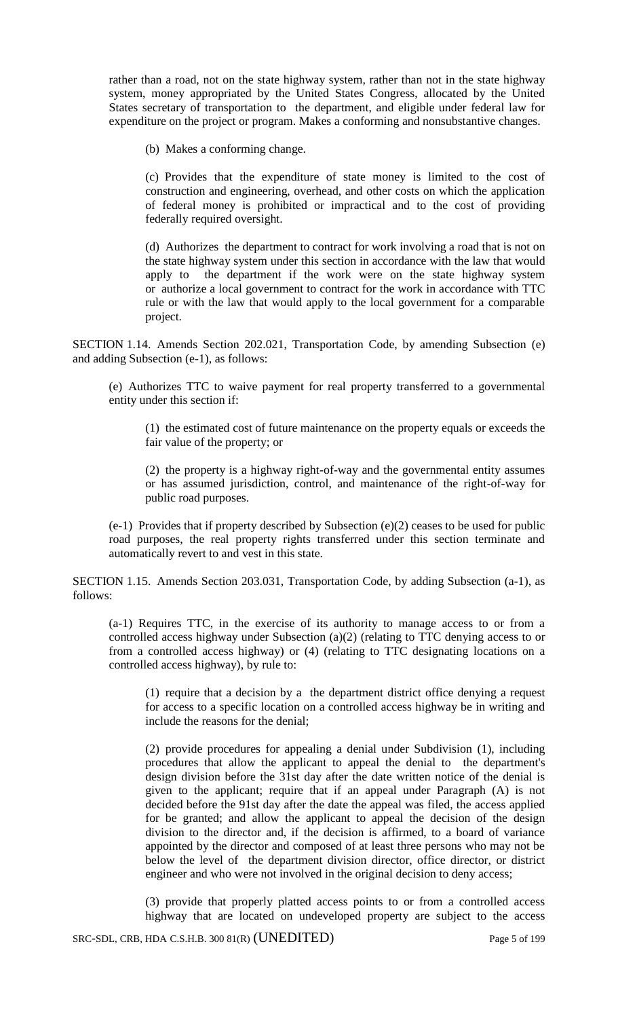rather than a road, not on the state highway system, rather than not in the state highway system, money appropriated by the United States Congress, allocated by the United States secretary of transportation to the department, and eligible under federal law for expenditure on the project or program. Makes a conforming and nonsubstantive changes.

(b) Makes a conforming change.

(c) Provides that the expenditure of state money is limited to the cost of construction and engineering, overhead, and other costs on which the application of federal money is prohibited or impractical and to the cost of providing federally required oversight.

(d) Authorizes the department to contract for work involving a road that is not on the state highway system under this section in accordance with the law that would apply to the department if the work were on the state highway system or authorize a local government to contract for the work in accordance with TTC rule or with the law that would apply to the local government for a comparable project.

SECTION 1.14. Amends Section 202.021, Transportation Code, by amending Subsection (e) and adding Subsection (e-1), as follows:

(e) Authorizes TTC to waive payment for real property transferred to a governmental entity under this section if:

(1) the estimated cost of future maintenance on the property equals or exceeds the fair value of the property; or

(2) the property is a highway right-of-way and the governmental entity assumes or has assumed jurisdiction, control, and maintenance of the right-of-way for public road purposes.

(e-1) Provides that if property described by Subsection (e)(2) ceases to be used for public road purposes, the real property rights transferred under this section terminate and automatically revert to and vest in this state.

SECTION 1.15. Amends Section 203.031, Transportation Code, by adding Subsection (a-1), as follows:

(a-1) Requires TTC, in the exercise of its authority to manage access to or from a controlled access highway under Subsection (a)(2) (relating to TTC denying access to or from a controlled access highway) or (4) (relating to TTC designating locations on a controlled access highway), by rule to:

(1) require that a decision by a the department district office denying a request for access to a specific location on a controlled access highway be in writing and include the reasons for the denial;

(2) provide procedures for appealing a denial under Subdivision (1), including procedures that allow the applicant to appeal the denial to the department's design division before the 31st day after the date written notice of the denial is given to the applicant; require that if an appeal under Paragraph (A) is not decided before the 91st day after the date the appeal was filed, the access applied for be granted; and allow the applicant to appeal the decision of the design division to the director and, if the decision is affirmed, to a board of variance appointed by the director and composed of at least three persons who may not be below the level of the department division director, office director, or district engineer and who were not involved in the original decision to deny access;

(3) provide that properly platted access points to or from a controlled access highway that are located on undeveloped property are subject to the access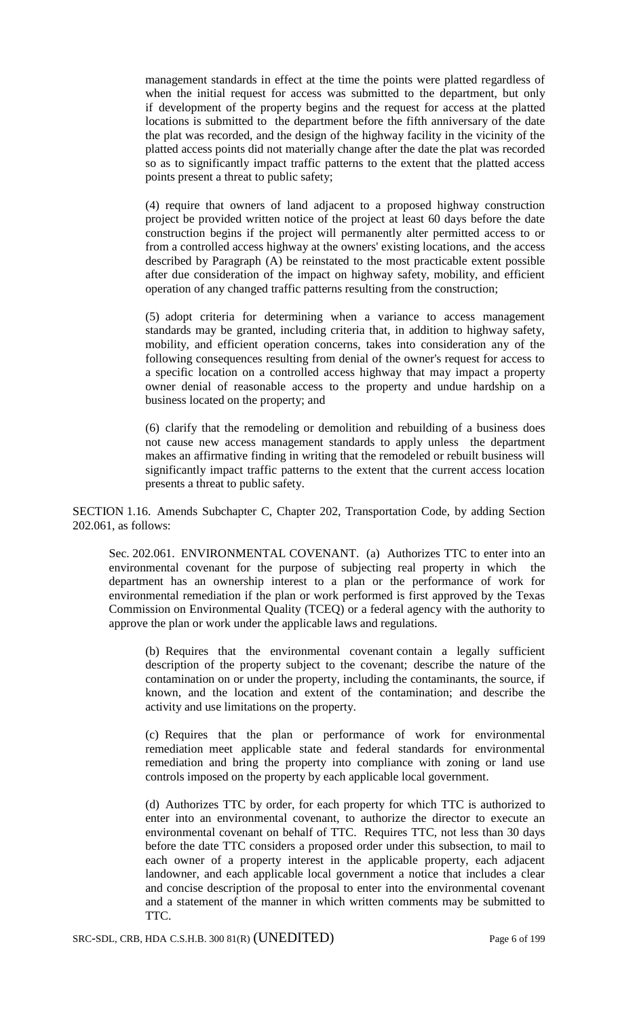management standards in effect at the time the points were platted regardless of when the initial request for access was submitted to the department, but only if development of the property begins and the request for access at the platted locations is submitted to the department before the fifth anniversary of the date the plat was recorded, and the design of the highway facility in the vicinity of the platted access points did not materially change after the date the plat was recorded so as to significantly impact traffic patterns to the extent that the platted access points present a threat to public safety;

(4) require that owners of land adjacent to a proposed highway construction project be provided written notice of the project at least 60 days before the date construction begins if the project will permanently alter permitted access to or from a controlled access highway at the owners' existing locations, and the access described by Paragraph (A) be reinstated to the most practicable extent possible after due consideration of the impact on highway safety, mobility, and efficient operation of any changed traffic patterns resulting from the construction;

(5) adopt criteria for determining when a variance to access management standards may be granted, including criteria that, in addition to highway safety, mobility, and efficient operation concerns, takes into consideration any of the following consequences resulting from denial of the owner's request for access to a specific location on a controlled access highway that may impact a property owner denial of reasonable access to the property and undue hardship on a business located on the property; and

(6) clarify that the remodeling or demolition and rebuilding of a business does not cause new access management standards to apply unless the department makes an affirmative finding in writing that the remodeled or rebuilt business will significantly impact traffic patterns to the extent that the current access location presents a threat to public safety.

SECTION 1.16. Amends Subchapter C, Chapter 202, Transportation Code, by adding Section 202.061, as follows:

Sec. 202.061. ENVIRONMENTAL COVENANT. (a) Authorizes TTC to enter into an environmental covenant for the purpose of subjecting real property in which the department has an ownership interest to a plan or the performance of work for environmental remediation if the plan or work performed is first approved by the Texas Commission on Environmental Quality (TCEQ) or a federal agency with the authority to approve the plan or work under the applicable laws and regulations.

(b) Requires that the environmental covenant contain a legally sufficient description of the property subject to the covenant; describe the nature of the contamination on or under the property, including the contaminants, the source, if known, and the location and extent of the contamination; and describe the activity and use limitations on the property.

(c) Requires that the plan or performance of work for environmental remediation meet applicable state and federal standards for environmental remediation and bring the property into compliance with zoning or land use controls imposed on the property by each applicable local government.

(d) Authorizes TTC by order, for each property for which TTC is authorized to enter into an environmental covenant, to authorize the director to execute an environmental covenant on behalf of TTC. Requires TTC, not less than 30 days before the date TTC considers a proposed order under this subsection, to mail to each owner of a property interest in the applicable property, each adjacent landowner, and each applicable local government a notice that includes a clear and concise description of the proposal to enter into the environmental covenant and a statement of the manner in which written comments may be submitted to TTC.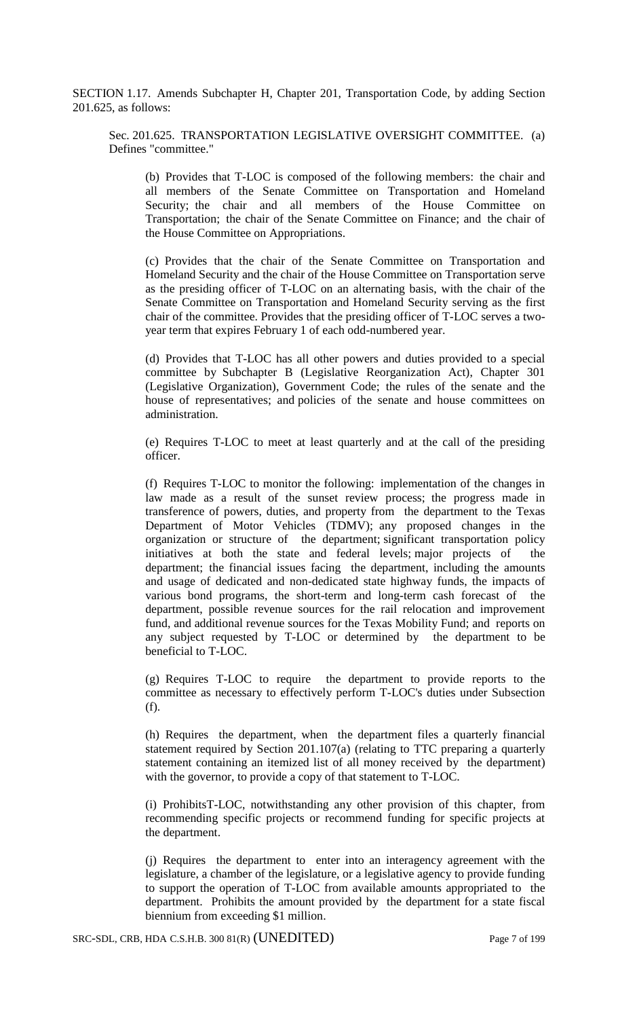SECTION 1.17. Amends Subchapter H, Chapter 201, Transportation Code, by adding Section 201.625, as follows:

Sec. 201.625. TRANSPORTATION LEGISLATIVE OVERSIGHT COMMITTEE. (a) Defines "committee."

(b) Provides that T-LOC is composed of the following members: the chair and all members of the Senate Committee on Transportation and Homeland Security; the chair and all members of the House Committee on Transportation; the chair of the Senate Committee on Finance; and the chair of the House Committee on Appropriations.

(c) Provides that the chair of the Senate Committee on Transportation and Homeland Security and the chair of the House Committee on Transportation serve as the presiding officer of T-LOC on an alternating basis, with the chair of the Senate Committee on Transportation and Homeland Security serving as the first chair of the committee. Provides that the presiding officer of T-LOC serves a twoyear term that expires February 1 of each odd-numbered year.

(d) Provides that T-LOC has all other powers and duties provided to a special committee by Subchapter B (Legislative Reorganization Act), Chapter 301 (Legislative Organization), Government Code; the rules of the senate and the house of representatives; and policies of the senate and house committees on administration.

(e) Requires T-LOC to meet at least quarterly and at the call of the presiding officer.

(f) Requires T-LOC to monitor the following: implementation of the changes in law made as a result of the sunset review process; the progress made in transference of powers, duties, and property from the department to the Texas Department of Motor Vehicles (TDMV); any proposed changes in the organization or structure of the department; significant transportation policy initiatives at both the state and federal levels; major projects of the department; the financial issues facing the department, including the amounts and usage of dedicated and non-dedicated state highway funds, the impacts of various bond programs, the short-term and long-term cash forecast of the department, possible revenue sources for the rail relocation and improvement fund, and additional revenue sources for the Texas Mobility Fund; and reports on any subject requested by T-LOC or determined by the department to be beneficial to T-LOC.

(g) Requires T-LOC to require the department to provide reports to the committee as necessary to effectively perform T-LOC's duties under Subsection (f).

(h) Requires the department, when the department files a quarterly financial statement required by Section 201.107(a) (relating to TTC preparing a quarterly statement containing an itemized list of all money received by the department) with the governor, to provide a copy of that statement to T-LOC.

(i) ProhibitsT-LOC, notwithstanding any other provision of this chapter, from recommending specific projects or recommend funding for specific projects at the department.

(j) Requires the department to enter into an interagency agreement with the legislature, a chamber of the legislature, or a legislative agency to provide funding to support the operation of T-LOC from available amounts appropriated to the department. Prohibits the amount provided by the department for a state fiscal biennium from exceeding \$1 million.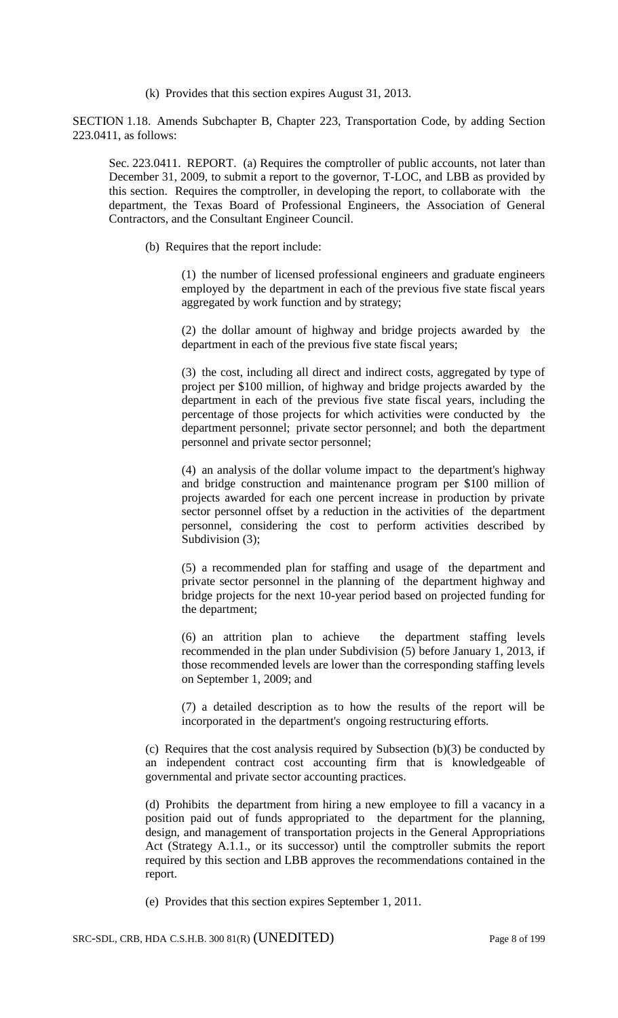(k) Provides that this section expires August 31, 2013.

SECTION 1.18. Amends Subchapter B, Chapter 223, Transportation Code, by adding Section 223.0411, as follows:

Sec. 223.0411. REPORT. (a) Requires the comptroller of public accounts, not later than December 31, 2009, to submit a report to the governor, T-LOC, and LBB as provided by this section. Requires the comptroller, in developing the report, to collaborate with the department, the Texas Board of Professional Engineers, the Association of General Contractors, and the Consultant Engineer Council.

(b) Requires that the report include:

(1) the number of licensed professional engineers and graduate engineers employed by the department in each of the previous five state fiscal years aggregated by work function and by strategy;

(2) the dollar amount of highway and bridge projects awarded by the department in each of the previous five state fiscal years;

(3) the cost, including all direct and indirect costs, aggregated by type of project per \$100 million, of highway and bridge projects awarded by the department in each of the previous five state fiscal years, including the percentage of those projects for which activities were conducted by the department personnel; private sector personnel; and both the department personnel and private sector personnel;

(4) an analysis of the dollar volume impact to the department's highway and bridge construction and maintenance program per \$100 million of projects awarded for each one percent increase in production by private sector personnel offset by a reduction in the activities of the department personnel, considering the cost to perform activities described by Subdivision (3);

(5) a recommended plan for staffing and usage of the department and private sector personnel in the planning of the department highway and bridge projects for the next 10-year period based on projected funding for the department;

(6) an attrition plan to achieve the department staffing levels recommended in the plan under Subdivision (5) before January 1, 2013, if those recommended levels are lower than the corresponding staffing levels on September 1, 2009; and

(7) a detailed description as to how the results of the report will be incorporated in the department's ongoing restructuring efforts.

(c) Requires that the cost analysis required by Subsection (b)(3) be conducted by an independent contract cost accounting firm that is knowledgeable of governmental and private sector accounting practices.

(d) Prohibits the department from hiring a new employee to fill a vacancy in a position paid out of funds appropriated to the department for the planning, design, and management of transportation projects in the General Appropriations Act (Strategy A.1.1., or its successor) until the comptroller submits the report required by this section and LBB approves the recommendations contained in the report.

(e) Provides that this section expires September 1, 2011.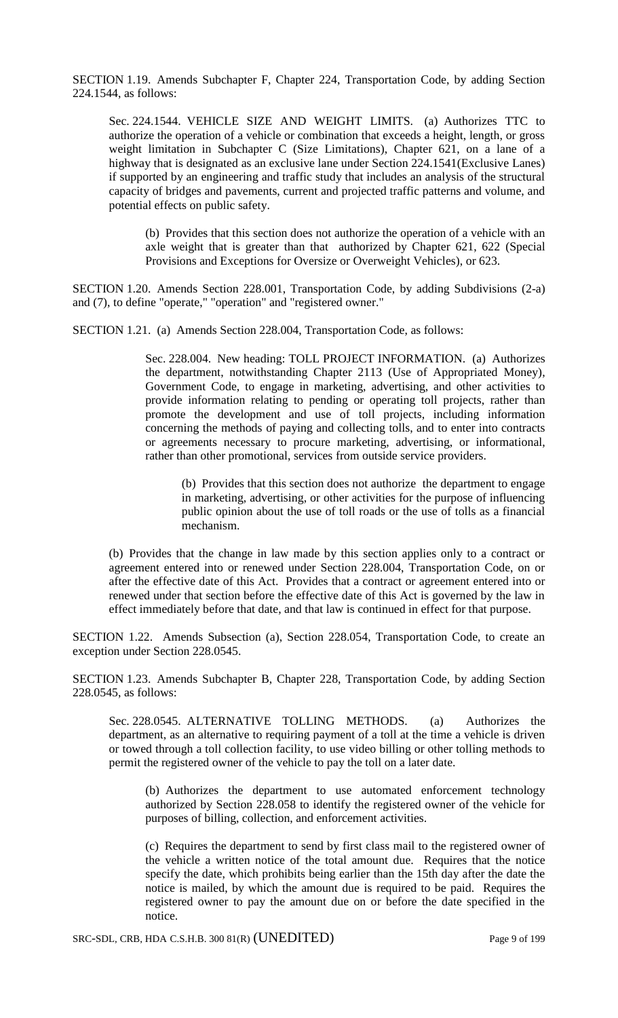SECTION 1.19. Amends Subchapter F, Chapter 224, Transportation Code, by adding Section 224.1544, as follows:

Sec. 224.1544. VEHICLE SIZE AND WEIGHT LIMITS. (a) Authorizes TTC to authorize the operation of a vehicle or combination that exceeds a height, length, or gross weight limitation in Subchapter C (Size Limitations), Chapter 621, on a lane of a highway that is designated as an exclusive lane under Section 224.1541(Exclusive Lanes) if supported by an engineering and traffic study that includes an analysis of the structural capacity of bridges and pavements, current and projected traffic patterns and volume, and potential effects on public safety.

(b) Provides that this section does not authorize the operation of a vehicle with an axle weight that is greater than that authorized by Chapter 621, 622 (Special Provisions and Exceptions for Oversize or Overweight Vehicles), or 623.

SECTION 1.20. Amends Section 228.001, Transportation Code, by adding Subdivisions (2-a) and (7), to define "operate," "operation" and "registered owner."

SECTION 1.21. (a) Amends Section 228.004, Transportation Code, as follows:

Sec. 228.004. New heading: TOLL PROJECT INFORMATION. (a) Authorizes the department, notwithstanding Chapter 2113 (Use of Appropriated Money), Government Code, to engage in marketing, advertising, and other activities to provide information relating to pending or operating toll projects, rather than promote the development and use of toll projects, including information concerning the methods of paying and collecting tolls, and to enter into contracts or agreements necessary to procure marketing, advertising, or informational, rather than other promotional, services from outside service providers.

(b) Provides that this section does not authorize the department to engage in marketing, advertising, or other activities for the purpose of influencing public opinion about the use of toll roads or the use of tolls as a financial mechanism.

(b) Provides that the change in law made by this section applies only to a contract or agreement entered into or renewed under Section 228.004, Transportation Code, on or after the effective date of this Act. Provides that a contract or agreement entered into or renewed under that section before the effective date of this Act is governed by the law in effect immediately before that date, and that law is continued in effect for that purpose.

SECTION 1.22. Amends Subsection (a), Section 228.054, Transportation Code, to create an exception under Section 228.0545.

SECTION 1.23. Amends Subchapter B, Chapter 228, Transportation Code, by adding Section 228.0545, as follows:

Sec. 228.0545. ALTERNATIVE TOLLING METHODS. (a) Authorizes the department, as an alternative to requiring payment of a toll at the time a vehicle is driven or towed through a toll collection facility, to use video billing or other tolling methods to permit the registered owner of the vehicle to pay the toll on a later date.

(b) Authorizes the department to use automated enforcement technology authorized by Section 228.058 to identify the registered owner of the vehicle for purposes of billing, collection, and enforcement activities.

(c) Requires the department to send by first class mail to the registered owner of the vehicle a written notice of the total amount due. Requires that the notice specify the date, which prohibits being earlier than the 15th day after the date the notice is mailed, by which the amount due is required to be paid. Requires the registered owner to pay the amount due on or before the date specified in the notice.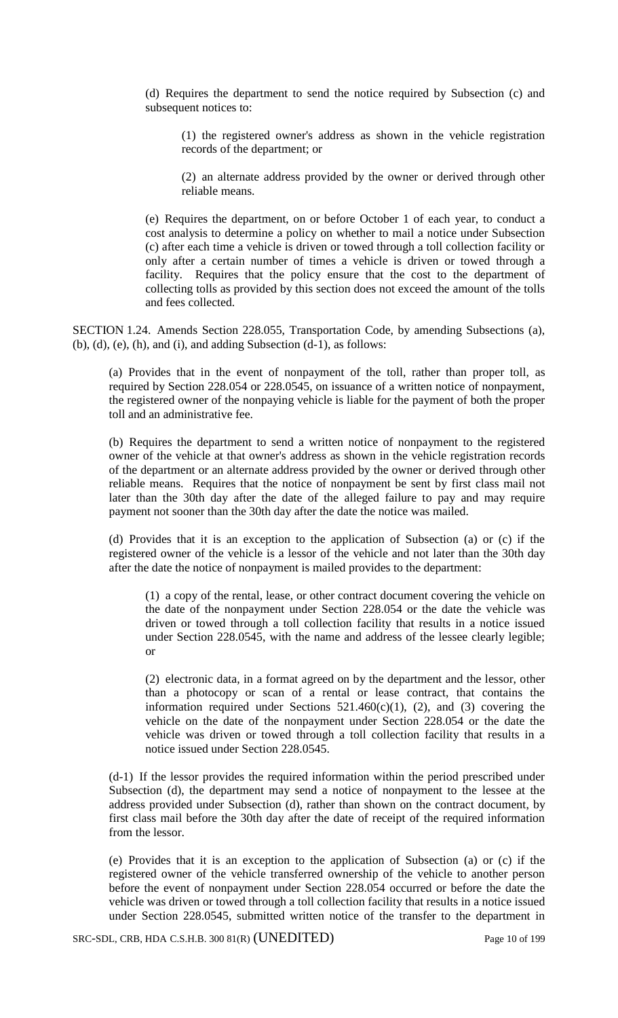(d) Requires the department to send the notice required by Subsection (c) and subsequent notices to:

(1) the registered owner's address as shown in the vehicle registration records of the department; or

(2) an alternate address provided by the owner or derived through other reliable means.

(e) Requires the department, on or before October 1 of each year, to conduct a cost analysis to determine a policy on whether to mail a notice under Subsection (c) after each time a vehicle is driven or towed through a toll collection facility or only after a certain number of times a vehicle is driven or towed through a facility. Requires that the policy ensure that the cost to the department of collecting tolls as provided by this section does not exceed the amount of the tolls and fees collected.

SECTION 1.24. Amends Section 228.055, Transportation Code, by amending Subsections (a), (b), (d), (e), (h), and (i), and adding Subsection (d-1), as follows:

(a) Provides that in the event of nonpayment of the toll, rather than proper toll, as required by Section 228.054 or 228.0545, on issuance of a written notice of nonpayment, the registered owner of the nonpaying vehicle is liable for the payment of both the proper toll and an administrative fee.

(b) Requires the department to send a written notice of nonpayment to the registered owner of the vehicle at that owner's address as shown in the vehicle registration records of the department or an alternate address provided by the owner or derived through other reliable means. Requires that the notice of nonpayment be sent by first class mail not later than the 30th day after the date of the alleged failure to pay and may require payment not sooner than the 30th day after the date the notice was mailed.

(d) Provides that it is an exception to the application of Subsection (a) or (c) if the registered owner of the vehicle is a lessor of the vehicle and not later than the 30th day after the date the notice of nonpayment is mailed provides to the department:

(1) a copy of the rental, lease, or other contract document covering the vehicle on the date of the nonpayment under Section 228.054 or the date the vehicle was driven or towed through a toll collection facility that results in a notice issued under Section 228.0545, with the name and address of the lessee clearly legible; or

(2) electronic data, in a format agreed on by the department and the lessor, other than a photocopy or scan of a rental or lease contract, that contains the information required under Sections  $521.460(c)(1)$ , (2), and (3) covering the vehicle on the date of the nonpayment under Section 228.054 or the date the vehicle was driven or towed through a toll collection facility that results in a notice issued under Section 228.0545.

(d-1) If the lessor provides the required information within the period prescribed under Subsection (d), the department may send a notice of nonpayment to the lessee at the address provided under Subsection (d), rather than shown on the contract document, by first class mail before the 30th day after the date of receipt of the required information from the lessor.

(e) Provides that it is an exception to the application of Subsection (a) or (c) if the registered owner of the vehicle transferred ownership of the vehicle to another person before the event of nonpayment under Section 228.054 occurred or before the date the vehicle was driven or towed through a toll collection facility that results in a notice issued under Section 228.0545, submitted written notice of the transfer to the department in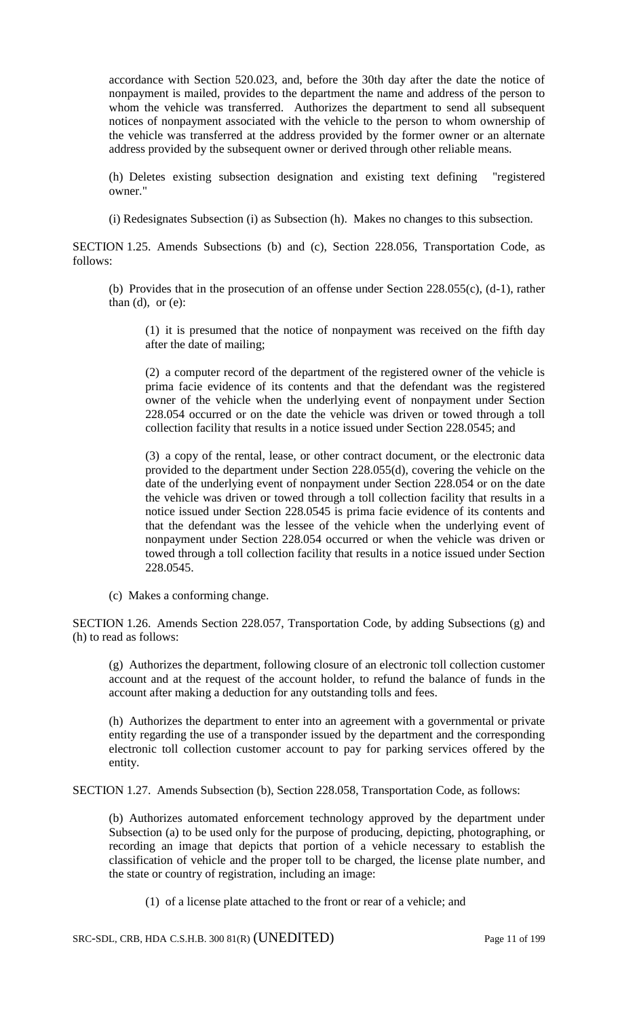accordance with Section 520.023, and, before the 30th day after the date the notice of nonpayment is mailed, provides to the department the name and address of the person to whom the vehicle was transferred. Authorizes the department to send all subsequent notices of nonpayment associated with the vehicle to the person to whom ownership of the vehicle was transferred at the address provided by the former owner or an alternate address provided by the subsequent owner or derived through other reliable means.

(h) Deletes existing subsection designation and existing text defining "registered owner."

(i) Redesignates Subsection (i) as Subsection (h). Makes no changes to this subsection.

SECTION 1.25. Amends Subsections (b) and (c), Section 228.056, Transportation Code, as follows:

(b) Provides that in the prosecution of an offense under Section 228.055(c), (d-1), rather than  $(d)$ , or  $(e)$ :

(1) it is presumed that the notice of nonpayment was received on the fifth day after the date of mailing;

(2) a computer record of the department of the registered owner of the vehicle is prima facie evidence of its contents and that the defendant was the registered owner of the vehicle when the underlying event of nonpayment under Section 228.054 occurred or on the date the vehicle was driven or towed through a toll collection facility that results in a notice issued under Section 228.0545; and

(3) a copy of the rental, lease, or other contract document, or the electronic data provided to the department under Section 228.055(d), covering the vehicle on the date of the underlying event of nonpayment under Section 228.054 or on the date the vehicle was driven or towed through a toll collection facility that results in a notice issued under Section 228.0545 is prima facie evidence of its contents and that the defendant was the lessee of the vehicle when the underlying event of nonpayment under Section 228.054 occurred or when the vehicle was driven or towed through a toll collection facility that results in a notice issued under Section 228.0545.

(c) Makes a conforming change.

SECTION 1.26. Amends Section 228.057, Transportation Code, by adding Subsections (g) and (h) to read as follows:

(g) Authorizes the department, following closure of an electronic toll collection customer account and at the request of the account holder, to refund the balance of funds in the account after making a deduction for any outstanding tolls and fees.

(h) Authorizes the department to enter into an agreement with a governmental or private entity regarding the use of a transponder issued by the department and the corresponding electronic toll collection customer account to pay for parking services offered by the entity.

SECTION 1.27. Amends Subsection (b), Section 228.058, Transportation Code, as follows:

(b) Authorizes automated enforcement technology approved by the department under Subsection (a) to be used only for the purpose of producing, depicting, photographing, or recording an image that depicts that portion of a vehicle necessary to establish the classification of vehicle and the proper toll to be charged, the license plate number, and the state or country of registration, including an image:

(1) of a license plate attached to the front or rear of a vehicle; and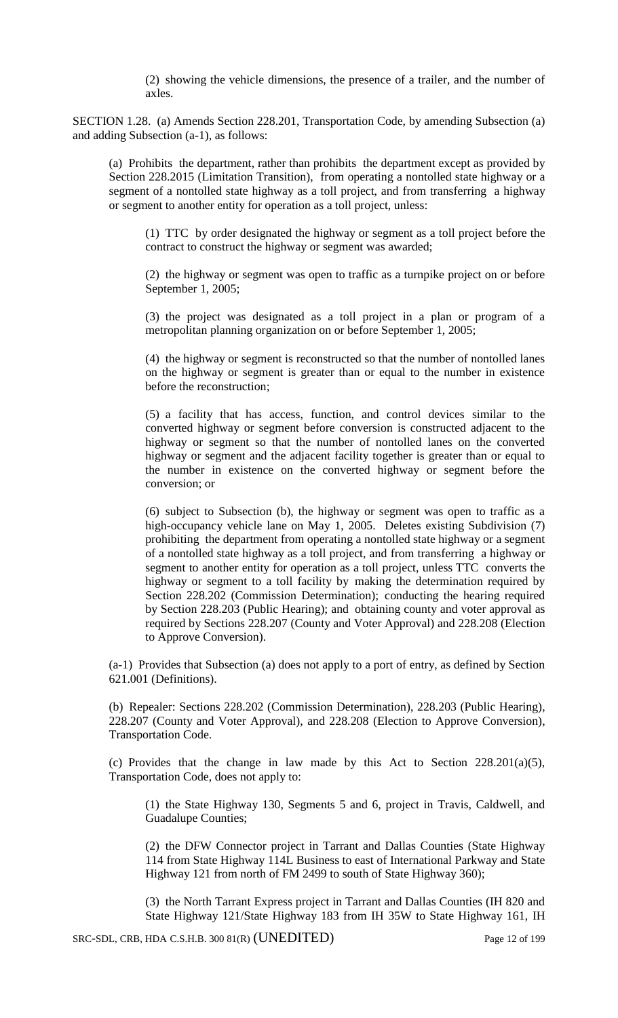(2) showing the vehicle dimensions, the presence of a trailer, and the number of axles.

SECTION 1.28. (a) Amends Section 228.201, Transportation Code, by amending Subsection (a) and adding Subsection (a-1), as follows:

(a) Prohibits the department, rather than prohibits the department except as provided by Section 228.2015 (Limitation Transition), from operating a nontolled state highway or a segment of a nontolled state highway as a toll project, and from transferring a highway or segment to another entity for operation as a toll project, unless:

(1) TTC by order designated the highway or segment as a toll project before the contract to construct the highway or segment was awarded;

(2) the highway or segment was open to traffic as a turnpike project on or before September 1, 2005;

(3) the project was designated as a toll project in a plan or program of a metropolitan planning organization on or before September 1, 2005;

(4) the highway or segment is reconstructed so that the number of nontolled lanes on the highway or segment is greater than or equal to the number in existence before the reconstruction;

(5) a facility that has access, function, and control devices similar to the converted highway or segment before conversion is constructed adjacent to the highway or segment so that the number of nontolled lanes on the converted highway or segment and the adjacent facility together is greater than or equal to the number in existence on the converted highway or segment before the conversion; or

(6) subject to Subsection (b), the highway or segment was open to traffic as a high-occupancy vehicle lane on May 1, 2005. Deletes existing Subdivision (7) prohibiting the department from operating a nontolled state highway or a segment of a nontolled state highway as a toll project, and from transferring a highway or segment to another entity for operation as a toll project, unless TTC converts the highway or segment to a toll facility by making the determination required by Section 228.202 (Commission Determination); conducting the hearing required by Section 228.203 (Public Hearing); and obtaining county and voter approval as required by Sections 228.207 (County and Voter Approval) and 228.208 (Election to Approve Conversion).

(a-1) Provides that Subsection (a) does not apply to a port of entry, as defined by Section 621.001 (Definitions).

(b) Repealer: Sections 228.202 (Commission Determination), 228.203 (Public Hearing), 228.207 (County and Voter Approval), and 228.208 (Election to Approve Conversion), Transportation Code.

(c) Provides that the change in law made by this Act to Section 228.201(a)(5), Transportation Code, does not apply to:

(1) the State Highway 130, Segments 5 and 6, project in Travis, Caldwell, and Guadalupe Counties;

(2) the DFW Connector project in Tarrant and Dallas Counties (State Highway 114 from State Highway 114L Business to east of International Parkway and State Highway 121 from north of FM 2499 to south of State Highway 360);

(3) the North Tarrant Express project in Tarrant and Dallas Counties (IH 820 and State Highway 121/State Highway 183 from IH 35W to State Highway 161, IH

SRC-SDL, CRB, HDA C.S.H.B. 300 81(R) (UNEDITED) Page 12 of 199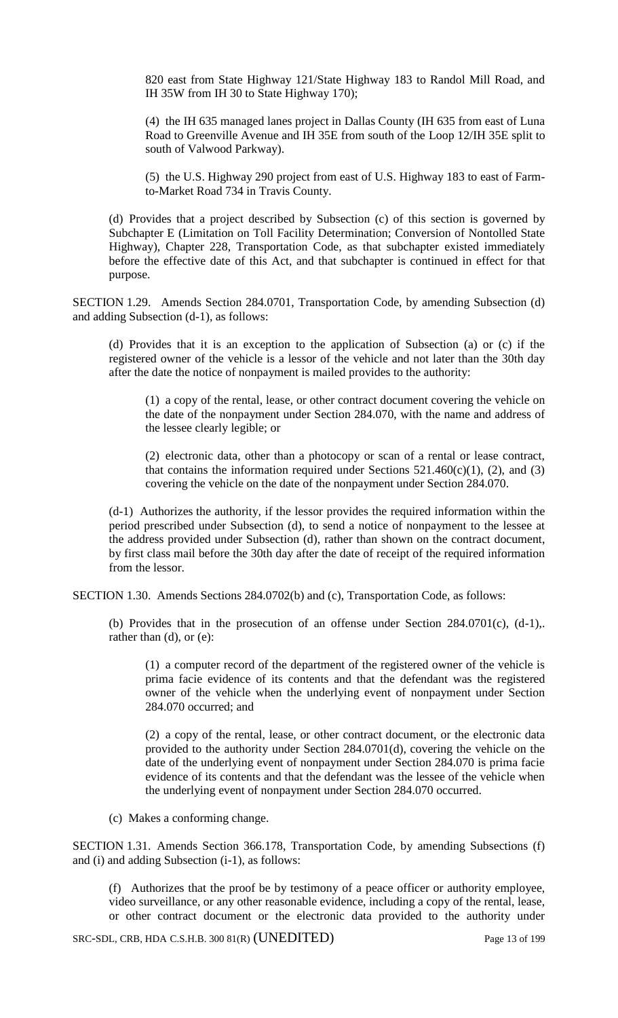820 east from State Highway 121/State Highway 183 to Randol Mill Road, and IH 35W from IH 30 to State Highway 170);

(4) the IH 635 managed lanes project in Dallas County (IH 635 from east of Luna Road to Greenville Avenue and IH 35E from south of the Loop 12/IH 35E split to south of Valwood Parkway).

(5) the U.S. Highway 290 project from east of U.S. Highway 183 to east of Farmto-Market Road 734 in Travis County.

(d) Provides that a project described by Subsection (c) of this section is governed by Subchapter E (Limitation on Toll Facility Determination; Conversion of Nontolled State Highway), Chapter 228, Transportation Code, as that subchapter existed immediately before the effective date of this Act, and that subchapter is continued in effect for that purpose.

SECTION 1.29. Amends Section 284.0701, Transportation Code, by amending Subsection (d) and adding Subsection (d-1), as follows:

(d) Provides that it is an exception to the application of Subsection (a) or (c) if the registered owner of the vehicle is a lessor of the vehicle and not later than the 30th day after the date the notice of nonpayment is mailed provides to the authority:

(1) a copy of the rental, lease, or other contract document covering the vehicle on the date of the nonpayment under Section 284.070, with the name and address of the lessee clearly legible; or

(2) electronic data, other than a photocopy or scan of a rental or lease contract, that contains the information required under Sections  $521.460(c)(1)$ , (2), and (3) covering the vehicle on the date of the nonpayment under Section 284.070.

(d-1) Authorizes the authority, if the lessor provides the required information within the period prescribed under Subsection (d), to send a notice of nonpayment to the lessee at the address provided under Subsection (d), rather than shown on the contract document, by first class mail before the 30th day after the date of receipt of the required information from the lessor.

SECTION 1.30. Amends Sections 284.0702(b) and (c), Transportation Code, as follows:

(b) Provides that in the prosecution of an offense under Section 284.0701(c), (d-1),. rather than (d), or (e):

(1) a computer record of the department of the registered owner of the vehicle is prima facie evidence of its contents and that the defendant was the registered owner of the vehicle when the underlying event of nonpayment under Section 284.070 occurred; and

(2) a copy of the rental, lease, or other contract document, or the electronic data provided to the authority under Section 284.0701(d), covering the vehicle on the date of the underlying event of nonpayment under Section 284.070 is prima facie evidence of its contents and that the defendant was the lessee of the vehicle when the underlying event of nonpayment under Section 284.070 occurred.

(c) Makes a conforming change.

SECTION 1.31. Amends Section 366.178, Transportation Code, by amending Subsections (f) and (i) and adding Subsection (i-1), as follows:

(f) Authorizes that the proof be by testimony of a peace officer or authority employee, video surveillance, or any other reasonable evidence, including a copy of the rental, lease, or other contract document or the electronic data provided to the authority under

SRC-SDL, CRB, HDA C.S.H.B. 300 81(R) (UNEDITED) Page 13 of 199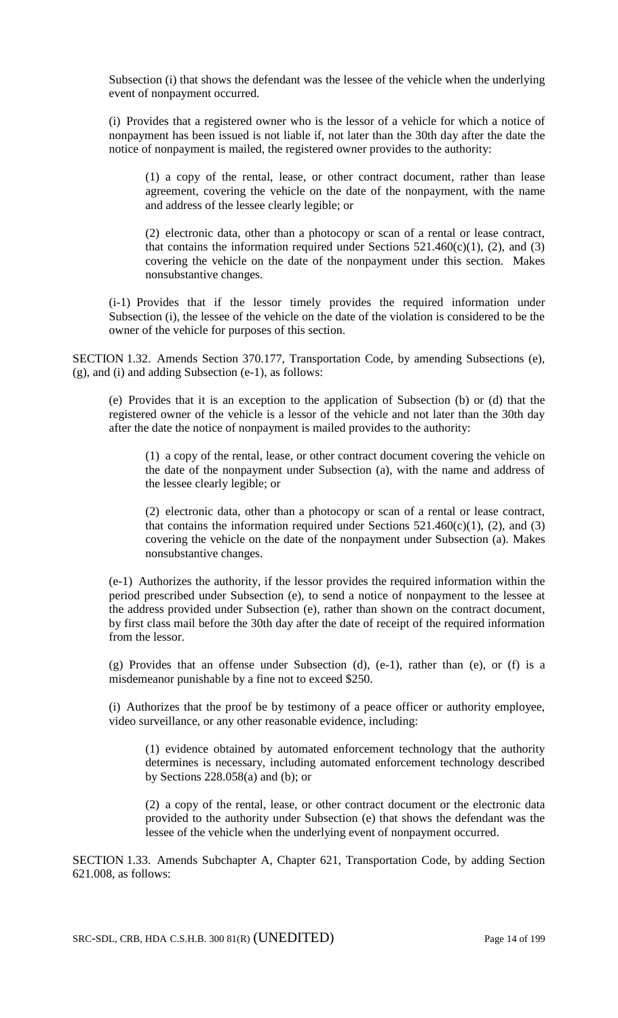Subsection (i) that shows the defendant was the lessee of the vehicle when the underlying event of nonpayment occurred.

(i) Provides that a registered owner who is the lessor of a vehicle for which a notice of nonpayment has been issued is not liable if, not later than the 30th day after the date the notice of nonpayment is mailed, the registered owner provides to the authority:

(1) a copy of the rental, lease, or other contract document, rather than lease agreement, covering the vehicle on the date of the nonpayment, with the name and address of the lessee clearly legible; or

(2) electronic data, other than a photocopy or scan of a rental or lease contract, that contains the information required under Sections  $521.460(c)(1)$ , (2), and (3) covering the vehicle on the date of the nonpayment under this section. Makes nonsubstantive changes.

(i-1) Provides that if the lessor timely provides the required information under Subsection (i), the lessee of the vehicle on the date of the violation is considered to be the owner of the vehicle for purposes of this section.

SECTION 1.32. Amends Section 370.177, Transportation Code, by amending Subsections (e), (g), and (i) and adding Subsection (e-1), as follows:

(e) Provides that it is an exception to the application of Subsection (b) or (d) that the registered owner of the vehicle is a lessor of the vehicle and not later than the 30th day after the date the notice of nonpayment is mailed provides to the authority:

(1) a copy of the rental, lease, or other contract document covering the vehicle on the date of the nonpayment under Subsection (a), with the name and address of the lessee clearly legible; or

(2) electronic data, other than a photocopy or scan of a rental or lease contract, that contains the information required under Sections  $521.460(c)(1)$ , (2), and (3) covering the vehicle on the date of the nonpayment under Subsection (a). Makes nonsubstantive changes.

(e-1) Authorizes the authority, if the lessor provides the required information within the period prescribed under Subsection (e), to send a notice of nonpayment to the lessee at the address provided under Subsection (e), rather than shown on the contract document, by first class mail before the 30th day after the date of receipt of the required information from the lessor.

(g) Provides that an offense under Subsection (d), (e-1), rather than (e), or (f) is a misdemeanor punishable by a fine not to exceed \$250.

(i) Authorizes that the proof be by testimony of a peace officer or authority employee, video surveillance, or any other reasonable evidence, including:

(1) evidence obtained by automated enforcement technology that the authority determines is necessary, including automated enforcement technology described by Sections  $228.058(a)$  and (b); or

(2) a copy of the rental, lease, or other contract document or the electronic data provided to the authority under Subsection (e) that shows the defendant was the lessee of the vehicle when the underlying event of nonpayment occurred.

SECTION 1.33. Amends Subchapter A, Chapter 621, Transportation Code, by adding Section 621.008, as follows: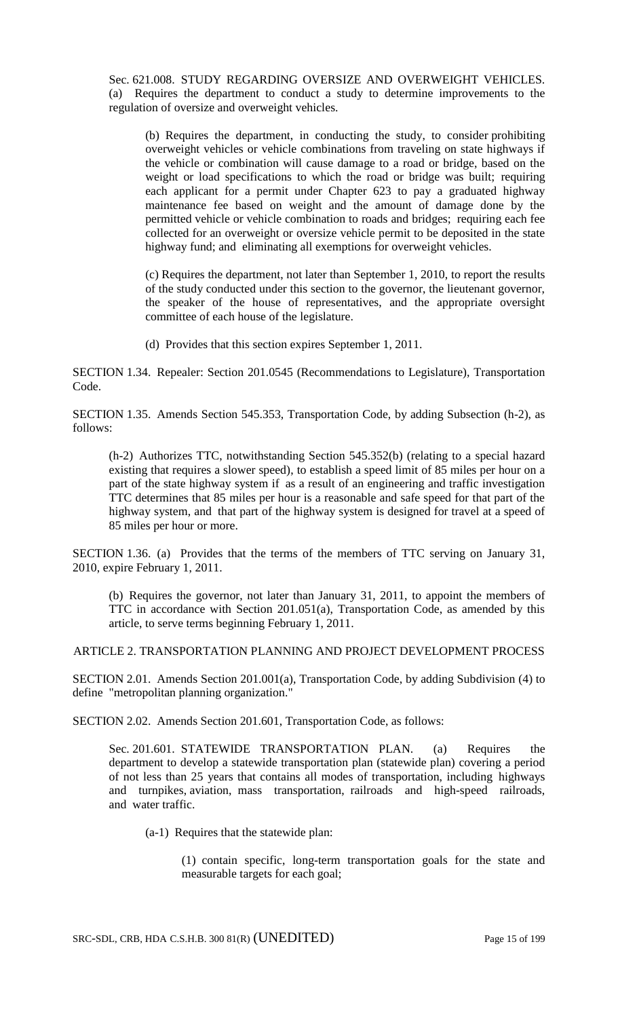Sec. 621.008. STUDY REGARDING OVERSIZE AND OVERWEIGHT VEHICLES. (a) Requires the department to conduct a study to determine improvements to the regulation of oversize and overweight vehicles.

(b) Requires the department, in conducting the study, to consider prohibiting overweight vehicles or vehicle combinations from traveling on state highways if the vehicle or combination will cause damage to a road or bridge, based on the weight or load specifications to which the road or bridge was built; requiring each applicant for a permit under Chapter 623 to pay a graduated highway maintenance fee based on weight and the amount of damage done by the permitted vehicle or vehicle combination to roads and bridges; requiring each fee collected for an overweight or oversize vehicle permit to be deposited in the state highway fund; and eliminating all exemptions for overweight vehicles.

(c) Requires the department, not later than September 1, 2010, to report the results of the study conducted under this section to the governor, the lieutenant governor, the speaker of the house of representatives, and the appropriate oversight committee of each house of the legislature.

(d) Provides that this section expires September 1, 2011.

SECTION 1.34. Repealer: Section 201.0545 (Recommendations to Legislature), Transportation Code.

SECTION 1.35. Amends Section 545.353, Transportation Code, by adding Subsection (h-2), as follows:

(h-2) Authorizes TTC, notwithstanding Section 545.352(b) (relating to a special hazard existing that requires a slower speed), to establish a speed limit of 85 miles per hour on a part of the state highway system if as a result of an engineering and traffic investigation TTC determines that 85 miles per hour is a reasonable and safe speed for that part of the highway system, and that part of the highway system is designed for travel at a speed of 85 miles per hour or more.

SECTION 1.36. (a) Provides that the terms of the members of TTC serving on January 31, 2010, expire February 1, 2011.

(b) Requires the governor, not later than January 31, 2011, to appoint the members of TTC in accordance with Section 201.051(a), Transportation Code, as amended by this article, to serve terms beginning February 1, 2011.

ARTICLE 2. TRANSPORTATION PLANNING AND PROJECT DEVELOPMENT PROCESS

SECTION 2.01. Amends Section 201.001(a), Transportation Code, by adding Subdivision (4) to define "metropolitan planning organization."

SECTION 2.02. Amends Section 201.601, Transportation Code, as follows:

Sec. 201.601. STATEWIDE TRANSPORTATION PLAN. (a) Requires the department to develop a statewide transportation plan (statewide plan) covering a period of not less than 25 years that contains all modes of transportation, including highways and turnpikes, aviation, mass transportation, railroads and high-speed railroads, and water traffic.

(a-1) Requires that the statewide plan:

(1) contain specific, long-term transportation goals for the state and measurable targets for each goal;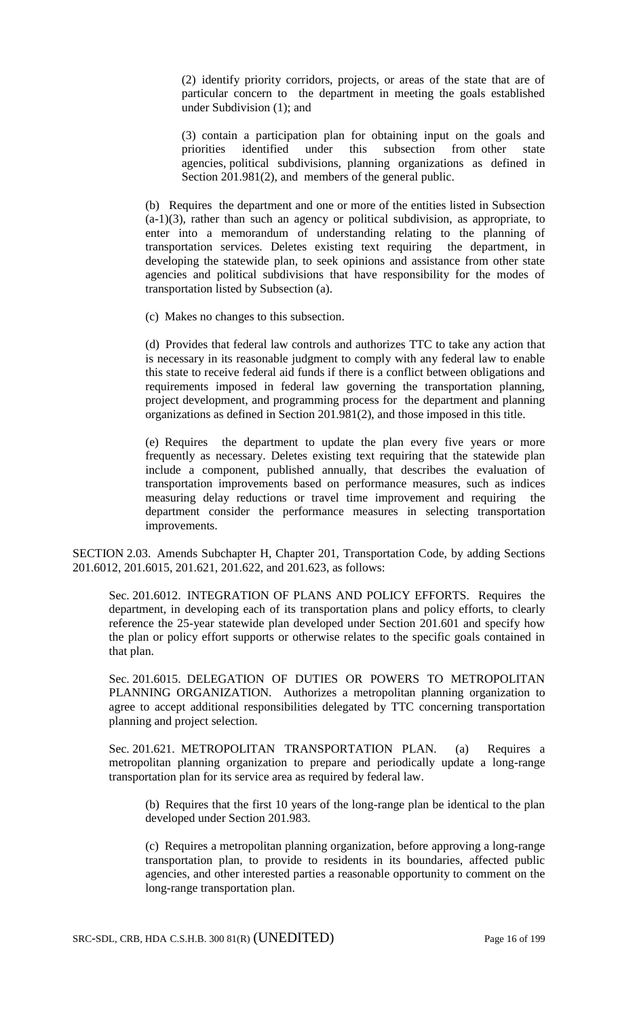(2) identify priority corridors, projects, or areas of the state that are of particular concern to the department in meeting the goals established under Subdivision (1); and

(3) contain a participation plan for obtaining input on the goals and priorities identified under this subsection from other state agencies, political subdivisions, planning organizations as defined in Section 201.981(2), and members of the general public.

(b) Requires the department and one or more of the entities listed in Subsection  $(a-1)(3)$ , rather than such an agency or political subdivision, as appropriate, to enter into a memorandum of understanding relating to the planning of transportation services. Deletes existing text requiring the department, in developing the statewide plan, to seek opinions and assistance from other state agencies and political subdivisions that have responsibility for the modes of transportation listed by Subsection (a).

(c) Makes no changes to this subsection.

(d) Provides that federal law controls and authorizes TTC to take any action that is necessary in its reasonable judgment to comply with any federal law to enable this state to receive federal aid funds if there is a conflict between obligations and requirements imposed in federal law governing the transportation planning, project development, and programming process for the department and planning organizations as defined in Section 201.981(2), and those imposed in this title.

(e) Requires the department to update the plan every five years or more frequently as necessary. Deletes existing text requiring that the statewide plan include a component, published annually, that describes the evaluation of transportation improvements based on performance measures, such as indices measuring delay reductions or travel time improvement and requiring the department consider the performance measures in selecting transportation improvements.

SECTION 2.03. Amends Subchapter H, Chapter 201, Transportation Code, by adding Sections 201.6012, 201.6015, 201.621, 201.622, and 201.623, as follows:

Sec. 201.6012. INTEGRATION OF PLANS AND POLICY EFFORTS. Requires the department, in developing each of its transportation plans and policy efforts, to clearly reference the 25-year statewide plan developed under Section 201.601 and specify how the plan or policy effort supports or otherwise relates to the specific goals contained in that plan.

Sec. 201.6015. DELEGATION OF DUTIES OR POWERS TO METROPOLITAN PLANNING ORGANIZATION. Authorizes a metropolitan planning organization to agree to accept additional responsibilities delegated by TTC concerning transportation planning and project selection.

Sec. 201.621. METROPOLITAN TRANSPORTATION PLAN. (a) Requires a metropolitan planning organization to prepare and periodically update a long-range transportation plan for its service area as required by federal law.

(b) Requires that the first 10 years of the long-range plan be identical to the plan developed under Section 201.983.

(c) Requires a metropolitan planning organization, before approving a long-range transportation plan, to provide to residents in its boundaries, affected public agencies, and other interested parties a reasonable opportunity to comment on the long-range transportation plan.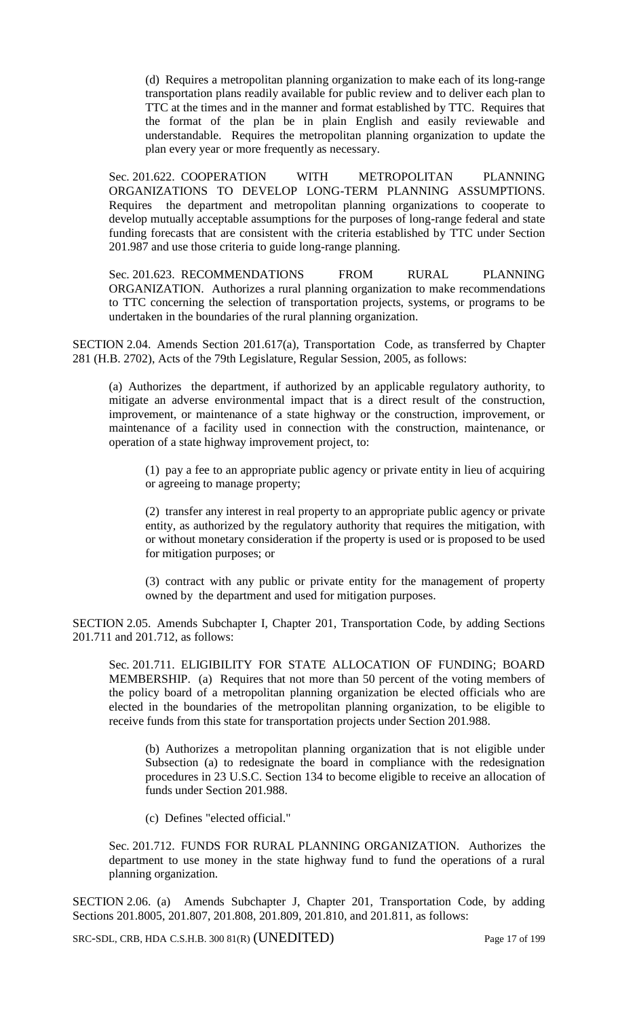(d) Requires a metropolitan planning organization to make each of its long-range transportation plans readily available for public review and to deliver each plan to TTC at the times and in the manner and format established by TTC. Requires that the format of the plan be in plain English and easily reviewable and understandable. Requires the metropolitan planning organization to update the plan every year or more frequently as necessary.

Sec. 201.622. COOPERATION WITH METROPOLITAN PLANNING ORGANIZATIONS TO DEVELOP LONG-TERM PLANNING ASSUMPTIONS. Requires the department and metropolitan planning organizations to cooperate to develop mutually acceptable assumptions for the purposes of long-range federal and state funding forecasts that are consistent with the criteria established by TTC under Section 201.987 and use those criteria to guide long-range planning.

Sec. 201.623. RECOMMENDATIONS FROM RURAL PLANNING ORGANIZATION. Authorizes a rural planning organization to make recommendations to TTC concerning the selection of transportation projects, systems, or programs to be undertaken in the boundaries of the rural planning organization.

SECTION 2.04. Amends Section 201.617(a), Transportation Code, as transferred by Chapter 281 (H.B. 2702), Acts of the 79th Legislature, Regular Session, 2005, as follows:

(a) Authorizes the department, if authorized by an applicable regulatory authority, to mitigate an adverse environmental impact that is a direct result of the construction, improvement, or maintenance of a state highway or the construction, improvement, or maintenance of a facility used in connection with the construction, maintenance, or operation of a state highway improvement project, to:

(1) pay a fee to an appropriate public agency or private entity in lieu of acquiring or agreeing to manage property;

(2) transfer any interest in real property to an appropriate public agency or private entity, as authorized by the regulatory authority that requires the mitigation, with or without monetary consideration if the property is used or is proposed to be used for mitigation purposes; or

(3) contract with any public or private entity for the management of property owned by the department and used for mitigation purposes.

SECTION 2.05. Amends Subchapter I, Chapter 201, Transportation Code, by adding Sections 201.711 and 201.712, as follows:

Sec. 201.711. ELIGIBILITY FOR STATE ALLOCATION OF FUNDING; BOARD MEMBERSHIP. (a) Requires that not more than 50 percent of the voting members of the policy board of a metropolitan planning organization be elected officials who are elected in the boundaries of the metropolitan planning organization, to be eligible to receive funds from this state for transportation projects under Section 201.988.

(b) Authorizes a metropolitan planning organization that is not eligible under Subsection (a) to redesignate the board in compliance with the redesignation procedures in 23 U.S.C. Section 134 to become eligible to receive an allocation of funds under Section 201.988.

(c) Defines "elected official."

Sec. 201.712. FUNDS FOR RURAL PLANNING ORGANIZATION. Authorizes the department to use money in the state highway fund to fund the operations of a rural planning organization.

SECTION 2.06. (a) Amends Subchapter J, Chapter 201, Transportation Code, by adding Sections 201.8005, 201.807, 201.808, 201.809, 201.810, and 201.811, as follows:

SRC-SDL, CRB, HDA C.S.H.B. 300 81(R) (UNEDITED) Page 17 of 199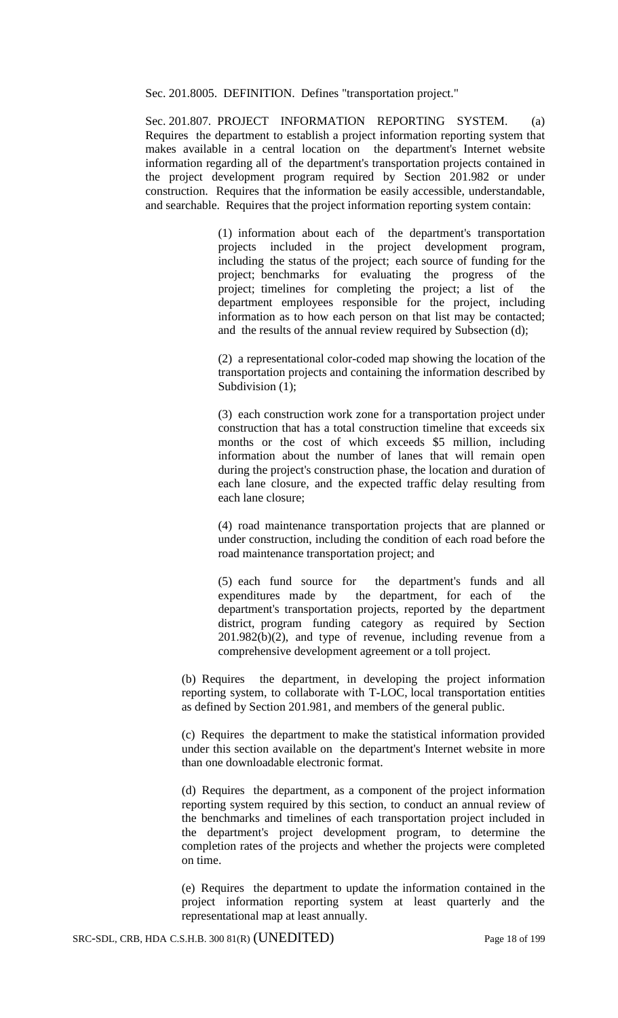Sec. 201.8005. DEFINITION. Defines "transportation project."

Sec. 201.807. PROJECT INFORMATION REPORTING SYSTEM. (a) Requires the department to establish a project information reporting system that makes available in a central location on the department's Internet website information regarding all of the department's transportation projects contained in the project development program required by Section 201.982 or under construction. Requires that the information be easily accessible, understandable, and searchable. Requires that the project information reporting system contain:

> (1) information about each of the department's transportation projects included in the project development program, including the status of the project; each source of funding for the project; benchmarks for evaluating the progress of the project; timelines for completing the project; a list of the department employees responsible for the project, including information as to how each person on that list may be contacted; and the results of the annual review required by Subsection (d);

> (2) a representational color-coded map showing the location of the transportation projects and containing the information described by Subdivision  $(1)$ ;

> (3) each construction work zone for a transportation project under construction that has a total construction timeline that exceeds six months or the cost of which exceeds \$5 million, including information about the number of lanes that will remain open during the project's construction phase, the location and duration of each lane closure, and the expected traffic delay resulting from each lane closure;

> (4) road maintenance transportation projects that are planned or under construction, including the condition of each road before the road maintenance transportation project; and

> (5) each fund source for the department's funds and all expenditures made by the department, for each of the department's transportation projects, reported by the department district, program funding category as required by Section 201.982(b)(2), and type of revenue, including revenue from a comprehensive development agreement or a toll project.

(b) Requires the department, in developing the project information reporting system, to collaborate with T-LOC, local transportation entities as defined by Section 201.981, and members of the general public.

(c) Requires the department to make the statistical information provided under this section available on the department's Internet website in more than one downloadable electronic format.

(d) Requires the department, as a component of the project information reporting system required by this section, to conduct an annual review of the benchmarks and timelines of each transportation project included in the department's project development program, to determine the completion rates of the projects and whether the projects were completed on time.

(e) Requires the department to update the information contained in the project information reporting system at least quarterly and the representational map at least annually.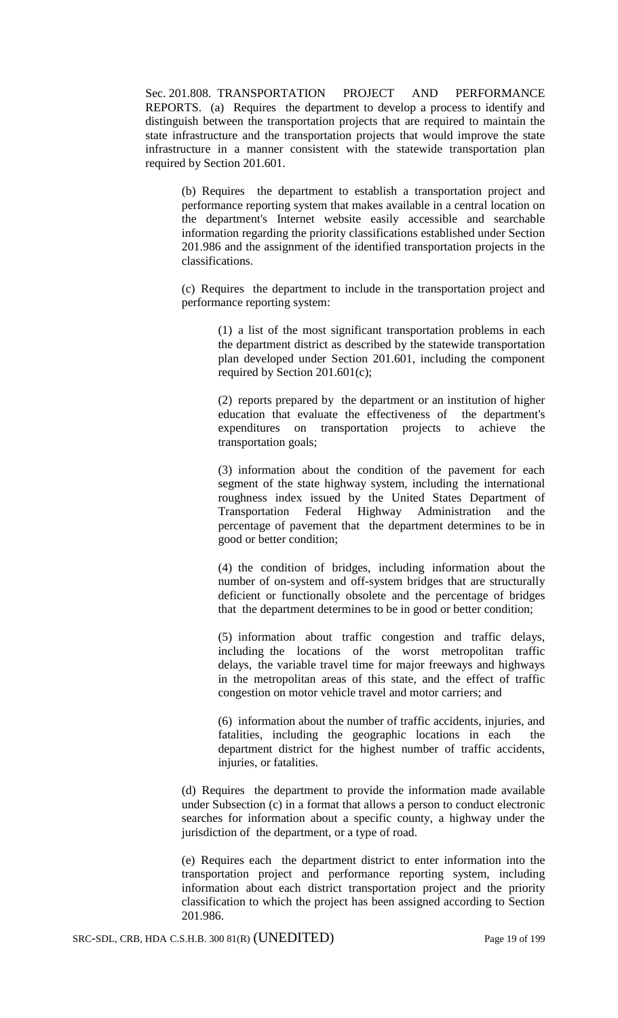Sec. 201.808. TRANSPORTATION PROJECT AND PERFORMANCE REPORTS. (a) Requires the department to develop a process to identify and distinguish between the transportation projects that are required to maintain the state infrastructure and the transportation projects that would improve the state infrastructure in a manner consistent with the statewide transportation plan required by Section 201.601.

(b) Requires the department to establish a transportation project and performance reporting system that makes available in a central location on the department's Internet website easily accessible and searchable information regarding the priority classifications established under Section 201.986 and the assignment of the identified transportation projects in the classifications.

(c) Requires the department to include in the transportation project and performance reporting system:

(1) a list of the most significant transportation problems in each the department district as described by the statewide transportation plan developed under Section 201.601, including the component required by Section 201.601(c);

(2) reports prepared by the department or an institution of higher education that evaluate the effectiveness of the department's expenditures on transportation projects to achieve the transportation goals;

(3) information about the condition of the pavement for each segment of the state highway system, including the international roughness index issued by the United States Department of Transportation Federal Highway Administration and the percentage of pavement that the department determines to be in good or better condition;

(4) the condition of bridges, including information about the number of on-system and off-system bridges that are structurally deficient or functionally obsolete and the percentage of bridges that the department determines to be in good or better condition;

(5) information about traffic congestion and traffic delays, including the locations of the worst metropolitan traffic delays, the variable travel time for major freeways and highways in the metropolitan areas of this state, and the effect of traffic congestion on motor vehicle travel and motor carriers; and

(6) information about the number of traffic accidents, injuries, and fatalities, including the geographic locations in each the department district for the highest number of traffic accidents, injuries, or fatalities.

(d) Requires the department to provide the information made available under Subsection (c) in a format that allows a person to conduct electronic searches for information about a specific county, a highway under the jurisdiction of the department, or a type of road.

(e) Requires each the department district to enter information into the transportation project and performance reporting system, including information about each district transportation project and the priority classification to which the project has been assigned according to Section 201.986.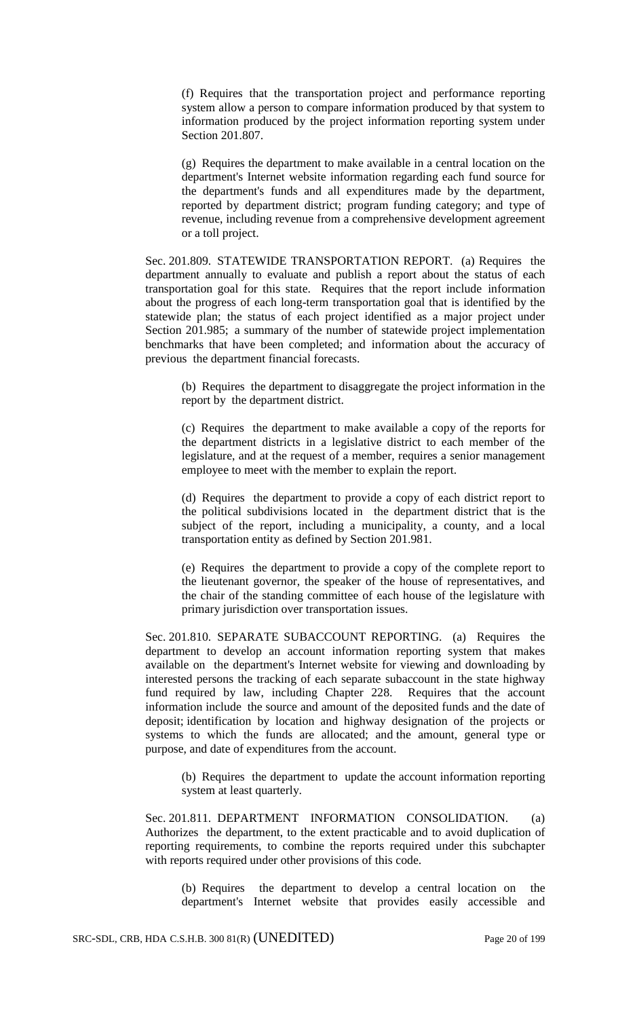(f) Requires that the transportation project and performance reporting system allow a person to compare information produced by that system to information produced by the project information reporting system under Section 201.807.

(g) Requires the department to make available in a central location on the department's Internet website information regarding each fund source for the department's funds and all expenditures made by the department, reported by department district; program funding category; and type of revenue, including revenue from a comprehensive development agreement or a toll project.

Sec. 201.809. STATEWIDE TRANSPORTATION REPORT. (a) Requires the department annually to evaluate and publish a report about the status of each transportation goal for this state. Requires that the report include information about the progress of each long-term transportation goal that is identified by the statewide plan; the status of each project identified as a major project under Section 201.985; a summary of the number of statewide project implementation benchmarks that have been completed; and information about the accuracy of previous the department financial forecasts.

(b) Requires the department to disaggregate the project information in the report by the department district.

(c) Requires the department to make available a copy of the reports for the department districts in a legislative district to each member of the legislature, and at the request of a member, requires a senior management employee to meet with the member to explain the report.

(d) Requires the department to provide a copy of each district report to the political subdivisions located in the department district that is the subject of the report, including a municipality, a county, and a local transportation entity as defined by Section 201.981.

(e) Requires the department to provide a copy of the complete report to the lieutenant governor, the speaker of the house of representatives, and the chair of the standing committee of each house of the legislature with primary jurisdiction over transportation issues.

Sec. 201.810. SEPARATE SUBACCOUNT REPORTING. (a) Requires the department to develop an account information reporting system that makes available on the department's Internet website for viewing and downloading by interested persons the tracking of each separate subaccount in the state highway fund required by law, including Chapter 228. Requires that the account information include the source and amount of the deposited funds and the date of deposit; identification by location and highway designation of the projects or systems to which the funds are allocated; and the amount, general type or purpose, and date of expenditures from the account.

(b) Requires the department to update the account information reporting system at least quarterly.

Sec. 201.811. DEPARTMENT INFORMATION CONSOLIDATION. (a) Authorizes the department, to the extent practicable and to avoid duplication of reporting requirements, to combine the reports required under this subchapter with reports required under other provisions of this code.

(b) Requires the department to develop a central location on the department's Internet website that provides easily accessible and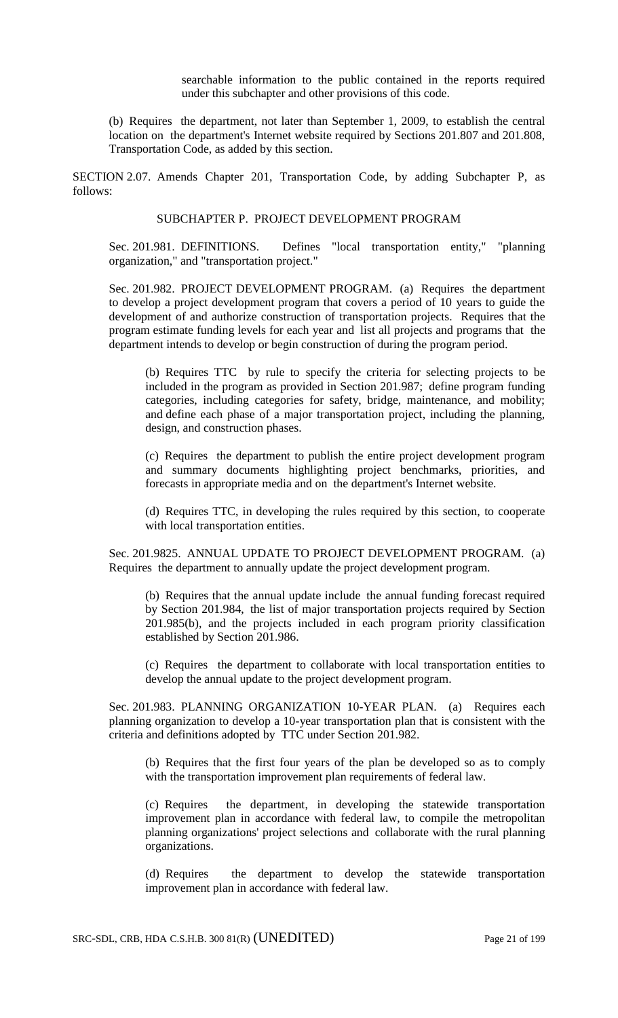searchable information to the public contained in the reports required under this subchapter and other provisions of this code.

(b) Requires the department, not later than September 1, 2009, to establish the central location on the department's Internet website required by Sections 201.807 and 201.808, Transportation Code, as added by this section.

SECTION 2.07. Amends Chapter 201, Transportation Code, by adding Subchapter P, as follows:

#### SUBCHAPTER P. PROJECT DEVELOPMENT PROGRAM

Sec. 201.981. DEFINITIONS. Defines "local transportation entity," "planning organization," and "transportation project."

Sec. 201.982. PROJECT DEVELOPMENT PROGRAM. (a) Requires the department to develop a project development program that covers a period of 10 years to guide the development of and authorize construction of transportation projects. Requires that the program estimate funding levels for each year and list all projects and programs that the department intends to develop or begin construction of during the program period.

(b) Requires TTC by rule to specify the criteria for selecting projects to be included in the program as provided in Section 201.987; define program funding categories, including categories for safety, bridge, maintenance, and mobility; and define each phase of a major transportation project, including the planning, design, and construction phases.

(c) Requires the department to publish the entire project development program and summary documents highlighting project benchmarks, priorities, and forecasts in appropriate media and on the department's Internet website.

(d) Requires TTC, in developing the rules required by this section, to cooperate with local transportation entities.

Sec. 201.9825. ANNUAL UPDATE TO PROJECT DEVELOPMENT PROGRAM. (a) Requires the department to annually update the project development program.

(b) Requires that the annual update include the annual funding forecast required by Section 201.984, the list of major transportation projects required by Section 201.985(b), and the projects included in each program priority classification established by Section 201.986.

(c) Requires the department to collaborate with local transportation entities to develop the annual update to the project development program.

Sec. 201.983. PLANNING ORGANIZATION 10-YEAR PLAN. (a) Requires each planning organization to develop a 10-year transportation plan that is consistent with the criteria and definitions adopted by TTC under Section 201.982.

(b) Requires that the first four years of the plan be developed so as to comply with the transportation improvement plan requirements of federal law.

(c) Requires the department, in developing the statewide transportation improvement plan in accordance with federal law, to compile the metropolitan planning organizations' project selections and collaborate with the rural planning organizations.

(d) Requires the department to develop the statewide transportation improvement plan in accordance with federal law.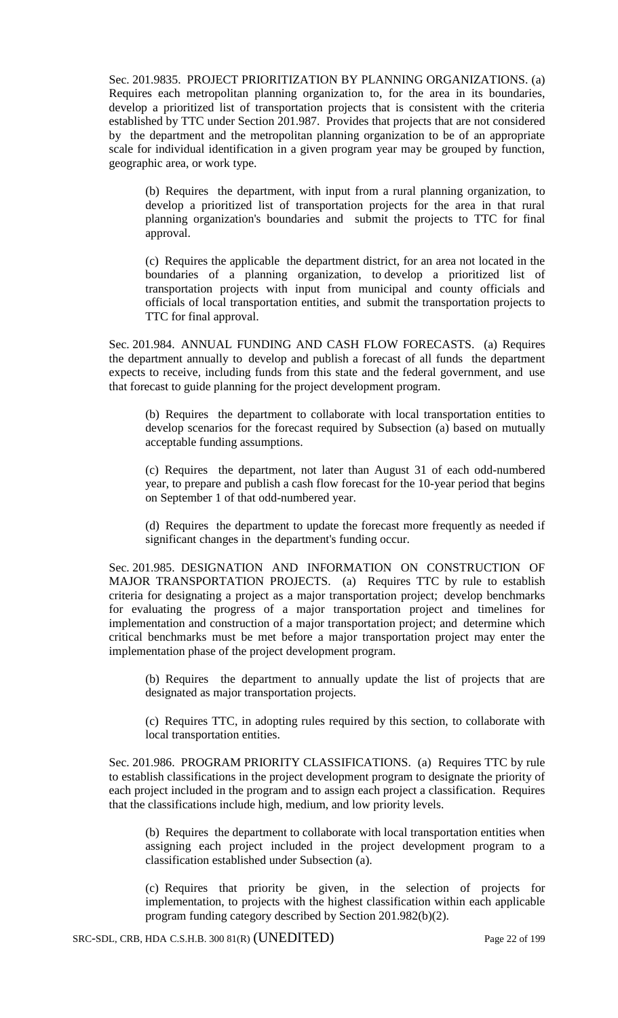Sec. 201.9835. PROJECT PRIORITIZATION BY PLANNING ORGANIZATIONS. (a) Requires each metropolitan planning organization to, for the area in its boundaries, develop a prioritized list of transportation projects that is consistent with the criteria established by TTC under Section 201.987. Provides that projects that are not considered by the department and the metropolitan planning organization to be of an appropriate scale for individual identification in a given program year may be grouped by function, geographic area, or work type.

(b) Requires the department, with input from a rural planning organization, to develop a prioritized list of transportation projects for the area in that rural planning organization's boundaries and submit the projects to TTC for final approval.

(c) Requires the applicable the department district, for an area not located in the boundaries of a planning organization, to develop a prioritized list of transportation projects with input from municipal and county officials and officials of local transportation entities, and submit the transportation projects to TTC for final approval.

Sec. 201.984. ANNUAL FUNDING AND CASH FLOW FORECASTS. (a) Requires the department annually to develop and publish a forecast of all funds the department expects to receive, including funds from this state and the federal government, and use that forecast to guide planning for the project development program.

(b) Requires the department to collaborate with local transportation entities to develop scenarios for the forecast required by Subsection (a) based on mutually acceptable funding assumptions.

(c) Requires the department, not later than August 31 of each odd-numbered year, to prepare and publish a cash flow forecast for the 10-year period that begins on September 1 of that odd-numbered year.

(d) Requires the department to update the forecast more frequently as needed if significant changes in the department's funding occur.

Sec. 201.985. DESIGNATION AND INFORMATION ON CONSTRUCTION OF MAJOR TRANSPORTATION PROJECTS. (a) Requires TTC by rule to establish criteria for designating a project as a major transportation project; develop benchmarks for evaluating the progress of a major transportation project and timelines for implementation and construction of a major transportation project; and determine which critical benchmarks must be met before a major transportation project may enter the implementation phase of the project development program.

(b) Requires the department to annually update the list of projects that are designated as major transportation projects.

(c) Requires TTC, in adopting rules required by this section, to collaborate with local transportation entities.

Sec. 201.986. PROGRAM PRIORITY CLASSIFICATIONS. (a) Requires TTC by rule to establish classifications in the project development program to designate the priority of each project included in the program and to assign each project a classification. Requires that the classifications include high, medium, and low priority levels.

(b) Requires the department to collaborate with local transportation entities when assigning each project included in the project development program to a classification established under Subsection (a).

(c) Requires that priority be given, in the selection of projects for implementation, to projects with the highest classification within each applicable program funding category described by Section 201.982(b)(2).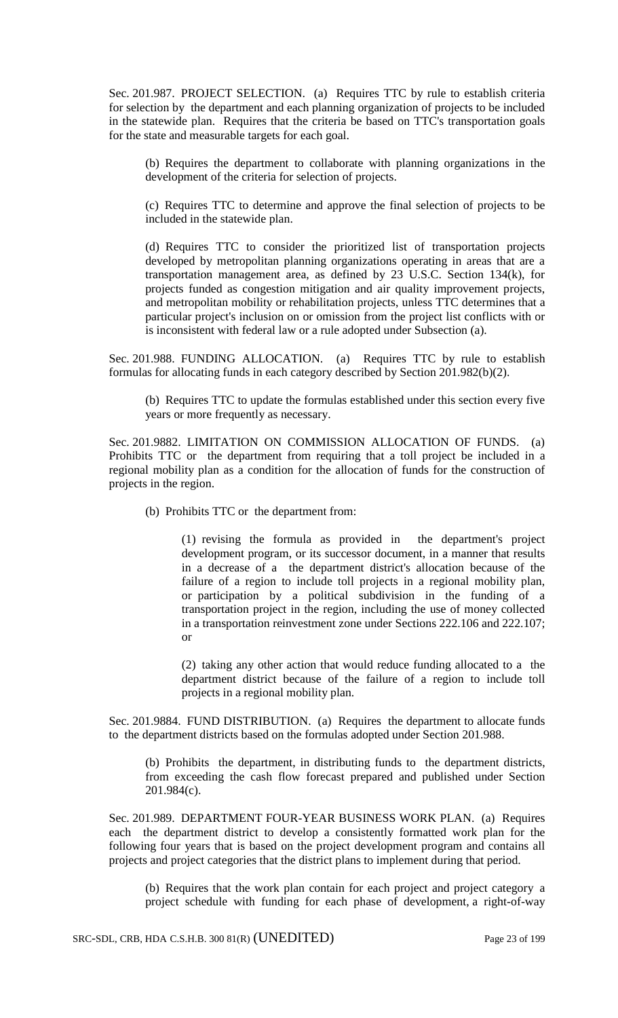Sec. 201.987. PROJECT SELECTION. (a) Requires TTC by rule to establish criteria for selection by the department and each planning organization of projects to be included in the statewide plan. Requires that the criteria be based on TTC's transportation goals for the state and measurable targets for each goal.

(b) Requires the department to collaborate with planning organizations in the development of the criteria for selection of projects.

(c) Requires TTC to determine and approve the final selection of projects to be included in the statewide plan.

(d) Requires TTC to consider the prioritized list of transportation projects developed by metropolitan planning organizations operating in areas that are a transportation management area, as defined by 23 U.S.C. Section 134(k), for projects funded as congestion mitigation and air quality improvement projects, and metropolitan mobility or rehabilitation projects, unless TTC determines that a particular project's inclusion on or omission from the project list conflicts with or is inconsistent with federal law or a rule adopted under Subsection (a).

Sec. 201.988. FUNDING ALLOCATION. (a) Requires TTC by rule to establish formulas for allocating funds in each category described by Section 201.982(b)(2).

(b) Requires TTC to update the formulas established under this section every five years or more frequently as necessary.

Sec. 201.9882. LIMITATION ON COMMISSION ALLOCATION OF FUNDS. (a) Prohibits TTC or the department from requiring that a toll project be included in a regional mobility plan as a condition for the allocation of funds for the construction of projects in the region.

(b) Prohibits TTC or the department from:

(1) revising the formula as provided in the department's project development program, or its successor document, in a manner that results in a decrease of a the department district's allocation because of the failure of a region to include toll projects in a regional mobility plan, or participation by a political subdivision in the funding of a transportation project in the region, including the use of money collected in a transportation reinvestment zone under Sections 222.106 and 222.107; or

(2) taking any other action that would reduce funding allocated to a the department district because of the failure of a region to include toll projects in a regional mobility plan.

Sec. 201.9884. FUND DISTRIBUTION. (a) Requires the department to allocate funds to the department districts based on the formulas adopted under Section 201.988.

(b) Prohibits the department, in distributing funds to the department districts, from exceeding the cash flow forecast prepared and published under Section 201.984(c).

Sec. 201.989. DEPARTMENT FOUR-YEAR BUSINESS WORK PLAN. (a) Requires each the department district to develop a consistently formatted work plan for the following four years that is based on the project development program and contains all projects and project categories that the district plans to implement during that period.

(b) Requires that the work plan contain for each project and project category a project schedule with funding for each phase of development, a right-of-way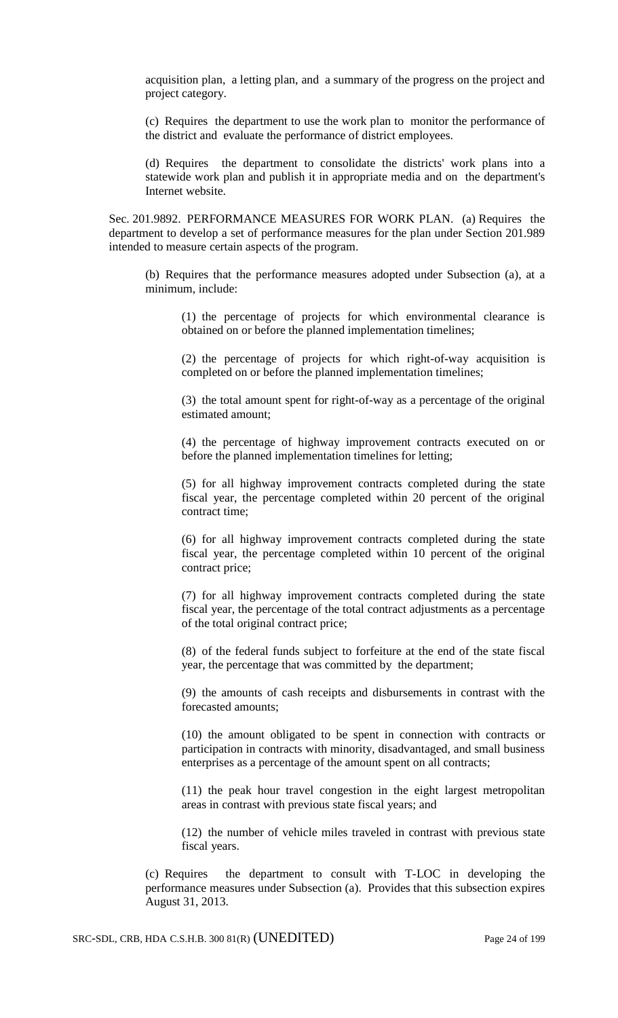acquisition plan, a letting plan, and a summary of the progress on the project and project category.

(c) Requires the department to use the work plan to monitor the performance of the district and evaluate the performance of district employees.

(d) Requires the department to consolidate the districts' work plans into a statewide work plan and publish it in appropriate media and on the department's Internet website.

Sec. 201.9892. PERFORMANCE MEASURES FOR WORK PLAN. (a) Requires the department to develop a set of performance measures for the plan under Section 201.989 intended to measure certain aspects of the program.

(b) Requires that the performance measures adopted under Subsection (a), at a minimum, include:

(1) the percentage of projects for which environmental clearance is obtained on or before the planned implementation timelines;

(2) the percentage of projects for which right-of-way acquisition is completed on or before the planned implementation timelines;

(3) the total amount spent for right-of-way as a percentage of the original estimated amount;

(4) the percentage of highway improvement contracts executed on or before the planned implementation timelines for letting;

(5) for all highway improvement contracts completed during the state fiscal year, the percentage completed within 20 percent of the original contract time;

(6) for all highway improvement contracts completed during the state fiscal year, the percentage completed within 10 percent of the original contract price;

(7) for all highway improvement contracts completed during the state fiscal year, the percentage of the total contract adjustments as a percentage of the total original contract price;

(8) of the federal funds subject to forfeiture at the end of the state fiscal year, the percentage that was committed by the department;

(9) the amounts of cash receipts and disbursements in contrast with the forecasted amounts;

(10) the amount obligated to be spent in connection with contracts or participation in contracts with minority, disadvantaged, and small business enterprises as a percentage of the amount spent on all contracts;

(11) the peak hour travel congestion in the eight largest metropolitan areas in contrast with previous state fiscal years; and

(12) the number of vehicle miles traveled in contrast with previous state fiscal years.

(c) Requires the department to consult with T-LOC in developing the performance measures under Subsection (a). Provides that this subsection expires August 31, 2013.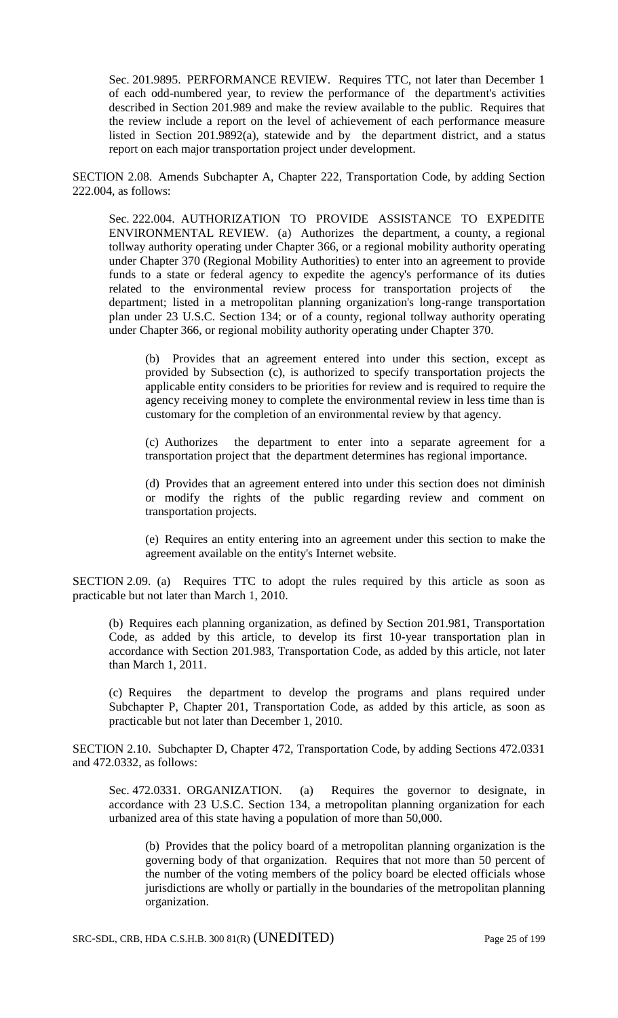Sec. 201.9895. PERFORMANCE REVIEW. Requires TTC, not later than December 1 of each odd-numbered year, to review the performance of the department's activities described in Section 201.989 and make the review available to the public. Requires that the review include a report on the level of achievement of each performance measure listed in Section 201.9892(a), statewide and by the department district, and a status report on each major transportation project under development.

SECTION 2.08. Amends Subchapter A, Chapter 222, Transportation Code, by adding Section 222.004, as follows:

Sec. 222.004. AUTHORIZATION TO PROVIDE ASSISTANCE TO EXPEDITE ENVIRONMENTAL REVIEW. (a) Authorizes the department, a county, a regional tollway authority operating under Chapter 366, or a regional mobility authority operating under Chapter 370 (Regional Mobility Authorities) to enter into an agreement to provide funds to a state or federal agency to expedite the agency's performance of its duties related to the environmental review process for transportation projects of department; listed in a metropolitan planning organization's long-range transportation plan under 23 U.S.C. Section 134; or of a county, regional tollway authority operating under Chapter 366, or regional mobility authority operating under Chapter 370.

(b) Provides that an agreement entered into under this section, except as provided by Subsection (c), is authorized to specify transportation projects the applicable entity considers to be priorities for review and is required to require the agency receiving money to complete the environmental review in less time than is customary for the completion of an environmental review by that agency.

(c) Authorizes the department to enter into a separate agreement for a transportation project that the department determines has regional importance.

(d) Provides that an agreement entered into under this section does not diminish or modify the rights of the public regarding review and comment on transportation projects.

(e) Requires an entity entering into an agreement under this section to make the agreement available on the entity's Internet website.

SECTION 2.09. (a) Requires TTC to adopt the rules required by this article as soon as practicable but not later than March 1, 2010.

(b) Requires each planning organization, as defined by Section 201.981, Transportation Code, as added by this article, to develop its first 10-year transportation plan in accordance with Section 201.983, Transportation Code, as added by this article, not later than March 1, 2011.

(c) Requires the department to develop the programs and plans required under Subchapter P, Chapter 201, Transportation Code, as added by this article, as soon as practicable but not later than December 1, 2010.

SECTION 2.10. Subchapter D, Chapter 472, Transportation Code, by adding Sections 472.0331 and 472.0332, as follows:

Sec. 472.0331. ORGANIZATION. (a) Requires the governor to designate, in accordance with 23 U.S.C. Section 134, a metropolitan planning organization for each urbanized area of this state having a population of more than 50,000.

(b) Provides that the policy board of a metropolitan planning organization is the governing body of that organization. Requires that not more than 50 percent of the number of the voting members of the policy board be elected officials whose jurisdictions are wholly or partially in the boundaries of the metropolitan planning organization.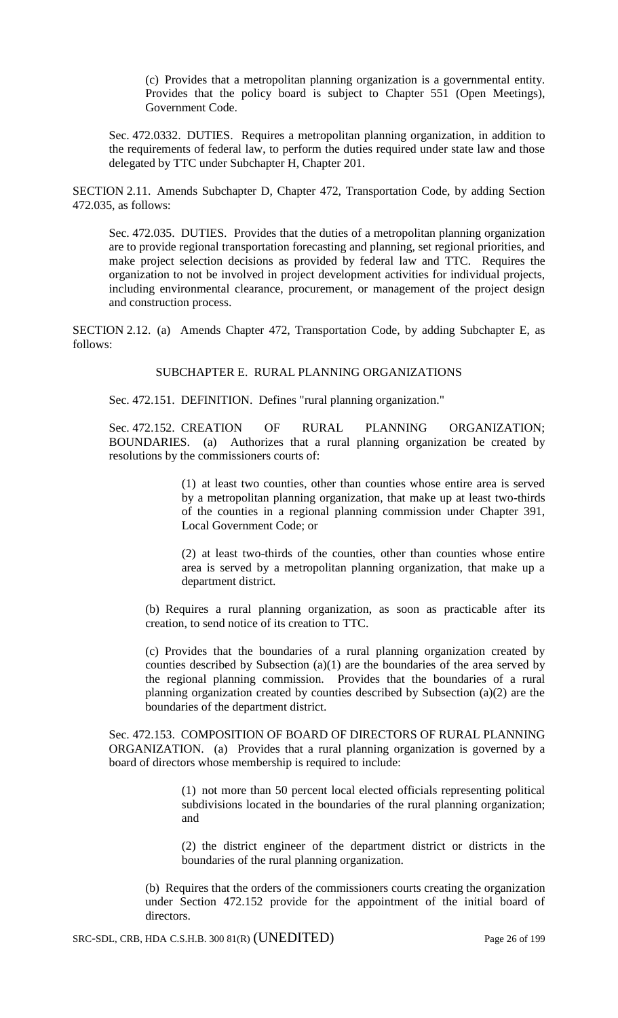(c) Provides that a metropolitan planning organization is a governmental entity. Provides that the policy board is subject to Chapter 551 (Open Meetings), Government Code.

Sec. 472.0332. DUTIES. Requires a metropolitan planning organization, in addition to the requirements of federal law, to perform the duties required under state law and those delegated by TTC under Subchapter H, Chapter 201.

SECTION 2.11. Amends Subchapter D, Chapter 472, Transportation Code, by adding Section 472.035, as follows:

Sec. 472.035. DUTIES. Provides that the duties of a metropolitan planning organization are to provide regional transportation forecasting and planning, set regional priorities, and make project selection decisions as provided by federal law and TTC. Requires the organization to not be involved in project development activities for individual projects, including environmental clearance, procurement, or management of the project design and construction process.

SECTION 2.12. (a) Amends Chapter 472, Transportation Code, by adding Subchapter E, as follows:

### SUBCHAPTER E. RURAL PLANNING ORGANIZATIONS

Sec. 472.151. DEFINITION. Defines "rural planning organization."

Sec. 472.152. CREATION OF RURAL PLANNING ORGANIZATION; BOUNDARIES. (a) Authorizes that a rural planning organization be created by resolutions by the commissioners courts of:

> (1) at least two counties, other than counties whose entire area is served by a metropolitan planning organization, that make up at least two-thirds of the counties in a regional planning commission under Chapter 391, Local Government Code; or

> (2) at least two-thirds of the counties, other than counties whose entire area is served by a metropolitan planning organization, that make up a department district.

(b) Requires a rural planning organization, as soon as practicable after its creation, to send notice of its creation to TTC.

(c) Provides that the boundaries of a rural planning organization created by counties described by Subsection (a)(1) are the boundaries of the area served by the regional planning commission. Provides that the boundaries of a rural planning organization created by counties described by Subsection (a)(2) are the boundaries of the department district.

Sec. 472.153. COMPOSITION OF BOARD OF DIRECTORS OF RURAL PLANNING ORGANIZATION. (a) Provides that a rural planning organization is governed by a board of directors whose membership is required to include:

> (1) not more than 50 percent local elected officials representing political subdivisions located in the boundaries of the rural planning organization; and

> (2) the district engineer of the department district or districts in the boundaries of the rural planning organization.

(b) Requires that the orders of the commissioners courts creating the organization under Section 472.152 provide for the appointment of the initial board of directors.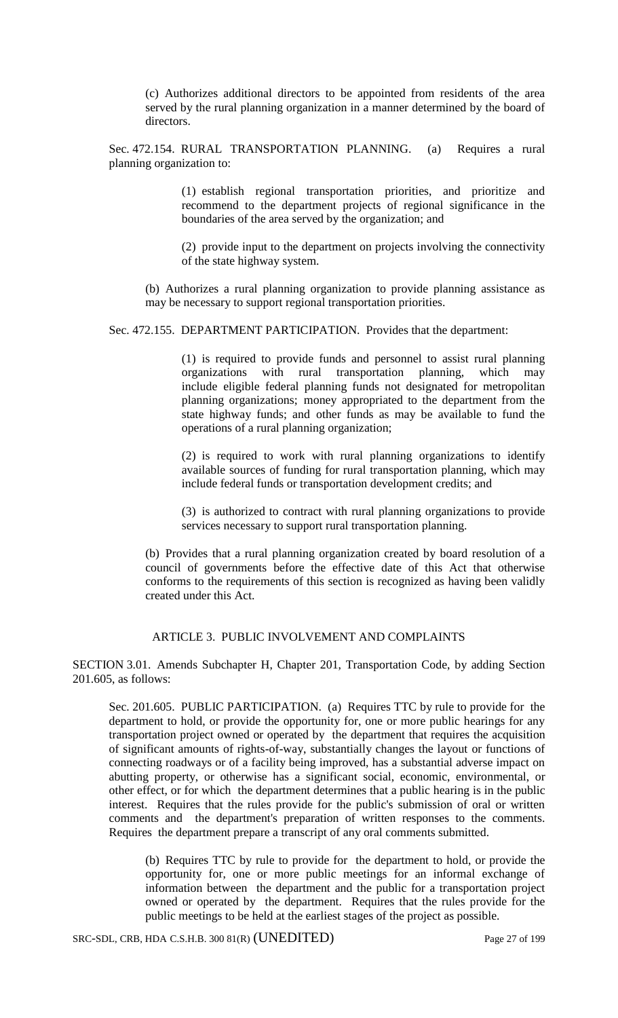(c) Authorizes additional directors to be appointed from residents of the area served by the rural planning organization in a manner determined by the board of directors.

Sec. 472.154. RURAL TRANSPORTATION PLANNING. (a) Requires a rural planning organization to:

> (1) establish regional transportation priorities, and prioritize and recommend to the department projects of regional significance in the boundaries of the area served by the organization; and

> (2) provide input to the department on projects involving the connectivity of the state highway system.

(b) Authorizes a rural planning organization to provide planning assistance as may be necessary to support regional transportation priorities.

Sec. 472.155. DEPARTMENT PARTICIPATION. Provides that the department:

(1) is required to provide funds and personnel to assist rural planning organizations with rural transportation planning, which may include eligible federal planning funds not designated for metropolitan planning organizations; money appropriated to the department from the state highway funds; and other funds as may be available to fund the operations of a rural planning organization;

(2) is required to work with rural planning organizations to identify available sources of funding for rural transportation planning, which may include federal funds or transportation development credits; and

(3) is authorized to contract with rural planning organizations to provide services necessary to support rural transportation planning.

(b) Provides that a rural planning organization created by board resolution of a council of governments before the effective date of this Act that otherwise conforms to the requirements of this section is recognized as having been validly created under this Act.

### ARTICLE 3. PUBLIC INVOLVEMENT AND COMPLAINTS

SECTION 3.01. Amends Subchapter H, Chapter 201, Transportation Code, by adding Section 201.605, as follows:

Sec. 201.605. PUBLIC PARTICIPATION. (a) Requires TTC by rule to provide for the department to hold, or provide the opportunity for, one or more public hearings for any transportation project owned or operated by the department that requires the acquisition of significant amounts of rights-of-way, substantially changes the layout or functions of connecting roadways or of a facility being improved, has a substantial adverse impact on abutting property, or otherwise has a significant social, economic, environmental, or other effect, or for which the department determines that a public hearing is in the public interest. Requires that the rules provide for the public's submission of oral or written comments and the department's preparation of written responses to the comments. Requires the department prepare a transcript of any oral comments submitted.

(b) Requires TTC by rule to provide for the department to hold, or provide the opportunity for, one or more public meetings for an informal exchange of information between the department and the public for a transportation project owned or operated by the department. Requires that the rules provide for the public meetings to be held at the earliest stages of the project as possible.

SRC-SDL, CRB, HDA C.S.H.B. 300 81(R) (UNEDITED) Page 27 of 199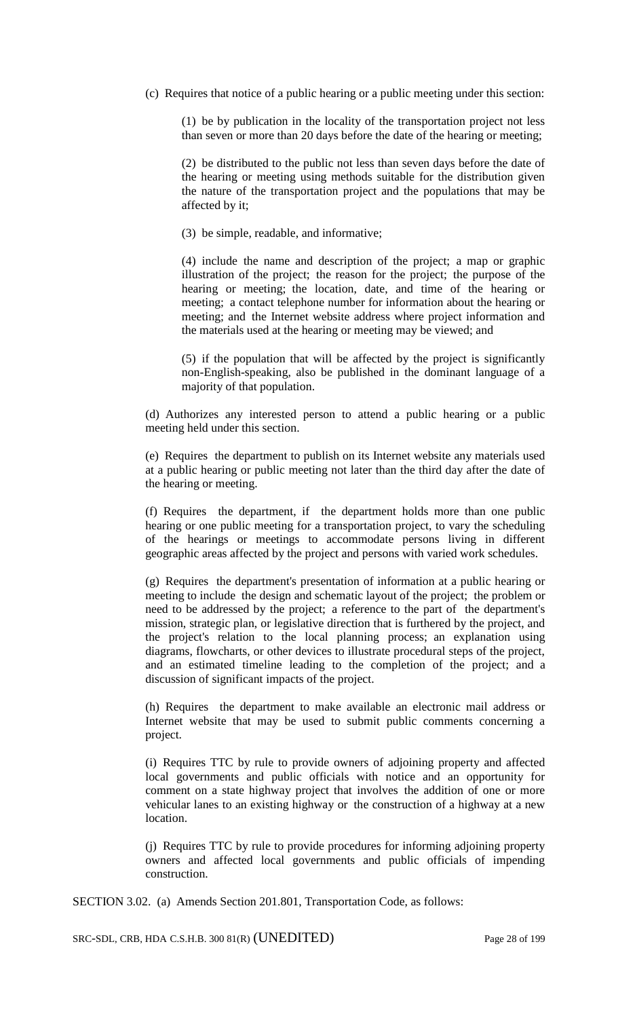(c) Requires that notice of a public hearing or a public meeting under this section:

(1) be by publication in the locality of the transportation project not less than seven or more than 20 days before the date of the hearing or meeting;

(2) be distributed to the public not less than seven days before the date of the hearing or meeting using methods suitable for the distribution given the nature of the transportation project and the populations that may be affected by it;

(3) be simple, readable, and informative;

(4) include the name and description of the project; a map or graphic illustration of the project; the reason for the project; the purpose of the hearing or meeting; the location, date, and time of the hearing or meeting; a contact telephone number for information about the hearing or meeting; and the Internet website address where project information and the materials used at the hearing or meeting may be viewed; and

(5) if the population that will be affected by the project is significantly non-English-speaking, also be published in the dominant language of a majority of that population.

(d) Authorizes any interested person to attend a public hearing or a public meeting held under this section.

(e) Requires the department to publish on its Internet website any materials used at a public hearing or public meeting not later than the third day after the date of the hearing or meeting.

(f) Requires the department, if the department holds more than one public hearing or one public meeting for a transportation project, to vary the scheduling of the hearings or meetings to accommodate persons living in different geographic areas affected by the project and persons with varied work schedules.

(g) Requires the department's presentation of information at a public hearing or meeting to include the design and schematic layout of the project; the problem or need to be addressed by the project; a reference to the part of the department's mission, strategic plan, or legislative direction that is furthered by the project, and the project's relation to the local planning process; an explanation using diagrams, flowcharts, or other devices to illustrate procedural steps of the project, and an estimated timeline leading to the completion of the project; and a discussion of significant impacts of the project.

(h) Requires the department to make available an electronic mail address or Internet website that may be used to submit public comments concerning a project.

(i) Requires TTC by rule to provide owners of adjoining property and affected local governments and public officials with notice and an opportunity for comment on a state highway project that involves the addition of one or more vehicular lanes to an existing highway or the construction of a highway at a new location.

(j) Requires TTC by rule to provide procedures for informing adjoining property owners and affected local governments and public officials of impending construction.

SECTION 3.02. (a) Amends Section 201.801, Transportation Code, as follows:

SRC-SDL, CRB, HDA C.S.H.B. 300 81(R) (UNEDITED) Page 28 of 199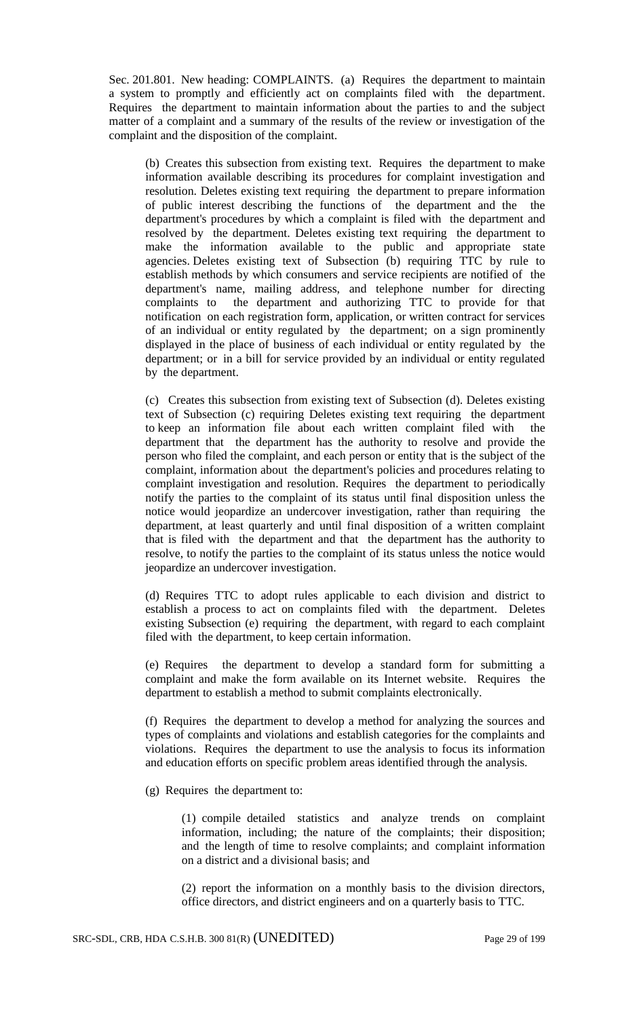Sec. 201.801. New heading: COMPLAINTS. (a) Requires the department to maintain a system to promptly and efficiently act on complaints filed with the department. Requires the department to maintain information about the parties to and the subject matter of a complaint and a summary of the results of the review or investigation of the complaint and the disposition of the complaint.

(b) Creates this subsection from existing text. Requires the department to make information available describing its procedures for complaint investigation and resolution. Deletes existing text requiring the department to prepare information of public interest describing the functions of the department and the the department's procedures by which a complaint is filed with the department and resolved by the department. Deletes existing text requiring the department to make the information available to the public and appropriate state agencies. Deletes existing text of Subsection (b) requiring TTC by rule to establish methods by which consumers and service recipients are notified of the department's name, mailing address, and telephone number for directing complaints to the department and authorizing TTC to provide for that notification on each registration form, application, or written contract for services of an individual or entity regulated by the department; on a sign prominently displayed in the place of business of each individual or entity regulated by the department; or in a bill for service provided by an individual or entity regulated by the department.

(c) Creates this subsection from existing text of Subsection (d). Deletes existing text of Subsection (c) requiring Deletes existing text requiring the department to keep an information file about each written complaint filed with the department that the department has the authority to resolve and provide the person who filed the complaint, and each person or entity that is the subject of the complaint, information about the department's policies and procedures relating to complaint investigation and resolution. Requires the department to periodically notify the parties to the complaint of its status until final disposition unless the notice would jeopardize an undercover investigation, rather than requiring the department, at least quarterly and until final disposition of a written complaint that is filed with the department and that the department has the authority to resolve, to notify the parties to the complaint of its status unless the notice would jeopardize an undercover investigation.

(d) Requires TTC to adopt rules applicable to each division and district to establish a process to act on complaints filed with the department. Deletes existing Subsection (e) requiring the department, with regard to each complaint filed with the department, to keep certain information.

(e) Requires the department to develop a standard form for submitting a complaint and make the form available on its Internet website. Requires the department to establish a method to submit complaints electronically.

(f) Requires the department to develop a method for analyzing the sources and types of complaints and violations and establish categories for the complaints and violations. Requires the department to use the analysis to focus its information and education efforts on specific problem areas identified through the analysis.

(g) Requires the department to:

(1) compile detailed statistics and analyze trends on complaint information, including; the nature of the complaints; their disposition; and the length of time to resolve complaints; and complaint information on a district and a divisional basis; and

(2) report the information on a monthly basis to the division directors, office directors, and district engineers and on a quarterly basis to TTC.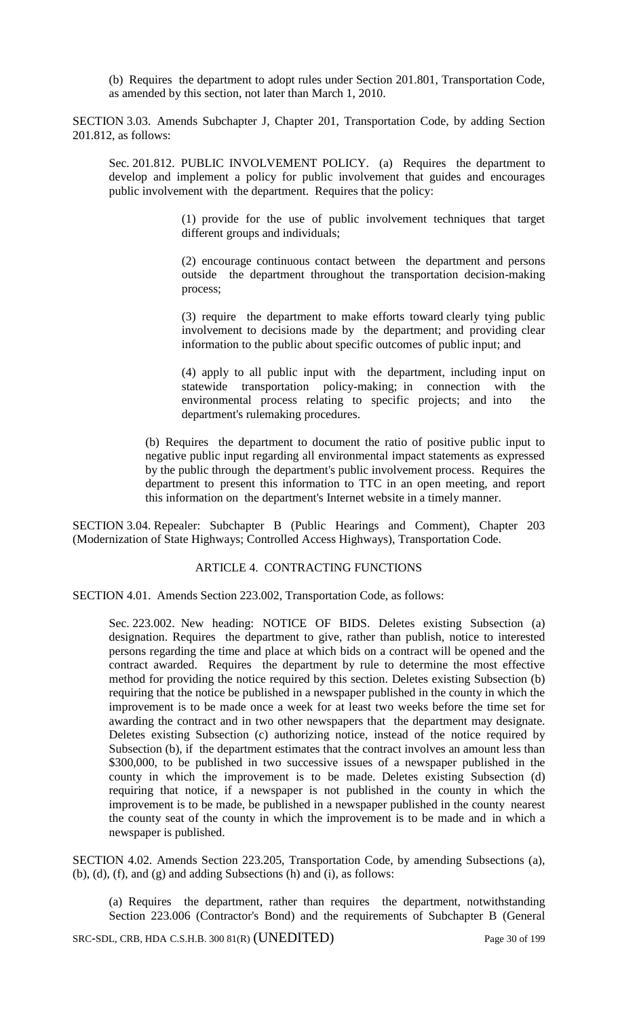(b) Requires the department to adopt rules under Section 201.801, Transportation Code, as amended by this section, not later than March 1, 2010.

SECTION 3.03. Amends Subchapter J, Chapter 201, Transportation Code, by adding Section 201.812, as follows:

Sec. 201.812. PUBLIC INVOLVEMENT POLICY. (a) Requires the department to develop and implement a policy for public involvement that guides and encourages public involvement with the department. Requires that the policy:

> (1) provide for the use of public involvement techniques that target different groups and individuals;

> (2) encourage continuous contact between the department and persons outside the department throughout the transportation decision-making process;

> (3) require the department to make efforts toward clearly tying public involvement to decisions made by the department; and providing clear information to the public about specific outcomes of public input; and

> (4) apply to all public input with the department, including input on statewide transportation policy-making; in connection with the environmental process relating to specific projects; and into the department's rulemaking procedures.

(b) Requires the department to document the ratio of positive public input to negative public input regarding all environmental impact statements as expressed by the public through the department's public involvement process. Requires the department to present this information to TTC in an open meeting, and report this information on the department's Internet website in a timely manner.

SECTION 3.04. Repealer: Subchapter B (Public Hearings and Comment), Chapter 203 (Modernization of State Highways; Controlled Access Highways), Transportation Code.

#### ARTICLE 4. CONTRACTING FUNCTIONS

SECTION 4.01. Amends Section 223.002, Transportation Code, as follows:

Sec. 223.002. New heading: NOTICE OF BIDS. Deletes existing Subsection (a) designation. Requires the department to give, rather than publish, notice to interested persons regarding the time and place at which bids on a contract will be opened and the contract awarded. Requires the department by rule to determine the most effective method for providing the notice required by this section. Deletes existing Subsection (b) requiring that the notice be published in a newspaper published in the county in which the improvement is to be made once a week for at least two weeks before the time set for awarding the contract and in two other newspapers that the department may designate. Deletes existing Subsection (c) authorizing notice, instead of the notice required by Subsection (b), if the department estimates that the contract involves an amount less than \$300,000, to be published in two successive issues of a newspaper published in the county in which the improvement is to be made. Deletes existing Subsection (d) requiring that notice, if a newspaper is not published in the county in which the improvement is to be made, be published in a newspaper published in the county nearest the county seat of the county in which the improvement is to be made and in which a newspaper is published.

SECTION 4.02. Amends Section 223.205, Transportation Code, by amending Subsections (a), (b), (d), (f), and (g) and adding Subsections (h) and (i), as follows:

(a) Requires the department, rather than requires the department, notwithstanding Section 223.006 (Contractor's Bond) and the requirements of Subchapter B (General

SRC-SDL, CRB, HDA C.S.H.B. 300 81(R) (UNEDITED) Page 30 of 199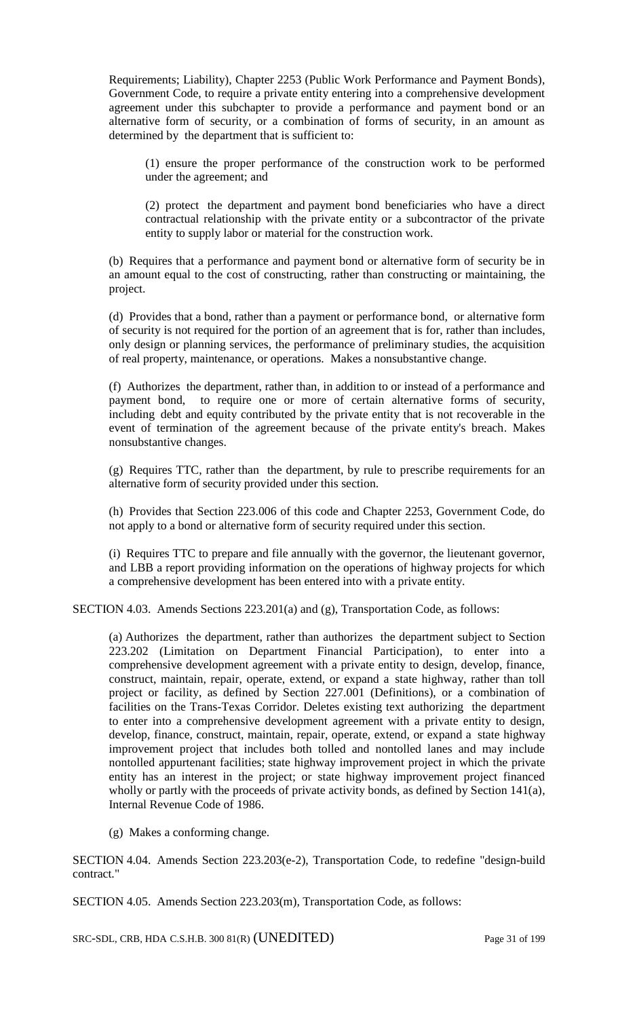Requirements; Liability), Chapter 2253 (Public Work Performance and Payment Bonds), Government Code, to require a private entity entering into a comprehensive development agreement under this subchapter to provide a performance and payment bond or an alternative form of security, or a combination of forms of security, in an amount as determined by the department that is sufficient to:

(1) ensure the proper performance of the construction work to be performed under the agreement; and

(2) protect the department and payment bond beneficiaries who have a direct contractual relationship with the private entity or a subcontractor of the private entity to supply labor or material for the construction work.

(b) Requires that a performance and payment bond or alternative form of security be in an amount equal to the cost of constructing, rather than constructing or maintaining, the project.

(d) Provides that a bond, rather than a payment or performance bond, or alternative form of security is not required for the portion of an agreement that is for, rather than includes, only design or planning services, the performance of preliminary studies, the acquisition of real property, maintenance, or operations. Makes a nonsubstantive change.

(f) Authorizes the department, rather than, in addition to or instead of a performance and payment bond, to require one or more of certain alternative forms of security, including debt and equity contributed by the private entity that is not recoverable in the event of termination of the agreement because of the private entity's breach. Makes nonsubstantive changes.

(g) Requires TTC, rather than the department, by rule to prescribe requirements for an alternative form of security provided under this section.

(h) Provides that Section 223.006 of this code and Chapter 2253, Government Code, do not apply to a bond or alternative form of security required under this section.

(i) Requires TTC to prepare and file annually with the governor, the lieutenant governor, and LBB a report providing information on the operations of highway projects for which a comprehensive development has been entered into with a private entity.

SECTION 4.03. Amends Sections 223.201(a) and (g), Transportation Code, as follows:

(a) Authorizes the department, rather than authorizes the department subject to Section 223.202 (Limitation on Department Financial Participation), to enter into a comprehensive development agreement with a private entity to design, develop, finance, construct, maintain, repair, operate, extend, or expand a state highway, rather than toll project or facility, as defined by Section 227.001 (Definitions), or a combination of facilities on the Trans-Texas Corridor. Deletes existing text authorizing the department to enter into a comprehensive development agreement with a private entity to design, develop, finance, construct, maintain, repair, operate, extend, or expand a state highway improvement project that includes both tolled and nontolled lanes and may include nontolled appurtenant facilities; state highway improvement project in which the private entity has an interest in the project; or state highway improvement project financed wholly or partly with the proceeds of private activity bonds, as defined by Section 141(a), Internal Revenue Code of 1986.

(g) Makes a conforming change.

SECTION 4.04. Amends Section 223.203(e-2), Transportation Code, to redefine "design-build contract."

SECTION 4.05. Amends Section 223.203(m), Transportation Code, as follows:

SRC-SDL, CRB, HDA C.S.H.B. 300 81(R) (UNEDITED) Page 31 of 199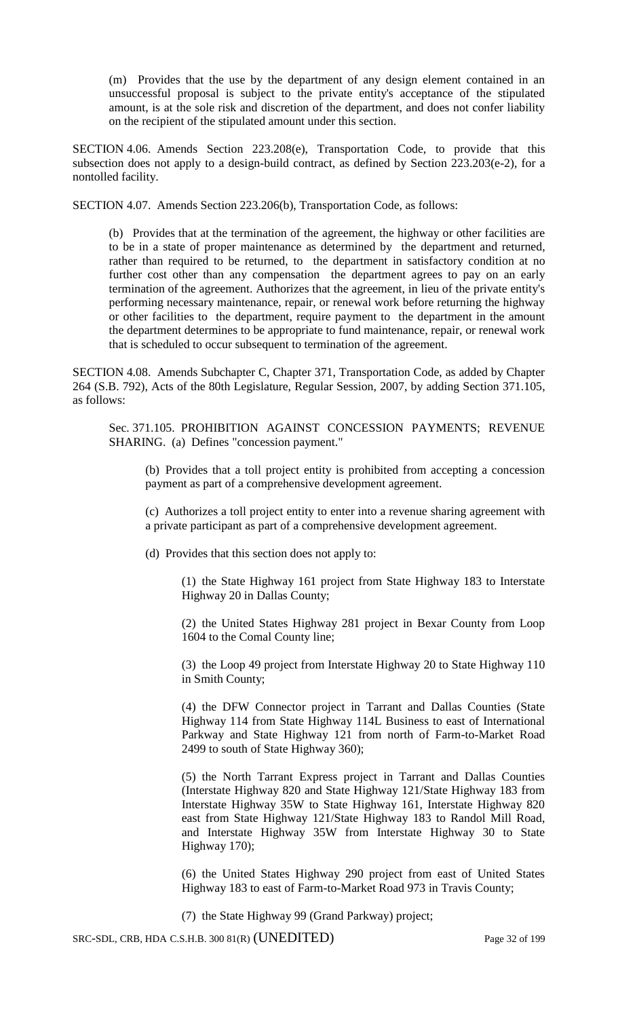(m) Provides that the use by the department of any design element contained in an unsuccessful proposal is subject to the private entity's acceptance of the stipulated amount, is at the sole risk and discretion of the department, and does not confer liability on the recipient of the stipulated amount under this section.

SECTION 4.06. Amends Section 223.208(e), Transportation Code, to provide that this subsection does not apply to a design-build contract, as defined by Section 223.203(e-2), for a nontolled facility.

SECTION 4.07. Amends Section 223.206(b), Transportation Code, as follows:

(b) Provides that at the termination of the agreement, the highway or other facilities are to be in a state of proper maintenance as determined by the department and returned, rather than required to be returned, to the department in satisfactory condition at no further cost other than any compensation the department agrees to pay on an early termination of the agreement. Authorizes that the agreement, in lieu of the private entity's performing necessary maintenance, repair, or renewal work before returning the highway or other facilities to the department, require payment to the department in the amount the department determines to be appropriate to fund maintenance, repair, or renewal work that is scheduled to occur subsequent to termination of the agreement.

SECTION 4.08. Amends Subchapter C, Chapter 371, Transportation Code, as added by Chapter 264 (S.B. 792), Acts of the 80th Legislature, Regular Session, 2007, by adding Section 371.105, as follows:

Sec. 371.105. PROHIBITION AGAINST CONCESSION PAYMENTS; REVENUE SHARING. (a) Defines "concession payment."

(b) Provides that a toll project entity is prohibited from accepting a concession payment as part of a comprehensive development agreement.

(c) Authorizes a toll project entity to enter into a revenue sharing agreement with a private participant as part of a comprehensive development agreement.

(d) Provides that this section does not apply to:

(1) the State Highway 161 project from State Highway 183 to Interstate Highway 20 in Dallas County;

(2) the United States Highway 281 project in Bexar County from Loop 1604 to the Comal County line;

(3) the Loop 49 project from Interstate Highway 20 to State Highway 110 in Smith County;

(4) the DFW Connector project in Tarrant and Dallas Counties (State Highway 114 from State Highway 114L Business to east of International Parkway and State Highway 121 from north of Farm-to-Market Road 2499 to south of State Highway 360);

(5) the North Tarrant Express project in Tarrant and Dallas Counties (Interstate Highway 820 and State Highway 121/State Highway 183 from Interstate Highway 35W to State Highway 161, Interstate Highway 820 east from State Highway 121/State Highway 183 to Randol Mill Road, and Interstate Highway 35W from Interstate Highway 30 to State Highway 170);

(6) the United States Highway 290 project from east of United States Highway 183 to east of Farm-to-Market Road 973 in Travis County;

(7) the State Highway 99 (Grand Parkway) project;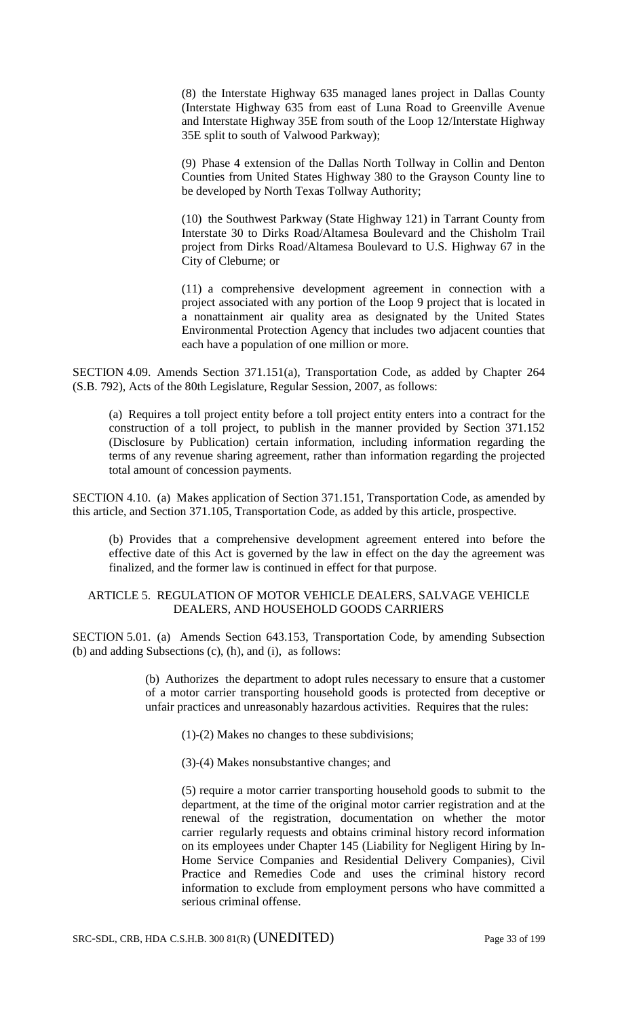(8) the Interstate Highway 635 managed lanes project in Dallas County (Interstate Highway 635 from east of Luna Road to Greenville Avenue and Interstate Highway 35E from south of the Loop 12/Interstate Highway 35E split to south of Valwood Parkway);

(9) Phase 4 extension of the Dallas North Tollway in Collin and Denton Counties from United States Highway 380 to the Grayson County line to be developed by North Texas Tollway Authority;

(10) the Southwest Parkway (State Highway 121) in Tarrant County from Interstate 30 to Dirks Road/Altamesa Boulevard and the Chisholm Trail project from Dirks Road/Altamesa Boulevard to U.S. Highway 67 in the City of Cleburne; or

(11) a comprehensive development agreement in connection with a project associated with any portion of the Loop 9 project that is located in a nonattainment air quality area as designated by the United States Environmental Protection Agency that includes two adjacent counties that each have a population of one million or more.

SECTION 4.09. Amends Section 371.151(a), Transportation Code, as added by Chapter 264 (S.B. 792), Acts of the 80th Legislature, Regular Session, 2007, as follows:

(a) Requires a toll project entity before a toll project entity enters into a contract for the construction of a toll project, to publish in the manner provided by Section 371.152 (Disclosure by Publication) certain information, including information regarding the terms of any revenue sharing agreement, rather than information regarding the projected total amount of concession payments.

SECTION 4.10. (a) Makes application of Section 371.151, Transportation Code, as amended by this article, and Section 371.105, Transportation Code, as added by this article, prospective.

(b) Provides that a comprehensive development agreement entered into before the effective date of this Act is governed by the law in effect on the day the agreement was finalized, and the former law is continued in effect for that purpose.

## ARTICLE 5. REGULATION OF MOTOR VEHICLE DEALERS, SALVAGE VEHICLE DEALERS, AND HOUSEHOLD GOODS CARRIERS

SECTION 5.01. (a) Amends Section 643.153, Transportation Code, by amending Subsection (b) and adding Subsections (c), (h), and (i), as follows:

> (b) Authorizes the department to adopt rules necessary to ensure that a customer of a motor carrier transporting household goods is protected from deceptive or unfair practices and unreasonably hazardous activities. Requires that the rules:

(1)-(2) Makes no changes to these subdivisions;

(3)-(4) Makes nonsubstantive changes; and

(5) require a motor carrier transporting household goods to submit to the department, at the time of the original motor carrier registration and at the renewal of the registration, documentation on whether the motor carrier regularly requests and obtains criminal history record information on its employees under Chapter 145 (Liability for Negligent Hiring by In-Home Service Companies and Residential Delivery Companies), Civil Practice and Remedies Code and uses the criminal history record information to exclude from employment persons who have committed a serious criminal offense.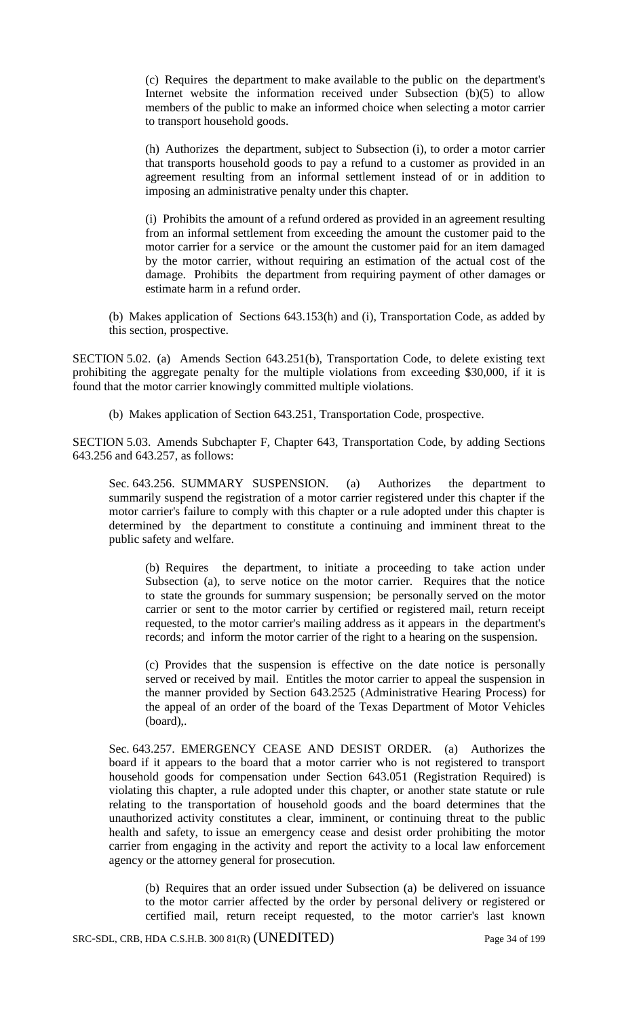(c) Requires the department to make available to the public on the department's Internet website the information received under Subsection (b)(5) to allow members of the public to make an informed choice when selecting a motor carrier to transport household goods.

(h) Authorizes the department, subject to Subsection (i), to order a motor carrier that transports household goods to pay a refund to a customer as provided in an agreement resulting from an informal settlement instead of or in addition to imposing an administrative penalty under this chapter.

(i) Prohibits the amount of a refund ordered as provided in an agreement resulting from an informal settlement from exceeding the amount the customer paid to the motor carrier for a service or the amount the customer paid for an item damaged by the motor carrier, without requiring an estimation of the actual cost of the damage. Prohibits the department from requiring payment of other damages or estimate harm in a refund order.

(b) Makes application of Sections 643.153(h) and (i), Transportation Code, as added by this section, prospective.

SECTION 5.02. (a) Amends Section 643.251(b), Transportation Code, to delete existing text prohibiting the aggregate penalty for the multiple violations from exceeding \$30,000, if it is found that the motor carrier knowingly committed multiple violations.

(b) Makes application of Section 643.251, Transportation Code, prospective.

SECTION 5.03. Amends Subchapter F, Chapter 643, Transportation Code, by adding Sections 643.256 and 643.257, as follows:

Sec. 643.256. SUMMARY SUSPENSION. (a) Authorizes the department to summarily suspend the registration of a motor carrier registered under this chapter if the motor carrier's failure to comply with this chapter or a rule adopted under this chapter is determined by the department to constitute a continuing and imminent threat to the public safety and welfare.

(b) Requires the department, to initiate a proceeding to take action under Subsection (a), to serve notice on the motor carrier. Requires that the notice to state the grounds for summary suspension; be personally served on the motor carrier or sent to the motor carrier by certified or registered mail, return receipt requested, to the motor carrier's mailing address as it appears in the department's records; and inform the motor carrier of the right to a hearing on the suspension.

(c) Provides that the suspension is effective on the date notice is personally served or received by mail. Entitles the motor carrier to appeal the suspension in the manner provided by Section 643.2525 (Administrative Hearing Process) for the appeal of an order of the board of the Texas Department of Motor Vehicles (board),.

Sec. 643.257. EMERGENCY CEASE AND DESIST ORDER. (a) Authorizes the board if it appears to the board that a motor carrier who is not registered to transport household goods for compensation under Section 643.051 (Registration Required) is violating this chapter, a rule adopted under this chapter, or another state statute or rule relating to the transportation of household goods and the board determines that the unauthorized activity constitutes a clear, imminent, or continuing threat to the public health and safety, to issue an emergency cease and desist order prohibiting the motor carrier from engaging in the activity and report the activity to a local law enforcement agency or the attorney general for prosecution.

(b) Requires that an order issued under Subsection (a) be delivered on issuance to the motor carrier affected by the order by personal delivery or registered or certified mail, return receipt requested, to the motor carrier's last known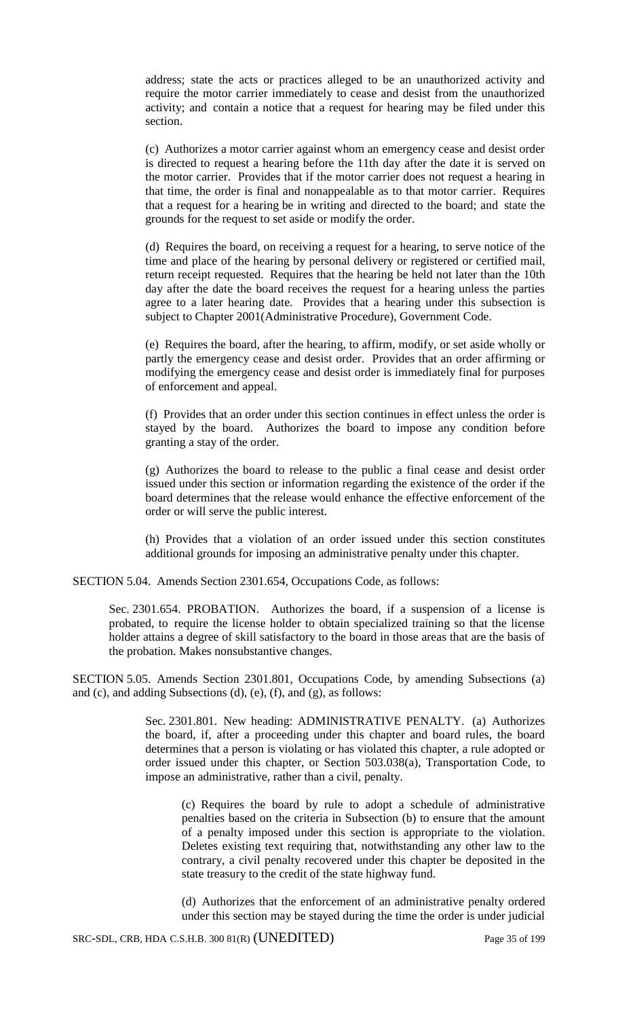address; state the acts or practices alleged to be an unauthorized activity and require the motor carrier immediately to cease and desist from the unauthorized activity; and contain a notice that a request for hearing may be filed under this section.

(c) Authorizes a motor carrier against whom an emergency cease and desist order is directed to request a hearing before the 11th day after the date it is served on the motor carrier. Provides that if the motor carrier does not request a hearing in that time, the order is final and nonappealable as to that motor carrier. Requires that a request for a hearing be in writing and directed to the board; and state the grounds for the request to set aside or modify the order.

(d) Requires the board, on receiving a request for a hearing, to serve notice of the time and place of the hearing by personal delivery or registered or certified mail, return receipt requested. Requires that the hearing be held not later than the 10th day after the date the board receives the request for a hearing unless the parties agree to a later hearing date. Provides that a hearing under this subsection is subject to Chapter 2001(Administrative Procedure), Government Code.

(e) Requires the board, after the hearing, to affirm, modify, or set aside wholly or partly the emergency cease and desist order. Provides that an order affirming or modifying the emergency cease and desist order is immediately final for purposes of enforcement and appeal.

(f) Provides that an order under this section continues in effect unless the order is stayed by the board. Authorizes the board to impose any condition before granting a stay of the order.

(g) Authorizes the board to release to the public a final cease and desist order issued under this section or information regarding the existence of the order if the board determines that the release would enhance the effective enforcement of the order or will serve the public interest.

(h) Provides that a violation of an order issued under this section constitutes additional grounds for imposing an administrative penalty under this chapter.

SECTION 5.04. Amends Section 2301.654, Occupations Code, as follows:

Sec. 2301.654. PROBATION. Authorizes the board, if a suspension of a license is probated, to require the license holder to obtain specialized training so that the license holder attains a degree of skill satisfactory to the board in those areas that are the basis of the probation. Makes nonsubstantive changes.

SECTION 5.05. Amends Section 2301.801, Occupations Code, by amending Subsections (a) and (c), and adding Subsections (d), (e), (f), and (g), as follows:

> Sec. 2301.801. New heading: ADMINISTRATIVE PENALTY. (a) Authorizes the board, if, after a proceeding under this chapter and board rules, the board determines that a person is violating or has violated this chapter, a rule adopted or order issued under this chapter, or Section 503.038(a), Transportation Code, to impose an administrative, rather than a civil, penalty.

(c) Requires the board by rule to adopt a schedule of administrative penalties based on the criteria in Subsection (b) to ensure that the amount of a penalty imposed under this section is appropriate to the violation. Deletes existing text requiring that, notwithstanding any other law to the contrary, a civil penalty recovered under this chapter be deposited in the state treasury to the credit of the state highway fund.

(d) Authorizes that the enforcement of an administrative penalty ordered under this section may be stayed during the time the order is under judicial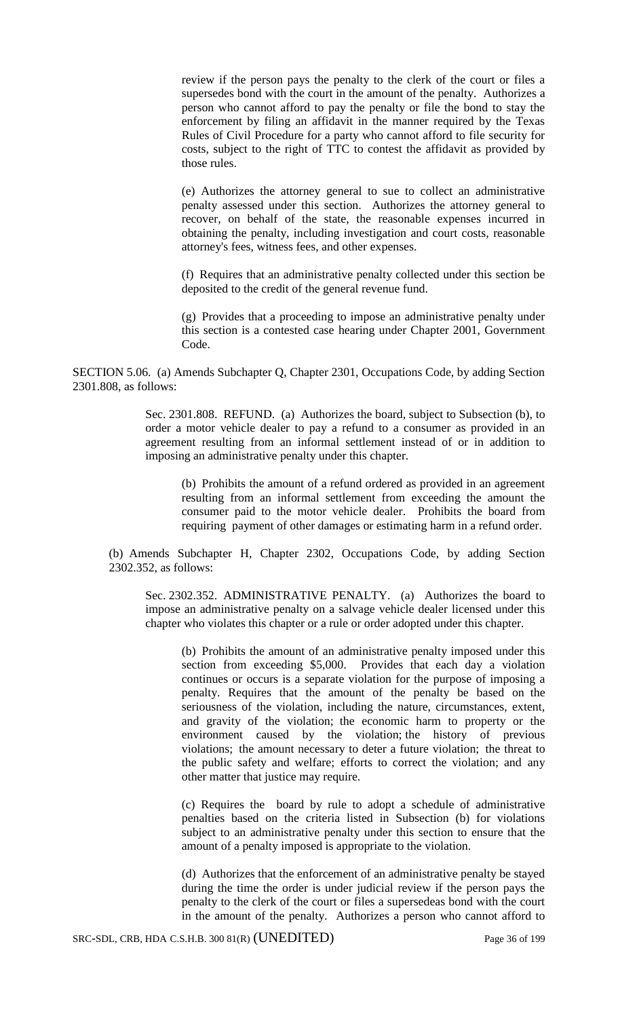review if the person pays the penalty to the clerk of the court or files a supersedes bond with the court in the amount of the penalty. Authorizes a person who cannot afford to pay the penalty or file the bond to stay the enforcement by filing an affidavit in the manner required by the Texas Rules of Civil Procedure for a party who cannot afford to file security for costs, subject to the right of TTC to contest the affidavit as provided by those rules.

(e) Authorizes the attorney general to sue to collect an administrative penalty assessed under this section. Authorizes the attorney general to recover, on behalf of the state, the reasonable expenses incurred in obtaining the penalty, including investigation and court costs, reasonable attorney's fees, witness fees, and other expenses.

(f) Requires that an administrative penalty collected under this section be deposited to the credit of the general revenue fund.

(g) Provides that a proceeding to impose an administrative penalty under this section is a contested case hearing under Chapter 2001, Government Code.

SECTION 5.06. (a) Amends Subchapter Q, Chapter 2301, Occupations Code, by adding Section 2301.808, as follows:

> Sec. 2301.808. REFUND. (a) Authorizes the board, subject to Subsection (b), to order a motor vehicle dealer to pay a refund to a consumer as provided in an agreement resulting from an informal settlement instead of or in addition to imposing an administrative penalty under this chapter.

(b) Prohibits the amount of a refund ordered as provided in an agreement resulting from an informal settlement from exceeding the amount the consumer paid to the motor vehicle dealer. Prohibits the board from requiring payment of other damages or estimating harm in a refund order.

(b) Amends Subchapter H, Chapter 2302, Occupations Code, by adding Section 2302.352, as follows:

Sec. 2302.352. ADMINISTRATIVE PENALTY. (a) Authorizes the board to impose an administrative penalty on a salvage vehicle dealer licensed under this chapter who violates this chapter or a rule or order adopted under this chapter.

(b) Prohibits the amount of an administrative penalty imposed under this section from exceeding \$5,000. Provides that each day a violation continues or occurs is a separate violation for the purpose of imposing a penalty. Requires that the amount of the penalty be based on the seriousness of the violation, including the nature, circumstances, extent, and gravity of the violation; the economic harm to property or the environment caused by the violation; the history of previous violations; the amount necessary to deter a future violation; the threat to the public safety and welfare; efforts to correct the violation; and any other matter that justice may require.

(c) Requires the board by rule to adopt a schedule of administrative penalties based on the criteria listed in Subsection (b) for violations subject to an administrative penalty under this section to ensure that the amount of a penalty imposed is appropriate to the violation.

(d) Authorizes that the enforcement of an administrative penalty be stayed during the time the order is under judicial review if the person pays the penalty to the clerk of the court or files a supersedeas bond with the court in the amount of the penalty. Authorizes a person who cannot afford to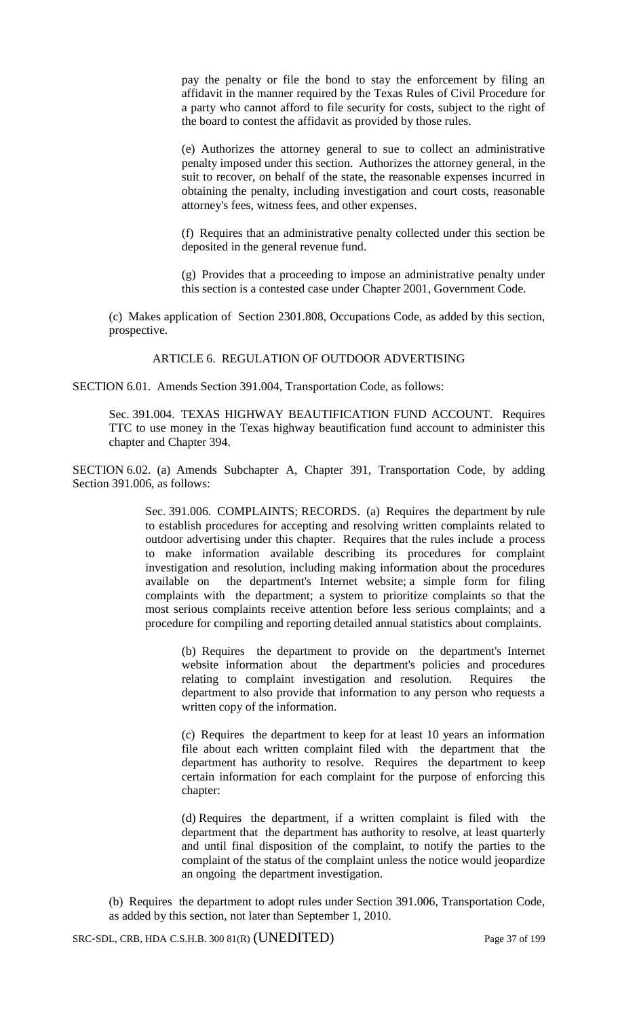pay the penalty or file the bond to stay the enforcement by filing an affidavit in the manner required by the Texas Rules of Civil Procedure for a party who cannot afford to file security for costs, subject to the right of the board to contest the affidavit as provided by those rules.

(e) Authorizes the attorney general to sue to collect an administrative penalty imposed under this section. Authorizes the attorney general, in the suit to recover, on behalf of the state, the reasonable expenses incurred in obtaining the penalty, including investigation and court costs, reasonable attorney's fees, witness fees, and other expenses.

(f) Requires that an administrative penalty collected under this section be deposited in the general revenue fund.

(g) Provides that a proceeding to impose an administrative penalty under this section is a contested case under Chapter 2001, Government Code.

(c) Makes application of Section 2301.808, Occupations Code, as added by this section, prospective.

ARTICLE 6. REGULATION OF OUTDOOR ADVERTISING

SECTION 6.01. Amends Section 391.004, Transportation Code, as follows:

Sec. 391.004. TEXAS HIGHWAY BEAUTIFICATION FUND ACCOUNT. Requires TTC to use money in the Texas highway beautification fund account to administer this chapter and Chapter 394.

SECTION 6.02. (a) Amends Subchapter A, Chapter 391, Transportation Code, by adding Section 391.006, as follows:

> Sec. 391.006. COMPLAINTS; RECORDS. (a) Requires the department by rule to establish procedures for accepting and resolving written complaints related to outdoor advertising under this chapter. Requires that the rules include a process to make information available describing its procedures for complaint investigation and resolution, including making information about the procedures available on the department's Internet website; a simple form for filing complaints with the department; a system to prioritize complaints so that the most serious complaints receive attention before less serious complaints; and a procedure for compiling and reporting detailed annual statistics about complaints.

(b) Requires the department to provide on the department's Internet website information about the department's policies and procedures relating to complaint investigation and resolution. Requires the department to also provide that information to any person who requests a written copy of the information.

(c) Requires the department to keep for at least 10 years an information file about each written complaint filed with the department that the department has authority to resolve. Requires the department to keep certain information for each complaint for the purpose of enforcing this chapter:

(d) Requires the department, if a written complaint is filed with the department that the department has authority to resolve, at least quarterly and until final disposition of the complaint, to notify the parties to the complaint of the status of the complaint unless the notice would jeopardize an ongoing the department investigation.

(b) Requires the department to adopt rules under Section 391.006, Transportation Code, as added by this section, not later than September 1, 2010.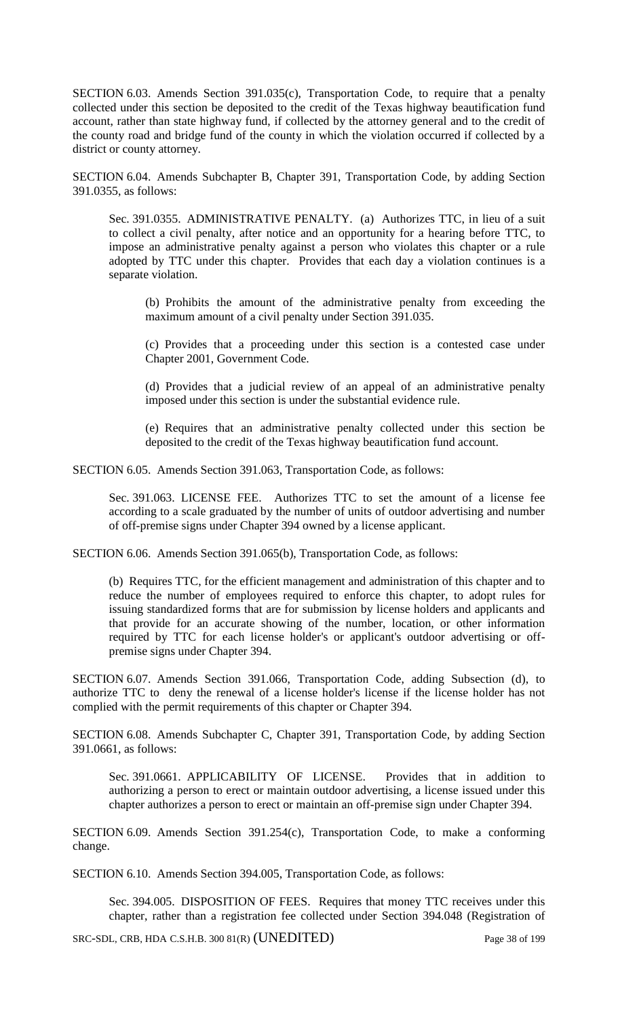SECTION 6.03. Amends Section 391.035(c), Transportation Code, to require that a penalty collected under this section be deposited to the credit of the Texas highway beautification fund account, rather than state highway fund, if collected by the attorney general and to the credit of the county road and bridge fund of the county in which the violation occurred if collected by a district or county attorney.

SECTION 6.04. Amends Subchapter B, Chapter 391, Transportation Code, by adding Section 391.0355, as follows:

Sec. 391.0355. ADMINISTRATIVE PENALTY. (a) Authorizes TTC, in lieu of a suit to collect a civil penalty, after notice and an opportunity for a hearing before TTC, to impose an administrative penalty against a person who violates this chapter or a rule adopted by TTC under this chapter. Provides that each day a violation continues is a separate violation.

(b) Prohibits the amount of the administrative penalty from exceeding the maximum amount of a civil penalty under Section 391.035.

(c) Provides that a proceeding under this section is a contested case under Chapter 2001, Government Code.

(d) Provides that a judicial review of an appeal of an administrative penalty imposed under this section is under the substantial evidence rule.

(e) Requires that an administrative penalty collected under this section be deposited to the credit of the Texas highway beautification fund account.

SECTION 6.05. Amends Section 391.063, Transportation Code, as follows:

Sec. 391.063. LICENSE FEE. Authorizes TTC to set the amount of a license fee according to a scale graduated by the number of units of outdoor advertising and number of off-premise signs under Chapter 394 owned by a license applicant.

SECTION 6.06. Amends Section 391.065(b), Transportation Code, as follows:

(b) Requires TTC, for the efficient management and administration of this chapter and to reduce the number of employees required to enforce this chapter, to adopt rules for issuing standardized forms that are for submission by license holders and applicants and that provide for an accurate showing of the number, location, or other information required by TTC for each license holder's or applicant's outdoor advertising or offpremise signs under Chapter 394.

SECTION 6.07. Amends Section 391.066, Transportation Code, adding Subsection (d), to authorize TTC to deny the renewal of a license holder's license if the license holder has not complied with the permit requirements of this chapter or Chapter 394.

SECTION 6.08. Amends Subchapter C, Chapter 391, Transportation Code, by adding Section 391.0661, as follows:

Sec. 391.0661. APPLICABILITY OF LICENSE. Provides that in addition to authorizing a person to erect or maintain outdoor advertising, a license issued under this chapter authorizes a person to erect or maintain an off-premise sign under Chapter 394.

SECTION 6.09. Amends Section 391.254(c), Transportation Code, to make a conforming change.

SECTION 6.10. Amends Section 394.005, Transportation Code, as follows:

Sec. 394.005. DISPOSITION OF FEES. Requires that money TTC receives under this chapter, rather than a registration fee collected under Section 394.048 (Registration of

SRC-SDL, CRB, HDA C.S.H.B. 300 81(R) (UNEDITED) Page 38 of 199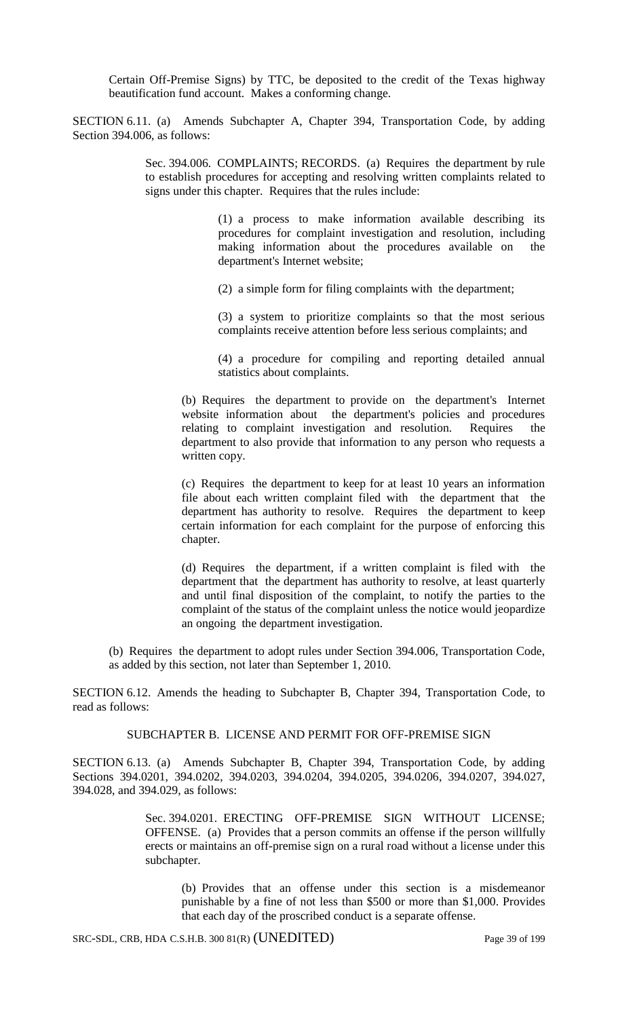Certain Off-Premise Signs) by TTC, be deposited to the credit of the Texas highway beautification fund account. Makes a conforming change.

SECTION 6.11. (a) Amends Subchapter A, Chapter 394, Transportation Code, by adding Section 394.006, as follows:

> Sec. 394.006. COMPLAINTS; RECORDS. (a) Requires the department by rule to establish procedures for accepting and resolving written complaints related to signs under this chapter. Requires that the rules include:

> > (1) a process to make information available describing its procedures for complaint investigation and resolution, including making information about the procedures available on the department's Internet website;

(2) a simple form for filing complaints with the department;

(3) a system to prioritize complaints so that the most serious complaints receive attention before less serious complaints; and

(4) a procedure for compiling and reporting detailed annual statistics about complaints.

(b) Requires the department to provide on the department's Internet website information about the department's policies and procedures relating to complaint investigation and resolution. Requires the department to also provide that information to any person who requests a written copy.

(c) Requires the department to keep for at least 10 years an information file about each written complaint filed with the department that the department has authority to resolve. Requires the department to keep certain information for each complaint for the purpose of enforcing this chapter.

(d) Requires the department, if a written complaint is filed with the department that the department has authority to resolve, at least quarterly and until final disposition of the complaint, to notify the parties to the complaint of the status of the complaint unless the notice would jeopardize an ongoing the department investigation.

(b) Requires the department to adopt rules under Section 394.006, Transportation Code, as added by this section, not later than September 1, 2010.

SECTION 6.12. Amends the heading to Subchapter B, Chapter 394, Transportation Code, to read as follows:

SUBCHAPTER B. LICENSE AND PERMIT FOR OFF-PREMISE SIGN

SECTION 6.13. (a) Amends Subchapter B, Chapter 394, Transportation Code, by adding Sections 394.0201, 394.0202, 394.0203, 394.0204, 394.0205, 394.0206, 394.0207, 394.027, 394.028, and 394.029, as follows:

> Sec. 394.0201. ERECTING OFF-PREMISE SIGN WITHOUT LICENSE; OFFENSE. (a) Provides that a person commits an offense if the person willfully erects or maintains an off-premise sign on a rural road without a license under this subchapter.

(b) Provides that an offense under this section is a misdemeanor punishable by a fine of not less than \$500 or more than \$1,000. Provides that each day of the proscribed conduct is a separate offense.

SRC-SDL, CRB, HDA C.S.H.B. 300 81(R) (UNEDITED) Page 39 of 199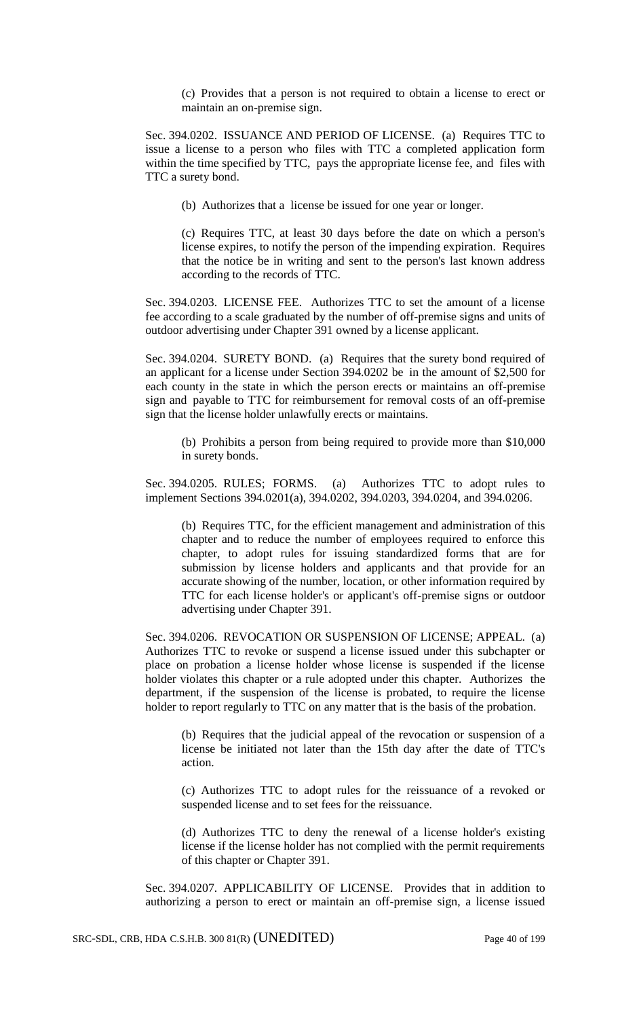(c) Provides that a person is not required to obtain a license to erect or maintain an on-premise sign.

Sec. 394.0202. ISSUANCE AND PERIOD OF LICENSE. (a) Requires TTC to issue a license to a person who files with TTC a completed application form within the time specified by TTC, pays the appropriate license fee, and files with TTC a surety bond.

(b) Authorizes that a license be issued for one year or longer.

(c) Requires TTC, at least 30 days before the date on which a person's license expires, to notify the person of the impending expiration. Requires that the notice be in writing and sent to the person's last known address according to the records of TTC.

Sec. 394.0203. LICENSE FEE. Authorizes TTC to set the amount of a license fee according to a scale graduated by the number of off-premise signs and units of outdoor advertising under Chapter 391 owned by a license applicant.

Sec. 394.0204. SURETY BOND. (a) Requires that the surety bond required of an applicant for a license under Section 394.0202 be in the amount of \$2,500 for each county in the state in which the person erects or maintains an off-premise sign and payable to TTC for reimbursement for removal costs of an off-premise sign that the license holder unlawfully erects or maintains.

(b) Prohibits a person from being required to provide more than \$10,000 in surety bonds.

Sec. 394.0205. RULES; FORMS. (a) Authorizes TTC to adopt rules to implement Sections 394.0201(a), 394.0202, 394.0203, 394.0204, and 394.0206.

(b) Requires TTC, for the efficient management and administration of this chapter and to reduce the number of employees required to enforce this chapter, to adopt rules for issuing standardized forms that are for submission by license holders and applicants and that provide for an accurate showing of the number, location, or other information required by TTC for each license holder's or applicant's off-premise signs or outdoor advertising under Chapter 391.

Sec. 394.0206. REVOCATION OR SUSPENSION OF LICENSE; APPEAL. (a) Authorizes TTC to revoke or suspend a license issued under this subchapter or place on probation a license holder whose license is suspended if the license holder violates this chapter or a rule adopted under this chapter. Authorizes the department, if the suspension of the license is probated, to require the license holder to report regularly to TTC on any matter that is the basis of the probation.

(b) Requires that the judicial appeal of the revocation or suspension of a license be initiated not later than the 15th day after the date of TTC's action.

(c) Authorizes TTC to adopt rules for the reissuance of a revoked or suspended license and to set fees for the reissuance.

(d) Authorizes TTC to deny the renewal of a license holder's existing license if the license holder has not complied with the permit requirements of this chapter or Chapter 391.

Sec. 394.0207. APPLICABILITY OF LICENSE. Provides that in addition to authorizing a person to erect or maintain an off-premise sign, a license issued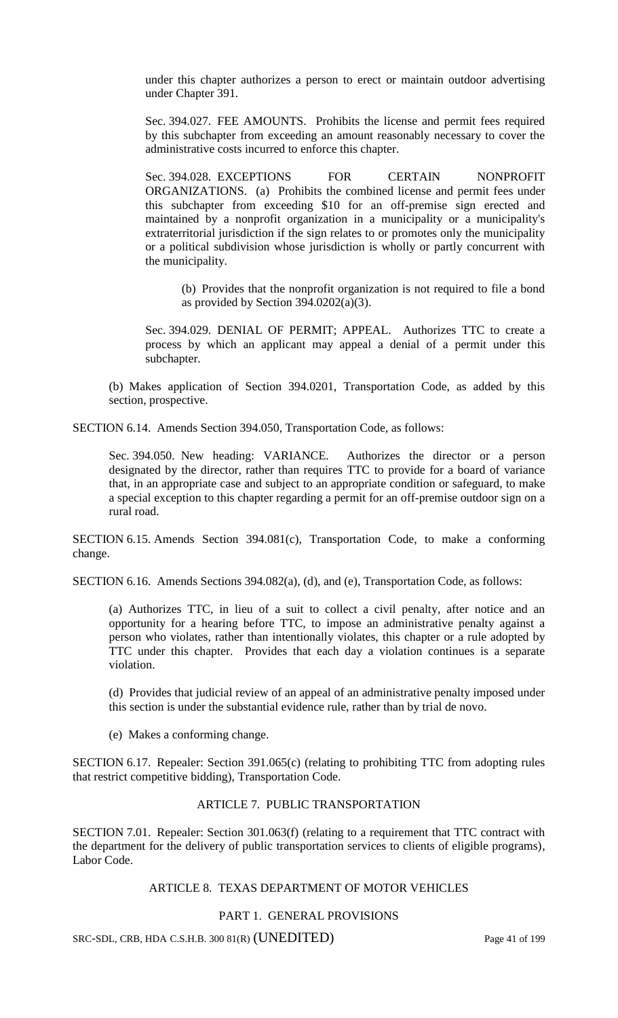under this chapter authorizes a person to erect or maintain outdoor advertising under Chapter 391.

Sec. 394.027. FEE AMOUNTS. Prohibits the license and permit fees required by this subchapter from exceeding an amount reasonably necessary to cover the administrative costs incurred to enforce this chapter.

Sec. 394.028. EXCEPTIONS FOR CERTAIN NONPROFIT ORGANIZATIONS. (a) Prohibits the combined license and permit fees under this subchapter from exceeding \$10 for an off-premise sign erected and maintained by a nonprofit organization in a municipality or a municipality's extraterritorial jurisdiction if the sign relates to or promotes only the municipality or a political subdivision whose jurisdiction is wholly or partly concurrent with the municipality.

(b) Provides that the nonprofit organization is not required to file a bond as provided by Section 394.0202(a)(3).

Sec. 394.029. DENIAL OF PERMIT; APPEAL. Authorizes TTC to create a process by which an applicant may appeal a denial of a permit under this subchapter.

(b) Makes application of Section 394.0201, Transportation Code, as added by this section, prospective.

SECTION 6.14. Amends Section 394.050, Transportation Code, as follows:

Sec. 394.050. New heading: VARIANCE. Authorizes the director or a person designated by the director, rather than requires TTC to provide for a board of variance that, in an appropriate case and subject to an appropriate condition or safeguard, to make a special exception to this chapter regarding a permit for an off-premise outdoor sign on a rural road.

SECTION 6.15. Amends Section 394.081(c), Transportation Code, to make a conforming change.

SECTION 6.16. Amends Sections 394.082(a), (d), and (e), Transportation Code, as follows:

(a) Authorizes TTC, in lieu of a suit to collect a civil penalty, after notice and an opportunity for a hearing before TTC, to impose an administrative penalty against a person who violates, rather than intentionally violates, this chapter or a rule adopted by TTC under this chapter. Provides that each day a violation continues is a separate violation.

(d) Provides that judicial review of an appeal of an administrative penalty imposed under this section is under the substantial evidence rule, rather than by trial de novo.

(e) Makes a conforming change.

SECTION 6.17. Repealer: Section 391.065(c) (relating to prohibiting TTC from adopting rules that restrict competitive bidding), Transportation Code.

# ARTICLE 7. PUBLIC TRANSPORTATION

SECTION 7.01. Repealer: Section 301.063(f) (relating to a requirement that TTC contract with the department for the delivery of public transportation services to clients of eligible programs), Labor Code.

### ARTICLE 8. TEXAS DEPARTMENT OF MOTOR VEHICLES

## PART 1. GENERAL PROVISIONS

SRC-SDL, CRB, HDA C.S.H.B. 300 81(R) (UNEDITED) Page 41 of 199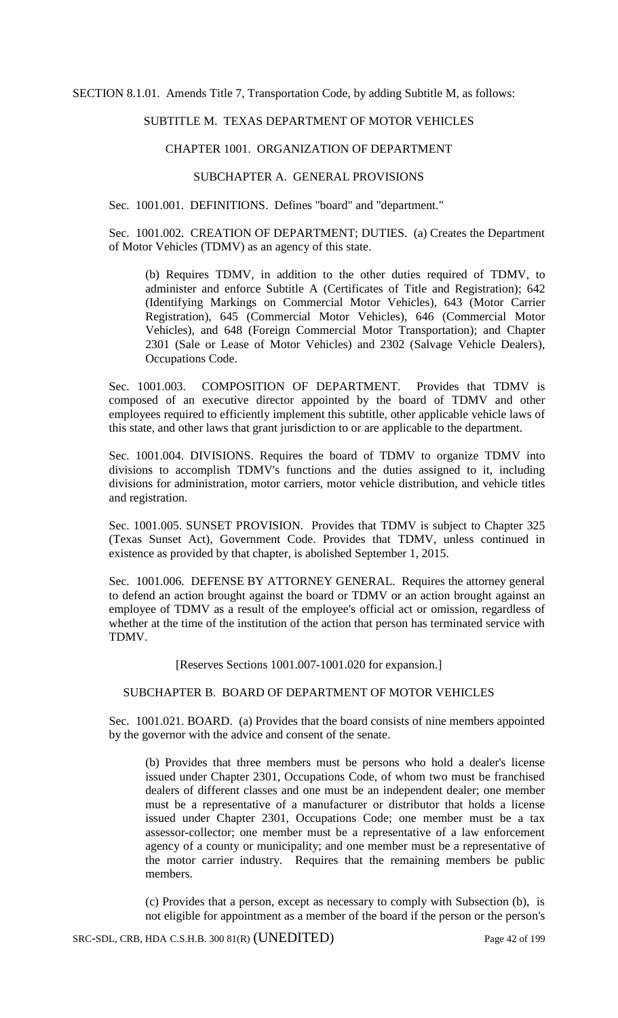SECTION 8.1.01. Amends Title 7, Transportation Code, by adding Subtitle M, as follows:

# SUBTITLE M. TEXAS DEPARTMENT OF MOTOR VEHICLES

## CHAPTER 1001. ORGANIZATION OF DEPARTMENT

## SUBCHAPTER A. GENERAL PROVISIONS

Sec. 1001.001. DEFINITIONS. Defines "board" and "department."

Sec. 1001.002. CREATION OF DEPARTMENT; DUTIES. (a) Creates the Department of Motor Vehicles (TDMV) as an agency of this state.

(b) Requires TDMV, in addition to the other duties required of TDMV, to administer and enforce Subtitle A (Certificates of Title and Registration); 642 (Identifying Markings on Commercial Motor Vehicles), 643 (Motor Carrier Registration), 645 (Commercial Motor Vehicles), 646 (Commercial Motor Vehicles), and 648 (Foreign Commercial Motor Transportation); and Chapter 2301 (Sale or Lease of Motor Vehicles) and 2302 (Salvage Vehicle Dealers), Occupations Code.

Sec. 1001.003. COMPOSITION OF DEPARTMENT. Provides that TDMV is composed of an executive director appointed by the board of TDMV and other employees required to efficiently implement this subtitle, other applicable vehicle laws of this state, and other laws that grant jurisdiction to or are applicable to the department.

Sec. 1001.004. DIVISIONS. Requires the board of TDMV to organize TDMV into divisions to accomplish TDMV's functions and the duties assigned to it, including divisions for administration, motor carriers, motor vehicle distribution, and vehicle titles and registration.

Sec. 1001.005. SUNSET PROVISION. Provides that TDMV is subject to Chapter 325 (Texas Sunset Act), Government Code. Provides that TDMV, unless continued in existence as provided by that chapter, is abolished September 1, 2015.

Sec. 1001.006. DEFENSE BY ATTORNEY GENERAL. Requires the attorney general to defend an action brought against the board or TDMV or an action brought against an employee of TDMV as a result of the employee's official act or omission, regardless of whether at the time of the institution of the action that person has terminated service with TDMV.

[Reserves Sections 1001.007-1001.020 for expansion.]

### SUBCHAPTER B. BOARD OF DEPARTMENT OF MOTOR VEHICLES

Sec. 1001.021. BOARD. (a) Provides that the board consists of nine members appointed by the governor with the advice and consent of the senate.

(b) Provides that three members must be persons who hold a dealer's license issued under Chapter 2301, Occupations Code, of whom two must be franchised dealers of different classes and one must be an independent dealer; one member must be a representative of a manufacturer or distributor that holds a license issued under Chapter 2301, Occupations Code; one member must be a tax assessor-collector; one member must be a representative of a law enforcement agency of a county or municipality; and one member must be a representative of the motor carrier industry. Requires that the remaining members be public members.

(c) Provides that a person, except as necessary to comply with Subsection (b), is not eligible for appointment as a member of the board if the person or the person's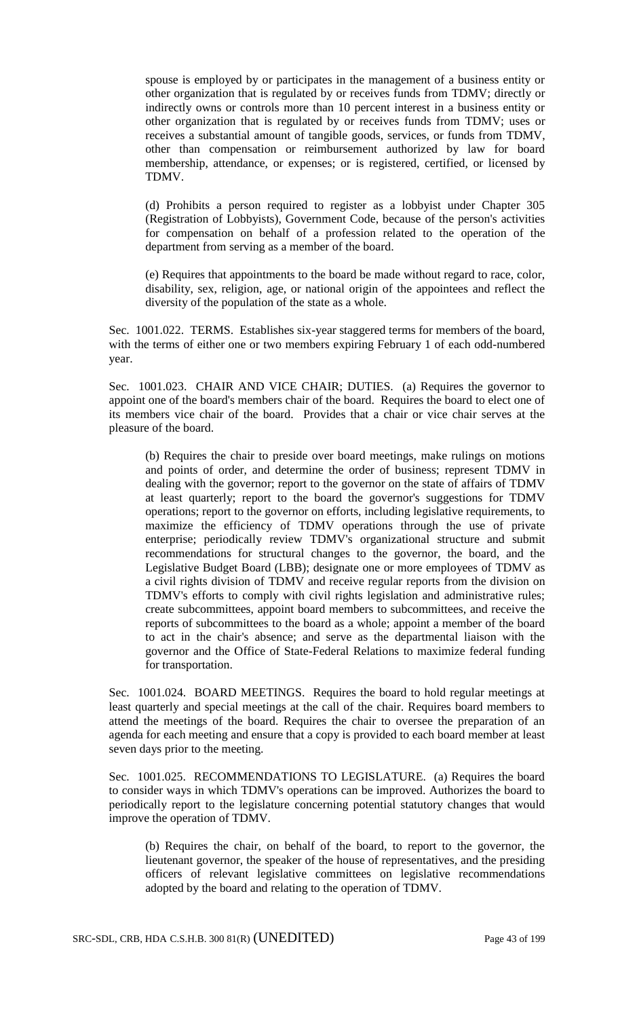spouse is employed by or participates in the management of a business entity or other organization that is regulated by or receives funds from TDMV; directly or indirectly owns or controls more than 10 percent interest in a business entity or other organization that is regulated by or receives funds from TDMV; uses or receives a substantial amount of tangible goods, services, or funds from TDMV, other than compensation or reimbursement authorized by law for board membership, attendance, or expenses; or is registered, certified, or licensed by TDMV.

(d) Prohibits a person required to register as a lobbyist under Chapter 305 (Registration of Lobbyists), Government Code, because of the person's activities for compensation on behalf of a profession related to the operation of the department from serving as a member of the board.

(e) Requires that appointments to the board be made without regard to race, color, disability, sex, religion, age, or national origin of the appointees and reflect the diversity of the population of the state as a whole.

Sec. 1001.022. TERMS. Establishes six-year staggered terms for members of the board, with the terms of either one or two members expiring February 1 of each odd-numbered year.

Sec. 1001.023. CHAIR AND VICE CHAIR; DUTIES. (a) Requires the governor to appoint one of the board's members chair of the board. Requires the board to elect one of its members vice chair of the board. Provides that a chair or vice chair serves at the pleasure of the board.

(b) Requires the chair to preside over board meetings, make rulings on motions and points of order, and determine the order of business; represent TDMV in dealing with the governor; report to the governor on the state of affairs of TDMV at least quarterly; report to the board the governor's suggestions for TDMV operations; report to the governor on efforts, including legislative requirements, to maximize the efficiency of TDMV operations through the use of private enterprise; periodically review TDMV's organizational structure and submit recommendations for structural changes to the governor, the board, and the Legislative Budget Board (LBB); designate one or more employees of TDMV as a civil rights division of TDMV and receive regular reports from the division on TDMV's efforts to comply with civil rights legislation and administrative rules; create subcommittees, appoint board members to subcommittees, and receive the reports of subcommittees to the board as a whole; appoint a member of the board to act in the chair's absence; and serve as the departmental liaison with the governor and the Office of State-Federal Relations to maximize federal funding for transportation.

Sec. 1001.024. BOARD MEETINGS. Requires the board to hold regular meetings at least quarterly and special meetings at the call of the chair. Requires board members to attend the meetings of the board. Requires the chair to oversee the preparation of an agenda for each meeting and ensure that a copy is provided to each board member at least seven days prior to the meeting.

Sec. 1001.025. RECOMMENDATIONS TO LEGISLATURE. (a) Requires the board to consider ways in which TDMV's operations can be improved. Authorizes the board to periodically report to the legislature concerning potential statutory changes that would improve the operation of TDMV.

(b) Requires the chair, on behalf of the board, to report to the governor, the lieutenant governor, the speaker of the house of representatives, and the presiding officers of relevant legislative committees on legislative recommendations adopted by the board and relating to the operation of TDMV.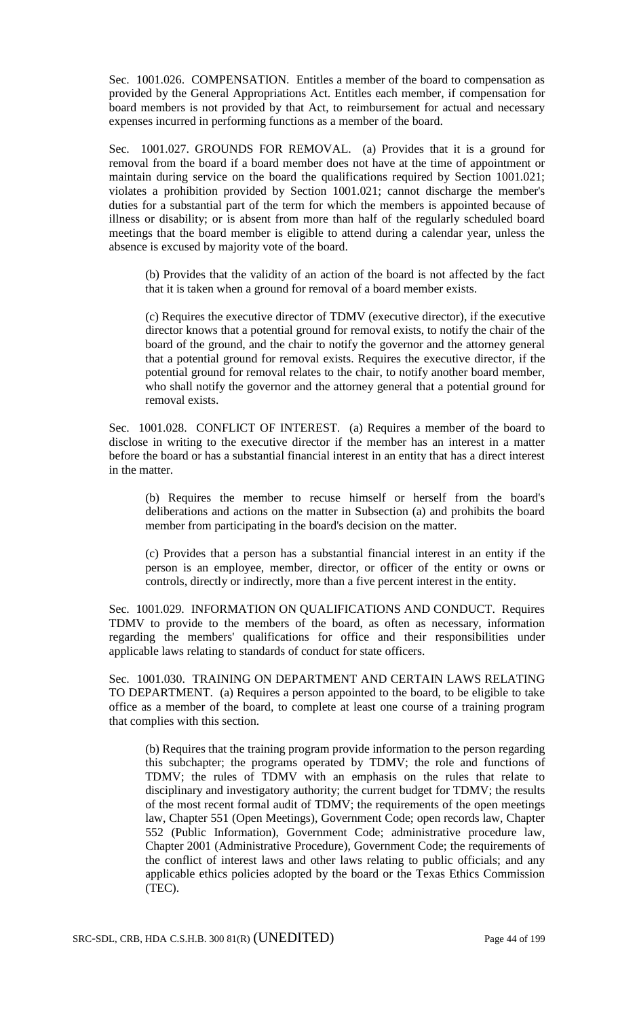Sec. 1001.026. COMPENSATION. Entitles a member of the board to compensation as provided by the General Appropriations Act. Entitles each member, if compensation for board members is not provided by that Act, to reimbursement for actual and necessary expenses incurred in performing functions as a member of the board.

Sec. 1001.027. GROUNDS FOR REMOVAL. (a) Provides that it is a ground for removal from the board if a board member does not have at the time of appointment or maintain during service on the board the qualifications required by Section 1001.021; violates a prohibition provided by Section 1001.021; cannot discharge the member's duties for a substantial part of the term for which the members is appointed because of illness or disability; or is absent from more than half of the regularly scheduled board meetings that the board member is eligible to attend during a calendar year, unless the absence is excused by majority vote of the board.

(b) Provides that the validity of an action of the board is not affected by the fact that it is taken when a ground for removal of a board member exists.

(c) Requires the executive director of TDMV (executive director), if the executive director knows that a potential ground for removal exists, to notify the chair of the board of the ground, and the chair to notify the governor and the attorney general that a potential ground for removal exists. Requires the executive director, if the potential ground for removal relates to the chair, to notify another board member, who shall notify the governor and the attorney general that a potential ground for removal exists.

Sec. 1001.028. CONFLICT OF INTEREST. (a) Requires a member of the board to disclose in writing to the executive director if the member has an interest in a matter before the board or has a substantial financial interest in an entity that has a direct interest in the matter.

(b) Requires the member to recuse himself or herself from the board's deliberations and actions on the matter in Subsection (a) and prohibits the board member from participating in the board's decision on the matter.

(c) Provides that a person has a substantial financial interest in an entity if the person is an employee, member, director, or officer of the entity or owns or controls, directly or indirectly, more than a five percent interest in the entity.

Sec. 1001.029. INFORMATION ON QUALIFICATIONS AND CONDUCT. Requires TDMV to provide to the members of the board, as often as necessary, information regarding the members' qualifications for office and their responsibilities under applicable laws relating to standards of conduct for state officers.

Sec. 1001.030. TRAINING ON DEPARTMENT AND CERTAIN LAWS RELATING TO DEPARTMENT. (a) Requires a person appointed to the board, to be eligible to take office as a member of the board, to complete at least one course of a training program that complies with this section.

(b) Requires that the training program provide information to the person regarding this subchapter; the programs operated by TDMV; the role and functions of TDMV; the rules of TDMV with an emphasis on the rules that relate to disciplinary and investigatory authority; the current budget for TDMV; the results of the most recent formal audit of TDMV; the requirements of the open meetings law, Chapter 551 (Open Meetings), Government Code; open records law, Chapter 552 (Public Information), Government Code; administrative procedure law, Chapter 2001 (Administrative Procedure), Government Code; the requirements of the conflict of interest laws and other laws relating to public officials; and any applicable ethics policies adopted by the board or the Texas Ethics Commission (TEC).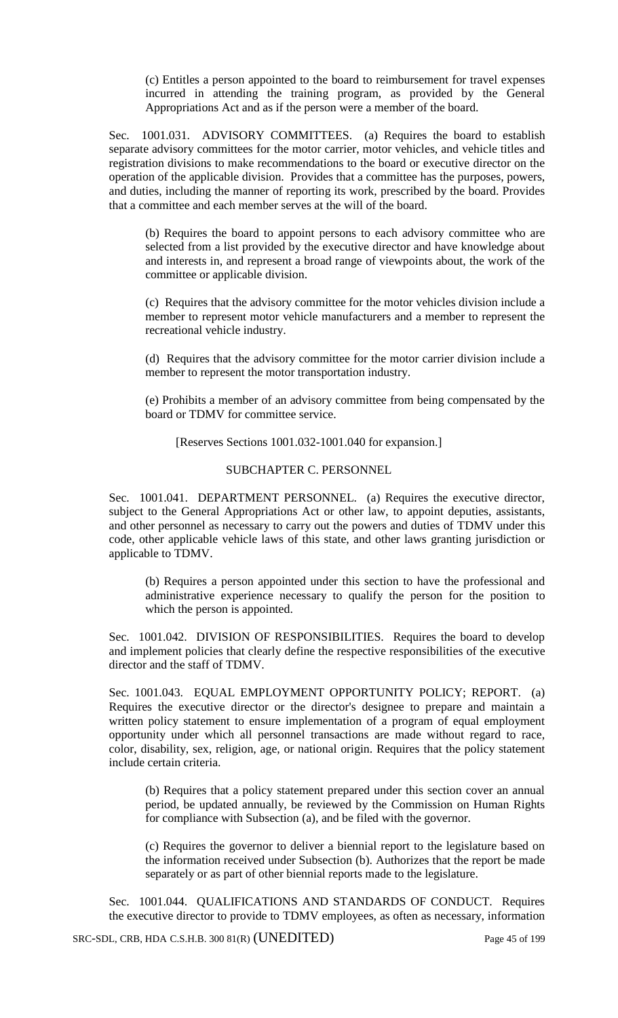(c) Entitles a person appointed to the board to reimbursement for travel expenses incurred in attending the training program, as provided by the General Appropriations Act and as if the person were a member of the board.

Sec. 1001.031. ADVISORY COMMITTEES. (a) Requires the board to establish separate advisory committees for the motor carrier, motor vehicles, and vehicle titles and registration divisions to make recommendations to the board or executive director on the operation of the applicable division. Provides that a committee has the purposes, powers, and duties, including the manner of reporting its work, prescribed by the board. Provides that a committee and each member serves at the will of the board.

(b) Requires the board to appoint persons to each advisory committee who are selected from a list provided by the executive director and have knowledge about and interests in, and represent a broad range of viewpoints about, the work of the committee or applicable division.

(c) Requires that the advisory committee for the motor vehicles division include a member to represent motor vehicle manufacturers and a member to represent the recreational vehicle industry.

(d) Requires that the advisory committee for the motor carrier division include a member to represent the motor transportation industry.

(e) Prohibits a member of an advisory committee from being compensated by the board or TDMV for committee service.

[Reserves Sections 1001.032-1001.040 for expansion.]

## SUBCHAPTER C. PERSONNEL

Sec. 1001.041. DEPARTMENT PERSONNEL. (a) Requires the executive director, subject to the General Appropriations Act or other law, to appoint deputies, assistants, and other personnel as necessary to carry out the powers and duties of TDMV under this code, other applicable vehicle laws of this state, and other laws granting jurisdiction or applicable to TDMV.

(b) Requires a person appointed under this section to have the professional and administrative experience necessary to qualify the person for the position to which the person is appointed.

Sec. 1001.042. DIVISION OF RESPONSIBILITIES. Requires the board to develop and implement policies that clearly define the respective responsibilities of the executive director and the staff of TDMV.

Sec. 1001.043. EQUAL EMPLOYMENT OPPORTUNITY POLICY; REPORT. (a) Requires the executive director or the director's designee to prepare and maintain a written policy statement to ensure implementation of a program of equal employment opportunity under which all personnel transactions are made without regard to race, color, disability, sex, religion, age, or national origin. Requires that the policy statement include certain criteria.

(b) Requires that a policy statement prepared under this section cover an annual period, be updated annually, be reviewed by the Commission on Human Rights for compliance with Subsection (a), and be filed with the governor.

(c) Requires the governor to deliver a biennial report to the legislature based on the information received under Subsection (b). Authorizes that the report be made separately or as part of other biennial reports made to the legislature.

Sec. 1001.044. QUALIFICATIONS AND STANDARDS OF CONDUCT. Requires the executive director to provide to TDMV employees, as often as necessary, information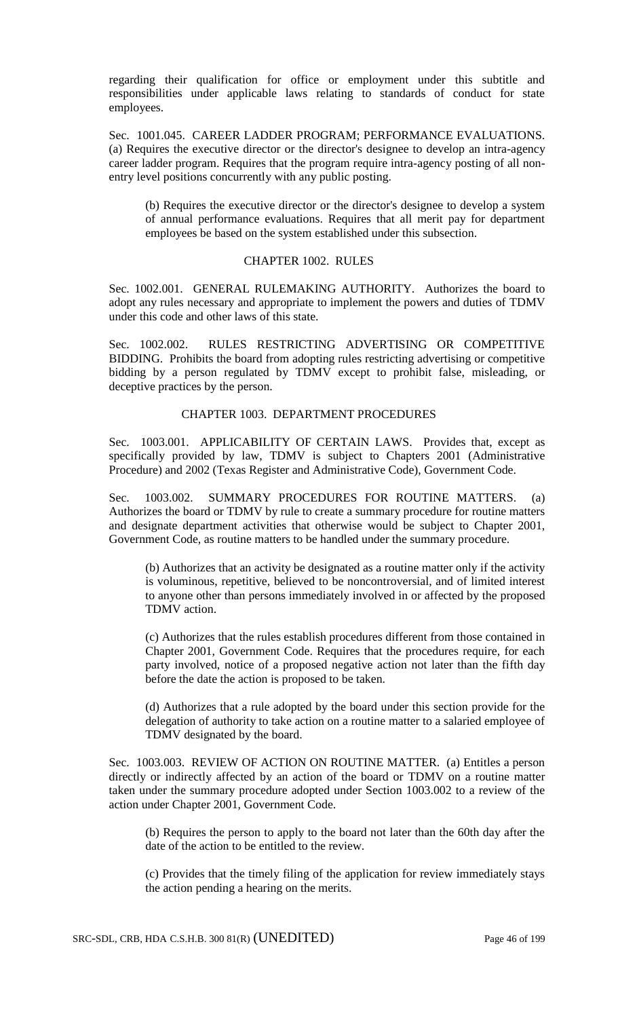regarding their qualification for office or employment under this subtitle and responsibilities under applicable laws relating to standards of conduct for state employees.

Sec. 1001.045. CAREER LADDER PROGRAM; PERFORMANCE EVALUATIONS. (a) Requires the executive director or the director's designee to develop an intra-agency career ladder program. Requires that the program require intra-agency posting of all nonentry level positions concurrently with any public posting.

(b) Requires the executive director or the director's designee to develop a system of annual performance evaluations. Requires that all merit pay for department employees be based on the system established under this subsection.

### CHAPTER 1002. RULES

Sec. 1002.001. GENERAL RULEMAKING AUTHORITY. Authorizes the board to adopt any rules necessary and appropriate to implement the powers and duties of TDMV under this code and other laws of this state.

Sec. 1002.002. RULES RESTRICTING ADVERTISING OR COMPETITIVE BIDDING. Prohibits the board from adopting rules restricting advertising or competitive bidding by a person regulated by TDMV except to prohibit false, misleading, or deceptive practices by the person.

## CHAPTER 1003. DEPARTMENT PROCEDURES

Sec. 1003.001. APPLICABILITY OF CERTAIN LAWS. Provides that, except as specifically provided by law, TDMV is subject to Chapters 2001 (Administrative Procedure) and 2002 (Texas Register and Administrative Code), Government Code.

Sec. 1003.002. SUMMARY PROCEDURES FOR ROUTINE MATTERS. (a) Authorizes the board or TDMV by rule to create a summary procedure for routine matters and designate department activities that otherwise would be subject to Chapter 2001, Government Code, as routine matters to be handled under the summary procedure.

(b) Authorizes that an activity be designated as a routine matter only if the activity is voluminous, repetitive, believed to be noncontroversial, and of limited interest to anyone other than persons immediately involved in or affected by the proposed TDMV action.

(c) Authorizes that the rules establish procedures different from those contained in Chapter 2001, Government Code. Requires that the procedures require, for each party involved, notice of a proposed negative action not later than the fifth day before the date the action is proposed to be taken.

(d) Authorizes that a rule adopted by the board under this section provide for the delegation of authority to take action on a routine matter to a salaried employee of TDMV designated by the board.

Sec. 1003.003. REVIEW OF ACTION ON ROUTINE MATTER. (a) Entitles a person directly or indirectly affected by an action of the board or TDMV on a routine matter taken under the summary procedure adopted under Section 1003.002 to a review of the action under Chapter 2001, Government Code.

(b) Requires the person to apply to the board not later than the 60th day after the date of the action to be entitled to the review.

(c) Provides that the timely filing of the application for review immediately stays the action pending a hearing on the merits.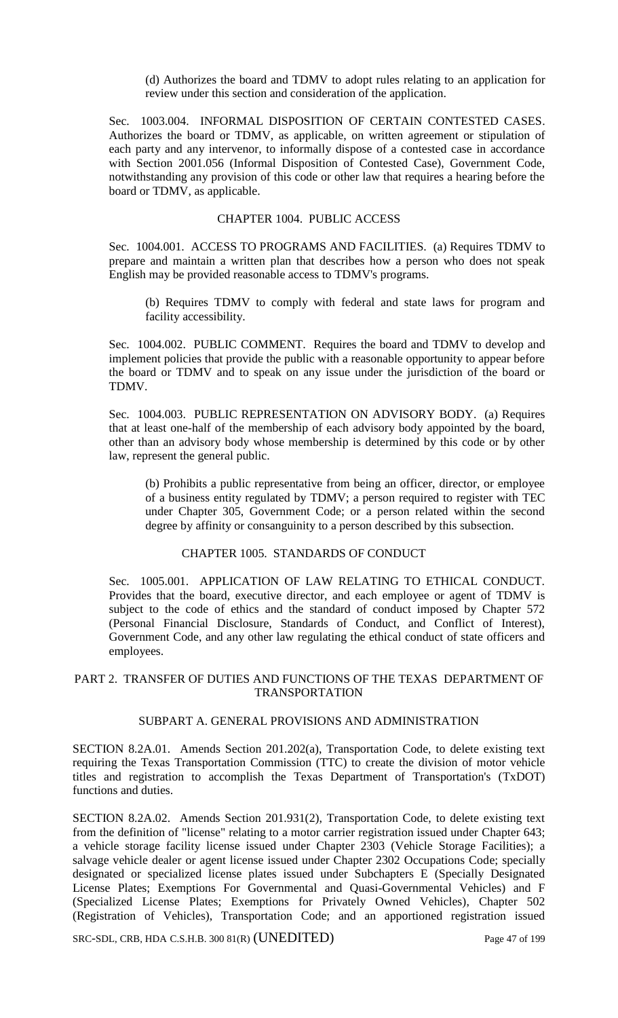(d) Authorizes the board and TDMV to adopt rules relating to an application for review under this section and consideration of the application.

Sec. 1003.004. INFORMAL DISPOSITION OF CERTAIN CONTESTED CASES. Authorizes the board or TDMV, as applicable, on written agreement or stipulation of each party and any intervenor, to informally dispose of a contested case in accordance with Section 2001.056 (Informal Disposition of Contested Case), Government Code, notwithstanding any provision of this code or other law that requires a hearing before the board or TDMV, as applicable.

### CHAPTER 1004. PUBLIC ACCESS

Sec. 1004.001. ACCESS TO PROGRAMS AND FACILITIES. (a) Requires TDMV to prepare and maintain a written plan that describes how a person who does not speak English may be provided reasonable access to TDMV's programs.

(b) Requires TDMV to comply with federal and state laws for program and facility accessibility.

Sec. 1004.002. PUBLIC COMMENT. Requires the board and TDMV to develop and implement policies that provide the public with a reasonable opportunity to appear before the board or TDMV and to speak on any issue under the jurisdiction of the board or TDMV.

Sec. 1004.003. PUBLIC REPRESENTATION ON ADVISORY BODY. (a) Requires that at least one-half of the membership of each advisory body appointed by the board, other than an advisory body whose membership is determined by this code or by other law, represent the general public.

(b) Prohibits a public representative from being an officer, director, or employee of a business entity regulated by TDMV; a person required to register with TEC under Chapter 305, Government Code; or a person related within the second degree by affinity or consanguinity to a person described by this subsection.

## CHAPTER 1005. STANDARDS OF CONDUCT

Sec. 1005.001. APPLICATION OF LAW RELATING TO ETHICAL CONDUCT. Provides that the board, executive director, and each employee or agent of TDMV is subject to the code of ethics and the standard of conduct imposed by Chapter 572 (Personal Financial Disclosure, Standards of Conduct, and Conflict of Interest), Government Code, and any other law regulating the ethical conduct of state officers and employees.

# PART 2. TRANSFER OF DUTIES AND FUNCTIONS OF THE TEXAS DEPARTMENT OF TRANSPORTATION

# SUBPART A. GENERAL PROVISIONS AND ADMINISTRATION

SECTION 8.2A.01. Amends Section 201.202(a), Transportation Code, to delete existing text requiring the Texas Transportation Commission (TTC) to create the division of motor vehicle titles and registration to accomplish the Texas Department of Transportation's (TxDOT) functions and duties.

SECTION 8.2A.02. Amends Section 201.931(2), Transportation Code, to delete existing text from the definition of "license" relating to a motor carrier registration issued under Chapter 643; a vehicle storage facility license issued under Chapter 2303 (Vehicle Storage Facilities); a salvage vehicle dealer or agent license issued under Chapter 2302 Occupations Code; specially designated or specialized license plates issued under Subchapters E (Specially Designated License Plates; Exemptions For Governmental and Quasi-Governmental Vehicles) and F (Specialized License Plates; Exemptions for Privately Owned Vehicles), Chapter 502 (Registration of Vehicles), Transportation Code; and an apportioned registration issued

SRC-SDL, CRB, HDA C.S.H.B. 300 81(R) (UNEDITED) Page 47 of 199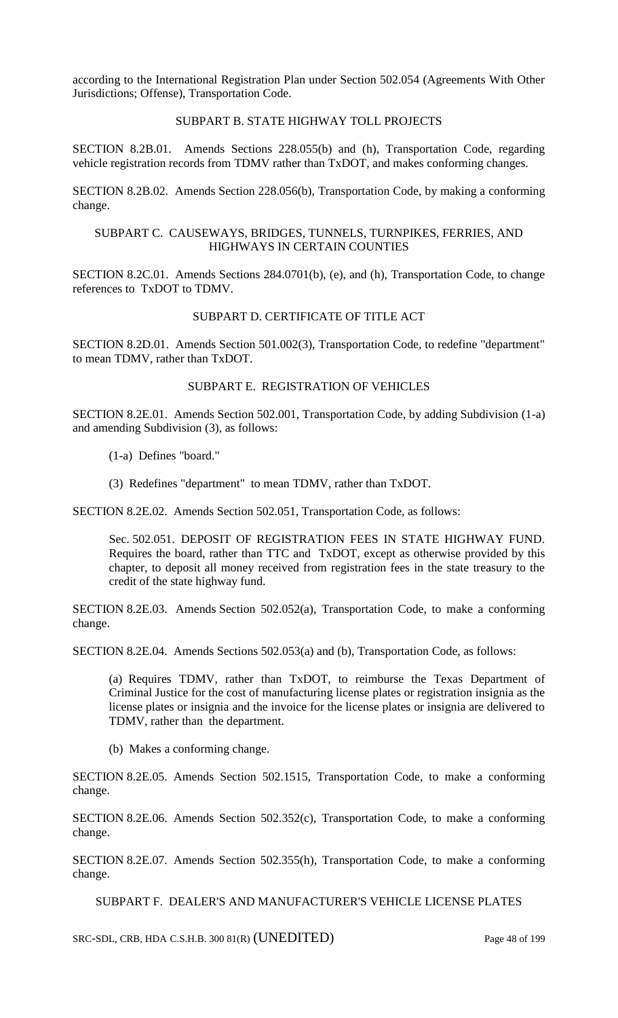according to the International Registration Plan under Section 502.054 (Agreements With Other Jurisdictions; Offense), Transportation Code.

### SUBPART B. STATE HIGHWAY TOLL PROJECTS

SECTION 8.2B.01. Amends Sections 228.055(b) and (h), Transportation Code, regarding vehicle registration records from TDMV rather than TxDOT, and makes conforming changes.

SECTION 8.2B.02. Amends Section 228.056(b), Transportation Code, by making a conforming change.

### SUBPART C. CAUSEWAYS, BRIDGES, TUNNELS, TURNPIKES, FERRIES, AND HIGHWAYS IN CERTAIN COUNTIES

SECTION 8.2C.01. Amends Sections 284.0701(b), (e), and (h), Transportation Code, to change references to TxDOT to TDMV.

# SUBPART D. CERTIFICATE OF TITLE ACT

SECTION 8.2D.01. Amends Section 501.002(3), Transportation Code, to redefine "department" to mean TDMV, rather than TxDOT.

### SUBPART E. REGISTRATION OF VEHICLES

SECTION 8.2E.01. Amends Section 502.001, Transportation Code, by adding Subdivision (1-a) and amending Subdivision (3), as follows:

- (1-a) Defines "board."
- (3) Redefines "department" to mean TDMV, rather than TxDOT.

SECTION 8.2E.02. Amends Section 502.051, Transportation Code, as follows:

Sec. 502.051. DEPOSIT OF REGISTRATION FEES IN STATE HIGHWAY FUND. Requires the board, rather than TTC and TxDOT, except as otherwise provided by this chapter, to deposit all money received from registration fees in the state treasury to the credit of the state highway fund.

SECTION 8.2E.03. Amends Section 502.052(a), Transportation Code, to make a conforming change.

SECTION 8.2E.04. Amends Sections 502.053(a) and (b), Transportation Code, as follows:

(a) Requires TDMV, rather than TxDOT, to reimburse the Texas Department of Criminal Justice for the cost of manufacturing license plates or registration insignia as the license plates or insignia and the invoice for the license plates or insignia are delivered to TDMV, rather than the department.

(b) Makes a conforming change.

SECTION 8.2E.05. Amends Section 502.1515, Transportation Code, to make a conforming change.

SECTION 8.2E.06. Amends Section 502.352(c), Transportation Code, to make a conforming change.

SECTION 8.2E.07. Amends Section 502.355(h), Transportation Code, to make a conforming change.

SUBPART F. DEALER'S AND MANUFACTURER'S VEHICLE LICENSE PLATES

SRC-SDL, CRB, HDA C.S.H.B. 300 81(R) (UNEDITED) Page 48 of 199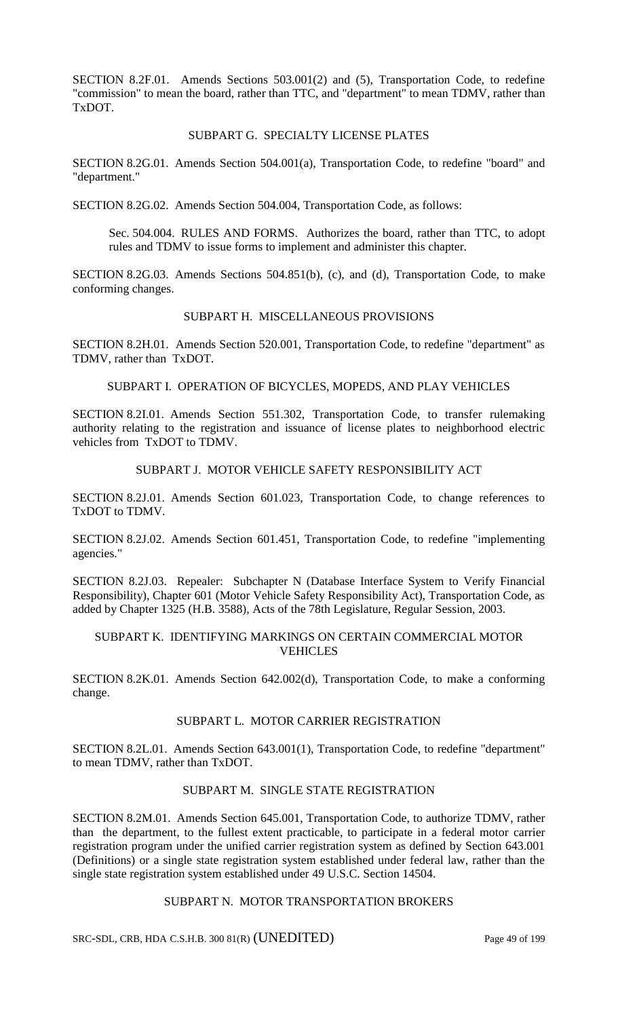SECTION 8.2F.01. Amends Sections 503.001(2) and (5), Transportation Code, to redefine "commission" to mean the board, rather than TTC, and "department" to mean TDMV, rather than TxDOT.

### SUBPART G. SPECIALTY LICENSE PLATES

SECTION 8.2G.01. Amends Section 504.001(a), Transportation Code, to redefine "board" and "department."

SECTION 8.2G.02. Amends Section 504.004, Transportation Code, as follows:

Sec. 504.004. RULES AND FORMS. Authorizes the board, rather than TTC, to adopt rules and TDMV to issue forms to implement and administer this chapter.

SECTION 8.2G.03. Amends Sections 504.851(b), (c), and (d), Transportation Code, to make conforming changes.

# SUBPART H. MISCELLANEOUS PROVISIONS

SECTION 8.2H.01. Amends Section 520.001, Transportation Code, to redefine "department" as TDMV, rather than TxDOT.

SUBPART I. OPERATION OF BICYCLES, MOPEDS, AND PLAY VEHICLES

SECTION 8.2I.01. Amends Section 551.302, Transportation Code, to transfer rulemaking authority relating to the registration and issuance of license plates to neighborhood electric vehicles from TxDOT to TDMV.

# SUBPART J. MOTOR VEHICLE SAFETY RESPONSIBILITY ACT

SECTION 8.2J.01. Amends Section 601.023, Transportation Code, to change references to TxDOT to TDMV.

SECTION 8.2J.02. Amends Section 601.451, Transportation Code, to redefine "implementing agencies."

SECTION 8.2J.03. Repealer: Subchapter N (Database Interface System to Verify Financial Responsibility), Chapter 601 (Motor Vehicle Safety Responsibility Act), Transportation Code, as added by Chapter 1325 (H.B. 3588), Acts of the 78th Legislature, Regular Session, 2003.

## SUBPART K. IDENTIFYING MARKINGS ON CERTAIN COMMERCIAL MOTOR VEHICLES

SECTION 8.2K.01. Amends Section 642.002(d), Transportation Code, to make a conforming change.

# SUBPART L. MOTOR CARRIER REGISTRATION

SECTION 8.2L.01. Amends Section 643.001(1), Transportation Code, to redefine "department" to mean TDMV, rather than TxDOT.

## SUBPART M. SINGLE STATE REGISTRATION

SECTION 8.2M.01. Amends Section 645.001, Transportation Code, to authorize TDMV, rather than the department, to the fullest extent practicable, to participate in a federal motor carrier registration program under the unified carrier registration system as defined by Section 643.001 (Definitions) or a single state registration system established under federal law, rather than the single state registration system established under 49 U.S.C. Section 14504.

## SUBPART N. MOTOR TRANSPORTATION BROKERS

SRC-SDL, CRB, HDA C.S.H.B. 300 81(R) (UNEDITED) Page 49 of 199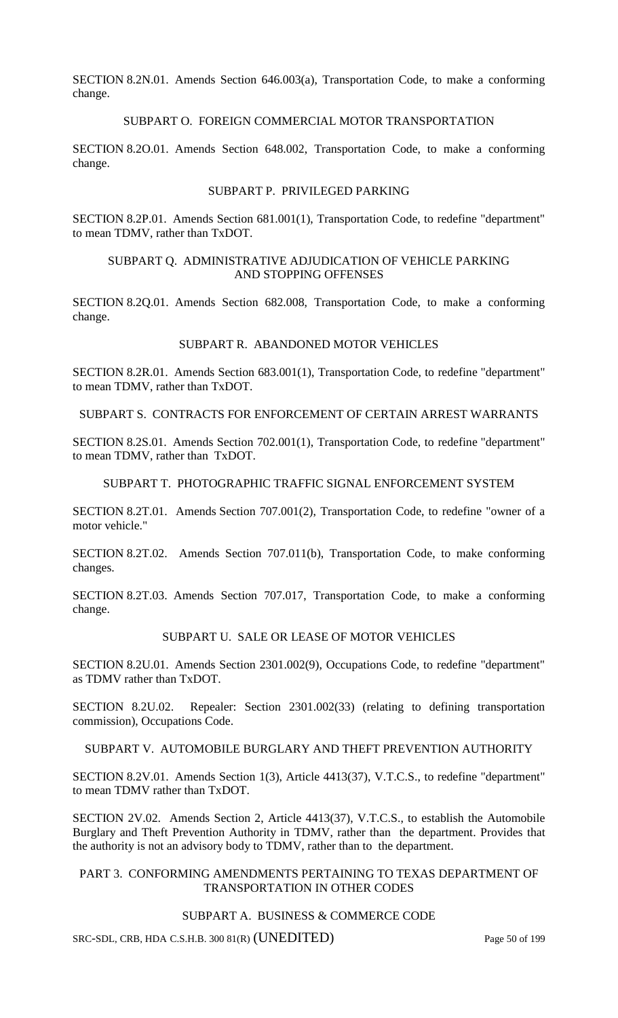SECTION 8.2N.01. Amends Section 646.003(a), Transportation Code, to make a conforming change.

## SUBPART O. FOREIGN COMMERCIAL MOTOR TRANSPORTATION

SECTION 8.2O.01. Amends Section 648.002, Transportation Code, to make a conforming change.

### SUBPART P. PRIVILEGED PARKING

SECTION 8.2P.01. Amends Section 681.001(1), Transportation Code, to redefine "department" to mean TDMV, rather than TxDOT.

### SUBPART Q. ADMINISTRATIVE ADJUDICATION OF VEHICLE PARKING AND STOPPING OFFENSES

SECTION 8.2Q.01. Amends Section 682.008, Transportation Code, to make a conforming change.

### SUBPART R. ABANDONED MOTOR VEHICLES

SECTION 8.2R.01. Amends Section 683.001(1), Transportation Code, to redefine "department" to mean TDMV, rather than TxDOT.

SUBPART S. CONTRACTS FOR ENFORCEMENT OF CERTAIN ARREST WARRANTS

SECTION 8.2S.01. Amends Section 702.001(1), Transportation Code, to redefine "department" to mean TDMV, rather than TxDOT.

## SUBPART T. PHOTOGRAPHIC TRAFFIC SIGNAL ENFORCEMENT SYSTEM

SECTION 8.2T.01. Amends Section 707.001(2), Transportation Code, to redefine "owner of a motor vehicle."

SECTION 8.2T.02. Amends Section 707.011(b), Transportation Code, to make conforming changes.

SECTION 8.2T.03. Amends Section 707.017, Transportation Code, to make a conforming change.

# SUBPART U. SALE OR LEASE OF MOTOR VEHICLES

SECTION 8.2U.01. Amends Section 2301.002(9), Occupations Code, to redefine "department" as TDMV rather than TxDOT.

SECTION 8.2U.02. Repealer: Section 2301.002(33) (relating to defining transportation commission), Occupations Code.

## SUBPART V. AUTOMOBILE BURGLARY AND THEFT PREVENTION AUTHORITY

SECTION 8.2V.01. Amends Section 1(3), Article 4413(37), V.T.C.S., to redefine "department" to mean TDMV rather than TxDOT.

SECTION 2V.02. Amends Section 2, Article 4413(37), V.T.C.S., to establish the Automobile Burglary and Theft Prevention Authority in TDMV, rather than the department. Provides that the authority is not an advisory body to TDMV, rather than to the department.

## PART 3. CONFORMING AMENDMENTS PERTAINING TO TEXAS DEPARTMENT OF TRANSPORTATION IN OTHER CODES

### SUBPART A. BUSINESS & COMMERCE CODE

SRC-SDL, CRB, HDA C.S.H.B. 300 81(R) (UNEDITED) Page 50 of 199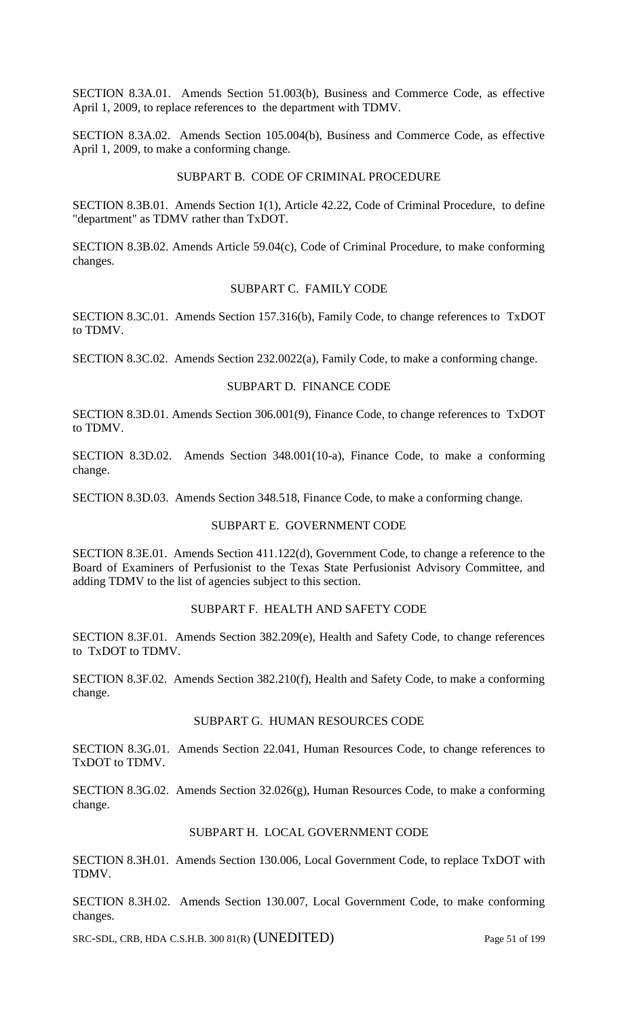SECTION 8.3A.01. Amends Section 51.003(b), Business and Commerce Code, as effective April 1, 2009, to replace references to the department with TDMV.

SECTION 8.3A.02. Amends Section 105.004(b), Business and Commerce Code, as effective April 1, 2009, to make a conforming change.

### SUBPART B. CODE OF CRIMINAL PROCEDURE

SECTION 8.3B.01. Amends Section 1(1), Article 42.22, Code of Criminal Procedure, to define "department" as TDMV rather than TxDOT.

SECTION 8.3B.02. Amends Article 59.04(c), Code of Criminal Procedure, to make conforming changes.

## SUBPART C. FAMILY CODE

SECTION 8.3C.01. Amends Section 157.316(b), Family Code, to change references to TxDOT to TDMV.

SECTION 8.3C.02. Amends Section 232.0022(a), Family Code, to make a conforming change.

### SUBPART D. FINANCE CODE

SECTION 8.3D.01. Amends Section 306.001(9), Finance Code, to change references to TxDOT to TDMV.

SECTION 8.3D.02. Amends Section 348.001(10-a), Finance Code, to make a conforming change.

SECTION 8.3D.03. Amends Section 348.518, Finance Code, to make a conforming change.

#### SUBPART E. GOVERNMENT CODE

SECTION 8.3E.01. Amends Section 411.122(d), Government Code, to change a reference to the Board of Examiners of Perfusionist to the Texas State Perfusionist Advisory Committee, and adding TDMV to the list of agencies subject to this section.

### SUBPART F. HEALTH AND SAFETY CODE

SECTION 8.3F.01. Amends Section 382.209(e), Health and Safety Code, to change references to TxDOT to TDMV.

SECTION 8.3F.02. Amends Section 382.210(f), Health and Safety Code, to make a conforming change.

### SUBPART G. HUMAN RESOURCES CODE

SECTION 8.3G.01. Amends Section 22.041, Human Resources Code, to change references to TxDOT to TDMV.

SECTION 8.3G.02. Amends Section 32.026(g), Human Resources Code, to make a conforming change.

### SUBPART H. LOCAL GOVERNMENT CODE

SECTION 8.3H.01. Amends Section 130.006, Local Government Code, to replace TxDOT with TDMV.

SECTION 8.3H.02. Amends Section 130.007, Local Government Code, to make conforming changes.

SRC-SDL, CRB, HDA C.S.H.B. 300 81(R) (UNEDITED) Page 51 of 199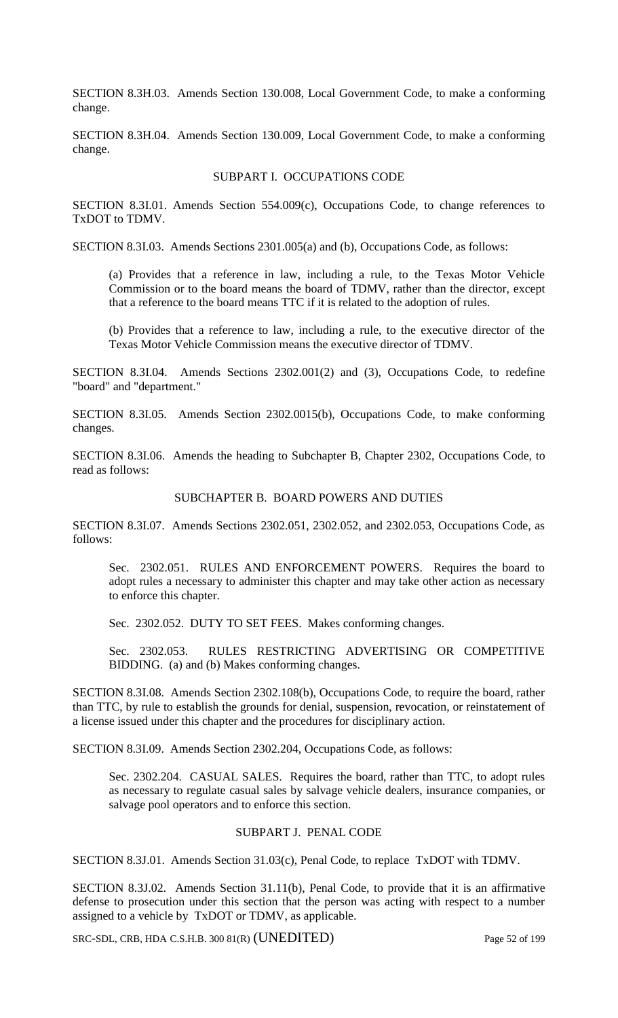SECTION 8.3H.03. Amends Section 130.008, Local Government Code, to make a conforming change.

SECTION 8.3H.04. Amends Section 130.009, Local Government Code, to make a conforming change.

### SUBPART I. OCCUPATIONS CODE

SECTION 8.3I.01. Amends Section 554.009(c), Occupations Code, to change references to TxDOT to TDMV.

SECTION 8.3I.03. Amends Sections 2301.005(a) and (b), Occupations Code, as follows:

(a) Provides that a reference in law, including a rule, to the Texas Motor Vehicle Commission or to the board means the board of TDMV, rather than the director, except that a reference to the board means TTC if it is related to the adoption of rules.

(b) Provides that a reference to law, including a rule, to the executive director of the Texas Motor Vehicle Commission means the executive director of TDMV.

SECTION 8.3I.04. Amends Sections 2302.001(2) and (3), Occupations Code, to redefine "board" and "department."

SECTION 8.3I.05. Amends Section 2302.0015(b), Occupations Code, to make conforming changes.

SECTION 8.3I.06. Amends the heading to Subchapter B, Chapter 2302, Occupations Code, to read as follows:

### SUBCHAPTER B. BOARD POWERS AND DUTIES

SECTION 8.3I.07. Amends Sections 2302.051, 2302.052, and 2302.053, Occupations Code, as follows:

Sec. 2302.051. RULES AND ENFORCEMENT POWERS. Requires the board to adopt rules a necessary to administer this chapter and may take other action as necessary to enforce this chapter.

Sec. 2302.052. DUTY TO SET FEES. Makes conforming changes.

Sec. 2302.053. RULES RESTRICTING ADVERTISING OR COMPETITIVE BIDDING. (a) and (b) Makes conforming changes.

SECTION 8.3I.08. Amends Section 2302.108(b), Occupations Code, to require the board, rather than TTC, by rule to establish the grounds for denial, suspension, revocation, or reinstatement of a license issued under this chapter and the procedures for disciplinary action.

SECTION 8.3I.09. Amends Section 2302.204, Occupations Code, as follows:

Sec. 2302.204. CASUAL SALES. Requires the board, rather than TTC, to adopt rules as necessary to regulate casual sales by salvage vehicle dealers, insurance companies, or salvage pool operators and to enforce this section.

# SUBPART J. PENAL CODE

SECTION 8.3J.01. Amends Section 31.03(c), Penal Code, to replace TxDOT with TDMV.

SECTION 8.3J.02. Amends Section 31.11(b), Penal Code, to provide that it is an affirmative defense to prosecution under this section that the person was acting with respect to a number assigned to a vehicle by TxDOT or TDMV, as applicable.

SRC-SDL, CRB, HDA C.S.H.B. 300 81(R) (UNEDITED) Page 52 of 199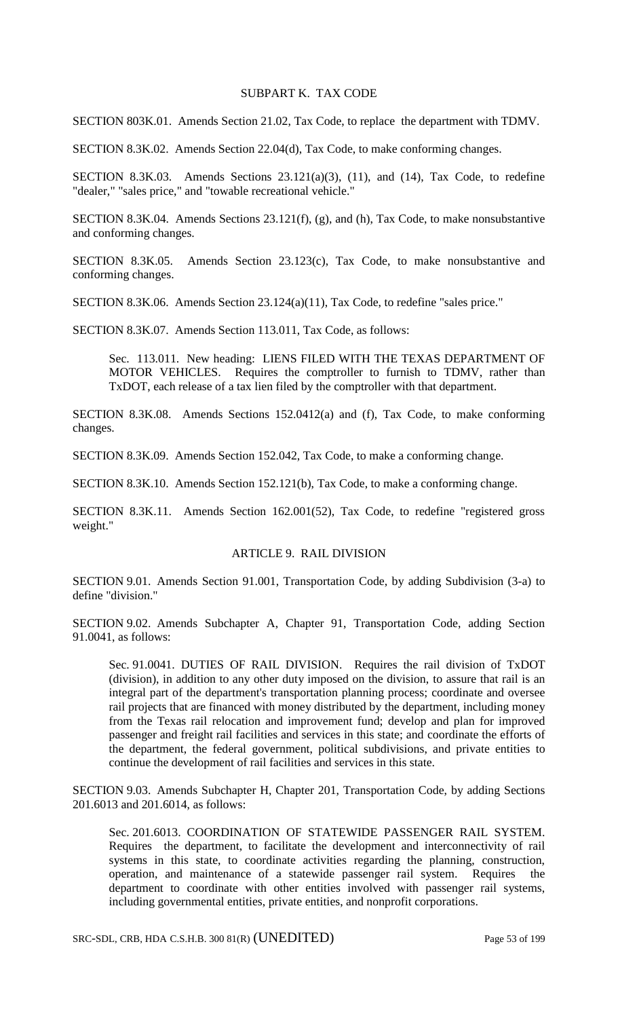## SUBPART K. TAX CODE

SECTION 803K.01. Amends Section 21.02, Tax Code, to replace the department with TDMV.

SECTION 8.3K.02. Amends Section 22.04(d), Tax Code, to make conforming changes.

SECTION 8.3K.03. Amends Sections  $23.121(a)(3)$ ,  $(11)$ , and  $(14)$ , Tax Code, to redefine "dealer," "sales price," and "towable recreational vehicle."

SECTION 8.3K.04. Amends Sections 23.121(f), (g), and (h), Tax Code, to make nonsubstantive and conforming changes.

SECTION 8.3K.05. Amends Section 23.123(c), Tax Code, to make nonsubstantive and conforming changes.

SECTION 8.3K.06. Amends Section 23.124(a)(11), Tax Code, to redefine "sales price."

SECTION 8.3K.07. Amends Section 113.011, Tax Code, as follows:

Sec. 113.011. New heading: LIENS FILED WITH THE TEXAS DEPARTMENT OF MOTOR VEHICLES. Requires the comptroller to furnish to TDMV, rather than TxDOT, each release of a tax lien filed by the comptroller with that department.

SECTION 8.3K.08. Amends Sections 152.0412(a) and (f), Tax Code, to make conforming changes.

SECTION 8.3K.09. Amends Section 152.042, Tax Code, to make a conforming change.

SECTION 8.3K.10. Amends Section 152.121(b), Tax Code, to make a conforming change.

SECTION 8.3K.11. Amends Section 162.001(52), Tax Code, to redefine "registered gross weight."

### ARTICLE 9. RAIL DIVISION

SECTION 9.01. Amends Section 91.001, Transportation Code, by adding Subdivision (3-a) to define "division."

SECTION 9.02. Amends Subchapter A, Chapter 91, Transportation Code, adding Section 91.0041, as follows:

Sec. 91.0041. DUTIES OF RAIL DIVISION. Requires the rail division of TxDOT (division), in addition to any other duty imposed on the division, to assure that rail is an integral part of the department's transportation planning process; coordinate and oversee rail projects that are financed with money distributed by the department, including money from the Texas rail relocation and improvement fund; develop and plan for improved passenger and freight rail facilities and services in this state; and coordinate the efforts of the department, the federal government, political subdivisions, and private entities to continue the development of rail facilities and services in this state.

SECTION 9.03. Amends Subchapter H, Chapter 201, Transportation Code, by adding Sections 201.6013 and 201.6014, as follows:

Sec. 201.6013. COORDINATION OF STATEWIDE PASSENGER RAIL SYSTEM. Requires the department, to facilitate the development and interconnectivity of rail systems in this state, to coordinate activities regarding the planning, construction, operation, and maintenance of a statewide passenger rail system. Requires the department to coordinate with other entities involved with passenger rail systems, including governmental entities, private entities, and nonprofit corporations.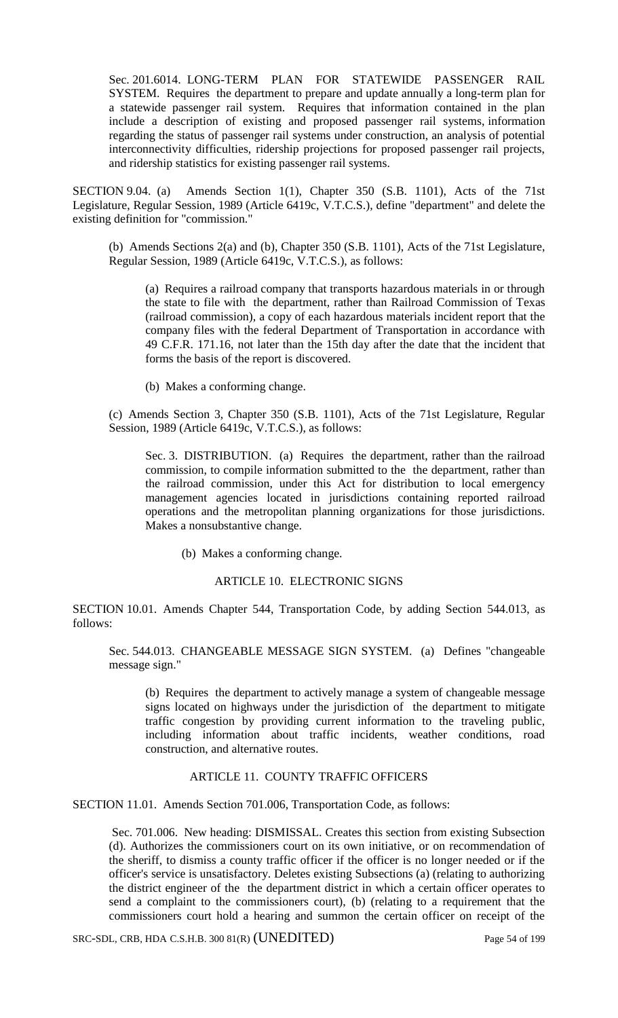Sec. 201.6014. LONG-TERM PLAN FOR STATEWIDE PASSENGER RAIL SYSTEM. Requires the department to prepare and update annually a long-term plan for a statewide passenger rail system. Requires that information contained in the plan include a description of existing and proposed passenger rail systems, information regarding the status of passenger rail systems under construction, an analysis of potential interconnectivity difficulties, ridership projections for proposed passenger rail projects, and ridership statistics for existing passenger rail systems.

SECTION 9.04. (a) Amends Section 1(1), Chapter 350 (S.B. 1101), Acts of the 71st Legislature, Regular Session, 1989 (Article 6419c, V.T.C.S.), define "department" and delete the existing definition for "commission."

(b) Amends Sections 2(a) and (b), Chapter 350 (S.B. 1101), Acts of the 71st Legislature, Regular Session, 1989 (Article 6419c, V.T.C.S.), as follows:

(a) Requires a railroad company that transports hazardous materials in or through the state to file with the department, rather than Railroad Commission of Texas (railroad commission), a copy of each hazardous materials incident report that the company files with the federal Department of Transportation in accordance with 49 C.F.R. 171.16, not later than the 15th day after the date that the incident that forms the basis of the report is discovered.

(b) Makes a conforming change.

(c) Amends Section 3, Chapter 350 (S.B. 1101), Acts of the 71st Legislature, Regular Session, 1989 (Article 6419c, V.T.C.S.), as follows:

Sec. 3. DISTRIBUTION. (a) Requires the department, rather than the railroad commission, to compile information submitted to the the department, rather than the railroad commission, under this Act for distribution to local emergency management agencies located in jurisdictions containing reported railroad operations and the metropolitan planning organizations for those jurisdictions. Makes a nonsubstantive change.

(b) Makes a conforming change.

## ARTICLE 10. ELECTRONIC SIGNS

SECTION 10.01. Amends Chapter 544, Transportation Code, by adding Section 544.013, as follows:

Sec. 544.013. CHANGEABLE MESSAGE SIGN SYSTEM. (a) Defines "changeable message sign."

(b) Requires the department to actively manage a system of changeable message signs located on highways under the jurisdiction of the department to mitigate traffic congestion by providing current information to the traveling public, including information about traffic incidents, weather conditions, road construction, and alternative routes.

### ARTICLE 11. COUNTY TRAFFIC OFFICERS

SECTION 11.01. Amends Section 701.006, Transportation Code, as follows:

Sec. 701.006. New heading: DISMISSAL. Creates this section from existing Subsection (d). Authorizes the commissioners court on its own initiative, or on recommendation of the sheriff, to dismiss a county traffic officer if the officer is no longer needed or if the officer's service is unsatisfactory. Deletes existing Subsections (a) (relating to authorizing the district engineer of the the department district in which a certain officer operates to send a complaint to the commissioners court), (b) (relating to a requirement that the commissioners court hold a hearing and summon the certain officer on receipt of the

SRC-SDL, CRB, HDA C.S.H.B. 300 81(R) (UNEDITED) Page 54 of 199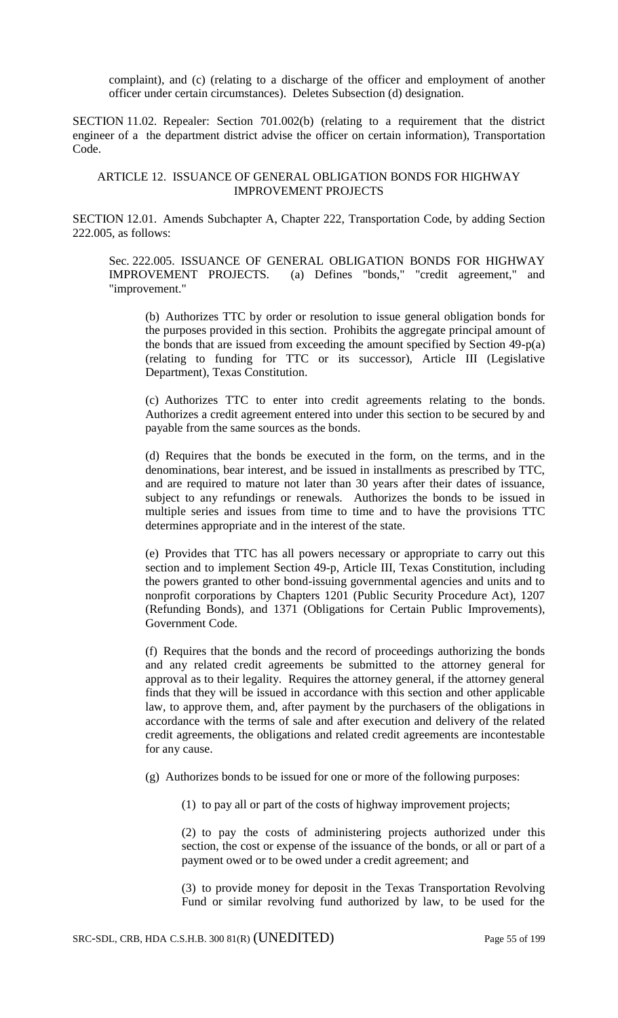complaint), and (c) (relating to a discharge of the officer and employment of another officer under certain circumstances). Deletes Subsection (d) designation.

SECTION 11.02. Repealer: Section 701.002(b) (relating to a requirement that the district engineer of a the department district advise the officer on certain information), Transportation Code.

### ARTICLE 12. ISSUANCE OF GENERAL OBLIGATION BONDS FOR HIGHWAY IMPROVEMENT PROJECTS

SECTION 12.01. Amends Subchapter A, Chapter 222, Transportation Code, by adding Section 222.005, as follows:

Sec. 222.005. ISSUANCE OF GENERAL OBLIGATION BONDS FOR HIGHWAY IMPROVEMENT PROJECTS. (a) Defines "bonds," "credit agreement," and "improvement."

(b) Authorizes TTC by order or resolution to issue general obligation bonds for the purposes provided in this section. Prohibits the aggregate principal amount of the bonds that are issued from exceeding the amount specified by Section 49-p(a) (relating to funding for TTC or its successor), Article III (Legislative Department), Texas Constitution.

(c) Authorizes TTC to enter into credit agreements relating to the bonds. Authorizes a credit agreement entered into under this section to be secured by and payable from the same sources as the bonds.

(d) Requires that the bonds be executed in the form, on the terms, and in the denominations, bear interest, and be issued in installments as prescribed by TTC, and are required to mature not later than 30 years after their dates of issuance, subject to any refundings or renewals. Authorizes the bonds to be issued in multiple series and issues from time to time and to have the provisions TTC determines appropriate and in the interest of the state.

(e) Provides that TTC has all powers necessary or appropriate to carry out this section and to implement Section 49-p, Article III, Texas Constitution, including the powers granted to other bond-issuing governmental agencies and units and to nonprofit corporations by Chapters 1201 (Public Security Procedure Act), 1207 (Refunding Bonds), and 1371 (Obligations for Certain Public Improvements), Government Code.

(f) Requires that the bonds and the record of proceedings authorizing the bonds and any related credit agreements be submitted to the attorney general for approval as to their legality. Requires the attorney general, if the attorney general finds that they will be issued in accordance with this section and other applicable law, to approve them, and, after payment by the purchasers of the obligations in accordance with the terms of sale and after execution and delivery of the related credit agreements, the obligations and related credit agreements are incontestable for any cause.

(g) Authorizes bonds to be issued for one or more of the following purposes:

(1) to pay all or part of the costs of highway improvement projects;

(2) to pay the costs of administering projects authorized under this section, the cost or expense of the issuance of the bonds, or all or part of a payment owed or to be owed under a credit agreement; and

(3) to provide money for deposit in the Texas Transportation Revolving Fund or similar revolving fund authorized by law, to be used for the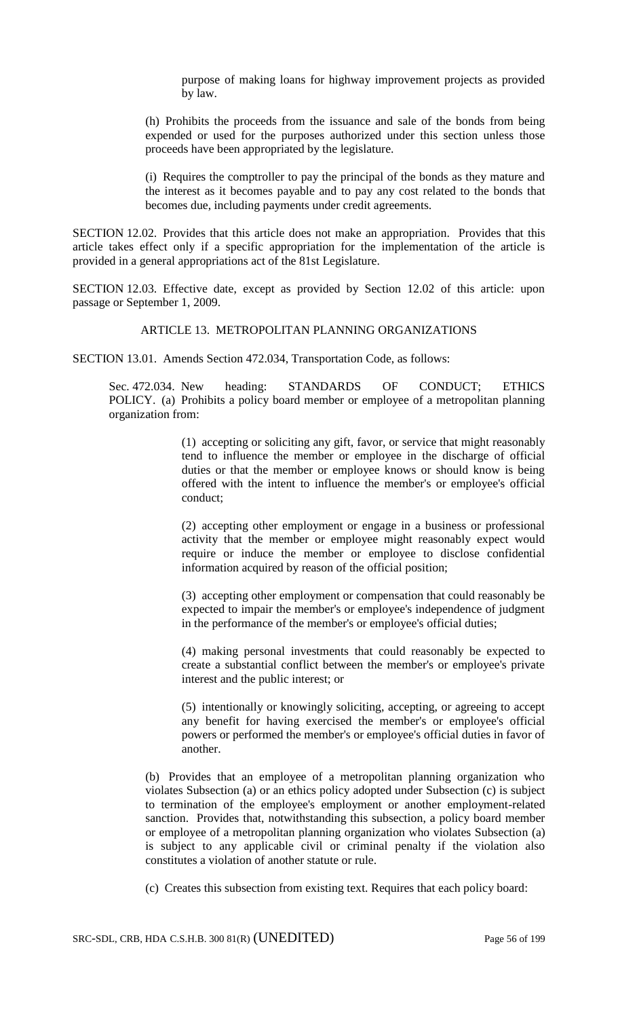purpose of making loans for highway improvement projects as provided by law.

(h) Prohibits the proceeds from the issuance and sale of the bonds from being expended or used for the purposes authorized under this section unless those proceeds have been appropriated by the legislature.

(i) Requires the comptroller to pay the principal of the bonds as they mature and the interest as it becomes payable and to pay any cost related to the bonds that becomes due, including payments under credit agreements.

SECTION 12.02. Provides that this article does not make an appropriation. Provides that this article takes effect only if a specific appropriation for the implementation of the article is provided in a general appropriations act of the 81st Legislature.

SECTION 12.03. Effective date, except as provided by Section 12.02 of this article: upon passage or September 1, 2009.

# ARTICLE 13. METROPOLITAN PLANNING ORGANIZATIONS

SECTION 13.01. Amends Section 472.034, Transportation Code, as follows:

Sec. 472.034. New heading: STANDARDS OF CONDUCT; ETHICS POLICY. (a) Prohibits a policy board member or employee of a metropolitan planning organization from:

> (1) accepting or soliciting any gift, favor, or service that might reasonably tend to influence the member or employee in the discharge of official duties or that the member or employee knows or should know is being offered with the intent to influence the member's or employee's official conduct;

> (2) accepting other employment or engage in a business or professional activity that the member or employee might reasonably expect would require or induce the member or employee to disclose confidential information acquired by reason of the official position;

> (3) accepting other employment or compensation that could reasonably be expected to impair the member's or employee's independence of judgment in the performance of the member's or employee's official duties;

> (4) making personal investments that could reasonably be expected to create a substantial conflict between the member's or employee's private interest and the public interest; or

> (5) intentionally or knowingly soliciting, accepting, or agreeing to accept any benefit for having exercised the member's or employee's official powers or performed the member's or employee's official duties in favor of another.

(b) Provides that an employee of a metropolitan planning organization who violates Subsection (a) or an ethics policy adopted under Subsection (c) is subject to termination of the employee's employment or another employment-related sanction. Provides that, notwithstanding this subsection, a policy board member or employee of a metropolitan planning organization who violates Subsection (a) is subject to any applicable civil or criminal penalty if the violation also constitutes a violation of another statute or rule.

(c) Creates this subsection from existing text. Requires that each policy board: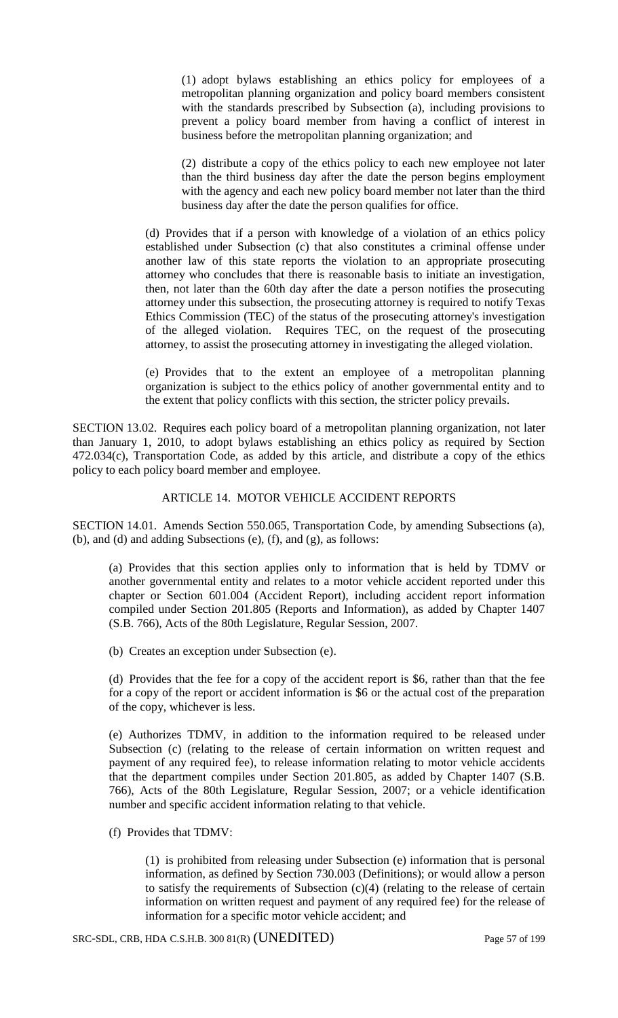(1) adopt bylaws establishing an ethics policy for employees of a metropolitan planning organization and policy board members consistent with the standards prescribed by Subsection (a), including provisions to prevent a policy board member from having a conflict of interest in business before the metropolitan planning organization; and

(2) distribute a copy of the ethics policy to each new employee not later than the third business day after the date the person begins employment with the agency and each new policy board member not later than the third business day after the date the person qualifies for office.

(d) Provides that if a person with knowledge of a violation of an ethics policy established under Subsection (c) that also constitutes a criminal offense under another law of this state reports the violation to an appropriate prosecuting attorney who concludes that there is reasonable basis to initiate an investigation, then, not later than the 60th day after the date a person notifies the prosecuting attorney under this subsection, the prosecuting attorney is required to notify Texas Ethics Commission (TEC) of the status of the prosecuting attorney's investigation of the alleged violation. Requires TEC, on the request of the prosecuting attorney, to assist the prosecuting attorney in investigating the alleged violation.

(e) Provides that to the extent an employee of a metropolitan planning organization is subject to the ethics policy of another governmental entity and to the extent that policy conflicts with this section, the stricter policy prevails.

SECTION 13.02. Requires each policy board of a metropolitan planning organization, not later than January 1, 2010, to adopt bylaws establishing an ethics policy as required by Section 472.034(c), Transportation Code, as added by this article, and distribute a copy of the ethics policy to each policy board member and employee.

## ARTICLE 14. MOTOR VEHICLE ACCIDENT REPORTS

SECTION 14.01. Amends Section 550.065, Transportation Code, by amending Subsections (a), (b), and (d) and adding Subsections (e), (f), and (g), as follows:

(a) Provides that this section applies only to information that is held by TDMV or another governmental entity and relates to a motor vehicle accident reported under this chapter or Section 601.004 (Accident Report), including accident report information compiled under Section 201.805 (Reports and Information), as added by Chapter 1407 (S.B. 766), Acts of the 80th Legislature, Regular Session, 2007.

(b) Creates an exception under Subsection (e).

(d) Provides that the fee for a copy of the accident report is \$6, rather than that the fee for a copy of the report or accident information is \$6 or the actual cost of the preparation of the copy, whichever is less.

(e) Authorizes TDMV, in addition to the information required to be released under Subsection (c) (relating to the release of certain information on written request and payment of any required fee), to release information relating to motor vehicle accidents that the department compiles under Section 201.805, as added by Chapter 1407 (S.B. 766), Acts of the 80th Legislature, Regular Session, 2007; or a vehicle identification number and specific accident information relating to that vehicle.

(f) Provides that TDMV:

(1) is prohibited from releasing under Subsection (e) information that is personal information, as defined by Section 730.003 (Definitions); or would allow a person to satisfy the requirements of Subsection (c)(4) (relating to the release of certain information on written request and payment of any required fee) for the release of information for a specific motor vehicle accident; and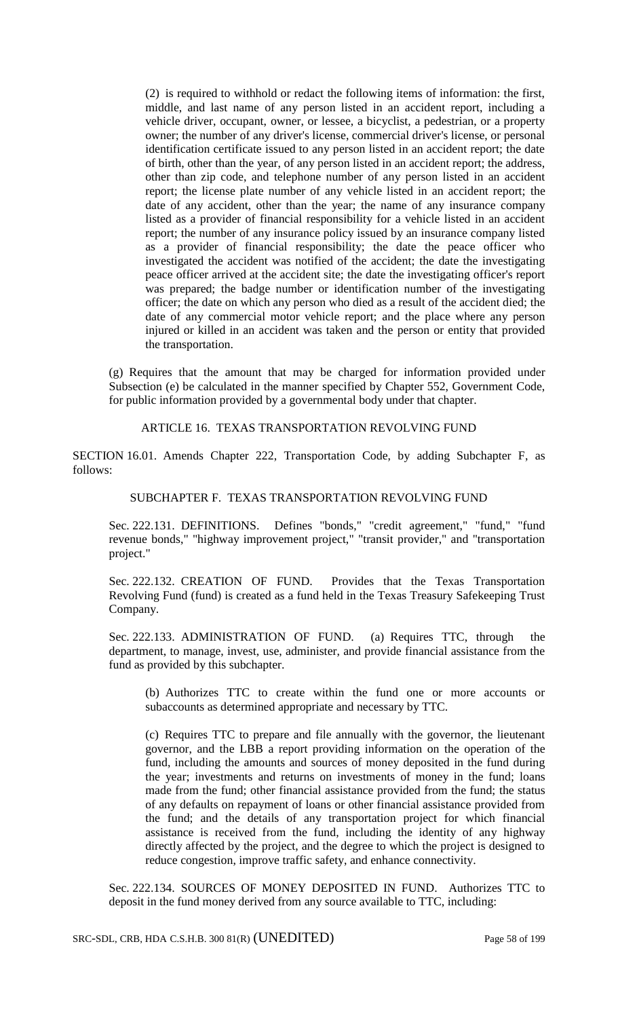(2) is required to withhold or redact the following items of information: the first, middle, and last name of any person listed in an accident report, including a vehicle driver, occupant, owner, or lessee, a bicyclist, a pedestrian, or a property owner; the number of any driver's license, commercial driver's license, or personal identification certificate issued to any person listed in an accident report; the date of birth, other than the year, of any person listed in an accident report; the address, other than zip code, and telephone number of any person listed in an accident report; the license plate number of any vehicle listed in an accident report; the date of any accident, other than the year; the name of any insurance company listed as a provider of financial responsibility for a vehicle listed in an accident report; the number of any insurance policy issued by an insurance company listed as a provider of financial responsibility; the date the peace officer who investigated the accident was notified of the accident; the date the investigating peace officer arrived at the accident site; the date the investigating officer's report was prepared; the badge number or identification number of the investigating officer; the date on which any person who died as a result of the accident died; the date of any commercial motor vehicle report; and the place where any person injured or killed in an accident was taken and the person or entity that provided the transportation.

(g) Requires that the amount that may be charged for information provided under Subsection (e) be calculated in the manner specified by Chapter 552, Government Code, for public information provided by a governmental body under that chapter.

# ARTICLE 16. TEXAS TRANSPORTATION REVOLVING FUND

SECTION 16.01. Amends Chapter 222, Transportation Code, by adding Subchapter F, as follows:

### SUBCHAPTER F. TEXAS TRANSPORTATION REVOLVING FUND

Sec. 222.131. DEFINITIONS. Defines "bonds," "credit agreement," "fund," "fund revenue bonds," "highway improvement project," "transit provider," and "transportation project."

Sec. 222.132. CREATION OF FUND. Provides that the Texas Transportation Revolving Fund (fund) is created as a fund held in the Texas Treasury Safekeeping Trust Company.

Sec. 222.133. ADMINISTRATION OF FUND. (a) Requires TTC, through the department, to manage, invest, use, administer, and provide financial assistance from the fund as provided by this subchapter.

(b) Authorizes TTC to create within the fund one or more accounts or subaccounts as determined appropriate and necessary by TTC.

(c) Requires TTC to prepare and file annually with the governor, the lieutenant governor, and the LBB a report providing information on the operation of the fund, including the amounts and sources of money deposited in the fund during the year; investments and returns on investments of money in the fund; loans made from the fund; other financial assistance provided from the fund; the status of any defaults on repayment of loans or other financial assistance provided from the fund; and the details of any transportation project for which financial assistance is received from the fund, including the identity of any highway directly affected by the project, and the degree to which the project is designed to reduce congestion, improve traffic safety, and enhance connectivity.

Sec. 222.134. SOURCES OF MONEY DEPOSITED IN FUND. Authorizes TTC to deposit in the fund money derived from any source available to TTC, including: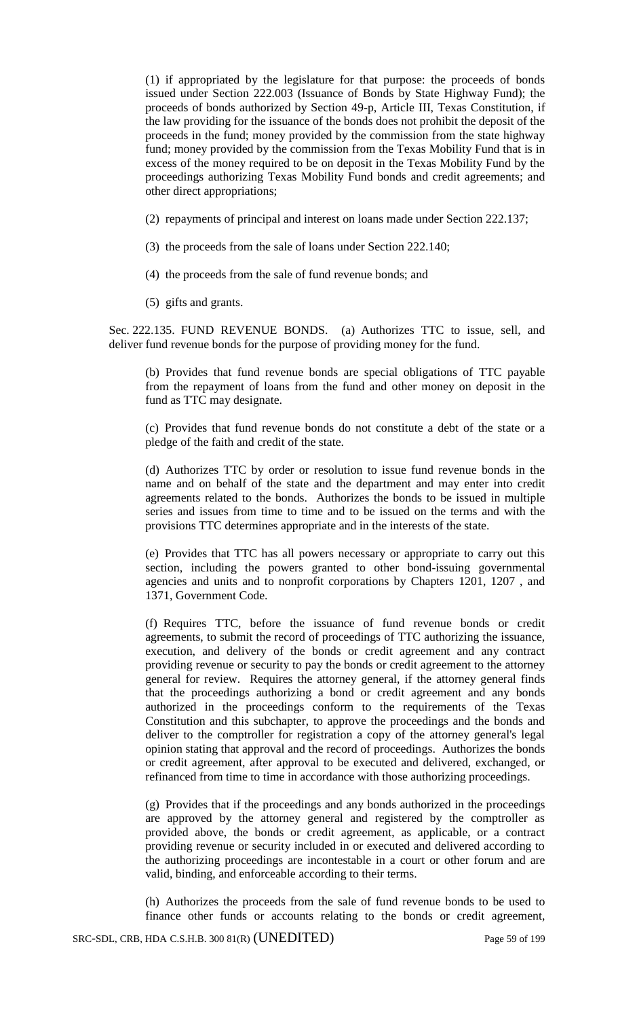(1) if appropriated by the legislature for that purpose: the proceeds of bonds issued under Section 222.003 (Issuance of Bonds by State Highway Fund); the proceeds of bonds authorized by Section 49-p, Article III, Texas Constitution, if the law providing for the issuance of the bonds does not prohibit the deposit of the proceeds in the fund; money provided by the commission from the state highway fund; money provided by the commission from the Texas Mobility Fund that is in excess of the money required to be on deposit in the Texas Mobility Fund by the proceedings authorizing Texas Mobility Fund bonds and credit agreements; and other direct appropriations;

- (2) repayments of principal and interest on loans made under Section 222.137;
- (3) the proceeds from the sale of loans under Section 222.140;
- (4) the proceeds from the sale of fund revenue bonds; and
- (5) gifts and grants.

Sec. 222.135. FUND REVENUE BONDS. (a) Authorizes TTC to issue, sell, and deliver fund revenue bonds for the purpose of providing money for the fund.

(b) Provides that fund revenue bonds are special obligations of TTC payable from the repayment of loans from the fund and other money on deposit in the fund as TTC may designate.

(c) Provides that fund revenue bonds do not constitute a debt of the state or a pledge of the faith and credit of the state.

(d) Authorizes TTC by order or resolution to issue fund revenue bonds in the name and on behalf of the state and the department and may enter into credit agreements related to the bonds. Authorizes the bonds to be issued in multiple series and issues from time to time and to be issued on the terms and with the provisions TTC determines appropriate and in the interests of the state.

(e) Provides that TTC has all powers necessary or appropriate to carry out this section, including the powers granted to other bond-issuing governmental agencies and units and to nonprofit corporations by Chapters 1201, 1207 , and 1371, Government Code.

(f) Requires TTC, before the issuance of fund revenue bonds or credit agreements, to submit the record of proceedings of TTC authorizing the issuance, execution, and delivery of the bonds or credit agreement and any contract providing revenue or security to pay the bonds or credit agreement to the attorney general for review. Requires the attorney general, if the attorney general finds that the proceedings authorizing a bond or credit agreement and any bonds authorized in the proceedings conform to the requirements of the Texas Constitution and this subchapter, to approve the proceedings and the bonds and deliver to the comptroller for registration a copy of the attorney general's legal opinion stating that approval and the record of proceedings. Authorizes the bonds or credit agreement, after approval to be executed and delivered, exchanged, or refinanced from time to time in accordance with those authorizing proceedings.

(g) Provides that if the proceedings and any bonds authorized in the proceedings are approved by the attorney general and registered by the comptroller as provided above, the bonds or credit agreement, as applicable, or a contract providing revenue or security included in or executed and delivered according to the authorizing proceedings are incontestable in a court or other forum and are valid, binding, and enforceable according to their terms.

(h) Authorizes the proceeds from the sale of fund revenue bonds to be used to finance other funds or accounts relating to the bonds or credit agreement,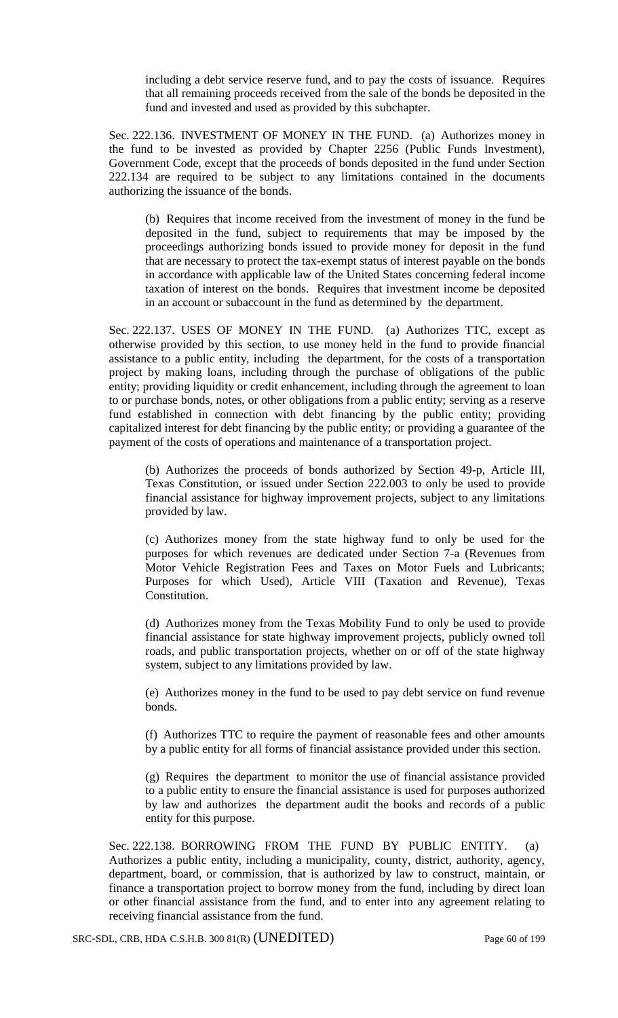including a debt service reserve fund, and to pay the costs of issuance. Requires that all remaining proceeds received from the sale of the bonds be deposited in the fund and invested and used as provided by this subchapter.

Sec. 222.136. INVESTMENT OF MONEY IN THE FUND. (a) Authorizes money in the fund to be invested as provided by Chapter 2256 (Public Funds Investment), Government Code, except that the proceeds of bonds deposited in the fund under Section 222.134 are required to be subject to any limitations contained in the documents authorizing the issuance of the bonds.

(b) Requires that income received from the investment of money in the fund be deposited in the fund, subject to requirements that may be imposed by the proceedings authorizing bonds issued to provide money for deposit in the fund that are necessary to protect the tax-exempt status of interest payable on the bonds in accordance with applicable law of the United States concerning federal income taxation of interest on the bonds. Requires that investment income be deposited in an account or subaccount in the fund as determined by the department.

Sec. 222.137. USES OF MONEY IN THE FUND. (a) Authorizes TTC, except as otherwise provided by this section, to use money held in the fund to provide financial assistance to a public entity, including the department, for the costs of a transportation project by making loans, including through the purchase of obligations of the public entity; providing liquidity or credit enhancement, including through the agreement to loan to or purchase bonds, notes, or other obligations from a public entity; serving as a reserve fund established in connection with debt financing by the public entity; providing capitalized interest for debt financing by the public entity; or providing a guarantee of the payment of the costs of operations and maintenance of a transportation project.

(b) Authorizes the proceeds of bonds authorized by Section 49-p, Article III, Texas Constitution, or issued under Section 222.003 to only be used to provide financial assistance for highway improvement projects, subject to any limitations provided by law.

(c) Authorizes money from the state highway fund to only be used for the purposes for which revenues are dedicated under Section 7-a (Revenues from Motor Vehicle Registration Fees and Taxes on Motor Fuels and Lubricants; Purposes for which Used), Article VIII (Taxation and Revenue), Texas Constitution.

(d) Authorizes money from the Texas Mobility Fund to only be used to provide financial assistance for state highway improvement projects, publicly owned toll roads, and public transportation projects, whether on or off of the state highway system, subject to any limitations provided by law.

(e) Authorizes money in the fund to be used to pay debt service on fund revenue bonds.

(f) Authorizes TTC to require the payment of reasonable fees and other amounts by a public entity for all forms of financial assistance provided under this section.

(g) Requires the department to monitor the use of financial assistance provided to a public entity to ensure the financial assistance is used for purposes authorized by law and authorizes the department audit the books and records of a public entity for this purpose.

Sec. 222.138. BORROWING FROM THE FUND BY PUBLIC ENTITY. (a) Authorizes a public entity, including a municipality, county, district, authority, agency, department, board, or commission, that is authorized by law to construct, maintain, or finance a transportation project to borrow money from the fund, including by direct loan or other financial assistance from the fund, and to enter into any agreement relating to receiving financial assistance from the fund.

SRC-SDL, CRB, HDA C.S.H.B. 300 81(R) (UNEDITED) Page 60 of 199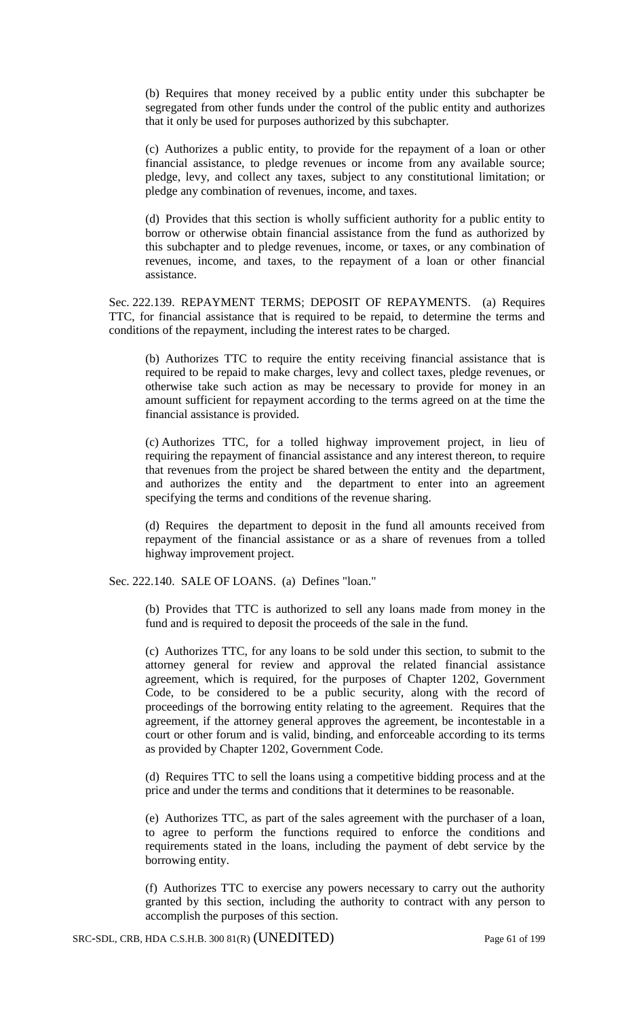(b) Requires that money received by a public entity under this subchapter be segregated from other funds under the control of the public entity and authorizes that it only be used for purposes authorized by this subchapter.

(c) Authorizes a public entity, to provide for the repayment of a loan or other financial assistance, to pledge revenues or income from any available source; pledge, levy, and collect any taxes, subject to any constitutional limitation; or pledge any combination of revenues, income, and taxes.

(d) Provides that this section is wholly sufficient authority for a public entity to borrow or otherwise obtain financial assistance from the fund as authorized by this subchapter and to pledge revenues, income, or taxes, or any combination of revenues, income, and taxes, to the repayment of a loan or other financial assistance.

Sec. 222.139. REPAYMENT TERMS; DEPOSIT OF REPAYMENTS. (a) Requires TTC, for financial assistance that is required to be repaid, to determine the terms and conditions of the repayment, including the interest rates to be charged.

(b) Authorizes TTC to require the entity receiving financial assistance that is required to be repaid to make charges, levy and collect taxes, pledge revenues, or otherwise take such action as may be necessary to provide for money in an amount sufficient for repayment according to the terms agreed on at the time the financial assistance is provided.

(c) Authorizes TTC, for a tolled highway improvement project, in lieu of requiring the repayment of financial assistance and any interest thereon, to require that revenues from the project be shared between the entity and the department, and authorizes the entity and the department to enter into an agreement specifying the terms and conditions of the revenue sharing.

(d) Requires the department to deposit in the fund all amounts received from repayment of the financial assistance or as a share of revenues from a tolled highway improvement project.

Sec. 222.140. SALE OF LOANS. (a) Defines "loan."

(b) Provides that TTC is authorized to sell any loans made from money in the fund and is required to deposit the proceeds of the sale in the fund.

(c) Authorizes TTC, for any loans to be sold under this section, to submit to the attorney general for review and approval the related financial assistance agreement, which is required, for the purposes of Chapter 1202, Government Code, to be considered to be a public security, along with the record of proceedings of the borrowing entity relating to the agreement. Requires that the agreement, if the attorney general approves the agreement, be incontestable in a court or other forum and is valid, binding, and enforceable according to its terms as provided by Chapter 1202, Government Code.

(d) Requires TTC to sell the loans using a competitive bidding process and at the price and under the terms and conditions that it determines to be reasonable.

(e) Authorizes TTC, as part of the sales agreement with the purchaser of a loan, to agree to perform the functions required to enforce the conditions and requirements stated in the loans, including the payment of debt service by the borrowing entity.

(f) Authorizes TTC to exercise any powers necessary to carry out the authority granted by this section, including the authority to contract with any person to accomplish the purposes of this section.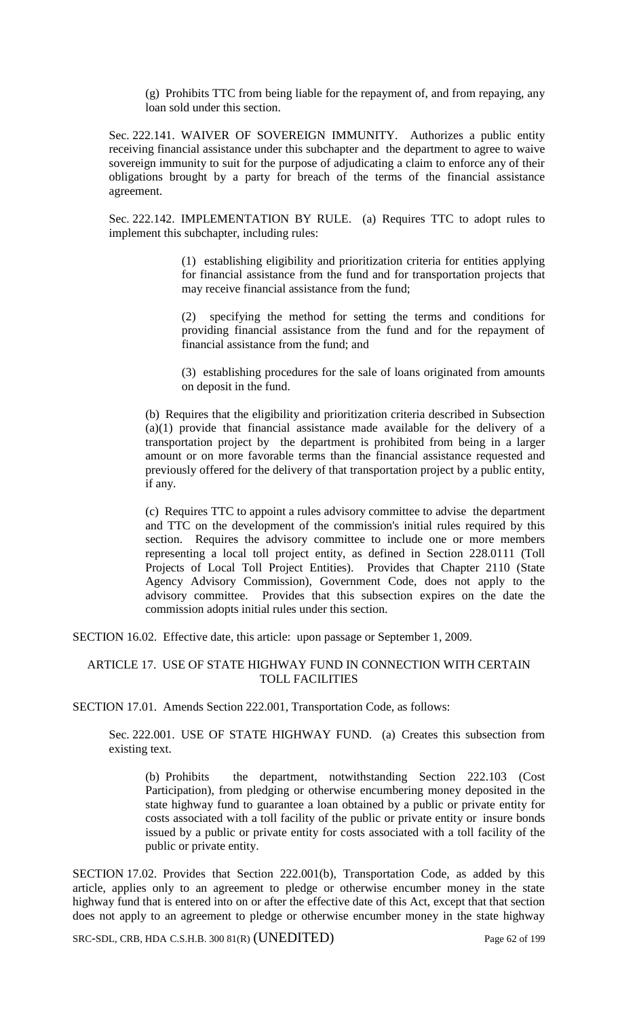(g) Prohibits TTC from being liable for the repayment of, and from repaying, any loan sold under this section.

Sec. 222.141. WAIVER OF SOVEREIGN IMMUNITY. Authorizes a public entity receiving financial assistance under this subchapter and the department to agree to waive sovereign immunity to suit for the purpose of adjudicating a claim to enforce any of their obligations brought by a party for breach of the terms of the financial assistance agreement.

Sec. 222.142. IMPLEMENTATION BY RULE. (a) Requires TTC to adopt rules to implement this subchapter, including rules:

> (1) establishing eligibility and prioritization criteria for entities applying for financial assistance from the fund and for transportation projects that may receive financial assistance from the fund;

> (2) specifying the method for setting the terms and conditions for providing financial assistance from the fund and for the repayment of financial assistance from the fund; and

> (3) establishing procedures for the sale of loans originated from amounts on deposit in the fund.

(b) Requires that the eligibility and prioritization criteria described in Subsection (a)(1) provide that financial assistance made available for the delivery of a transportation project by the department is prohibited from being in a larger amount or on more favorable terms than the financial assistance requested and previously offered for the delivery of that transportation project by a public entity, if any.

(c) Requires TTC to appoint a rules advisory committee to advise the department and TTC on the development of the commission's initial rules required by this section. Requires the advisory committee to include one or more members representing a local toll project entity, as defined in Section 228.0111 (Toll Projects of Local Toll Project Entities). Provides that Chapter 2110 (State Agency Advisory Commission), Government Code, does not apply to the advisory committee. Provides that this subsection expires on the date the commission adopts initial rules under this section.

SECTION 16.02. Effective date, this article: upon passage or September 1, 2009.

## ARTICLE 17. USE OF STATE HIGHWAY FUND IN CONNECTION WITH CERTAIN TOLL FACILITIES

SECTION 17.01. Amends Section 222.001, Transportation Code, as follows:

Sec. 222.001. USE OF STATE HIGHWAY FUND. (a) Creates this subsection from existing text.

(b) Prohibits the department, notwithstanding Section 222.103 (Cost Participation), from pledging or otherwise encumbering money deposited in the state highway fund to guarantee a loan obtained by a public or private entity for costs associated with a toll facility of the public or private entity or insure bonds issued by a public or private entity for costs associated with a toll facility of the public or private entity.

SECTION 17.02. Provides that Section 222.001(b), Transportation Code, as added by this article, applies only to an agreement to pledge or otherwise encumber money in the state highway fund that is entered into on or after the effective date of this Act, except that that section does not apply to an agreement to pledge or otherwise encumber money in the state highway

SRC-SDL, CRB, HDA C.S.H.B. 300 81(R) (UNEDITED) Page 62 of 199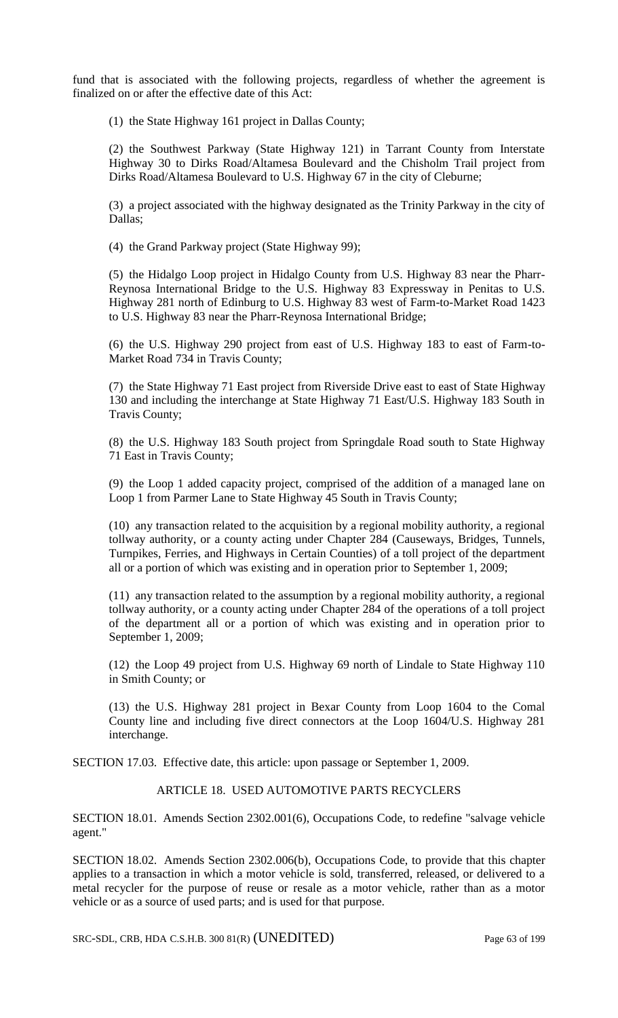fund that is associated with the following projects, regardless of whether the agreement is finalized on or after the effective date of this Act:

(1) the State Highway 161 project in Dallas County;

(2) the Southwest Parkway (State Highway 121) in Tarrant County from Interstate Highway 30 to Dirks Road/Altamesa Boulevard and the Chisholm Trail project from Dirks Road/Altamesa Boulevard to U.S. Highway 67 in the city of Cleburne;

(3) a project associated with the highway designated as the Trinity Parkway in the city of Dallas;

(4) the Grand Parkway project (State Highway 99);

(5) the Hidalgo Loop project in Hidalgo County from U.S. Highway 83 near the Pharr-Reynosa International Bridge to the U.S. Highway 83 Expressway in Penitas to U.S. Highway 281 north of Edinburg to U.S. Highway 83 west of Farm-to-Market Road 1423 to U.S. Highway 83 near the Pharr-Reynosa International Bridge;

(6) the U.S. Highway 290 project from east of U.S. Highway 183 to east of Farm-to-Market Road 734 in Travis County;

(7) the State Highway 71 East project from Riverside Drive east to east of State Highway 130 and including the interchange at State Highway 71 East/U.S. Highway 183 South in Travis County;

(8) the U.S. Highway 183 South project from Springdale Road south to State Highway 71 East in Travis County;

(9) the Loop 1 added capacity project, comprised of the addition of a managed lane on Loop 1 from Parmer Lane to State Highway 45 South in Travis County;

(10) any transaction related to the acquisition by a regional mobility authority, a regional tollway authority, or a county acting under Chapter 284 (Causeways, Bridges, Tunnels, Turnpikes, Ferries, and Highways in Certain Counties) of a toll project of the department all or a portion of which was existing and in operation prior to September 1, 2009;

(11) any transaction related to the assumption by a regional mobility authority, a regional tollway authority, or a county acting under Chapter 284 of the operations of a toll project of the department all or a portion of which was existing and in operation prior to September 1, 2009;

(12) the Loop 49 project from U.S. Highway 69 north of Lindale to State Highway 110 in Smith County; or

(13) the U.S. Highway 281 project in Bexar County from Loop 1604 to the Comal County line and including five direct connectors at the Loop 1604/U.S. Highway 281 interchange.

SECTION 17.03. Effective date, this article: upon passage or September 1, 2009.

### ARTICLE 18. USED AUTOMOTIVE PARTS RECYCLERS

SECTION 18.01. Amends Section 2302.001(6), Occupations Code, to redefine "salvage vehicle agent."

SECTION 18.02. Amends Section 2302.006(b), Occupations Code, to provide that this chapter applies to a transaction in which a motor vehicle is sold, transferred, released, or delivered to a metal recycler for the purpose of reuse or resale as a motor vehicle, rather than as a motor vehicle or as a source of used parts; and is used for that purpose.

SRC-SDL, CRB, HDA C.S.H.B. 300 81(R) (UNEDITED) Page 63 of 199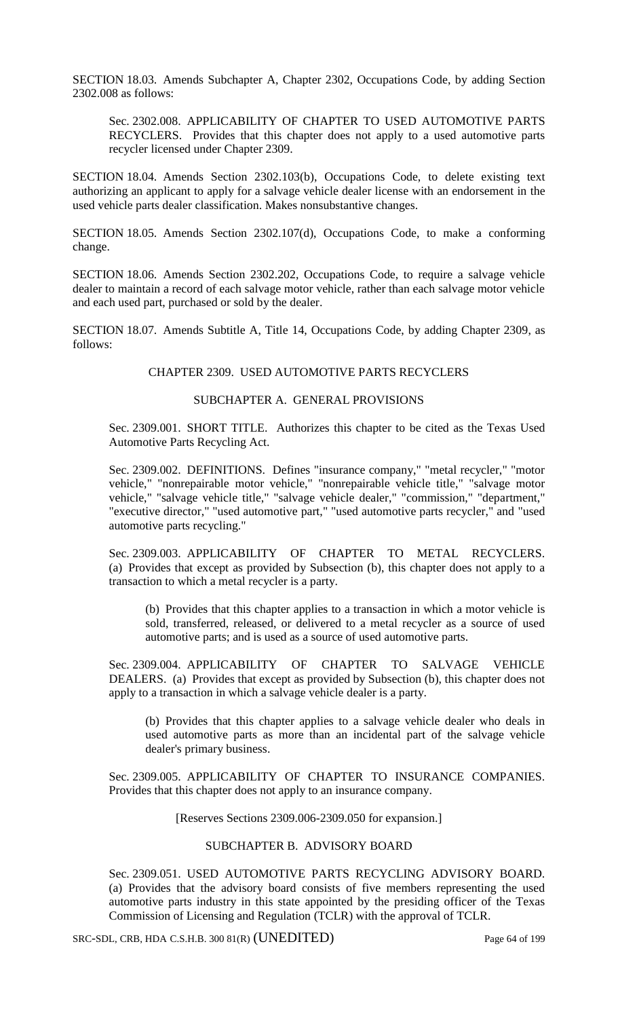SECTION 18.03. Amends Subchapter A, Chapter 2302, Occupations Code, by adding Section 2302.008 as follows:

Sec. 2302.008. APPLICABILITY OF CHAPTER TO USED AUTOMOTIVE PARTS RECYCLERS. Provides that this chapter does not apply to a used automotive parts recycler licensed under Chapter 2309.

SECTION 18.04. Amends Section 2302.103(b), Occupations Code, to delete existing text authorizing an applicant to apply for a salvage vehicle dealer license with an endorsement in the used vehicle parts dealer classification. Makes nonsubstantive changes.

SECTION 18.05. Amends Section 2302.107(d), Occupations Code, to make a conforming change.

SECTION 18.06. Amends Section 2302.202, Occupations Code, to require a salvage vehicle dealer to maintain a record of each salvage motor vehicle, rather than each salvage motor vehicle and each used part, purchased or sold by the dealer.

SECTION 18.07. Amends Subtitle A, Title 14, Occupations Code, by adding Chapter 2309, as follows:

### CHAPTER 2309. USED AUTOMOTIVE PARTS RECYCLERS

# SUBCHAPTER A. GENERAL PROVISIONS

Sec. 2309.001. SHORT TITLE. Authorizes this chapter to be cited as the Texas Used Automotive Parts Recycling Act.

Sec. 2309.002. DEFINITIONS. Defines "insurance company," "metal recycler," "motor vehicle," "nonrepairable motor vehicle," "nonrepairable vehicle title," "salvage motor vehicle," "salvage vehicle title," "salvage vehicle dealer," "commission," "department," "executive director," "used automotive part," "used automotive parts recycler," and "used automotive parts recycling."

Sec. 2309.003. APPLICABILITY OF CHAPTER TO METAL RECYCLERS. (a) Provides that except as provided by Subsection (b), this chapter does not apply to a transaction to which a metal recycler is a party.

(b) Provides that this chapter applies to a transaction in which a motor vehicle is sold, transferred, released, or delivered to a metal recycler as a source of used automotive parts; and is used as a source of used automotive parts.

Sec. 2309.004. APPLICABILITY OF CHAPTER TO SALVAGE VEHICLE DEALERS. (a) Provides that except as provided by Subsection (b), this chapter does not apply to a transaction in which a salvage vehicle dealer is a party.

(b) Provides that this chapter applies to a salvage vehicle dealer who deals in used automotive parts as more than an incidental part of the salvage vehicle dealer's primary business.

Sec. 2309.005. APPLICABILITY OF CHAPTER TO INSURANCE COMPANIES. Provides that this chapter does not apply to an insurance company.

[Reserves Sections 2309.006-2309.050 for expansion.]

### SUBCHAPTER B. ADVISORY BOARD

Sec. 2309.051. USED AUTOMOTIVE PARTS RECYCLING ADVISORY BOARD. (a) Provides that the advisory board consists of five members representing the used automotive parts industry in this state appointed by the presiding officer of the Texas Commission of Licensing and Regulation (TCLR) with the approval of TCLR.

SRC-SDL, CRB, HDA C.S.H.B. 300 81(R) (UNEDITED) Page 64 of 199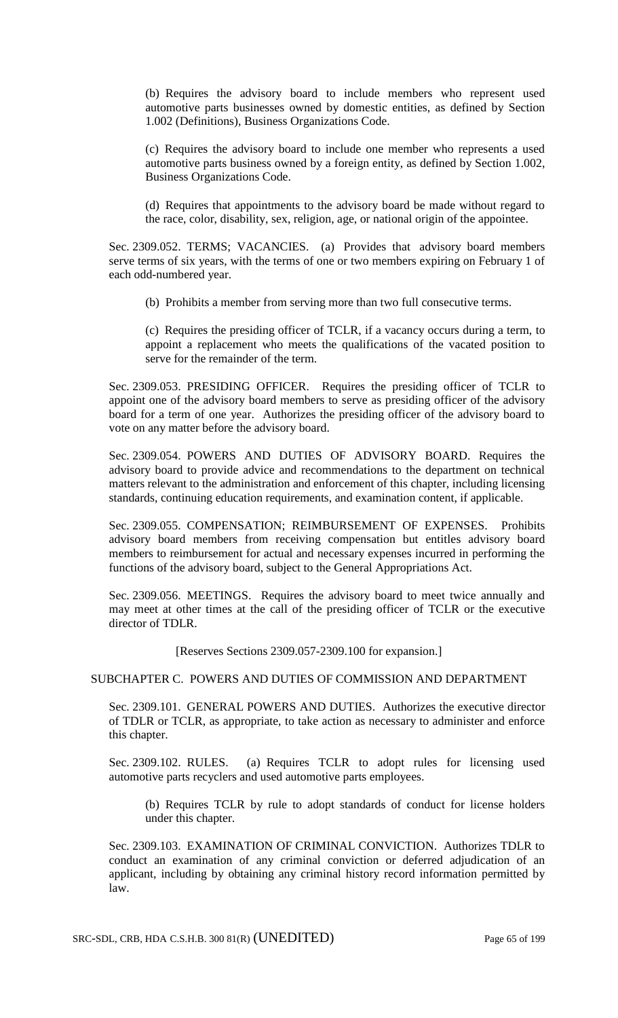(b) Requires the advisory board to include members who represent used automotive parts businesses owned by domestic entities, as defined by Section 1.002 (Definitions), Business Organizations Code.

(c) Requires the advisory board to include one member who represents a used automotive parts business owned by a foreign entity, as defined by Section 1.002, Business Organizations Code.

(d) Requires that appointments to the advisory board be made without regard to the race, color, disability, sex, religion, age, or national origin of the appointee.

Sec. 2309.052. TERMS; VACANCIES. (a) Provides that advisory board members serve terms of six years, with the terms of one or two members expiring on February 1 of each odd-numbered year.

(b) Prohibits a member from serving more than two full consecutive terms.

(c) Requires the presiding officer of TCLR, if a vacancy occurs during a term, to appoint a replacement who meets the qualifications of the vacated position to serve for the remainder of the term.

Sec. 2309.053. PRESIDING OFFICER. Requires the presiding officer of TCLR to appoint one of the advisory board members to serve as presiding officer of the advisory board for a term of one year. Authorizes the presiding officer of the advisory board to vote on any matter before the advisory board.

Sec. 2309.054. POWERS AND DUTIES OF ADVISORY BOARD. Requires the advisory board to provide advice and recommendations to the department on technical matters relevant to the administration and enforcement of this chapter, including licensing standards, continuing education requirements, and examination content, if applicable.

Sec. 2309.055. COMPENSATION; REIMBURSEMENT OF EXPENSES. Prohibits advisory board members from receiving compensation but entitles advisory board members to reimbursement for actual and necessary expenses incurred in performing the functions of the advisory board, subject to the General Appropriations Act.

Sec. 2309.056. MEETINGS. Requires the advisory board to meet twice annually and may meet at other times at the call of the presiding officer of TCLR or the executive director of TDLR.

[Reserves Sections 2309.057-2309.100 for expansion.]

## SUBCHAPTER C. POWERS AND DUTIES OF COMMISSION AND DEPARTMENT

Sec. 2309.101. GENERAL POWERS AND DUTIES. Authorizes the executive director of TDLR or TCLR, as appropriate, to take action as necessary to administer and enforce this chapter.

Sec. 2309.102. RULES. (a) Requires TCLR to adopt rules for licensing used automotive parts recyclers and used automotive parts employees.

(b) Requires TCLR by rule to adopt standards of conduct for license holders under this chapter.

Sec. 2309.103. EXAMINATION OF CRIMINAL CONVICTION. Authorizes TDLR to conduct an examination of any criminal conviction or deferred adjudication of an applicant, including by obtaining any criminal history record information permitted by law.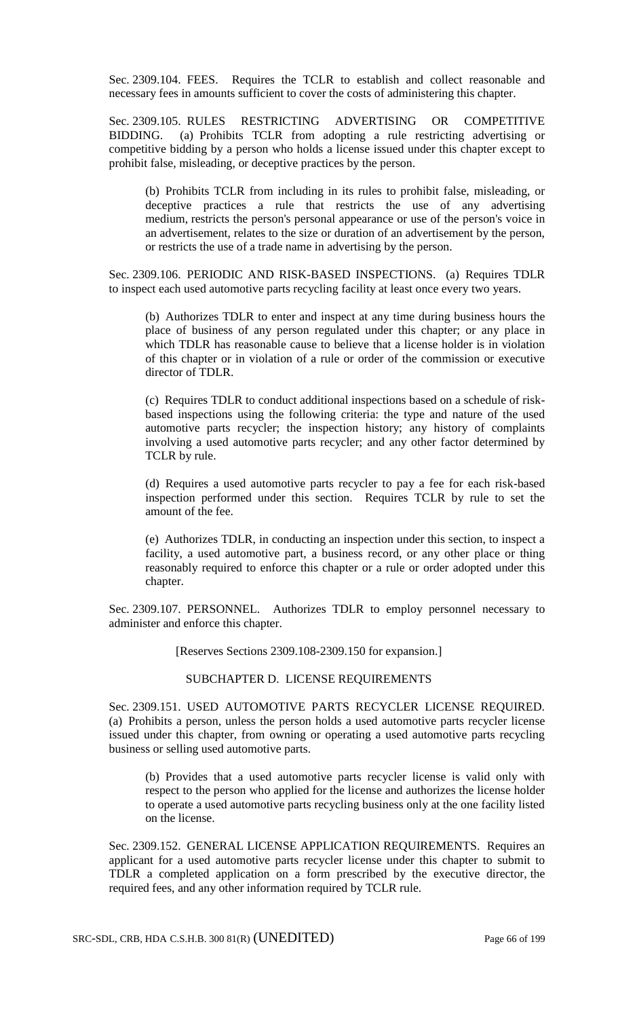Sec. 2309.104. FEES. Requires the TCLR to establish and collect reasonable and necessary fees in amounts sufficient to cover the costs of administering this chapter.

Sec. 2309.105. RULES RESTRICTING ADVERTISING OR COMPETITIVE BIDDING. (a) Prohibits TCLR from adopting a rule restricting advertising or competitive bidding by a person who holds a license issued under this chapter except to prohibit false, misleading, or deceptive practices by the person.

(b) Prohibits TCLR from including in its rules to prohibit false, misleading, or deceptive practices a rule that restricts the use of any advertising medium, restricts the person's personal appearance or use of the person's voice in an advertisement, relates to the size or duration of an advertisement by the person, or restricts the use of a trade name in advertising by the person.

Sec. 2309.106. PERIODIC AND RISK-BASED INSPECTIONS. (a) Requires TDLR to inspect each used automotive parts recycling facility at least once every two years.

(b) Authorizes TDLR to enter and inspect at any time during business hours the place of business of any person regulated under this chapter; or any place in which TDLR has reasonable cause to believe that a license holder is in violation of this chapter or in violation of a rule or order of the commission or executive director of TDLR.

(c) Requires TDLR to conduct additional inspections based on a schedule of riskbased inspections using the following criteria: the type and nature of the used automotive parts recycler; the inspection history; any history of complaints involving a used automotive parts recycler; and any other factor determined by TCLR by rule.

(d) Requires a used automotive parts recycler to pay a fee for each risk-based inspection performed under this section. Requires TCLR by rule to set the amount of the fee.

(e) Authorizes TDLR, in conducting an inspection under this section, to inspect a facility, a used automotive part, a business record, or any other place or thing reasonably required to enforce this chapter or a rule or order adopted under this chapter.

Sec. 2309.107. PERSONNEL. Authorizes TDLR to employ personnel necessary to administer and enforce this chapter.

[Reserves Sections 2309.108-2309.150 for expansion.]

### SUBCHAPTER D. LICENSE REQUIREMENTS

Sec. 2309.151. USED AUTOMOTIVE PARTS RECYCLER LICENSE REQUIRED. (a) Prohibits a person, unless the person holds a used automotive parts recycler license issued under this chapter, from owning or operating a used automotive parts recycling business or selling used automotive parts.

(b) Provides that a used automotive parts recycler license is valid only with respect to the person who applied for the license and authorizes the license holder to operate a used automotive parts recycling business only at the one facility listed on the license.

Sec. 2309.152. GENERAL LICENSE APPLICATION REQUIREMENTS. Requires an applicant for a used automotive parts recycler license under this chapter to submit to TDLR a completed application on a form prescribed by the executive director, the required fees, and any other information required by TCLR rule.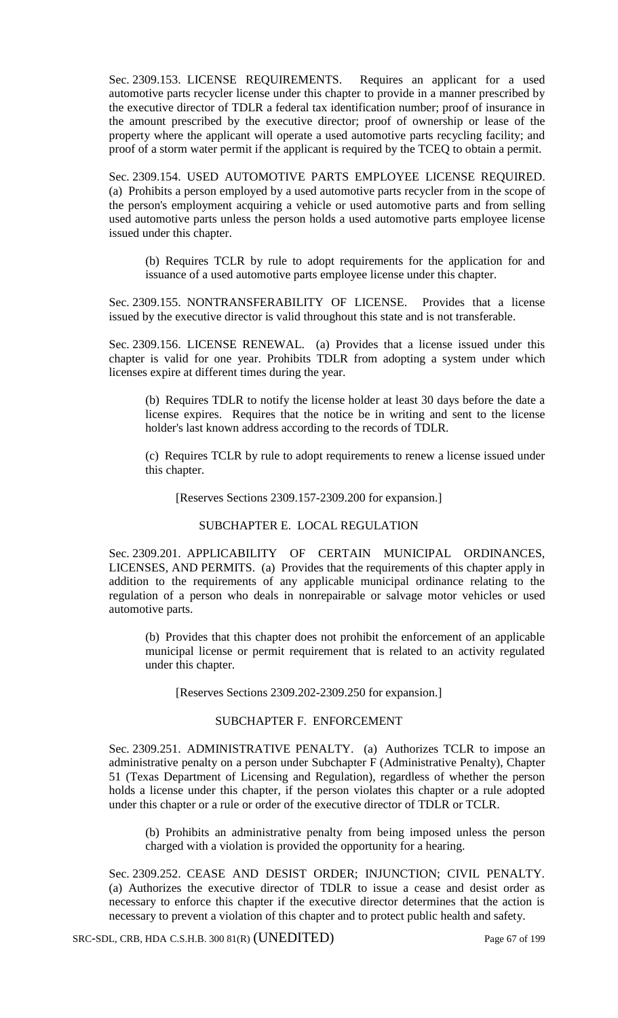Sec. 2309.153. LICENSE REQUIREMENTS. Requires an applicant for a used automotive parts recycler license under this chapter to provide in a manner prescribed by the executive director of TDLR a federal tax identification number; proof of insurance in the amount prescribed by the executive director; proof of ownership or lease of the property where the applicant will operate a used automotive parts recycling facility; and proof of a storm water permit if the applicant is required by the TCEQ to obtain a permit.

Sec. 2309.154. USED AUTOMOTIVE PARTS EMPLOYEE LICENSE REQUIRED. (a) Prohibits a person employed by a used automotive parts recycler from in the scope of the person's employment acquiring a vehicle or used automotive parts and from selling used automotive parts unless the person holds a used automotive parts employee license issued under this chapter.

(b) Requires TCLR by rule to adopt requirements for the application for and issuance of a used automotive parts employee license under this chapter.

Sec. 2309.155. NONTRANSFERABILITY OF LICENSE. Provides that a license issued by the executive director is valid throughout this state and is not transferable.

Sec. 2309.156. LICENSE RENEWAL. (a) Provides that a license issued under this chapter is valid for one year. Prohibits TDLR from adopting a system under which licenses expire at different times during the year.

(b) Requires TDLR to notify the license holder at least 30 days before the date a license expires. Requires that the notice be in writing and sent to the license holder's last known address according to the records of TDLR.

(c) Requires TCLR by rule to adopt requirements to renew a license issued under this chapter.

[Reserves Sections 2309.157-2309.200 for expansion.]

### SUBCHAPTER E. LOCAL REGULATION

Sec. 2309.201. APPLICABILITY OF CERTAIN MUNICIPAL ORDINANCES, LICENSES, AND PERMITS. (a) Provides that the requirements of this chapter apply in addition to the requirements of any applicable municipal ordinance relating to the regulation of a person who deals in nonrepairable or salvage motor vehicles or used automotive parts.

(b) Provides that this chapter does not prohibit the enforcement of an applicable municipal license or permit requirement that is related to an activity regulated under this chapter.

[Reserves Sections 2309.202-2309.250 for expansion.]

### SUBCHAPTER F. ENFORCEMENT

Sec. 2309.251. ADMINISTRATIVE PENALTY. (a) Authorizes TCLR to impose an administrative penalty on a person under Subchapter F (Administrative Penalty), Chapter 51 (Texas Department of Licensing and Regulation), regardless of whether the person holds a license under this chapter, if the person violates this chapter or a rule adopted under this chapter or a rule or order of the executive director of TDLR or TCLR.

(b) Prohibits an administrative penalty from being imposed unless the person charged with a violation is provided the opportunity for a hearing.

Sec. 2309.252. CEASE AND DESIST ORDER; INJUNCTION; CIVIL PENALTY. (a) Authorizes the executive director of TDLR to issue a cease and desist order as necessary to enforce this chapter if the executive director determines that the action is necessary to prevent a violation of this chapter and to protect public health and safety.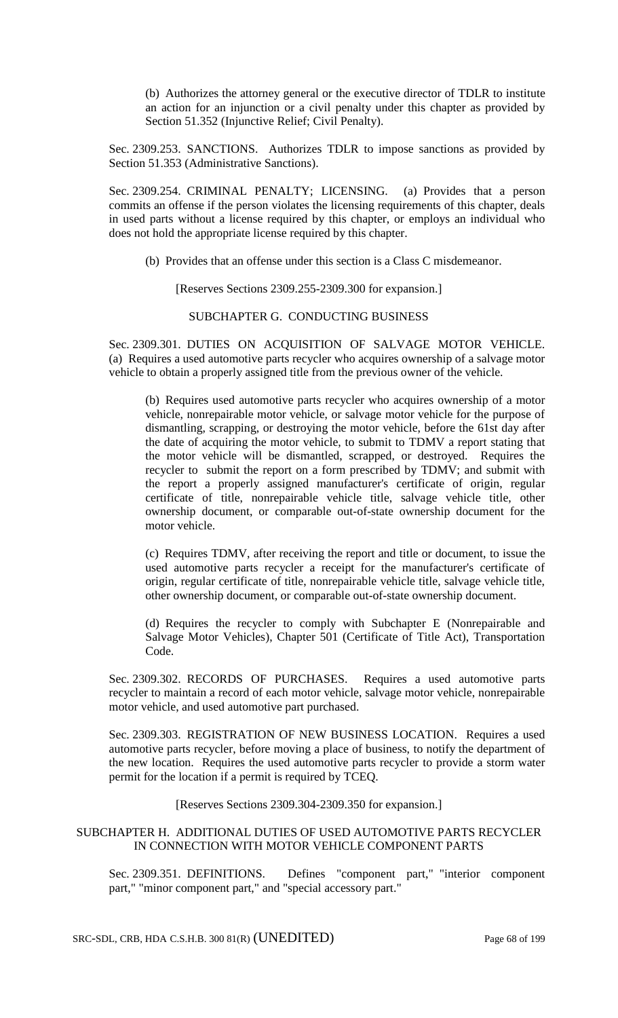(b) Authorizes the attorney general or the executive director of TDLR to institute an action for an injunction or a civil penalty under this chapter as provided by Section 51.352 (Injunctive Relief; Civil Penalty).

Sec. 2309.253. SANCTIONS. Authorizes TDLR to impose sanctions as provided by Section 51.353 (Administrative Sanctions).

Sec. 2309.254. CRIMINAL PENALTY; LICENSING. (a) Provides that a person commits an offense if the person violates the licensing requirements of this chapter, deals in used parts without a license required by this chapter, or employs an individual who does not hold the appropriate license required by this chapter.

(b) Provides that an offense under this section is a Class C misdemeanor.

[Reserves Sections 2309.255-2309.300 for expansion.]

SUBCHAPTER G. CONDUCTING BUSINESS

Sec. 2309.301. DUTIES ON ACQUISITION OF SALVAGE MOTOR VEHICLE. (a) Requires a used automotive parts recycler who acquires ownership of a salvage motor vehicle to obtain a properly assigned title from the previous owner of the vehicle.

(b) Requires used automotive parts recycler who acquires ownership of a motor vehicle, nonrepairable motor vehicle, or salvage motor vehicle for the purpose of dismantling, scrapping, or destroying the motor vehicle, before the 61st day after the date of acquiring the motor vehicle, to submit to TDMV a report stating that the motor vehicle will be dismantled, scrapped, or destroyed. Requires the recycler to submit the report on a form prescribed by TDMV; and submit with the report a properly assigned manufacturer's certificate of origin, regular certificate of title, nonrepairable vehicle title, salvage vehicle title, other ownership document, or comparable out-of-state ownership document for the motor vehicle.

(c) Requires TDMV, after receiving the report and title or document, to issue the used automotive parts recycler a receipt for the manufacturer's certificate of origin, regular certificate of title, nonrepairable vehicle title, salvage vehicle title, other ownership document, or comparable out-of-state ownership document.

(d) Requires the recycler to comply with Subchapter E (Nonrepairable and Salvage Motor Vehicles), Chapter 501 (Certificate of Title Act), Transportation Code.

Sec. 2309.302. RECORDS OF PURCHASES. Requires a used automotive parts recycler to maintain a record of each motor vehicle, salvage motor vehicle, nonrepairable motor vehicle, and used automotive part purchased.

Sec. 2309.303. REGISTRATION OF NEW BUSINESS LOCATION. Requires a used automotive parts recycler, before moving a place of business, to notify the department of the new location. Requires the used automotive parts recycler to provide a storm water permit for the location if a permit is required by TCEQ.

[Reserves Sections 2309.304-2309.350 for expansion.]

## SUBCHAPTER H. ADDITIONAL DUTIES OF USED AUTOMOTIVE PARTS RECYCLER IN CONNECTION WITH MOTOR VEHICLE COMPONENT PARTS

Sec. 2309.351. DEFINITIONS. Defines "component part," "interior component part," "minor component part," and "special accessory part."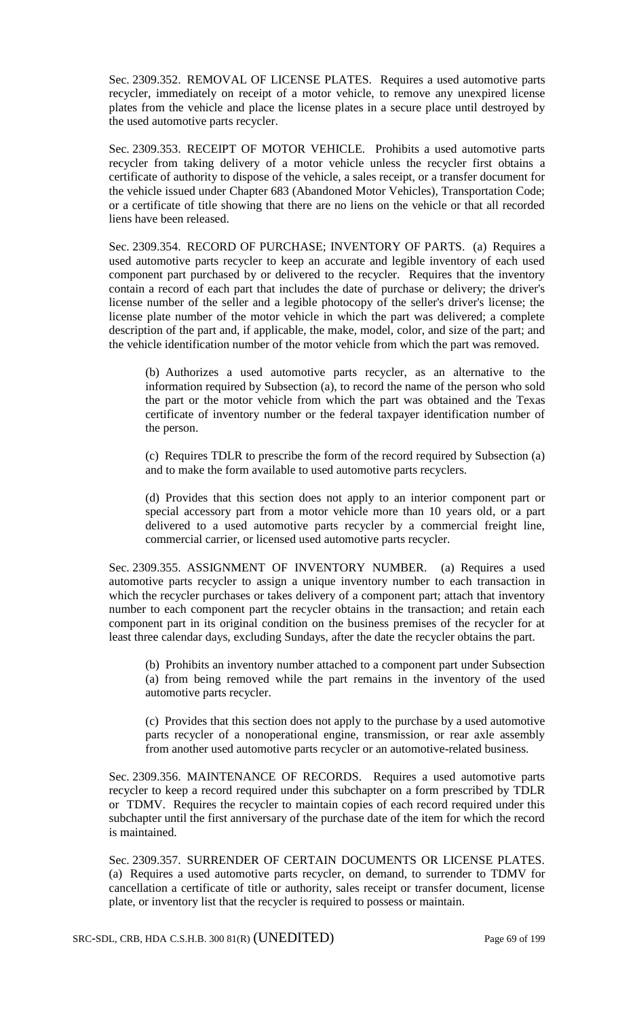Sec. 2309.352. REMOVAL OF LICENSE PLATES. Requires a used automotive parts recycler, immediately on receipt of a motor vehicle, to remove any unexpired license plates from the vehicle and place the license plates in a secure place until destroyed by the used automotive parts recycler.

Sec. 2309.353. RECEIPT OF MOTOR VEHICLE. Prohibits a used automotive parts recycler from taking delivery of a motor vehicle unless the recycler first obtains a certificate of authority to dispose of the vehicle, a sales receipt, or a transfer document for the vehicle issued under Chapter 683 (Abandoned Motor Vehicles), Transportation Code; or a certificate of title showing that there are no liens on the vehicle or that all recorded liens have been released.

Sec. 2309.354. RECORD OF PURCHASE; INVENTORY OF PARTS. (a) Requires a used automotive parts recycler to keep an accurate and legible inventory of each used component part purchased by or delivered to the recycler. Requires that the inventory contain a record of each part that includes the date of purchase or delivery; the driver's license number of the seller and a legible photocopy of the seller's driver's license; the license plate number of the motor vehicle in which the part was delivered; a complete description of the part and, if applicable, the make, model, color, and size of the part; and the vehicle identification number of the motor vehicle from which the part was removed.

(b) Authorizes a used automotive parts recycler, as an alternative to the information required by Subsection (a), to record the name of the person who sold the part or the motor vehicle from which the part was obtained and the Texas certificate of inventory number or the federal taxpayer identification number of the person.

(c) Requires TDLR to prescribe the form of the record required by Subsection (a) and to make the form available to used automotive parts recyclers.

(d) Provides that this section does not apply to an interior component part or special accessory part from a motor vehicle more than 10 years old, or a part delivered to a used automotive parts recycler by a commercial freight line, commercial carrier, or licensed used automotive parts recycler.

Sec. 2309.355. ASSIGNMENT OF INVENTORY NUMBER. (a) Requires a used automotive parts recycler to assign a unique inventory number to each transaction in which the recycler purchases or takes delivery of a component part; attach that inventory number to each component part the recycler obtains in the transaction; and retain each component part in its original condition on the business premises of the recycler for at least three calendar days, excluding Sundays, after the date the recycler obtains the part.

(b) Prohibits an inventory number attached to a component part under Subsection (a) from being removed while the part remains in the inventory of the used automotive parts recycler.

(c) Provides that this section does not apply to the purchase by a used automotive parts recycler of a nonoperational engine, transmission, or rear axle assembly from another used automotive parts recycler or an automotive-related business.

Sec. 2309.356. MAINTENANCE OF RECORDS. Requires a used automotive parts recycler to keep a record required under this subchapter on a form prescribed by TDLR or TDMV. Requires the recycler to maintain copies of each record required under this subchapter until the first anniversary of the purchase date of the item for which the record is maintained.

Sec. 2309.357. SURRENDER OF CERTAIN DOCUMENTS OR LICENSE PLATES. (a) Requires a used automotive parts recycler, on demand, to surrender to TDMV for cancellation a certificate of title or authority, sales receipt or transfer document, license plate, or inventory list that the recycler is required to possess or maintain.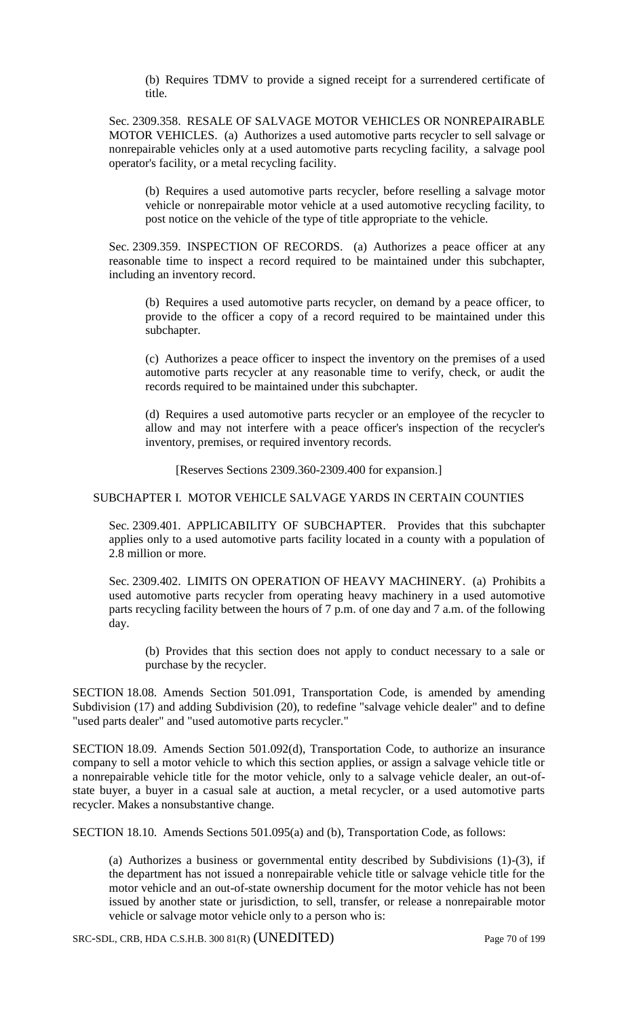(b) Requires TDMV to provide a signed receipt for a surrendered certificate of title.

Sec. 2309.358. RESALE OF SALVAGE MOTOR VEHICLES OR NONREPAIRABLE MOTOR VEHICLES. (a) Authorizes a used automotive parts recycler to sell salvage or nonrepairable vehicles only at a used automotive parts recycling facility, a salvage pool operator's facility, or a metal recycling facility.

(b) Requires a used automotive parts recycler, before reselling a salvage motor vehicle or nonrepairable motor vehicle at a used automotive recycling facility, to post notice on the vehicle of the type of title appropriate to the vehicle.

Sec. 2309.359. INSPECTION OF RECORDS. (a) Authorizes a peace officer at any reasonable time to inspect a record required to be maintained under this subchapter, including an inventory record.

(b) Requires a used automotive parts recycler, on demand by a peace officer, to provide to the officer a copy of a record required to be maintained under this subchapter.

(c) Authorizes a peace officer to inspect the inventory on the premises of a used automotive parts recycler at any reasonable time to verify, check, or audit the records required to be maintained under this subchapter.

(d) Requires a used automotive parts recycler or an employee of the recycler to allow and may not interfere with a peace officer's inspection of the recycler's inventory, premises, or required inventory records.

[Reserves Sections 2309.360-2309.400 for expansion.]

### SUBCHAPTER I. MOTOR VEHICLE SALVAGE YARDS IN CERTAIN COUNTIES

Sec. 2309.401. APPLICABILITY OF SUBCHAPTER. Provides that this subchapter applies only to a used automotive parts facility located in a county with a population of 2.8 million or more.

Sec. 2309.402. LIMITS ON OPERATION OF HEAVY MACHINERY. (a) Prohibits a used automotive parts recycler from operating heavy machinery in a used automotive parts recycling facility between the hours of 7 p.m. of one day and 7 a.m. of the following day.

(b) Provides that this section does not apply to conduct necessary to a sale or purchase by the recycler.

SECTION 18.08. Amends Section 501.091, Transportation Code, is amended by amending Subdivision (17) and adding Subdivision (20), to redefine "salvage vehicle dealer" and to define "used parts dealer" and "used automotive parts recycler."

SECTION 18.09. Amends Section 501.092(d), Transportation Code, to authorize an insurance company to sell a motor vehicle to which this section applies, or assign a salvage vehicle title or a nonrepairable vehicle title for the motor vehicle, only to a salvage vehicle dealer, an out-ofstate buyer, a buyer in a casual sale at auction, a metal recycler, or a used automotive parts recycler. Makes a nonsubstantive change.

SECTION 18.10. Amends Sections 501.095(a) and (b), Transportation Code, as follows:

(a) Authorizes a business or governmental entity described by Subdivisions (1)-(3), if the department has not issued a nonrepairable vehicle title or salvage vehicle title for the motor vehicle and an out-of-state ownership document for the motor vehicle has not been issued by another state or jurisdiction, to sell, transfer, or release a nonrepairable motor vehicle or salvage motor vehicle only to a person who is:

SRC-SDL, CRB, HDA C.S.H.B. 300 81(R) (UNEDITED) Page 70 of 199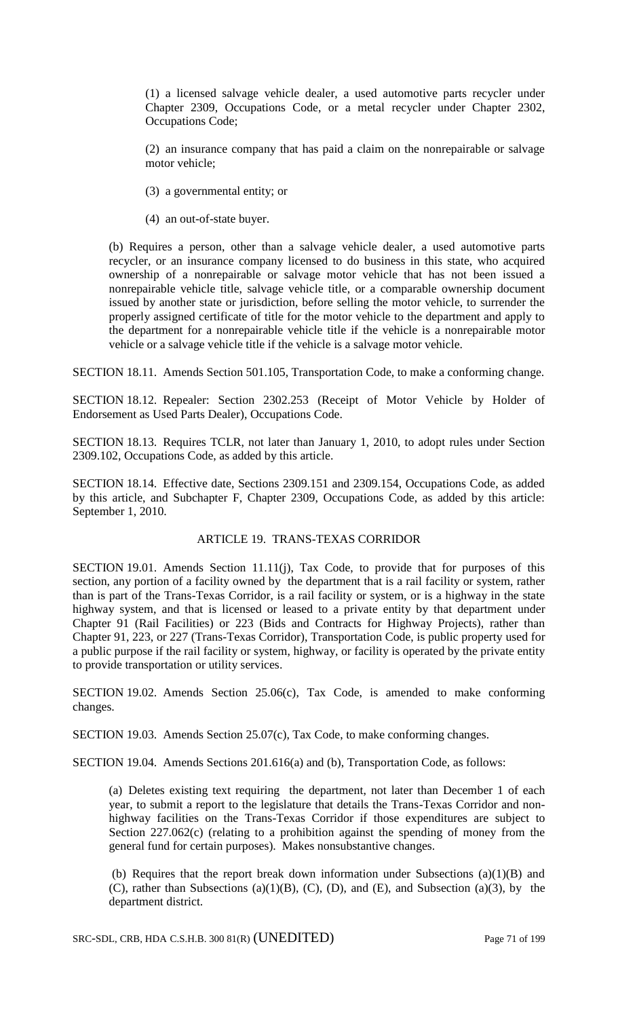(1) a licensed salvage vehicle dealer, a used automotive parts recycler under Chapter 2309, Occupations Code, or a metal recycler under Chapter 2302, Occupations Code;

(2) an insurance company that has paid a claim on the nonrepairable or salvage motor vehicle;

(3) a governmental entity; or

(4) an out-of-state buyer.

(b) Requires a person, other than a salvage vehicle dealer, a used automotive parts recycler, or an insurance company licensed to do business in this state, who acquired ownership of a nonrepairable or salvage motor vehicle that has not been issued a nonrepairable vehicle title, salvage vehicle title, or a comparable ownership document issued by another state or jurisdiction, before selling the motor vehicle, to surrender the properly assigned certificate of title for the motor vehicle to the department and apply to the department for a nonrepairable vehicle title if the vehicle is a nonrepairable motor vehicle or a salvage vehicle title if the vehicle is a salvage motor vehicle.

SECTION 18.11. Amends Section 501.105, Transportation Code, to make a conforming change.

SECTION 18.12. Repealer: Section 2302.253 (Receipt of Motor Vehicle by Holder of Endorsement as Used Parts Dealer), Occupations Code.

SECTION 18.13. Requires TCLR, not later than January 1, 2010, to adopt rules under Section 2309.102, Occupations Code, as added by this article.

SECTION 18.14. Effective date, Sections 2309.151 and 2309.154, Occupations Code, as added by this article, and Subchapter F, Chapter 2309, Occupations Code, as added by this article: September 1, 2010.

## ARTICLE 19. TRANS-TEXAS CORRIDOR

SECTION 19.01. Amends Section 11.11(j), Tax Code, to provide that for purposes of this section, any portion of a facility owned by the department that is a rail facility or system, rather than is part of the Trans-Texas Corridor, is a rail facility or system, or is a highway in the state highway system, and that is licensed or leased to a private entity by that department under Chapter 91 (Rail Facilities) or 223 (Bids and Contracts for Highway Projects), rather than Chapter 91, 223, or 227 (Trans-Texas Corridor), Transportation Code, is public property used for a public purpose if the rail facility or system, highway, or facility is operated by the private entity to provide transportation or utility services.

SECTION 19.02. Amends Section 25.06(c), Tax Code, is amended to make conforming changes.

SECTION 19.03. Amends Section 25.07(c), Tax Code, to make conforming changes.

SECTION 19.04. Amends Sections 201.616(a) and (b), Transportation Code, as follows:

(a) Deletes existing text requiring the department, not later than December 1 of each year, to submit a report to the legislature that details the Trans-Texas Corridor and nonhighway facilities on the Trans-Texas Corridor if those expenditures are subject to Section 227.062(c) (relating to a prohibition against the spending of money from the general fund for certain purposes). Makes nonsubstantive changes.

(b) Requires that the report break down information under Subsections (a)(1)(B) and (C), rather than Subsections (a)(1)(B), (C), (D), and (E), and Subsection (a)(3), by the department district.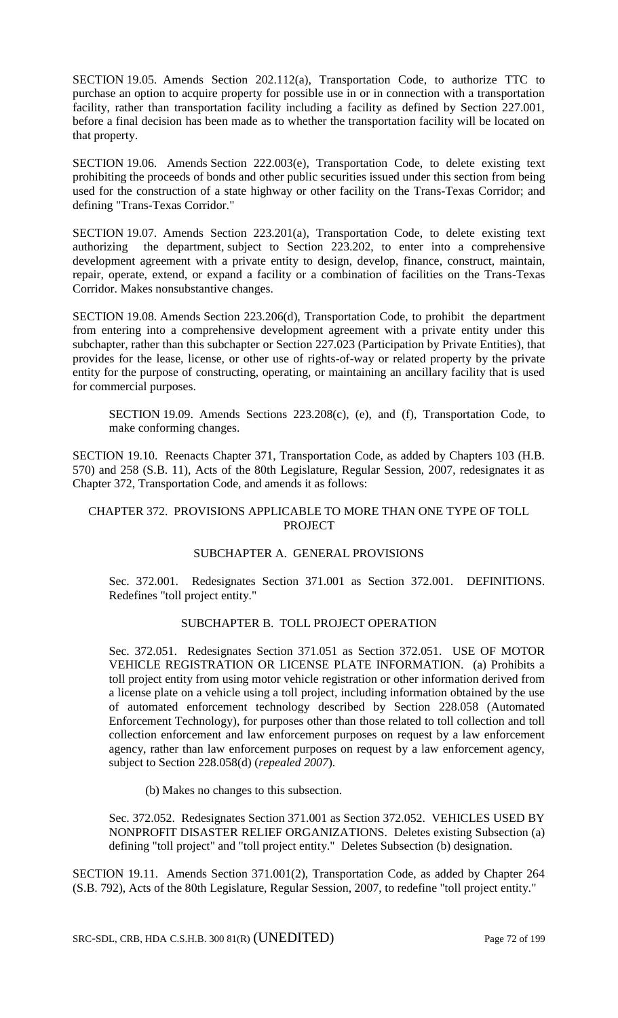SECTION 19.05. Amends Section 202.112(a), Transportation Code, to authorize TTC to purchase an option to acquire property for possible use in or in connection with a transportation facility, rather than transportation facility including a facility as defined by Section 227.001, before a final decision has been made as to whether the transportation facility will be located on that property.

SECTION 19.06. Amends Section 222.003(e), Transportation Code, to delete existing text prohibiting the proceeds of bonds and other public securities issued under this section from being used for the construction of a state highway or other facility on the Trans-Texas Corridor; and defining "Trans-Texas Corridor."

SECTION 19.07. Amends Section 223.201(a), Transportation Code, to delete existing text authorizing the department, subject to Section 223.202, to enter into a comprehensive development agreement with a private entity to design, develop, finance, construct, maintain, repair, operate, extend, or expand a facility or a combination of facilities on the Trans-Texas Corridor. Makes nonsubstantive changes.

SECTION 19.08. Amends Section 223.206(d), Transportation Code, to prohibit the department from entering into a comprehensive development agreement with a private entity under this subchapter, rather than this subchapter or Section 227.023 (Participation by Private Entities), that provides for the lease, license, or other use of rights-of-way or related property by the private entity for the purpose of constructing, operating, or maintaining an ancillary facility that is used for commercial purposes.

SECTION 19.09. Amends Sections 223.208(c), (e), and (f), Transportation Code, to make conforming changes.

SECTION 19.10. Reenacts Chapter 371, Transportation Code, as added by Chapters 103 (H.B. 570) and 258 (S.B. 11), Acts of the 80th Legislature, Regular Session, 2007, redesignates it as Chapter 372, Transportation Code, and amends it as follows:

## CHAPTER 372. PROVISIONS APPLICABLE TO MORE THAN ONE TYPE OF TOLL **PROJECT**

# SUBCHAPTER A. GENERAL PROVISIONS

Sec. 372.001. Redesignates Section 371.001 as Section 372.001. DEFINITIONS. Redefines "toll project entity."

## SUBCHAPTER B. TOLL PROJECT OPERATION

Sec. 372.051. Redesignates Section 371.051 as Section 372.051. USE OF MOTOR VEHICLE REGISTRATION OR LICENSE PLATE INFORMATION. (a) Prohibits a toll project entity from using motor vehicle registration or other information derived from a license plate on a vehicle using a toll project, including information obtained by the use of automated enforcement technology described by Section 228.058 (Automated Enforcement Technology), for purposes other than those related to toll collection and toll collection enforcement and law enforcement purposes on request by a law enforcement agency, rather than law enforcement purposes on request by a law enforcement agency, subject to Section 228.058(d) (*repealed 2007*).

(b) Makes no changes to this subsection.

Sec. 372.052. Redesignates Section 371.001 as Section 372.052. VEHICLES USED BY NONPROFIT DISASTER RELIEF ORGANIZATIONS. Deletes existing Subsection (a) defining "toll project" and "toll project entity." Deletes Subsection (b) designation.

SECTION 19.11. Amends Section 371.001(2), Transportation Code, as added by Chapter 264 (S.B. 792), Acts of the 80th Legislature, Regular Session, 2007, to redefine "toll project entity."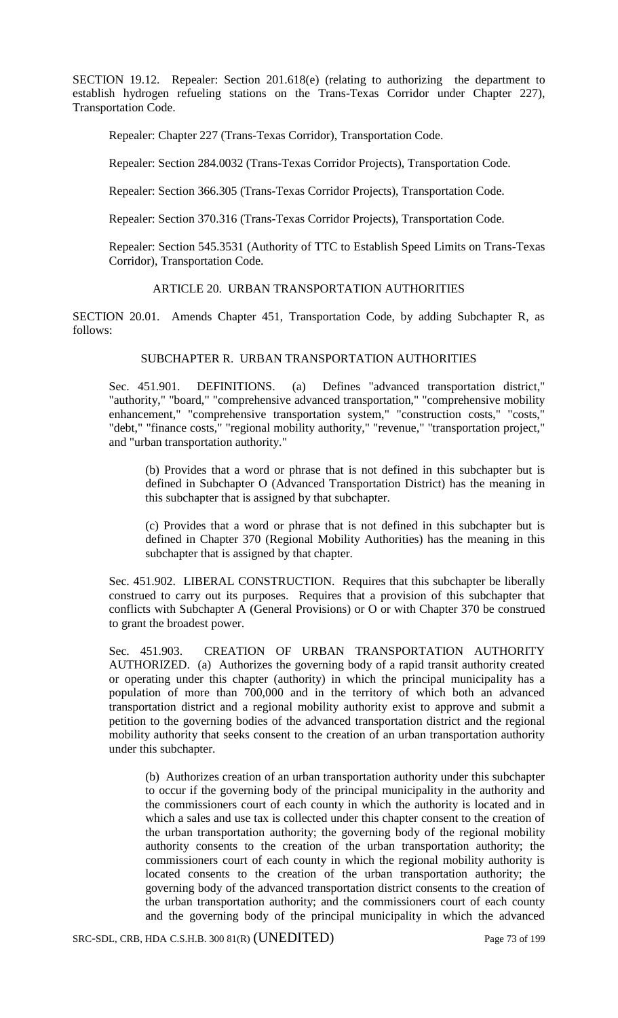SECTION 19.12. Repealer: Section 201.618(e) (relating to authorizing the department to establish hydrogen refueling stations on the Trans-Texas Corridor under Chapter 227), Transportation Code.

Repealer: Chapter 227 (Trans-Texas Corridor), Transportation Code.

Repealer: Section 284.0032 (Trans-Texas Corridor Projects), Transportation Code.

Repealer: Section 366.305 (Trans-Texas Corridor Projects), Transportation Code.

Repealer: Section 370.316 (Trans-Texas Corridor Projects), Transportation Code.

Repealer: Section 545.3531 (Authority of TTC to Establish Speed Limits on Trans-Texas Corridor), Transportation Code.

### ARTICLE 20. URBAN TRANSPORTATION AUTHORITIES

SECTION 20.01. Amends Chapter 451, Transportation Code, by adding Subchapter R, as follows:

# SUBCHAPTER R. URBAN TRANSPORTATION AUTHORITIES

Sec. 451.901. DEFINITIONS. (a) Defines "advanced transportation district," "authority," "board," "comprehensive advanced transportation," "comprehensive mobility enhancement," "comprehensive transportation system," "construction costs," "costs," "debt," "finance costs," "regional mobility authority," "revenue," "transportation project," and "urban transportation authority."

(b) Provides that a word or phrase that is not defined in this subchapter but is defined in Subchapter O (Advanced Transportation District) has the meaning in this subchapter that is assigned by that subchapter.

(c) Provides that a word or phrase that is not defined in this subchapter but is defined in Chapter 370 (Regional Mobility Authorities) has the meaning in this subchapter that is assigned by that chapter.

Sec. 451.902. LIBERAL CONSTRUCTION. Requires that this subchapter be liberally construed to carry out its purposes. Requires that a provision of this subchapter that conflicts with Subchapter A (General Provisions) or O or with Chapter 370 be construed to grant the broadest power.

Sec. 451.903. CREATION OF URBAN TRANSPORTATION AUTHORITY AUTHORIZED. (a) Authorizes the governing body of a rapid transit authority created or operating under this chapter (authority) in which the principal municipality has a population of more than 700,000 and in the territory of which both an advanced transportation district and a regional mobility authority exist to approve and submit a petition to the governing bodies of the advanced transportation district and the regional mobility authority that seeks consent to the creation of an urban transportation authority under this subchapter.

(b) Authorizes creation of an urban transportation authority under this subchapter to occur if the governing body of the principal municipality in the authority and the commissioners court of each county in which the authority is located and in which a sales and use tax is collected under this chapter consent to the creation of the urban transportation authority; the governing body of the regional mobility authority consents to the creation of the urban transportation authority; the commissioners court of each county in which the regional mobility authority is located consents to the creation of the urban transportation authority; the governing body of the advanced transportation district consents to the creation of the urban transportation authority; and the commissioners court of each county and the governing body of the principal municipality in which the advanced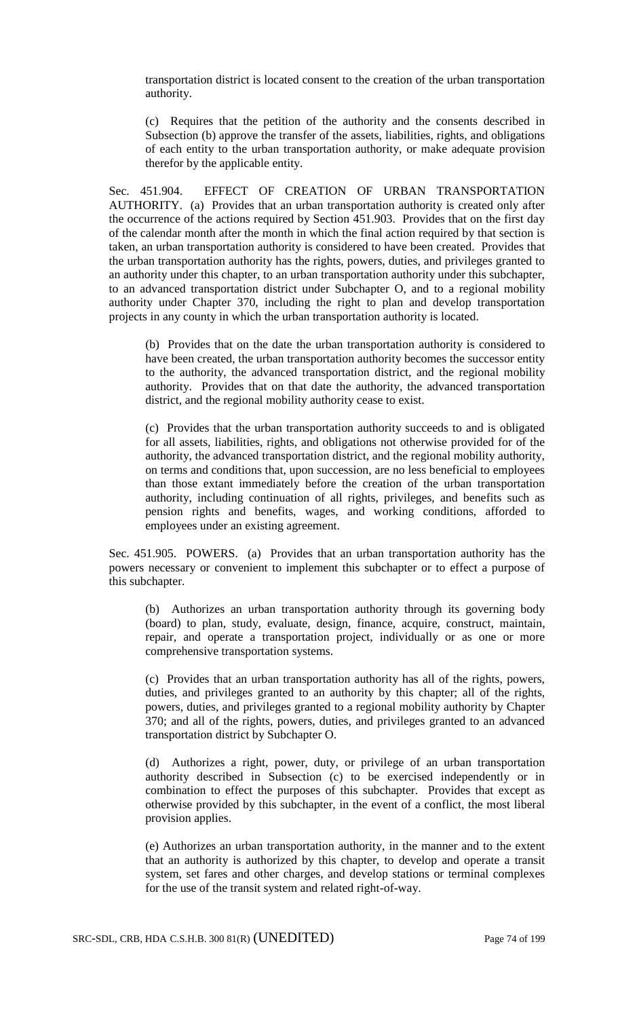transportation district is located consent to the creation of the urban transportation authority.

(c) Requires that the petition of the authority and the consents described in Subsection (b) approve the transfer of the assets, liabilities, rights, and obligations of each entity to the urban transportation authority, or make adequate provision therefor by the applicable entity.

Sec. 451.904. EFFECT OF CREATION OF URBAN TRANSPORTATION AUTHORITY. (a) Provides that an urban transportation authority is created only after the occurrence of the actions required by Section 451.903. Provides that on the first day of the calendar month after the month in which the final action required by that section is taken, an urban transportation authority is considered to have been created. Provides that the urban transportation authority has the rights, powers, duties, and privileges granted to an authority under this chapter, to an urban transportation authority under this subchapter, to an advanced transportation district under Subchapter O, and to a regional mobility authority under Chapter 370, including the right to plan and develop transportation projects in any county in which the urban transportation authority is located.

(b) Provides that on the date the urban transportation authority is considered to have been created, the urban transportation authority becomes the successor entity to the authority, the advanced transportation district, and the regional mobility authority. Provides that on that date the authority, the advanced transportation district, and the regional mobility authority cease to exist.

(c) Provides that the urban transportation authority succeeds to and is obligated for all assets, liabilities, rights, and obligations not otherwise provided for of the authority, the advanced transportation district, and the regional mobility authority, on terms and conditions that, upon succession, are no less beneficial to employees than those extant immediately before the creation of the urban transportation authority, including continuation of all rights, privileges, and benefits such as pension rights and benefits, wages, and working conditions, afforded to employees under an existing agreement.

Sec. 451.905. POWERS. (a) Provides that an urban transportation authority has the powers necessary or convenient to implement this subchapter or to effect a purpose of this subchapter.

(b) Authorizes an urban transportation authority through its governing body (board) to plan, study, evaluate, design, finance, acquire, construct, maintain, repair, and operate a transportation project, individually or as one or more comprehensive transportation systems.

(c) Provides that an urban transportation authority has all of the rights, powers, duties, and privileges granted to an authority by this chapter; all of the rights, powers, duties, and privileges granted to a regional mobility authority by Chapter 370; and all of the rights, powers, duties, and privileges granted to an advanced transportation district by Subchapter O.

(d) Authorizes a right, power, duty, or privilege of an urban transportation authority described in Subsection (c) to be exercised independently or in combination to effect the purposes of this subchapter. Provides that except as otherwise provided by this subchapter, in the event of a conflict, the most liberal provision applies.

(e) Authorizes an urban transportation authority, in the manner and to the extent that an authority is authorized by this chapter, to develop and operate a transit system, set fares and other charges, and develop stations or terminal complexes for the use of the transit system and related right-of-way.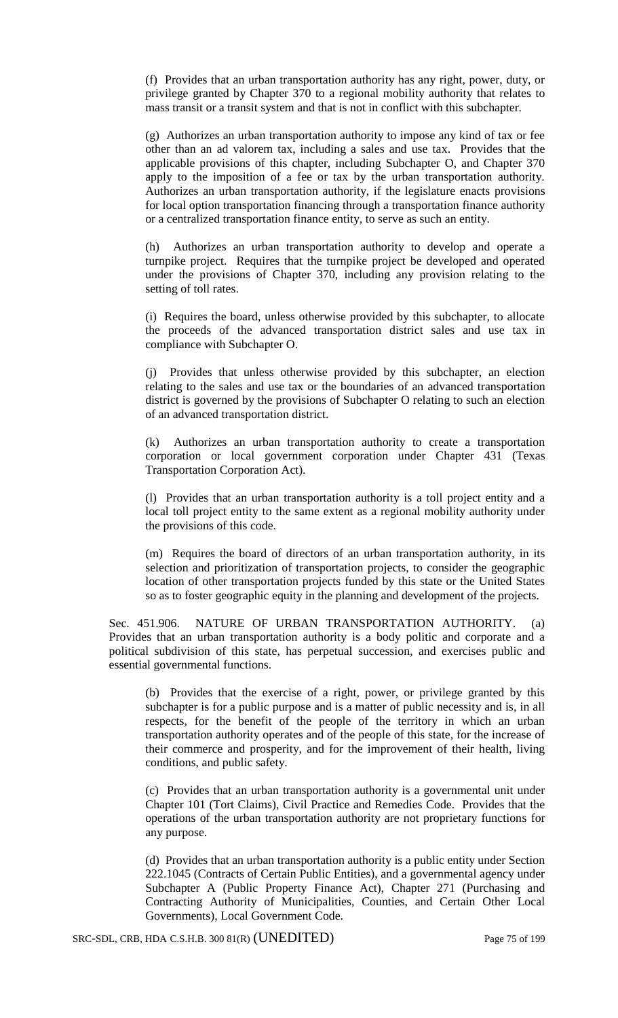(f) Provides that an urban transportation authority has any right, power, duty, or privilege granted by Chapter 370 to a regional mobility authority that relates to mass transit or a transit system and that is not in conflict with this subchapter.

(g) Authorizes an urban transportation authority to impose any kind of tax or fee other than an ad valorem tax, including a sales and use tax. Provides that the applicable provisions of this chapter, including Subchapter O, and Chapter 370 apply to the imposition of a fee or tax by the urban transportation authority. Authorizes an urban transportation authority, if the legislature enacts provisions for local option transportation financing through a transportation finance authority or a centralized transportation finance entity, to serve as such an entity.

(h) Authorizes an urban transportation authority to develop and operate a turnpike project. Requires that the turnpike project be developed and operated under the provisions of Chapter 370, including any provision relating to the setting of toll rates.

(i) Requires the board, unless otherwise provided by this subchapter, to allocate the proceeds of the advanced transportation district sales and use tax in compliance with Subchapter O.

(j) Provides that unless otherwise provided by this subchapter, an election relating to the sales and use tax or the boundaries of an advanced transportation district is governed by the provisions of Subchapter O relating to such an election of an advanced transportation district.

(k) Authorizes an urban transportation authority to create a transportation corporation or local government corporation under Chapter 431 (Texas Transportation Corporation Act).

(l) Provides that an urban transportation authority is a toll project entity and a local toll project entity to the same extent as a regional mobility authority under the provisions of this code.

(m) Requires the board of directors of an urban transportation authority, in its selection and prioritization of transportation projects, to consider the geographic location of other transportation projects funded by this state or the United States so as to foster geographic equity in the planning and development of the projects.

Sec. 451.906. NATURE OF URBAN TRANSPORTATION AUTHORITY. (a) Provides that an urban transportation authority is a body politic and corporate and a political subdivision of this state, has perpetual succession, and exercises public and essential governmental functions.

(b) Provides that the exercise of a right, power, or privilege granted by this subchapter is for a public purpose and is a matter of public necessity and is, in all respects, for the benefit of the people of the territory in which an urban transportation authority operates and of the people of this state, for the increase of their commerce and prosperity, and for the improvement of their health, living conditions, and public safety.

(c) Provides that an urban transportation authority is a governmental unit under Chapter 101 (Tort Claims), Civil Practice and Remedies Code. Provides that the operations of the urban transportation authority are not proprietary functions for any purpose.

(d) Provides that an urban transportation authority is a public entity under Section 222.1045 (Contracts of Certain Public Entities), and a governmental agency under Subchapter A (Public Property Finance Act), Chapter 271 (Purchasing and Contracting Authority of Municipalities, Counties, and Certain Other Local Governments), Local Government Code.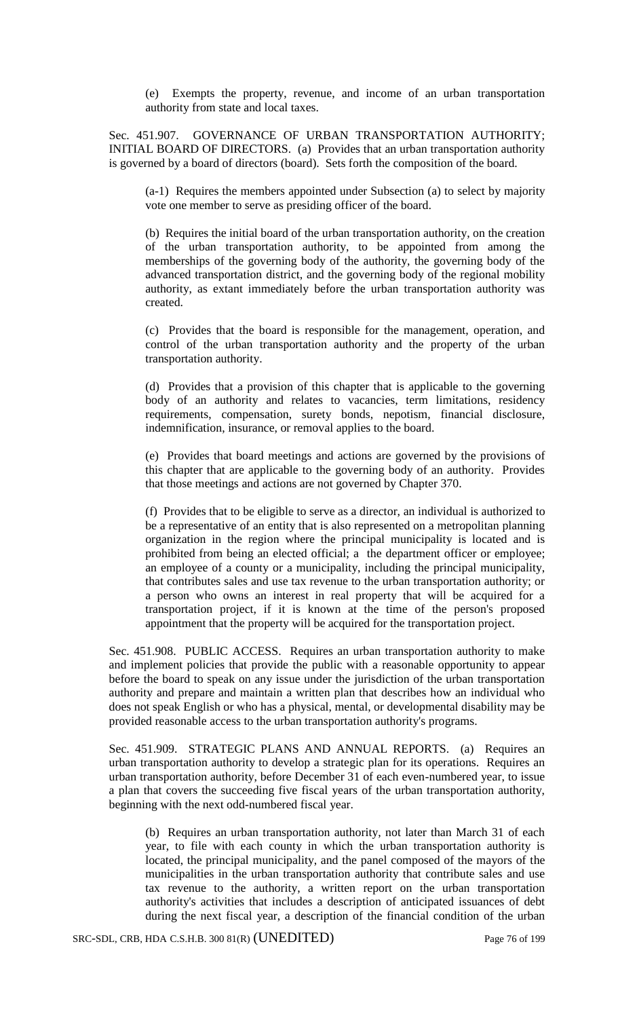(e) Exempts the property, revenue, and income of an urban transportation authority from state and local taxes.

Sec. 451.907. GOVERNANCE OF URBAN TRANSPORTATION AUTHORITY; INITIAL BOARD OF DIRECTORS. (a) Provides that an urban transportation authority is governed by a board of directors (board). Sets forth the composition of the board.

(a-1) Requires the members appointed under Subsection (a) to select by majority vote one member to serve as presiding officer of the board.

(b) Requires the initial board of the urban transportation authority, on the creation of the urban transportation authority, to be appointed from among the memberships of the governing body of the authority, the governing body of the advanced transportation district, and the governing body of the regional mobility authority, as extant immediately before the urban transportation authority was created.

(c) Provides that the board is responsible for the management, operation, and control of the urban transportation authority and the property of the urban transportation authority.

(d) Provides that a provision of this chapter that is applicable to the governing body of an authority and relates to vacancies, term limitations, residency requirements, compensation, surety bonds, nepotism, financial disclosure, indemnification, insurance, or removal applies to the board.

(e) Provides that board meetings and actions are governed by the provisions of this chapter that are applicable to the governing body of an authority. Provides that those meetings and actions are not governed by Chapter 370.

(f) Provides that to be eligible to serve as a director, an individual is authorized to be a representative of an entity that is also represented on a metropolitan planning organization in the region where the principal municipality is located and is prohibited from being an elected official; a the department officer or employee; an employee of a county or a municipality, including the principal municipality, that contributes sales and use tax revenue to the urban transportation authority; or a person who owns an interest in real property that will be acquired for a transportation project, if it is known at the time of the person's proposed appointment that the property will be acquired for the transportation project.

Sec. 451.908. PUBLIC ACCESS. Requires an urban transportation authority to make and implement policies that provide the public with a reasonable opportunity to appear before the board to speak on any issue under the jurisdiction of the urban transportation authority and prepare and maintain a written plan that describes how an individual who does not speak English or who has a physical, mental, or developmental disability may be provided reasonable access to the urban transportation authority's programs.

Sec. 451.909. STRATEGIC PLANS AND ANNUAL REPORTS. (a) Requires an urban transportation authority to develop a strategic plan for its operations. Requires an urban transportation authority, before December 31 of each even-numbered year, to issue a plan that covers the succeeding five fiscal years of the urban transportation authority, beginning with the next odd-numbered fiscal year.

(b) Requires an urban transportation authority, not later than March 31 of each year, to file with each county in which the urban transportation authority is located, the principal municipality, and the panel composed of the mayors of the municipalities in the urban transportation authority that contribute sales and use tax revenue to the authority, a written report on the urban transportation authority's activities that includes a description of anticipated issuances of debt during the next fiscal year, a description of the financial condition of the urban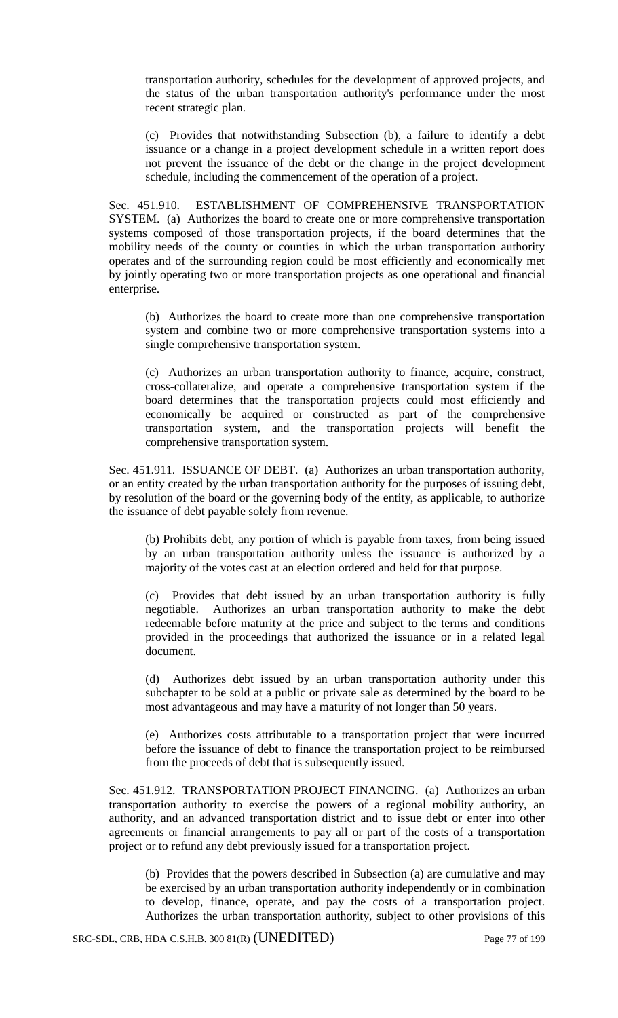transportation authority, schedules for the development of approved projects, and the status of the urban transportation authority's performance under the most recent strategic plan.

(c) Provides that notwithstanding Subsection (b), a failure to identify a debt issuance or a change in a project development schedule in a written report does not prevent the issuance of the debt or the change in the project development schedule, including the commencement of the operation of a project.

Sec. 451.910. ESTABLISHMENT OF COMPREHENSIVE TRANSPORTATION SYSTEM. (a) Authorizes the board to create one or more comprehensive transportation systems composed of those transportation projects, if the board determines that the mobility needs of the county or counties in which the urban transportation authority operates and of the surrounding region could be most efficiently and economically met by jointly operating two or more transportation projects as one operational and financial enterprise.

(b) Authorizes the board to create more than one comprehensive transportation system and combine two or more comprehensive transportation systems into a single comprehensive transportation system.

(c) Authorizes an urban transportation authority to finance, acquire, construct, cross-collateralize, and operate a comprehensive transportation system if the board determines that the transportation projects could most efficiently and economically be acquired or constructed as part of the comprehensive transportation system, and the transportation projects will benefit the comprehensive transportation system.

Sec. 451.911. ISSUANCE OF DEBT. (a) Authorizes an urban transportation authority, or an entity created by the urban transportation authority for the purposes of issuing debt, by resolution of the board or the governing body of the entity, as applicable, to authorize the issuance of debt payable solely from revenue.

(b) Prohibits debt, any portion of which is payable from taxes, from being issued by an urban transportation authority unless the issuance is authorized by a majority of the votes cast at an election ordered and held for that purpose.

(c) Provides that debt issued by an urban transportation authority is fully negotiable. Authorizes an urban transportation authority to make the debt redeemable before maturity at the price and subject to the terms and conditions provided in the proceedings that authorized the issuance or in a related legal document.

(d) Authorizes debt issued by an urban transportation authority under this subchapter to be sold at a public or private sale as determined by the board to be most advantageous and may have a maturity of not longer than 50 years.

(e) Authorizes costs attributable to a transportation project that were incurred before the issuance of debt to finance the transportation project to be reimbursed from the proceeds of debt that is subsequently issued.

Sec. 451.912. TRANSPORTATION PROJECT FINANCING. (a) Authorizes an urban transportation authority to exercise the powers of a regional mobility authority, an authority, and an advanced transportation district and to issue debt or enter into other agreements or financial arrangements to pay all or part of the costs of a transportation project or to refund any debt previously issued for a transportation project.

(b) Provides that the powers described in Subsection (a) are cumulative and may be exercised by an urban transportation authority independently or in combination to develop, finance, operate, and pay the costs of a transportation project. Authorizes the urban transportation authority, subject to other provisions of this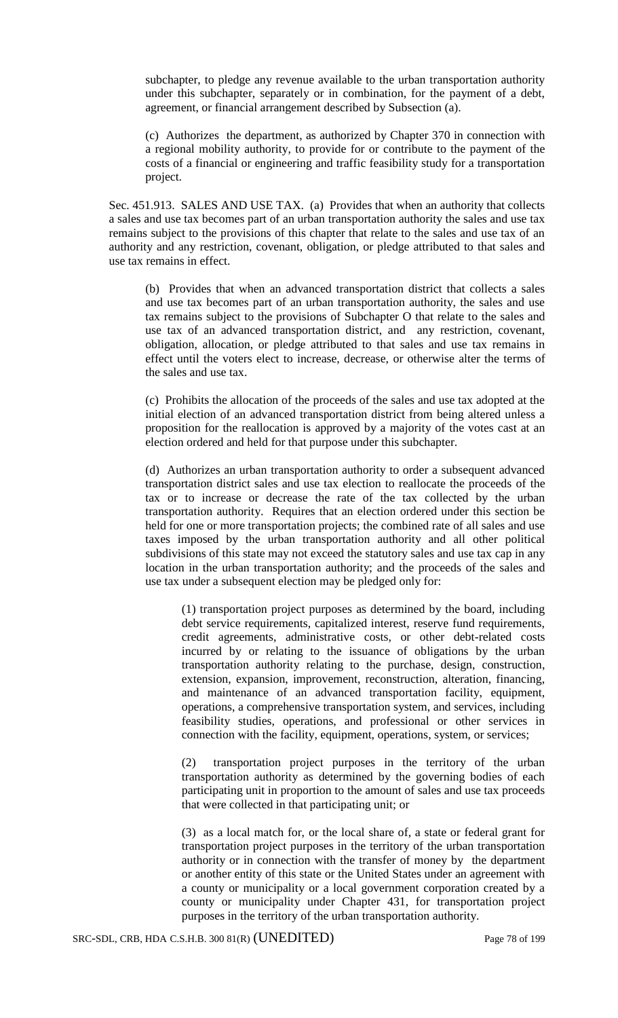subchapter, to pledge any revenue available to the urban transportation authority under this subchapter, separately or in combination, for the payment of a debt, agreement, or financial arrangement described by Subsection (a).

(c) Authorizes the department, as authorized by Chapter 370 in connection with a regional mobility authority, to provide for or contribute to the payment of the costs of a financial or engineering and traffic feasibility study for a transportation project.

Sec. 451.913. SALES AND USE TAX. (a) Provides that when an authority that collects a sales and use tax becomes part of an urban transportation authority the sales and use tax remains subject to the provisions of this chapter that relate to the sales and use tax of an authority and any restriction, covenant, obligation, or pledge attributed to that sales and use tax remains in effect.

(b) Provides that when an advanced transportation district that collects a sales and use tax becomes part of an urban transportation authority, the sales and use tax remains subject to the provisions of Subchapter O that relate to the sales and use tax of an advanced transportation district, and any restriction, covenant, obligation, allocation, or pledge attributed to that sales and use tax remains in effect until the voters elect to increase, decrease, or otherwise alter the terms of the sales and use tax.

(c) Prohibits the allocation of the proceeds of the sales and use tax adopted at the initial election of an advanced transportation district from being altered unless a proposition for the reallocation is approved by a majority of the votes cast at an election ordered and held for that purpose under this subchapter.

(d) Authorizes an urban transportation authority to order a subsequent advanced transportation district sales and use tax election to reallocate the proceeds of the tax or to increase or decrease the rate of the tax collected by the urban transportation authority. Requires that an election ordered under this section be held for one or more transportation projects; the combined rate of all sales and use taxes imposed by the urban transportation authority and all other political subdivisions of this state may not exceed the statutory sales and use tax cap in any location in the urban transportation authority; and the proceeds of the sales and use tax under a subsequent election may be pledged only for:

(1) transportation project purposes as determined by the board, including debt service requirements, capitalized interest, reserve fund requirements, credit agreements, administrative costs, or other debt-related costs incurred by or relating to the issuance of obligations by the urban transportation authority relating to the purchase, design, construction, extension, expansion, improvement, reconstruction, alteration, financing, and maintenance of an advanced transportation facility, equipment, operations, a comprehensive transportation system, and services, including feasibility studies, operations, and professional or other services in connection with the facility, equipment, operations, system, or services;

(2) transportation project purposes in the territory of the urban transportation authority as determined by the governing bodies of each participating unit in proportion to the amount of sales and use tax proceeds that were collected in that participating unit; or

(3) as a local match for, or the local share of, a state or federal grant for transportation project purposes in the territory of the urban transportation authority or in connection with the transfer of money by the department or another entity of this state or the United States under an agreement with a county or municipality or a local government corporation created by a county or municipality under Chapter 431, for transportation project purposes in the territory of the urban transportation authority.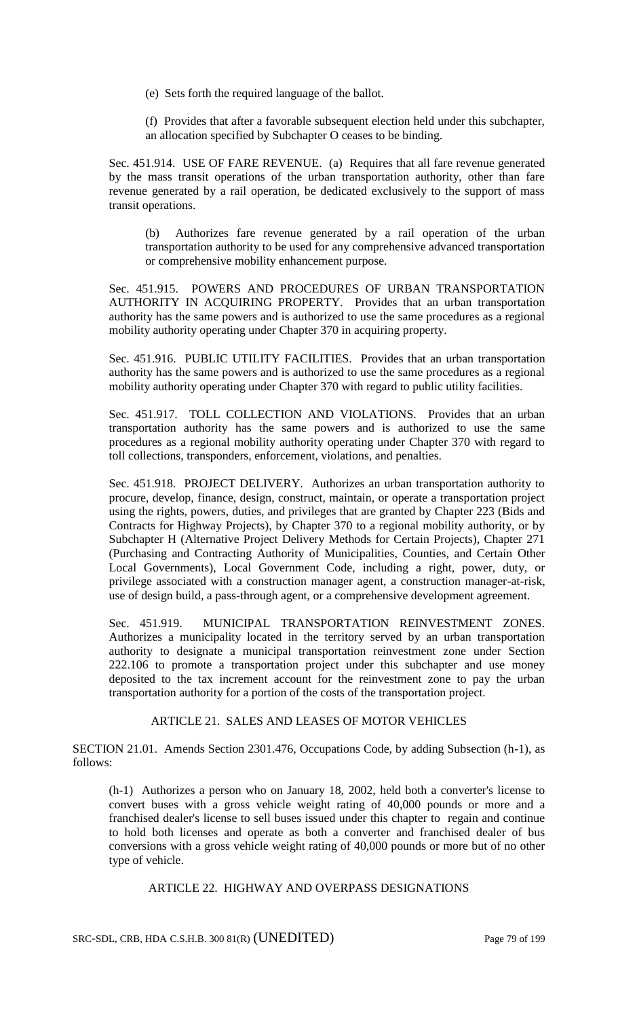(e) Sets forth the required language of the ballot.

(f) Provides that after a favorable subsequent election held under this subchapter, an allocation specified by Subchapter O ceases to be binding.

Sec. 451.914. USE OF FARE REVENUE. (a) Requires that all fare revenue generated by the mass transit operations of the urban transportation authority, other than fare revenue generated by a rail operation, be dedicated exclusively to the support of mass transit operations.

(b) Authorizes fare revenue generated by a rail operation of the urban transportation authority to be used for any comprehensive advanced transportation or comprehensive mobility enhancement purpose.

Sec. 451.915. POWERS AND PROCEDURES OF URBAN TRANSPORTATION AUTHORITY IN ACQUIRING PROPERTY. Provides that an urban transportation authority has the same powers and is authorized to use the same procedures as a regional mobility authority operating under Chapter 370 in acquiring property.

Sec. 451.916. PUBLIC UTILITY FACILITIES. Provides that an urban transportation authority has the same powers and is authorized to use the same procedures as a regional mobility authority operating under Chapter 370 with regard to public utility facilities.

Sec. 451.917. TOLL COLLECTION AND VIOLATIONS. Provides that an urban transportation authority has the same powers and is authorized to use the same procedures as a regional mobility authority operating under Chapter 370 with regard to toll collections, transponders, enforcement, violations, and penalties.

Sec. 451.918. PROJECT DELIVERY. Authorizes an urban transportation authority to procure, develop, finance, design, construct, maintain, or operate a transportation project using the rights, powers, duties, and privileges that are granted by Chapter 223 (Bids and Contracts for Highway Projects), by Chapter 370 to a regional mobility authority, or by Subchapter H (Alternative Project Delivery Methods for Certain Projects), Chapter 271 (Purchasing and Contracting Authority of Municipalities, Counties, and Certain Other Local Governments), Local Government Code, including a right, power, duty, or privilege associated with a construction manager agent, a construction manager-at-risk, use of design build, a pass-through agent, or a comprehensive development agreement.

Sec. 451.919. MUNICIPAL TRANSPORTATION REINVESTMENT ZONES. Authorizes a municipality located in the territory served by an urban transportation authority to designate a municipal transportation reinvestment zone under Section 222.106 to promote a transportation project under this subchapter and use money deposited to the tax increment account for the reinvestment zone to pay the urban transportation authority for a portion of the costs of the transportation project.

## ARTICLE 21. SALES AND LEASES OF MOTOR VEHICLES

SECTION 21.01. Amends Section 2301.476, Occupations Code, by adding Subsection (h-1), as follows:

(h-1) Authorizes a person who on January 18, 2002, held both a converter's license to convert buses with a gross vehicle weight rating of 40,000 pounds or more and a franchised dealer's license to sell buses issued under this chapter to regain and continue to hold both licenses and operate as both a converter and franchised dealer of bus conversions with a gross vehicle weight rating of 40,000 pounds or more but of no other type of vehicle.

ARTICLE 22. HIGHWAY AND OVERPASS DESIGNATIONS

SRC-SDL, CRB, HDA C.S.H.B. 300 81(R) (UNEDITED) Page 79 of 199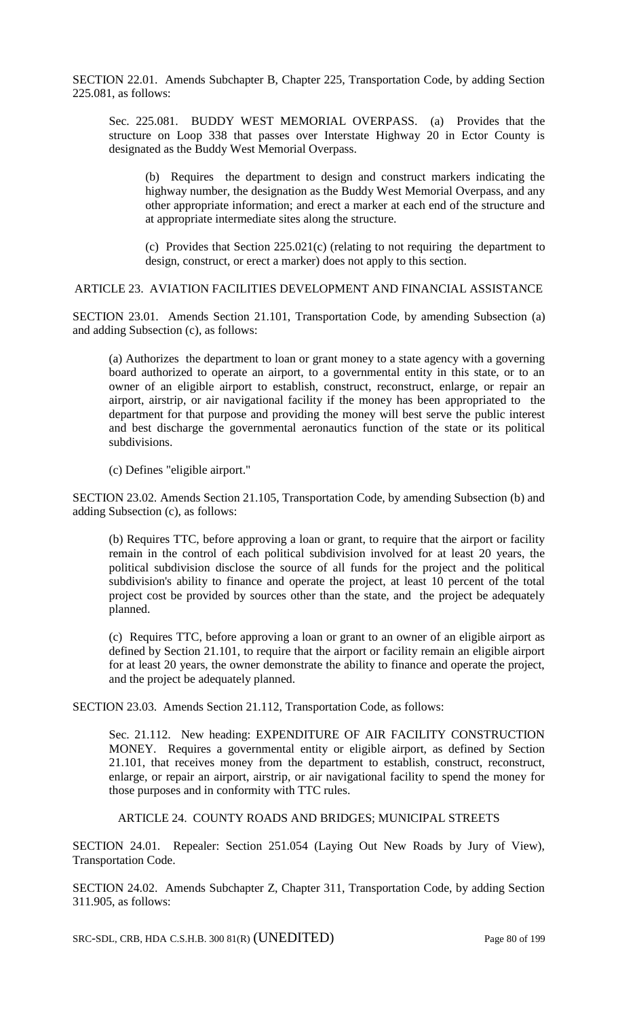SECTION 22.01. Amends Subchapter B, Chapter 225, Transportation Code, by adding Section 225.081, as follows:

Sec. 225.081. BUDDY WEST MEMORIAL OVERPASS. (a) Provides that the structure on Loop 338 that passes over Interstate Highway 20 in Ector County is designated as the Buddy West Memorial Overpass.

(b) Requires the department to design and construct markers indicating the highway number, the designation as the Buddy West Memorial Overpass, and any other appropriate information; and erect a marker at each end of the structure and at appropriate intermediate sites along the structure.

(c) Provides that Section 225.021(c) (relating to not requiring the department to design, construct, or erect a marker) does not apply to this section.

## ARTICLE 23. AVIATION FACILITIES DEVELOPMENT AND FINANCIAL ASSISTANCE

SECTION 23.01. Amends Section 21.101, Transportation Code, by amending Subsection (a) and adding Subsection (c), as follows:

(a) Authorizes the department to loan or grant money to a state agency with a governing board authorized to operate an airport, to a governmental entity in this state, or to an owner of an eligible airport to establish, construct, reconstruct, enlarge, or repair an airport, airstrip, or air navigational facility if the money has been appropriated to the department for that purpose and providing the money will best serve the public interest and best discharge the governmental aeronautics function of the state or its political subdivisions.

(c) Defines "eligible airport."

SECTION 23.02. Amends Section 21.105, Transportation Code, by amending Subsection (b) and adding Subsection (c), as follows:

(b) Requires TTC, before approving a loan or grant, to require that the airport or facility remain in the control of each political subdivision involved for at least 20 years, the political subdivision disclose the source of all funds for the project and the political subdivision's ability to finance and operate the project, at least 10 percent of the total project cost be provided by sources other than the state, and the project be adequately planned.

(c) Requires TTC, before approving a loan or grant to an owner of an eligible airport as defined by Section 21.101, to require that the airport or facility remain an eligible airport for at least 20 years, the owner demonstrate the ability to finance and operate the project, and the project be adequately planned.

SECTION 23.03. Amends Section 21.112, Transportation Code, as follows:

Sec. 21.112. New heading: EXPENDITURE OF AIR FACILITY CONSTRUCTION MONEY. Requires a governmental entity or eligible airport, as defined by Section 21.101, that receives money from the department to establish, construct, reconstruct, enlarge, or repair an airport, airstrip, or air navigational facility to spend the money for those purposes and in conformity with TTC rules.

### ARTICLE 24. COUNTY ROADS AND BRIDGES; MUNICIPAL STREETS

SECTION 24.01. Repealer: Section 251.054 (Laying Out New Roads by Jury of View), Transportation Code.

SECTION 24.02. Amends Subchapter Z, Chapter 311, Transportation Code, by adding Section 311.905, as follows:

SRC-SDL, CRB, HDA C.S.H.B. 300 81(R) (UNEDITED) Page 80 of 199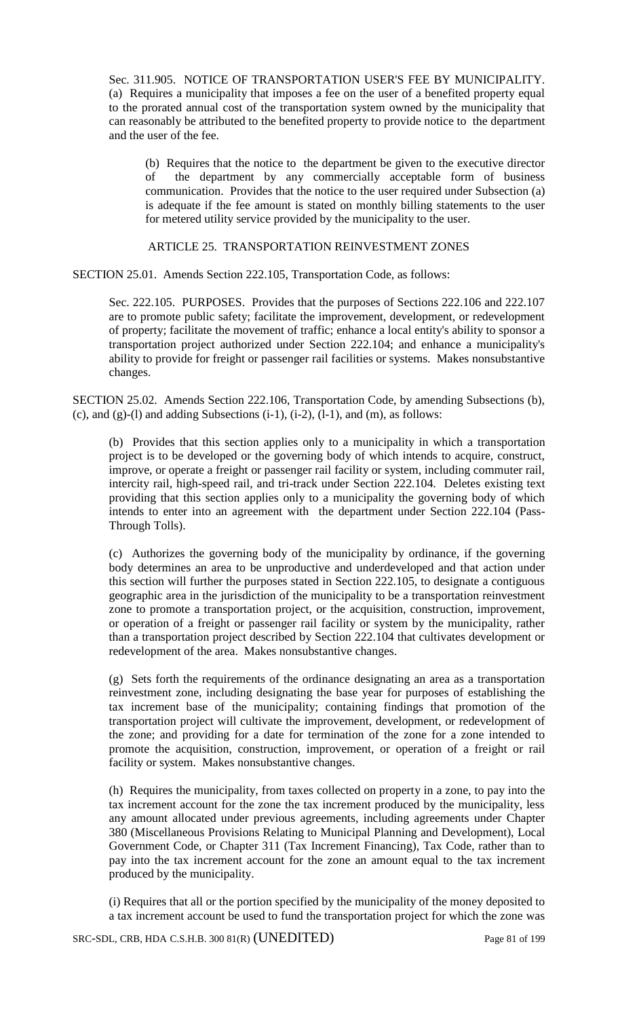Sec. 311.905. NOTICE OF TRANSPORTATION USER'S FEE BY MUNICIPALITY. (a) Requires a municipality that imposes a fee on the user of a benefited property equal to the prorated annual cost of the transportation system owned by the municipality that can reasonably be attributed to the benefited property to provide notice to the department and the user of the fee.

(b) Requires that the notice to the department be given to the executive director of the department by any commercially acceptable form of business communication. Provides that the notice to the user required under Subsection (a) is adequate if the fee amount is stated on monthly billing statements to the user for metered utility service provided by the municipality to the user.

## ARTICLE 25. TRANSPORTATION REINVESTMENT ZONES

SECTION 25.01. Amends Section 222.105, Transportation Code, as follows:

Sec. 222.105. PURPOSES. Provides that the purposes of Sections 222.106 and 222.107 are to promote public safety; facilitate the improvement, development, or redevelopment of property; facilitate the movement of traffic; enhance a local entity's ability to sponsor a transportation project authorized under Section 222.104; and enhance a municipality's ability to provide for freight or passenger rail facilities or systems. Makes nonsubstantive changes.

SECTION 25.02. Amends Section 222.106, Transportation Code, by amending Subsections (b), (c), and (g)-(l) and adding Subsections  $(i-1)$ ,  $(i-2)$ ,  $(l-1)$ , and  $(m)$ , as follows:

(b) Provides that this section applies only to a municipality in which a transportation project is to be developed or the governing body of which intends to acquire, construct, improve, or operate a freight or passenger rail facility or system, including commuter rail, intercity rail, high-speed rail, and tri-track under Section 222.104. Deletes existing text providing that this section applies only to a municipality the governing body of which intends to enter into an agreement with the department under Section 222.104 (Pass-Through Tolls).

(c) Authorizes the governing body of the municipality by ordinance, if the governing body determines an area to be unproductive and underdeveloped and that action under this section will further the purposes stated in Section 222.105, to designate a contiguous geographic area in the jurisdiction of the municipality to be a transportation reinvestment zone to promote a transportation project, or the acquisition, construction, improvement, or operation of a freight or passenger rail facility or system by the municipality, rather than a transportation project described by Section 222.104 that cultivates development or redevelopment of the area. Makes nonsubstantive changes.

(g) Sets forth the requirements of the ordinance designating an area as a transportation reinvestment zone, including designating the base year for purposes of establishing the tax increment base of the municipality; containing findings that promotion of the transportation project will cultivate the improvement, development, or redevelopment of the zone; and providing for a date for termination of the zone for a zone intended to promote the acquisition, construction, improvement, or operation of a freight or rail facility or system. Makes nonsubstantive changes.

(h) Requires the municipality, from taxes collected on property in a zone, to pay into the tax increment account for the zone the tax increment produced by the municipality, less any amount allocated under previous agreements, including agreements under Chapter 380 (Miscellaneous Provisions Relating to Municipal Planning and Development), Local Government Code, or Chapter 311 (Tax Increment Financing), Tax Code, rather than to pay into the tax increment account for the zone an amount equal to the tax increment produced by the municipality.

(i) Requires that all or the portion specified by the municipality of the money deposited to a tax increment account be used to fund the transportation project for which the zone was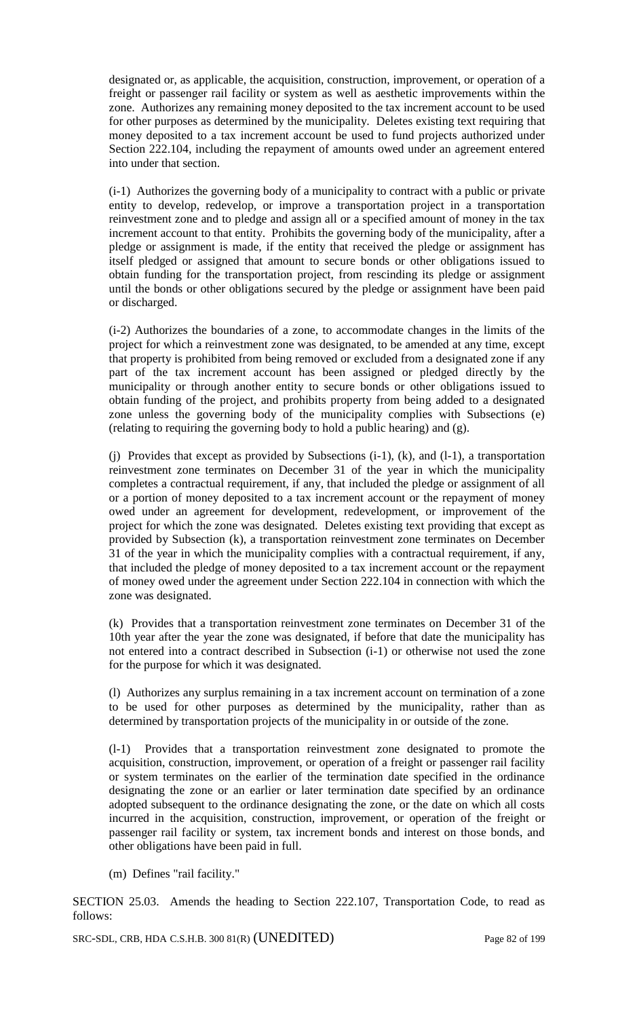designated or, as applicable, the acquisition, construction, improvement, or operation of a freight or passenger rail facility or system as well as aesthetic improvements within the zone. Authorizes any remaining money deposited to the tax increment account to be used for other purposes as determined by the municipality. Deletes existing text requiring that money deposited to a tax increment account be used to fund projects authorized under Section 222.104, including the repayment of amounts owed under an agreement entered into under that section.

(i-1) Authorizes the governing body of a municipality to contract with a public or private entity to develop, redevelop, or improve a transportation project in a transportation reinvestment zone and to pledge and assign all or a specified amount of money in the tax increment account to that entity. Prohibits the governing body of the municipality, after a pledge or assignment is made, if the entity that received the pledge or assignment has itself pledged or assigned that amount to secure bonds or other obligations issued to obtain funding for the transportation project, from rescinding its pledge or assignment until the bonds or other obligations secured by the pledge or assignment have been paid or discharged.

(i-2) Authorizes the boundaries of a zone, to accommodate changes in the limits of the project for which a reinvestment zone was designated, to be amended at any time, except that property is prohibited from being removed or excluded from a designated zone if any part of the tax increment account has been assigned or pledged directly by the municipality or through another entity to secure bonds or other obligations issued to obtain funding of the project, and prohibits property from being added to a designated zone unless the governing body of the municipality complies with Subsections (e) (relating to requiring the governing body to hold a public hearing) and (g).

(j) Provides that except as provided by Subsections (i-1), (k), and (l-1), a transportation reinvestment zone terminates on December 31 of the year in which the municipality completes a contractual requirement, if any, that included the pledge or assignment of all or a portion of money deposited to a tax increment account or the repayment of money owed under an agreement for development, redevelopment, or improvement of the project for which the zone was designated. Deletes existing text providing that except as provided by Subsection (k), a transportation reinvestment zone terminates on December 31 of the year in which the municipality complies with a contractual requirement, if any, that included the pledge of money deposited to a tax increment account or the repayment of money owed under the agreement under Section 222.104 in connection with which the zone was designated.

(k) Provides that a transportation reinvestment zone terminates on December 31 of the 10th year after the year the zone was designated, if before that date the municipality has not entered into a contract described in Subsection (i-1) or otherwise not used the zone for the purpose for which it was designated.

(l) Authorizes any surplus remaining in a tax increment account on termination of a zone to be used for other purposes as determined by the municipality, rather than as determined by transportation projects of the municipality in or outside of the zone.

(l-1) Provides that a transportation reinvestment zone designated to promote the acquisition, construction, improvement, or operation of a freight or passenger rail facility or system terminates on the earlier of the termination date specified in the ordinance designating the zone or an earlier or later termination date specified by an ordinance adopted subsequent to the ordinance designating the zone, or the date on which all costs incurred in the acquisition, construction, improvement, or operation of the freight or passenger rail facility or system, tax increment bonds and interest on those bonds, and other obligations have been paid in full.

(m) Defines "rail facility."

SECTION 25.03. Amends the heading to Section 222.107, Transportation Code, to read as follows:

SRC-SDL, CRB, HDA C.S.H.B. 300 81(R) (UNEDITED) Page 82 of 199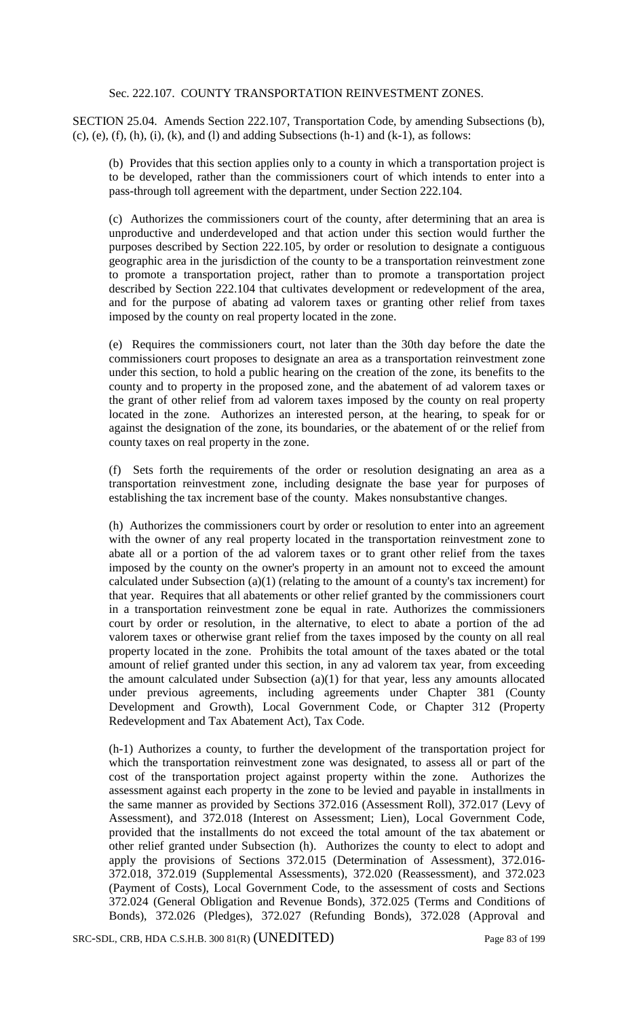## Sec. 222.107. COUNTY TRANSPORTATION REINVESTMENT ZONES.

SECTION 25.04. Amends Section 222.107, Transportation Code, by amending Subsections (b),  $(c)$ ,  $(e)$ ,  $(f)$ ,  $(h)$ ,  $(i)$ ,  $(k)$ , and  $(l)$  and adding Subsections  $(h-1)$  and  $(k-1)$ , as follows:

(b) Provides that this section applies only to a county in which a transportation project is to be developed, rather than the commissioners court of which intends to enter into a pass-through toll agreement with the department, under Section 222.104.

(c) Authorizes the commissioners court of the county, after determining that an area is unproductive and underdeveloped and that action under this section would further the purposes described by Section 222.105, by order or resolution to designate a contiguous geographic area in the jurisdiction of the county to be a transportation reinvestment zone to promote a transportation project, rather than to promote a transportation project described by Section 222.104 that cultivates development or redevelopment of the area, and for the purpose of abating ad valorem taxes or granting other relief from taxes imposed by the county on real property located in the zone.

(e) Requires the commissioners court, not later than the 30th day before the date the commissioners court proposes to designate an area as a transportation reinvestment zone under this section, to hold a public hearing on the creation of the zone, its benefits to the county and to property in the proposed zone, and the abatement of ad valorem taxes or the grant of other relief from ad valorem taxes imposed by the county on real property located in the zone. Authorizes an interested person, at the hearing, to speak for or against the designation of the zone, its boundaries, or the abatement of or the relief from county taxes on real property in the zone.

(f) Sets forth the requirements of the order or resolution designating an area as a transportation reinvestment zone, including designate the base year for purposes of establishing the tax increment base of the county. Makes nonsubstantive changes.

(h) Authorizes the commissioners court by order or resolution to enter into an agreement with the owner of any real property located in the transportation reinvestment zone to abate all or a portion of the ad valorem taxes or to grant other relief from the taxes imposed by the county on the owner's property in an amount not to exceed the amount calculated under Subsection (a)(1) (relating to the amount of a county's tax increment) for that year. Requires that all abatements or other relief granted by the commissioners court in a transportation reinvestment zone be equal in rate. Authorizes the commissioners court by order or resolution, in the alternative, to elect to abate a portion of the ad valorem taxes or otherwise grant relief from the taxes imposed by the county on all real property located in the zone. Prohibits the total amount of the taxes abated or the total amount of relief granted under this section, in any ad valorem tax year, from exceeding the amount calculated under Subsection (a)(1) for that year, less any amounts allocated under previous agreements, including agreements under Chapter 381 (County Development and Growth), Local Government Code, or Chapter 312 (Property Redevelopment and Tax Abatement Act), Tax Code.

(h-1) Authorizes a county, to further the development of the transportation project for which the transportation reinvestment zone was designated, to assess all or part of the cost of the transportation project against property within the zone. Authorizes the assessment against each property in the zone to be levied and payable in installments in the same manner as provided by Sections 372.016 (Assessment Roll), 372.017 (Levy of Assessment), and 372.018 (Interest on Assessment; Lien), Local Government Code, provided that the installments do not exceed the total amount of the tax abatement or other relief granted under Subsection (h). Authorizes the county to elect to adopt and apply the provisions of Sections 372.015 (Determination of Assessment), 372.016- 372.018, 372.019 (Supplemental Assessments), 372.020 (Reassessment), and 372.023 (Payment of Costs), Local Government Code, to the assessment of costs and Sections 372.024 (General Obligation and Revenue Bonds), 372.025 (Terms and Conditions of Bonds), 372.026 (Pledges), 372.027 (Refunding Bonds), 372.028 (Approval and

SRC-SDL, CRB, HDA C.S.H.B. 300 81(R) (UNEDITED) Page 83 of 199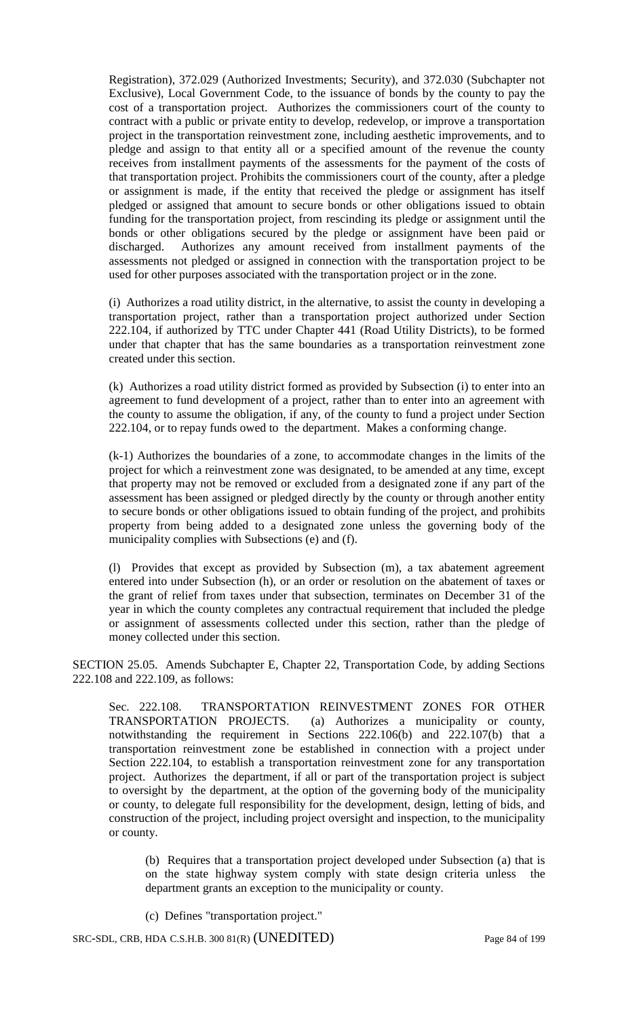Registration), 372.029 (Authorized Investments; Security), and 372.030 (Subchapter not Exclusive), Local Government Code, to the issuance of bonds by the county to pay the cost of a transportation project. Authorizes the commissioners court of the county to contract with a public or private entity to develop, redevelop, or improve a transportation project in the transportation reinvestment zone, including aesthetic improvements, and to pledge and assign to that entity all or a specified amount of the revenue the county receives from installment payments of the assessments for the payment of the costs of that transportation project. Prohibits the commissioners court of the county, after a pledge or assignment is made, if the entity that received the pledge or assignment has itself pledged or assigned that amount to secure bonds or other obligations issued to obtain funding for the transportation project, from rescinding its pledge or assignment until the bonds or other obligations secured by the pledge or assignment have been paid or discharged. Authorizes any amount received from installment payments of the assessments not pledged or assigned in connection with the transportation project to be used for other purposes associated with the transportation project or in the zone.

(i) Authorizes a road utility district, in the alternative, to assist the county in developing a transportation project, rather than a transportation project authorized under Section 222.104, if authorized by TTC under Chapter 441 (Road Utility Districts), to be formed under that chapter that has the same boundaries as a transportation reinvestment zone created under this section.

(k) Authorizes a road utility district formed as provided by Subsection (i) to enter into an agreement to fund development of a project, rather than to enter into an agreement with the county to assume the obligation, if any, of the county to fund a project under Section 222.104, or to repay funds owed to the department. Makes a conforming change.

(k-1) Authorizes the boundaries of a zone, to accommodate changes in the limits of the project for which a reinvestment zone was designated, to be amended at any time, except that property may not be removed or excluded from a designated zone if any part of the assessment has been assigned or pledged directly by the county or through another entity to secure bonds or other obligations issued to obtain funding of the project, and prohibits property from being added to a designated zone unless the governing body of the municipality complies with Subsections (e) and (f).

(l) Provides that except as provided by Subsection (m), a tax abatement agreement entered into under Subsection (h), or an order or resolution on the abatement of taxes or the grant of relief from taxes under that subsection, terminates on December 31 of the year in which the county completes any contractual requirement that included the pledge or assignment of assessments collected under this section, rather than the pledge of money collected under this section.

SECTION 25.05. Amends Subchapter E, Chapter 22, Transportation Code, by adding Sections 222.108 and 222.109, as follows:

Sec. 222.108. TRANSPORTATION REINVESTMENT ZONES FOR OTHER TRANSPORTATION PROJECTS. (a) Authorizes a municipality or county, notwithstanding the requirement in Sections 222.106(b) and 222.107(b) that a transportation reinvestment zone be established in connection with a project under Section 222.104, to establish a transportation reinvestment zone for any transportation project. Authorizes the department, if all or part of the transportation project is subject to oversight by the department, at the option of the governing body of the municipality or county, to delegate full responsibility for the development, design, letting of bids, and construction of the project, including project oversight and inspection, to the municipality or county.

(b) Requires that a transportation project developed under Subsection (a) that is on the state highway system comply with state design criteria unless the department grants an exception to the municipality or county.

(c) Defines "transportation project."

SRC-SDL, CRB, HDA C.S.H.B. 300 81(R) (UNEDITED) Page 84 of 199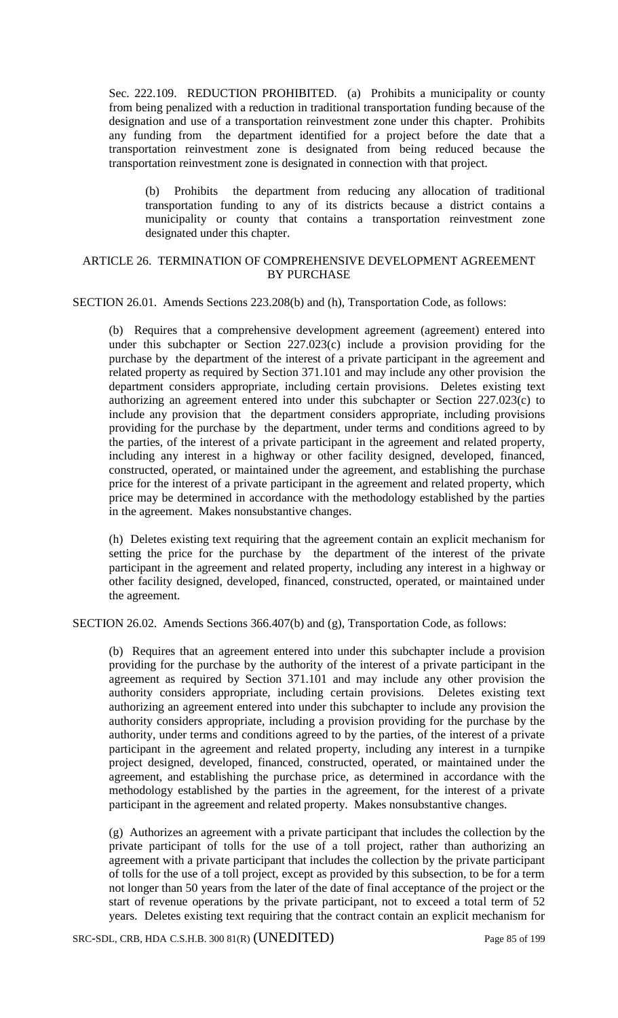Sec. 222.109. REDUCTION PROHIBITED. (a) Prohibits a municipality or county from being penalized with a reduction in traditional transportation funding because of the designation and use of a transportation reinvestment zone under this chapter. Prohibits any funding from the department identified for a project before the date that a transportation reinvestment zone is designated from being reduced because the transportation reinvestment zone is designated in connection with that project.

(b) Prohibits the department from reducing any allocation of traditional transportation funding to any of its districts because a district contains a municipality or county that contains a transportation reinvestment zone designated under this chapter.

### ARTICLE 26. TERMINATION OF COMPREHENSIVE DEVELOPMENT AGREEMENT BY PURCHASE

SECTION 26.01. Amends Sections 223.208(b) and (h), Transportation Code, as follows:

(b) Requires that a comprehensive development agreement (agreement) entered into under this subchapter or Section 227.023(c) include a provision providing for the purchase by the department of the interest of a private participant in the agreement and related property as required by Section 371.101 and may include any other provision the department considers appropriate, including certain provisions. Deletes existing text authorizing an agreement entered into under this subchapter or Section 227.023(c) to include any provision that the department considers appropriate, including provisions providing for the purchase by the department, under terms and conditions agreed to by the parties, of the interest of a private participant in the agreement and related property, including any interest in a highway or other facility designed, developed, financed, constructed, operated, or maintained under the agreement, and establishing the purchase price for the interest of a private participant in the agreement and related property, which price may be determined in accordance with the methodology established by the parties in the agreement. Makes nonsubstantive changes.

(h) Deletes existing text requiring that the agreement contain an explicit mechanism for setting the price for the purchase by the department of the interest of the private participant in the agreement and related property, including any interest in a highway or other facility designed, developed, financed, constructed, operated, or maintained under the agreement.

SECTION 26.02. Amends Sections 366.407(b) and (g), Transportation Code, as follows:

(b) Requires that an agreement entered into under this subchapter include a provision providing for the purchase by the authority of the interest of a private participant in the agreement as required by Section 371.101 and may include any other provision the authority considers appropriate, including certain provisions. Deletes existing text authorizing an agreement entered into under this subchapter to include any provision the authority considers appropriate, including a provision providing for the purchase by the authority, under terms and conditions agreed to by the parties, of the interest of a private participant in the agreement and related property, including any interest in a turnpike project designed, developed, financed, constructed, operated, or maintained under the agreement, and establishing the purchase price, as determined in accordance with the methodology established by the parties in the agreement, for the interest of a private participant in the agreement and related property. Makes nonsubstantive changes.

(g) Authorizes an agreement with a private participant that includes the collection by the private participant of tolls for the use of a toll project, rather than authorizing an agreement with a private participant that includes the collection by the private participant of tolls for the use of a toll project, except as provided by this subsection, to be for a term not longer than 50 years from the later of the date of final acceptance of the project or the start of revenue operations by the private participant, not to exceed a total term of 52 years. Deletes existing text requiring that the contract contain an explicit mechanism for

SRC-SDL, CRB, HDA C.S.H.B. 300 81(R) (UNEDITED) Page 85 of 199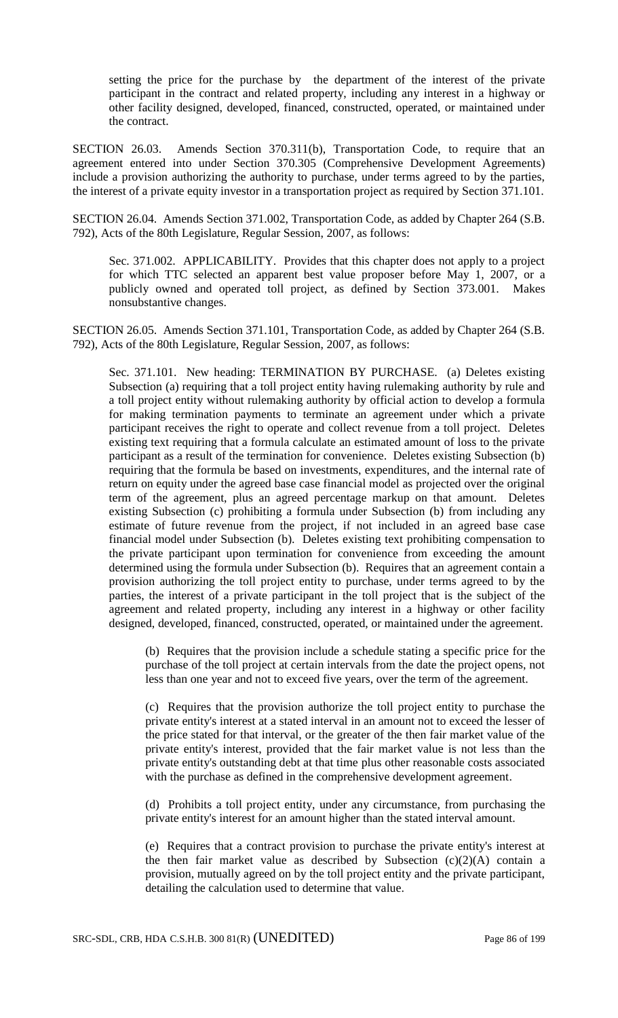setting the price for the purchase by the department of the interest of the private participant in the contract and related property, including any interest in a highway or other facility designed, developed, financed, constructed, operated, or maintained under the contract.

SECTION 26.03. Amends Section 370.311(b), Transportation Code, to require that an agreement entered into under Section 370.305 (Comprehensive Development Agreements) include a provision authorizing the authority to purchase, under terms agreed to by the parties, the interest of a private equity investor in a transportation project as required by Section 371.101.

SECTION 26.04. Amends Section 371.002, Transportation Code, as added by Chapter 264 (S.B. 792), Acts of the 80th Legislature, Regular Session, 2007, as follows:

Sec. 371.002. APPLICABILITY. Provides that this chapter does not apply to a project for which TTC selected an apparent best value proposer before May 1, 2007, or a publicly owned and operated toll project, as defined by Section 373.001. Makes nonsubstantive changes.

SECTION 26.05. Amends Section 371.101, Transportation Code, as added by Chapter 264 (S.B. 792), Acts of the 80th Legislature, Regular Session, 2007, as follows:

Sec. 371.101. New heading: TERMINATION BY PURCHASE. (a) Deletes existing Subsection (a) requiring that a toll project entity having rulemaking authority by rule and a toll project entity without rulemaking authority by official action to develop a formula for making termination payments to terminate an agreement under which a private participant receives the right to operate and collect revenue from a toll project. Deletes existing text requiring that a formula calculate an estimated amount of loss to the private participant as a result of the termination for convenience. Deletes existing Subsection (b) requiring that the formula be based on investments, expenditures, and the internal rate of return on equity under the agreed base case financial model as projected over the original term of the agreement, plus an agreed percentage markup on that amount. Deletes existing Subsection (c) prohibiting a formula under Subsection (b) from including any estimate of future revenue from the project, if not included in an agreed base case financial model under Subsection (b). Deletes existing text prohibiting compensation to the private participant upon termination for convenience from exceeding the amount determined using the formula under Subsection (b). Requires that an agreement contain a provision authorizing the toll project entity to purchase, under terms agreed to by the parties, the interest of a private participant in the toll project that is the subject of the agreement and related property, including any interest in a highway or other facility designed, developed, financed, constructed, operated, or maintained under the agreement.

(b) Requires that the provision include a schedule stating a specific price for the purchase of the toll project at certain intervals from the date the project opens, not less than one year and not to exceed five years, over the term of the agreement.

(c) Requires that the provision authorize the toll project entity to purchase the private entity's interest at a stated interval in an amount not to exceed the lesser of the price stated for that interval, or the greater of the then fair market value of the private entity's interest, provided that the fair market value is not less than the private entity's outstanding debt at that time plus other reasonable costs associated with the purchase as defined in the comprehensive development agreement.

(d) Prohibits a toll project entity, under any circumstance, from purchasing the private entity's interest for an amount higher than the stated interval amount.

(e) Requires that a contract provision to purchase the private entity's interest at the then fair market value as described by Subsection  $(c)(2)(A)$  contain a provision, mutually agreed on by the toll project entity and the private participant, detailing the calculation used to determine that value.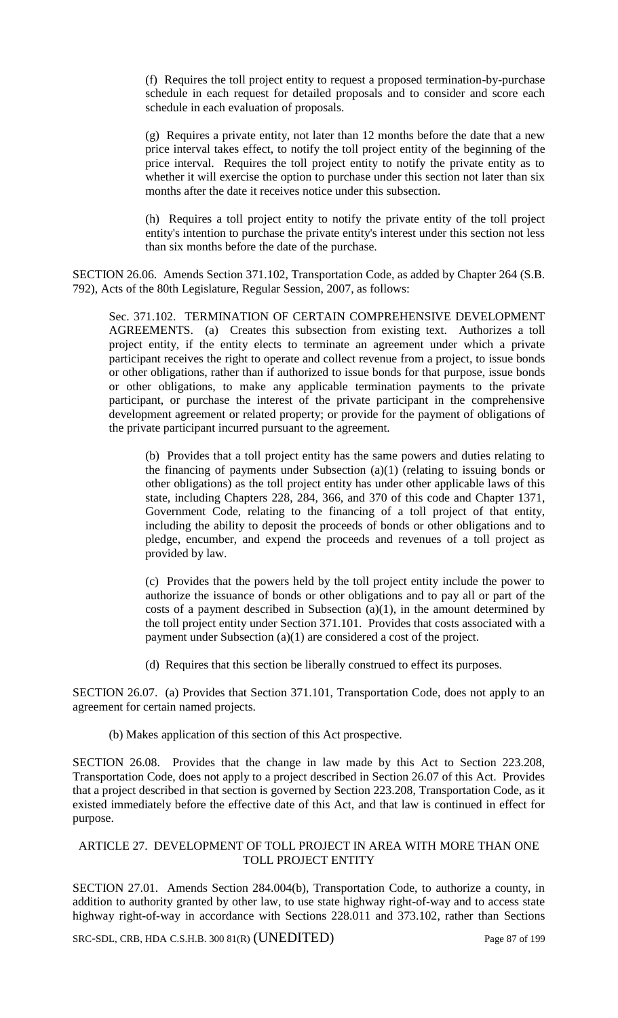(f) Requires the toll project entity to request a proposed termination-by-purchase schedule in each request for detailed proposals and to consider and score each schedule in each evaluation of proposals.

(g) Requires a private entity, not later than 12 months before the date that a new price interval takes effect, to notify the toll project entity of the beginning of the price interval. Requires the toll project entity to notify the private entity as to whether it will exercise the option to purchase under this section not later than six months after the date it receives notice under this subsection.

(h) Requires a toll project entity to notify the private entity of the toll project entity's intention to purchase the private entity's interest under this section not less than six months before the date of the purchase.

SECTION 26.06. Amends Section 371.102, Transportation Code, as added by Chapter 264 (S.B. 792), Acts of the 80th Legislature, Regular Session, 2007, as follows:

Sec. 371.102. TERMINATION OF CERTAIN COMPREHENSIVE DEVELOPMENT AGREEMENTS. (a) Creates this subsection from existing text. Authorizes a toll project entity, if the entity elects to terminate an agreement under which a private participant receives the right to operate and collect revenue from a project, to issue bonds or other obligations, rather than if authorized to issue bonds for that purpose, issue bonds or other obligations, to make any applicable termination payments to the private participant, or purchase the interest of the private participant in the comprehensive development agreement or related property; or provide for the payment of obligations of the private participant incurred pursuant to the agreement.

(b) Provides that a toll project entity has the same powers and duties relating to the financing of payments under Subsection (a)(1) (relating to issuing bonds or other obligations) as the toll project entity has under other applicable laws of this state, including Chapters 228, 284, 366, and 370 of this code and Chapter 1371, Government Code, relating to the financing of a toll project of that entity, including the ability to deposit the proceeds of bonds or other obligations and to pledge, encumber, and expend the proceeds and revenues of a toll project as provided by law.

(c) Provides that the powers held by the toll project entity include the power to authorize the issuance of bonds or other obligations and to pay all or part of the costs of a payment described in Subsection  $(a)(1)$ , in the amount determined by the toll project entity under Section 371.101. Provides that costs associated with a payment under Subsection (a)(1) are considered a cost of the project.

(d) Requires that this section be liberally construed to effect its purposes.

SECTION 26.07. (a) Provides that Section 371.101, Transportation Code, does not apply to an agreement for certain named projects.

(b) Makes application of this section of this Act prospective.

SECTION 26.08. Provides that the change in law made by this Act to Section 223.208, Transportation Code, does not apply to a project described in Section 26.07 of this Act. Provides that a project described in that section is governed by Section 223.208, Transportation Code, as it existed immediately before the effective date of this Act, and that law is continued in effect for purpose.

## ARTICLE 27. DEVELOPMENT OF TOLL PROJECT IN AREA WITH MORE THAN ONE TOLL PROJECT ENTITY

SECTION 27.01. Amends Section 284.004(b), Transportation Code, to authorize a county, in addition to authority granted by other law, to use state highway right-of-way and to access state highway right-of-way in accordance with Sections 228.011 and 373.102, rather than Sections

SRC-SDL, CRB, HDA C.S.H.B. 300 81(R) (UNEDITED) Page 87 of 199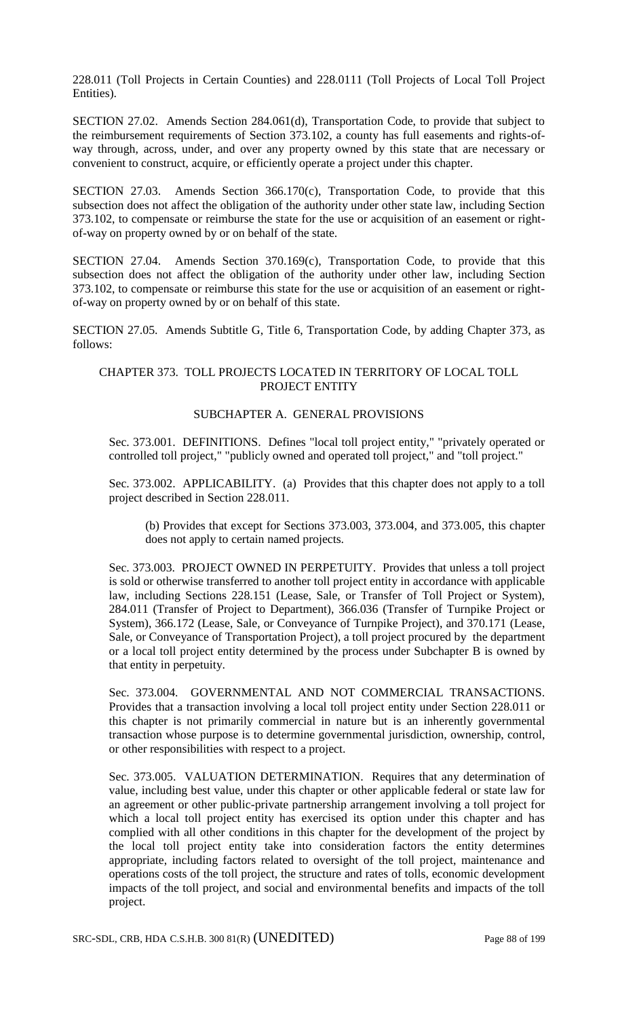228.011 (Toll Projects in Certain Counties) and 228.0111 (Toll Projects of Local Toll Project Entities).

SECTION 27.02. Amends Section 284.061(d), Transportation Code, to provide that subject to the reimbursement requirements of Section 373.102, a county has full easements and rights-ofway through, across, under, and over any property owned by this state that are necessary or convenient to construct, acquire, or efficiently operate a project under this chapter.

SECTION 27.03. Amends Section 366.170(c), Transportation Code, to provide that this subsection does not affect the obligation of the authority under other state law, including Section 373.102, to compensate or reimburse the state for the use or acquisition of an easement or rightof-way on property owned by or on behalf of the state.

SECTION 27.04. Amends Section  $370.169(c)$ , Transportation Code, to provide that this subsection does not affect the obligation of the authority under other law, including Section 373.102, to compensate or reimburse this state for the use or acquisition of an easement or rightof-way on property owned by or on behalf of this state.

SECTION 27.05. Amends Subtitle G, Title 6, Transportation Code, by adding Chapter 373, as follows:

## CHAPTER 373. TOLL PROJECTS LOCATED IN TERRITORY OF LOCAL TOLL PROJECT ENTITY

## SUBCHAPTER A. GENERAL PROVISIONS

Sec. 373.001. DEFINITIONS. Defines "local toll project entity," "privately operated or controlled toll project," "publicly owned and operated toll project," and "toll project."

Sec. 373.002. APPLICABILITY. (a) Provides that this chapter does not apply to a toll project described in Section 228.011.

(b) Provides that except for Sections 373.003, 373.004, and 373.005, this chapter does not apply to certain named projects.

Sec. 373.003. PROJECT OWNED IN PERPETUITY. Provides that unless a toll project is sold or otherwise transferred to another toll project entity in accordance with applicable law, including Sections 228.151 (Lease, Sale, or Transfer of Toll Project or System), 284.011 (Transfer of Project to Department), 366.036 (Transfer of Turnpike Project or System), 366.172 (Lease, Sale, or Conveyance of Turnpike Project), and 370.171 (Lease, Sale, or Conveyance of Transportation Project), a toll project procured by the department or a local toll project entity determined by the process under Subchapter B is owned by that entity in perpetuity.

Sec. 373.004. GOVERNMENTAL AND NOT COMMERCIAL TRANSACTIONS. Provides that a transaction involving a local toll project entity under Section 228.011 or this chapter is not primarily commercial in nature but is an inherently governmental transaction whose purpose is to determine governmental jurisdiction, ownership, control, or other responsibilities with respect to a project.

Sec. 373.005. VALUATION DETERMINATION. Requires that any determination of value, including best value, under this chapter or other applicable federal or state law for an agreement or other public-private partnership arrangement involving a toll project for which a local toll project entity has exercised its option under this chapter and has complied with all other conditions in this chapter for the development of the project by the local toll project entity take into consideration factors the entity determines appropriate, including factors related to oversight of the toll project, maintenance and operations costs of the toll project, the structure and rates of tolls, economic development impacts of the toll project, and social and environmental benefits and impacts of the toll project.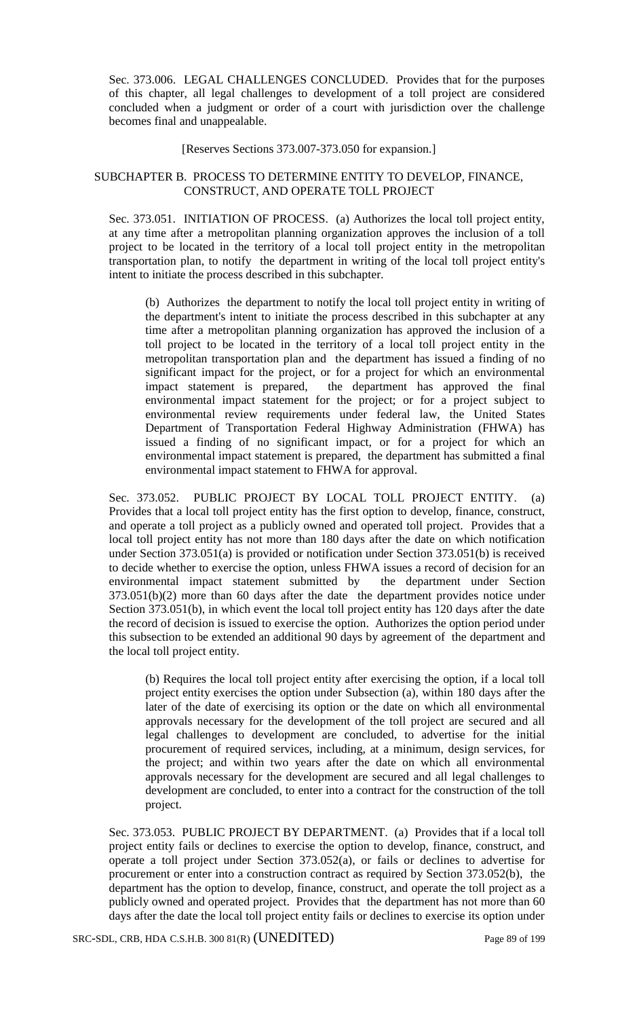Sec. 373.006. LEGAL CHALLENGES CONCLUDED. Provides that for the purposes of this chapter, all legal challenges to development of a toll project are considered concluded when a judgment or order of a court with jurisdiction over the challenge becomes final and unappealable.

[Reserves Sections 373.007-373.050 for expansion.]

## SUBCHAPTER B. PROCESS TO DETERMINE ENTITY TO DEVELOP, FINANCE, CONSTRUCT, AND OPERATE TOLL PROJECT

Sec. 373.051. INITIATION OF PROCESS. (a) Authorizes the local toll project entity, at any time after a metropolitan planning organization approves the inclusion of a toll project to be located in the territory of a local toll project entity in the metropolitan transportation plan, to notify the department in writing of the local toll project entity's intent to initiate the process described in this subchapter.

(b) Authorizes the department to notify the local toll project entity in writing of the department's intent to initiate the process described in this subchapter at any time after a metropolitan planning organization has approved the inclusion of a toll project to be located in the territory of a local toll project entity in the metropolitan transportation plan and the department has issued a finding of no significant impact for the project, or for a project for which an environmental impact statement is prepared, the department has approved the final environmental impact statement for the project; or for a project subject to environmental review requirements under federal law, the United States Department of Transportation Federal Highway Administration (FHWA) has issued a finding of no significant impact, or for a project for which an environmental impact statement is prepared, the department has submitted a final environmental impact statement to FHWA for approval.

Sec. 373.052. PUBLIC PROJECT BY LOCAL TOLL PROJECT ENTITY. (a) Provides that a local toll project entity has the first option to develop, finance, construct, and operate a toll project as a publicly owned and operated toll project. Provides that a local toll project entity has not more than 180 days after the date on which notification under Section 373.051(a) is provided or notification under Section 373.051(b) is received to decide whether to exercise the option, unless FHWA issues a record of decision for an environmental impact statement submitted by the department under Section 373.051(b)(2) more than 60 days after the date the department provides notice under Section 373.051(b), in which event the local toll project entity has 120 days after the date the record of decision is issued to exercise the option. Authorizes the option period under this subsection to be extended an additional 90 days by agreement of the department and the local toll project entity.

(b) Requires the local toll project entity after exercising the option, if a local toll project entity exercises the option under Subsection (a), within 180 days after the later of the date of exercising its option or the date on which all environmental approvals necessary for the development of the toll project are secured and all legal challenges to development are concluded, to advertise for the initial procurement of required services, including, at a minimum, design services, for the project; and within two years after the date on which all environmental approvals necessary for the development are secured and all legal challenges to development are concluded, to enter into a contract for the construction of the toll project.

Sec. 373.053. PUBLIC PROJECT BY DEPARTMENT. (a) Provides that if a local toll project entity fails or declines to exercise the option to develop, finance, construct, and operate a toll project under Section 373.052(a), or fails or declines to advertise for procurement or enter into a construction contract as required by Section 373.052(b), the department has the option to develop, finance, construct, and operate the toll project as a publicly owned and operated project. Provides that the department has not more than 60 days after the date the local toll project entity fails or declines to exercise its option under

SRC-SDL, CRB, HDA C.S.H.B. 300 81(R) (UNEDITED) Page 89 of 199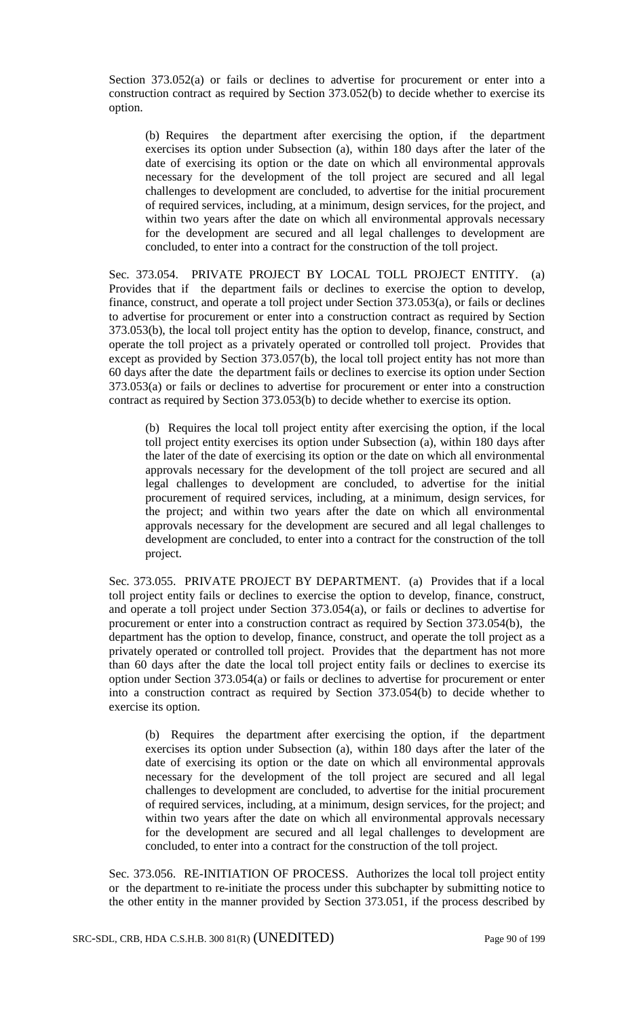Section 373.052(a) or fails or declines to advertise for procurement or enter into a construction contract as required by Section 373.052(b) to decide whether to exercise its option.

(b) Requires the department after exercising the option, if the department exercises its option under Subsection (a), within 180 days after the later of the date of exercising its option or the date on which all environmental approvals necessary for the development of the toll project are secured and all legal challenges to development are concluded, to advertise for the initial procurement of required services, including, at a minimum, design services, for the project, and within two years after the date on which all environmental approvals necessary for the development are secured and all legal challenges to development are concluded, to enter into a contract for the construction of the toll project.

Sec. 373.054. PRIVATE PROJECT BY LOCAL TOLL PROJECT ENTITY. (a) Provides that if the department fails or declines to exercise the option to develop, finance, construct, and operate a toll project under Section 373.053(a), or fails or declines to advertise for procurement or enter into a construction contract as required by Section 373.053(b), the local toll project entity has the option to develop, finance, construct, and operate the toll project as a privately operated or controlled toll project. Provides that except as provided by Section 373.057(b), the local toll project entity has not more than 60 days after the date the department fails or declines to exercise its option under Section 373.053(a) or fails or declines to advertise for procurement or enter into a construction contract as required by Section 373.053(b) to decide whether to exercise its option.

(b) Requires the local toll project entity after exercising the option, if the local toll project entity exercises its option under Subsection (a), within 180 days after the later of the date of exercising its option or the date on which all environmental approvals necessary for the development of the toll project are secured and all legal challenges to development are concluded, to advertise for the initial procurement of required services, including, at a minimum, design services, for the project; and within two years after the date on which all environmental approvals necessary for the development are secured and all legal challenges to development are concluded, to enter into a contract for the construction of the toll project.

Sec. 373.055. PRIVATE PROJECT BY DEPARTMENT. (a) Provides that if a local toll project entity fails or declines to exercise the option to develop, finance, construct, and operate a toll project under Section 373.054(a), or fails or declines to advertise for procurement or enter into a construction contract as required by Section 373.054(b), the department has the option to develop, finance, construct, and operate the toll project as a privately operated or controlled toll project. Provides that the department has not more than 60 days after the date the local toll project entity fails or declines to exercise its option under Section 373.054(a) or fails or declines to advertise for procurement or enter into a construction contract as required by Section 373.054(b) to decide whether to exercise its option.

(b) Requires the department after exercising the option, if the department exercises its option under Subsection (a), within 180 days after the later of the date of exercising its option or the date on which all environmental approvals necessary for the development of the toll project are secured and all legal challenges to development are concluded, to advertise for the initial procurement of required services, including, at a minimum, design services, for the project; and within two years after the date on which all environmental approvals necessary for the development are secured and all legal challenges to development are concluded, to enter into a contract for the construction of the toll project.

Sec. 373.056. RE-INITIATION OF PROCESS. Authorizes the local toll project entity or the department to re-initiate the process under this subchapter by submitting notice to the other entity in the manner provided by Section 373.051, if the process described by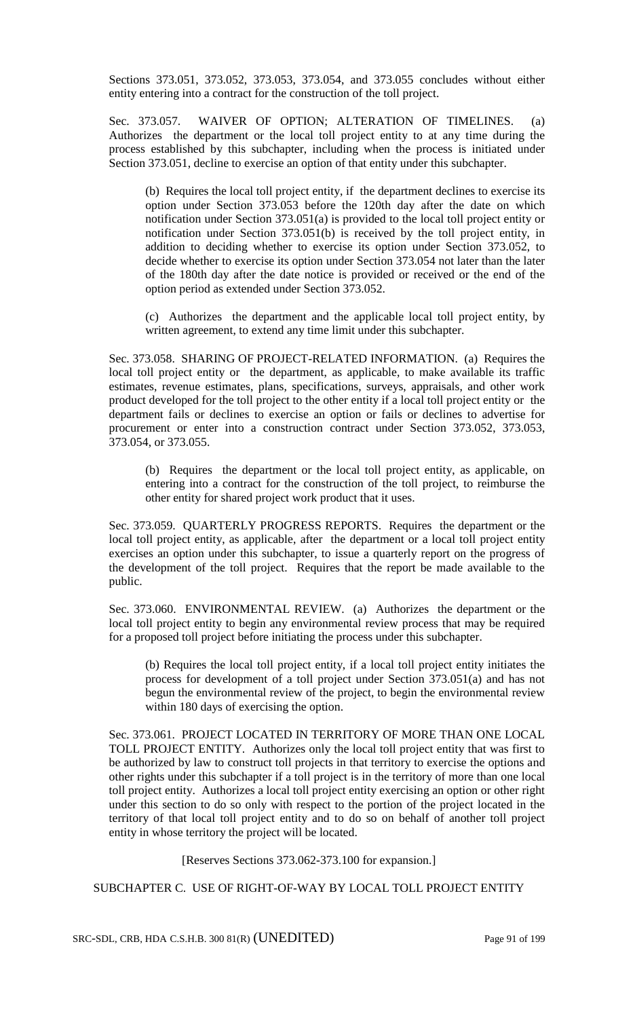Sections 373.051, 373.052, 373.053, 373.054, and 373.055 concludes without either entity entering into a contract for the construction of the toll project.

Sec. 373.057. WAIVER OF OPTION; ALTERATION OF TIMELINES. (a) Authorizes the department or the local toll project entity to at any time during the process established by this subchapter, including when the process is initiated under Section 373.051, decline to exercise an option of that entity under this subchapter.

(b) Requires the local toll project entity, if the department declines to exercise its option under Section 373.053 before the 120th day after the date on which notification under Section 373.051(a) is provided to the local toll project entity or notification under Section 373.051(b) is received by the toll project entity, in addition to deciding whether to exercise its option under Section 373.052, to decide whether to exercise its option under Section 373.054 not later than the later of the 180th day after the date notice is provided or received or the end of the option period as extended under Section 373.052.

(c) Authorizes the department and the applicable local toll project entity, by written agreement, to extend any time limit under this subchapter.

Sec. 373.058. SHARING OF PROJECT-RELATED INFORMATION. (a) Requires the local toll project entity or the department, as applicable, to make available its traffic estimates, revenue estimates, plans, specifications, surveys, appraisals, and other work product developed for the toll project to the other entity if a local toll project entity or the department fails or declines to exercise an option or fails or declines to advertise for procurement or enter into a construction contract under Section 373.052, 373.053, 373.054, or 373.055.

(b) Requires the department or the local toll project entity, as applicable, on entering into a contract for the construction of the toll project, to reimburse the other entity for shared project work product that it uses.

Sec. 373.059. QUARTERLY PROGRESS REPORTS. Requires the department or the local toll project entity, as applicable, after the department or a local toll project entity exercises an option under this subchapter, to issue a quarterly report on the progress of the development of the toll project. Requires that the report be made available to the public.

Sec. 373.060. ENVIRONMENTAL REVIEW. (a) Authorizes the department or the local toll project entity to begin any environmental review process that may be required for a proposed toll project before initiating the process under this subchapter.

(b) Requires the local toll project entity, if a local toll project entity initiates the process for development of a toll project under Section 373.051(a) and has not begun the environmental review of the project, to begin the environmental review within 180 days of exercising the option.

Sec. 373.061. PROJECT LOCATED IN TERRITORY OF MORE THAN ONE LOCAL TOLL PROJECT ENTITY. Authorizes only the local toll project entity that was first to be authorized by law to construct toll projects in that territory to exercise the options and other rights under this subchapter if a toll project is in the territory of more than one local toll project entity. Authorizes a local toll project entity exercising an option or other right under this section to do so only with respect to the portion of the project located in the territory of that local toll project entity and to do so on behalf of another toll project entity in whose territory the project will be located.

[Reserves Sections 373.062-373.100 for expansion.]

SUBCHAPTER C. USE OF RIGHT-OF-WAY BY LOCAL TOLL PROJECT ENTITY

SRC-SDL, CRB, HDA C.S.H.B. 300 81(R) (UNEDITED) Page 91 of 199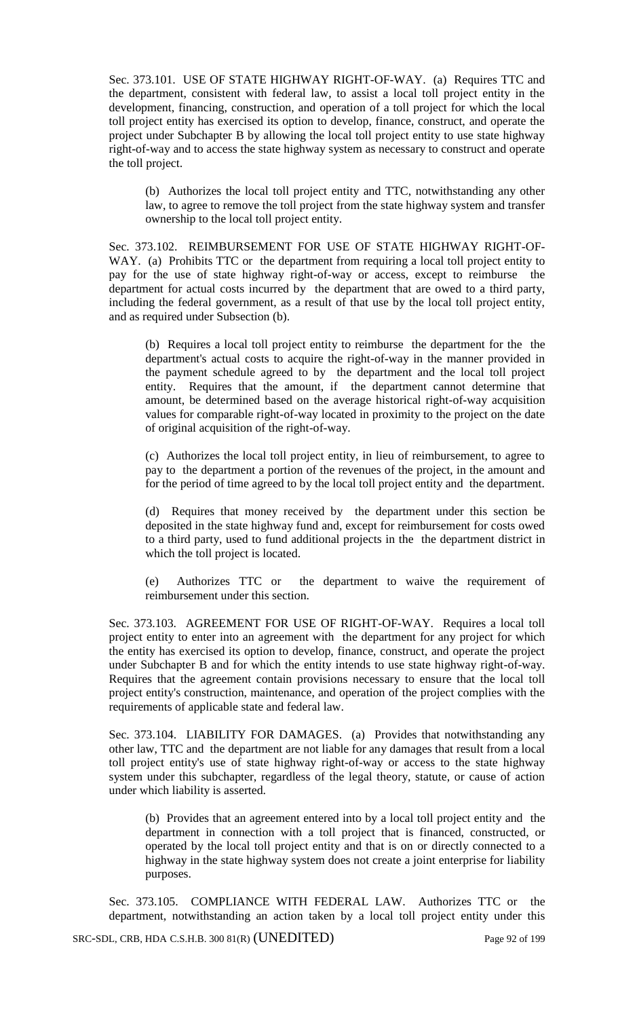Sec. 373.101. USE OF STATE HIGHWAY RIGHT-OF-WAY. (a) Requires TTC and the department, consistent with federal law, to assist a local toll project entity in the development, financing, construction, and operation of a toll project for which the local toll project entity has exercised its option to develop, finance, construct, and operate the project under Subchapter B by allowing the local toll project entity to use state highway right-of-way and to access the state highway system as necessary to construct and operate the toll project.

(b) Authorizes the local toll project entity and TTC, notwithstanding any other law, to agree to remove the toll project from the state highway system and transfer ownership to the local toll project entity.

Sec. 373.102. REIMBURSEMENT FOR USE OF STATE HIGHWAY RIGHT-OF-WAY. (a) Prohibits TTC or the department from requiring a local toll project entity to pay for the use of state highway right-of-way or access, except to reimburse the department for actual costs incurred by the department that are owed to a third party, including the federal government, as a result of that use by the local toll project entity, and as required under Subsection (b).

(b) Requires a local toll project entity to reimburse the department for the the department's actual costs to acquire the right-of-way in the manner provided in the payment schedule agreed to by the department and the local toll project entity. Requires that the amount, if the department cannot determine that amount, be determined based on the average historical right-of-way acquisition values for comparable right-of-way located in proximity to the project on the date of original acquisition of the right-of-way.

(c) Authorizes the local toll project entity, in lieu of reimbursement, to agree to pay to the department a portion of the revenues of the project, in the amount and for the period of time agreed to by the local toll project entity and the department.

(d) Requires that money received by the department under this section be deposited in the state highway fund and, except for reimbursement for costs owed to a third party, used to fund additional projects in the the department district in which the toll project is located.

(e) Authorizes TTC or the department to waive the requirement of reimbursement under this section.

Sec. 373.103. AGREEMENT FOR USE OF RIGHT-OF-WAY. Requires a local toll project entity to enter into an agreement with the department for any project for which the entity has exercised its option to develop, finance, construct, and operate the project under Subchapter B and for which the entity intends to use state highway right-of-way. Requires that the agreement contain provisions necessary to ensure that the local toll project entity's construction, maintenance, and operation of the project complies with the requirements of applicable state and federal law.

Sec. 373.104. LIABILITY FOR DAMAGES. (a) Provides that notwithstanding any other law, TTC and the department are not liable for any damages that result from a local toll project entity's use of state highway right-of-way or access to the state highway system under this subchapter, regardless of the legal theory, statute, or cause of action under which liability is asserted.

(b) Provides that an agreement entered into by a local toll project entity and the department in connection with a toll project that is financed, constructed, or operated by the local toll project entity and that is on or directly connected to a highway in the state highway system does not create a joint enterprise for liability purposes.

Sec. 373.105. COMPLIANCE WITH FEDERAL LAW. Authorizes TTC or the department, notwithstanding an action taken by a local toll project entity under this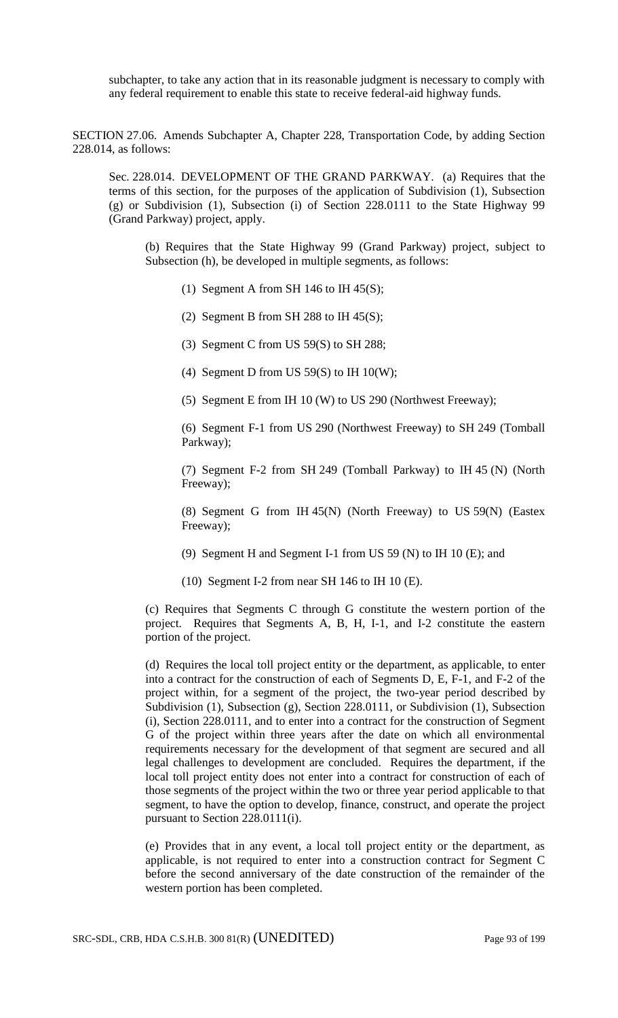subchapter, to take any action that in its reasonable judgment is necessary to comply with any federal requirement to enable this state to receive federal-aid highway funds.

SECTION 27.06. Amends Subchapter A, Chapter 228, Transportation Code, by adding Section 228.014, as follows:

Sec. 228.014. DEVELOPMENT OF THE GRAND PARKWAY. (a) Requires that the terms of this section, for the purposes of the application of Subdivision (1), Subsection (g) or Subdivision (1), Subsection (i) of Section 228.0111 to the State Highway 99 (Grand Parkway) project, apply.

(b) Requires that the State Highway 99 (Grand Parkway) project, subject to Subsection (h), be developed in multiple segments, as follows:

(1) Segment A from SH 146 to IH 45(S);

(2) Segment B from SH 288 to IH  $45(S)$ ;

(3) Segment C from US 59(S) to SH 288;

(4) Segment D from US  $59(S)$  to IH  $10(W)$ ;

(5) Segment E from IH 10 (W) to US 290 (Northwest Freeway);

(6) Segment F-1 from US 290 (Northwest Freeway) to SH 249 (Tomball Parkway);

(7) Segment F-2 from SH 249 (Tomball Parkway) to IH 45 (N) (North Freeway);

(8) Segment G from IH 45(N) (North Freeway) to US 59(N) (Eastex Freeway);

(9) Segment H and Segment I-1 from US 59 (N) to IH 10 (E); and

(10) Segment I-2 from near SH 146 to IH 10 (E).

(c) Requires that Segments C through G constitute the western portion of the project. Requires that Segments A, B, H, I-1, and I-2 constitute the eastern portion of the project.

(d) Requires the local toll project entity or the department, as applicable, to enter into a contract for the construction of each of Segments D, E, F-1, and F-2 of the project within, for a segment of the project, the two-year period described by Subdivision (1), Subsection (g), Section 228.0111, or Subdivision (1), Subsection (i), Section 228.0111, and to enter into a contract for the construction of Segment G of the project within three years after the date on which all environmental requirements necessary for the development of that segment are secured and all legal challenges to development are concluded. Requires the department, if the local toll project entity does not enter into a contract for construction of each of those segments of the project within the two or three year period applicable to that segment, to have the option to develop, finance, construct, and operate the project pursuant to Section 228.0111(i).

(e) Provides that in any event, a local toll project entity or the department, as applicable, is not required to enter into a construction contract for Segment C before the second anniversary of the date construction of the remainder of the western portion has been completed.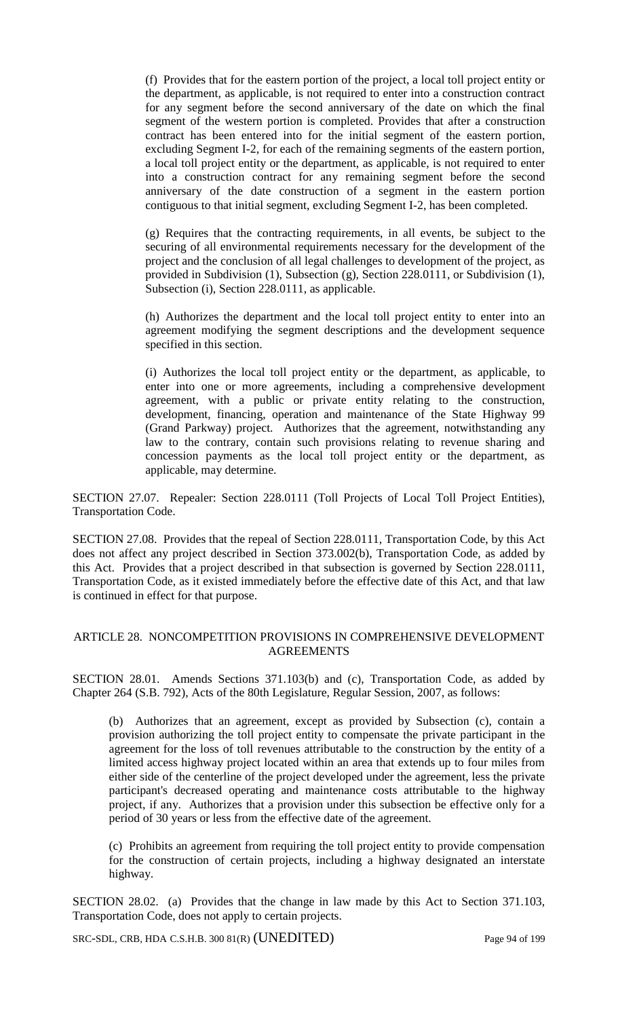(f) Provides that for the eastern portion of the project, a local toll project entity or the department, as applicable, is not required to enter into a construction contract for any segment before the second anniversary of the date on which the final segment of the western portion is completed. Provides that after a construction contract has been entered into for the initial segment of the eastern portion, excluding Segment I-2, for each of the remaining segments of the eastern portion, a local toll project entity or the department, as applicable, is not required to enter into a construction contract for any remaining segment before the second anniversary of the date construction of a segment in the eastern portion contiguous to that initial segment, excluding Segment I-2, has been completed.

(g) Requires that the contracting requirements, in all events, be subject to the securing of all environmental requirements necessary for the development of the project and the conclusion of all legal challenges to development of the project, as provided in Subdivision (1), Subsection (g), Section 228.0111, or Subdivision (1), Subsection (i), Section 228.0111, as applicable.

(h) Authorizes the department and the local toll project entity to enter into an agreement modifying the segment descriptions and the development sequence specified in this section.

(i) Authorizes the local toll project entity or the department, as applicable, to enter into one or more agreements, including a comprehensive development agreement, with a public or private entity relating to the construction, development, financing, operation and maintenance of the State Highway 99 (Grand Parkway) project. Authorizes that the agreement, notwithstanding any law to the contrary, contain such provisions relating to revenue sharing and concession payments as the local toll project entity or the department, as applicable, may determine.

SECTION 27.07. Repealer: Section 228.0111 (Toll Projects of Local Toll Project Entities), Transportation Code.

SECTION 27.08. Provides that the repeal of Section 228.0111, Transportation Code, by this Act does not affect any project described in Section 373.002(b), Transportation Code, as added by this Act. Provides that a project described in that subsection is governed by Section 228.0111, Transportation Code, as it existed immediately before the effective date of this Act, and that law is continued in effect for that purpose.

## ARTICLE 28. NONCOMPETITION PROVISIONS IN COMPREHENSIVE DEVELOPMENT AGREEMENTS

SECTION 28.01. Amends Sections 371.103(b) and (c), Transportation Code, as added by Chapter 264 (S.B. 792), Acts of the 80th Legislature, Regular Session, 2007, as follows:

(b) Authorizes that an agreement, except as provided by Subsection (c), contain a provision authorizing the toll project entity to compensate the private participant in the agreement for the loss of toll revenues attributable to the construction by the entity of a limited access highway project located within an area that extends up to four miles from either side of the centerline of the project developed under the agreement, less the private participant's decreased operating and maintenance costs attributable to the highway project, if any. Authorizes that a provision under this subsection be effective only for a period of 30 years or less from the effective date of the agreement.

(c) Prohibits an agreement from requiring the toll project entity to provide compensation for the construction of certain projects, including a highway designated an interstate highway.

SECTION 28.02. (a) Provides that the change in law made by this Act to Section 371.103, Transportation Code, does not apply to certain projects.

SRC-SDL, CRB, HDA C.S.H.B. 300 81(R) (UNEDITED) Page 94 of 199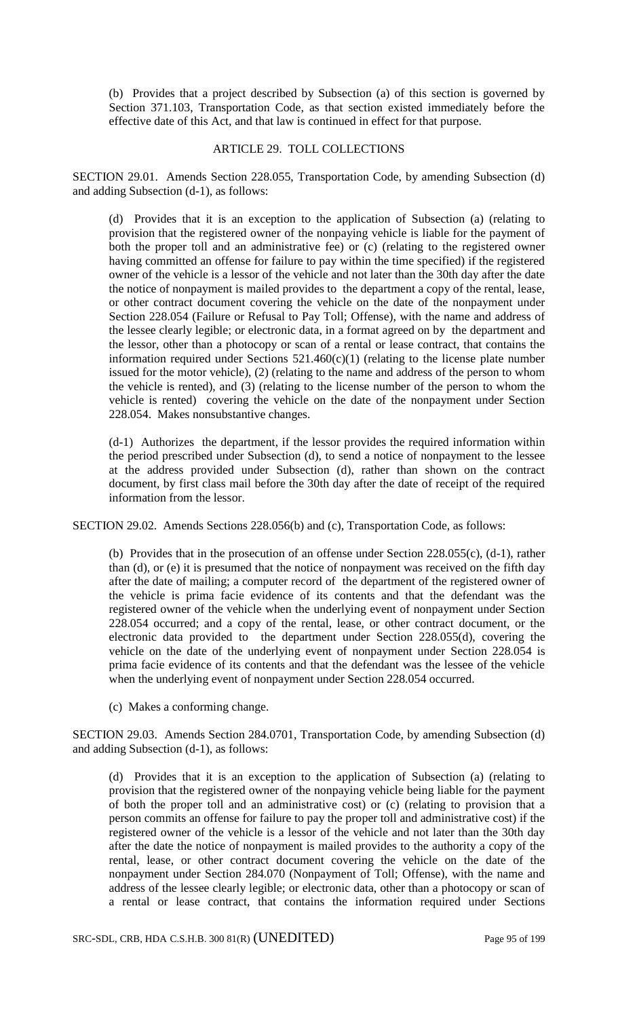(b) Provides that a project described by Subsection (a) of this section is governed by Section 371.103, Transportation Code, as that section existed immediately before the effective date of this Act, and that law is continued in effect for that purpose.

### ARTICLE 29. TOLL COLLECTIONS

SECTION 29.01. Amends Section 228.055, Transportation Code, by amending Subsection (d) and adding Subsection (d-1), as follows:

(d) Provides that it is an exception to the application of Subsection (a) (relating to provision that the registered owner of the nonpaying vehicle is liable for the payment of both the proper toll and an administrative fee) or (c) (relating to the registered owner having committed an offense for failure to pay within the time specified) if the registered owner of the vehicle is a lessor of the vehicle and not later than the 30th day after the date the notice of nonpayment is mailed provides to the department a copy of the rental, lease, or other contract document covering the vehicle on the date of the nonpayment under Section 228.054 (Failure or Refusal to Pay Toll; Offense), with the name and address of the lessee clearly legible; or electronic data, in a format agreed on by the department and the lessor, other than a photocopy or scan of a rental or lease contract, that contains the information required under Sections 521.460(c)(1) (relating to the license plate number issued for the motor vehicle), (2) (relating to the name and address of the person to whom the vehicle is rented), and (3) (relating to the license number of the person to whom the vehicle is rented) covering the vehicle on the date of the nonpayment under Section 228.054. Makes nonsubstantive changes.

(d-1) Authorizes the department, if the lessor provides the required information within the period prescribed under Subsection (d), to send a notice of nonpayment to the lessee at the address provided under Subsection (d), rather than shown on the contract document, by first class mail before the 30th day after the date of receipt of the required information from the lessor.

SECTION 29.02. Amends Sections 228.056(b) and (c), Transportation Code, as follows:

(b) Provides that in the prosecution of an offense under Section 228.055(c), (d-1), rather than (d), or (e) it is presumed that the notice of nonpayment was received on the fifth day after the date of mailing; a computer record of the department of the registered owner of the vehicle is prima facie evidence of its contents and that the defendant was the registered owner of the vehicle when the underlying event of nonpayment under Section 228.054 occurred; and a copy of the rental, lease, or other contract document, or the electronic data provided to the department under Section 228.055(d), covering the vehicle on the date of the underlying event of nonpayment under Section 228.054 is prima facie evidence of its contents and that the defendant was the lessee of the vehicle when the underlying event of nonpayment under Section 228.054 occurred.

(c) Makes a conforming change.

SECTION 29.03. Amends Section 284.0701, Transportation Code, by amending Subsection (d) and adding Subsection (d-1), as follows:

(d) Provides that it is an exception to the application of Subsection (a) (relating to provision that the registered owner of the nonpaying vehicle being liable for the payment of both the proper toll and an administrative cost) or (c) (relating to provision that a person commits an offense for failure to pay the proper toll and administrative cost) if the registered owner of the vehicle is a lessor of the vehicle and not later than the 30th day after the date the notice of nonpayment is mailed provides to the authority a copy of the rental, lease, or other contract document covering the vehicle on the date of the nonpayment under Section 284.070 (Nonpayment of Toll; Offense), with the name and address of the lessee clearly legible; or electronic data, other than a photocopy or scan of a rental or lease contract, that contains the information required under Sections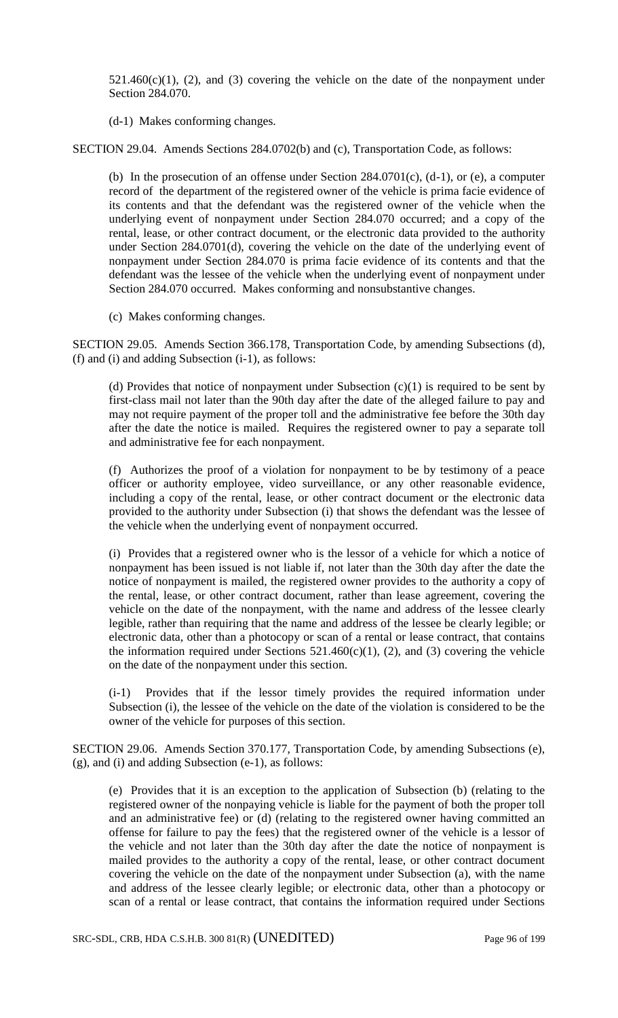$521.460(c)(1)$ , (2), and (3) covering the vehicle on the date of the nonpayment under Section 284.070.

(d-1) Makes conforming changes.

SECTION 29.04. Amends Sections 284.0702(b) and (c), Transportation Code, as follows:

(b) In the prosecution of an offense under Section 284.0701(c), (d-1), or (e), a computer record of the department of the registered owner of the vehicle is prima facie evidence of its contents and that the defendant was the registered owner of the vehicle when the underlying event of nonpayment under Section 284.070 occurred; and a copy of the rental, lease, or other contract document, or the electronic data provided to the authority under Section 284.0701(d), covering the vehicle on the date of the underlying event of nonpayment under Section 284.070 is prima facie evidence of its contents and that the defendant was the lessee of the vehicle when the underlying event of nonpayment under Section 284.070 occurred. Makes conforming and nonsubstantive changes.

(c) Makes conforming changes.

SECTION 29.05. Amends Section 366.178, Transportation Code, by amending Subsections (d),  $(f)$  and  $(i)$  and adding Subsection  $(i-1)$ , as follows:

(d) Provides that notice of nonpayment under Subsection  $(c)(1)$  is required to be sent by first-class mail not later than the 90th day after the date of the alleged failure to pay and may not require payment of the proper toll and the administrative fee before the 30th day after the date the notice is mailed. Requires the registered owner to pay a separate toll and administrative fee for each nonpayment.

(f) Authorizes the proof of a violation for nonpayment to be by testimony of a peace officer or authority employee, video surveillance, or any other reasonable evidence, including a copy of the rental, lease, or other contract document or the electronic data provided to the authority under Subsection (i) that shows the defendant was the lessee of the vehicle when the underlying event of nonpayment occurred.

(i) Provides that a registered owner who is the lessor of a vehicle for which a notice of nonpayment has been issued is not liable if, not later than the 30th day after the date the notice of nonpayment is mailed, the registered owner provides to the authority a copy of the rental, lease, or other contract document, rather than lease agreement, covering the vehicle on the date of the nonpayment, with the name and address of the lessee clearly legible, rather than requiring that the name and address of the lessee be clearly legible; or electronic data, other than a photocopy or scan of a rental or lease contract, that contains the information required under Sections  $521.460(c)(1)$ , (2), and (3) covering the vehicle on the date of the nonpayment under this section.

(i-1) Provides that if the lessor timely provides the required information under Subsection (i), the lessee of the vehicle on the date of the violation is considered to be the owner of the vehicle for purposes of this section.

SECTION 29.06. Amends Section 370.177, Transportation Code, by amending Subsections (e), (g), and (i) and adding Subsection (e-1), as follows:

(e) Provides that it is an exception to the application of Subsection (b) (relating to the registered owner of the nonpaying vehicle is liable for the payment of both the proper toll and an administrative fee) or (d) (relating to the registered owner having committed an offense for failure to pay the fees) that the registered owner of the vehicle is a lessor of the vehicle and not later than the 30th day after the date the notice of nonpayment is mailed provides to the authority a copy of the rental, lease, or other contract document covering the vehicle on the date of the nonpayment under Subsection (a), with the name and address of the lessee clearly legible; or electronic data, other than a photocopy or scan of a rental or lease contract, that contains the information required under Sections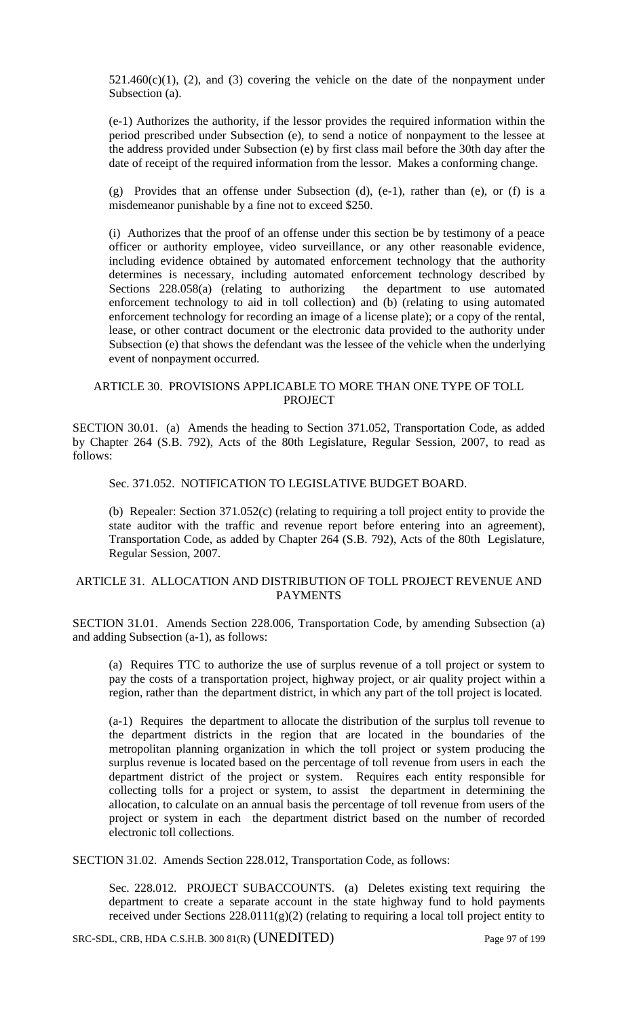$521.460(c)(1)$ , (2), and (3) covering the vehicle on the date of the nonpayment under Subsection (a).

(e-1) Authorizes the authority, if the lessor provides the required information within the period prescribed under Subsection (e), to send a notice of nonpayment to the lessee at the address provided under Subsection (e) by first class mail before the 30th day after the date of receipt of the required information from the lessor. Makes a conforming change.

(g) Provides that an offense under Subsection (d), (e-1), rather than (e), or (f) is a misdemeanor punishable by a fine not to exceed \$250.

(i) Authorizes that the proof of an offense under this section be by testimony of a peace officer or authority employee, video surveillance, or any other reasonable evidence, including evidence obtained by automated enforcement technology that the authority determines is necessary, including automated enforcement technology described by Sections 228.058(a) (relating to authorizing the department to use automated enforcement technology to aid in toll collection) and (b) (relating to using automated enforcement technology for recording an image of a license plate); or a copy of the rental, lease, or other contract document or the electronic data provided to the authority under Subsection (e) that shows the defendant was the lessee of the vehicle when the underlying event of nonpayment occurred.

## ARTICLE 30. PROVISIONS APPLICABLE TO MORE THAN ONE TYPE OF TOLL PROJECT

SECTION 30.01. (a) Amends the heading to Section 371.052, Transportation Code, as added by Chapter 264 (S.B. 792), Acts of the 80th Legislature, Regular Session, 2007, to read as follows:

Sec. 371.052. NOTIFICATION TO LEGISLATIVE BUDGET BOARD.

(b) Repealer: Section 371.052(c) (relating to requiring a toll project entity to provide the state auditor with the traffic and revenue report before entering into an agreement), Transportation Code, as added by Chapter 264 (S.B. 792), Acts of the 80th Legislature, Regular Session, 2007.

### ARTICLE 31. ALLOCATION AND DISTRIBUTION OF TOLL PROJECT REVENUE AND PAYMENTS

SECTION 31.01. Amends Section 228.006, Transportation Code, by amending Subsection (a) and adding Subsection (a-1), as follows:

(a) Requires TTC to authorize the use of surplus revenue of a toll project or system to pay the costs of a transportation project, highway project, or air quality project within a region, rather than the department district, in which any part of the toll project is located.

(a-1) Requires the department to allocate the distribution of the surplus toll revenue to the department districts in the region that are located in the boundaries of the metropolitan planning organization in which the toll project or system producing the surplus revenue is located based on the percentage of toll revenue from users in each the department district of the project or system. Requires each entity responsible for collecting tolls for a project or system, to assist the department in determining the allocation, to calculate on an annual basis the percentage of toll revenue from users of the project or system in each the department district based on the number of recorded electronic toll collections.

SECTION 31.02. Amends Section 228.012, Transportation Code, as follows:

Sec. 228.012. PROJECT SUBACCOUNTS. (a) Deletes existing text requiring the department to create a separate account in the state highway fund to hold payments received under Sections 228.0111(g)(2) (relating to requiring a local toll project entity to

SRC-SDL, CRB, HDA C.S.H.B. 300 81(R) (UNEDITED) Page 97 of 199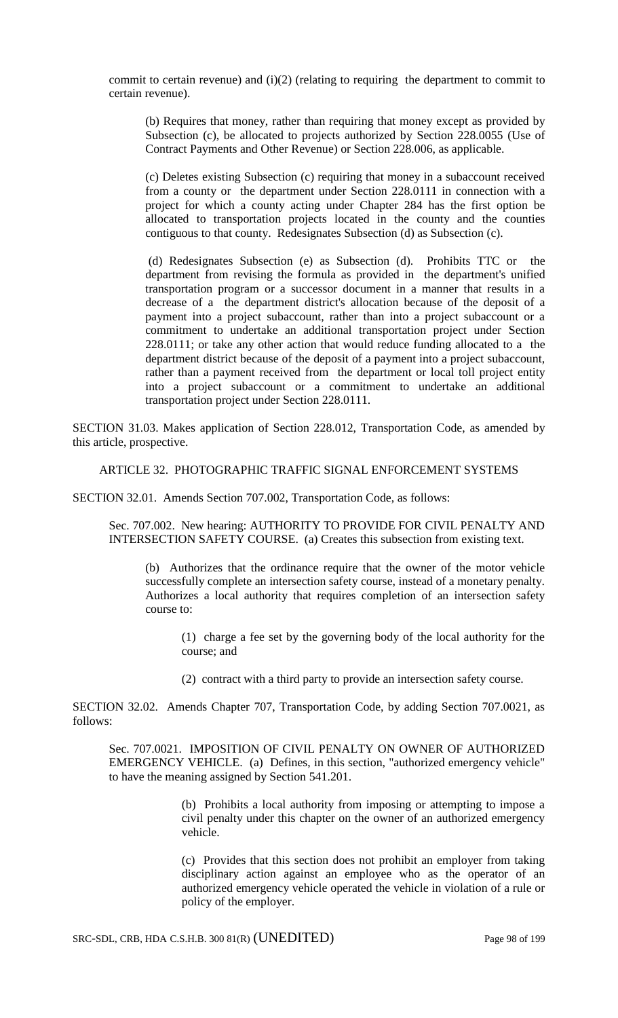commit to certain revenue) and (i)(2) (relating to requiring the department to commit to certain revenue).

(b) Requires that money, rather than requiring that money except as provided by Subsection (c), be allocated to projects authorized by Section 228.0055 (Use of Contract Payments and Other Revenue) or Section 228.006, as applicable.

(c) Deletes existing Subsection (c) requiring that money in a subaccount received from a county or the department under Section 228.0111 in connection with a project for which a county acting under Chapter 284 has the first option be allocated to transportation projects located in the county and the counties contiguous to that county. Redesignates Subsection (d) as Subsection (c).

(d) Redesignates Subsection (e) as Subsection (d). Prohibits TTC or the department from revising the formula as provided in the department's unified transportation program or a successor document in a manner that results in a decrease of a the department district's allocation because of the deposit of a payment into a project subaccount, rather than into a project subaccount or a commitment to undertake an additional transportation project under Section 228.0111; or take any other action that would reduce funding allocated to a the department district because of the deposit of a payment into a project subaccount, rather than a payment received from the department or local toll project entity into a project subaccount or a commitment to undertake an additional transportation project under Section 228.0111.

SECTION 31.03. Makes application of Section 228.012, Transportation Code, as amended by this article, prospective.

ARTICLE 32. PHOTOGRAPHIC TRAFFIC SIGNAL ENFORCEMENT SYSTEMS

SECTION 32.01. Amends Section 707.002, Transportation Code, as follows:

Sec. 707.002. New hearing: AUTHORITY TO PROVIDE FOR CIVIL PENALTY AND INTERSECTION SAFETY COURSE. (a) Creates this subsection from existing text.

(b) Authorizes that the ordinance require that the owner of the motor vehicle successfully complete an intersection safety course, instead of a monetary penalty. Authorizes a local authority that requires completion of an intersection safety course to:

(1) charge a fee set by the governing body of the local authority for the course; and

(2) contract with a third party to provide an intersection safety course.

SECTION 32.02. Amends Chapter 707, Transportation Code, by adding Section 707.0021, as follows:

Sec. 707.0021. IMPOSITION OF CIVIL PENALTY ON OWNER OF AUTHORIZED EMERGENCY VEHICLE. (a) Defines, in this section, "authorized emergency vehicle" to have the meaning assigned by Section 541.201.

> (b) Prohibits a local authority from imposing or attempting to impose a civil penalty under this chapter on the owner of an authorized emergency vehicle.

> (c) Provides that this section does not prohibit an employer from taking disciplinary action against an employee who as the operator of an authorized emergency vehicle operated the vehicle in violation of a rule or policy of the employer.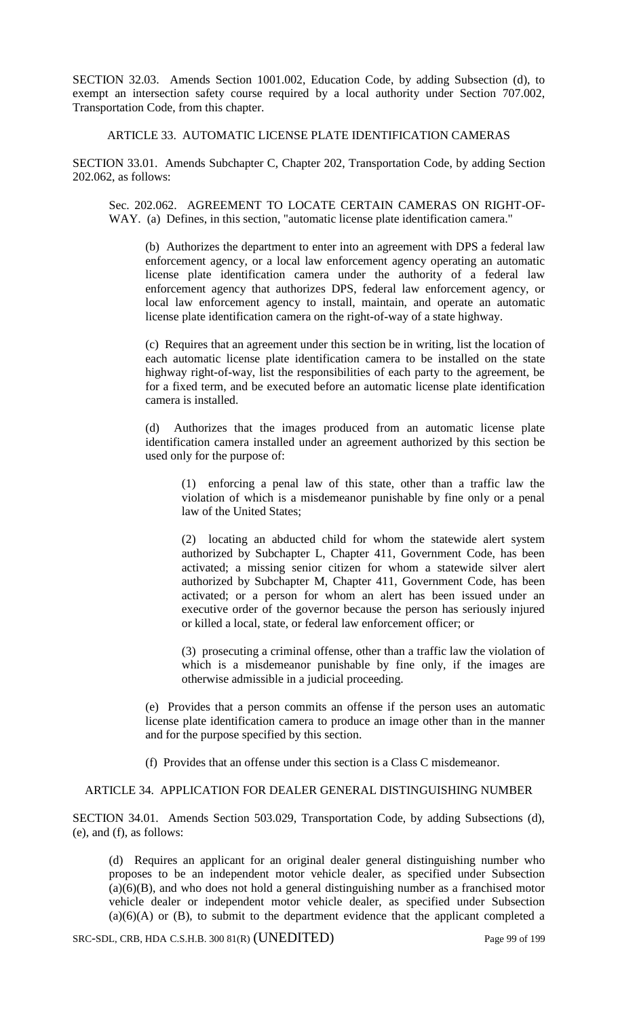SECTION 32.03. Amends Section 1001.002, Education Code, by adding Subsection (d), to exempt an intersection safety course required by a local authority under Section 707.002, Transportation Code, from this chapter.

ARTICLE 33. AUTOMATIC LICENSE PLATE IDENTIFICATION CAMERAS

SECTION 33.01. Amends Subchapter C, Chapter 202, Transportation Code, by adding Section 202.062, as follows:

Sec. 202.062. AGREEMENT TO LOCATE CERTAIN CAMERAS ON RIGHT-OF-WAY. (a) Defines, in this section, "automatic license plate identification camera."

(b) Authorizes the department to enter into an agreement with DPS a federal law enforcement agency, or a local law enforcement agency operating an automatic license plate identification camera under the authority of a federal law enforcement agency that authorizes DPS, federal law enforcement agency, or local law enforcement agency to install, maintain, and operate an automatic license plate identification camera on the right-of-way of a state highway.

(c) Requires that an agreement under this section be in writing, list the location of each automatic license plate identification camera to be installed on the state highway right-of-way, list the responsibilities of each party to the agreement, be for a fixed term, and be executed before an automatic license plate identification camera is installed.

(d) Authorizes that the images produced from an automatic license plate identification camera installed under an agreement authorized by this section be used only for the purpose of:

(1) enforcing a penal law of this state, other than a traffic law the violation of which is a misdemeanor punishable by fine only or a penal law of the United States;

(2) locating an abducted child for whom the statewide alert system authorized by Subchapter L, Chapter 411, Government Code, has been activated; a missing senior citizen for whom a statewide silver alert authorized by Subchapter M, Chapter 411, Government Code, has been activated; or a person for whom an alert has been issued under an executive order of the governor because the person has seriously injured or killed a local, state, or federal law enforcement officer; or

(3) prosecuting a criminal offense, other than a traffic law the violation of which is a misdemeanor punishable by fine only, if the images are otherwise admissible in a judicial proceeding.

(e) Provides that a person commits an offense if the person uses an automatic license plate identification camera to produce an image other than in the manner and for the purpose specified by this section.

(f) Provides that an offense under this section is a Class C misdemeanor.

ARTICLE 34. APPLICATION FOR DEALER GENERAL DISTINGUISHING NUMBER

SECTION 34.01. Amends Section 503.029, Transportation Code, by adding Subsections (d), (e), and (f), as follows:

(d) Requires an applicant for an original dealer general distinguishing number who proposes to be an independent motor vehicle dealer, as specified under Subsection (a)(6)(B), and who does not hold a general distinguishing number as a franchised motor vehicle dealer or independent motor vehicle dealer, as specified under Subsection  $(a)(6)(A)$  or  $(B)$ , to submit to the department evidence that the applicant completed a

SRC-SDL, CRB, HDA C.S.H.B. 300 81(R) (UNEDITED) Page 99 of 199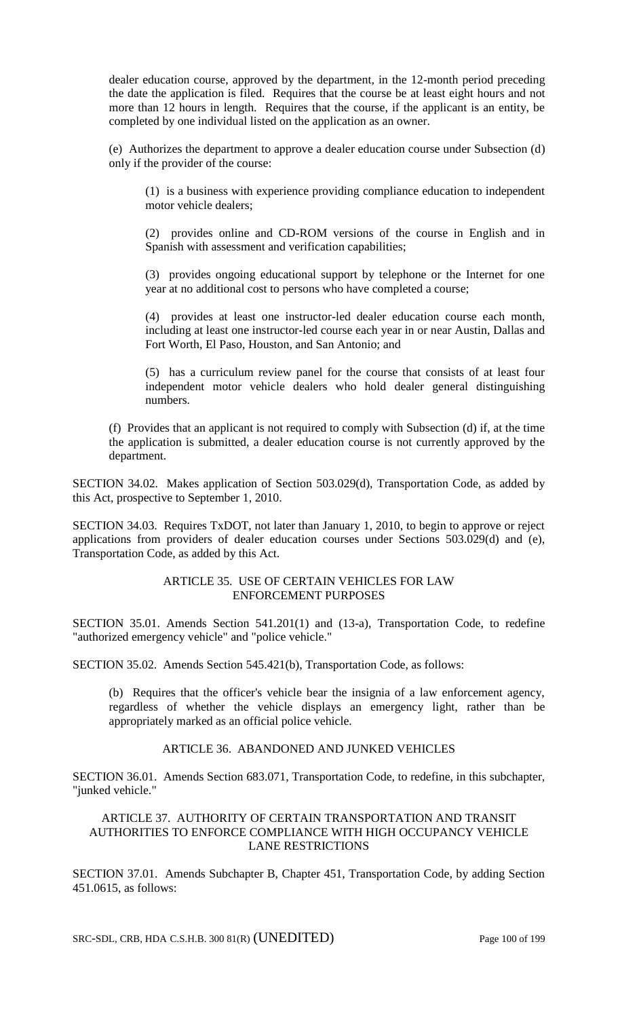dealer education course, approved by the department, in the 12-month period preceding the date the application is filed. Requires that the course be at least eight hours and not more than 12 hours in length. Requires that the course, if the applicant is an entity, be completed by one individual listed on the application as an owner.

(e) Authorizes the department to approve a dealer education course under Subsection (d) only if the provider of the course:

(1) is a business with experience providing compliance education to independent motor vehicle dealers;

(2) provides online and CD-ROM versions of the course in English and in Spanish with assessment and verification capabilities;

(3) provides ongoing educational support by telephone or the Internet for one year at no additional cost to persons who have completed a course;

(4) provides at least one instructor-led dealer education course each month, including at least one instructor-led course each year in or near Austin, Dallas and Fort Worth, El Paso, Houston, and San Antonio; and

(5) has a curriculum review panel for the course that consists of at least four independent motor vehicle dealers who hold dealer general distinguishing numbers.

(f) Provides that an applicant is not required to comply with Subsection (d) if, at the time the application is submitted, a dealer education course is not currently approved by the department.

SECTION 34.02. Makes application of Section 503.029(d), Transportation Code, as added by this Act, prospective to September 1, 2010.

SECTION 34.03. Requires TxDOT, not later than January 1, 2010, to begin to approve or reject applications from providers of dealer education courses under Sections 503.029(d) and (e), Transportation Code, as added by this Act.

#### ARTICLE 35. USE OF CERTAIN VEHICLES FOR LAW ENFORCEMENT PURPOSES

SECTION 35.01. Amends Section 541.201(1) and (13-a), Transportation Code, to redefine "authorized emergency vehicle" and "police vehicle."

SECTION 35.02. Amends Section 545.421(b), Transportation Code, as follows:

(b) Requires that the officer's vehicle bear the insignia of a law enforcement agency, regardless of whether the vehicle displays an emergency light, rather than be appropriately marked as an official police vehicle.

## ARTICLE 36. ABANDONED AND JUNKED VEHICLES

SECTION 36.01. Amends Section 683.071, Transportation Code, to redefine, in this subchapter, "junked vehicle."

### ARTICLE 37. AUTHORITY OF CERTAIN TRANSPORTATION AND TRANSIT AUTHORITIES TO ENFORCE COMPLIANCE WITH HIGH OCCUPANCY VEHICLE LANE RESTRICTIONS

SECTION 37.01. Amends Subchapter B, Chapter 451, Transportation Code, by adding Section 451.0615, as follows: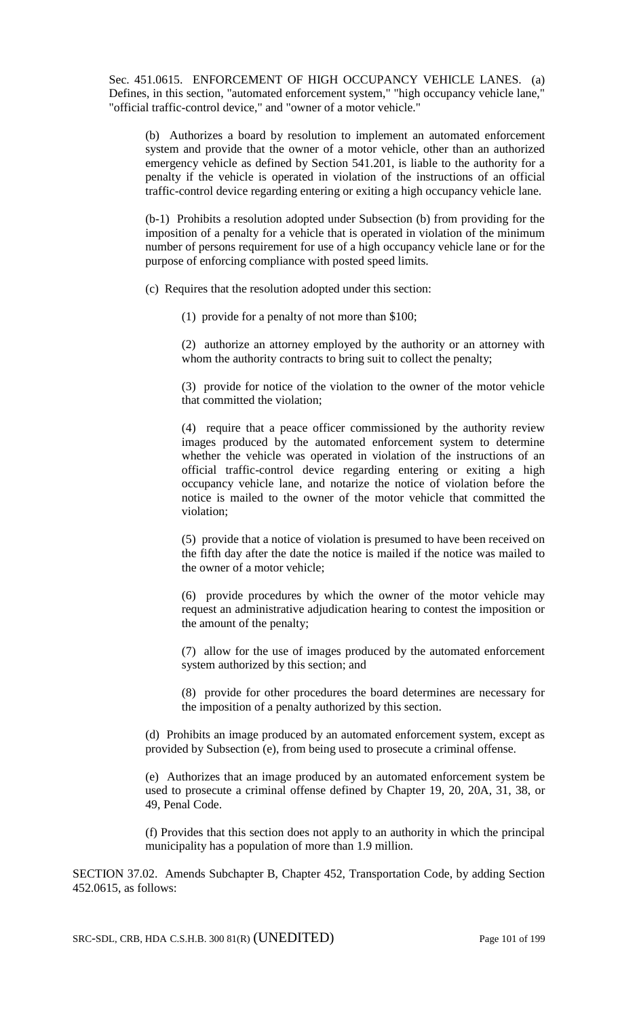Sec. 451.0615. ENFORCEMENT OF HIGH OCCUPANCY VEHICLE LANES. (a) Defines, in this section, "automated enforcement system," "high occupancy vehicle lane," "official traffic-control device," and "owner of a motor vehicle."

(b) Authorizes a board by resolution to implement an automated enforcement system and provide that the owner of a motor vehicle, other than an authorized emergency vehicle as defined by Section 541.201, is liable to the authority for a penalty if the vehicle is operated in violation of the instructions of an official traffic-control device regarding entering or exiting a high occupancy vehicle lane.

(b-1) Prohibits a resolution adopted under Subsection (b) from providing for the imposition of a penalty for a vehicle that is operated in violation of the minimum number of persons requirement for use of a high occupancy vehicle lane or for the purpose of enforcing compliance with posted speed limits.

(c) Requires that the resolution adopted under this section:

(1) provide for a penalty of not more than \$100;

(2) authorize an attorney employed by the authority or an attorney with whom the authority contracts to bring suit to collect the penalty;

(3) provide for notice of the violation to the owner of the motor vehicle that committed the violation;

(4) require that a peace officer commissioned by the authority review images produced by the automated enforcement system to determine whether the vehicle was operated in violation of the instructions of an official traffic-control device regarding entering or exiting a high occupancy vehicle lane, and notarize the notice of violation before the notice is mailed to the owner of the motor vehicle that committed the violation;

(5) provide that a notice of violation is presumed to have been received on the fifth day after the date the notice is mailed if the notice was mailed to the owner of a motor vehicle;

(6) provide procedures by which the owner of the motor vehicle may request an administrative adjudication hearing to contest the imposition or the amount of the penalty;

(7) allow for the use of images produced by the automated enforcement system authorized by this section; and

(8) provide for other procedures the board determines are necessary for the imposition of a penalty authorized by this section.

(d) Prohibits an image produced by an automated enforcement system, except as provided by Subsection (e), from being used to prosecute a criminal offense.

(e) Authorizes that an image produced by an automated enforcement system be used to prosecute a criminal offense defined by Chapter 19, 20, 20A, 31, 38, or 49, Penal Code.

(f) Provides that this section does not apply to an authority in which the principal municipality has a population of more than 1.9 million.

SECTION 37.02. Amends Subchapter B, Chapter 452, Transportation Code, by adding Section 452.0615, as follows: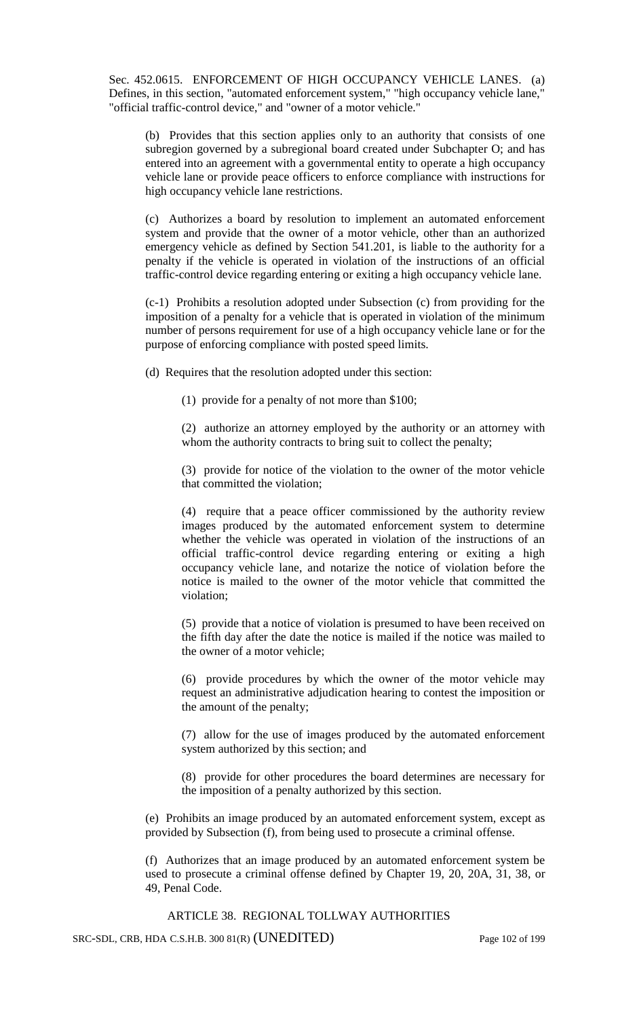Sec. 452.0615. ENFORCEMENT OF HIGH OCCUPANCY VEHICLE LANES. (a) Defines, in this section, "automated enforcement system," "high occupancy vehicle lane," "official traffic-control device," and "owner of a motor vehicle."

(b) Provides that this section applies only to an authority that consists of one subregion governed by a subregional board created under Subchapter O; and has entered into an agreement with a governmental entity to operate a high occupancy vehicle lane or provide peace officers to enforce compliance with instructions for high occupancy vehicle lane restrictions.

(c) Authorizes a board by resolution to implement an automated enforcement system and provide that the owner of a motor vehicle, other than an authorized emergency vehicle as defined by Section 541.201, is liable to the authority for a penalty if the vehicle is operated in violation of the instructions of an official traffic-control device regarding entering or exiting a high occupancy vehicle lane.

(c-1) Prohibits a resolution adopted under Subsection (c) from providing for the imposition of a penalty for a vehicle that is operated in violation of the minimum number of persons requirement for use of a high occupancy vehicle lane or for the purpose of enforcing compliance with posted speed limits.

(d) Requires that the resolution adopted under this section:

(1) provide for a penalty of not more than \$100;

(2) authorize an attorney employed by the authority or an attorney with whom the authority contracts to bring suit to collect the penalty;

(3) provide for notice of the violation to the owner of the motor vehicle that committed the violation;

(4) require that a peace officer commissioned by the authority review images produced by the automated enforcement system to determine whether the vehicle was operated in violation of the instructions of an official traffic-control device regarding entering or exiting a high occupancy vehicle lane, and notarize the notice of violation before the notice is mailed to the owner of the motor vehicle that committed the violation;

(5) provide that a notice of violation is presumed to have been received on the fifth day after the date the notice is mailed if the notice was mailed to the owner of a motor vehicle;

(6) provide procedures by which the owner of the motor vehicle may request an administrative adjudication hearing to contest the imposition or the amount of the penalty;

(7) allow for the use of images produced by the automated enforcement system authorized by this section; and

(8) provide for other procedures the board determines are necessary for the imposition of a penalty authorized by this section.

(e) Prohibits an image produced by an automated enforcement system, except as provided by Subsection (f), from being used to prosecute a criminal offense.

(f) Authorizes that an image produced by an automated enforcement system be used to prosecute a criminal offense defined by Chapter 19, 20, 20A, 31, 38, or 49, Penal Code.

ARTICLE 38. REGIONAL TOLLWAY AUTHORITIES

SRC-SDL, CRB, HDA C.S.H.B. 300 81(R) (UNEDITED) Page 102 of 199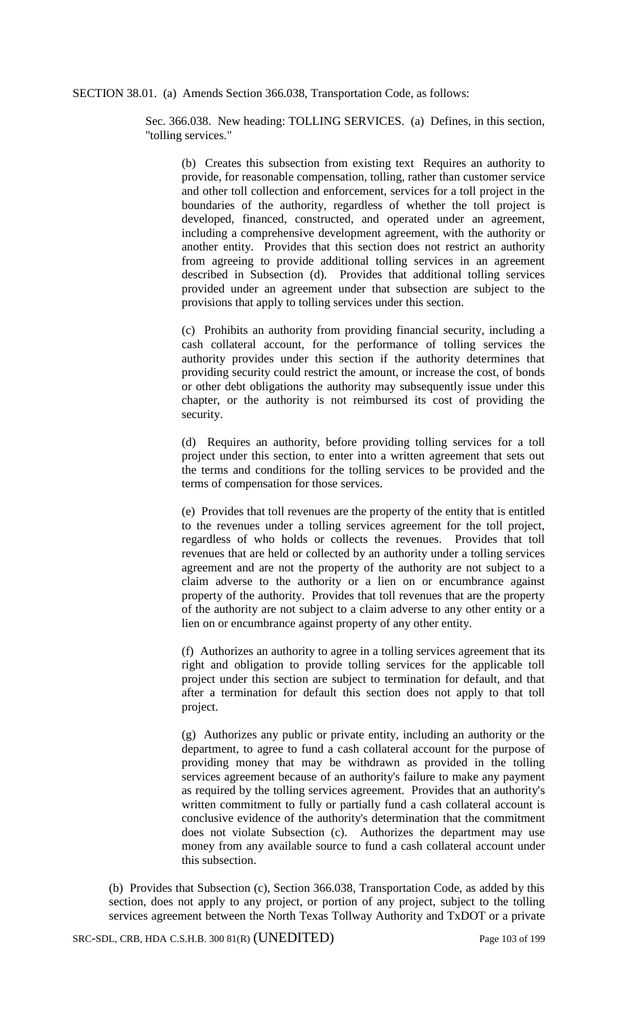SECTION 38.01. (a) Amends Section 366.038, Transportation Code, as follows:

Sec. 366.038. New heading: TOLLING SERVICES. (a) Defines, in this section, "tolling services."

(b) Creates this subsection from existing text Requires an authority to provide, for reasonable compensation, tolling, rather than customer service and other toll collection and enforcement, services for a toll project in the boundaries of the authority, regardless of whether the toll project is developed, financed, constructed, and operated under an agreement, including a comprehensive development agreement, with the authority or another entity. Provides that this section does not restrict an authority from agreeing to provide additional tolling services in an agreement described in Subsection (d). Provides that additional tolling services provided under an agreement under that subsection are subject to the provisions that apply to tolling services under this section.

(c) Prohibits an authority from providing financial security, including a cash collateral account, for the performance of tolling services the authority provides under this section if the authority determines that providing security could restrict the amount, or increase the cost, of bonds or other debt obligations the authority may subsequently issue under this chapter, or the authority is not reimbursed its cost of providing the security.

(d) Requires an authority, before providing tolling services for a toll project under this section, to enter into a written agreement that sets out the terms and conditions for the tolling services to be provided and the terms of compensation for those services.

(e) Provides that toll revenues are the property of the entity that is entitled to the revenues under a tolling services agreement for the toll project, regardless of who holds or collects the revenues. Provides that toll revenues that are held or collected by an authority under a tolling services agreement and are not the property of the authority are not subject to a claim adverse to the authority or a lien on or encumbrance against property of the authority. Provides that toll revenues that are the property of the authority are not subject to a claim adverse to any other entity or a lien on or encumbrance against property of any other entity.

(f) Authorizes an authority to agree in a tolling services agreement that its right and obligation to provide tolling services for the applicable toll project under this section are subject to termination for default, and that after a termination for default this section does not apply to that toll project.

(g) Authorizes any public or private entity, including an authority or the department, to agree to fund a cash collateral account for the purpose of providing money that may be withdrawn as provided in the tolling services agreement because of an authority's failure to make any payment as required by the tolling services agreement. Provides that an authority's written commitment to fully or partially fund a cash collateral account is conclusive evidence of the authority's determination that the commitment does not violate Subsection (c). Authorizes the department may use money from any available source to fund a cash collateral account under this subsection.

(b) Provides that Subsection (c), Section 366.038, Transportation Code, as added by this section, does not apply to any project, or portion of any project, subject to the tolling services agreement between the North Texas Tollway Authority and TxDOT or a private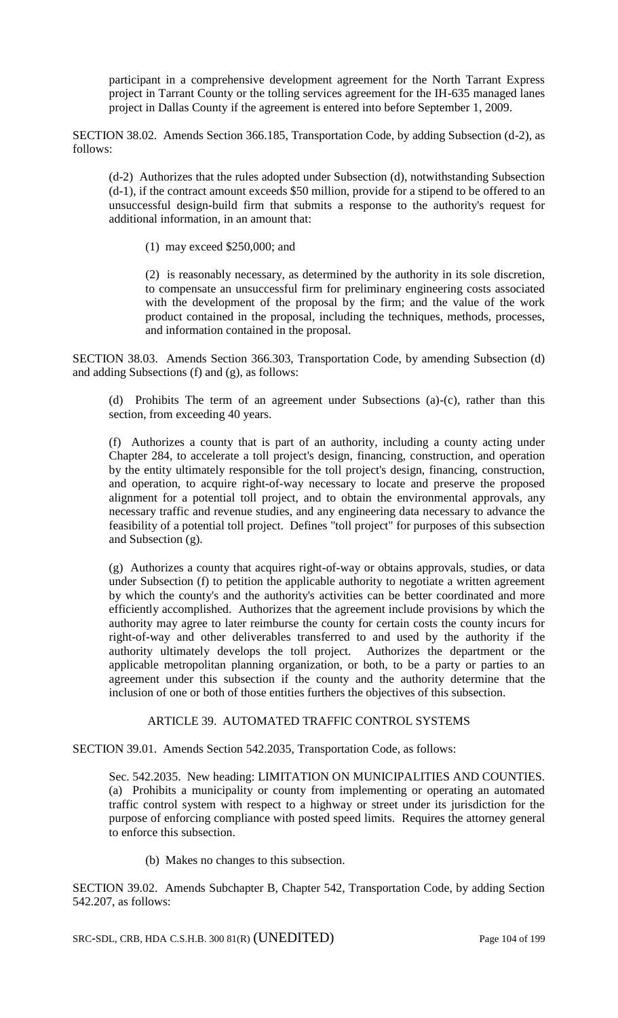participant in a comprehensive development agreement for the North Tarrant Express project in Tarrant County or the tolling services agreement for the IH-635 managed lanes project in Dallas County if the agreement is entered into before September 1, 2009.

SECTION 38.02. Amends Section 366.185, Transportation Code, by adding Subsection (d-2), as follows:

(d-2) Authorizes that the rules adopted under Subsection (d), notwithstanding Subsection (d-1), if the contract amount exceeds \$50 million, provide for a stipend to be offered to an unsuccessful design-build firm that submits a response to the authority's request for additional information, in an amount that:

(1) may exceed \$250,000; and

(2) is reasonably necessary, as determined by the authority in its sole discretion, to compensate an unsuccessful firm for preliminary engineering costs associated with the development of the proposal by the firm; and the value of the work product contained in the proposal, including the techniques, methods, processes, and information contained in the proposal.

SECTION 38.03. Amends Section 366.303, Transportation Code, by amending Subsection (d) and adding Subsections (f) and (g), as follows:

(d) Prohibits The term of an agreement under Subsections (a)-(c), rather than this section, from exceeding 40 years.

(f) Authorizes a county that is part of an authority, including a county acting under Chapter 284, to accelerate a toll project's design, financing, construction, and operation by the entity ultimately responsible for the toll project's design, financing, construction, and operation, to acquire right-of-way necessary to locate and preserve the proposed alignment for a potential toll project, and to obtain the environmental approvals, any necessary traffic and revenue studies, and any engineering data necessary to advance the feasibility of a potential toll project. Defines "toll project" for purposes of this subsection and Subsection (g).

(g) Authorizes a county that acquires right-of-way or obtains approvals, studies, or data under Subsection (f) to petition the applicable authority to negotiate a written agreement by which the county's and the authority's activities can be better coordinated and more efficiently accomplished. Authorizes that the agreement include provisions by which the authority may agree to later reimburse the county for certain costs the county incurs for right-of-way and other deliverables transferred to and used by the authority if the authority ultimately develops the toll project. Authorizes the department or the applicable metropolitan planning organization, or both, to be a party or parties to an agreement under this subsection if the county and the authority determine that the inclusion of one or both of those entities furthers the objectives of this subsection.

## ARTICLE 39. AUTOMATED TRAFFIC CONTROL SYSTEMS

SECTION 39.01. Amends Section 542.2035, Transportation Code, as follows:

Sec. 542.2035. New heading: LIMITATION ON MUNICIPALITIES AND COUNTIES. (a) Prohibits a municipality or county from implementing or operating an automated traffic control system with respect to a highway or street under its jurisdiction for the purpose of enforcing compliance with posted speed limits. Requires the attorney general to enforce this subsection.

(b) Makes no changes to this subsection.

SECTION 39.02. Amends Subchapter B, Chapter 542, Transportation Code, by adding Section 542.207, as follows:

SRC-SDL, CRB, HDA C.S.H.B. 300 81(R) (UNEDITED) Page 104 of 199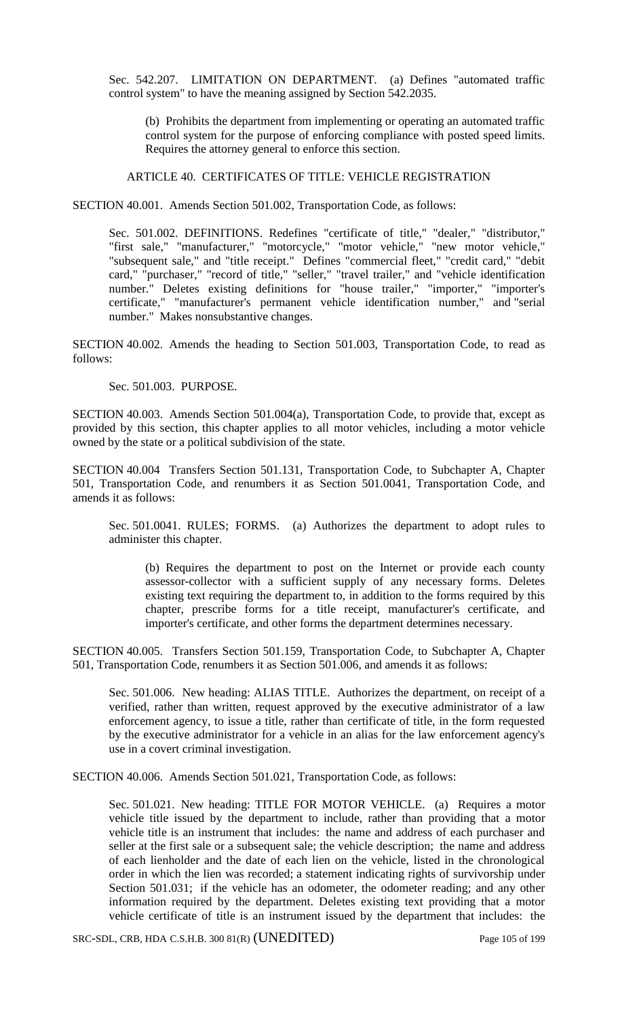Sec. 542.207. LIMITATION ON DEPARTMENT. (a) Defines "automated traffic control system" to have the meaning assigned by Section 542.2035.

(b) Prohibits the department from implementing or operating an automated traffic control system for the purpose of enforcing compliance with posted speed limits. Requires the attorney general to enforce this section.

ARTICLE 40. CERTIFICATES OF TITLE: VEHICLE REGISTRATION

SECTION 40.001. Amends Section 501.002, Transportation Code, as follows:

Sec. 501.002. DEFINITIONS. Redefines "certificate of title," "dealer," "distributor," "first sale," "manufacturer," "motorcycle," "motor vehicle," "new motor vehicle," "subsequent sale," and "title receipt." Defines "commercial fleet," "credit card," "debit card," "purchaser," "record of title," "seller," "travel trailer," and "vehicle identification number." Deletes existing definitions for "house trailer," "importer," "importer's certificate," "manufacturer's permanent vehicle identification number," and "serial number." Makes nonsubstantive changes.

SECTION 40.002. Amends the heading to Section 501.003, Transportation Code, to read as follows:

Sec. 501.003. PURPOSE.

SECTION 40.003. Amends Section 501.004(a), Transportation Code, to provide that, except as provided by this section, this chapter applies to all motor vehicles, including a motor vehicle owned by the state or a political subdivision of the state.

SECTION 40.004 Transfers Section 501.131, Transportation Code, to Subchapter A, Chapter 501, Transportation Code, and renumbers it as Section 501.0041, Transportation Code, and amends it as follows:

Sec. 501.0041. RULES; FORMS. (a) Authorizes the department to adopt rules to administer this chapter.

(b) Requires the department to post on the Internet or provide each county assessor-collector with a sufficient supply of any necessary forms. Deletes existing text requiring the department to, in addition to the forms required by this chapter, prescribe forms for a title receipt, manufacturer's certificate, and importer's certificate, and other forms the department determines necessary.

SECTION 40.005. Transfers Section 501.159, Transportation Code, to Subchapter A, Chapter 501, Transportation Code, renumbers it as Section 501.006, and amends it as follows:

Sec. 501.006. New heading: ALIAS TITLE. Authorizes the department, on receipt of a verified, rather than written, request approved by the executive administrator of a law enforcement agency, to issue a title, rather than certificate of title, in the form requested by the executive administrator for a vehicle in an alias for the law enforcement agency's use in a covert criminal investigation.

SECTION 40.006. Amends Section 501.021, Transportation Code, as follows:

Sec. 501.021. New heading: TITLE FOR MOTOR VEHICLE. (a) Requires a motor vehicle title issued by the department to include, rather than providing that a motor vehicle title is an instrument that includes: the name and address of each purchaser and seller at the first sale or a subsequent sale; the vehicle description; the name and address of each lienholder and the date of each lien on the vehicle, listed in the chronological order in which the lien was recorded; a statement indicating rights of survivorship under Section 501.031; if the vehicle has an odometer, the odometer reading; and any other information required by the department. Deletes existing text providing that a motor vehicle certificate of title is an instrument issued by the department that includes: the

SRC-SDL, CRB, HDA C.S.H.B. 300 81(R) (UNEDITED) Page 105 of 199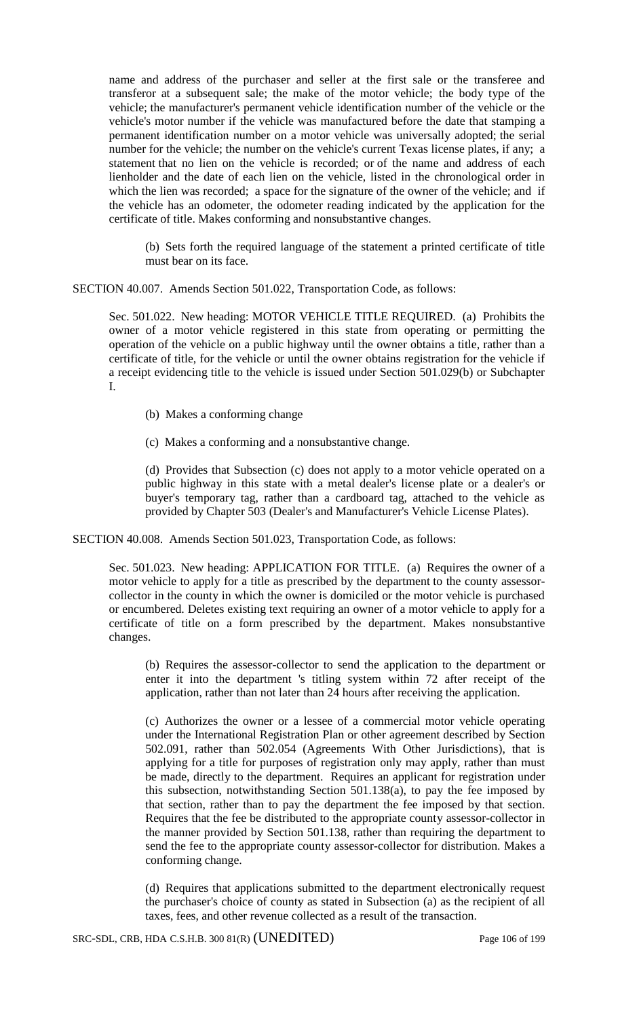name and address of the purchaser and seller at the first sale or the transferee and transferor at a subsequent sale; the make of the motor vehicle; the body type of the vehicle; the manufacturer's permanent vehicle identification number of the vehicle or the vehicle's motor number if the vehicle was manufactured before the date that stamping a permanent identification number on a motor vehicle was universally adopted; the serial number for the vehicle; the number on the vehicle's current Texas license plates, if any; a statement that no lien on the vehicle is recorded; or of the name and address of each lienholder and the date of each lien on the vehicle, listed in the chronological order in which the lien was recorded; a space for the signature of the owner of the vehicle; and if the vehicle has an odometer, the odometer reading indicated by the application for the certificate of title. Makes conforming and nonsubstantive changes.

(b) Sets forth the required language of the statement a printed certificate of title must bear on its face.

SECTION 40.007. Amends Section 501.022, Transportation Code, as follows:

Sec. 501.022. New heading: MOTOR VEHICLE TITLE REQUIRED. (a) Prohibits the owner of a motor vehicle registered in this state from operating or permitting the operation of the vehicle on a public highway until the owner obtains a title, rather than a certificate of title, for the vehicle or until the owner obtains registration for the vehicle if a receipt evidencing title to the vehicle is issued under Section 501.029(b) or Subchapter I.

- (b) Makes a conforming change
- (c) Makes a conforming and a nonsubstantive change.

(d) Provides that Subsection (c) does not apply to a motor vehicle operated on a public highway in this state with a metal dealer's license plate or a dealer's or buyer's temporary tag, rather than a cardboard tag, attached to the vehicle as provided by Chapter 503 (Dealer's and Manufacturer's Vehicle License Plates).

SECTION 40.008. Amends Section 501.023, Transportation Code, as follows:

Sec. 501.023. New heading: APPLICATION FOR TITLE. (a) Requires the owner of a motor vehicle to apply for a title as prescribed by the department to the county assessorcollector in the county in which the owner is domiciled or the motor vehicle is purchased or encumbered. Deletes existing text requiring an owner of a motor vehicle to apply for a certificate of title on a form prescribed by the department. Makes nonsubstantive changes.

(b) Requires the assessor-collector to send the application to the department or enter it into the department 's titling system within 72 after receipt of the application, rather than not later than 24 hours after receiving the application.

(c) Authorizes the owner or a lessee of a commercial motor vehicle operating under the International Registration Plan or other agreement described by Section 502.091, rather than 502.054 (Agreements With Other Jurisdictions), that is applying for a title for purposes of registration only may apply, rather than must be made, directly to the department. Requires an applicant for registration under this subsection, notwithstanding Section 501.138(a), to pay the fee imposed by that section, rather than to pay the department the fee imposed by that section. Requires that the fee be distributed to the appropriate county assessor-collector in the manner provided by Section 501.138, rather than requiring the department to send the fee to the appropriate county assessor-collector for distribution. Makes a conforming change.

(d) Requires that applications submitted to the department electronically request the purchaser's choice of county as stated in Subsection (a) as the recipient of all taxes, fees, and other revenue collected as a result of the transaction.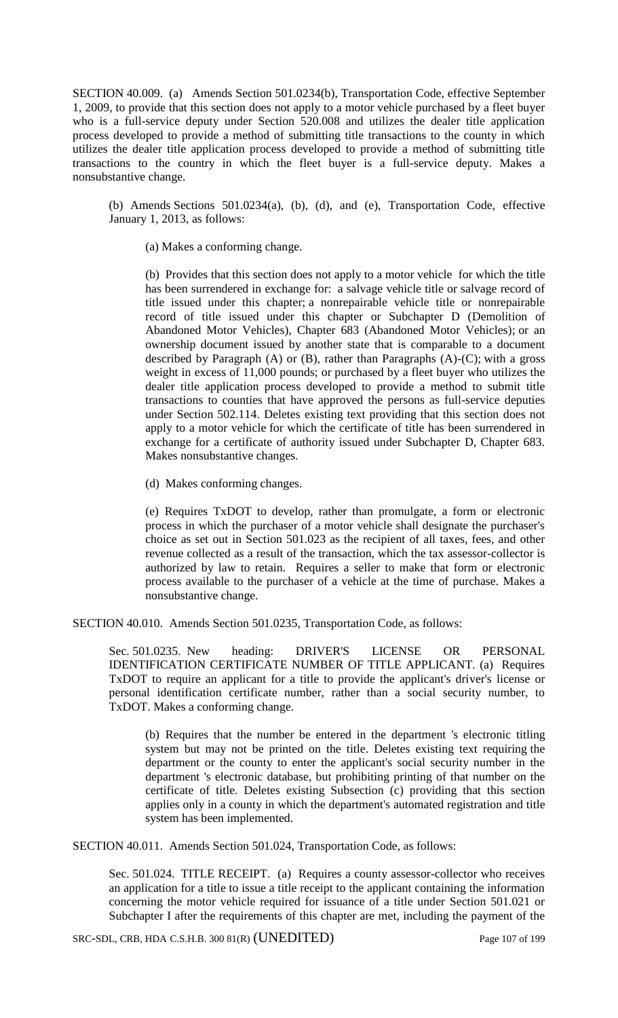SECTION 40.009. (a) Amends Section 501.0234(b), Transportation Code, effective September 1, 2009, to provide that this section does not apply to a motor vehicle purchased by a fleet buyer who is a full-service deputy under Section 520.008 and utilizes the dealer title application process developed to provide a method of submitting title transactions to the county in which utilizes the dealer title application process developed to provide a method of submitting title transactions to the country in which the fleet buyer is a full-service deputy. Makes a nonsubstantive change.

(b) Amends Sections 501.0234(a), (b), (d), and (e), Transportation Code, effective January 1, 2013, as follows:

(a) Makes a conforming change.

(b) Provides that this section does not apply to a motor vehicle for which the title has been surrendered in exchange for: a salvage vehicle title or salvage record of title issued under this chapter; a nonrepairable vehicle title or nonrepairable record of title issued under this chapter or Subchapter D (Demolition of Abandoned Motor Vehicles), Chapter 683 (Abandoned Motor Vehicles); or an ownership document issued by another state that is comparable to a document described by Paragraph  $(A)$  or  $(B)$ , rather than Paragraphs  $(A)-(C)$ ; with a gross weight in excess of 11,000 pounds; or purchased by a fleet buyer who utilizes the dealer title application process developed to provide a method to submit title transactions to counties that have approved the persons as full-service deputies under Section 502.114. Deletes existing text providing that this section does not apply to a motor vehicle for which the certificate of title has been surrendered in exchange for a certificate of authority issued under Subchapter D, Chapter 683. Makes nonsubstantive changes.

(d) Makes conforming changes.

(e) Requires TxDOT to develop, rather than promulgate, a form or electronic process in which the purchaser of a motor vehicle shall designate the purchaser's choice as set out in Section 501.023 as the recipient of all taxes, fees, and other revenue collected as a result of the transaction, which the tax assessor-collector is authorized by law to retain. Requires a seller to make that form or electronic process available to the purchaser of a vehicle at the time of purchase. Makes a nonsubstantive change.

SECTION 40.010. Amends Section 501.0235, Transportation Code, as follows:

Sec. 501.0235. New heading: DRIVER'S LICENSE OR PERSONAL IDENTIFICATION CERTIFICATE NUMBER OF TITLE APPLICANT. (a) Requires TxDOT to require an applicant for a title to provide the applicant's driver's license or personal identification certificate number, rather than a social security number, to TxDOT. Makes a conforming change.

(b) Requires that the number be entered in the department 's electronic titling system but may not be printed on the title. Deletes existing text requiring the department or the county to enter the applicant's social security number in the department 's electronic database, but prohibiting printing of that number on the certificate of title. Deletes existing Subsection (c) providing that this section applies only in a county in which the department's automated registration and title system has been implemented.

SECTION 40.011. Amends Section 501.024, Transportation Code, as follows:

Sec. 501.024. TITLE RECEIPT. (a) Requires a county assessor-collector who receives an application for a title to issue a title receipt to the applicant containing the information concerning the motor vehicle required for issuance of a title under Section 501.021 or Subchapter I after the requirements of this chapter are met, including the payment of the

SRC-SDL, CRB, HDA C.S.H.B. 300 81(R) (UNEDITED) Page 107 of 199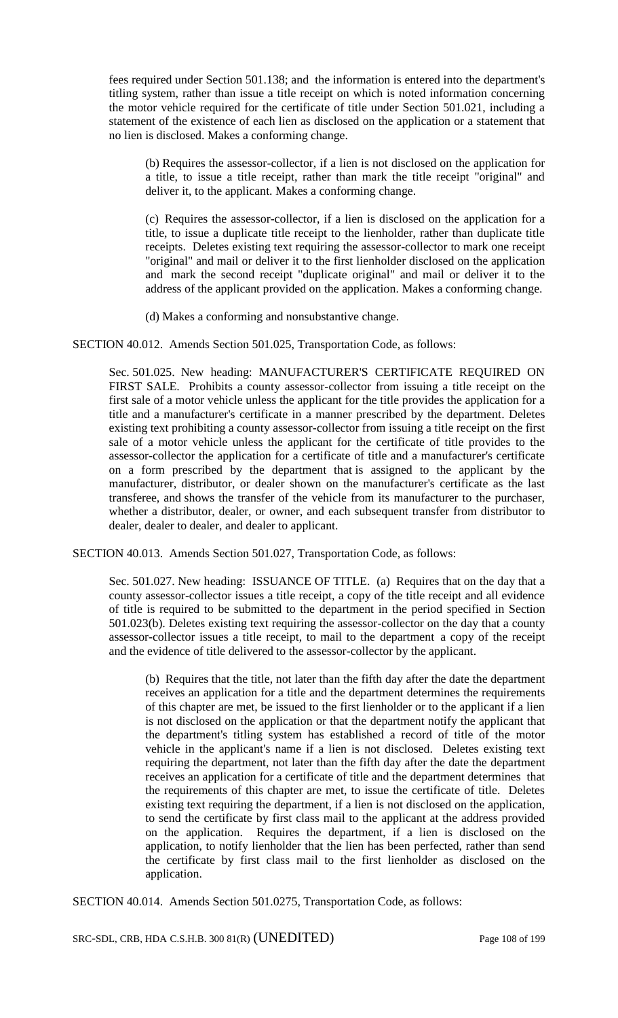fees required under Section 501.138; and the information is entered into the department's titling system, rather than issue a title receipt on which is noted information concerning the motor vehicle required for the certificate of title under Section 501.021, including a statement of the existence of each lien as disclosed on the application or a statement that no lien is disclosed. Makes a conforming change.

(b) Requires the assessor-collector, if a lien is not disclosed on the application for a title, to issue a title receipt, rather than mark the title receipt "original" and deliver it, to the applicant. Makes a conforming change.

(c) Requires the assessor-collector, if a lien is disclosed on the application for a title, to issue a duplicate title receipt to the lienholder, rather than duplicate title receipts. Deletes existing text requiring the assessor-collector to mark one receipt "original" and mail or deliver it to the first lienholder disclosed on the application and mark the second receipt "duplicate original" and mail or deliver it to the address of the applicant provided on the application. Makes a conforming change.

(d) Makes a conforming and nonsubstantive change.

SECTION 40.012. Amends Section 501.025, Transportation Code, as follows:

Sec. 501.025. New heading: MANUFACTURER'S CERTIFICATE REQUIRED ON FIRST SALE. Prohibits a county assessor-collector from issuing a title receipt on the first sale of a motor vehicle unless the applicant for the title provides the application for a title and a manufacturer's certificate in a manner prescribed by the department. Deletes existing text prohibiting a county assessor-collector from issuing a title receipt on the first sale of a motor vehicle unless the applicant for the certificate of title provides to the assessor-collector the application for a certificate of title and a manufacturer's certificate on a form prescribed by the department that is assigned to the applicant by the manufacturer, distributor, or dealer shown on the manufacturer's certificate as the last transferee, and shows the transfer of the vehicle from its manufacturer to the purchaser, whether a distributor, dealer, or owner, and each subsequent transfer from distributor to dealer, dealer to dealer, and dealer to applicant.

SECTION 40.013. Amends Section 501.027, Transportation Code, as follows:

Sec. 501.027. New heading: ISSUANCE OF TITLE. (a) Requires that on the day that a county assessor-collector issues a title receipt, a copy of the title receipt and all evidence of title is required to be submitted to the department in the period specified in Section 501.023(b). Deletes existing text requiring the assessor-collector on the day that a county assessor-collector issues a title receipt, to mail to the department a copy of the receipt and the evidence of title delivered to the assessor-collector by the applicant.

(b) Requires that the title, not later than the fifth day after the date the department receives an application for a title and the department determines the requirements of this chapter are met, be issued to the first lienholder or to the applicant if a lien is not disclosed on the application or that the department notify the applicant that the department's titling system has established a record of title of the motor vehicle in the applicant's name if a lien is not disclosed. Deletes existing text requiring the department, not later than the fifth day after the date the department receives an application for a certificate of title and the department determines that the requirements of this chapter are met, to issue the certificate of title. Deletes existing text requiring the department, if a lien is not disclosed on the application, to send the certificate by first class mail to the applicant at the address provided on the application. Requires the department, if a lien is disclosed on the application, to notify lienholder that the lien has been perfected, rather than send the certificate by first class mail to the first lienholder as disclosed on the application.

SECTION 40.014. Amends Section 501.0275, Transportation Code, as follows:

SRC-SDL, CRB, HDA C.S.H.B. 300 81(R) (UNEDITED) Page 108 of 199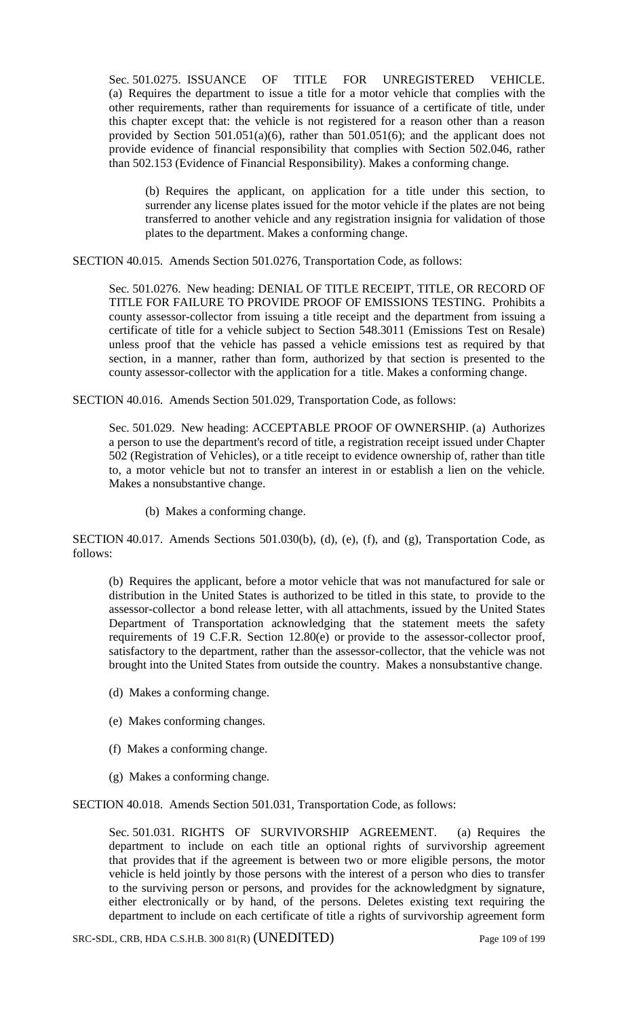Sec. 501.0275. ISSUANCE OF TITLE FOR UNREGISTERED VEHICLE. (a) Requires the department to issue a title for a motor vehicle that complies with the other requirements, rather than requirements for issuance of a certificate of title, under this chapter except that: the vehicle is not registered for a reason other than a reason provided by Section 501.051(a)(6), rather than 501.051(6); and the applicant does not provide evidence of financial responsibility that complies with Section 502.046, rather than 502.153 (Evidence of Financial Responsibility). Makes a conforming change.

(b) Requires the applicant, on application for a title under this section, to surrender any license plates issued for the motor vehicle if the plates are not being transferred to another vehicle and any registration insignia for validation of those plates to the department. Makes a conforming change.

SECTION 40.015. Amends Section 501.0276, Transportation Code, as follows:

Sec. 501.0276. New heading: DENIAL OF TITLE RECEIPT, TITLE, OR RECORD OF TITLE FOR FAILURE TO PROVIDE PROOF OF EMISSIONS TESTING. Prohibits a county assessor-collector from issuing a title receipt and the department from issuing a certificate of title for a vehicle subject to Section 548.3011 (Emissions Test on Resale) unless proof that the vehicle has passed a vehicle emissions test as required by that section, in a manner, rather than form, authorized by that section is presented to the county assessor-collector with the application for a title. Makes a conforming change.

SECTION 40.016. Amends Section 501.029, Transportation Code, as follows:

Sec. 501.029. New heading: ACCEPTABLE PROOF OF OWNERSHIP. (a) Authorizes a person to use the department's record of title, a registration receipt issued under Chapter 502 (Registration of Vehicles), or a title receipt to evidence ownership of, rather than title to, a motor vehicle but not to transfer an interest in or establish a lien on the vehicle. Makes a nonsubstantive change.

(b) Makes a conforming change.

SECTION 40.017. Amends Sections 501.030(b), (d), (e), (f), and (g), Transportation Code, as follows:

(b) Requires the applicant, before a motor vehicle that was not manufactured for sale or distribution in the United States is authorized to be titled in this state, to provide to the assessor-collector a bond release letter, with all attachments, issued by the United States Department of Transportation acknowledging that the statement meets the safety requirements of 19 C.F.R. Section 12.80(e) or provide to the assessor-collector proof, satisfactory to the department, rather than the assessor-collector, that the vehicle was not brought into the United States from outside the country. Makes a nonsubstantive change.

- (d) Makes a conforming change.
- (e) Makes conforming changes.
- (f) Makes a conforming change.
- (g) Makes a conforming change.

SECTION 40.018. Amends Section 501.031, Transportation Code, as follows:

Sec. 501.031. RIGHTS OF SURVIVORSHIP AGREEMENT. (a) Requires the department to include on each title an optional rights of survivorship agreement that provides that if the agreement is between two or more eligible persons, the motor vehicle is held jointly by those persons with the interest of a person who dies to transfer to the surviving person or persons, and provides for the acknowledgment by signature, either electronically or by hand, of the persons. Deletes existing text requiring the department to include on each certificate of title a rights of survivorship agreement form

SRC-SDL, CRB, HDA C.S.H.B. 300 81(R) (UNEDITED) Page 109 of 199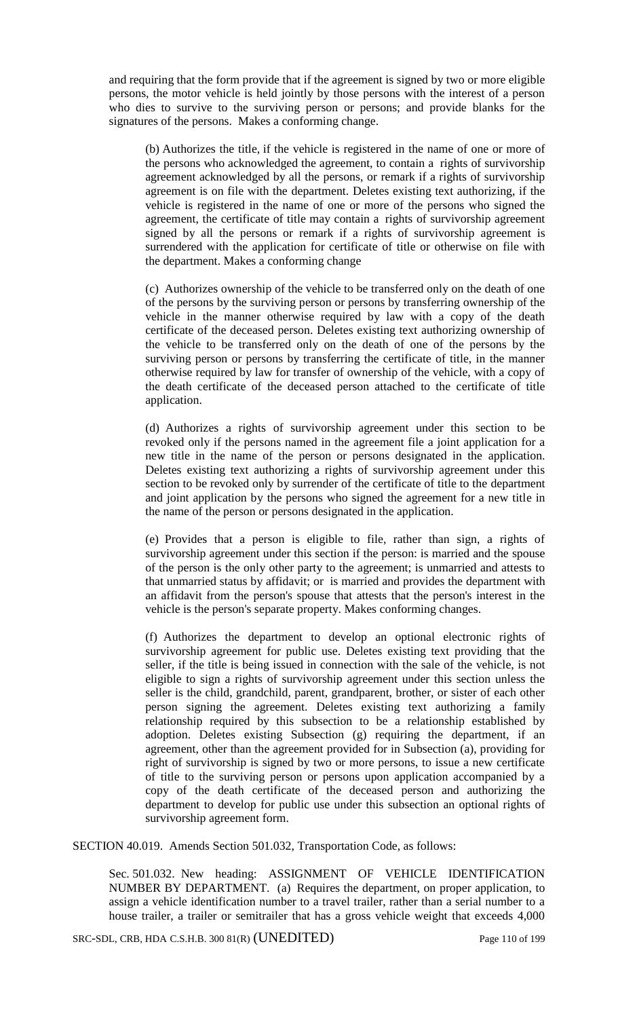and requiring that the form provide that if the agreement is signed by two or more eligible persons, the motor vehicle is held jointly by those persons with the interest of a person who dies to survive to the surviving person or persons; and provide blanks for the signatures of the persons. Makes a conforming change.

(b) Authorizes the title, if the vehicle is registered in the name of one or more of the persons who acknowledged the agreement, to contain a rights of survivorship agreement acknowledged by all the persons, or remark if a rights of survivorship agreement is on file with the department. Deletes existing text authorizing, if the vehicle is registered in the name of one or more of the persons who signed the agreement, the certificate of title may contain a rights of survivorship agreement signed by all the persons or remark if a rights of survivorship agreement is surrendered with the application for certificate of title or otherwise on file with the department. Makes a conforming change

(c) Authorizes ownership of the vehicle to be transferred only on the death of one of the persons by the surviving person or persons by transferring ownership of the vehicle in the manner otherwise required by law with a copy of the death certificate of the deceased person. Deletes existing text authorizing ownership of the vehicle to be transferred only on the death of one of the persons by the surviving person or persons by transferring the certificate of title, in the manner otherwise required by law for transfer of ownership of the vehicle, with a copy of the death certificate of the deceased person attached to the certificate of title application.

(d) Authorizes a rights of survivorship agreement under this section to be revoked only if the persons named in the agreement file a joint application for a new title in the name of the person or persons designated in the application. Deletes existing text authorizing a rights of survivorship agreement under this section to be revoked only by surrender of the certificate of title to the department and joint application by the persons who signed the agreement for a new title in the name of the person or persons designated in the application.

(e) Provides that a person is eligible to file, rather than sign, a rights of survivorship agreement under this section if the person: is married and the spouse of the person is the only other party to the agreement; is unmarried and attests to that unmarried status by affidavit; or is married and provides the department with an affidavit from the person's spouse that attests that the person's interest in the vehicle is the person's separate property. Makes conforming changes.

(f) Authorizes the department to develop an optional electronic rights of survivorship agreement for public use. Deletes existing text providing that the seller, if the title is being issued in connection with the sale of the vehicle, is not eligible to sign a rights of survivorship agreement under this section unless the seller is the child, grandchild, parent, grandparent, brother, or sister of each other person signing the agreement. Deletes existing text authorizing a family relationship required by this subsection to be a relationship established by adoption. Deletes existing Subsection (g) requiring the department, if an agreement, other than the agreement provided for in Subsection (a), providing for right of survivorship is signed by two or more persons, to issue a new certificate of title to the surviving person or persons upon application accompanied by a copy of the death certificate of the deceased person and authorizing the department to develop for public use under this subsection an optional rights of survivorship agreement form.

SECTION 40.019. Amends Section 501.032, Transportation Code, as follows:

Sec. 501.032. New heading: ASSIGNMENT OF VEHICLE IDENTIFICATION NUMBER BY DEPARTMENT. (a) Requires the department, on proper application, to assign a vehicle identification number to a travel trailer, rather than a serial number to a house trailer, a trailer or semitrailer that has a gross vehicle weight that exceeds 4,000

SRC-SDL, CRB, HDA C.S.H.B. 300 81(R) (UNEDITED) Page 110 of 199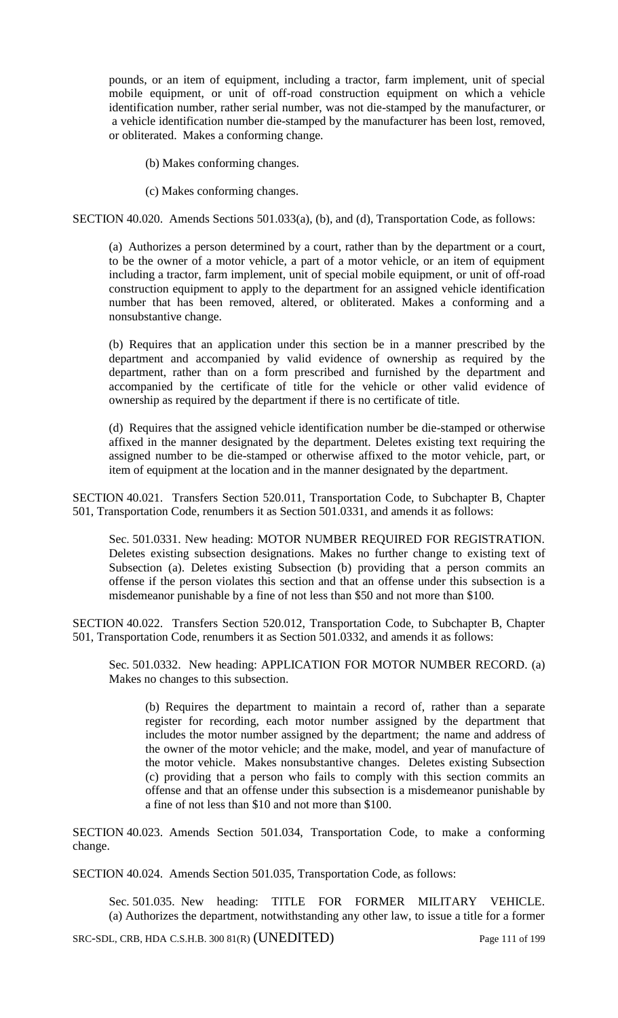pounds, or an item of equipment, including a tractor, farm implement, unit of special mobile equipment, or unit of off-road construction equipment on which a vehicle identification number, rather serial number, was not die-stamped by the manufacturer, or a vehicle identification number die-stamped by the manufacturer has been lost, removed, or obliterated. Makes a conforming change.

(b) Makes conforming changes.

(c) Makes conforming changes.

SECTION 40.020. Amends Sections 501.033(a), (b), and (d), Transportation Code, as follows:

(a) Authorizes a person determined by a court, rather than by the department or a court, to be the owner of a motor vehicle, a part of a motor vehicle, or an item of equipment including a tractor, farm implement, unit of special mobile equipment, or unit of off-road construction equipment to apply to the department for an assigned vehicle identification number that has been removed, altered, or obliterated. Makes a conforming and a nonsubstantive change.

(b) Requires that an application under this section be in a manner prescribed by the department and accompanied by valid evidence of ownership as required by the department, rather than on a form prescribed and furnished by the department and accompanied by the certificate of title for the vehicle or other valid evidence of ownership as required by the department if there is no certificate of title.

(d) Requires that the assigned vehicle identification number be die-stamped or otherwise affixed in the manner designated by the department. Deletes existing text requiring the assigned number to be die-stamped or otherwise affixed to the motor vehicle, part, or item of equipment at the location and in the manner designated by the department.

SECTION 40.021. Transfers Section 520.011, Transportation Code, to Subchapter B, Chapter 501, Transportation Code, renumbers it as Section 501.0331, and amends it as follows:

Sec. 501.0331. New heading: MOTOR NUMBER REQUIRED FOR REGISTRATION. Deletes existing subsection designations. Makes no further change to existing text of Subsection (a). Deletes existing Subsection (b) providing that a person commits an offense if the person violates this section and that an offense under this subsection is a misdemeanor punishable by a fine of not less than \$50 and not more than \$100.

SECTION 40.022. Transfers Section 520.012, Transportation Code, to Subchapter B, Chapter 501, Transportation Code, renumbers it as Section 501.0332, and amends it as follows:

Sec. 501.0332. New heading: APPLICATION FOR MOTOR NUMBER RECORD. (a) Makes no changes to this subsection.

(b) Requires the department to maintain a record of, rather than a separate register for recording, each motor number assigned by the department that includes the motor number assigned by the department; the name and address of the owner of the motor vehicle; and the make, model, and year of manufacture of the motor vehicle. Makes nonsubstantive changes. Deletes existing Subsection (c) providing that a person who fails to comply with this section commits an offense and that an offense under this subsection is a misdemeanor punishable by a fine of not less than \$10 and not more than \$100.

SECTION 40.023. Amends Section 501.034, Transportation Code, to make a conforming change.

SECTION 40.024. Amends Section 501.035, Transportation Code, as follows:

Sec. 501.035. New heading: TITLE FOR FORMER MILITARY VEHICLE. (a) Authorizes the department, notwithstanding any other law, to issue a title for a former

SRC-SDL, CRB, HDA C.S.H.B. 300 81(R) (UNEDITED) Page 111 of 199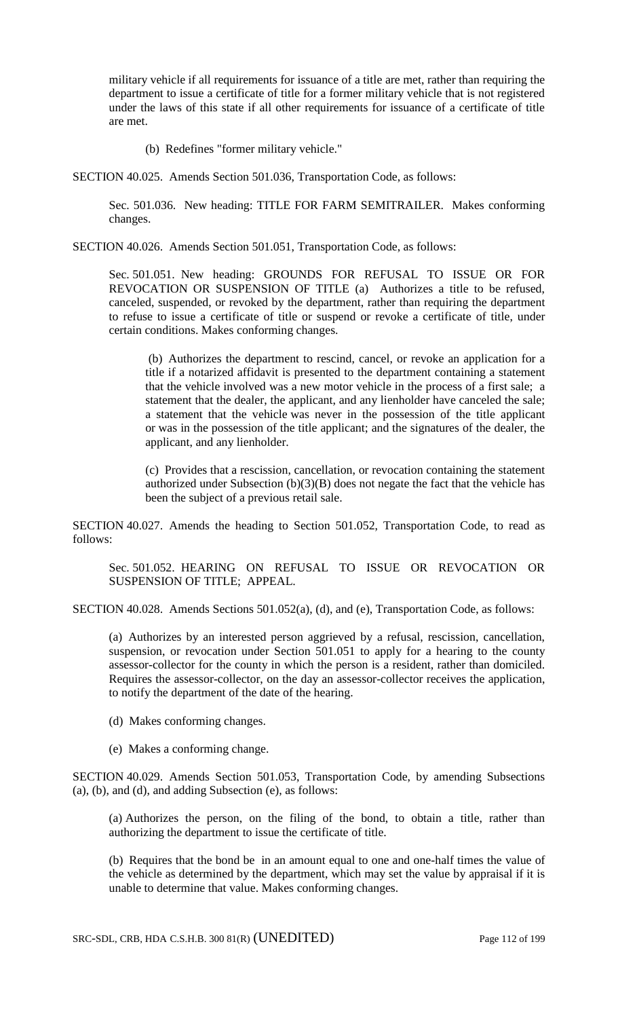military vehicle if all requirements for issuance of a title are met, rather than requiring the department to issue a certificate of title for a former military vehicle that is not registered under the laws of this state if all other requirements for issuance of a certificate of title are met.

(b) Redefines "former military vehicle."

SECTION 40.025. Amends Section 501.036, Transportation Code, as follows:

Sec. 501.036. New heading: TITLE FOR FARM SEMITRAILER. Makes conforming changes.

SECTION 40.026. Amends Section 501.051, Transportation Code, as follows:

Sec. 501.051. New heading: GROUNDS FOR REFUSAL TO ISSUE OR FOR REVOCATION OR SUSPENSION OF TITLE (a) Authorizes a title to be refused, canceled, suspended, or revoked by the department, rather than requiring the department to refuse to issue a certificate of title or suspend or revoke a certificate of title, under certain conditions. Makes conforming changes.

(b) Authorizes the department to rescind, cancel, or revoke an application for a title if a notarized affidavit is presented to the department containing a statement that the vehicle involved was a new motor vehicle in the process of a first sale; a statement that the dealer, the applicant, and any lienholder have canceled the sale; a statement that the vehicle was never in the possession of the title applicant or was in the possession of the title applicant; and the signatures of the dealer, the applicant, and any lienholder.

(c) Provides that a rescission, cancellation, or revocation containing the statement authorized under Subsection  $(b)(3)(B)$  does not negate the fact that the vehicle has been the subject of a previous retail sale.

SECTION 40.027. Amends the heading to Section 501.052, Transportation Code, to read as follows:

Sec. 501.052. HEARING ON REFUSAL TO ISSUE OR REVOCATION OR SUSPENSION OF TITLE; APPEAL.

SECTION 40.028. Amends Sections 501.052(a), (d), and (e), Transportation Code, as follows:

(a) Authorizes by an interested person aggrieved by a refusal, rescission, cancellation, suspension, or revocation under Section 501.051 to apply for a hearing to the county assessor-collector for the county in which the person is a resident, rather than domiciled. Requires the assessor-collector, on the day an assessor-collector receives the application, to notify the department of the date of the hearing.

- (d) Makes conforming changes.
- (e) Makes a conforming change.

SECTION 40.029. Amends Section 501.053, Transportation Code, by amending Subsections (a), (b), and (d), and adding Subsection (e), as follows:

(a) Authorizes the person, on the filing of the bond, to obtain a title, rather than authorizing the department to issue the certificate of title.

(b) Requires that the bond be in an amount equal to one and one-half times the value of the vehicle as determined by the department, which may set the value by appraisal if it is unable to determine that value. Makes conforming changes.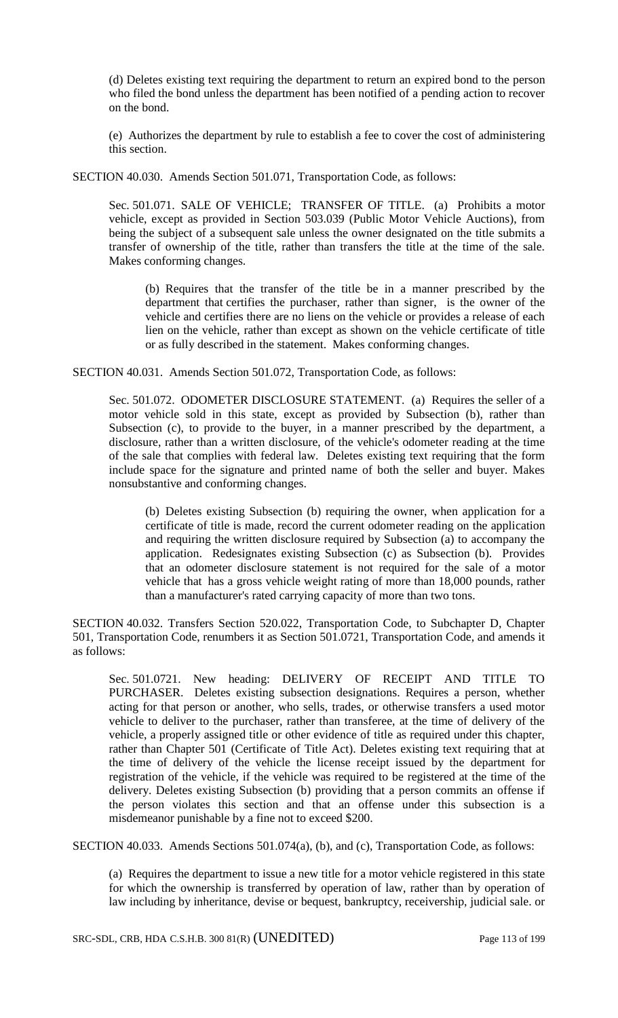(d) Deletes existing text requiring the department to return an expired bond to the person who filed the bond unless the department has been notified of a pending action to recover on the bond.

(e) Authorizes the department by rule to establish a fee to cover the cost of administering this section.

SECTION 40.030. Amends Section 501.071, Transportation Code, as follows:

Sec. 501.071. SALE OF VEHICLE; TRANSFER OF TITLE. (a) Prohibits a motor vehicle, except as provided in Section 503.039 (Public Motor Vehicle Auctions), from being the subject of a subsequent sale unless the owner designated on the title submits a transfer of ownership of the title, rather than transfers the title at the time of the sale. Makes conforming changes.

(b) Requires that the transfer of the title be in a manner prescribed by the department that certifies the purchaser, rather than signer, is the owner of the vehicle and certifies there are no liens on the vehicle or provides a release of each lien on the vehicle, rather than except as shown on the vehicle certificate of title or as fully described in the statement. Makes conforming changes.

SECTION 40.031. Amends Section 501.072, Transportation Code, as follows:

Sec. 501.072. ODOMETER DISCLOSURE STATEMENT. (a) Requires the seller of a motor vehicle sold in this state, except as provided by Subsection (b), rather than Subsection (c), to provide to the buyer, in a manner prescribed by the department, a disclosure, rather than a written disclosure, of the vehicle's odometer reading at the time of the sale that complies with federal law. Deletes existing text requiring that the form include space for the signature and printed name of both the seller and buyer. Makes nonsubstantive and conforming changes.

(b) Deletes existing Subsection (b) requiring the owner, when application for a certificate of title is made, record the current odometer reading on the application and requiring the written disclosure required by Subsection (a) to accompany the application. Redesignates existing Subsection (c) as Subsection (b). Provides that an odometer disclosure statement is not required for the sale of a motor vehicle that has a gross vehicle weight rating of more than 18,000 pounds, rather than a manufacturer's rated carrying capacity of more than two tons.

SECTION 40.032. Transfers Section 520.022, Transportation Code, to Subchapter D, Chapter 501, Transportation Code, renumbers it as Section 501.0721, Transportation Code, and amends it as follows:

Sec. 501.0721. New heading: DELIVERY OF RECEIPT AND TITLE TO PURCHASER. Deletes existing subsection designations. Requires a person, whether acting for that person or another, who sells, trades, or otherwise transfers a used motor vehicle to deliver to the purchaser, rather than transferee, at the time of delivery of the vehicle, a properly assigned title or other evidence of title as required under this chapter, rather than Chapter 501 (Certificate of Title Act). Deletes existing text requiring that at the time of delivery of the vehicle the license receipt issued by the department for registration of the vehicle, if the vehicle was required to be registered at the time of the delivery. Deletes existing Subsection (b) providing that a person commits an offense if the person violates this section and that an offense under this subsection is a misdemeanor punishable by a fine not to exceed \$200.

SECTION 40.033. Amends Sections 501.074(a), (b), and (c), Transportation Code, as follows:

(a) Requires the department to issue a new title for a motor vehicle registered in this state for which the ownership is transferred by operation of law, rather than by operation of law including by inheritance, devise or bequest, bankruptcy, receivership, judicial sale. or

SRC-SDL, CRB, HDA C.S.H.B. 300 81(R) (UNEDITED) Page 113 of 199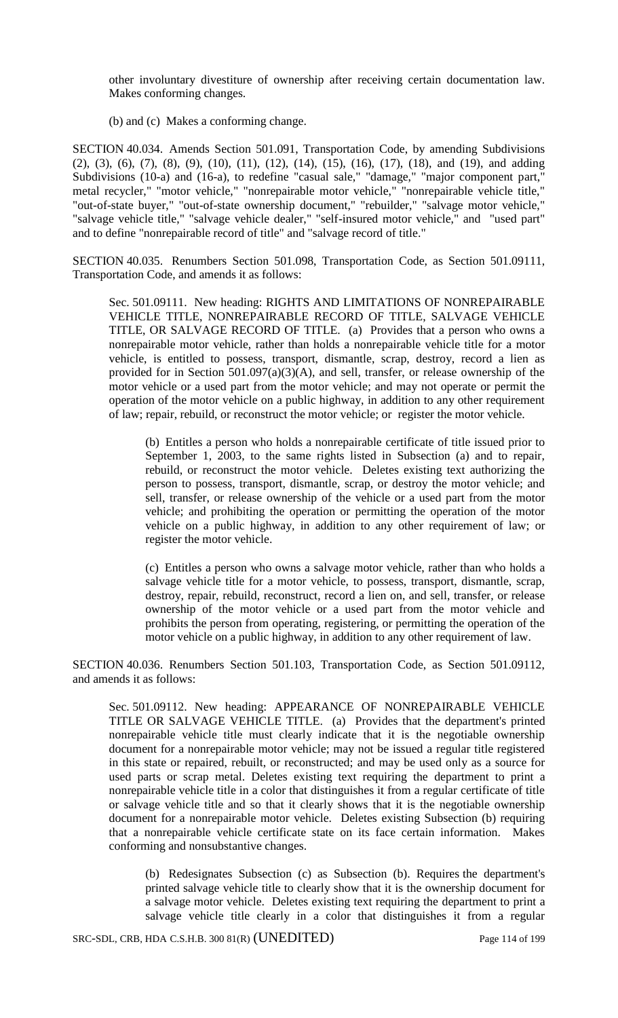other involuntary divestiture of ownership after receiving certain documentation law. Makes conforming changes.

(b) and (c) Makes a conforming change.

SECTION 40.034. Amends Section 501.091, Transportation Code, by amending Subdivisions (2), (3), (6), (7), (8), (9), (10), (11), (12), (14), (15), (16), (17), (18), and (19), and adding Subdivisions (10-a) and (16-a), to redefine "casual sale," "damage," "major component part," metal recycler," "motor vehicle," "nonrepairable motor vehicle," "nonrepairable vehicle title," "out-of-state buyer," "out-of-state ownership document," "rebuilder," "salvage motor vehicle," "salvage vehicle title," "salvage vehicle dealer," "self-insured motor vehicle," and "used part" and to define "nonrepairable record of title" and "salvage record of title."

SECTION 40.035. Renumbers Section 501.098, Transportation Code, as Section 501.09111, Transportation Code, and amends it as follows:

Sec. 501.09111. New heading: RIGHTS AND LIMITATIONS OF NONREPAIRABLE VEHICLE TITLE, NONREPAIRABLE RECORD OF TITLE, SALVAGE VEHICLE TITLE, OR SALVAGE RECORD OF TITLE. (a) Provides that a person who owns a nonrepairable motor vehicle, rather than holds a nonrepairable vehicle title for a motor vehicle, is entitled to possess, transport, dismantle, scrap, destroy, record a lien as provided for in Section 501.097(a)(3)(A), and sell, transfer, or release ownership of the motor vehicle or a used part from the motor vehicle; and may not operate or permit the operation of the motor vehicle on a public highway, in addition to any other requirement of law; repair, rebuild, or reconstruct the motor vehicle; or register the motor vehicle.

(b) Entitles a person who holds a nonrepairable certificate of title issued prior to September 1, 2003, to the same rights listed in Subsection (a) and to repair, rebuild, or reconstruct the motor vehicle. Deletes existing text authorizing the person to possess, transport, dismantle, scrap, or destroy the motor vehicle; and sell, transfer, or release ownership of the vehicle or a used part from the motor vehicle; and prohibiting the operation or permitting the operation of the motor vehicle on a public highway, in addition to any other requirement of law; or register the motor vehicle.

(c) Entitles a person who owns a salvage motor vehicle, rather than who holds a salvage vehicle title for a motor vehicle, to possess, transport, dismantle, scrap, destroy, repair, rebuild, reconstruct, record a lien on, and sell, transfer, or release ownership of the motor vehicle or a used part from the motor vehicle and prohibits the person from operating, registering, or permitting the operation of the motor vehicle on a public highway, in addition to any other requirement of law.

SECTION 40.036. Renumbers Section 501.103, Transportation Code, as Section 501.09112, and amends it as follows:

Sec. 501.09112. New heading: APPEARANCE OF NONREPAIRABLE VEHICLE TITLE OR SALVAGE VEHICLE TITLE. (a) Provides that the department's printed nonrepairable vehicle title must clearly indicate that it is the negotiable ownership document for a nonrepairable motor vehicle; may not be issued a regular title registered in this state or repaired, rebuilt, or reconstructed; and may be used only as a source for used parts or scrap metal. Deletes existing text requiring the department to print a nonrepairable vehicle title in a color that distinguishes it from a regular certificate of title or salvage vehicle title and so that it clearly shows that it is the negotiable ownership document for a nonrepairable motor vehicle. Deletes existing Subsection (b) requiring that a nonrepairable vehicle certificate state on its face certain information. Makes conforming and nonsubstantive changes.

(b) Redesignates Subsection (c) as Subsection (b). Requires the department's printed salvage vehicle title to clearly show that it is the ownership document for a salvage motor vehicle. Deletes existing text requiring the department to print a salvage vehicle title clearly in a color that distinguishes it from a regular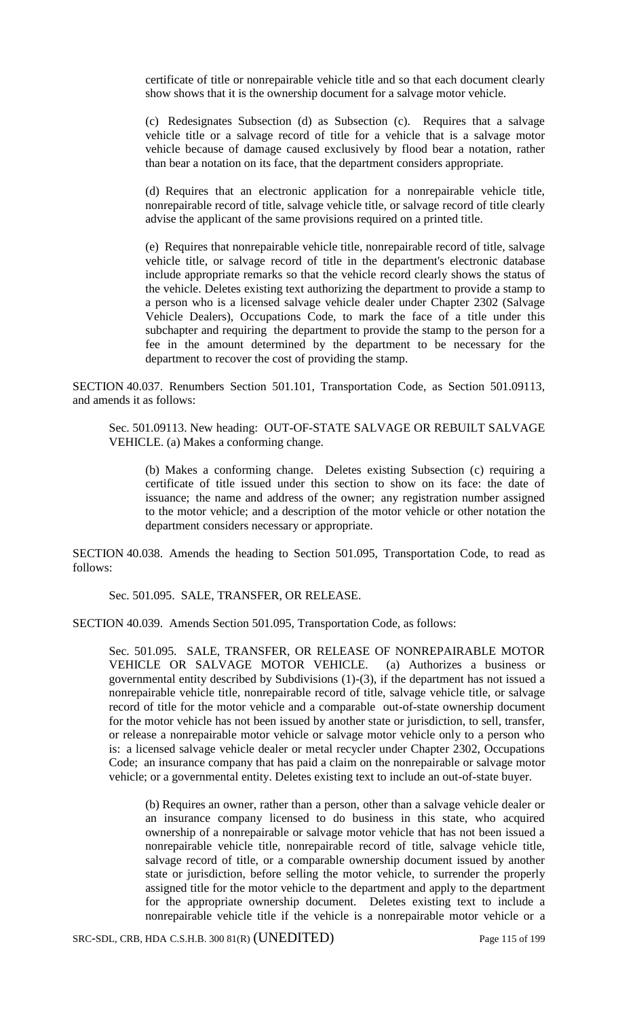certificate of title or nonrepairable vehicle title and so that each document clearly show shows that it is the ownership document for a salvage motor vehicle.

(c) Redesignates Subsection (d) as Subsection (c). Requires that a salvage vehicle title or a salvage record of title for a vehicle that is a salvage motor vehicle because of damage caused exclusively by flood bear a notation, rather than bear a notation on its face, that the department considers appropriate.

(d) Requires that an electronic application for a nonrepairable vehicle title, nonrepairable record of title, salvage vehicle title, or salvage record of title clearly advise the applicant of the same provisions required on a printed title.

(e) Requires that nonrepairable vehicle title, nonrepairable record of title, salvage vehicle title, or salvage record of title in the department's electronic database include appropriate remarks so that the vehicle record clearly shows the status of the vehicle. Deletes existing text authorizing the department to provide a stamp to a person who is a licensed salvage vehicle dealer under Chapter 2302 (Salvage Vehicle Dealers), Occupations Code, to mark the face of a title under this subchapter and requiring the department to provide the stamp to the person for a fee in the amount determined by the department to be necessary for the department to recover the cost of providing the stamp.

SECTION 40.037. Renumbers Section 501.101, Transportation Code, as Section 501.09113, and amends it as follows:

Sec. 501.09113. New heading: OUT-OF-STATE SALVAGE OR REBUILT SALVAGE VEHICLE. (a) Makes a conforming change.

(b) Makes a conforming change. Deletes existing Subsection (c) requiring a certificate of title issued under this section to show on its face: the date of issuance; the name and address of the owner; any registration number assigned to the motor vehicle; and a description of the motor vehicle or other notation the department considers necessary or appropriate.

SECTION 40.038. Amends the heading to Section 501.095, Transportation Code, to read as follows:

Sec. 501.095. SALE, TRANSFER, OR RELEASE.

SECTION 40.039. Amends Section 501.095, Transportation Code, as follows:

Sec. 501.095. SALE, TRANSFER, OR RELEASE OF NONREPAIRABLE MOTOR VEHICLE OR SALVAGE MOTOR VEHICLE. (a) Authorizes a business or governmental entity described by Subdivisions (1)-(3), if the department has not issued a nonrepairable vehicle title, nonrepairable record of title, salvage vehicle title, or salvage record of title for the motor vehicle and a comparable out-of-state ownership document for the motor vehicle has not been issued by another state or jurisdiction, to sell, transfer, or release a nonrepairable motor vehicle or salvage motor vehicle only to a person who is: a licensed salvage vehicle dealer or metal recycler under Chapter 2302, Occupations Code; an insurance company that has paid a claim on the nonrepairable or salvage motor vehicle; or a governmental entity. Deletes existing text to include an out-of-state buyer.

(b) Requires an owner, rather than a person, other than a salvage vehicle dealer or an insurance company licensed to do business in this state, who acquired ownership of a nonrepairable or salvage motor vehicle that has not been issued a nonrepairable vehicle title, nonrepairable record of title, salvage vehicle title, salvage record of title, or a comparable ownership document issued by another state or jurisdiction, before selling the motor vehicle, to surrender the properly assigned title for the motor vehicle to the department and apply to the department for the appropriate ownership document. Deletes existing text to include a nonrepairable vehicle title if the vehicle is a nonrepairable motor vehicle or a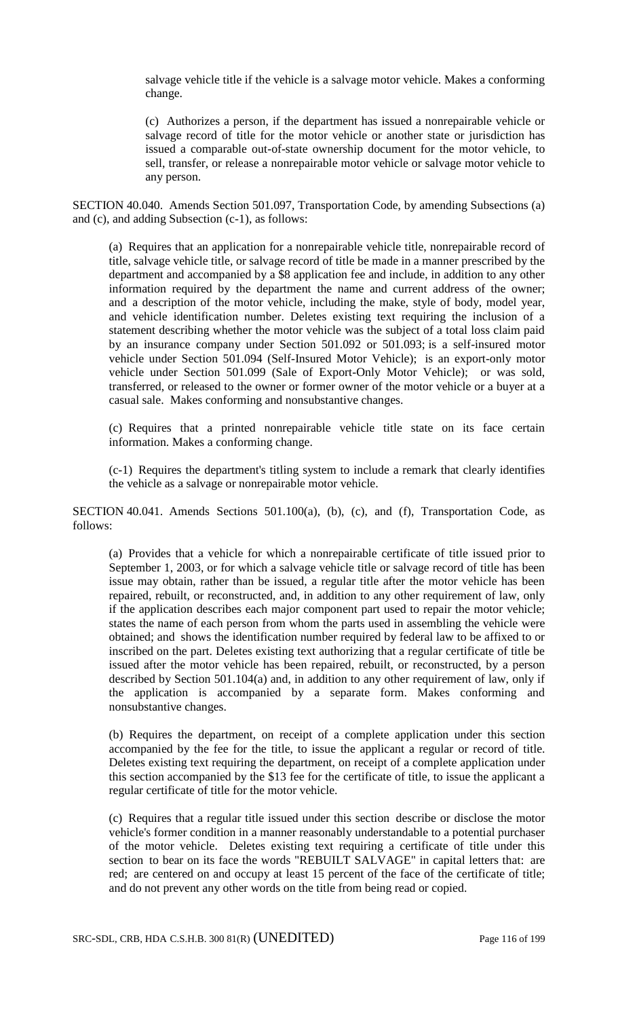salvage vehicle title if the vehicle is a salvage motor vehicle. Makes a conforming change.

(c) Authorizes a person, if the department has issued a nonrepairable vehicle or salvage record of title for the motor vehicle or another state or jurisdiction has issued a comparable out-of-state ownership document for the motor vehicle, to sell, transfer, or release a nonrepairable motor vehicle or salvage motor vehicle to any person.

SECTION 40.040. Amends Section 501.097, Transportation Code, by amending Subsections (a) and (c), and adding Subsection (c-1), as follows:

(a) Requires that an application for a nonrepairable vehicle title, nonrepairable record of title, salvage vehicle title, or salvage record of title be made in a manner prescribed by the department and accompanied by a \$8 application fee and include, in addition to any other information required by the department the name and current address of the owner; and a description of the motor vehicle, including the make, style of body, model year, and vehicle identification number. Deletes existing text requiring the inclusion of a statement describing whether the motor vehicle was the subject of a total loss claim paid by an insurance company under Section 501.092 or 501.093; is a self-insured motor vehicle under Section 501.094 (Self-Insured Motor Vehicle); is an export-only motor vehicle under Section 501.099 (Sale of Export-Only Motor Vehicle); or was sold, transferred, or released to the owner or former owner of the motor vehicle or a buyer at a casual sale. Makes conforming and nonsubstantive changes.

(c) Requires that a printed nonrepairable vehicle title state on its face certain information. Makes a conforming change.

(c-1) Requires the department's titling system to include a remark that clearly identifies the vehicle as a salvage or nonrepairable motor vehicle.

SECTION 40.041. Amends Sections 501.100(a), (b), (c), and (f), Transportation Code, as follows:

(a) Provides that a vehicle for which a nonrepairable certificate of title issued prior to September 1, 2003, or for which a salvage vehicle title or salvage record of title has been issue may obtain, rather than be issued, a regular title after the motor vehicle has been repaired, rebuilt, or reconstructed, and, in addition to any other requirement of law, only if the application describes each major component part used to repair the motor vehicle; states the name of each person from whom the parts used in assembling the vehicle were obtained; and shows the identification number required by federal law to be affixed to or inscribed on the part. Deletes existing text authorizing that a regular certificate of title be issued after the motor vehicle has been repaired, rebuilt, or reconstructed, by a person described by Section 501.104(a) and, in addition to any other requirement of law, only if the application is accompanied by a separate form. Makes conforming and nonsubstantive changes.

(b) Requires the department, on receipt of a complete application under this section accompanied by the fee for the title, to issue the applicant a regular or record of title. Deletes existing text requiring the department, on receipt of a complete application under this section accompanied by the \$13 fee for the certificate of title, to issue the applicant a regular certificate of title for the motor vehicle.

(c) Requires that a regular title issued under this section describe or disclose the motor vehicle's former condition in a manner reasonably understandable to a potential purchaser of the motor vehicle. Deletes existing text requiring a certificate of title under this section to bear on its face the words "REBUILT SALVAGE" in capital letters that: are red; are centered on and occupy at least 15 percent of the face of the certificate of title; and do not prevent any other words on the title from being read or copied.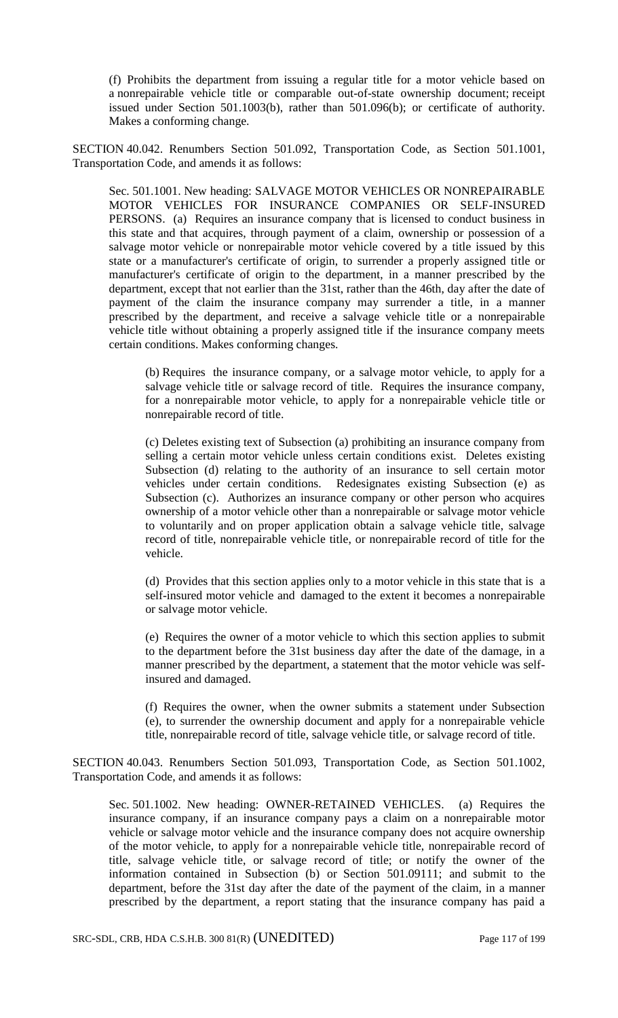(f) Prohibits the department from issuing a regular title for a motor vehicle based on a nonrepairable vehicle title or comparable out-of-state ownership document; receipt issued under Section 501.1003(b), rather than 501.096(b); or certificate of authority. Makes a conforming change.

SECTION 40.042. Renumbers Section 501.092, Transportation Code, as Section 501.1001, Transportation Code, and amends it as follows:

Sec. 501.1001. New heading: SALVAGE MOTOR VEHICLES OR NONREPAIRABLE MOTOR VEHICLES FOR INSURANCE COMPANIES OR SELF-INSURED PERSONS. (a) Requires an insurance company that is licensed to conduct business in this state and that acquires, through payment of a claim, ownership or possession of a salvage motor vehicle or nonrepairable motor vehicle covered by a title issued by this state or a manufacturer's certificate of origin, to surrender a properly assigned title or manufacturer's certificate of origin to the department, in a manner prescribed by the department, except that not earlier than the 31st, rather than the 46th, day after the date of payment of the claim the insurance company may surrender a title, in a manner prescribed by the department, and receive a salvage vehicle title or a nonrepairable vehicle title without obtaining a properly assigned title if the insurance company meets certain conditions. Makes conforming changes.

(b) Requires the insurance company, or a salvage motor vehicle, to apply for a salvage vehicle title or salvage record of title. Requires the insurance company, for a nonrepairable motor vehicle, to apply for a nonrepairable vehicle title or nonrepairable record of title.

(c) Deletes existing text of Subsection (a) prohibiting an insurance company from selling a certain motor vehicle unless certain conditions exist. Deletes existing Subsection (d) relating to the authority of an insurance to sell certain motor vehicles under certain conditions. Redesignates existing Subsection (e) as Subsection (c). Authorizes an insurance company or other person who acquires ownership of a motor vehicle other than a nonrepairable or salvage motor vehicle to voluntarily and on proper application obtain a salvage vehicle title, salvage record of title, nonrepairable vehicle title, or nonrepairable record of title for the vehicle.

(d) Provides that this section applies only to a motor vehicle in this state that is a self-insured motor vehicle and damaged to the extent it becomes a nonrepairable or salvage motor vehicle.

(e) Requires the owner of a motor vehicle to which this section applies to submit to the department before the 31st business day after the date of the damage, in a manner prescribed by the department, a statement that the motor vehicle was selfinsured and damaged.

(f) Requires the owner, when the owner submits a statement under Subsection (e), to surrender the ownership document and apply for a nonrepairable vehicle title, nonrepairable record of title, salvage vehicle title, or salvage record of title.

SECTION 40.043. Renumbers Section 501.093, Transportation Code, as Section 501.1002, Transportation Code, and amends it as follows:

Sec. 501.1002. New heading: OWNER-RETAINED VEHICLES. (a) Requires the insurance company, if an insurance company pays a claim on a nonrepairable motor vehicle or salvage motor vehicle and the insurance company does not acquire ownership of the motor vehicle, to apply for a nonrepairable vehicle title, nonrepairable record of title, salvage vehicle title, or salvage record of title; or notify the owner of the information contained in Subsection (b) or Section 501.09111; and submit to the department, before the 31st day after the date of the payment of the claim, in a manner prescribed by the department, a report stating that the insurance company has paid a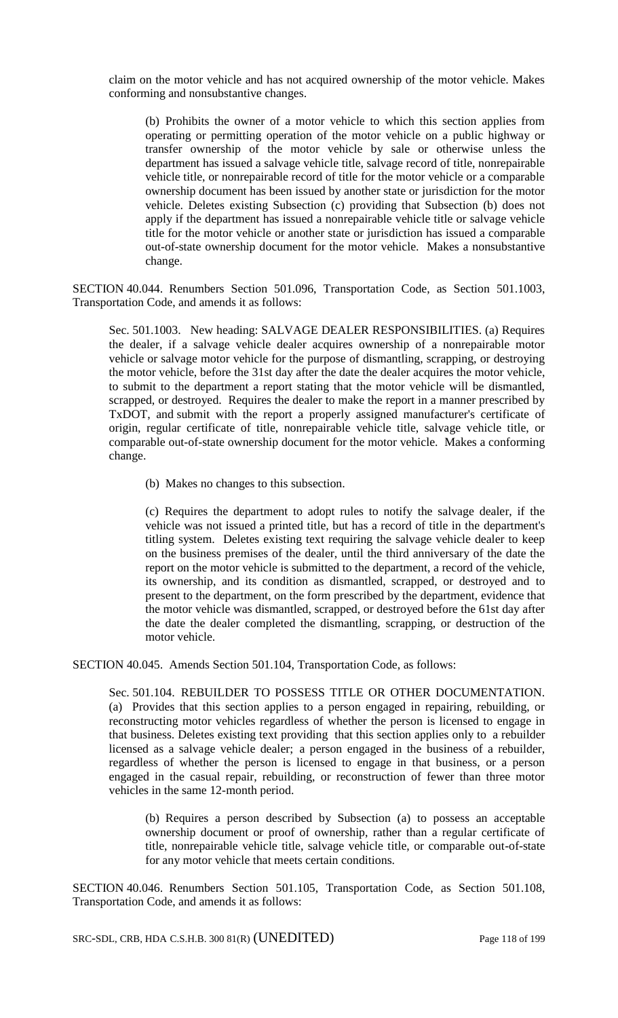claim on the motor vehicle and has not acquired ownership of the motor vehicle. Makes conforming and nonsubstantive changes.

(b) Prohibits the owner of a motor vehicle to which this section applies from operating or permitting operation of the motor vehicle on a public highway or transfer ownership of the motor vehicle by sale or otherwise unless the department has issued a salvage vehicle title, salvage record of title, nonrepairable vehicle title, or nonrepairable record of title for the motor vehicle or a comparable ownership document has been issued by another state or jurisdiction for the motor vehicle. Deletes existing Subsection (c) providing that Subsection (b) does not apply if the department has issued a nonrepairable vehicle title or salvage vehicle title for the motor vehicle or another state or jurisdiction has issued a comparable out-of-state ownership document for the motor vehicle. Makes a nonsubstantive change.

SECTION 40.044. Renumbers Section 501.096, Transportation Code, as Section 501.1003, Transportation Code, and amends it as follows:

Sec. 501.1003. New heading: SALVAGE DEALER RESPONSIBILITIES. (a) Requires the dealer, if a salvage vehicle dealer acquires ownership of a nonrepairable motor vehicle or salvage motor vehicle for the purpose of dismantling, scrapping, or destroying the motor vehicle, before the 31st day after the date the dealer acquires the motor vehicle, to submit to the department a report stating that the motor vehicle will be dismantled, scrapped, or destroyed. Requires the dealer to make the report in a manner prescribed by TxDOT, and submit with the report a properly assigned manufacturer's certificate of origin, regular certificate of title, nonrepairable vehicle title, salvage vehicle title, or comparable out-of-state ownership document for the motor vehicle. Makes a conforming change.

(b) Makes no changes to this subsection.

(c) Requires the department to adopt rules to notify the salvage dealer, if the vehicle was not issued a printed title, but has a record of title in the department's titling system. Deletes existing text requiring the salvage vehicle dealer to keep on the business premises of the dealer, until the third anniversary of the date the report on the motor vehicle is submitted to the department, a record of the vehicle, its ownership, and its condition as dismantled, scrapped, or destroyed and to present to the department, on the form prescribed by the department, evidence that the motor vehicle was dismantled, scrapped, or destroyed before the 61st day after the date the dealer completed the dismantling, scrapping, or destruction of the motor vehicle.

SECTION 40.045. Amends Section 501.104, Transportation Code, as follows:

Sec. 501.104. REBUILDER TO POSSESS TITLE OR OTHER DOCUMENTATION. (a) Provides that this section applies to a person engaged in repairing, rebuilding, or reconstructing motor vehicles regardless of whether the person is licensed to engage in that business. Deletes existing text providing that this section applies only to a rebuilder licensed as a salvage vehicle dealer; a person engaged in the business of a rebuilder, regardless of whether the person is licensed to engage in that business, or a person engaged in the casual repair, rebuilding, or reconstruction of fewer than three motor vehicles in the same 12-month period.

(b) Requires a person described by Subsection (a) to possess an acceptable ownership document or proof of ownership, rather than a regular certificate of title, nonrepairable vehicle title, salvage vehicle title, or comparable out-of-state for any motor vehicle that meets certain conditions.

SECTION 40.046. Renumbers Section 501.105, Transportation Code, as Section 501.108, Transportation Code, and amends it as follows:

SRC-SDL, CRB, HDA C.S.H.B. 300 81(R) (UNEDITED) Page 118 of 199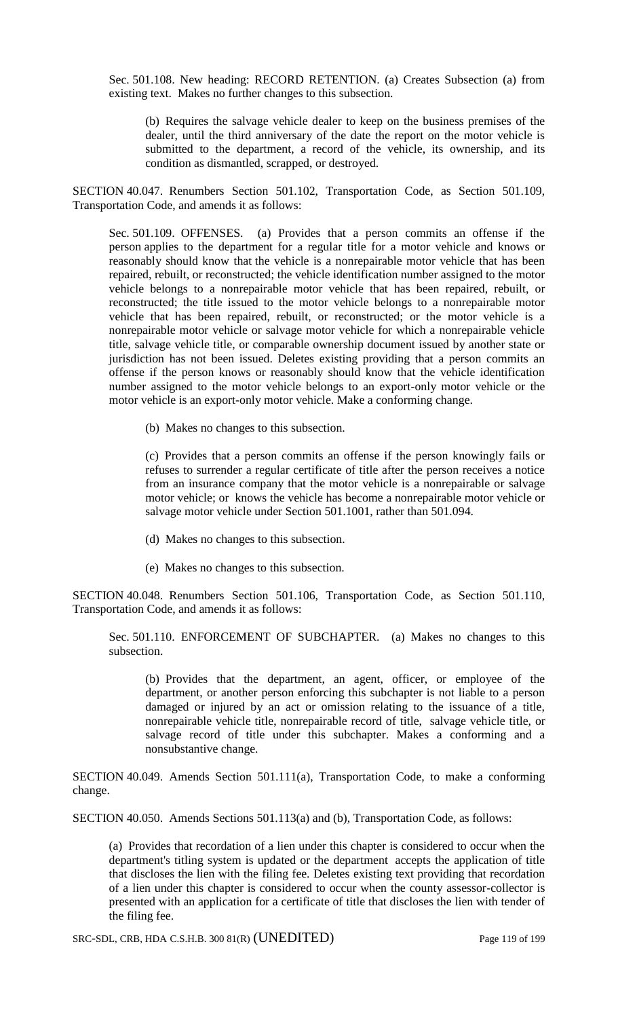Sec. 501.108. New heading: RECORD RETENTION. (a) Creates Subsection (a) from existing text. Makes no further changes to this subsection.

(b) Requires the salvage vehicle dealer to keep on the business premises of the dealer, until the third anniversary of the date the report on the motor vehicle is submitted to the department, a record of the vehicle, its ownership, and its condition as dismantled, scrapped, or destroyed.

SECTION 40.047. Renumbers Section 501.102, Transportation Code, as Section 501.109, Transportation Code, and amends it as follows:

Sec. 501.109. OFFENSES. (a) Provides that a person commits an offense if the person applies to the department for a regular title for a motor vehicle and knows or reasonably should know that the vehicle is a nonrepairable motor vehicle that has been repaired, rebuilt, or reconstructed; the vehicle identification number assigned to the motor vehicle belongs to a nonrepairable motor vehicle that has been repaired, rebuilt, or reconstructed; the title issued to the motor vehicle belongs to a nonrepairable motor vehicle that has been repaired, rebuilt, or reconstructed; or the motor vehicle is a nonrepairable motor vehicle or salvage motor vehicle for which a nonrepairable vehicle title, salvage vehicle title, or comparable ownership document issued by another state or jurisdiction has not been issued. Deletes existing providing that a person commits an offense if the person knows or reasonably should know that the vehicle identification number assigned to the motor vehicle belongs to an export-only motor vehicle or the motor vehicle is an export-only motor vehicle. Make a conforming change.

(b) Makes no changes to this subsection.

(c) Provides that a person commits an offense if the person knowingly fails or refuses to surrender a regular certificate of title after the person receives a notice from an insurance company that the motor vehicle is a nonrepairable or salvage motor vehicle; or knows the vehicle has become a nonrepairable motor vehicle or salvage motor vehicle under Section 501.1001, rather than 501.094.

- (d) Makes no changes to this subsection.
- (e) Makes no changes to this subsection.

SECTION 40.048. Renumbers Section 501.106, Transportation Code, as Section 501.110, Transportation Code, and amends it as follows:

Sec. 501.110. ENFORCEMENT OF SUBCHAPTER. (a) Makes no changes to this subsection.

(b) Provides that the department, an agent, officer, or employee of the department, or another person enforcing this subchapter is not liable to a person damaged or injured by an act or omission relating to the issuance of a title, nonrepairable vehicle title, nonrepairable record of title, salvage vehicle title, or salvage record of title under this subchapter. Makes a conforming and a nonsubstantive change.

SECTION 40.049. Amends Section 501.111(a), Transportation Code, to make a conforming change.

SECTION 40.050. Amends Sections 501.113(a) and (b), Transportation Code, as follows:

(a) Provides that recordation of a lien under this chapter is considered to occur when the department's titling system is updated or the department accepts the application of title that discloses the lien with the filing fee. Deletes existing text providing that recordation of a lien under this chapter is considered to occur when the county assessor-collector is presented with an application for a certificate of title that discloses the lien with tender of the filing fee.

SRC-SDL, CRB, HDA C.S.H.B. 300 81(R) (UNEDITED) Page 119 of 199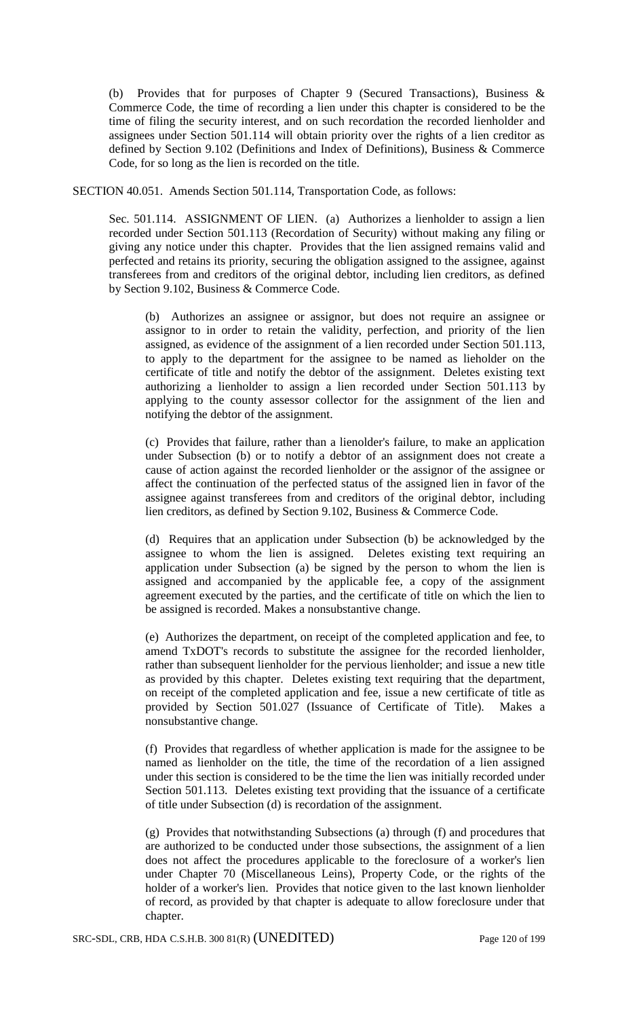(b) Provides that for purposes of Chapter 9 (Secured Transactions), Business & Commerce Code, the time of recording a lien under this chapter is considered to be the time of filing the security interest, and on such recordation the recorded lienholder and assignees under Section 501.114 will obtain priority over the rights of a lien creditor as defined by Section 9.102 (Definitions and Index of Definitions), Business & Commerce Code, for so long as the lien is recorded on the title.

SECTION 40.051. Amends Section 501.114, Transportation Code, as follows:

Sec. 501.114. ASSIGNMENT OF LIEN. (a) Authorizes a lienholder to assign a lien recorded under Section 501.113 (Recordation of Security) without making any filing or giving any notice under this chapter. Provides that the lien assigned remains valid and perfected and retains its priority, securing the obligation assigned to the assignee, against transferees from and creditors of the original debtor, including lien creditors, as defined by Section 9.102, Business & Commerce Code.

(b) Authorizes an assignee or assignor, but does not require an assignee or assignor to in order to retain the validity, perfection, and priority of the lien assigned, as evidence of the assignment of a lien recorded under Section 501.113, to apply to the department for the assignee to be named as lieholder on the certificate of title and notify the debtor of the assignment. Deletes existing text authorizing a lienholder to assign a lien recorded under Section 501.113 by applying to the county assessor collector for the assignment of the lien and notifying the debtor of the assignment.

(c) Provides that failure, rather than a lienolder's failure, to make an application under Subsection (b) or to notify a debtor of an assignment does not create a cause of action against the recorded lienholder or the assignor of the assignee or affect the continuation of the perfected status of the assigned lien in favor of the assignee against transferees from and creditors of the original debtor, including lien creditors, as defined by Section 9.102, Business & Commerce Code.

(d) Requires that an application under Subsection (b) be acknowledged by the assignee to whom the lien is assigned. Deletes existing text requiring an application under Subsection (a) be signed by the person to whom the lien is assigned and accompanied by the applicable fee, a copy of the assignment agreement executed by the parties, and the certificate of title on which the lien to be assigned is recorded. Makes a nonsubstantive change.

(e) Authorizes the department, on receipt of the completed application and fee, to amend TxDOT's records to substitute the assignee for the recorded lienholder, rather than subsequent lienholder for the pervious lienholder; and issue a new title as provided by this chapter. Deletes existing text requiring that the department, on receipt of the completed application and fee, issue a new certificate of title as provided by Section 501.027 (Issuance of Certificate of Title). Makes a nonsubstantive change.

(f) Provides that regardless of whether application is made for the assignee to be named as lienholder on the title, the time of the recordation of a lien assigned under this section is considered to be the time the lien was initially recorded under Section 501.113. Deletes existing text providing that the issuance of a certificate of title under Subsection (d) is recordation of the assignment.

(g) Provides that notwithstanding Subsections (a) through (f) and procedures that are authorized to be conducted under those subsections, the assignment of a lien does not affect the procedures applicable to the foreclosure of a worker's lien under Chapter 70 (Miscellaneous Leins), Property Code, or the rights of the holder of a worker's lien. Provides that notice given to the last known lienholder of record, as provided by that chapter is adequate to allow foreclosure under that chapter.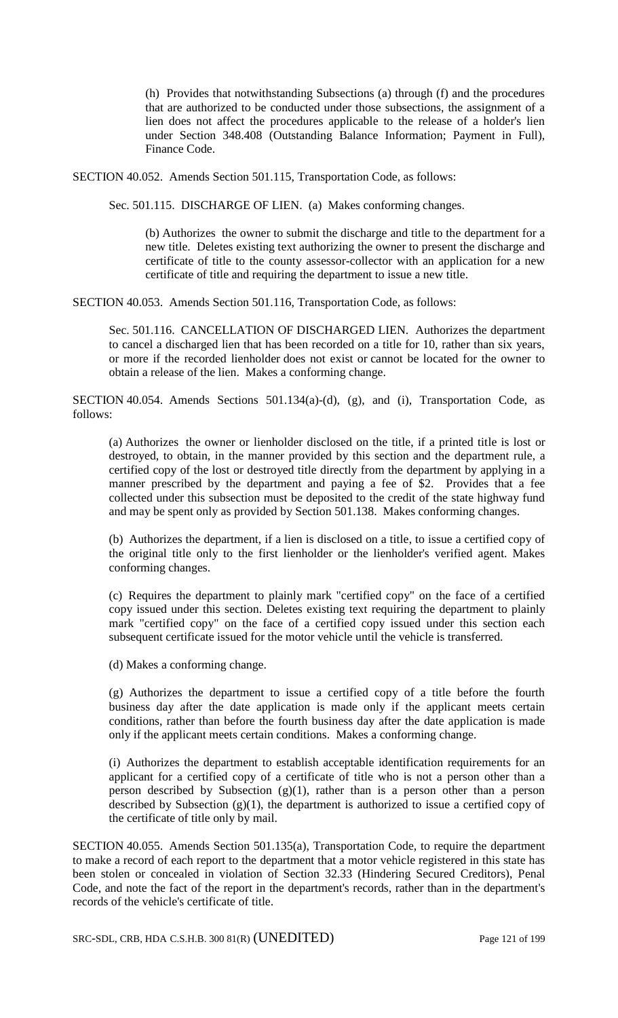(h) Provides that notwithstanding Subsections (a) through (f) and the procedures that are authorized to be conducted under those subsections, the assignment of a lien does not affect the procedures applicable to the release of a holder's lien under Section 348.408 (Outstanding Balance Information; Payment in Full), Finance Code.

SECTION 40.052. Amends Section 501.115, Transportation Code, as follows:

Sec. 501.115. DISCHARGE OF LIEN. (a) Makes conforming changes.

(b) Authorizes the owner to submit the discharge and title to the department for a new title. Deletes existing text authorizing the owner to present the discharge and certificate of title to the county assessor-collector with an application for a new certificate of title and requiring the department to issue a new title.

SECTION 40.053. Amends Section 501.116, Transportation Code, as follows:

Sec. 501.116. CANCELLATION OF DISCHARGED LIEN. Authorizes the department to cancel a discharged lien that has been recorded on a title for 10, rather than six years, or more if the recorded lienholder does not exist or cannot be located for the owner to obtain a release of the lien. Makes a conforming change.

SECTION 40.054. Amends Sections 501.134(a)-(d), (g), and (i), Transportation Code, as follows:

(a) Authorizes the owner or lienholder disclosed on the title, if a printed title is lost or destroyed, to obtain, in the manner provided by this section and the department rule, a certified copy of the lost or destroyed title directly from the department by applying in a manner prescribed by the department and paying a fee of \$2. Provides that a fee collected under this subsection must be deposited to the credit of the state highway fund and may be spent only as provided by Section 501.138. Makes conforming changes.

(b) Authorizes the department, if a lien is disclosed on a title, to issue a certified copy of the original title only to the first lienholder or the lienholder's verified agent. Makes conforming changes.

(c) Requires the department to plainly mark "certified copy" on the face of a certified copy issued under this section. Deletes existing text requiring the department to plainly mark "certified copy" on the face of a certified copy issued under this section each subsequent certificate issued for the motor vehicle until the vehicle is transferred.

(d) Makes a conforming change.

(g) Authorizes the department to issue a certified copy of a title before the fourth business day after the date application is made only if the applicant meets certain conditions, rather than before the fourth business day after the date application is made only if the applicant meets certain conditions. Makes a conforming change.

(i) Authorizes the department to establish acceptable identification requirements for an applicant for a certified copy of a certificate of title who is not a person other than a person described by Subsection  $(g)(1)$ , rather than is a person other than a person described by Subsection  $(g)(1)$ , the department is authorized to issue a certified copy of the certificate of title only by mail.

SECTION 40.055. Amends Section 501.135(a), Transportation Code, to require the department to make a record of each report to the department that a motor vehicle registered in this state has been stolen or concealed in violation of Section 32.33 (Hindering Secured Creditors), Penal Code, and note the fact of the report in the department's records, rather than in the department's records of the vehicle's certificate of title.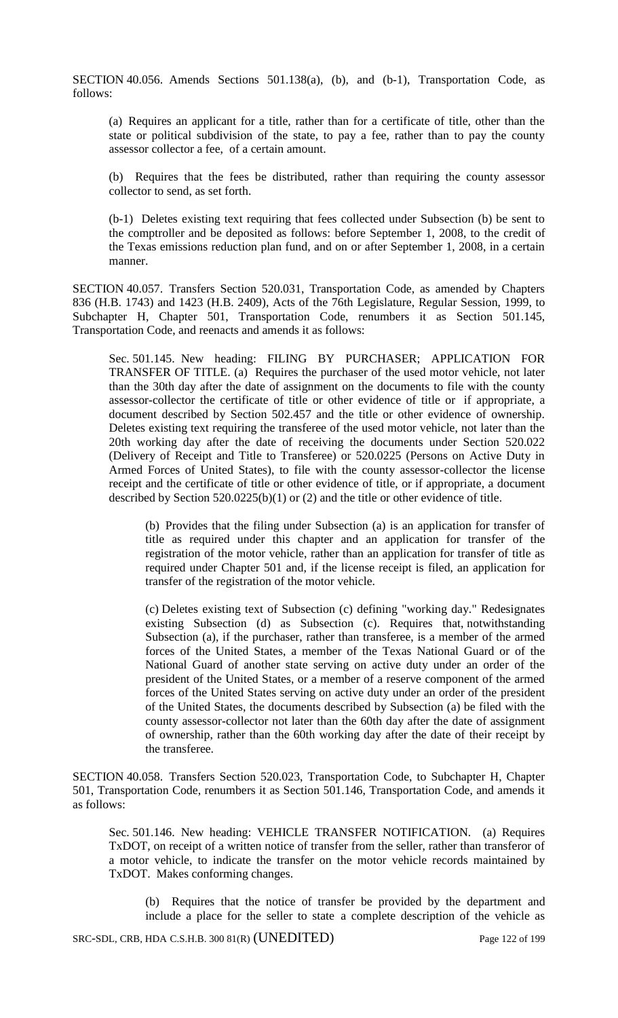SECTION 40.056. Amends Sections 501.138(a), (b), and (b-1), Transportation Code, as follows:

(a) Requires an applicant for a title, rather than for a certificate of title, other than the state or political subdivision of the state, to pay a fee, rather than to pay the county assessor collector a fee, of a certain amount.

(b) Requires that the fees be distributed, rather than requiring the county assessor collector to send, as set forth.

(b-1) Deletes existing text requiring that fees collected under Subsection (b) be sent to the comptroller and be deposited as follows: before September 1, 2008, to the credit of the Texas emissions reduction plan fund, and on or after September 1, 2008, in a certain manner.

SECTION 40.057. Transfers Section 520.031, Transportation Code, as amended by Chapters 836 (H.B. 1743) and 1423 (H.B. 2409), Acts of the 76th Legislature, Regular Session, 1999, to Subchapter H, Chapter 501, Transportation Code, renumbers it as Section 501.145, Transportation Code, and reenacts and amends it as follows:

Sec. 501.145. New heading: FILING BY PURCHASER; APPLICATION FOR TRANSFER OF TITLE. (a) Requires the purchaser of the used motor vehicle, not later than the 30th day after the date of assignment on the documents to file with the county assessor-collector the certificate of title or other evidence of title or if appropriate, a document described by Section 502.457 and the title or other evidence of ownership. Deletes existing text requiring the transferee of the used motor vehicle, not later than the 20th working day after the date of receiving the documents under Section 520.022 (Delivery of Receipt and Title to Transferee) or 520.0225 (Persons on Active Duty in Armed Forces of United States), to file with the county assessor-collector the license receipt and the certificate of title or other evidence of title, or if appropriate, a document described by Section 520.0225(b)(1) or (2) and the title or other evidence of title.

(b) Provides that the filing under Subsection (a) is an application for transfer of title as required under this chapter and an application for transfer of the registration of the motor vehicle, rather than an application for transfer of title as required under Chapter 501 and, if the license receipt is filed, an application for transfer of the registration of the motor vehicle.

(c) Deletes existing text of Subsection (c) defining "working day." Redesignates existing Subsection (d) as Subsection (c). Requires that, notwithstanding Subsection (a), if the purchaser, rather than transferee, is a member of the armed forces of the United States, a member of the Texas National Guard or of the National Guard of another state serving on active duty under an order of the president of the United States, or a member of a reserve component of the armed forces of the United States serving on active duty under an order of the president of the United States, the documents described by Subsection (a) be filed with the county assessor-collector not later than the 60th day after the date of assignment of ownership, rather than the 60th working day after the date of their receipt by the transferee.

SECTION 40.058. Transfers Section 520.023, Transportation Code, to Subchapter H, Chapter 501, Transportation Code, renumbers it as Section 501.146, Transportation Code, and amends it as follows:

Sec. 501.146. New heading: VEHICLE TRANSFER NOTIFICATION. (a) Requires TxDOT, on receipt of a written notice of transfer from the seller, rather than transferor of a motor vehicle, to indicate the transfer on the motor vehicle records maintained by TxDOT. Makes conforming changes.

(b) Requires that the notice of transfer be provided by the department and include a place for the seller to state a complete description of the vehicle as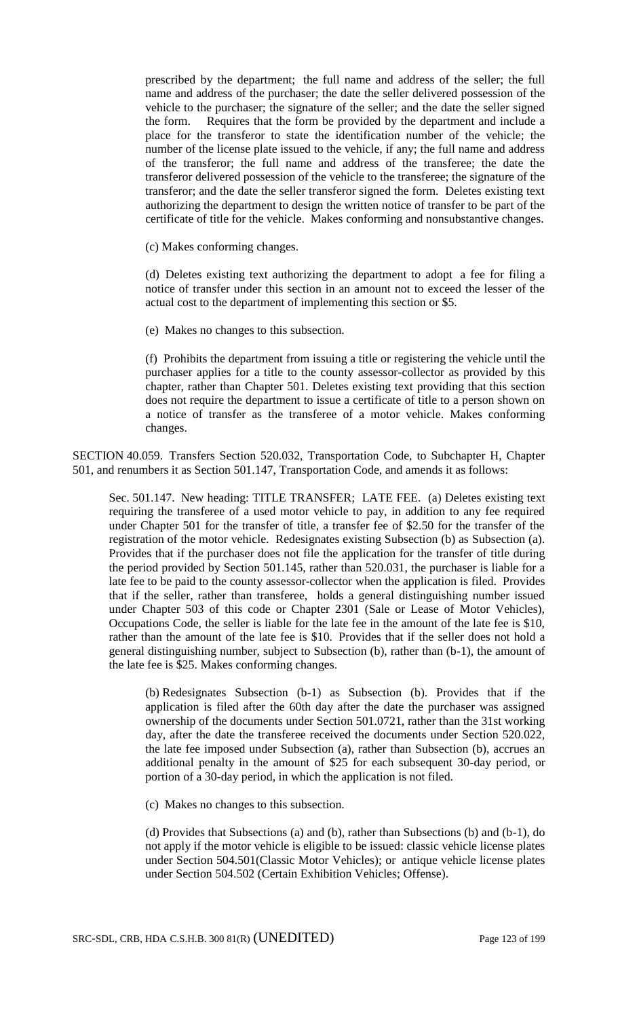prescribed by the department; the full name and address of the seller; the full name and address of the purchaser; the date the seller delivered possession of the vehicle to the purchaser; the signature of the seller; and the date the seller signed the form. Requires that the form be provided by the department and include a place for the transferor to state the identification number of the vehicle; the number of the license plate issued to the vehicle, if any; the full name and address of the transferor; the full name and address of the transferee; the date the transferor delivered possession of the vehicle to the transferee; the signature of the transferor; and the date the seller transferor signed the form. Deletes existing text authorizing the department to design the written notice of transfer to be part of the certificate of title for the vehicle. Makes conforming and nonsubstantive changes.

(c) Makes conforming changes.

(d) Deletes existing text authorizing the department to adopt a fee for filing a notice of transfer under this section in an amount not to exceed the lesser of the actual cost to the department of implementing this section or \$5.

(e) Makes no changes to this subsection.

(f) Prohibits the department from issuing a title or registering the vehicle until the purchaser applies for a title to the county assessor-collector as provided by this chapter, rather than Chapter 501. Deletes existing text providing that this section does not require the department to issue a certificate of title to a person shown on a notice of transfer as the transferee of a motor vehicle. Makes conforming changes.

SECTION 40.059. Transfers Section 520.032, Transportation Code, to Subchapter H, Chapter 501, and renumbers it as Section 501.147, Transportation Code, and amends it as follows:

Sec. 501.147. New heading: TITLE TRANSFER; LATE FEE. (a) Deletes existing text requiring the transferee of a used motor vehicle to pay, in addition to any fee required under Chapter 501 for the transfer of title, a transfer fee of \$2.50 for the transfer of the registration of the motor vehicle. Redesignates existing Subsection (b) as Subsection (a). Provides that if the purchaser does not file the application for the transfer of title during the period provided by Section 501.145, rather than 520.031, the purchaser is liable for a late fee to be paid to the county assessor-collector when the application is filed. Provides that if the seller, rather than transferee, holds a general distinguishing number issued under Chapter 503 of this code or Chapter 2301 (Sale or Lease of Motor Vehicles), Occupations Code, the seller is liable for the late fee in the amount of the late fee is \$10, rather than the amount of the late fee is \$10. Provides that if the seller does not hold a general distinguishing number, subject to Subsection (b), rather than (b-1), the amount of the late fee is \$25. Makes conforming changes.

(b) Redesignates Subsection (b-1) as Subsection (b). Provides that if the application is filed after the 60th day after the date the purchaser was assigned ownership of the documents under Section 501.0721, rather than the 31st working day, after the date the transferee received the documents under Section 520.022, the late fee imposed under Subsection (a), rather than Subsection (b), accrues an additional penalty in the amount of \$25 for each subsequent 30-day period, or portion of a 30-day period, in which the application is not filed.

(c) Makes no changes to this subsection.

(d) Provides that Subsections (a) and (b), rather than Subsections (b) and (b-1), do not apply if the motor vehicle is eligible to be issued: classic vehicle license plates under Section 504.501(Classic Motor Vehicles); or antique vehicle license plates under Section 504.502 (Certain Exhibition Vehicles; Offense).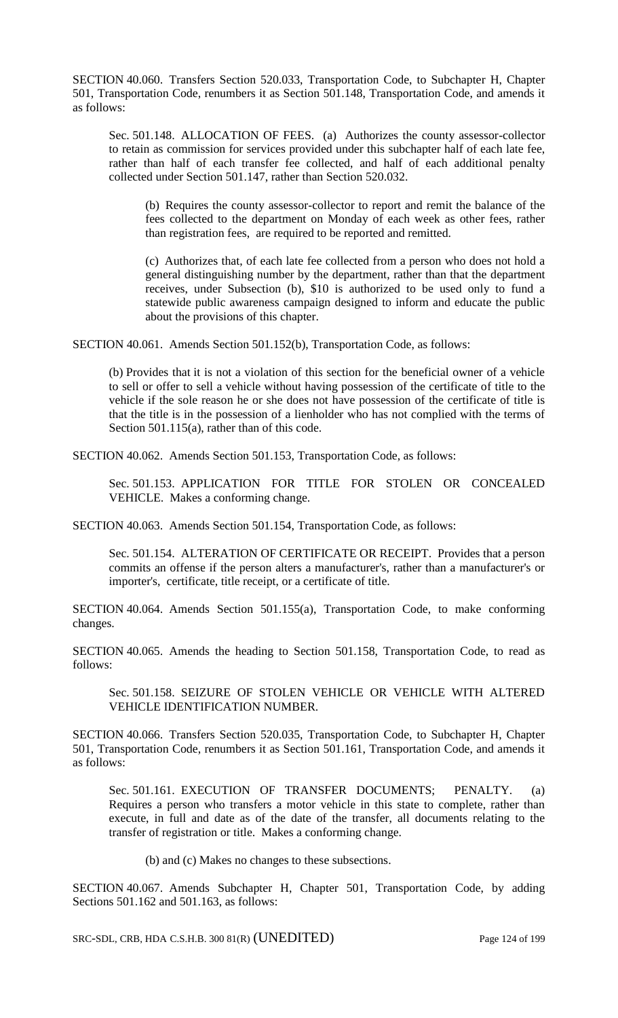SECTION 40.060. Transfers Section 520.033, Transportation Code, to Subchapter H, Chapter 501, Transportation Code, renumbers it as Section 501.148, Transportation Code, and amends it as follows:

Sec. 501.148. ALLOCATION OF FEES. (a) Authorizes the county assessor-collector to retain as commission for services provided under this subchapter half of each late fee, rather than half of each transfer fee collected, and half of each additional penalty collected under Section 501.147, rather than Section 520.032.

(b) Requires the county assessor-collector to report and remit the balance of the fees collected to the department on Monday of each week as other fees, rather than registration fees, are required to be reported and remitted.

(c) Authorizes that, of each late fee collected from a person who does not hold a general distinguishing number by the department, rather than that the department receives, under Subsection (b), \$10 is authorized to be used only to fund a statewide public awareness campaign designed to inform and educate the public about the provisions of this chapter.

SECTION 40.061. Amends Section 501.152(b), Transportation Code, as follows:

(b) Provides that it is not a violation of this section for the beneficial owner of a vehicle to sell or offer to sell a vehicle without having possession of the certificate of title to the vehicle if the sole reason he or she does not have possession of the certificate of title is that the title is in the possession of a lienholder who has not complied with the terms of Section 501.115(a), rather than of this code.

SECTION 40.062. Amends Section 501.153, Transportation Code, as follows:

Sec. 501.153. APPLICATION FOR TITLE FOR STOLEN OR CONCEALED VEHICLE. Makes a conforming change.

SECTION 40.063. Amends Section 501.154, Transportation Code, as follows:

Sec. 501.154. ALTERATION OF CERTIFICATE OR RECEIPT. Provides that a person commits an offense if the person alters a manufacturer's, rather than a manufacturer's or importer's, certificate, title receipt, or a certificate of title.

SECTION 40.064. Amends Section 501.155(a), Transportation Code, to make conforming changes.

SECTION 40.065. Amends the heading to Section 501.158, Transportation Code, to read as follows:

Sec. 501.158. SEIZURE OF STOLEN VEHICLE OR VEHICLE WITH ALTERED VEHICLE IDENTIFICATION NUMBER.

SECTION 40.066. Transfers Section 520.035, Transportation Code, to Subchapter H, Chapter 501, Transportation Code, renumbers it as Section 501.161, Transportation Code, and amends it as follows:

Sec. 501.161. EXECUTION OF TRANSFER DOCUMENTS; PENALTY. (a) Requires a person who transfers a motor vehicle in this state to complete, rather than execute, in full and date as of the date of the transfer, all documents relating to the transfer of registration or title. Makes a conforming change.

(b) and (c) Makes no changes to these subsections.

SECTION 40.067. Amends Subchapter H, Chapter 501, Transportation Code, by adding Sections 501.162 and 501.163, as follows:

SRC-SDL, CRB, HDA C.S.H.B. 300 81(R) (UNEDITED) Page 124 of 199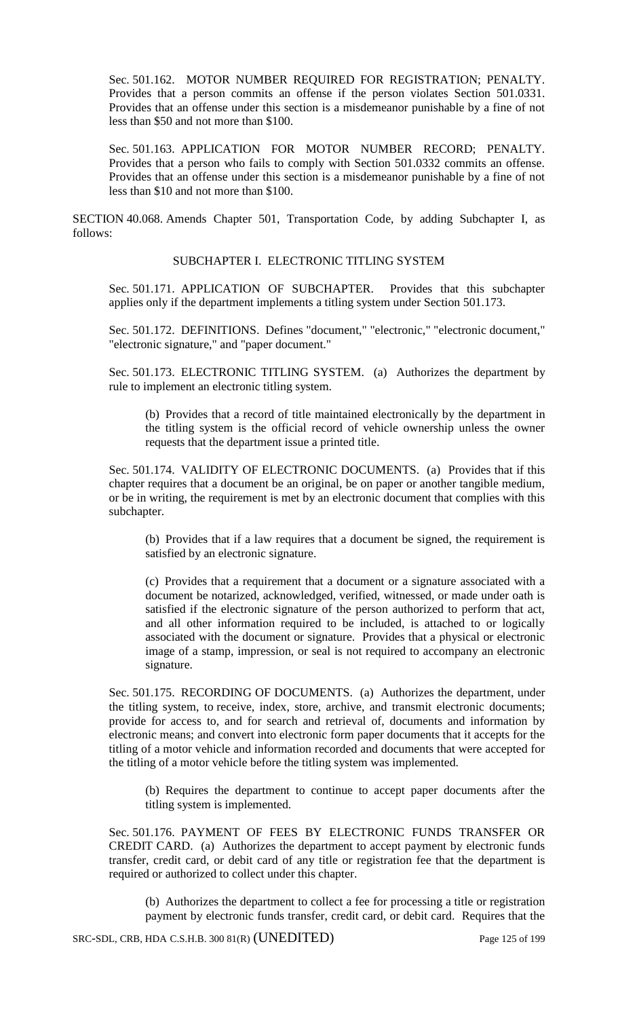Sec. 501.162. MOTOR NUMBER REQUIRED FOR REGISTRATION; PENALTY. Provides that a person commits an offense if the person violates Section 501.0331. Provides that an offense under this section is a misdemeanor punishable by a fine of not less than \$50 and not more than \$100.

Sec. 501.163. APPLICATION FOR MOTOR NUMBER RECORD; PENALTY. Provides that a person who fails to comply with Section 501.0332 commits an offense. Provides that an offense under this section is a misdemeanor punishable by a fine of not less than \$10 and not more than \$100.

SECTION 40.068. Amends Chapter 501, Transportation Code, by adding Subchapter I, as follows:

### SUBCHAPTER I. ELECTRONIC TITLING SYSTEM

Sec. 501.171. APPLICATION OF SUBCHAPTER. Provides that this subchapter applies only if the department implements a titling system under Section 501.173.

Sec. 501.172. DEFINITIONS. Defines "document," "electronic," "electronic document," "electronic signature," and "paper document."

Sec. 501.173. ELECTRONIC TITLING SYSTEM. (a) Authorizes the department by rule to implement an electronic titling system.

(b) Provides that a record of title maintained electronically by the department in the titling system is the official record of vehicle ownership unless the owner requests that the department issue a printed title.

Sec. 501.174. VALIDITY OF ELECTRONIC DOCUMENTS. (a) Provides that if this chapter requires that a document be an original, be on paper or another tangible medium, or be in writing, the requirement is met by an electronic document that complies with this subchapter.

(b) Provides that if a law requires that a document be signed, the requirement is satisfied by an electronic signature.

(c) Provides that a requirement that a document or a signature associated with a document be notarized, acknowledged, verified, witnessed, or made under oath is satisfied if the electronic signature of the person authorized to perform that act, and all other information required to be included, is attached to or logically associated with the document or signature. Provides that a physical or electronic image of a stamp, impression, or seal is not required to accompany an electronic signature.

Sec. 501.175. RECORDING OF DOCUMENTS. (a) Authorizes the department, under the titling system, to receive, index, store, archive, and transmit electronic documents; provide for access to, and for search and retrieval of, documents and information by electronic means; and convert into electronic form paper documents that it accepts for the titling of a motor vehicle and information recorded and documents that were accepted for the titling of a motor vehicle before the titling system was implemented.

(b) Requires the department to continue to accept paper documents after the titling system is implemented.

Sec. 501.176. PAYMENT OF FEES BY ELECTRONIC FUNDS TRANSFER OR CREDIT CARD. (a) Authorizes the department to accept payment by electronic funds transfer, credit card, or debit card of any title or registration fee that the department is required or authorized to collect under this chapter.

(b) Authorizes the department to collect a fee for processing a title or registration payment by electronic funds transfer, credit card, or debit card. Requires that the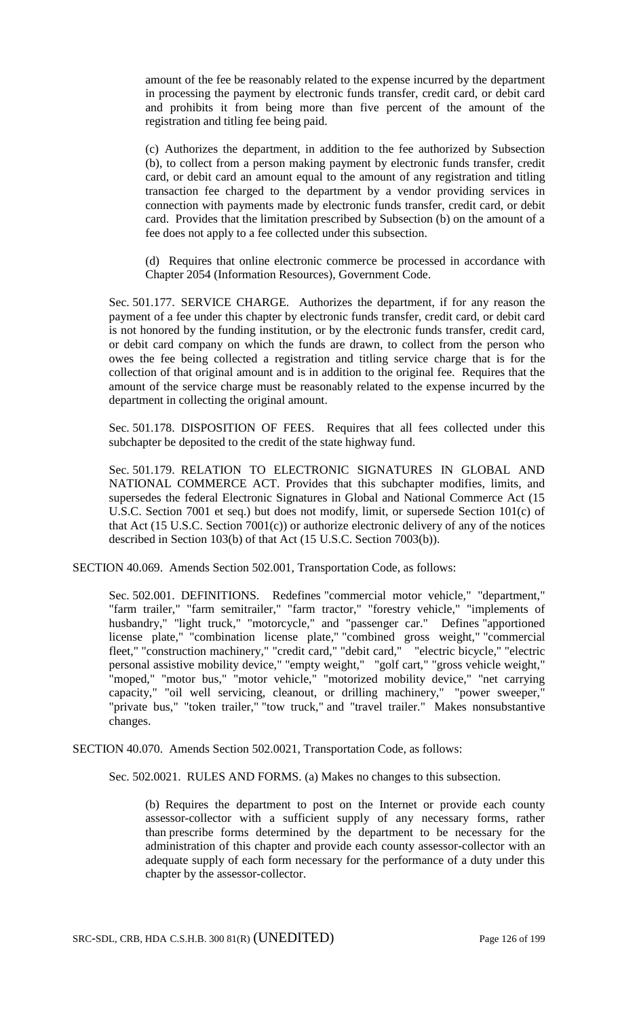amount of the fee be reasonably related to the expense incurred by the department in processing the payment by electronic funds transfer, credit card, or debit card and prohibits it from being more than five percent of the amount of the registration and titling fee being paid.

(c) Authorizes the department, in addition to the fee authorized by Subsection (b), to collect from a person making payment by electronic funds transfer, credit card, or debit card an amount equal to the amount of any registration and titling transaction fee charged to the department by a vendor providing services in connection with payments made by electronic funds transfer, credit card, or debit card. Provides that the limitation prescribed by Subsection (b) on the amount of a fee does not apply to a fee collected under this subsection.

(d) Requires that online electronic commerce be processed in accordance with Chapter 2054 (Information Resources), Government Code.

Sec. 501.177. SERVICE CHARGE. Authorizes the department, if for any reason the payment of a fee under this chapter by electronic funds transfer, credit card, or debit card is not honored by the funding institution, or by the electronic funds transfer, credit card, or debit card company on which the funds are drawn, to collect from the person who owes the fee being collected a registration and titling service charge that is for the collection of that original amount and is in addition to the original fee. Requires that the amount of the service charge must be reasonably related to the expense incurred by the department in collecting the original amount.

Sec. 501.178. DISPOSITION OF FEES. Requires that all fees collected under this subchapter be deposited to the credit of the state highway fund.

Sec. 501.179. RELATION TO ELECTRONIC SIGNATURES IN GLOBAL AND NATIONAL COMMERCE ACT. Provides that this subchapter modifies, limits, and supersedes the federal Electronic Signatures in Global and National Commerce Act (15 U.S.C. Section 7001 et seq.) but does not modify, limit, or supersede Section 101(c) of that Act (15 U.S.C. Section 7001(c)) or authorize electronic delivery of any of the notices described in Section 103(b) of that Act (15 U.S.C. Section 7003(b)).

SECTION 40.069. Amends Section 502.001, Transportation Code, as follows:

Sec. 502.001. DEFINITIONS. Redefines "commercial motor vehicle," "department," "farm trailer," "farm semitrailer," "farm tractor," "forestry vehicle," "implements of husbandry," "light truck," "motorcycle," and "passenger car." Defines "apportioned license plate," "combination license plate," "combined gross weight," "commercial fleet," "construction machinery," "credit card," "debit card," "electric bicycle," "electric personal assistive mobility device," "empty weight," "golf cart," "gross vehicle weight," "moped," "motor bus," "motor vehicle," "motorized mobility device," "net carrying capacity," "oil well servicing, cleanout, or drilling machinery," "power sweeper," "private bus," "token trailer," "tow truck," and "travel trailer." Makes nonsubstantive changes.

SECTION 40.070. Amends Section 502.0021, Transportation Code, as follows:

Sec. 502.0021. RULES AND FORMS. (a) Makes no changes to this subsection.

(b) Requires the department to post on the Internet or provide each county assessor-collector with a sufficient supply of any necessary forms, rather than prescribe forms determined by the department to be necessary for the administration of this chapter and provide each county assessor-collector with an adequate supply of each form necessary for the performance of a duty under this chapter by the assessor-collector.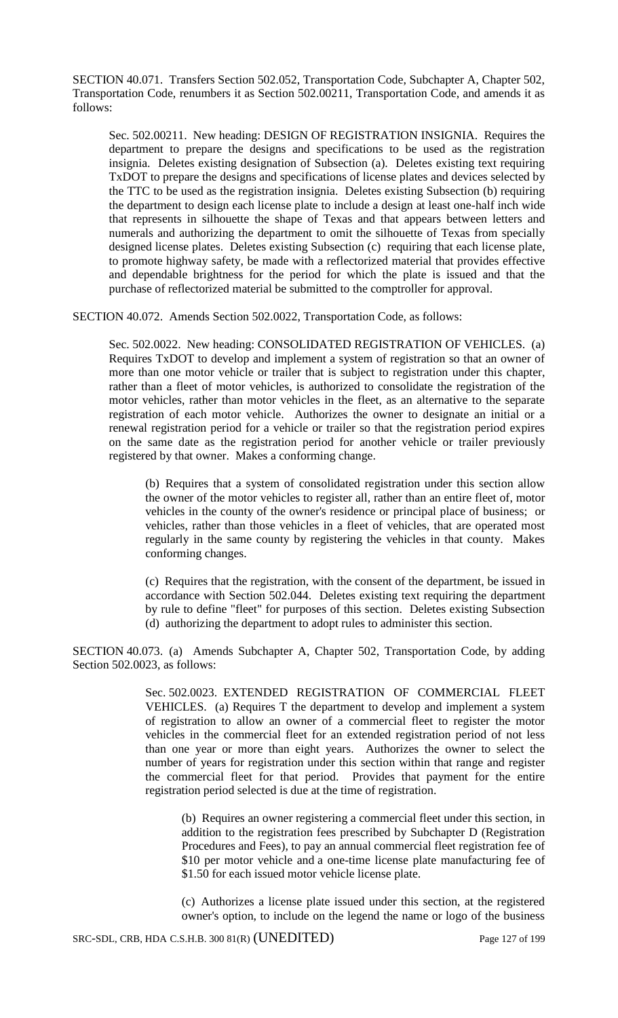SECTION 40.071. Transfers Section 502.052, Transportation Code, Subchapter A, Chapter 502, Transportation Code, renumbers it as Section 502.00211, Transportation Code, and amends it as follows:

Sec. 502.00211. New heading: DESIGN OF REGISTRATION INSIGNIA. Requires the department to prepare the designs and specifications to be used as the registration insignia. Deletes existing designation of Subsection (a). Deletes existing text requiring TxDOT to prepare the designs and specifications of license plates and devices selected by the TTC to be used as the registration insignia. Deletes existing Subsection (b) requiring the department to design each license plate to include a design at least one-half inch wide that represents in silhouette the shape of Texas and that appears between letters and numerals and authorizing the department to omit the silhouette of Texas from specially designed license plates. Deletes existing Subsection (c) requiring that each license plate, to promote highway safety, be made with a reflectorized material that provides effective and dependable brightness for the period for which the plate is issued and that the purchase of reflectorized material be submitted to the comptroller for approval.

SECTION 40.072. Amends Section 502.0022, Transportation Code, as follows:

Sec. 502.0022. New heading: CONSOLIDATED REGISTRATION OF VEHICLES. (a) Requires TxDOT to develop and implement a system of registration so that an owner of more than one motor vehicle or trailer that is subject to registration under this chapter, rather than a fleet of motor vehicles, is authorized to consolidate the registration of the motor vehicles, rather than motor vehicles in the fleet, as an alternative to the separate registration of each motor vehicle. Authorizes the owner to designate an initial or a renewal registration period for a vehicle or trailer so that the registration period expires on the same date as the registration period for another vehicle or trailer previously registered by that owner. Makes a conforming change.

(b) Requires that a system of consolidated registration under this section allow the owner of the motor vehicles to register all, rather than an entire fleet of, motor vehicles in the county of the owner's residence or principal place of business; or vehicles, rather than those vehicles in a fleet of vehicles, that are operated most regularly in the same county by registering the vehicles in that county. Makes conforming changes.

(c) Requires that the registration, with the consent of the department, be issued in accordance with Section 502.044. Deletes existing text requiring the department by rule to define "fleet" for purposes of this section. Deletes existing Subsection (d) authorizing the department to adopt rules to administer this section.

SECTION 40.073. (a) Amends Subchapter A, Chapter 502, Transportation Code, by adding Section 502,0023, as follows:

> Sec. 502.0023. EXTENDED REGISTRATION OF COMMERCIAL FLEET VEHICLES. (a) Requires T the department to develop and implement a system of registration to allow an owner of a commercial fleet to register the motor vehicles in the commercial fleet for an extended registration period of not less than one year or more than eight years. Authorizes the owner to select the number of years for registration under this section within that range and register the commercial fleet for that period. Provides that payment for the entire registration period selected is due at the time of registration.

(b) Requires an owner registering a commercial fleet under this section, in addition to the registration fees prescribed by Subchapter D (Registration Procedures and Fees), to pay an annual commercial fleet registration fee of \$10 per motor vehicle and a one-time license plate manufacturing fee of \$1.50 for each issued motor vehicle license plate.

(c) Authorizes a license plate issued under this section, at the registered owner's option, to include on the legend the name or logo of the business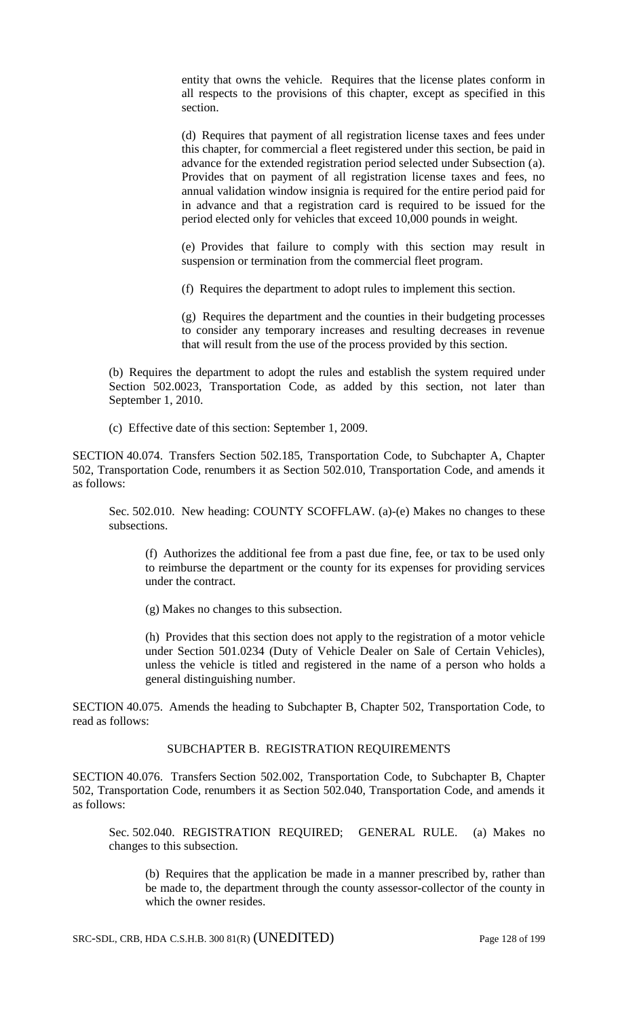entity that owns the vehicle. Requires that the license plates conform in all respects to the provisions of this chapter, except as specified in this section.

(d) Requires that payment of all registration license taxes and fees under this chapter, for commercial a fleet registered under this section, be paid in advance for the extended registration period selected under Subsection (a). Provides that on payment of all registration license taxes and fees, no annual validation window insignia is required for the entire period paid for in advance and that a registration card is required to be issued for the period elected only for vehicles that exceed 10,000 pounds in weight.

(e) Provides that failure to comply with this section may result in suspension or termination from the commercial fleet program.

(f) Requires the department to adopt rules to implement this section.

(g) Requires the department and the counties in their budgeting processes to consider any temporary increases and resulting decreases in revenue that will result from the use of the process provided by this section.

(b) Requires the department to adopt the rules and establish the system required under Section 502.0023, Transportation Code, as added by this section, not later than September 1, 2010.

(c) Effective date of this section: September 1, 2009.

SECTION 40.074. Transfers Section 502.185, Transportation Code, to Subchapter A, Chapter 502, Transportation Code, renumbers it as Section 502.010, Transportation Code, and amends it as follows:

Sec. 502.010. New heading: COUNTY SCOFFLAW. (a)-(e) Makes no changes to these subsections.

(f) Authorizes the additional fee from a past due fine, fee, or tax to be used only to reimburse the department or the county for its expenses for providing services under the contract.

(g) Makes no changes to this subsection.

(h) Provides that this section does not apply to the registration of a motor vehicle under Section 501.0234 (Duty of Vehicle Dealer on Sale of Certain Vehicles), unless the vehicle is titled and registered in the name of a person who holds a general distinguishing number.

SECTION 40.075. Amends the heading to Subchapter B, Chapter 502, Transportation Code, to read as follows:

#### SUBCHAPTER B. REGISTRATION REQUIREMENTS

SECTION 40.076. Transfers Section 502.002, Transportation Code, to Subchapter B, Chapter 502, Transportation Code, renumbers it as Section 502.040, Transportation Code, and amends it as follows:

Sec. 502.040. REGISTRATION REQUIRED; GENERAL RULE. (a) Makes no changes to this subsection.

(b) Requires that the application be made in a manner prescribed by, rather than be made to, the department through the county assessor-collector of the county in which the owner resides.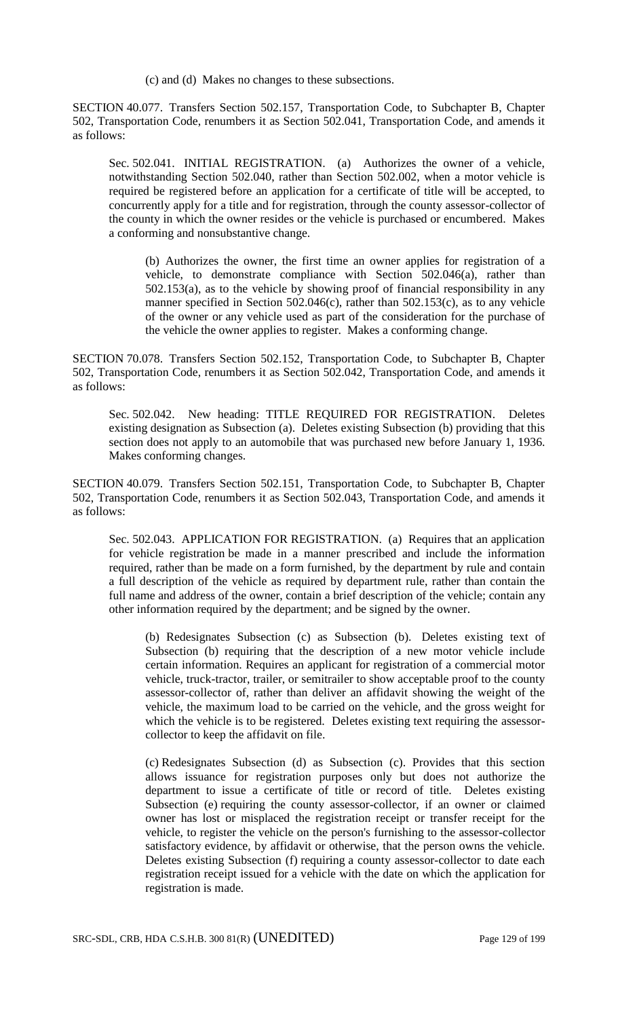(c) and (d) Makes no changes to these subsections.

SECTION 40.077. Transfers Section 502.157, Transportation Code, to Subchapter B, Chapter 502, Transportation Code, renumbers it as Section 502.041, Transportation Code, and amends it as follows:

Sec. 502.041. INITIAL REGISTRATION. (a) Authorizes the owner of a vehicle, notwithstanding Section 502.040, rather than Section 502.002, when a motor vehicle is required be registered before an application for a certificate of title will be accepted, to concurrently apply for a title and for registration, through the county assessor-collector of the county in which the owner resides or the vehicle is purchased or encumbered. Makes a conforming and nonsubstantive change.

(b) Authorizes the owner, the first time an owner applies for registration of a vehicle, to demonstrate compliance with Section 502.046(a), rather than 502.153(a), as to the vehicle by showing proof of financial responsibility in any manner specified in Section 502.046(c), rather than 502.153(c), as to any vehicle of the owner or any vehicle used as part of the consideration for the purchase of the vehicle the owner applies to register. Makes a conforming change.

SECTION 70.078. Transfers Section 502.152, Transportation Code, to Subchapter B, Chapter 502, Transportation Code, renumbers it as Section 502.042, Transportation Code, and amends it as follows:

Sec. 502.042. New heading: TITLE REQUIRED FOR REGISTRATION. Deletes existing designation as Subsection (a). Deletes existing Subsection (b) providing that this section does not apply to an automobile that was purchased new before January 1, 1936. Makes conforming changes.

SECTION 40.079. Transfers Section 502.151, Transportation Code, to Subchapter B, Chapter 502, Transportation Code, renumbers it as Section 502.043, Transportation Code, and amends it as follows:

Sec. 502.043. APPLICATION FOR REGISTRATION. (a) Requires that an application for vehicle registration be made in a manner prescribed and include the information required, rather than be made on a form furnished, by the department by rule and contain a full description of the vehicle as required by department rule, rather than contain the full name and address of the owner, contain a brief description of the vehicle; contain any other information required by the department; and be signed by the owner.

(b) Redesignates Subsection (c) as Subsection (b). Deletes existing text of Subsection (b) requiring that the description of a new motor vehicle include certain information. Requires an applicant for registration of a commercial motor vehicle, truck-tractor, trailer, or semitrailer to show acceptable proof to the county assessor-collector of, rather than deliver an affidavit showing the weight of the vehicle, the maximum load to be carried on the vehicle, and the gross weight for which the vehicle is to be registered. Deletes existing text requiring the assessorcollector to keep the affidavit on file.

(c) Redesignates Subsection (d) as Subsection (c). Provides that this section allows issuance for registration purposes only but does not authorize the department to issue a certificate of title or record of title. Deletes existing Subsection (e) requiring the county assessor-collector, if an owner or claimed owner has lost or misplaced the registration receipt or transfer receipt for the vehicle, to register the vehicle on the person's furnishing to the assessor-collector satisfactory evidence, by affidavit or otherwise, that the person owns the vehicle. Deletes existing Subsection (f) requiring a county assessor-collector to date each registration receipt issued for a vehicle with the date on which the application for registration is made.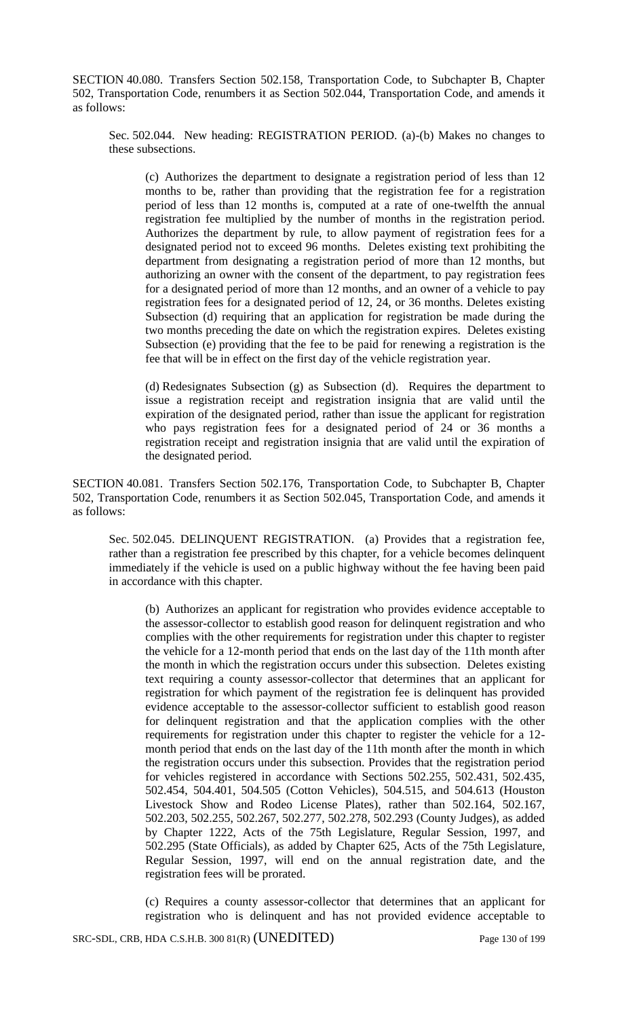SECTION 40.080. Transfers Section 502.158, Transportation Code, to Subchapter B, Chapter 502, Transportation Code, renumbers it as Section 502.044, Transportation Code, and amends it as follows:

Sec. 502.044. New heading: REGISTRATION PERIOD. (a)-(b) Makes no changes to these subsections.

(c) Authorizes the department to designate a registration period of less than 12 months to be, rather than providing that the registration fee for a registration period of less than 12 months is, computed at a rate of one-twelfth the annual registration fee multiplied by the number of months in the registration period. Authorizes the department by rule, to allow payment of registration fees for a designated period not to exceed 96 months. Deletes existing text prohibiting the department from designating a registration period of more than 12 months, but authorizing an owner with the consent of the department, to pay registration fees for a designated period of more than 12 months, and an owner of a vehicle to pay registration fees for a designated period of 12, 24, or 36 months. Deletes existing Subsection (d) requiring that an application for registration be made during the two months preceding the date on which the registration expires. Deletes existing Subsection (e) providing that the fee to be paid for renewing a registration is the fee that will be in effect on the first day of the vehicle registration year.

(d) Redesignates Subsection (g) as Subsection (d). Requires the department to issue a registration receipt and registration insignia that are valid until the expiration of the designated period, rather than issue the applicant for registration who pays registration fees for a designated period of 24 or 36 months a registration receipt and registration insignia that are valid until the expiration of the designated period.

SECTION 40.081. Transfers Section 502.176, Transportation Code, to Subchapter B, Chapter 502, Transportation Code, renumbers it as Section 502.045, Transportation Code, and amends it as follows:

Sec. 502.045. DELINQUENT REGISTRATION. (a) Provides that a registration fee, rather than a registration fee prescribed by this chapter, for a vehicle becomes delinquent immediately if the vehicle is used on a public highway without the fee having been paid in accordance with this chapter.

(b) Authorizes an applicant for registration who provides evidence acceptable to the assessor-collector to establish good reason for delinquent registration and who complies with the other requirements for registration under this chapter to register the vehicle for a 12-month period that ends on the last day of the 11th month after the month in which the registration occurs under this subsection. Deletes existing text requiring a county assessor-collector that determines that an applicant for registration for which payment of the registration fee is delinquent has provided evidence acceptable to the assessor-collector sufficient to establish good reason for delinquent registration and that the application complies with the other requirements for registration under this chapter to register the vehicle for a 12 month period that ends on the last day of the 11th month after the month in which the registration occurs under this subsection. Provides that the registration period for vehicles registered in accordance with Sections 502.255, 502.431, 502.435, 502.454, 504.401, 504.505 (Cotton Vehicles), 504.515, and 504.613 (Houston Livestock Show and Rodeo License Plates), rather than 502.164, 502.167, 502.203, 502.255, 502.267, 502.277, 502.278, 502.293 (County Judges), as added by Chapter 1222, Acts of the 75th Legislature, Regular Session, 1997, and 502.295 (State Officials), as added by Chapter 625, Acts of the 75th Legislature, Regular Session, 1997, will end on the annual registration date, and the registration fees will be prorated.

(c) Requires a county assessor-collector that determines that an applicant for registration who is delinquent and has not provided evidence acceptable to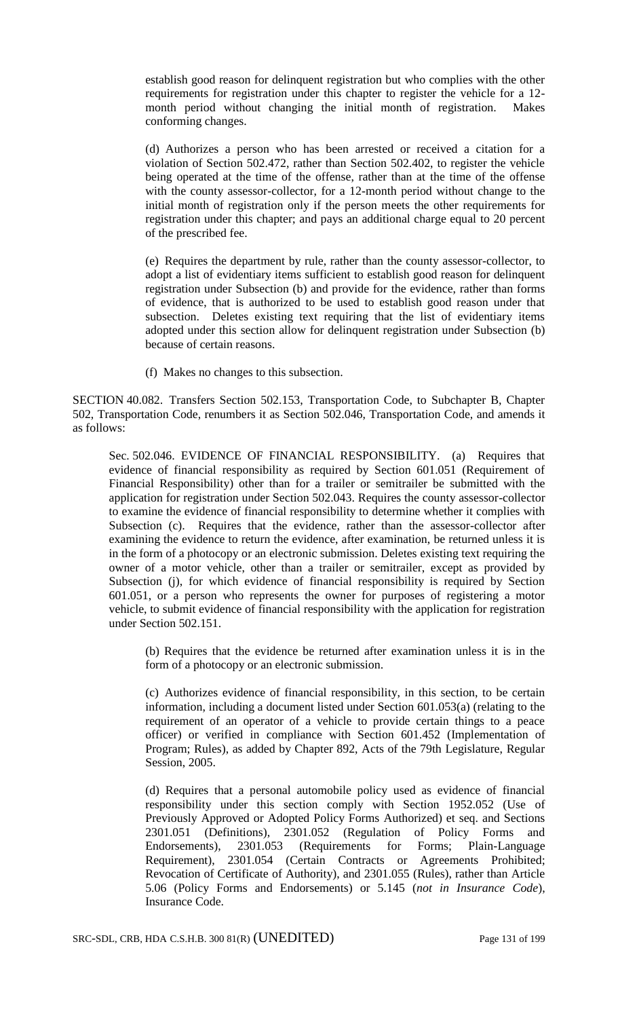establish good reason for delinquent registration but who complies with the other requirements for registration under this chapter to register the vehicle for a 12 month period without changing the initial month of registration. Makes conforming changes.

(d) Authorizes a person who has been arrested or received a citation for a violation of Section 502.472, rather than Section 502.402, to register the vehicle being operated at the time of the offense, rather than at the time of the offense with the county assessor-collector, for a 12-month period without change to the initial month of registration only if the person meets the other requirements for registration under this chapter; and pays an additional charge equal to 20 percent of the prescribed fee.

(e) Requires the department by rule, rather than the county assessor-collector, to adopt a list of evidentiary items sufficient to establish good reason for delinquent registration under Subsection (b) and provide for the evidence, rather than forms of evidence, that is authorized to be used to establish good reason under that subsection. Deletes existing text requiring that the list of evidentiary items adopted under this section allow for delinquent registration under Subsection (b) because of certain reasons.

(f) Makes no changes to this subsection.

SECTION 40.082. Transfers Section 502.153, Transportation Code, to Subchapter B, Chapter 502, Transportation Code, renumbers it as Section 502.046, Transportation Code, and amends it as follows:

Sec. 502.046. EVIDENCE OF FINANCIAL RESPONSIBILITY. (a) Requires that evidence of financial responsibility as required by Section 601.051 (Requirement of Financial Responsibility) other than for a trailer or semitrailer be submitted with the application for registration under Section 502.043. Requires the county assessor-collector to examine the evidence of financial responsibility to determine whether it complies with Subsection (c). Requires that the evidence, rather than the assessor-collector after examining the evidence to return the evidence, after examination, be returned unless it is in the form of a photocopy or an electronic submission. Deletes existing text requiring the owner of a motor vehicle, other than a trailer or semitrailer, except as provided by Subsection (j), for which evidence of financial responsibility is required by Section 601.051, or a person who represents the owner for purposes of registering a motor vehicle, to submit evidence of financial responsibility with the application for registration under Section 502.151.

(b) Requires that the evidence be returned after examination unless it is in the form of a photocopy or an electronic submission.

(c) Authorizes evidence of financial responsibility, in this section, to be certain information, including a document listed under Section 601.053(a) (relating to the requirement of an operator of a vehicle to provide certain things to a peace officer) or verified in compliance with Section 601.452 (Implementation of Program; Rules), as added by Chapter 892, Acts of the 79th Legislature, Regular Session, 2005.

(d) Requires that a personal automobile policy used as evidence of financial responsibility under this section comply with Section 1952.052 (Use of Previously Approved or Adopted Policy Forms Authorized) et seq. and Sections 2301.051 (Definitions), 2301.052 (Regulation of Policy Forms and Endorsements), 2301.053 (Requirements for Forms; Plain-Language Requirement), 2301.054 (Certain Contracts or Agreements Prohibited; Revocation of Certificate of Authority), and 2301.055 (Rules), rather than Article 5.06 (Policy Forms and Endorsements) or 5.145 (*not in Insurance Code*), Insurance Code.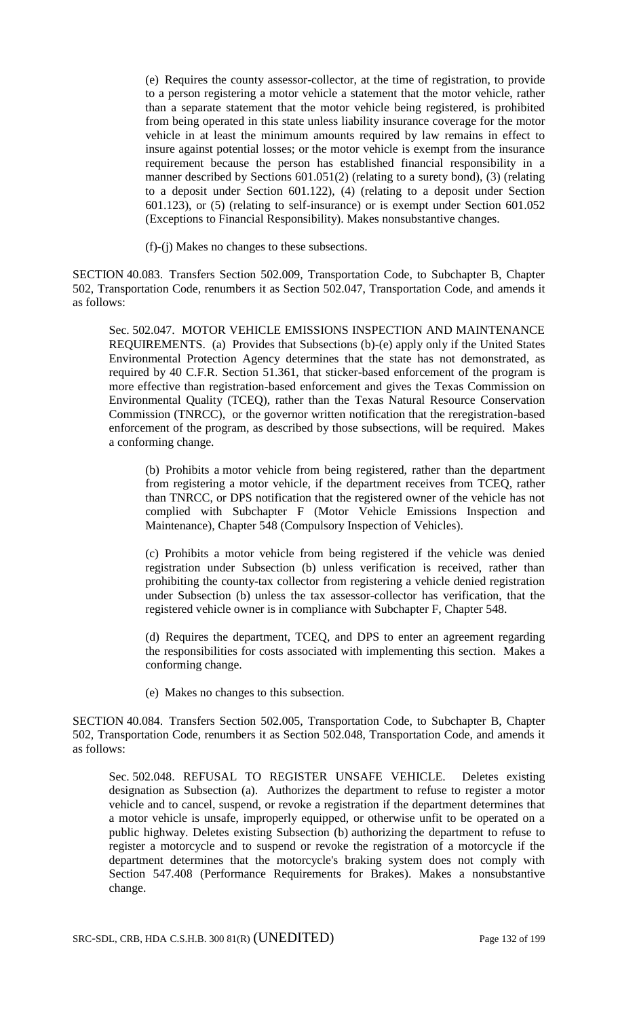(e) Requires the county assessor-collector, at the time of registration, to provide to a person registering a motor vehicle a statement that the motor vehicle, rather than a separate statement that the motor vehicle being registered, is prohibited from being operated in this state unless liability insurance coverage for the motor vehicle in at least the minimum amounts required by law remains in effect to insure against potential losses; or the motor vehicle is exempt from the insurance requirement because the person has established financial responsibility in a manner described by Sections 601.051(2) (relating to a surety bond), (3) (relating to a deposit under Section 601.122), (4) (relating to a deposit under Section 601.123), or (5) (relating to self-insurance) or is exempt under Section 601.052 (Exceptions to Financial Responsibility). Makes nonsubstantive changes.

(f)-(j) Makes no changes to these subsections.

SECTION 40.083. Transfers Section 502.009, Transportation Code, to Subchapter B, Chapter 502, Transportation Code, renumbers it as Section 502.047, Transportation Code, and amends it as follows:

Sec. 502.047. MOTOR VEHICLE EMISSIONS INSPECTION AND MAINTENANCE REQUIREMENTS. (a) Provides that Subsections (b)-(e) apply only if the United States Environmental Protection Agency determines that the state has not demonstrated, as required by 40 C.F.R. Section 51.361, that sticker-based enforcement of the program is more effective than registration-based enforcement and gives the Texas Commission on Environmental Quality (TCEQ), rather than the Texas Natural Resource Conservation Commission (TNRCC), or the governor written notification that the reregistration-based enforcement of the program, as described by those subsections, will be required. Makes a conforming change.

(b) Prohibits a motor vehicle from being registered, rather than the department from registering a motor vehicle, if the department receives from TCEQ, rather than TNRCC, or DPS notification that the registered owner of the vehicle has not complied with Subchapter F (Motor Vehicle Emissions Inspection and Maintenance), Chapter 548 (Compulsory Inspection of Vehicles).

(c) Prohibits a motor vehicle from being registered if the vehicle was denied registration under Subsection (b) unless verification is received, rather than prohibiting the county-tax collector from registering a vehicle denied registration under Subsection (b) unless the tax assessor-collector has verification, that the registered vehicle owner is in compliance with Subchapter F, Chapter 548.

(d) Requires the department, TCEQ, and DPS to enter an agreement regarding the responsibilities for costs associated with implementing this section. Makes a conforming change.

(e) Makes no changes to this subsection.

SECTION 40.084. Transfers Section 502.005, Transportation Code, to Subchapter B, Chapter 502, Transportation Code, renumbers it as Section 502.048, Transportation Code, and amends it as follows:

Sec. 502.048. REFUSAL TO REGISTER UNSAFE VEHICLE. Deletes existing designation as Subsection (a). Authorizes the department to refuse to register a motor vehicle and to cancel, suspend, or revoke a registration if the department determines that a motor vehicle is unsafe, improperly equipped, or otherwise unfit to be operated on a public highway. Deletes existing Subsection (b) authorizing the department to refuse to register a motorcycle and to suspend or revoke the registration of a motorcycle if the department determines that the motorcycle's braking system does not comply with Section 547.408 (Performance Requirements for Brakes). Makes a nonsubstantive change.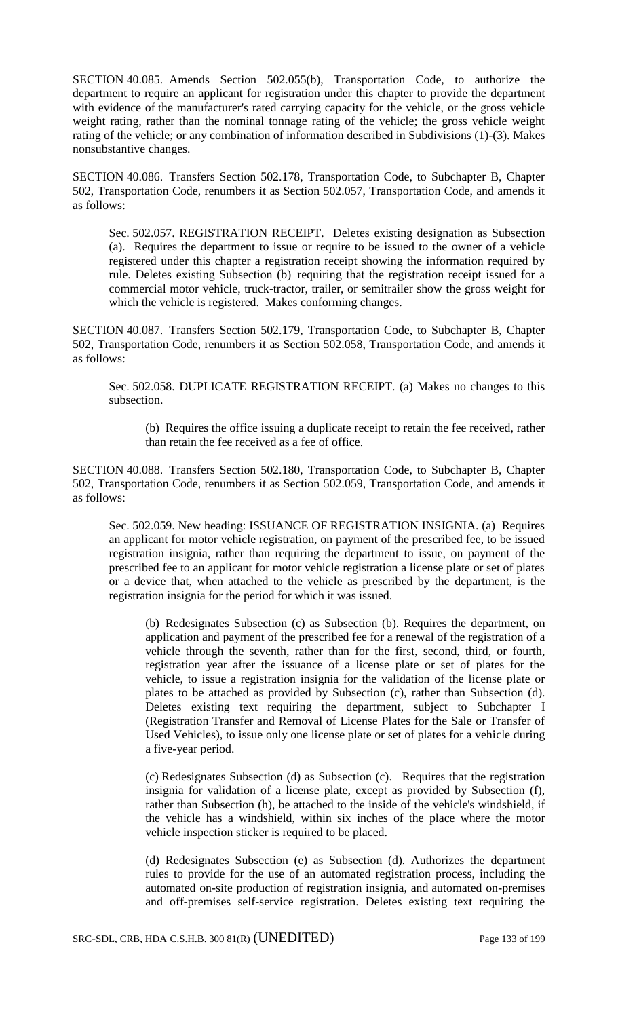SECTION 40.085. Amends Section 502.055(b), Transportation Code, to authorize the department to require an applicant for registration under this chapter to provide the department with evidence of the manufacturer's rated carrying capacity for the vehicle, or the gross vehicle weight rating, rather than the nominal tonnage rating of the vehicle; the gross vehicle weight rating of the vehicle; or any combination of information described in Subdivisions (1)-(3). Makes nonsubstantive changes.

SECTION 40.086. Transfers Section 502.178, Transportation Code, to Subchapter B, Chapter 502, Transportation Code, renumbers it as Section 502.057, Transportation Code, and amends it as follows:

Sec. 502.057. REGISTRATION RECEIPT. Deletes existing designation as Subsection (a). Requires the department to issue or require to be issued to the owner of a vehicle registered under this chapter a registration receipt showing the information required by rule. Deletes existing Subsection (b) requiring that the registration receipt issued for a commercial motor vehicle, truck-tractor, trailer, or semitrailer show the gross weight for which the vehicle is registered. Makes conforming changes.

SECTION 40.087. Transfers Section 502.179, Transportation Code, to Subchapter B, Chapter 502, Transportation Code, renumbers it as Section 502.058, Transportation Code, and amends it as follows:

Sec. 502.058. DUPLICATE REGISTRATION RECEIPT. (a) Makes no changes to this subsection.

(b) Requires the office issuing a duplicate receipt to retain the fee received, rather than retain the fee received as a fee of office.

SECTION 40.088. Transfers Section 502.180, Transportation Code, to Subchapter B, Chapter 502, Transportation Code, renumbers it as Section 502.059, Transportation Code, and amends it as follows:

Sec. 502.059. New heading: ISSUANCE OF REGISTRATION INSIGNIA. (a) Requires an applicant for motor vehicle registration, on payment of the prescribed fee, to be issued registration insignia, rather than requiring the department to issue, on payment of the prescribed fee to an applicant for motor vehicle registration a license plate or set of plates or a device that, when attached to the vehicle as prescribed by the department, is the registration insignia for the period for which it was issued.

(b) Redesignates Subsection (c) as Subsection (b). Requires the department, on application and payment of the prescribed fee for a renewal of the registration of a vehicle through the seventh, rather than for the first, second, third, or fourth, registration year after the issuance of a license plate or set of plates for the vehicle, to issue a registration insignia for the validation of the license plate or plates to be attached as provided by Subsection (c), rather than Subsection (d). Deletes existing text requiring the department, subject to Subchapter I (Registration Transfer and Removal of License Plates for the Sale or Transfer of Used Vehicles), to issue only one license plate or set of plates for a vehicle during a five-year period.

(c) Redesignates Subsection (d) as Subsection (c). Requires that the registration insignia for validation of a license plate, except as provided by Subsection (f), rather than Subsection (h), be attached to the inside of the vehicle's windshield, if the vehicle has a windshield, within six inches of the place where the motor vehicle inspection sticker is required to be placed.

(d) Redesignates Subsection (e) as Subsection (d). Authorizes the department rules to provide for the use of an automated registration process, including the automated on-site production of registration insignia, and automated on-premises and off-premises self-service registration. Deletes existing text requiring the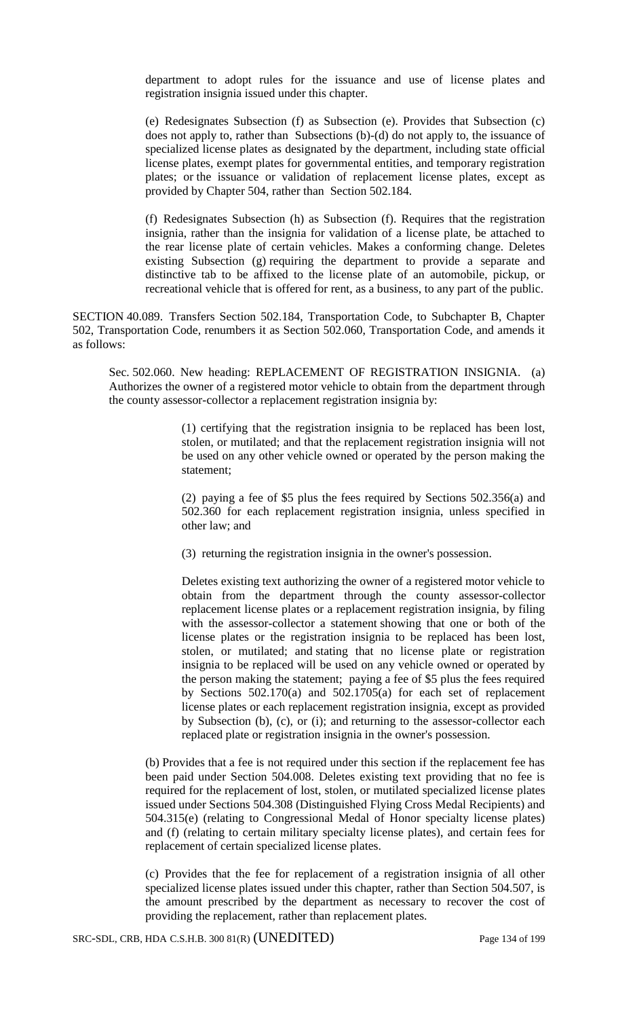department to adopt rules for the issuance and use of license plates and registration insignia issued under this chapter.

(e) Redesignates Subsection (f) as Subsection (e). Provides that Subsection (c) does not apply to, rather than Subsections (b)-(d) do not apply to, the issuance of specialized license plates as designated by the department, including state official license plates, exempt plates for governmental entities, and temporary registration plates; or the issuance or validation of replacement license plates, except as provided by Chapter 504, rather than Section 502.184.

(f) Redesignates Subsection (h) as Subsection (f). Requires that the registration insignia, rather than the insignia for validation of a license plate, be attached to the rear license plate of certain vehicles. Makes a conforming change. Deletes existing Subsection (g) requiring the department to provide a separate and distinctive tab to be affixed to the license plate of an automobile, pickup, or recreational vehicle that is offered for rent, as a business, to any part of the public.

SECTION 40.089. Transfers Section 502.184, Transportation Code, to Subchapter B, Chapter 502, Transportation Code, renumbers it as Section 502.060, Transportation Code, and amends it as follows:

Sec. 502.060. New heading: REPLACEMENT OF REGISTRATION INSIGNIA. (a) Authorizes the owner of a registered motor vehicle to obtain from the department through the county assessor-collector a replacement registration insignia by:

> (1) certifying that the registration insignia to be replaced has been lost, stolen, or mutilated; and that the replacement registration insignia will not be used on any other vehicle owned or operated by the person making the statement;

> (2) paying a fee of \$5 plus the fees required by Sections 502.356(a) and 502.360 for each replacement registration insignia, unless specified in other law; and

(3) returning the registration insignia in the owner's possession.

Deletes existing text authorizing the owner of a registered motor vehicle to obtain from the department through the county assessor-collector replacement license plates or a replacement registration insignia, by filing with the assessor-collector a statement showing that one or both of the license plates or the registration insignia to be replaced has been lost, stolen, or mutilated; and stating that no license plate or registration insignia to be replaced will be used on any vehicle owned or operated by the person making the statement; paying a fee of \$5 plus the fees required by Sections 502.170(a) and 502.1705(a) for each set of replacement license plates or each replacement registration insignia, except as provided by Subsection (b), (c), or (i); and returning to the assessor-collector each replaced plate or registration insignia in the owner's possession.

(b) Provides that a fee is not required under this section if the replacement fee has been paid under Section 504.008. Deletes existing text providing that no fee is required for the replacement of lost, stolen, or mutilated specialized license plates issued under Sections 504.308 (Distinguished Flying Cross Medal Recipients) and 504.315(e) (relating to Congressional Medal of Honor specialty license plates) and (f) (relating to certain military specialty license plates), and certain fees for replacement of certain specialized license plates.

(c) Provides that the fee for replacement of a registration insignia of all other specialized license plates issued under this chapter, rather than Section 504.507, is the amount prescribed by the department as necessary to recover the cost of providing the replacement, rather than replacement plates.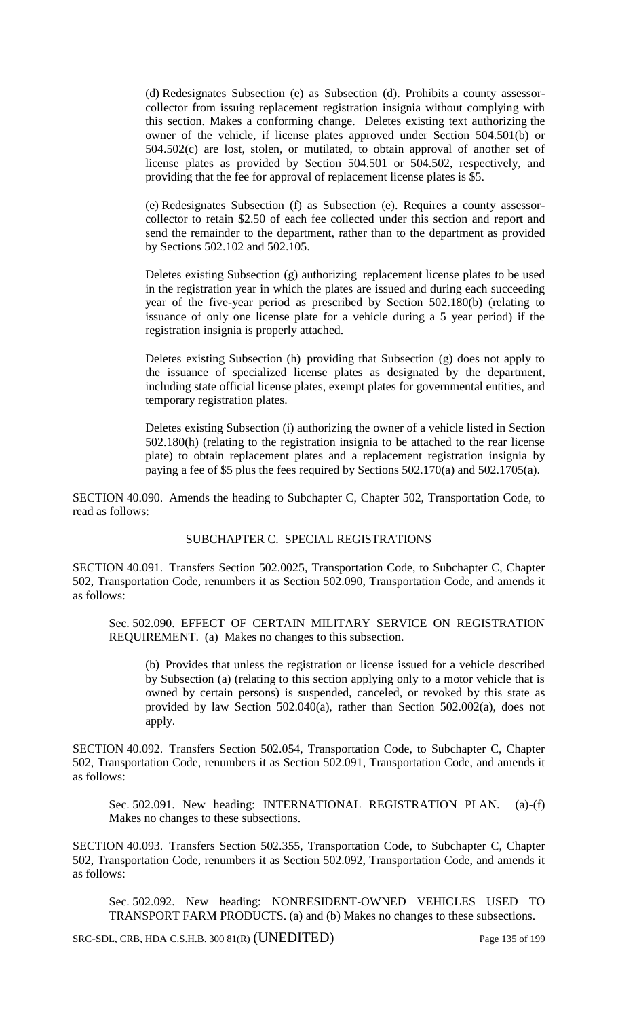(d) Redesignates Subsection (e) as Subsection (d). Prohibits a county assessorcollector from issuing replacement registration insignia without complying with this section. Makes a conforming change. Deletes existing text authorizing the owner of the vehicle, if license plates approved under Section 504.501(b) or 504.502(c) are lost, stolen, or mutilated, to obtain approval of another set of license plates as provided by Section 504.501 or 504.502, respectively, and providing that the fee for approval of replacement license plates is \$5.

(e) Redesignates Subsection (f) as Subsection (e). Requires a county assessorcollector to retain \$2.50 of each fee collected under this section and report and send the remainder to the department, rather than to the department as provided by Sections 502.102 and 502.105.

Deletes existing Subsection (g) authorizing replacement license plates to be used in the registration year in which the plates are issued and during each succeeding year of the five-year period as prescribed by Section 502.180(b) (relating to issuance of only one license plate for a vehicle during a 5 year period) if the registration insignia is properly attached.

Deletes existing Subsection (h) providing that Subsection (g) does not apply to the issuance of specialized license plates as designated by the department, including state official license plates, exempt plates for governmental entities, and temporary registration plates.

Deletes existing Subsection (i) authorizing the owner of a vehicle listed in Section 502.180(h) (relating to the registration insignia to be attached to the rear license plate) to obtain replacement plates and a replacement registration insignia by paying a fee of \$5 plus the fees required by Sections 502.170(a) and 502.1705(a).

SECTION 40.090. Amends the heading to Subchapter C, Chapter 502, Transportation Code, to read as follows:

### SUBCHAPTER C. SPECIAL REGISTRATIONS

SECTION 40.091. Transfers Section 502.0025, Transportation Code, to Subchapter C, Chapter 502, Transportation Code, renumbers it as Section 502.090, Transportation Code, and amends it as follows:

Sec. 502.090. EFFECT OF CERTAIN MILITARY SERVICE ON REGISTRATION REQUIREMENT. (a) Makes no changes to this subsection.

(b) Provides that unless the registration or license issued for a vehicle described by Subsection (a) (relating to this section applying only to a motor vehicle that is owned by certain persons) is suspended, canceled, or revoked by this state as provided by law Section 502.040(a), rather than Section 502.002(a), does not apply.

SECTION 40.092. Transfers Section 502.054, Transportation Code, to Subchapter C, Chapter 502, Transportation Code, renumbers it as Section 502.091, Transportation Code, and amends it as follows:

Sec. 502.091. New heading: INTERNATIONAL REGISTRATION PLAN. (a)-(f) Makes no changes to these subsections.

SECTION 40.093. Transfers Section 502.355, Transportation Code, to Subchapter C, Chapter 502, Transportation Code, renumbers it as Section 502.092, Transportation Code, and amends it as follows:

Sec. 502.092. New heading: NONRESIDENT-OWNED VEHICLES USED TO TRANSPORT FARM PRODUCTS. (a) and (b) Makes no changes to these subsections.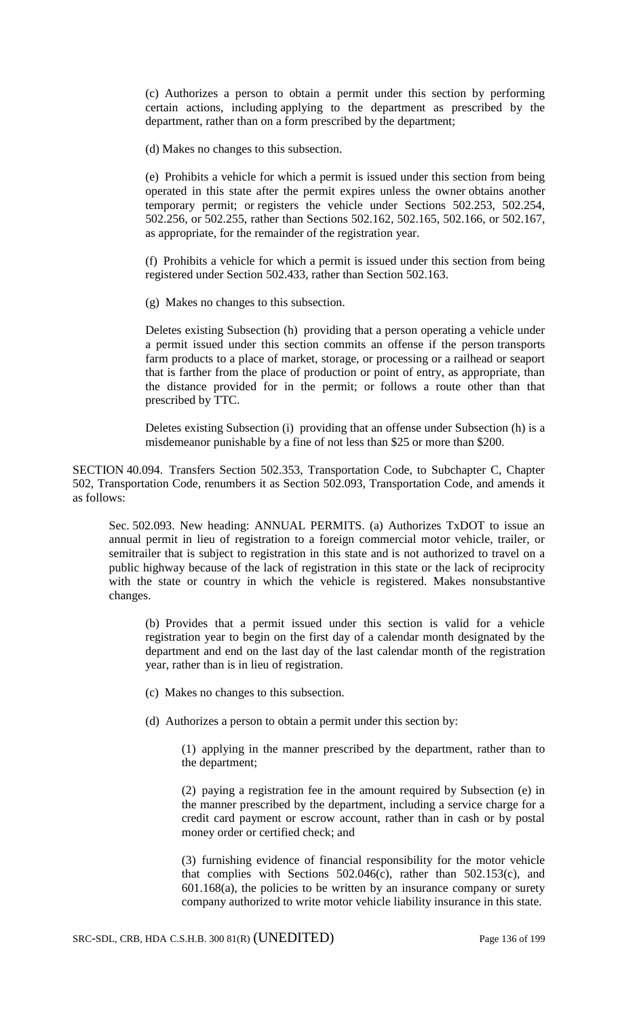(c) Authorizes a person to obtain a permit under this section by performing certain actions, including applying to the department as prescribed by the department, rather than on a form prescribed by the department;

(d) Makes no changes to this subsection.

(e) Prohibits a vehicle for which a permit is issued under this section from being operated in this state after the permit expires unless the owner obtains another temporary permit; or registers the vehicle under Sections 502.253, 502.254, 502.256, or 502.255, rather than Sections 502.162, 502.165, 502.166, or 502.167, as appropriate, for the remainder of the registration year.

(f) Prohibits a vehicle for which a permit is issued under this section from being registered under Section 502.433, rather than Section 502.163.

(g) Makes no changes to this subsection.

Deletes existing Subsection (h) providing that a person operating a vehicle under a permit issued under this section commits an offense if the person transports farm products to a place of market, storage, or processing or a railhead or seaport that is farther from the place of production or point of entry, as appropriate, than the distance provided for in the permit; or follows a route other than that prescribed by TTC.

Deletes existing Subsection (i) providing that an offense under Subsection (h) is a misdemeanor punishable by a fine of not less than \$25 or more than \$200.

SECTION 40.094. Transfers Section 502.353, Transportation Code, to Subchapter C, Chapter 502, Transportation Code, renumbers it as Section 502.093, Transportation Code, and amends it as follows:

Sec. 502.093. New heading: ANNUAL PERMITS. (a) Authorizes TxDOT to issue an annual permit in lieu of registration to a foreign commercial motor vehicle, trailer, or semitrailer that is subject to registration in this state and is not authorized to travel on a public highway because of the lack of registration in this state or the lack of reciprocity with the state or country in which the vehicle is registered. Makes nonsubstantive changes.

(b) Provides that a permit issued under this section is valid for a vehicle registration year to begin on the first day of a calendar month designated by the department and end on the last day of the last calendar month of the registration year, rather than is in lieu of registration.

(c) Makes no changes to this subsection.

(d) Authorizes a person to obtain a permit under this section by:

(1) applying in the manner prescribed by the department, rather than to the department;

(2) paying a registration fee in the amount required by Subsection (e) in the manner prescribed by the department, including a service charge for a credit card payment or escrow account, rather than in cash or by postal money order or certified check; and

(3) furnishing evidence of financial responsibility for the motor vehicle that complies with Sections 502.046(c), rather than 502.153(c), and  $601.168(a)$ , the policies to be written by an insurance company or surety company authorized to write motor vehicle liability insurance in this state.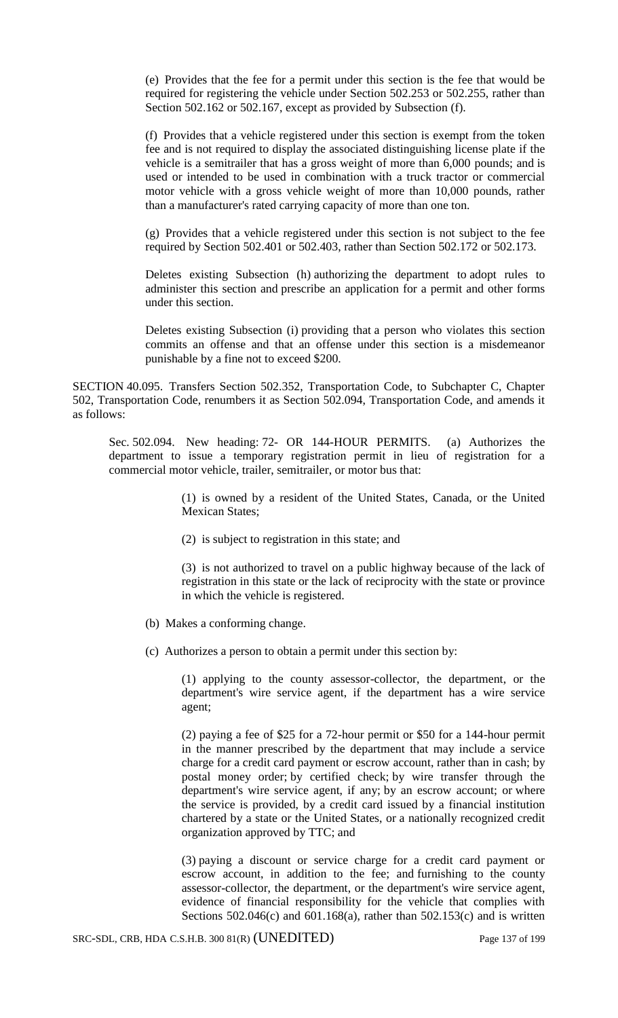(e) Provides that the fee for a permit under this section is the fee that would be required for registering the vehicle under Section 502.253 or 502.255, rather than Section 502.162 or 502.167, except as provided by Subsection (f).

(f) Provides that a vehicle registered under this section is exempt from the token fee and is not required to display the associated distinguishing license plate if the vehicle is a semitrailer that has a gross weight of more than 6,000 pounds; and is used or intended to be used in combination with a truck tractor or commercial motor vehicle with a gross vehicle weight of more than 10,000 pounds, rather than a manufacturer's rated carrying capacity of more than one ton.

(g) Provides that a vehicle registered under this section is not subject to the fee required by Section 502.401 or 502.403, rather than Section 502.172 or 502.173.

Deletes existing Subsection (h) authorizing the department to adopt rules to administer this section and prescribe an application for a permit and other forms under this section.

Deletes existing Subsection (i) providing that a person who violates this section commits an offense and that an offense under this section is a misdemeanor punishable by a fine not to exceed \$200.

SECTION 40.095. Transfers Section 502.352, Transportation Code, to Subchapter C, Chapter 502, Transportation Code, renumbers it as Section 502.094, Transportation Code, and amends it as follows:

Sec. 502.094. New heading: 72- OR 144-HOUR PERMITS. (a) Authorizes the department to issue a temporary registration permit in lieu of registration for a commercial motor vehicle, trailer, semitrailer, or motor bus that:

> (1) is owned by a resident of the United States, Canada, or the United Mexican States;

(2) is subject to registration in this state; and

(3) is not authorized to travel on a public highway because of the lack of registration in this state or the lack of reciprocity with the state or province in which the vehicle is registered.

- (b) Makes a conforming change.
- (c) Authorizes a person to obtain a permit under this section by:

(1) applying to the county assessor-collector, the department, or the department's wire service agent, if the department has a wire service agent;

(2) paying a fee of \$25 for a 72-hour permit or \$50 for a 144-hour permit in the manner prescribed by the department that may include a service charge for a credit card payment or escrow account, rather than in cash; by postal money order; by certified check; by wire transfer through the department's wire service agent, if any; by an escrow account; or where the service is provided, by a credit card issued by a financial institution chartered by a state or the United States, or a nationally recognized credit organization approved by TTC; and

(3) paying a discount or service charge for a credit card payment or escrow account, in addition to the fee; and furnishing to the county assessor-collector, the department, or the department's wire service agent, evidence of financial responsibility for the vehicle that complies with Sections  $502.046(c)$  and  $601.168(a)$ , rather than  $502.153(c)$  and is written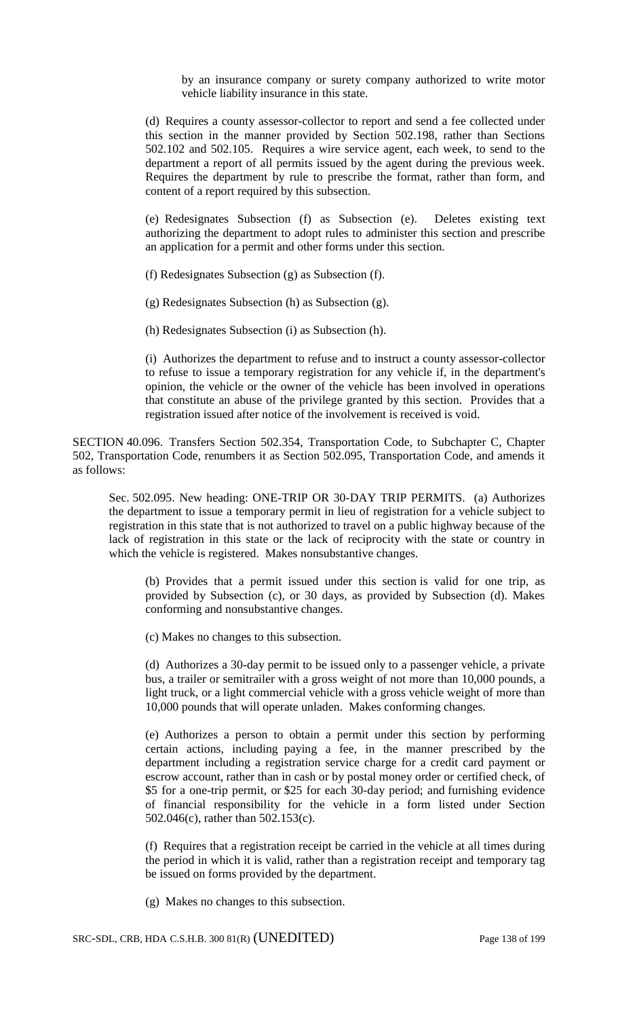by an insurance company or surety company authorized to write motor vehicle liability insurance in this state.

(d) Requires a county assessor-collector to report and send a fee collected under this section in the manner provided by Section 502.198, rather than Sections 502.102 and 502.105. Requires a wire service agent, each week, to send to the department a report of all permits issued by the agent during the previous week. Requires the department by rule to prescribe the format, rather than form, and content of a report required by this subsection.

(e) Redesignates Subsection (f) as Subsection (e). Deletes existing text authorizing the department to adopt rules to administer this section and prescribe an application for a permit and other forms under this section.

(f) Redesignates Subsection (g) as Subsection (f).

(g) Redesignates Subsection (h) as Subsection (g).

(h) Redesignates Subsection (i) as Subsection (h).

(i) Authorizes the department to refuse and to instruct a county assessor-collector to refuse to issue a temporary registration for any vehicle if, in the department's opinion, the vehicle or the owner of the vehicle has been involved in operations that constitute an abuse of the privilege granted by this section. Provides that a registration issued after notice of the involvement is received is void.

SECTION 40.096. Transfers Section 502.354, Transportation Code, to Subchapter C, Chapter 502, Transportation Code, renumbers it as Section 502.095, Transportation Code, and amends it as follows:

Sec. 502.095. New heading: ONE-TRIP OR 30-DAY TRIP PERMITS. (a) Authorizes the department to issue a temporary permit in lieu of registration for a vehicle subject to registration in this state that is not authorized to travel on a public highway because of the lack of registration in this state or the lack of reciprocity with the state or country in which the vehicle is registered. Makes nonsubstantive changes.

(b) Provides that a permit issued under this section is valid for one trip, as provided by Subsection (c), or 30 days, as provided by Subsection (d). Makes conforming and nonsubstantive changes.

(c) Makes no changes to this subsection.

(d) Authorizes a 30-day permit to be issued only to a passenger vehicle, a private bus, a trailer or semitrailer with a gross weight of not more than 10,000 pounds, a light truck, or a light commercial vehicle with a gross vehicle weight of more than 10,000 pounds that will operate unladen. Makes conforming changes.

(e) Authorizes a person to obtain a permit under this section by performing certain actions, including paying a fee, in the manner prescribed by the department including a registration service charge for a credit card payment or escrow account, rather than in cash or by postal money order or certified check, of \$5 for a one-trip permit, or \$25 for each 30-day period; and furnishing evidence of financial responsibility for the vehicle in a form listed under Section 502.046(c), rather than 502.153(c).

(f) Requires that a registration receipt be carried in the vehicle at all times during the period in which it is valid, rather than a registration receipt and temporary tag be issued on forms provided by the department.

(g) Makes no changes to this subsection.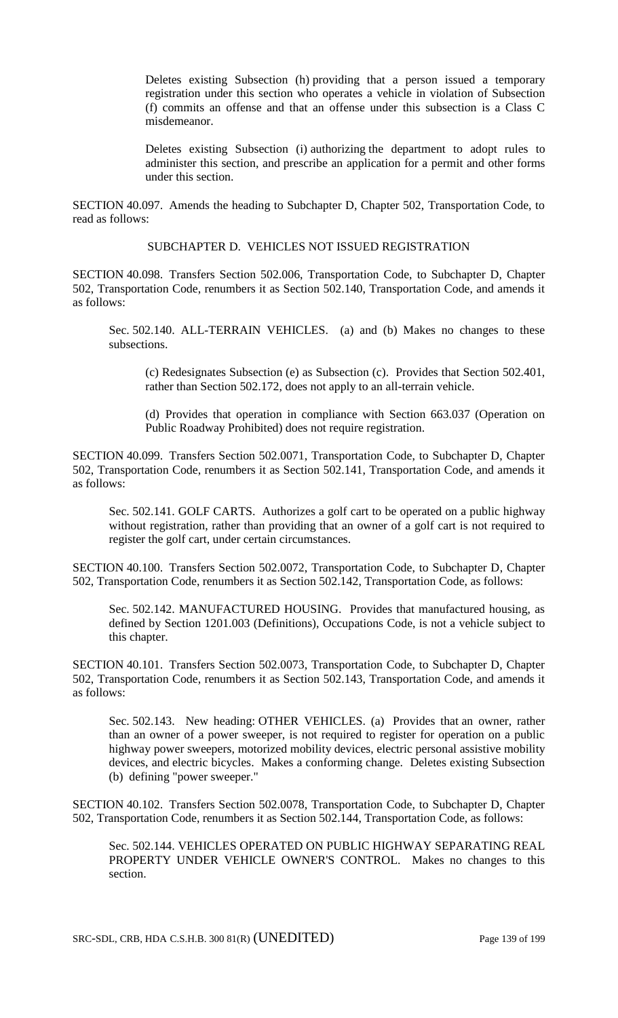Deletes existing Subsection (h) providing that a person issued a temporary registration under this section who operates a vehicle in violation of Subsection (f) commits an offense and that an offense under this subsection is a Class C misdemeanor.

Deletes existing Subsection (i) authorizing the department to adopt rules to administer this section, and prescribe an application for a permit and other forms under this section.

SECTION 40.097. Amends the heading to Subchapter D, Chapter 502, Transportation Code, to read as follows:

# SUBCHAPTER D. VEHICLES NOT ISSUED REGISTRATION

SECTION 40.098. Transfers Section 502.006, Transportation Code, to Subchapter D, Chapter 502, Transportation Code, renumbers it as Section 502.140, Transportation Code, and amends it as follows:

Sec. 502.140. ALL-TERRAIN VEHICLES. (a) and (b) Makes no changes to these subsections.

(c) Redesignates Subsection (e) as Subsection (c). Provides that Section 502.401, rather than Section 502.172, does not apply to an all-terrain vehicle.

(d) Provides that operation in compliance with Section 663.037 (Operation on Public Roadway Prohibited) does not require registration.

SECTION 40.099. Transfers Section 502.0071, Transportation Code, to Subchapter D, Chapter 502, Transportation Code, renumbers it as Section 502.141, Transportation Code, and amends it as follows:

Sec. 502.141. GOLF CARTS. Authorizes a golf cart to be operated on a public highway without registration, rather than providing that an owner of a golf cart is not required to register the golf cart, under certain circumstances.

SECTION 40.100. Transfers Section 502.0072, Transportation Code, to Subchapter D, Chapter 502, Transportation Code, renumbers it as Section 502.142, Transportation Code, as follows:

Sec. 502.142. MANUFACTURED HOUSING. Provides that manufactured housing, as defined by Section 1201.003 (Definitions), Occupations Code, is not a vehicle subject to this chapter.

SECTION 40.101. Transfers Section 502.0073, Transportation Code, to Subchapter D, Chapter 502, Transportation Code, renumbers it as Section 502.143, Transportation Code, and amends it as follows:

Sec. 502.143. New heading: OTHER VEHICLES. (a) Provides that an owner, rather than an owner of a power sweeper, is not required to register for operation on a public highway power sweepers, motorized mobility devices, electric personal assistive mobility devices, and electric bicycles. Makes a conforming change. Deletes existing Subsection (b) defining "power sweeper."

SECTION 40.102. Transfers Section 502.0078, Transportation Code, to Subchapter D, Chapter 502, Transportation Code, renumbers it as Section 502.144, Transportation Code, as follows:

Sec. 502.144. VEHICLES OPERATED ON PUBLIC HIGHWAY SEPARATING REAL PROPERTY UNDER VEHICLE OWNER'S CONTROL. Makes no changes to this section.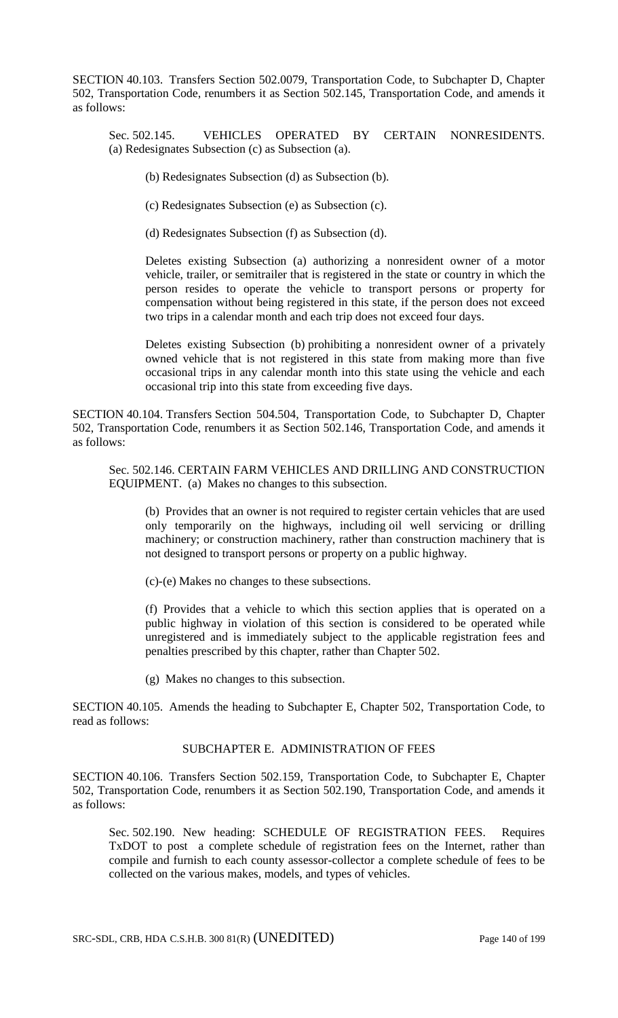SECTION 40.103. Transfers Section 502.0079, Transportation Code, to Subchapter D, Chapter 502, Transportation Code, renumbers it as Section 502.145, Transportation Code, and amends it as follows:

Sec. 502.145. VEHICLES OPERATED BY CERTAIN NONRESIDENTS. (a) Redesignates Subsection (c) as Subsection (a).

(b) Redesignates Subsection (d) as Subsection (b).

(c) Redesignates Subsection (e) as Subsection (c).

(d) Redesignates Subsection (f) as Subsection (d).

Deletes existing Subsection (a) authorizing a nonresident owner of a motor vehicle, trailer, or semitrailer that is registered in the state or country in which the person resides to operate the vehicle to transport persons or property for compensation without being registered in this state, if the person does not exceed two trips in a calendar month and each trip does not exceed four days.

Deletes existing Subsection (b) prohibiting a nonresident owner of a privately owned vehicle that is not registered in this state from making more than five occasional trips in any calendar month into this state using the vehicle and each occasional trip into this state from exceeding five days.

SECTION 40.104. Transfers Section 504.504, Transportation Code, to Subchapter D, Chapter 502, Transportation Code, renumbers it as Section 502.146, Transportation Code, and amends it as follows:

Sec. 502.146. CERTAIN FARM VEHICLES AND DRILLING AND CONSTRUCTION EQUIPMENT. (a) Makes no changes to this subsection.

(b) Provides that an owner is not required to register certain vehicles that are used only temporarily on the highways, including oil well servicing or drilling machinery; or construction machinery, rather than construction machinery that is not designed to transport persons or property on a public highway.

(c)-(e) Makes no changes to these subsections.

(f) Provides that a vehicle to which this section applies that is operated on a public highway in violation of this section is considered to be operated while unregistered and is immediately subject to the applicable registration fees and penalties prescribed by this chapter, rather than Chapter 502.

(g) Makes no changes to this subsection.

SECTION 40.105. Amends the heading to Subchapter E, Chapter 502, Transportation Code, to read as follows:

## SUBCHAPTER E. ADMINISTRATION OF FEES

SECTION 40.106. Transfers Section 502.159, Transportation Code, to Subchapter E, Chapter 502, Transportation Code, renumbers it as Section 502.190, Transportation Code, and amends it as follows:

Sec. 502.190. New heading: SCHEDULE OF REGISTRATION FEES. Requires TxDOT to post a complete schedule of registration fees on the Internet, rather than compile and furnish to each county assessor-collector a complete schedule of fees to be collected on the various makes, models, and types of vehicles.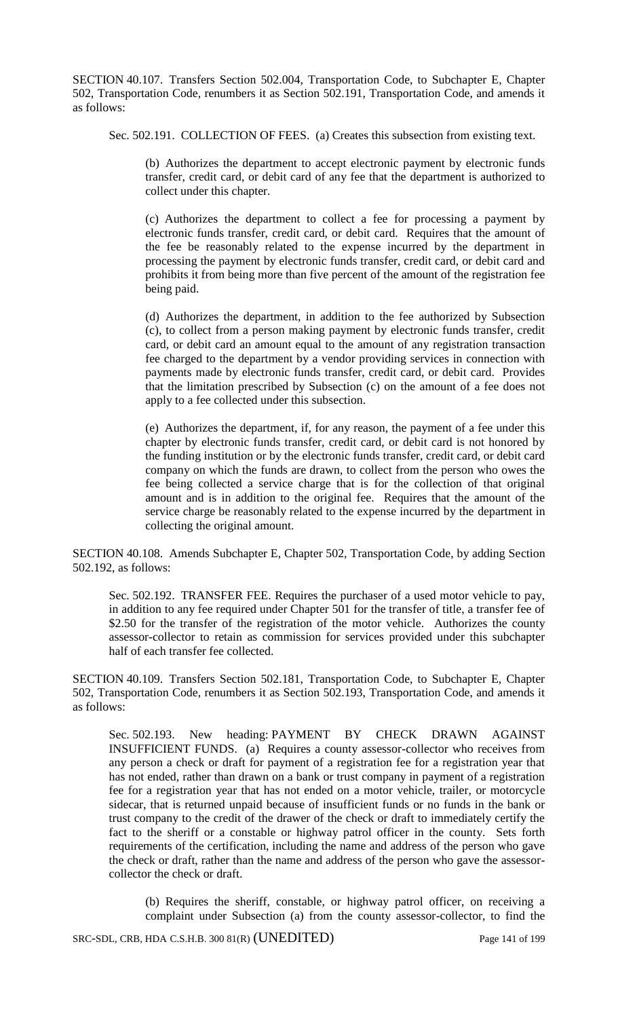SECTION 40.107. Transfers Section 502.004, Transportation Code, to Subchapter E, Chapter 502, Transportation Code, renumbers it as Section 502.191, Transportation Code, and amends it as follows:

Sec. 502.191. COLLECTION OF FEES. (a) Creates this subsection from existing text.

(b) Authorizes the department to accept electronic payment by electronic funds transfer, credit card, or debit card of any fee that the department is authorized to collect under this chapter.

(c) Authorizes the department to collect a fee for processing a payment by electronic funds transfer, credit card, or debit card. Requires that the amount of the fee be reasonably related to the expense incurred by the department in processing the payment by electronic funds transfer, credit card, or debit card and prohibits it from being more than five percent of the amount of the registration fee being paid.

(d) Authorizes the department, in addition to the fee authorized by Subsection (c), to collect from a person making payment by electronic funds transfer, credit card, or debit card an amount equal to the amount of any registration transaction fee charged to the department by a vendor providing services in connection with payments made by electronic funds transfer, credit card, or debit card. Provides that the limitation prescribed by Subsection (c) on the amount of a fee does not apply to a fee collected under this subsection.

(e) Authorizes the department, if, for any reason, the payment of a fee under this chapter by electronic funds transfer, credit card, or debit card is not honored by the funding institution or by the electronic funds transfer, credit card, or debit card company on which the funds are drawn, to collect from the person who owes the fee being collected a service charge that is for the collection of that original amount and is in addition to the original fee. Requires that the amount of the service charge be reasonably related to the expense incurred by the department in collecting the original amount.

SECTION 40.108. Amends Subchapter E, Chapter 502, Transportation Code, by adding Section 502.192, as follows:

Sec. 502.192. TRANSFER FEE. Requires the purchaser of a used motor vehicle to pay, in addition to any fee required under Chapter 501 for the transfer of title, a transfer fee of \$2.50 for the transfer of the registration of the motor vehicle. Authorizes the county assessor-collector to retain as commission for services provided under this subchapter half of each transfer fee collected.

SECTION 40.109. Transfers Section 502.181, Transportation Code, to Subchapter E, Chapter 502, Transportation Code, renumbers it as Section 502.193, Transportation Code, and amends it as follows:

Sec. 502.193. New heading: PAYMENT BY CHECK DRAWN AGAINST INSUFFICIENT FUNDS. (a) Requires a county assessor-collector who receives from any person a check or draft for payment of a registration fee for a registration year that has not ended, rather than drawn on a bank or trust company in payment of a registration fee for a registration year that has not ended on a motor vehicle, trailer, or motorcycle sidecar, that is returned unpaid because of insufficient funds or no funds in the bank or trust company to the credit of the drawer of the check or draft to immediately certify the fact to the sheriff or a constable or highway patrol officer in the county. Sets forth requirements of the certification, including the name and address of the person who gave the check or draft, rather than the name and address of the person who gave the assessorcollector the check or draft.

(b) Requires the sheriff, constable, or highway patrol officer, on receiving a complaint under Subsection (a) from the county assessor-collector, to find the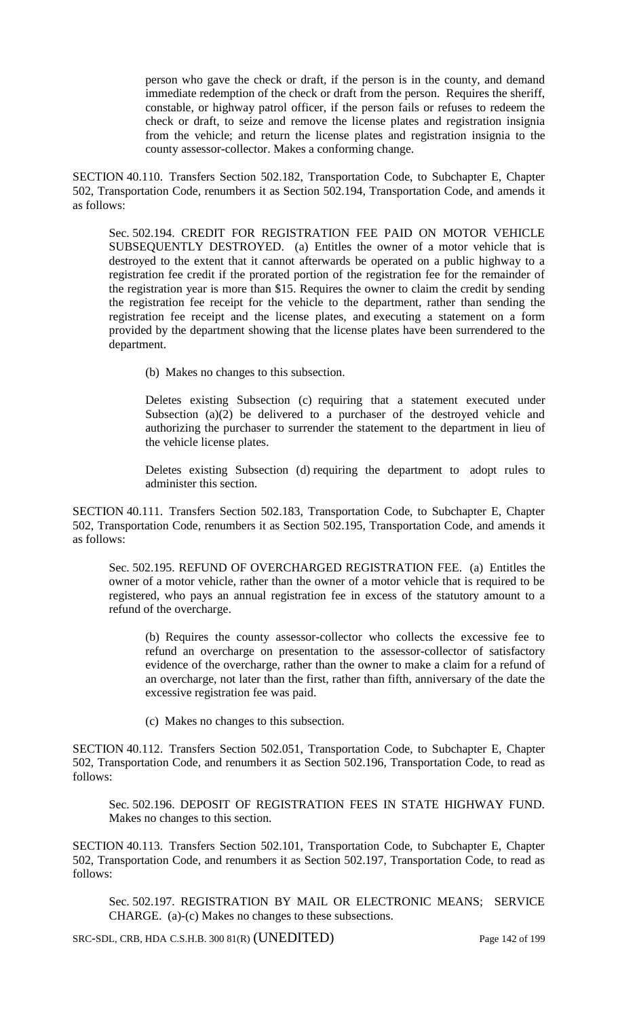person who gave the check or draft, if the person is in the county, and demand immediate redemption of the check or draft from the person. Requires the sheriff, constable, or highway patrol officer, if the person fails or refuses to redeem the check or draft, to seize and remove the license plates and registration insignia from the vehicle; and return the license plates and registration insignia to the county assessor-collector. Makes a conforming change.

SECTION 40.110. Transfers Section 502.182, Transportation Code, to Subchapter E, Chapter 502, Transportation Code, renumbers it as Section 502.194, Transportation Code, and amends it as follows:

Sec. 502.194. CREDIT FOR REGISTRATION FEE PAID ON MOTOR VEHICLE SUBSEQUENTLY DESTROYED. (a) Entitles the owner of a motor vehicle that is destroyed to the extent that it cannot afterwards be operated on a public highway to a registration fee credit if the prorated portion of the registration fee for the remainder of the registration year is more than \$15. Requires the owner to claim the credit by sending the registration fee receipt for the vehicle to the department, rather than sending the registration fee receipt and the license plates, and executing a statement on a form provided by the department showing that the license plates have been surrendered to the department.

(b) Makes no changes to this subsection.

Deletes existing Subsection (c) requiring that a statement executed under Subsection (a)(2) be delivered to a purchaser of the destroyed vehicle and authorizing the purchaser to surrender the statement to the department in lieu of the vehicle license plates.

Deletes existing Subsection (d) requiring the department to adopt rules to administer this section.

SECTION 40.111. Transfers Section 502.183, Transportation Code, to Subchapter E, Chapter 502, Transportation Code, renumbers it as Section 502.195, Transportation Code, and amends it as follows:

Sec. 502.195. REFUND OF OVERCHARGED REGISTRATION FEE. (a) Entitles the owner of a motor vehicle, rather than the owner of a motor vehicle that is required to be registered, who pays an annual registration fee in excess of the statutory amount to a refund of the overcharge.

(b) Requires the county assessor-collector who collects the excessive fee to refund an overcharge on presentation to the assessor-collector of satisfactory evidence of the overcharge, rather than the owner to make a claim for a refund of an overcharge, not later than the first, rather than fifth, anniversary of the date the excessive registration fee was paid.

(c) Makes no changes to this subsection.

SECTION 40.112. Transfers Section 502.051, Transportation Code, to Subchapter E, Chapter 502, Transportation Code, and renumbers it as Section 502.196, Transportation Code, to read as follows:

Sec. 502.196. DEPOSIT OF REGISTRATION FEES IN STATE HIGHWAY FUND. Makes no changes to this section.

SECTION 40.113. Transfers Section 502.101, Transportation Code, to Subchapter E, Chapter 502, Transportation Code, and renumbers it as Section 502.197, Transportation Code, to read as follows:

Sec. 502.197. REGISTRATION BY MAIL OR ELECTRONIC MEANS; SERVICE CHARGE. (a)-(c) Makes no changes to these subsections.

SRC-SDL, CRB, HDA C.S.H.B. 300 81(R) (UNEDITED) Page 142 of 199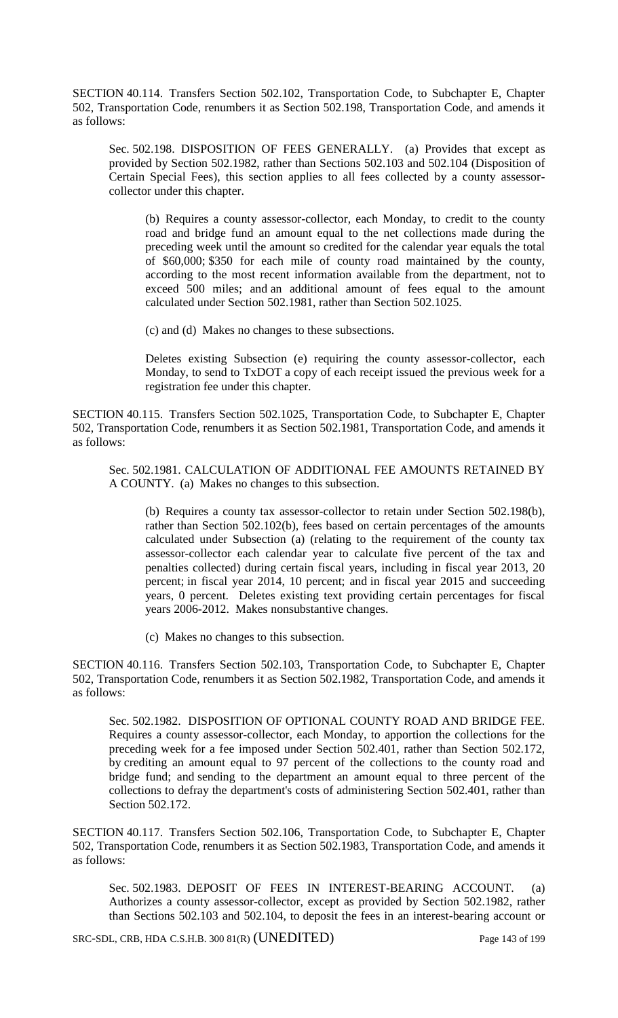SECTION 40.114. Transfers Section 502.102, Transportation Code, to Subchapter E, Chapter 502, Transportation Code, renumbers it as Section 502.198, Transportation Code, and amends it as follows:

Sec. 502.198. DISPOSITION OF FEES GENERALLY. (a) Provides that except as provided by Section 502.1982, rather than Sections 502.103 and 502.104 (Disposition of Certain Special Fees), this section applies to all fees collected by a county assessorcollector under this chapter.

(b) Requires a county assessor-collector, each Monday, to credit to the county road and bridge fund an amount equal to the net collections made during the preceding week until the amount so credited for the calendar year equals the total of \$60,000; \$350 for each mile of county road maintained by the county, according to the most recent information available from the department, not to exceed 500 miles; and an additional amount of fees equal to the amount calculated under Section 502.1981, rather than Section 502.1025.

(c) and (d) Makes no changes to these subsections.

Deletes existing Subsection (e) requiring the county assessor-collector, each Monday, to send to TxDOT a copy of each receipt issued the previous week for a registration fee under this chapter.

SECTION 40.115. Transfers Section 502.1025, Transportation Code, to Subchapter E, Chapter 502, Transportation Code, renumbers it as Section 502.1981, Transportation Code, and amends it as follows:

Sec. 502.1981. CALCULATION OF ADDITIONAL FEE AMOUNTS RETAINED BY A COUNTY. (a) Makes no changes to this subsection.

(b) Requires a county tax assessor-collector to retain under Section 502.198(b), rather than Section 502.102(b), fees based on certain percentages of the amounts calculated under Subsection (a) (relating to the requirement of the county tax assessor-collector each calendar year to calculate five percent of the tax and penalties collected) during certain fiscal years, including in fiscal year 2013, 20 percent; in fiscal year 2014, 10 percent; and in fiscal year 2015 and succeeding years, 0 percent. Deletes existing text providing certain percentages for fiscal years 2006-2012. Makes nonsubstantive changes.

(c) Makes no changes to this subsection.

SECTION 40.116. Transfers Section 502.103, Transportation Code, to Subchapter E, Chapter 502, Transportation Code, renumbers it as Section 502.1982, Transportation Code, and amends it as follows:

Sec. 502.1982. DISPOSITION OF OPTIONAL COUNTY ROAD AND BRIDGE FEE. Requires a county assessor-collector, each Monday, to apportion the collections for the preceding week for a fee imposed under Section 502.401, rather than Section 502.172, by crediting an amount equal to 97 percent of the collections to the county road and bridge fund; and sending to the department an amount equal to three percent of the collections to defray the department's costs of administering Section 502.401, rather than Section 502.172.

SECTION 40.117. Transfers Section 502.106, Transportation Code, to Subchapter E, Chapter 502, Transportation Code, renumbers it as Section 502.1983, Transportation Code, and amends it as follows:

Sec. 502.1983. DEPOSIT OF FEES IN INTEREST-BEARING ACCOUNT. (a) Authorizes a county assessor-collector, except as provided by Section 502.1982, rather than Sections 502.103 and 502.104, to deposit the fees in an interest-bearing account or

SRC-SDL, CRB, HDA C.S.H.B. 300 81(R) (UNEDITED) Page 143 of 199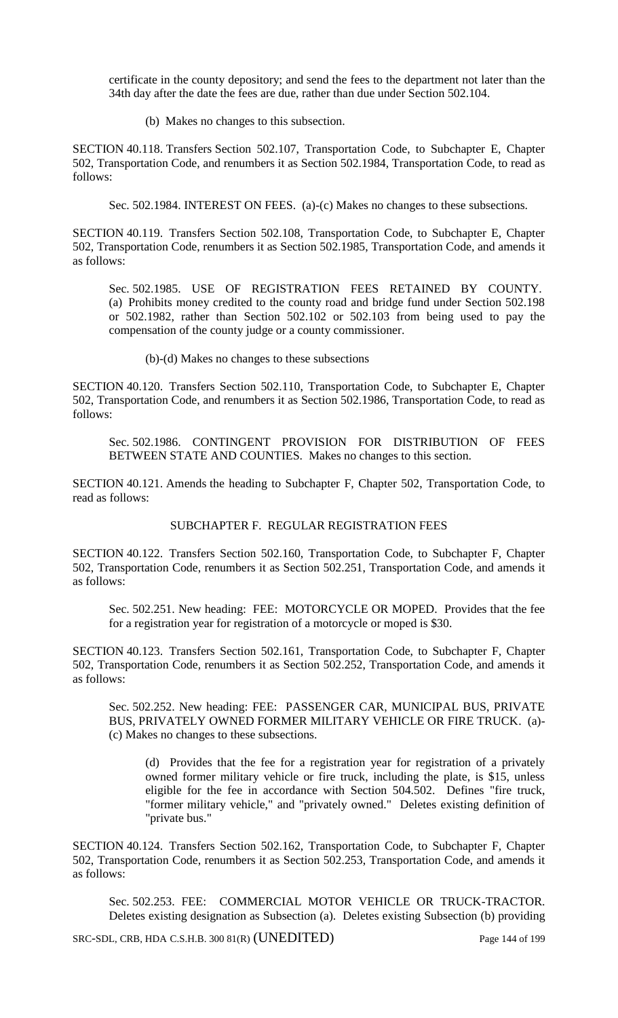certificate in the county depository; and send the fees to the department not later than the 34th day after the date the fees are due, rather than due under Section 502.104.

(b) Makes no changes to this subsection.

SECTION 40.118. Transfers Section 502.107, Transportation Code, to Subchapter E, Chapter 502, Transportation Code, and renumbers it as Section 502.1984, Transportation Code, to read as follows:

Sec. 502.1984. INTEREST ON FEES. (a)-(c) Makes no changes to these subsections.

SECTION 40.119. Transfers Section 502.108, Transportation Code, to Subchapter E, Chapter 502, Transportation Code, renumbers it as Section 502.1985, Transportation Code, and amends it as follows:

Sec. 502.1985. USE OF REGISTRATION FEES RETAINED BY COUNTY. (a) Prohibits money credited to the county road and bridge fund under Section 502.198 or 502.1982, rather than Section 502.102 or 502.103 from being used to pay the compensation of the county judge or a county commissioner.

(b)-(d) Makes no changes to these subsections

SECTION 40.120. Transfers Section 502.110, Transportation Code, to Subchapter E, Chapter 502, Transportation Code, and renumbers it as Section 502.1986, Transportation Code, to read as follows:

Sec. 502.1986. CONTINGENT PROVISION FOR DISTRIBUTION OF FEES BETWEEN STATE AND COUNTIES. Makes no changes to this section.

SECTION 40.121. Amends the heading to Subchapter F, Chapter 502, Transportation Code, to read as follows:

SUBCHAPTER F. REGULAR REGISTRATION FEES

SECTION 40.122. Transfers Section 502.160, Transportation Code, to Subchapter F, Chapter 502, Transportation Code, renumbers it as Section 502.251, Transportation Code, and amends it as follows:

Sec. 502.251. New heading: FEE: MOTORCYCLE OR MOPED. Provides that the fee for a registration year for registration of a motorcycle or moped is \$30.

SECTION 40.123. Transfers Section 502.161, Transportation Code, to Subchapter F, Chapter 502, Transportation Code, renumbers it as Section 502.252, Transportation Code, and amends it as follows:

Sec. 502.252. New heading: FEE: PASSENGER CAR, MUNICIPAL BUS, PRIVATE BUS, PRIVATELY OWNED FORMER MILITARY VEHICLE OR FIRE TRUCK. (a)- (c) Makes no changes to these subsections.

(d) Provides that the fee for a registration year for registration of a privately owned former military vehicle or fire truck, including the plate, is \$15, unless eligible for the fee in accordance with Section 504.502. Defines "fire truck, "former military vehicle," and "privately owned." Deletes existing definition of "private bus."

SECTION 40.124. Transfers Section 502.162, Transportation Code, to Subchapter F, Chapter 502, Transportation Code, renumbers it as Section 502.253, Transportation Code, and amends it as follows:

Sec. 502.253. FEE: COMMERCIAL MOTOR VEHICLE OR TRUCK-TRACTOR. Deletes existing designation as Subsection (a). Deletes existing Subsection (b) providing

SRC-SDL, CRB, HDA C.S.H.B. 300 81(R) (UNEDITED) Page 144 of 199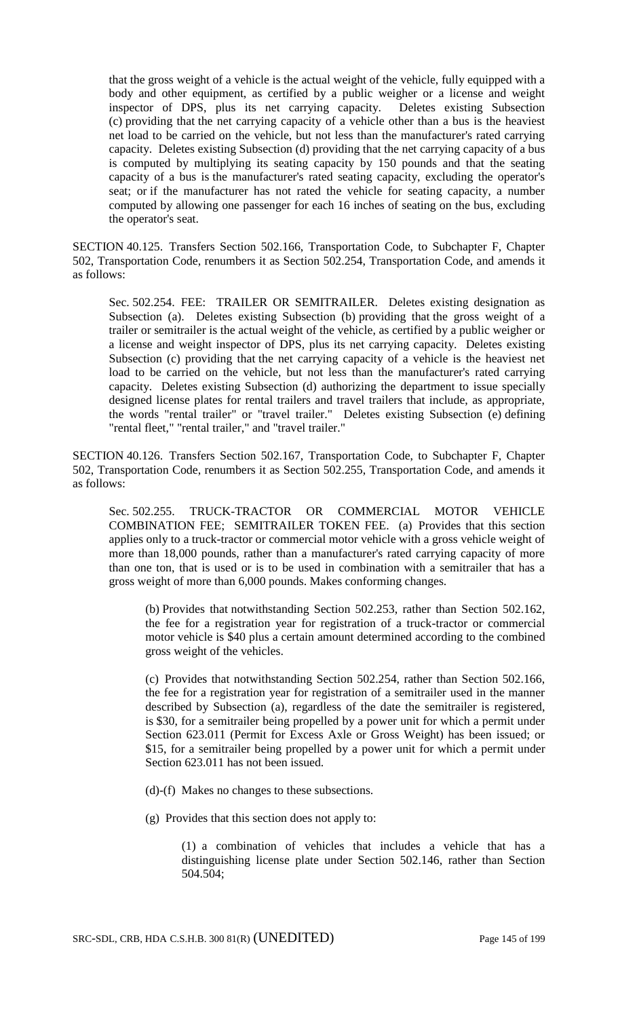that the gross weight of a vehicle is the actual weight of the vehicle, fully equipped with a body and other equipment, as certified by a public weigher or a license and weight inspector of DPS, plus its net carrying capacity. Deletes existing Subsection (c) providing that the net carrying capacity of a vehicle other than a bus is the heaviest net load to be carried on the vehicle, but not less than the manufacturer's rated carrying capacity. Deletes existing Subsection (d) providing that the net carrying capacity of a bus is computed by multiplying its seating capacity by 150 pounds and that the seating capacity of a bus is the manufacturer's rated seating capacity, excluding the operator's seat; or if the manufacturer has not rated the vehicle for seating capacity, a number computed by allowing one passenger for each 16 inches of seating on the bus, excluding the operator's seat.

SECTION 40.125. Transfers Section 502.166, Transportation Code, to Subchapter F, Chapter 502, Transportation Code, renumbers it as Section 502.254, Transportation Code, and amends it as follows:

Sec. 502.254. FEE: TRAILER OR SEMITRAILER. Deletes existing designation as Subsection (a). Deletes existing Subsection (b) providing that the gross weight of a trailer or semitrailer is the actual weight of the vehicle, as certified by a public weigher or a license and weight inspector of DPS, plus its net carrying capacity. Deletes existing Subsection (c) providing that the net carrying capacity of a vehicle is the heaviest net load to be carried on the vehicle, but not less than the manufacturer's rated carrying capacity. Deletes existing Subsection (d) authorizing the department to issue specially designed license plates for rental trailers and travel trailers that include, as appropriate, the words "rental trailer" or "travel trailer." Deletes existing Subsection (e) defining "rental fleet," "rental trailer," and "travel trailer."

SECTION 40.126. Transfers Section 502.167, Transportation Code, to Subchapter F, Chapter 502, Transportation Code, renumbers it as Section 502.255, Transportation Code, and amends it as follows:

Sec. 502.255. TRUCK-TRACTOR OR COMMERCIAL MOTOR VEHICLE COMBINATION FEE; SEMITRAILER TOKEN FEE. (a) Provides that this section applies only to a truck-tractor or commercial motor vehicle with a gross vehicle weight of more than 18,000 pounds, rather than a manufacturer's rated carrying capacity of more than one ton, that is used or is to be used in combination with a semitrailer that has a gross weight of more than 6,000 pounds. Makes conforming changes.

(b) Provides that notwithstanding Section 502.253, rather than Section 502.162, the fee for a registration year for registration of a truck-tractor or commercial motor vehicle is \$40 plus a certain amount determined according to the combined gross weight of the vehicles.

(c) Provides that notwithstanding Section 502.254, rather than Section 502.166, the fee for a registration year for registration of a semitrailer used in the manner described by Subsection (a), regardless of the date the semitrailer is registered, is \$30, for a semitrailer being propelled by a power unit for which a permit under Section 623.011 (Permit for Excess Axle or Gross Weight) has been issued; or \$15, for a semitrailer being propelled by a power unit for which a permit under Section 623.011 has not been issued.

(d)-(f) Makes no changes to these subsections.

(g) Provides that this section does not apply to:

(1) a combination of vehicles that includes a vehicle that has a distinguishing license plate under Section 502.146, rather than Section 504.504;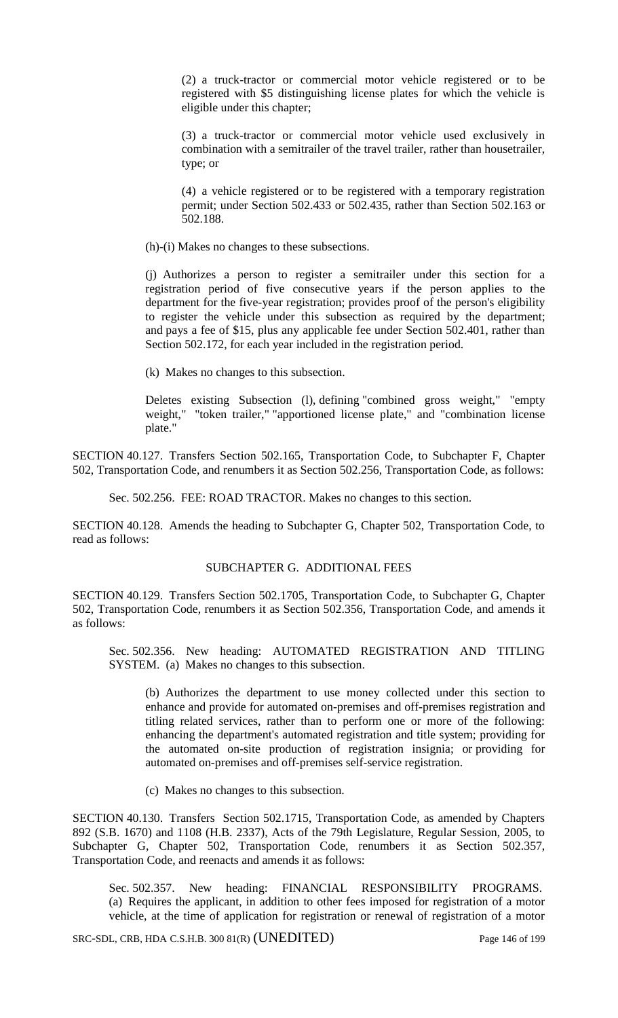(2) a truck-tractor or commercial motor vehicle registered or to be registered with \$5 distinguishing license plates for which the vehicle is eligible under this chapter;

(3) a truck-tractor or commercial motor vehicle used exclusively in combination with a semitrailer of the travel trailer, rather than housetrailer, type; or

(4) a vehicle registered or to be registered with a temporary registration permit; under Section 502.433 or 502.435, rather than Section 502.163 or 502.188.

(h)-(i) Makes no changes to these subsections.

(j) Authorizes a person to register a semitrailer under this section for a registration period of five consecutive years if the person applies to the department for the five-year registration; provides proof of the person's eligibility to register the vehicle under this subsection as required by the department; and pays a fee of \$15, plus any applicable fee under Section 502.401, rather than Section 502.172, for each year included in the registration period.

(k) Makes no changes to this subsection.

Deletes existing Subsection (l), defining "combined gross weight," "empty weight," "token trailer," "apportioned license plate," and "combination license plate."

SECTION 40.127. Transfers Section 502.165, Transportation Code, to Subchapter F, Chapter 502, Transportation Code, and renumbers it as Section 502.256, Transportation Code, as follows:

Sec. 502.256. FEE: ROAD TRACTOR. Makes no changes to this section.

SECTION 40.128. Amends the heading to Subchapter G, Chapter 502, Transportation Code, to read as follows:

## SUBCHAPTER G. ADDITIONAL FEES

SECTION 40.129. Transfers Section 502.1705, Transportation Code, to Subchapter G, Chapter 502, Transportation Code, renumbers it as Section 502.356, Transportation Code, and amends it as follows:

Sec. 502.356. New heading: AUTOMATED REGISTRATION AND TITLING SYSTEM. (a) Makes no changes to this subsection.

(b) Authorizes the department to use money collected under this section to enhance and provide for automated on-premises and off-premises registration and titling related services, rather than to perform one or more of the following: enhancing the department's automated registration and title system; providing for the automated on-site production of registration insignia; or providing for automated on-premises and off-premises self-service registration.

(c) Makes no changes to this subsection.

SECTION 40.130. Transfers Section 502.1715, Transportation Code, as amended by Chapters 892 (S.B. 1670) and 1108 (H.B. 2337), Acts of the 79th Legislature, Regular Session, 2005, to Subchapter G, Chapter 502, Transportation Code, renumbers it as Section 502.357, Transportation Code, and reenacts and amends it as follows:

Sec. 502.357. New heading: FINANCIAL RESPONSIBILITY PROGRAMS. (a) Requires the applicant, in addition to other fees imposed for registration of a motor vehicle, at the time of application for registration or renewal of registration of a motor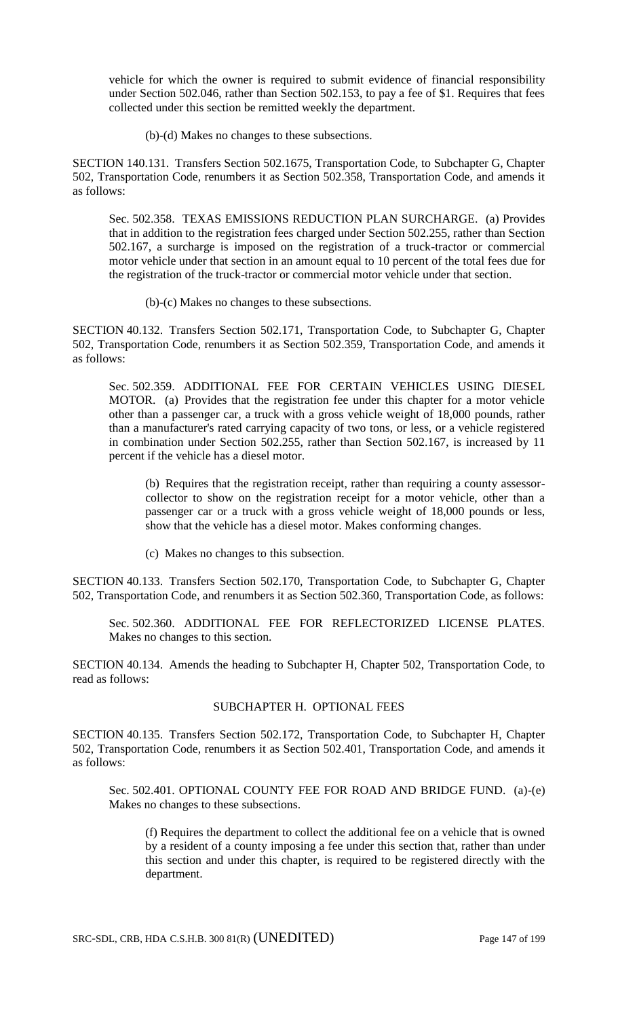vehicle for which the owner is required to submit evidence of financial responsibility under Section 502.046, rather than Section 502.153, to pay a fee of \$1. Requires that fees collected under this section be remitted weekly the department.

(b)-(d) Makes no changes to these subsections.

SECTION 140.131. Transfers Section 502.1675, Transportation Code, to Subchapter G, Chapter 502, Transportation Code, renumbers it as Section 502.358, Transportation Code, and amends it as follows:

Sec. 502.358. TEXAS EMISSIONS REDUCTION PLAN SURCHARGE. (a) Provides that in addition to the registration fees charged under Section 502.255, rather than Section 502.167, a surcharge is imposed on the registration of a truck-tractor or commercial motor vehicle under that section in an amount equal to 10 percent of the total fees due for the registration of the truck-tractor or commercial motor vehicle under that section.

(b)-(c) Makes no changes to these subsections.

SECTION 40.132. Transfers Section 502.171, Transportation Code, to Subchapter G, Chapter 502, Transportation Code, renumbers it as Section 502.359, Transportation Code, and amends it as follows:

Sec. 502.359. ADDITIONAL FEE FOR CERTAIN VEHICLES USING DIESEL MOTOR. (a) Provides that the registration fee under this chapter for a motor vehicle other than a passenger car, a truck with a gross vehicle weight of 18,000 pounds, rather than a manufacturer's rated carrying capacity of two tons, or less, or a vehicle registered in combination under Section 502.255, rather than Section 502.167, is increased by 11 percent if the vehicle has a diesel motor.

(b) Requires that the registration receipt, rather than requiring a county assessorcollector to show on the registration receipt for a motor vehicle, other than a passenger car or a truck with a gross vehicle weight of 18,000 pounds or less, show that the vehicle has a diesel motor. Makes conforming changes.

(c) Makes no changes to this subsection.

SECTION 40.133. Transfers Section 502.170, Transportation Code, to Subchapter G, Chapter 502, Transportation Code, and renumbers it as Section 502.360, Transportation Code, as follows:

Sec. 502.360. ADDITIONAL FEE FOR REFLECTORIZED LICENSE PLATES. Makes no changes to this section.

SECTION 40.134. Amends the heading to Subchapter H, Chapter 502, Transportation Code, to read as follows:

# SUBCHAPTER H. OPTIONAL FEES

SECTION 40.135. Transfers Section 502.172, Transportation Code, to Subchapter H, Chapter 502, Transportation Code, renumbers it as Section 502.401, Transportation Code, and amends it as follows:

Sec. 502.401. OPTIONAL COUNTY FEE FOR ROAD AND BRIDGE FUND. (a)-(e) Makes no changes to these subsections.

(f) Requires the department to collect the additional fee on a vehicle that is owned by a resident of a county imposing a fee under this section that, rather than under this section and under this chapter, is required to be registered directly with the department.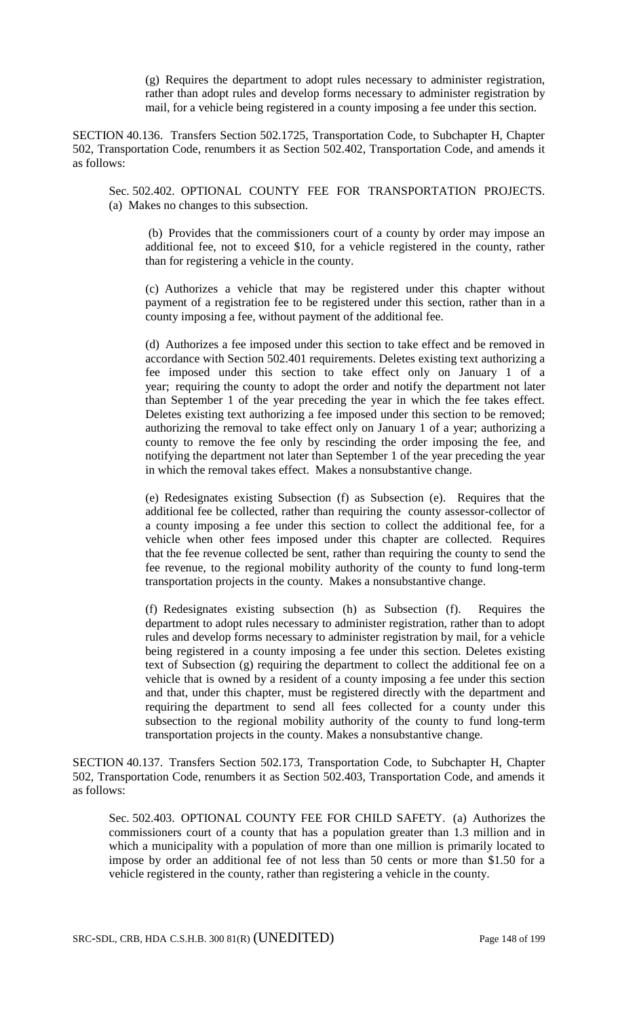(g) Requires the department to adopt rules necessary to administer registration, rather than adopt rules and develop forms necessary to administer registration by mail, for a vehicle being registered in a county imposing a fee under this section.

SECTION 40.136. Transfers Section 502.1725, Transportation Code, to Subchapter H, Chapter 502, Transportation Code, renumbers it as Section 502.402, Transportation Code, and amends it as follows:

Sec. 502.402. OPTIONAL COUNTY FEE FOR TRANSPORTATION PROJECTS. (a) Makes no changes to this subsection.

(b) Provides that the commissioners court of a county by order may impose an additional fee, not to exceed \$10, for a vehicle registered in the county, rather than for registering a vehicle in the county.

(c) Authorizes a vehicle that may be registered under this chapter without payment of a registration fee to be registered under this section, rather than in a county imposing a fee, without payment of the additional fee.

(d) Authorizes a fee imposed under this section to take effect and be removed in accordance with Section 502.401 requirements. Deletes existing text authorizing a fee imposed under this section to take effect only on January 1 of a year; requiring the county to adopt the order and notify the department not later than September 1 of the year preceding the year in which the fee takes effect. Deletes existing text authorizing a fee imposed under this section to be removed; authorizing the removal to take effect only on January 1 of a year; authorizing a county to remove the fee only by rescinding the order imposing the fee, and notifying the department not later than September 1 of the year preceding the year in which the removal takes effect. Makes a nonsubstantive change.

(e) Redesignates existing Subsection (f) as Subsection (e). Requires that the additional fee be collected, rather than requiring the county assessor-collector of a county imposing a fee under this section to collect the additional fee, for a vehicle when other fees imposed under this chapter are collected. Requires that the fee revenue collected be sent, rather than requiring the county to send the fee revenue, to the regional mobility authority of the county to fund long-term transportation projects in the county. Makes a nonsubstantive change.

(f) Redesignates existing subsection (h) as Subsection (f). Requires the department to adopt rules necessary to administer registration, rather than to adopt rules and develop forms necessary to administer registration by mail, for a vehicle being registered in a county imposing a fee under this section. Deletes existing text of Subsection (g) requiring the department to collect the additional fee on a vehicle that is owned by a resident of a county imposing a fee under this section and that, under this chapter, must be registered directly with the department and requiring the department to send all fees collected for a county under this subsection to the regional mobility authority of the county to fund long-term transportation projects in the county. Makes a nonsubstantive change.

SECTION 40.137. Transfers Section 502.173, Transportation Code, to Subchapter H, Chapter 502, Transportation Code, renumbers it as Section 502.403, Transportation Code, and amends it as follows:

Sec. 502.403. OPTIONAL COUNTY FEE FOR CHILD SAFETY. (a) Authorizes the commissioners court of a county that has a population greater than 1.3 million and in which a municipality with a population of more than one million is primarily located to impose by order an additional fee of not less than 50 cents or more than \$1.50 for a vehicle registered in the county, rather than registering a vehicle in the county.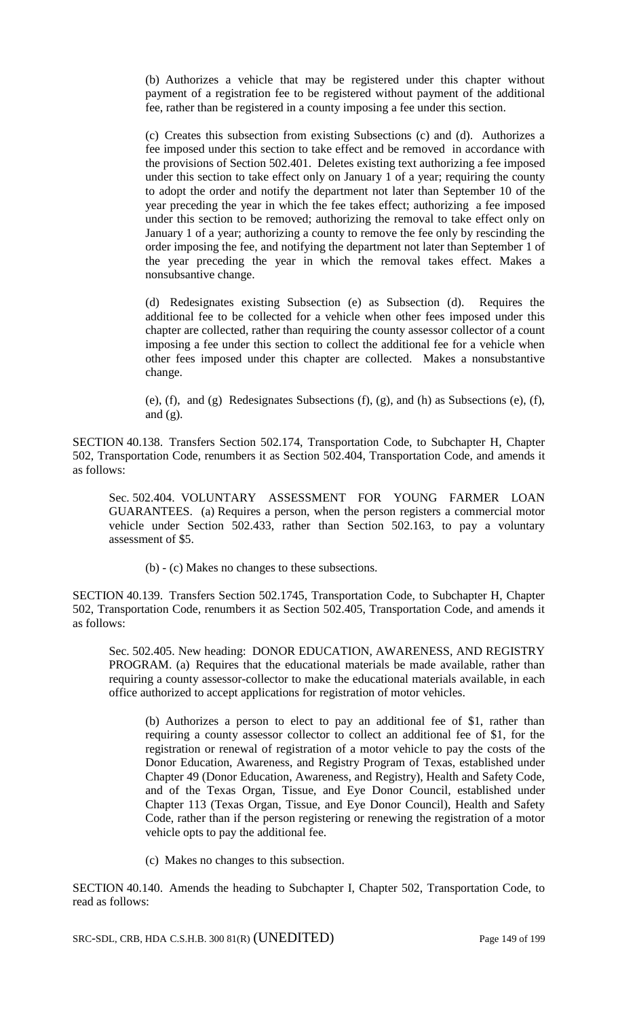(b) Authorizes a vehicle that may be registered under this chapter without payment of a registration fee to be registered without payment of the additional fee, rather than be registered in a county imposing a fee under this section.

(c) Creates this subsection from existing Subsections (c) and (d). Authorizes a fee imposed under this section to take effect and be removed in accordance with the provisions of Section 502.401. Deletes existing text authorizing a fee imposed under this section to take effect only on January 1 of a year; requiring the county to adopt the order and notify the department not later than September 10 of the year preceding the year in which the fee takes effect; authorizing a fee imposed under this section to be removed; authorizing the removal to take effect only on January 1 of a year; authorizing a county to remove the fee only by rescinding the order imposing the fee, and notifying the department not later than September 1 of the year preceding the year in which the removal takes effect. Makes a nonsubsantive change.

(d) Redesignates existing Subsection (e) as Subsection (d). Requires the additional fee to be collected for a vehicle when other fees imposed under this chapter are collected, rather than requiring the county assessor collector of a count imposing a fee under this section to collect the additional fee for a vehicle when other fees imposed under this chapter are collected. Makes a nonsubstantive change.

(e), (f), and (g) Redesignates Subsections (f), (g), and (h) as Subsections (e), (f), and  $(g)$ .

SECTION 40.138. Transfers Section 502.174, Transportation Code, to Subchapter H, Chapter 502, Transportation Code, renumbers it as Section 502.404, Transportation Code, and amends it as follows:

Sec. 502.404. VOLUNTARY ASSESSMENT FOR YOUNG FARMER LOAN GUARANTEES. (a) Requires a person, when the person registers a commercial motor vehicle under Section 502.433, rather than Section 502.163, to pay a voluntary assessment of \$5.

(b) - (c) Makes no changes to these subsections.

SECTION 40.139. Transfers Section 502.1745, Transportation Code, to Subchapter H, Chapter 502, Transportation Code, renumbers it as Section 502.405, Transportation Code, and amends it as follows:

Sec. 502.405. New heading: DONOR EDUCATION, AWARENESS, AND REGISTRY PROGRAM. (a) Requires that the educational materials be made available, rather than requiring a county assessor-collector to make the educational materials available, in each office authorized to accept applications for registration of motor vehicles.

(b) Authorizes a person to elect to pay an additional fee of \$1, rather than requiring a county assessor collector to collect an additional fee of \$1, for the registration or renewal of registration of a motor vehicle to pay the costs of the Donor Education, Awareness, and Registry Program of Texas, established under Chapter 49 (Donor Education, Awareness, and Registry), Health and Safety Code, and of the Texas Organ, Tissue, and Eye Donor Council, established under Chapter 113 (Texas Organ, Tissue, and Eye Donor Council), Health and Safety Code, rather than if the person registering or renewing the registration of a motor vehicle opts to pay the additional fee.

(c) Makes no changes to this subsection.

SECTION 40.140. Amends the heading to Subchapter I, Chapter 502, Transportation Code, to read as follows:

SRC-SDL, CRB, HDA C.S.H.B. 300 81(R) (UNEDITED) Page 149 of 199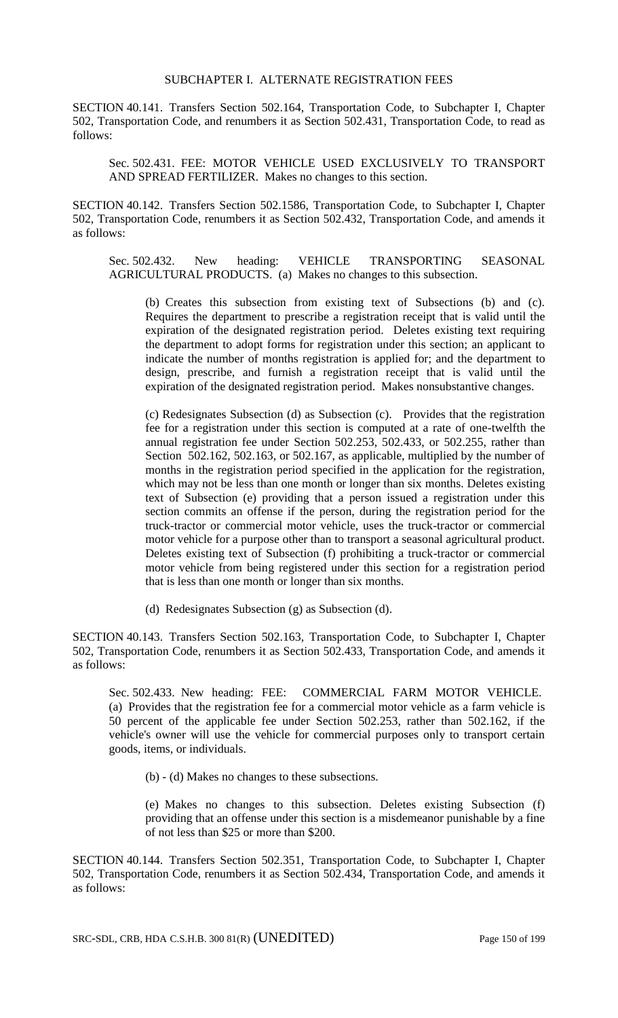#### SUBCHAPTER I. ALTERNATE REGISTRATION FEES

SECTION 40.141. Transfers Section 502.164, Transportation Code, to Subchapter I, Chapter 502, Transportation Code, and renumbers it as Section 502.431, Transportation Code, to read as follows:

Sec. 502.431. FEE: MOTOR VEHICLE USED EXCLUSIVELY TO TRANSPORT AND SPREAD FERTILIZER. Makes no changes to this section.

SECTION 40.142. Transfers Section 502.1586, Transportation Code, to Subchapter I, Chapter 502, Transportation Code, renumbers it as Section 502.432, Transportation Code, and amends it as follows:

Sec. 502.432. New heading: VEHICLE TRANSPORTING SEASONAL AGRICULTURAL PRODUCTS. (a) Makes no changes to this subsection.

(b) Creates this subsection from existing text of Subsections (b) and (c). Requires the department to prescribe a registration receipt that is valid until the expiration of the designated registration period. Deletes existing text requiring the department to adopt forms for registration under this section; an applicant to indicate the number of months registration is applied for; and the department to design, prescribe, and furnish a registration receipt that is valid until the expiration of the designated registration period. Makes nonsubstantive changes.

(c) Redesignates Subsection (d) as Subsection (c). Provides that the registration fee for a registration under this section is computed at a rate of one-twelfth the annual registration fee under Section 502.253, 502.433, or 502.255, rather than Section 502.162, 502.163, or 502.167, as applicable, multiplied by the number of months in the registration period specified in the application for the registration, which may not be less than one month or longer than six months. Deletes existing text of Subsection (e) providing that a person issued a registration under this section commits an offense if the person, during the registration period for the truck-tractor or commercial motor vehicle, uses the truck-tractor or commercial motor vehicle for a purpose other than to transport a seasonal agricultural product. Deletes existing text of Subsection (f) prohibiting a truck-tractor or commercial motor vehicle from being registered under this section for a registration period that is less than one month or longer than six months.

(d) Redesignates Subsection (g) as Subsection (d).

SECTION 40.143. Transfers Section 502.163, Transportation Code, to Subchapter I, Chapter 502, Transportation Code, renumbers it as Section 502.433, Transportation Code, and amends it as follows:

Sec. 502.433. New heading: FEE: COMMERCIAL FARM MOTOR VEHICLE. (a) Provides that the registration fee for a commercial motor vehicle as a farm vehicle is 50 percent of the applicable fee under Section 502.253, rather than 502.162, if the vehicle's owner will use the vehicle for commercial purposes only to transport certain goods, items, or individuals.

(b) - (d) Makes no changes to these subsections.

(e) Makes no changes to this subsection. Deletes existing Subsection (f) providing that an offense under this section is a misdemeanor punishable by a fine of not less than \$25 or more than \$200.

SECTION 40.144. Transfers Section 502.351, Transportation Code, to Subchapter I, Chapter 502, Transportation Code, renumbers it as Section 502.434, Transportation Code, and amends it as follows: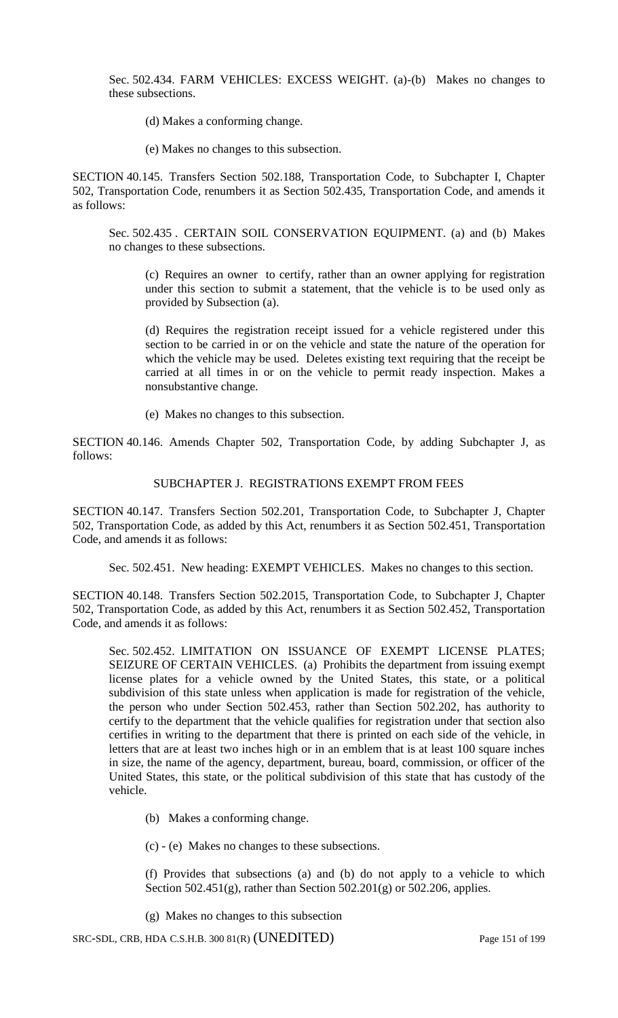Sec. 502.434. FARM VEHICLES: EXCESS WEIGHT. (a)-(b) Makes no changes to these subsections.

(d) Makes a conforming change.

(e) Makes no changes to this subsection.

SECTION 40.145. Transfers Section 502.188, Transportation Code, to Subchapter I, Chapter 502, Transportation Code, renumbers it as Section 502.435, Transportation Code, and amends it as follows:

Sec. 502.435 . CERTAIN SOIL CONSERVATION EQUIPMENT. (a) and (b) Makes no changes to these subsections.

(c) Requires an owner to certify, rather than an owner applying for registration under this section to submit a statement, that the vehicle is to be used only as provided by Subsection (a).

(d) Requires the registration receipt issued for a vehicle registered under this section to be carried in or on the vehicle and state the nature of the operation for which the vehicle may be used. Deletes existing text requiring that the receipt be carried at all times in or on the vehicle to permit ready inspection. Makes a nonsubstantive change.

(e) Makes no changes to this subsection.

SECTION 40.146. Amends Chapter 502, Transportation Code, by adding Subchapter J, as follows:

## SUBCHAPTER J. REGISTRATIONS EXEMPT FROM FEES

SECTION 40.147. Transfers Section 502.201, Transportation Code, to Subchapter J, Chapter 502, Transportation Code, as added by this Act, renumbers it as Section 502.451, Transportation Code, and amends it as follows:

Sec. 502.451. New heading: EXEMPT VEHICLES. Makes no changes to this section.

SECTION 40.148. Transfers Section 502.2015, Transportation Code, to Subchapter J, Chapter 502, Transportation Code, as added by this Act, renumbers it as Section 502.452, Transportation Code, and amends it as follows:

Sec. 502.452. LIMITATION ON ISSUANCE OF EXEMPT LICENSE PLATES; SEIZURE OF CERTAIN VEHICLES. (a) Prohibits the department from issuing exempt license plates for a vehicle owned by the United States, this state, or a political subdivision of this state unless when application is made for registration of the vehicle, the person who under Section 502.453, rather than Section 502.202, has authority to certify to the department that the vehicle qualifies for registration under that section also certifies in writing to the department that there is printed on each side of the vehicle, in letters that are at least two inches high or in an emblem that is at least 100 square inches in size, the name of the agency, department, bureau, board, commission, or officer of the United States, this state, or the political subdivision of this state that has custody of the vehicle.

- (b) Makes a conforming change.
- (c) (e) Makes no changes to these subsections.

(f) Provides that subsections (a) and (b) do not apply to a vehicle to which Section 502.451(g), rather than Section 502.201(g) or 502.206, applies.

(g) Makes no changes to this subsection

SRC-SDL, CRB, HDA C.S.H.B. 300 81(R) (UNEDITED) Page 151 of 199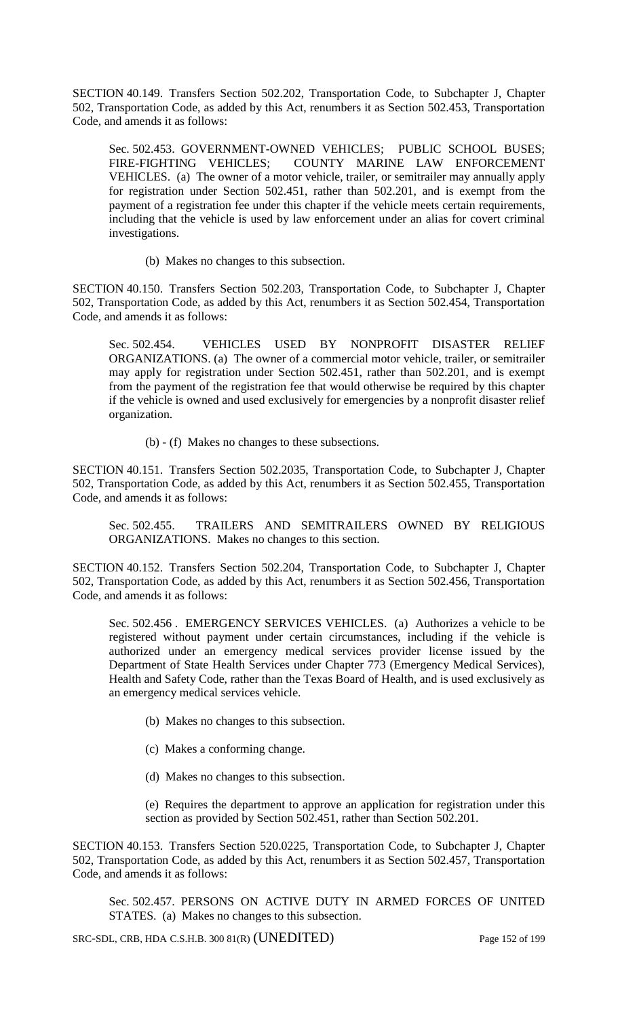SECTION 40.149. Transfers Section 502.202, Transportation Code, to Subchapter J, Chapter 502, Transportation Code, as added by this Act, renumbers it as Section 502.453, Transportation Code, and amends it as follows:

Sec. 502.453. GOVERNMENT-OWNED VEHICLES; PUBLIC SCHOOL BUSES; FIRE-FIGHTING VEHICLES; COUNTY MARINE LAW ENFORCEMENT VEHICLES. (a) The owner of a motor vehicle, trailer, or semitrailer may annually apply for registration under Section 502.451, rather than 502.201, and is exempt from the payment of a registration fee under this chapter if the vehicle meets certain requirements, including that the vehicle is used by law enforcement under an alias for covert criminal investigations.

(b) Makes no changes to this subsection.

SECTION 40.150. Transfers Section 502.203, Transportation Code, to Subchapter J, Chapter 502, Transportation Code, as added by this Act, renumbers it as Section 502.454, Transportation Code, and amends it as follows:

Sec. 502.454. VEHICLES USED BY NONPROFIT DISASTER RELIEF ORGANIZATIONS. (a) The owner of a commercial motor vehicle, trailer, or semitrailer may apply for registration under Section 502.451, rather than 502.201, and is exempt from the payment of the registration fee that would otherwise be required by this chapter if the vehicle is owned and used exclusively for emergencies by a nonprofit disaster relief organization.

(b) - (f) Makes no changes to these subsections.

SECTION 40.151. Transfers Section 502.2035, Transportation Code, to Subchapter J, Chapter 502, Transportation Code, as added by this Act, renumbers it as Section 502.455, Transportation Code, and amends it as follows:

Sec. 502.455. TRAILERS AND SEMITRAILERS OWNED BY RELIGIOUS ORGANIZATIONS. Makes no changes to this section.

SECTION 40.152. Transfers Section 502.204, Transportation Code, to Subchapter J, Chapter 502, Transportation Code, as added by this Act, renumbers it as Section 502.456, Transportation Code, and amends it as follows:

Sec. 502.456 . EMERGENCY SERVICES VEHICLES. (a) Authorizes a vehicle to be registered without payment under certain circumstances, including if the vehicle is authorized under an emergency medical services provider license issued by the Department of State Health Services under Chapter 773 (Emergency Medical Services), Health and Safety Code, rather than the Texas Board of Health, and is used exclusively as an emergency medical services vehicle.

- (b) Makes no changes to this subsection.
- (c) Makes a conforming change.
- (d) Makes no changes to this subsection.
- (e) Requires the department to approve an application for registration under this section as provided by Section 502.451, rather than Section 502.201.

SECTION 40.153. Transfers Section 520.0225, Transportation Code, to Subchapter J, Chapter 502, Transportation Code, as added by this Act, renumbers it as Section 502.457, Transportation Code, and amends it as follows:

Sec. 502.457. PERSONS ON ACTIVE DUTY IN ARMED FORCES OF UNITED STATES. (a) Makes no changes to this subsection.

SRC-SDL, CRB, HDA C.S.H.B. 300 81(R) (UNEDITED) Page 152 of 199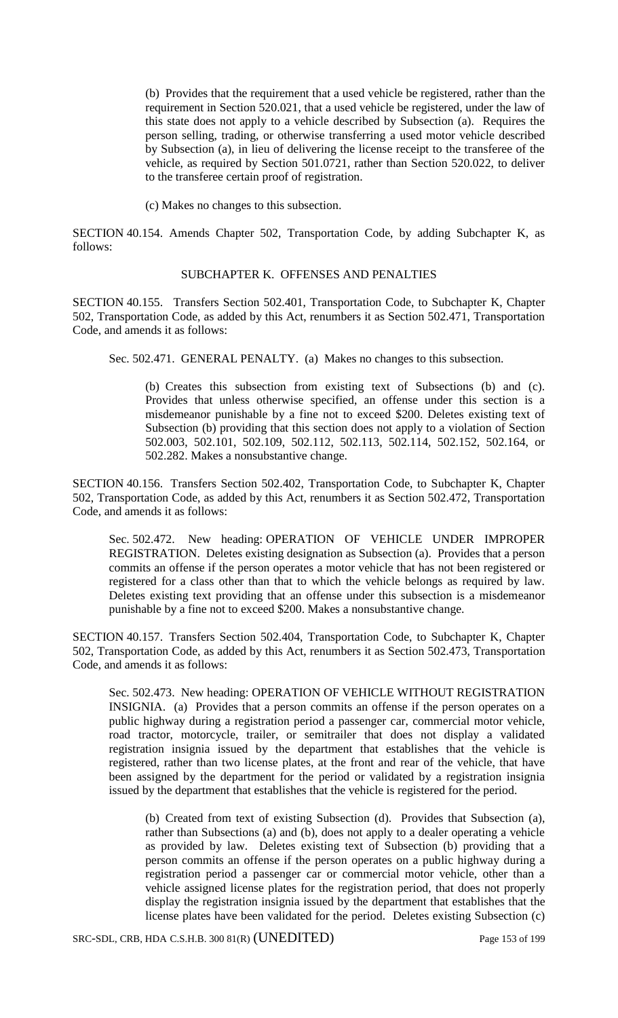(b) Provides that the requirement that a used vehicle be registered, rather than the requirement in Section 520.021, that a used vehicle be registered, under the law of this state does not apply to a vehicle described by Subsection (a). Requires the person selling, trading, or otherwise transferring a used motor vehicle described by Subsection (a), in lieu of delivering the license receipt to the transferee of the vehicle, as required by Section 501.0721, rather than Section 520.022, to deliver to the transferee certain proof of registration.

(c) Makes no changes to this subsection.

SECTION 40.154. Amends Chapter 502, Transportation Code, by adding Subchapter K, as follows:

### SUBCHAPTER K. OFFENSES AND PENALTIES

SECTION 40.155. Transfers Section 502.401, Transportation Code, to Subchapter K, Chapter 502, Transportation Code, as added by this Act, renumbers it as Section 502.471, Transportation Code, and amends it as follows:

Sec. 502.471. GENERAL PENALTY. (a) Makes no changes to this subsection.

(b) Creates this subsection from existing text of Subsections (b) and (c). Provides that unless otherwise specified, an offense under this section is a misdemeanor punishable by a fine not to exceed \$200. Deletes existing text of Subsection (b) providing that this section does not apply to a violation of Section 502.003, 502.101, 502.109, 502.112, 502.113, 502.114, 502.152, 502.164, or 502.282. Makes a nonsubstantive change.

SECTION 40.156. Transfers Section 502.402, Transportation Code, to Subchapter K, Chapter 502, Transportation Code, as added by this Act, renumbers it as Section 502.472, Transportation Code, and amends it as follows:

Sec. 502.472. New heading: OPERATION OF VEHICLE UNDER IMPROPER REGISTRATION. Deletes existing designation as Subsection (a). Provides that a person commits an offense if the person operates a motor vehicle that has not been registered or registered for a class other than that to which the vehicle belongs as required by law. Deletes existing text providing that an offense under this subsection is a misdemeanor punishable by a fine not to exceed \$200. Makes a nonsubstantive change.

SECTION 40.157. Transfers Section 502.404, Transportation Code, to Subchapter K, Chapter 502, Transportation Code, as added by this Act, renumbers it as Section 502.473, Transportation Code, and amends it as follows:

Sec. 502.473. New heading: OPERATION OF VEHICLE WITHOUT REGISTRATION INSIGNIA. (a) Provides that a person commits an offense if the person operates on a public highway during a registration period a passenger car, commercial motor vehicle, road tractor, motorcycle, trailer, or semitrailer that does not display a validated registration insignia issued by the department that establishes that the vehicle is registered, rather than two license plates, at the front and rear of the vehicle, that have been assigned by the department for the period or validated by a registration insignia issued by the department that establishes that the vehicle is registered for the period.

(b) Created from text of existing Subsection (d). Provides that Subsection (a), rather than Subsections (a) and (b), does not apply to a dealer operating a vehicle as provided by law. Deletes existing text of Subsection (b) providing that a person commits an offense if the person operates on a public highway during a registration period a passenger car or commercial motor vehicle, other than a vehicle assigned license plates for the registration period, that does not properly display the registration insignia issued by the department that establishes that the license plates have been validated for the period. Deletes existing Subsection (c)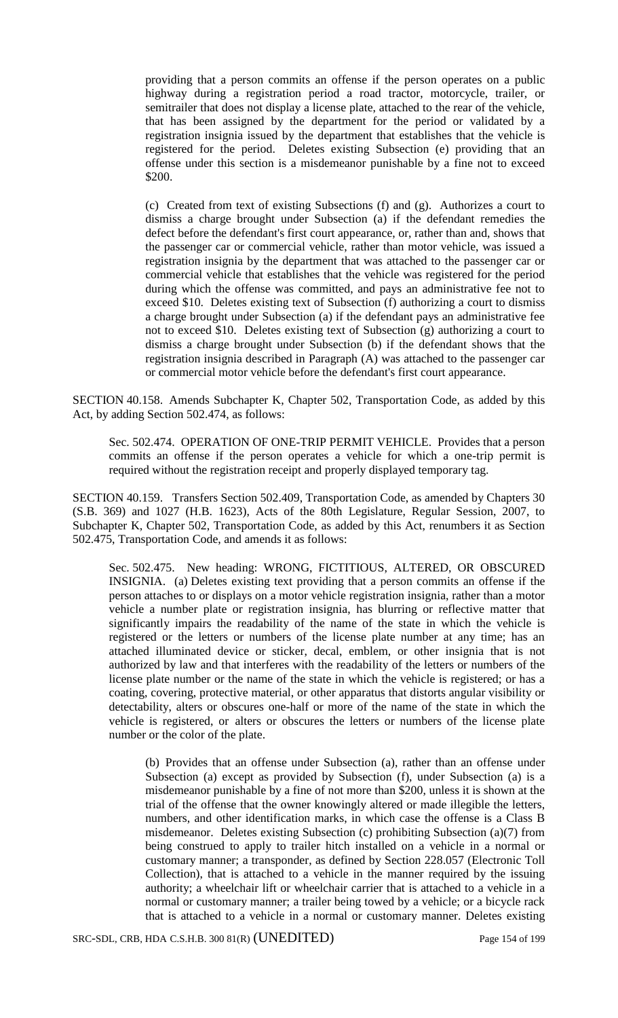providing that a person commits an offense if the person operates on a public highway during a registration period a road tractor, motorcycle, trailer, or semitrailer that does not display a license plate, attached to the rear of the vehicle, that has been assigned by the department for the period or validated by a registration insignia issued by the department that establishes that the vehicle is registered for the period. Deletes existing Subsection (e) providing that an offense under this section is a misdemeanor punishable by a fine not to exceed \$200.

(c) Created from text of existing Subsections (f) and (g). Authorizes a court to dismiss a charge brought under Subsection (a) if the defendant remedies the defect before the defendant's first court appearance, or, rather than and, shows that the passenger car or commercial vehicle, rather than motor vehicle, was issued a registration insignia by the department that was attached to the passenger car or commercial vehicle that establishes that the vehicle was registered for the period during which the offense was committed, and pays an administrative fee not to exceed \$10. Deletes existing text of Subsection (f) authorizing a court to dismiss a charge brought under Subsection (a) if the defendant pays an administrative fee not to exceed \$10. Deletes existing text of Subsection (g) authorizing a court to dismiss a charge brought under Subsection (b) if the defendant shows that the registration insignia described in Paragraph (A) was attached to the passenger car or commercial motor vehicle before the defendant's first court appearance.

SECTION 40.158. Amends Subchapter K, Chapter 502, Transportation Code, as added by this Act, by adding Section 502.474, as follows:

Sec. 502.474. OPERATION OF ONE-TRIP PERMIT VEHICLE. Provides that a person commits an offense if the person operates a vehicle for which a one-trip permit is required without the registration receipt and properly displayed temporary tag.

SECTION 40.159. Transfers Section 502.409, Transportation Code, as amended by Chapters 30 (S.B. 369) and 1027 (H.B. 1623), Acts of the 80th Legislature, Regular Session, 2007, to Subchapter K, Chapter 502, Transportation Code, as added by this Act, renumbers it as Section 502.475, Transportation Code, and amends it as follows:

Sec. 502.475. New heading: WRONG, FICTITIOUS, ALTERED, OR OBSCURED INSIGNIA. (a) Deletes existing text providing that a person commits an offense if the person attaches to or displays on a motor vehicle registration insignia, rather than a motor vehicle a number plate or registration insignia, has blurring or reflective matter that significantly impairs the readability of the name of the state in which the vehicle is registered or the letters or numbers of the license plate number at any time; has an attached illuminated device or sticker, decal, emblem, or other insignia that is not authorized by law and that interferes with the readability of the letters or numbers of the license plate number or the name of the state in which the vehicle is registered; or has a coating, covering, protective material, or other apparatus that distorts angular visibility or detectability, alters or obscures one-half or more of the name of the state in which the vehicle is registered, or alters or obscures the letters or numbers of the license plate number or the color of the plate.

(b) Provides that an offense under Subsection (a), rather than an offense under Subsection (a) except as provided by Subsection (f), under Subsection (a) is a misdemeanor punishable by a fine of not more than \$200, unless it is shown at the trial of the offense that the owner knowingly altered or made illegible the letters, numbers, and other identification marks, in which case the offense is a Class B misdemeanor. Deletes existing Subsection (c) prohibiting Subsection (a)(7) from being construed to apply to trailer hitch installed on a vehicle in a normal or customary manner; a transponder, as defined by Section 228.057 (Electronic Toll Collection), that is attached to a vehicle in the manner required by the issuing authority; a wheelchair lift or wheelchair carrier that is attached to a vehicle in a normal or customary manner; a trailer being towed by a vehicle; or a bicycle rack that is attached to a vehicle in a normal or customary manner. Deletes existing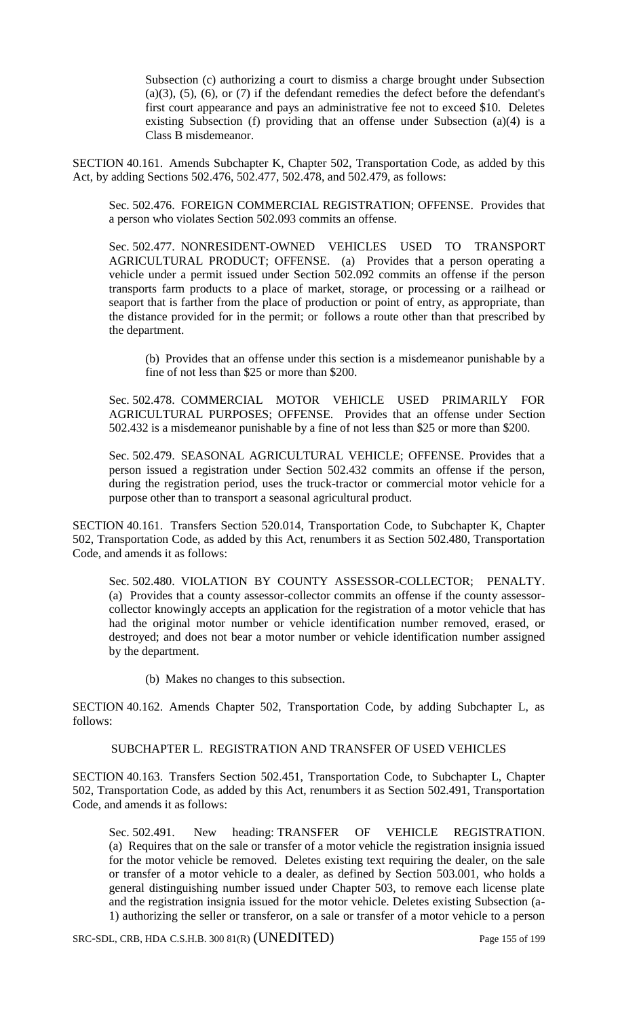Subsection (c) authorizing a court to dismiss a charge brought under Subsection  $(a)(3)$ ,  $(5)$ ,  $(6)$ , or  $(7)$  if the defendant remedies the defect before the defendant's first court appearance and pays an administrative fee not to exceed \$10. Deletes existing Subsection (f) providing that an offense under Subsection (a)(4) is a Class B misdemeanor.

SECTION 40.161. Amends Subchapter K, Chapter 502, Transportation Code, as added by this Act, by adding Sections 502.476, 502.477, 502.478, and 502.479, as follows:

Sec. 502.476. FOREIGN COMMERCIAL REGISTRATION; OFFENSE. Provides that a person who violates Section 502.093 commits an offense.

Sec. 502.477. NONRESIDENT-OWNED VEHICLES USED TO TRANSPORT AGRICULTURAL PRODUCT; OFFENSE. (a) Provides that a person operating a vehicle under a permit issued under Section 502.092 commits an offense if the person transports farm products to a place of market, storage, or processing or a railhead or seaport that is farther from the place of production or point of entry, as appropriate, than the distance provided for in the permit; or follows a route other than that prescribed by the department.

(b) Provides that an offense under this section is a misdemeanor punishable by a fine of not less than \$25 or more than \$200.

Sec. 502.478. COMMERCIAL MOTOR VEHICLE USED PRIMARILY FOR AGRICULTURAL PURPOSES; OFFENSE. Provides that an offense under Section 502.432 is a misdemeanor punishable by a fine of not less than \$25 or more than \$200.

Sec. 502.479. SEASONAL AGRICULTURAL VEHICLE; OFFENSE. Provides that a person issued a registration under Section 502.432 commits an offense if the person, during the registration period, uses the truck-tractor or commercial motor vehicle for a purpose other than to transport a seasonal agricultural product.

SECTION 40.161. Transfers Section 520.014, Transportation Code, to Subchapter K, Chapter 502, Transportation Code, as added by this Act, renumbers it as Section 502.480, Transportation Code, and amends it as follows:

Sec. 502.480. VIOLATION BY COUNTY ASSESSOR-COLLECTOR; PENALTY. (a) Provides that a county assessor-collector commits an offense if the county assessorcollector knowingly accepts an application for the registration of a motor vehicle that has had the original motor number or vehicle identification number removed, erased, or destroyed; and does not bear a motor number or vehicle identification number assigned by the department.

(b) Makes no changes to this subsection.

SECTION 40.162. Amends Chapter 502, Transportation Code, by adding Subchapter L, as follows:

## SUBCHAPTER L. REGISTRATION AND TRANSFER OF USED VEHICLES

SECTION 40.163. Transfers Section 502.451, Transportation Code, to Subchapter L, Chapter 502, Transportation Code, as added by this Act, renumbers it as Section 502.491, Transportation Code, and amends it as follows:

Sec. 502.491. New heading: TRANSFER OF VEHICLE REGISTRATION. (a) Requires that on the sale or transfer of a motor vehicle the registration insignia issued for the motor vehicle be removed. Deletes existing text requiring the dealer, on the sale or transfer of a motor vehicle to a dealer, as defined by Section 503.001, who holds a general distinguishing number issued under Chapter 503, to remove each license plate and the registration insignia issued for the motor vehicle. Deletes existing Subsection (a-1) authorizing the seller or transferor, on a sale or transfer of a motor vehicle to a person

SRC-SDL, CRB, HDA C.S.H.B. 300 81(R) (UNEDITED) Page 155 of 199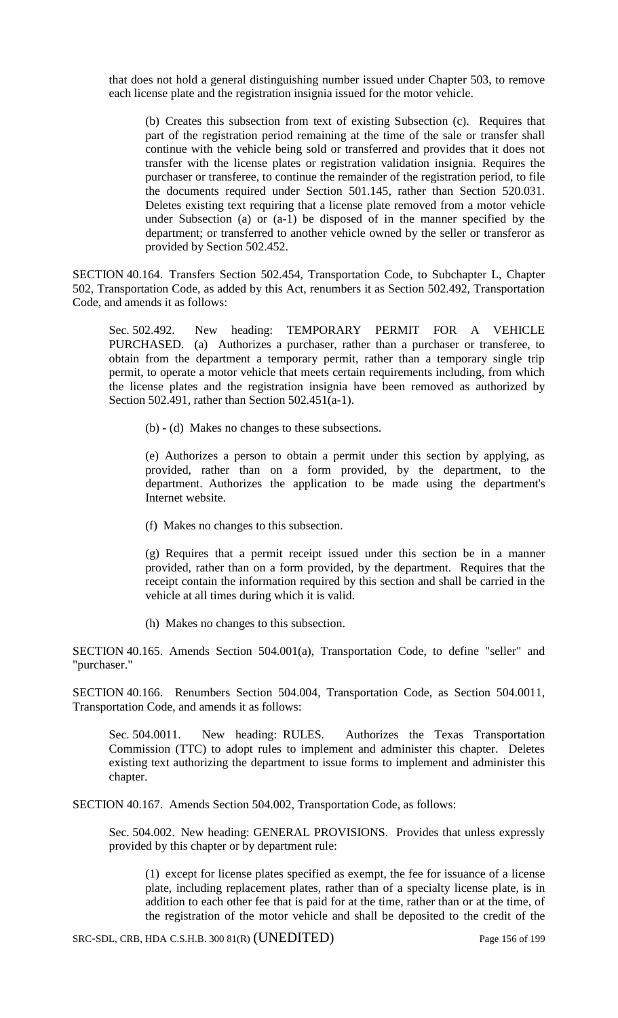that does not hold a general distinguishing number issued under Chapter 503, to remove each license plate and the registration insignia issued for the motor vehicle.

(b) Creates this subsection from text of existing Subsection (c). Requires that part of the registration period remaining at the time of the sale or transfer shall continue with the vehicle being sold or transferred and provides that it does not transfer with the license plates or registration validation insignia. Requires the purchaser or transferee, to continue the remainder of the registration period, to file the documents required under Section 501.145, rather than Section 520.031. Deletes existing text requiring that a license plate removed from a motor vehicle under Subsection (a) or (a-1) be disposed of in the manner specified by the department; or transferred to another vehicle owned by the seller or transferor as provided by Section 502.452.

SECTION 40.164. Transfers Section 502.454, Transportation Code, to Subchapter L, Chapter 502, Transportation Code, as added by this Act, renumbers it as Section 502.492, Transportation Code, and amends it as follows:

Sec. 502.492. New heading: TEMPORARY PERMIT FOR A VEHICLE PURCHASED. (a) Authorizes a purchaser, rather than a purchaser or transferee, to obtain from the department a temporary permit, rather than a temporary single trip permit, to operate a motor vehicle that meets certain requirements including, from which the license plates and the registration insignia have been removed as authorized by Section 502.491, rather than Section 502.451(a-1).

(b) - (d) Makes no changes to these subsections.

(e) Authorizes a person to obtain a permit under this section by applying, as provided, rather than on a form provided, by the department, to the department. Authorizes the application to be made using the department's Internet website.

(f) Makes no changes to this subsection.

(g) Requires that a permit receipt issued under this section be in a manner provided, rather than on a form provided, by the department. Requires that the receipt contain the information required by this section and shall be carried in the vehicle at all times during which it is valid.

(h) Makes no changes to this subsection.

SECTION 40.165. Amends Section 504.001(a), Transportation Code, to define "seller" and "purchaser."

SECTION 40.166. Renumbers Section 504.004, Transportation Code, as Section 504.0011, Transportation Code, and amends it as follows:

Sec. 504.0011. New heading: RULES. Authorizes the Texas Transportation Commission (TTC) to adopt rules to implement and administer this chapter. Deletes existing text authorizing the department to issue forms to implement and administer this chapter.

SECTION 40.167. Amends Section 504.002, Transportation Code, as follows:

Sec. 504.002. New heading: GENERAL PROVISIONS. Provides that unless expressly provided by this chapter or by department rule:

(1) except for license plates specified as exempt, the fee for issuance of a license plate, including replacement plates, rather than of a specialty license plate, is in addition to each other fee that is paid for at the time, rather than or at the time, of the registration of the motor vehicle and shall be deposited to the credit of the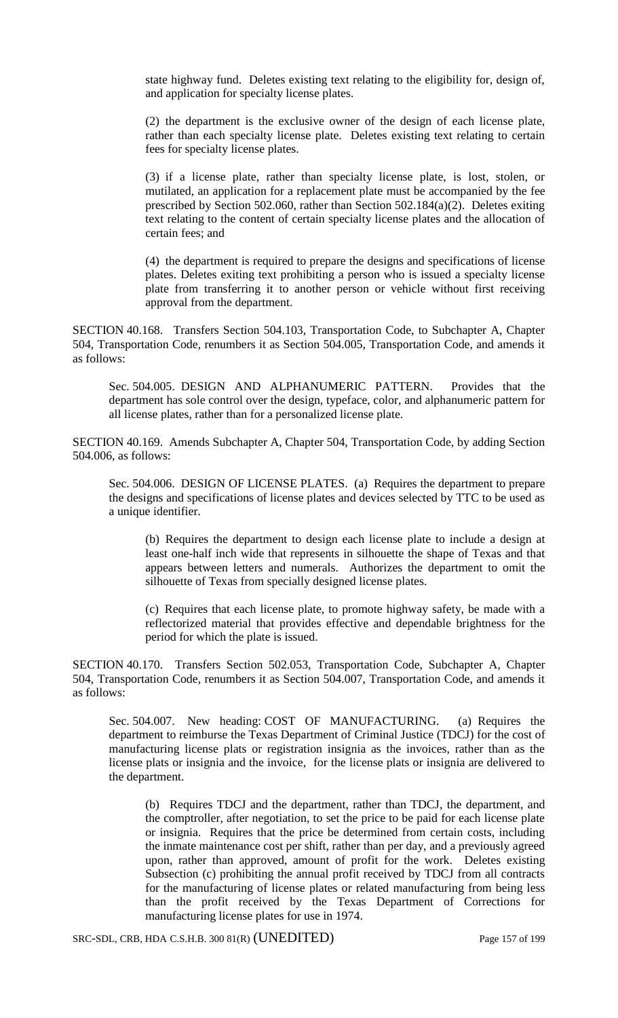state highway fund. Deletes existing text relating to the eligibility for, design of, and application for specialty license plates.

(2) the department is the exclusive owner of the design of each license plate, rather than each specialty license plate. Deletes existing text relating to certain fees for specialty license plates.

(3) if a license plate, rather than specialty license plate, is lost, stolen, or mutilated, an application for a replacement plate must be accompanied by the fee prescribed by Section 502.060, rather than Section 502.184(a)(2). Deletes exiting text relating to the content of certain specialty license plates and the allocation of certain fees; and

(4) the department is required to prepare the designs and specifications of license plates. Deletes exiting text prohibiting a person who is issued a specialty license plate from transferring it to another person or vehicle without first receiving approval from the department.

SECTION 40.168. Transfers Section 504.103, Transportation Code, to Subchapter A, Chapter 504, Transportation Code, renumbers it as Section 504.005, Transportation Code, and amends it as follows:

Sec. 504.005. DESIGN AND ALPHANUMERIC PATTERN. Provides that the department has sole control over the design, typeface, color, and alphanumeric pattern for all license plates, rather than for a personalized license plate.

SECTION 40.169. Amends Subchapter A, Chapter 504, Transportation Code, by adding Section 504.006, as follows:

Sec. 504.006. DESIGN OF LICENSE PLATES. (a) Requires the department to prepare the designs and specifications of license plates and devices selected by TTC to be used as a unique identifier.

(b) Requires the department to design each license plate to include a design at least one-half inch wide that represents in silhouette the shape of Texas and that appears between letters and numerals. Authorizes the department to omit the silhouette of Texas from specially designed license plates.

(c) Requires that each license plate, to promote highway safety, be made with a reflectorized material that provides effective and dependable brightness for the period for which the plate is issued.

SECTION 40.170. Transfers Section 502.053, Transportation Code, Subchapter A, Chapter 504, Transportation Code, renumbers it as Section 504.007, Transportation Code, and amends it as follows:

Sec. 504.007. New heading: COST OF MANUFACTURING. (a) Requires the department to reimburse the Texas Department of Criminal Justice (TDCJ) for the cost of manufacturing license plats or registration insignia as the invoices, rather than as the license plats or insignia and the invoice, for the license plats or insignia are delivered to the department.

(b) Requires TDCJ and the department, rather than TDCJ, the department, and the comptroller, after negotiation, to set the price to be paid for each license plate or insignia. Requires that the price be determined from certain costs, including the inmate maintenance cost per shift, rather than per day, and a previously agreed upon, rather than approved, amount of profit for the work. Deletes existing Subsection (c) prohibiting the annual profit received by TDCJ from all contracts for the manufacturing of license plates or related manufacturing from being less than the profit received by the Texas Department of Corrections for manufacturing license plates for use in 1974.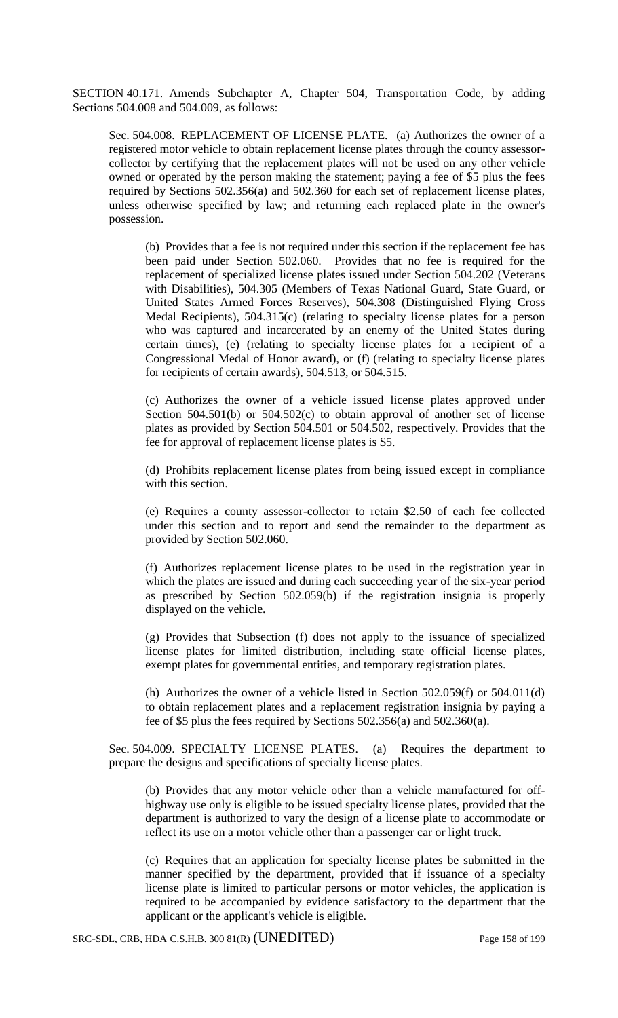SECTION 40.171. Amends Subchapter A, Chapter 504, Transportation Code, by adding Sections 504.008 and 504.009, as follows:

Sec. 504.008. REPLACEMENT OF LICENSE PLATE. (a) Authorizes the owner of a registered motor vehicle to obtain replacement license plates through the county assessorcollector by certifying that the replacement plates will not be used on any other vehicle owned or operated by the person making the statement; paying a fee of \$5 plus the fees required by Sections 502.356(a) and 502.360 for each set of replacement license plates, unless otherwise specified by law; and returning each replaced plate in the owner's possession.

(b) Provides that a fee is not required under this section if the replacement fee has been paid under Section 502.060. Provides that no fee is required for the replacement of specialized license plates issued under Section 504.202 (Veterans with Disabilities), 504.305 (Members of Texas National Guard, State Guard, or United States Armed Forces Reserves), 504.308 (Distinguished Flying Cross Medal Recipients), 504.315(c) (relating to specialty license plates for a person who was captured and incarcerated by an enemy of the United States during certain times), (e) (relating to specialty license plates for a recipient of a Congressional Medal of Honor award), or (f) (relating to specialty license plates for recipients of certain awards), 504.513, or 504.515.

(c) Authorizes the owner of a vehicle issued license plates approved under Section 504.501(b) or 504.502(c) to obtain approval of another set of license plates as provided by Section 504.501 or 504.502, respectively. Provides that the fee for approval of replacement license plates is \$5.

(d) Prohibits replacement license plates from being issued except in compliance with this section.

(e) Requires a county assessor-collector to retain \$2.50 of each fee collected under this section and to report and send the remainder to the department as provided by Section 502.060.

(f) Authorizes replacement license plates to be used in the registration year in which the plates are issued and during each succeeding year of the six-year period as prescribed by Section 502.059(b) if the registration insignia is properly displayed on the vehicle.

(g) Provides that Subsection (f) does not apply to the issuance of specialized license plates for limited distribution, including state official license plates, exempt plates for governmental entities, and temporary registration plates.

(h) Authorizes the owner of a vehicle listed in Section 502.059(f) or 504.011(d) to obtain replacement plates and a replacement registration insignia by paying a fee of \$5 plus the fees required by Sections 502.356(a) and 502.360(a).

Sec. 504.009. SPECIALTY LICENSE PLATES. (a) Requires the department to prepare the designs and specifications of specialty license plates.

(b) Provides that any motor vehicle other than a vehicle manufactured for offhighway use only is eligible to be issued specialty license plates, provided that the department is authorized to vary the design of a license plate to accommodate or reflect its use on a motor vehicle other than a passenger car or light truck.

(c) Requires that an application for specialty license plates be submitted in the manner specified by the department, provided that if issuance of a specialty license plate is limited to particular persons or motor vehicles, the application is required to be accompanied by evidence satisfactory to the department that the applicant or the applicant's vehicle is eligible.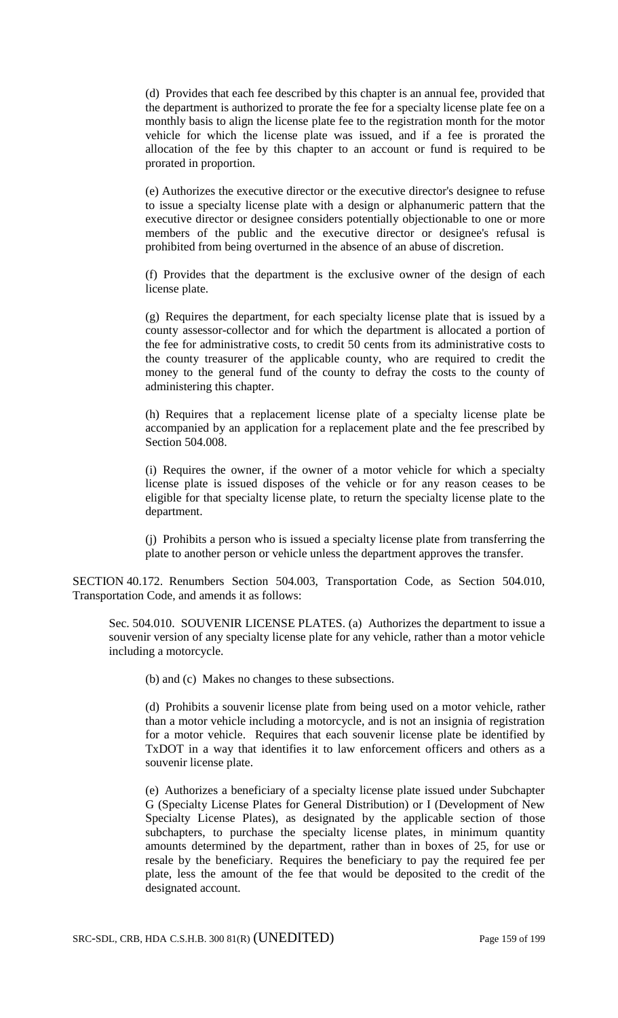(d) Provides that each fee described by this chapter is an annual fee, provided that the department is authorized to prorate the fee for a specialty license plate fee on a monthly basis to align the license plate fee to the registration month for the motor vehicle for which the license plate was issued, and if a fee is prorated the allocation of the fee by this chapter to an account or fund is required to be prorated in proportion.

(e) Authorizes the executive director or the executive director's designee to refuse to issue a specialty license plate with a design or alphanumeric pattern that the executive director or designee considers potentially objectionable to one or more members of the public and the executive director or designee's refusal is prohibited from being overturned in the absence of an abuse of discretion.

(f) Provides that the department is the exclusive owner of the design of each license plate.

(g) Requires the department, for each specialty license plate that is issued by a county assessor-collector and for which the department is allocated a portion of the fee for administrative costs, to credit 50 cents from its administrative costs to the county treasurer of the applicable county, who are required to credit the money to the general fund of the county to defray the costs to the county of administering this chapter.

(h) Requires that a replacement license plate of a specialty license plate be accompanied by an application for a replacement plate and the fee prescribed by Section 504.008.

(i) Requires the owner, if the owner of a motor vehicle for which a specialty license plate is issued disposes of the vehicle or for any reason ceases to be eligible for that specialty license plate, to return the specialty license plate to the department.

(j) Prohibits a person who is issued a specialty license plate from transferring the plate to another person or vehicle unless the department approves the transfer.

SECTION 40.172. Renumbers Section 504.003, Transportation Code, as Section 504.010, Transportation Code, and amends it as follows:

Sec. 504.010. SOUVENIR LICENSE PLATES. (a) Authorizes the department to issue a souvenir version of any specialty license plate for any vehicle, rather than a motor vehicle including a motorcycle.

(b) and (c) Makes no changes to these subsections.

(d) Prohibits a souvenir license plate from being used on a motor vehicle, rather than a motor vehicle including a motorcycle, and is not an insignia of registration for a motor vehicle. Requires that each souvenir license plate be identified by TxDOT in a way that identifies it to law enforcement officers and others as a souvenir license plate.

(e) Authorizes a beneficiary of a specialty license plate issued under Subchapter G (Specialty License Plates for General Distribution) or I (Development of New Specialty License Plates), as designated by the applicable section of those subchapters, to purchase the specialty license plates, in minimum quantity amounts determined by the department, rather than in boxes of 25, for use or resale by the beneficiary. Requires the beneficiary to pay the required fee per plate, less the amount of the fee that would be deposited to the credit of the designated account.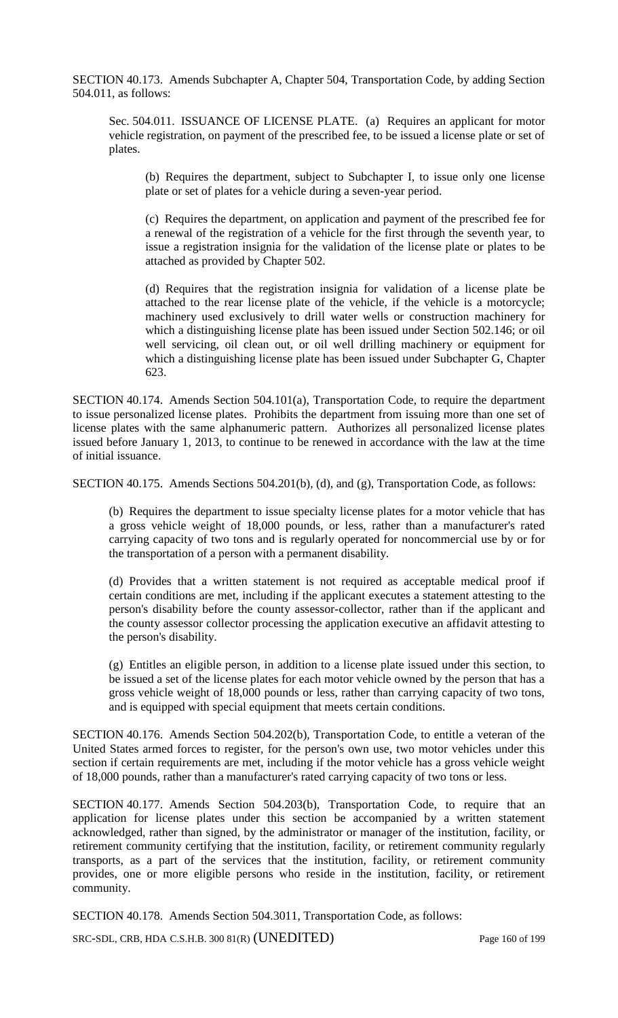SECTION 40.173. Amends Subchapter A, Chapter 504, Transportation Code, by adding Section 504.011, as follows:

Sec. 504.011. ISSUANCE OF LICENSE PLATE. (a) Requires an applicant for motor vehicle registration, on payment of the prescribed fee, to be issued a license plate or set of plates.

(b) Requires the department, subject to Subchapter I, to issue only one license plate or set of plates for a vehicle during a seven-year period.

(c) Requires the department, on application and payment of the prescribed fee for a renewal of the registration of a vehicle for the first through the seventh year, to issue a registration insignia for the validation of the license plate or plates to be attached as provided by Chapter 502.

(d) Requires that the registration insignia for validation of a license plate be attached to the rear license plate of the vehicle, if the vehicle is a motorcycle; machinery used exclusively to drill water wells or construction machinery for which a distinguishing license plate has been issued under Section 502.146; or oil well servicing, oil clean out, or oil well drilling machinery or equipment for which a distinguishing license plate has been issued under Subchapter G, Chapter 623.

SECTION 40.174. Amends Section 504.101(a), Transportation Code, to require the department to issue personalized license plates. Prohibits the department from issuing more than one set of license plates with the same alphanumeric pattern. Authorizes all personalized license plates issued before January 1, 2013, to continue to be renewed in accordance with the law at the time of initial issuance.

SECTION 40.175. Amends Sections 504.201(b), (d), and (g), Transportation Code, as follows:

(b) Requires the department to issue specialty license plates for a motor vehicle that has a gross vehicle weight of 18,000 pounds, or less, rather than a manufacturer's rated carrying capacity of two tons and is regularly operated for noncommercial use by or for the transportation of a person with a permanent disability.

(d) Provides that a written statement is not required as acceptable medical proof if certain conditions are met, including if the applicant executes a statement attesting to the person's disability before the county assessor-collector, rather than if the applicant and the county assessor collector processing the application executive an affidavit attesting to the person's disability.

(g) Entitles an eligible person, in addition to a license plate issued under this section, to be issued a set of the license plates for each motor vehicle owned by the person that has a gross vehicle weight of 18,000 pounds or less, rather than carrying capacity of two tons, and is equipped with special equipment that meets certain conditions.

SECTION 40.176. Amends Section 504.202(b), Transportation Code, to entitle a veteran of the United States armed forces to register, for the person's own use, two motor vehicles under this section if certain requirements are met, including if the motor vehicle has a gross vehicle weight of 18,000 pounds, rather than a manufacturer's rated carrying capacity of two tons or less.

SECTION 40.177. Amends Section 504.203(b), Transportation Code, to require that an application for license plates under this section be accompanied by a written statement acknowledged, rather than signed, by the administrator or manager of the institution, facility, or retirement community certifying that the institution, facility, or retirement community regularly transports, as a part of the services that the institution, facility, or retirement community provides, one or more eligible persons who reside in the institution, facility, or retirement community.

SECTION 40.178. Amends Section 504.3011, Transportation Code, as follows:

SRC-SDL, CRB, HDA C.S.H.B. 300 81(R) (UNEDITED) Page 160 of 199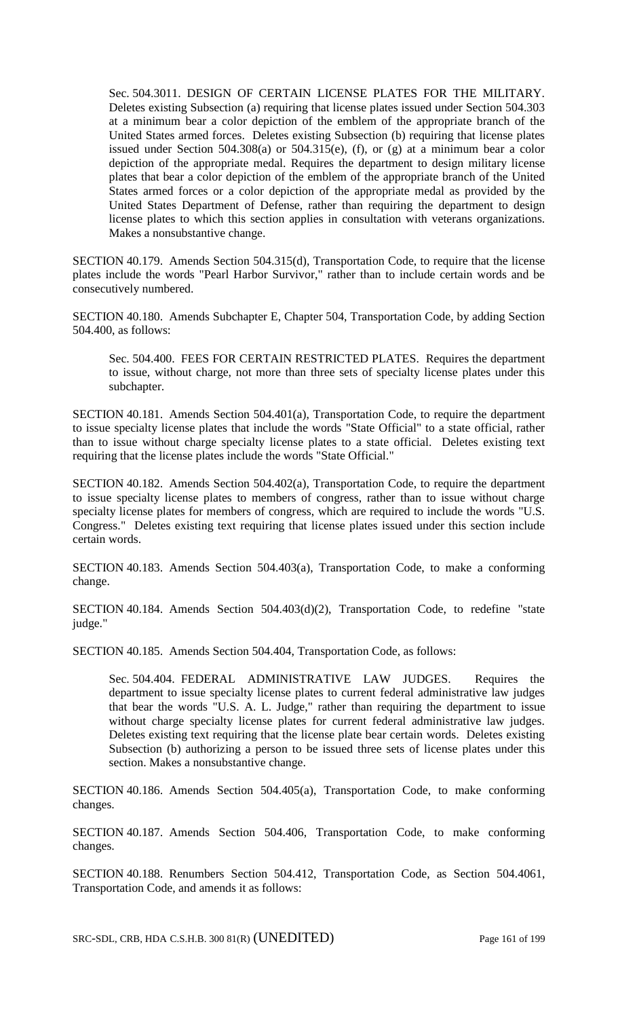Sec. 504.3011. DESIGN OF CERTAIN LICENSE PLATES FOR THE MILITARY. Deletes existing Subsection (a) requiring that license plates issued under Section 504.303 at a minimum bear a color depiction of the emblem of the appropriate branch of the United States armed forces. Deletes existing Subsection (b) requiring that license plates issued under Section 504.308(a) or 504.315(e), (f), or (g) at a minimum bear a color depiction of the appropriate medal. Requires the department to design military license plates that bear a color depiction of the emblem of the appropriate branch of the United States armed forces or a color depiction of the appropriate medal as provided by the United States Department of Defense, rather than requiring the department to design license plates to which this section applies in consultation with veterans organizations. Makes a nonsubstantive change.

SECTION 40.179. Amends Section 504.315(d), Transportation Code, to require that the license plates include the words "Pearl Harbor Survivor," rather than to include certain words and be consecutively numbered.

SECTION 40.180. Amends Subchapter E, Chapter 504, Transportation Code, by adding Section 504.400, as follows:

Sec. 504.400. FEES FOR CERTAIN RESTRICTED PLATES. Requires the department to issue, without charge, not more than three sets of specialty license plates under this subchapter.

SECTION 40.181. Amends Section 504.401(a), Transportation Code, to require the department to issue specialty license plates that include the words "State Official" to a state official, rather than to issue without charge specialty license plates to a state official. Deletes existing text requiring that the license plates include the words "State Official."

SECTION 40.182. Amends Section 504.402(a), Transportation Code, to require the department to issue specialty license plates to members of congress, rather than to issue without charge specialty license plates for members of congress, which are required to include the words "U.S. Congress." Deletes existing text requiring that license plates issued under this section include certain words.

SECTION 40.183. Amends Section 504.403(a), Transportation Code, to make a conforming change.

SECTION 40.184. Amends Section 504.403(d)(2), Transportation Code, to redefine "state judge."

SECTION 40.185. Amends Section 504.404, Transportation Code, as follows:

Sec. 504.404. FEDERAL ADMINISTRATIVE LAW JUDGES. Requires the department to issue specialty license plates to current federal administrative law judges that bear the words "U.S. A. L. Judge," rather than requiring the department to issue without charge specialty license plates for current federal administrative law judges. Deletes existing text requiring that the license plate bear certain words. Deletes existing Subsection (b) authorizing a person to be issued three sets of license plates under this section. Makes a nonsubstantive change.

SECTION 40.186. Amends Section 504.405(a), Transportation Code, to make conforming changes.

SECTION 40.187. Amends Section 504.406, Transportation Code, to make conforming changes.

SECTION 40.188. Renumbers Section 504.412, Transportation Code, as Section 504.4061, Transportation Code, and amends it as follows: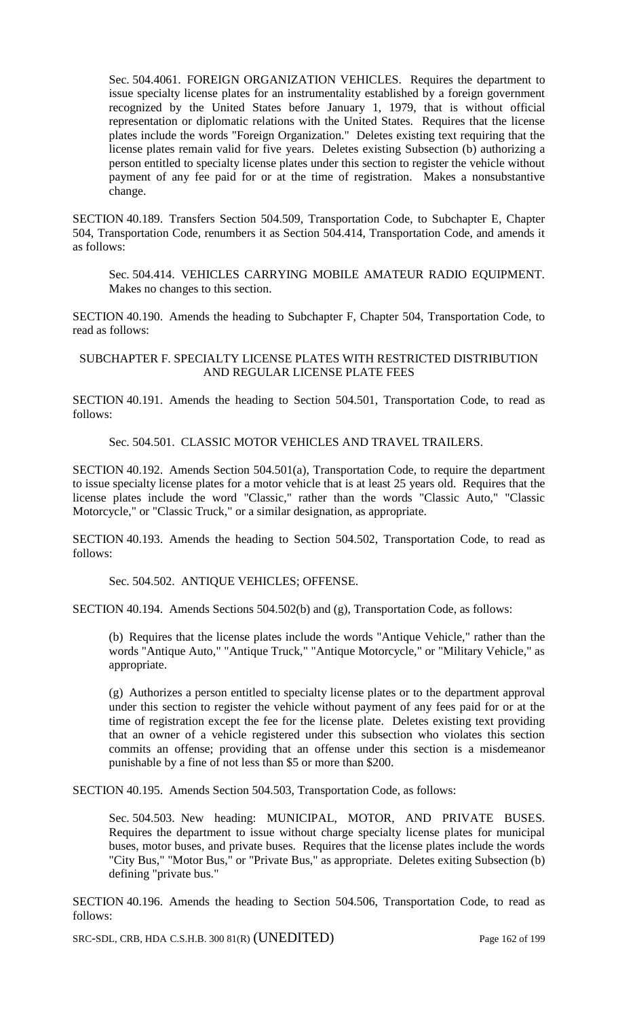Sec. 504.4061. FOREIGN ORGANIZATION VEHICLES. Requires the department to issue specialty license plates for an instrumentality established by a foreign government recognized by the United States before January 1, 1979, that is without official representation or diplomatic relations with the United States. Requires that the license plates include the words "Foreign Organization." Deletes existing text requiring that the license plates remain valid for five years. Deletes existing Subsection (b) authorizing a person entitled to specialty license plates under this section to register the vehicle without payment of any fee paid for or at the time of registration. Makes a nonsubstantive change.

SECTION 40.189. Transfers Section 504.509, Transportation Code, to Subchapter E, Chapter 504, Transportation Code, renumbers it as Section 504.414, Transportation Code, and amends it as follows:

Sec. 504.414. VEHICLES CARRYING MOBILE AMATEUR RADIO EQUIPMENT. Makes no changes to this section.

SECTION 40.190. Amends the heading to Subchapter F, Chapter 504, Transportation Code, to read as follows:

SUBCHAPTER F. SPECIALTY LICENSE PLATES WITH RESTRICTED DISTRIBUTION AND REGULAR LICENSE PLATE FEES

SECTION 40.191. Amends the heading to Section 504.501, Transportation Code, to read as follows:

Sec. 504.501. CLASSIC MOTOR VEHICLES AND TRAVEL TRAILERS.

SECTION 40.192. Amends Section 504.501(a), Transportation Code, to require the department to issue specialty license plates for a motor vehicle that is at least 25 years old. Requires that the license plates include the word "Classic," rather than the words "Classic Auto," "Classic Motorcycle," or "Classic Truck," or a similar designation, as appropriate.

SECTION 40.193. Amends the heading to Section 504.502, Transportation Code, to read as follows:

Sec. 504.502. ANTIQUE VEHICLES; OFFENSE.

SECTION 40.194. Amends Sections 504.502(b) and (g), Transportation Code, as follows:

(b) Requires that the license plates include the words "Antique Vehicle," rather than the words "Antique Auto," "Antique Truck," "Antique Motorcycle," or "Military Vehicle," as appropriate.

(g) Authorizes a person entitled to specialty license plates or to the department approval under this section to register the vehicle without payment of any fees paid for or at the time of registration except the fee for the license plate. Deletes existing text providing that an owner of a vehicle registered under this subsection who violates this section commits an offense; providing that an offense under this section is a misdemeanor punishable by a fine of not less than \$5 or more than \$200.

SECTION 40.195. Amends Section 504.503, Transportation Code, as follows:

Sec. 504.503. New heading: MUNICIPAL, MOTOR, AND PRIVATE BUSES. Requires the department to issue without charge specialty license plates for municipal buses, motor buses, and private buses. Requires that the license plates include the words "City Bus," "Motor Bus," or "Private Bus," as appropriate. Deletes exiting Subsection (b) defining "private bus."

SECTION 40.196. Amends the heading to Section 504.506, Transportation Code, to read as follows:

SRC-SDL, CRB, HDA C.S.H.B. 300 81(R) (UNEDITED) Page 162 of 199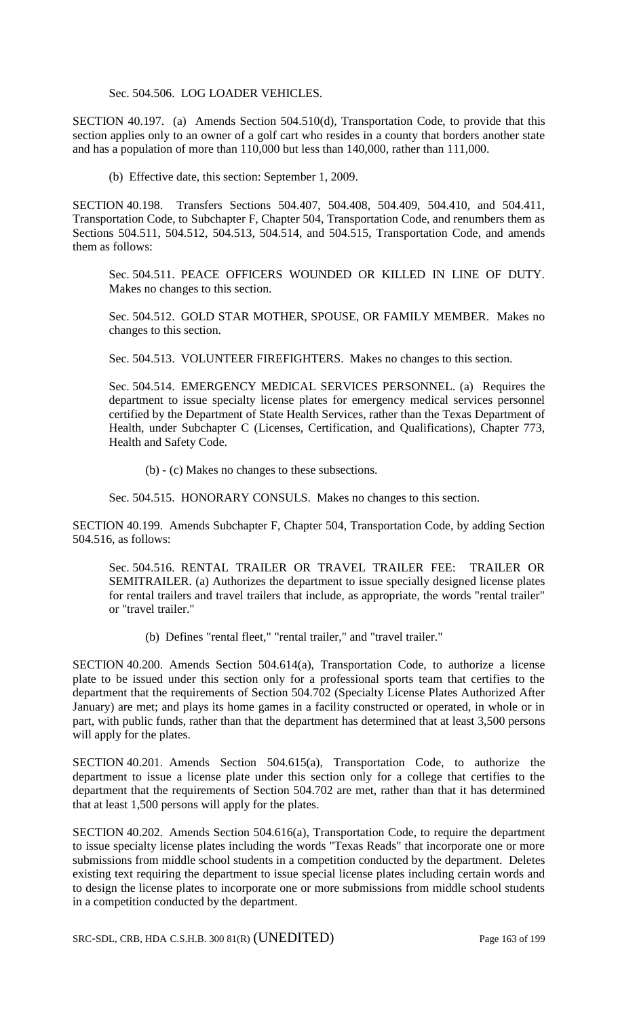### Sec. 504.506. LOG LOADER VEHICLES.

SECTION 40.197. (a) Amends Section 504.510(d), Transportation Code, to provide that this section applies only to an owner of a golf cart who resides in a county that borders another state and has a population of more than 110,000 but less than 140,000, rather than 111,000.

(b) Effective date, this section: September 1, 2009.

SECTION 40.198. Transfers Sections 504.407, 504.408, 504.409, 504.410, and 504.411, Transportation Code, to Subchapter F, Chapter 504, Transportation Code, and renumbers them as Sections 504.511, 504.512, 504.513, 504.514, and 504.515, Transportation Code, and amends them as follows:

Sec. 504.511. PEACE OFFICERS WOUNDED OR KILLED IN LINE OF DUTY. Makes no changes to this section.

Sec. 504.512. GOLD STAR MOTHER, SPOUSE, OR FAMILY MEMBER. Makes no changes to this section.

Sec. 504.513. VOLUNTEER FIREFIGHTERS. Makes no changes to this section.

Sec. 504.514. EMERGENCY MEDICAL SERVICES PERSONNEL. (a) Requires the department to issue specialty license plates for emergency medical services personnel certified by the Department of State Health Services, rather than the Texas Department of Health, under Subchapter C (Licenses, Certification, and Qualifications), Chapter 773, Health and Safety Code.

(b) - (c) Makes no changes to these subsections.

Sec. 504.515. HONORARY CONSULS. Makes no changes to this section.

SECTION 40.199. Amends Subchapter F, Chapter 504, Transportation Code, by adding Section 504.516, as follows:

Sec. 504.516. RENTAL TRAILER OR TRAVEL TRAILER FEE: TRAILER OR SEMITRAILER. (a) Authorizes the department to issue specially designed license plates for rental trailers and travel trailers that include, as appropriate, the words "rental trailer" or "travel trailer."

(b) Defines "rental fleet," "rental trailer," and "travel trailer."

SECTION 40.200. Amends Section 504.614(a), Transportation Code, to authorize a license plate to be issued under this section only for a professional sports team that certifies to the department that the requirements of Section 504.702 (Specialty License Plates Authorized After January) are met; and plays its home games in a facility constructed or operated, in whole or in part, with public funds, rather than that the department has determined that at least 3,500 persons will apply for the plates.

SECTION 40.201. Amends Section 504.615(a), Transportation Code, to authorize the department to issue a license plate under this section only for a college that certifies to the department that the requirements of Section 504.702 are met, rather than that it has determined that at least 1,500 persons will apply for the plates.

SECTION 40.202. Amends Section 504.616(a), Transportation Code, to require the department to issue specialty license plates including the words "Texas Reads" that incorporate one or more submissions from middle school students in a competition conducted by the department. Deletes existing text requiring the department to issue special license plates including certain words and to design the license plates to incorporate one or more submissions from middle school students in a competition conducted by the department.

SRC-SDL, CRB, HDA C.S.H.B. 300 81(R) (UNEDITED) Page 163 of 199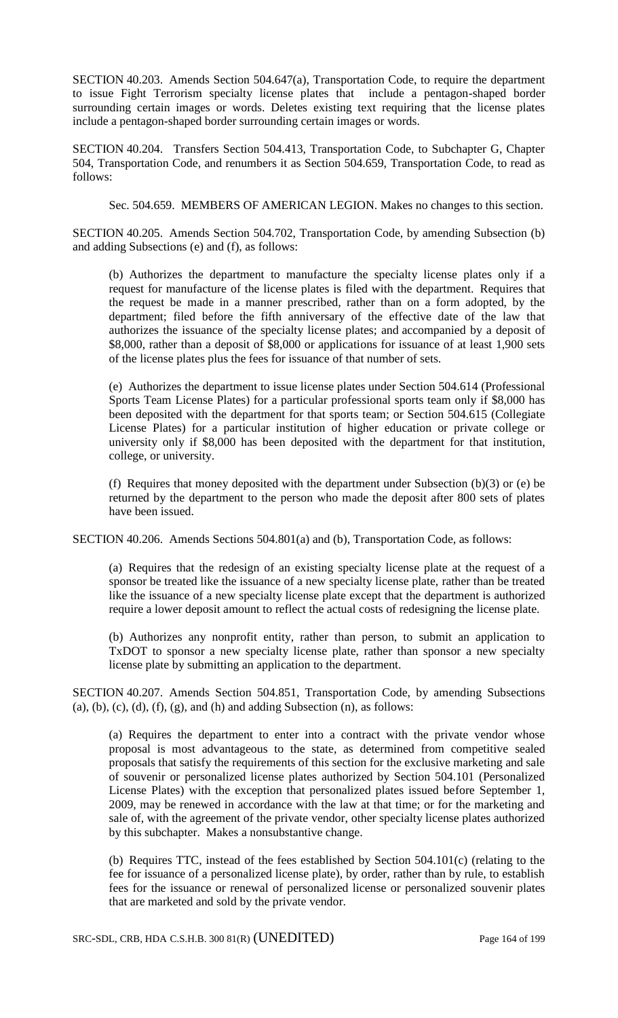SECTION 40.203. Amends Section 504.647(a), Transportation Code, to require the department to issue Fight Terrorism specialty license plates that include a pentagon-shaped border surrounding certain images or words. Deletes existing text requiring that the license plates include a pentagon-shaped border surrounding certain images or words.

SECTION 40.204. Transfers Section 504.413, Transportation Code, to Subchapter G, Chapter 504, Transportation Code, and renumbers it as Section 504.659, Transportation Code, to read as follows:

Sec. 504.659. MEMBERS OF AMERICAN LEGION. Makes no changes to this section.

SECTION 40.205. Amends Section 504.702, Transportation Code, by amending Subsection (b) and adding Subsections (e) and (f), as follows:

(b) Authorizes the department to manufacture the specialty license plates only if a request for manufacture of the license plates is filed with the department. Requires that the request be made in a manner prescribed, rather than on a form adopted, by the department; filed before the fifth anniversary of the effective date of the law that authorizes the issuance of the specialty license plates; and accompanied by a deposit of \$8,000, rather than a deposit of \$8,000 or applications for issuance of at least 1,900 sets of the license plates plus the fees for issuance of that number of sets.

(e) Authorizes the department to issue license plates under Section 504.614 (Professional Sports Team License Plates) for a particular professional sports team only if \$8,000 has been deposited with the department for that sports team; or Section 504.615 (Collegiate License Plates) for a particular institution of higher education or private college or university only if \$8,000 has been deposited with the department for that institution, college, or university.

(f) Requires that money deposited with the department under Subsection (b)(3) or (e) be returned by the department to the person who made the deposit after 800 sets of plates have been issued.

SECTION 40.206. Amends Sections 504.801(a) and (b), Transportation Code, as follows:

(a) Requires that the redesign of an existing specialty license plate at the request of a sponsor be treated like the issuance of a new specialty license plate, rather than be treated like the issuance of a new specialty license plate except that the department is authorized require a lower deposit amount to reflect the actual costs of redesigning the license plate.

(b) Authorizes any nonprofit entity, rather than person, to submit an application to TxDOT to sponsor a new specialty license plate, rather than sponsor a new specialty license plate by submitting an application to the department.

SECTION 40.207. Amends Section 504.851, Transportation Code, by amending Subsections  $(a)$ ,  $(b)$ ,  $(c)$ ,  $(d)$ ,  $(f)$ ,  $(g)$ , and  $(h)$  and adding Subsection  $(n)$ , as follows:

(a) Requires the department to enter into a contract with the private vendor whose proposal is most advantageous to the state, as determined from competitive sealed proposals that satisfy the requirements of this section for the exclusive marketing and sale of souvenir or personalized license plates authorized by Section 504.101 (Personalized License Plates) with the exception that personalized plates issued before September 1, 2009, may be renewed in accordance with the law at that time; or for the marketing and sale of, with the agreement of the private vendor, other specialty license plates authorized by this subchapter. Makes a nonsubstantive change.

(b) Requires TTC, instead of the fees established by Section 504.101(c) (relating to the fee for issuance of a personalized license plate), by order, rather than by rule, to establish fees for the issuance or renewal of personalized license or personalized souvenir plates that are marketed and sold by the private vendor.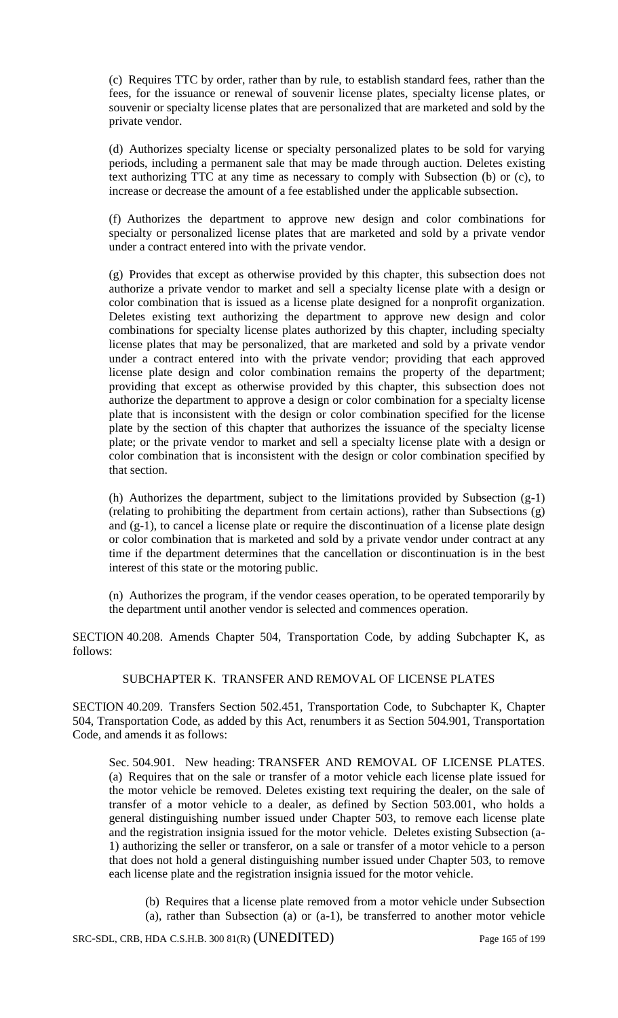(c) Requires TTC by order, rather than by rule, to establish standard fees, rather than the fees, for the issuance or renewal of souvenir license plates, specialty license plates, or souvenir or specialty license plates that are personalized that are marketed and sold by the private vendor.

(d) Authorizes specialty license or specialty personalized plates to be sold for varying periods, including a permanent sale that may be made through auction. Deletes existing text authorizing TTC at any time as necessary to comply with Subsection (b) or (c), to increase or decrease the amount of a fee established under the applicable subsection.

(f) Authorizes the department to approve new design and color combinations for specialty or personalized license plates that are marketed and sold by a private vendor under a contract entered into with the private vendor.

(g) Provides that except as otherwise provided by this chapter, this subsection does not authorize a private vendor to market and sell a specialty license plate with a design or color combination that is issued as a license plate designed for a nonprofit organization. Deletes existing text authorizing the department to approve new design and color combinations for specialty license plates authorized by this chapter, including specialty license plates that may be personalized, that are marketed and sold by a private vendor under a contract entered into with the private vendor; providing that each approved license plate design and color combination remains the property of the department; providing that except as otherwise provided by this chapter, this subsection does not authorize the department to approve a design or color combination for a specialty license plate that is inconsistent with the design or color combination specified for the license plate by the section of this chapter that authorizes the issuance of the specialty license plate; or the private vendor to market and sell a specialty license plate with a design or color combination that is inconsistent with the design or color combination specified by that section.

(h) Authorizes the department, subject to the limitations provided by Subsection (g-1) (relating to prohibiting the department from certain actions), rather than Subsections (g) and (g-1), to cancel a license plate or require the discontinuation of a license plate design or color combination that is marketed and sold by a private vendor under contract at any time if the department determines that the cancellation or discontinuation is in the best interest of this state or the motoring public.

(n) Authorizes the program, if the vendor ceases operation, to be operated temporarily by the department until another vendor is selected and commences operation.

SECTION 40.208. Amends Chapter 504, Transportation Code, by adding Subchapter K, as follows:

## SUBCHAPTER K. TRANSFER AND REMOVAL OF LICENSE PLATES

SECTION 40.209. Transfers Section 502.451, Transportation Code, to Subchapter K, Chapter 504, Transportation Code, as added by this Act, renumbers it as Section 504.901, Transportation Code, and amends it as follows:

Sec. 504.901. New heading: TRANSFER AND REMOVAL OF LICENSE PLATES. (a) Requires that on the sale or transfer of a motor vehicle each license plate issued for the motor vehicle be removed. Deletes existing text requiring the dealer, on the sale of transfer of a motor vehicle to a dealer, as defined by Section 503.001, who holds a general distinguishing number issued under Chapter 503, to remove each license plate and the registration insignia issued for the motor vehicle. Deletes existing Subsection (a-1) authorizing the seller or transferor, on a sale or transfer of a motor vehicle to a person that does not hold a general distinguishing number issued under Chapter 503, to remove each license plate and the registration insignia issued for the motor vehicle.

(b) Requires that a license plate removed from a motor vehicle under Subsection (a), rather than Subsection (a) or (a-1), be transferred to another motor vehicle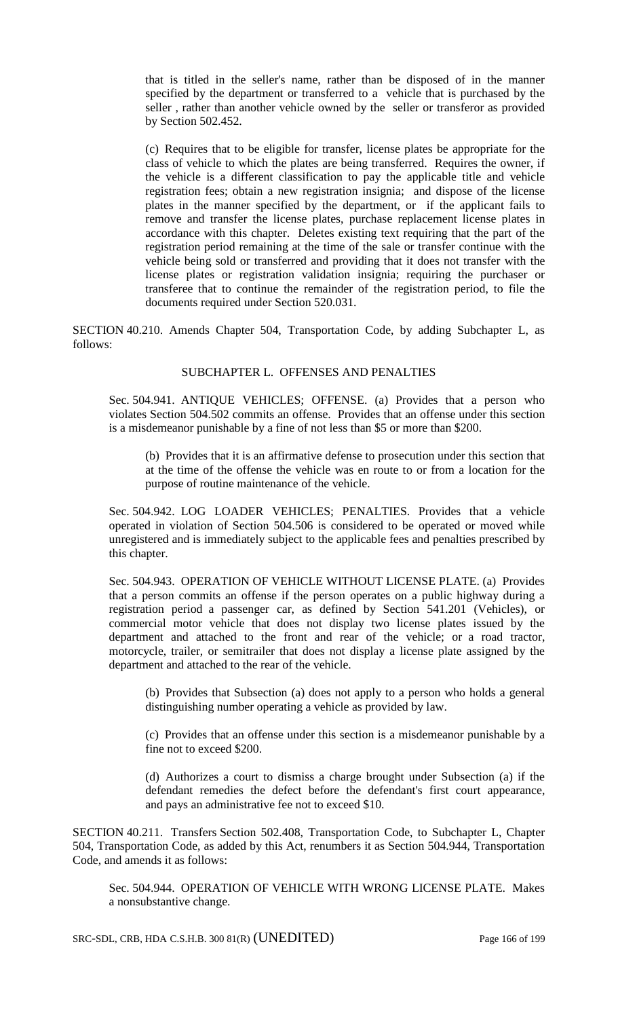that is titled in the seller's name, rather than be disposed of in the manner specified by the department or transferred to a vehicle that is purchased by the seller , rather than another vehicle owned by the seller or transferor as provided by Section 502.452.

(c) Requires that to be eligible for transfer, license plates be appropriate for the class of vehicle to which the plates are being transferred. Requires the owner, if the vehicle is a different classification to pay the applicable title and vehicle registration fees; obtain a new registration insignia; and dispose of the license plates in the manner specified by the department, or if the applicant fails to remove and transfer the license plates, purchase replacement license plates in accordance with this chapter. Deletes existing text requiring that the part of the registration period remaining at the time of the sale or transfer continue with the vehicle being sold or transferred and providing that it does not transfer with the license plates or registration validation insignia; requiring the purchaser or transferee that to continue the remainder of the registration period, to file the documents required under Section 520.031.

SECTION 40.210. Amends Chapter 504, Transportation Code, by adding Subchapter L, as follows:

### SUBCHAPTER L. OFFENSES AND PENALTIES

Sec. 504.941. ANTIQUE VEHICLES; OFFENSE. (a) Provides that a person who violates Section 504.502 commits an offense. Provides that an offense under this section is a misdemeanor punishable by a fine of not less than \$5 or more than \$200.

(b) Provides that it is an affirmative defense to prosecution under this section that at the time of the offense the vehicle was en route to or from a location for the purpose of routine maintenance of the vehicle.

Sec. 504.942. LOG LOADER VEHICLES; PENALTIES. Provides that a vehicle operated in violation of Section 504.506 is considered to be operated or moved while unregistered and is immediately subject to the applicable fees and penalties prescribed by this chapter.

Sec. 504.943. OPERATION OF VEHICLE WITHOUT LICENSE PLATE. (a) Provides that a person commits an offense if the person operates on a public highway during a registration period a passenger car, as defined by Section 541.201 (Vehicles), or commercial motor vehicle that does not display two license plates issued by the department and attached to the front and rear of the vehicle; or a road tractor, motorcycle, trailer, or semitrailer that does not display a license plate assigned by the department and attached to the rear of the vehicle.

(b) Provides that Subsection (a) does not apply to a person who holds a general distinguishing number operating a vehicle as provided by law.

(c) Provides that an offense under this section is a misdemeanor punishable by a fine not to exceed \$200.

(d) Authorizes a court to dismiss a charge brought under Subsection (a) if the defendant remedies the defect before the defendant's first court appearance, and pays an administrative fee not to exceed \$10.

SECTION 40.211. Transfers Section 502.408, Transportation Code, to Subchapter L, Chapter 504, Transportation Code, as added by this Act, renumbers it as Section 504.944, Transportation Code, and amends it as follows:

Sec. 504.944. OPERATION OF VEHICLE WITH WRONG LICENSE PLATE. Makes a nonsubstantive change.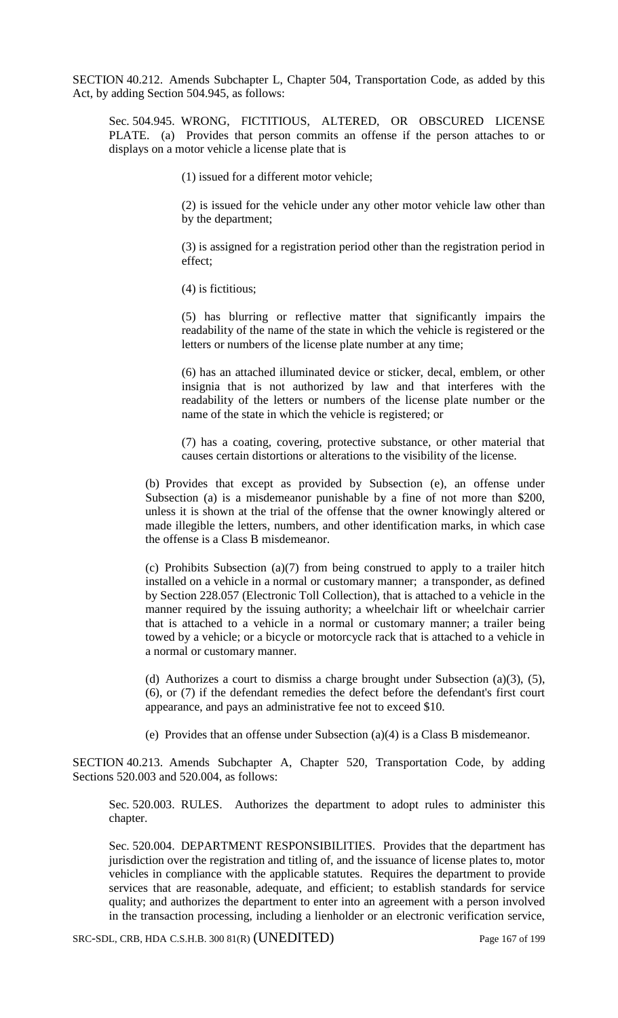SECTION 40.212. Amends Subchapter L, Chapter 504, Transportation Code, as added by this Act, by adding Section 504.945, as follows:

Sec. 504.945. WRONG, FICTITIOUS, ALTERED, OR OBSCURED LICENSE PLATE. (a) Provides that person commits an offense if the person attaches to or displays on a motor vehicle a license plate that is

(1) issued for a different motor vehicle;

(2) is issued for the vehicle under any other motor vehicle law other than by the department;

(3) is assigned for a registration period other than the registration period in effect;

(4) is fictitious;

(5) has blurring or reflective matter that significantly impairs the readability of the name of the state in which the vehicle is registered or the letters or numbers of the license plate number at any time;

(6) has an attached illuminated device or sticker, decal, emblem, or other insignia that is not authorized by law and that interferes with the readability of the letters or numbers of the license plate number or the name of the state in which the vehicle is registered; or

(7) has a coating, covering, protective substance, or other material that causes certain distortions or alterations to the visibility of the license.

(b) Provides that except as provided by Subsection (e), an offense under Subsection (a) is a misdemeanor punishable by a fine of not more than \$200, unless it is shown at the trial of the offense that the owner knowingly altered or made illegible the letters, numbers, and other identification marks, in which case the offense is a Class B misdemeanor.

(c) Prohibits Subsection (a)(7) from being construed to apply to a trailer hitch installed on a vehicle in a normal or customary manner; a transponder, as defined by Section 228.057 (Electronic Toll Collection), that is attached to a vehicle in the manner required by the issuing authority; a wheelchair lift or wheelchair carrier that is attached to a vehicle in a normal or customary manner; a trailer being towed by a vehicle; or a bicycle or motorcycle rack that is attached to a vehicle in a normal or customary manner.

(d) Authorizes a court to dismiss a charge brought under Subsection (a)(3), (5), (6), or (7) if the defendant remedies the defect before the defendant's first court appearance, and pays an administrative fee not to exceed \$10.

(e) Provides that an offense under Subsection (a)(4) is a Class B misdemeanor.

SECTION 40.213. Amends Subchapter A, Chapter 520, Transportation Code, by adding Sections 520.003 and 520.004, as follows:

Sec. 520.003. RULES. Authorizes the department to adopt rules to administer this chapter.

Sec. 520.004. DEPARTMENT RESPONSIBILITIES. Provides that the department has jurisdiction over the registration and titling of, and the issuance of license plates to, motor vehicles in compliance with the applicable statutes. Requires the department to provide services that are reasonable, adequate, and efficient; to establish standards for service quality; and authorizes the department to enter into an agreement with a person involved in the transaction processing, including a lienholder or an electronic verification service,

SRC-SDL, CRB, HDA C.S.H.B. 300 81(R) (UNEDITED) Page 167 of 199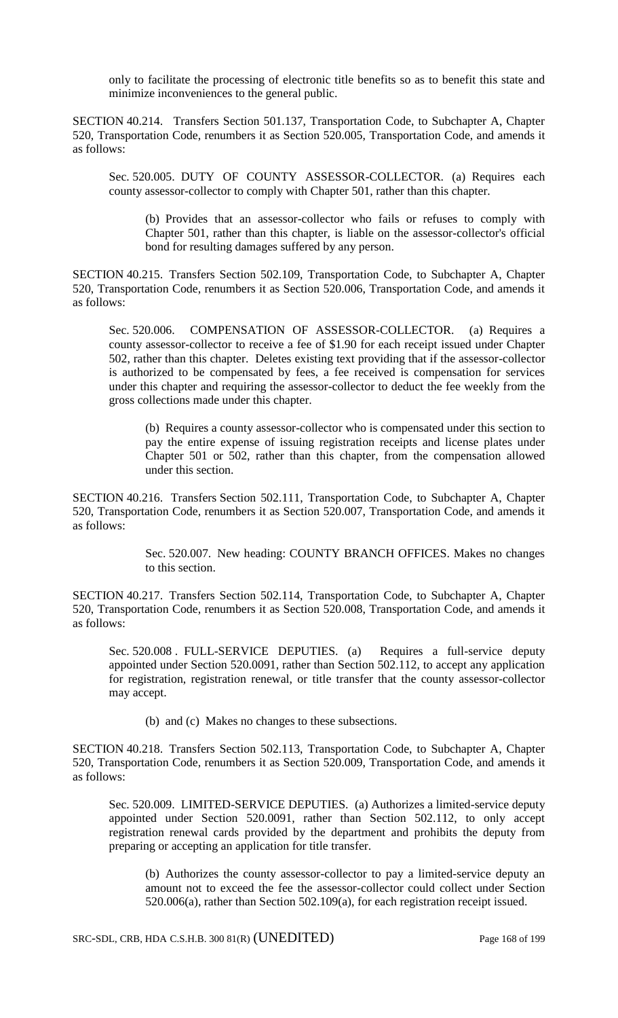only to facilitate the processing of electronic title benefits so as to benefit this state and minimize inconveniences to the general public.

SECTION 40.214. Transfers Section 501.137, Transportation Code, to Subchapter A, Chapter 520, Transportation Code, renumbers it as Section 520.005, Transportation Code, and amends it as follows:

Sec. 520.005. DUTY OF COUNTY ASSESSOR-COLLECTOR. (a) Requires each county assessor-collector to comply with Chapter 501, rather than this chapter.

(b) Provides that an assessor-collector who fails or refuses to comply with Chapter 501, rather than this chapter, is liable on the assessor-collector's official bond for resulting damages suffered by any person.

SECTION 40.215. Transfers Section 502.109, Transportation Code, to Subchapter A, Chapter 520, Transportation Code, renumbers it as Section 520.006, Transportation Code, and amends it as follows:

Sec. 520.006. COMPENSATION OF ASSESSOR-COLLECTOR. (a) Requires a county assessor-collector to receive a fee of \$1.90 for each receipt issued under Chapter 502, rather than this chapter. Deletes existing text providing that if the assessor-collector is authorized to be compensated by fees, a fee received is compensation for services under this chapter and requiring the assessor-collector to deduct the fee weekly from the gross collections made under this chapter.

(b) Requires a county assessor-collector who is compensated under this section to pay the entire expense of issuing registration receipts and license plates under Chapter 501 or 502, rather than this chapter, from the compensation allowed under this section.

SECTION 40.216. Transfers Section 502.111, Transportation Code, to Subchapter A, Chapter 520, Transportation Code, renumbers it as Section 520.007, Transportation Code, and amends it as follows:

> Sec. 520.007. New heading: COUNTY BRANCH OFFICES. Makes no changes to this section.

SECTION 40.217. Transfers Section 502.114, Transportation Code, to Subchapter A, Chapter 520, Transportation Code, renumbers it as Section 520.008, Transportation Code, and amends it as follows:

Sec. 520.008 . FULL-SERVICE DEPUTIES. (a) Requires a full-service deputy appointed under Section 520.0091, rather than Section 502.112, to accept any application for registration, registration renewal, or title transfer that the county assessor-collector may accept.

(b) and (c) Makes no changes to these subsections.

SECTION 40.218. Transfers Section 502.113, Transportation Code, to Subchapter A, Chapter 520, Transportation Code, renumbers it as Section 520.009, Transportation Code, and amends it as follows:

Sec. 520.009. LIMITED-SERVICE DEPUTIES. (a) Authorizes a limited-service deputy appointed under Section 520.0091, rather than Section 502.112, to only accept registration renewal cards provided by the department and prohibits the deputy from preparing or accepting an application for title transfer.

(b) Authorizes the county assessor-collector to pay a limited-service deputy an amount not to exceed the fee the assessor-collector could collect under Section 520.006(a), rather than Section 502.109(a), for each registration receipt issued.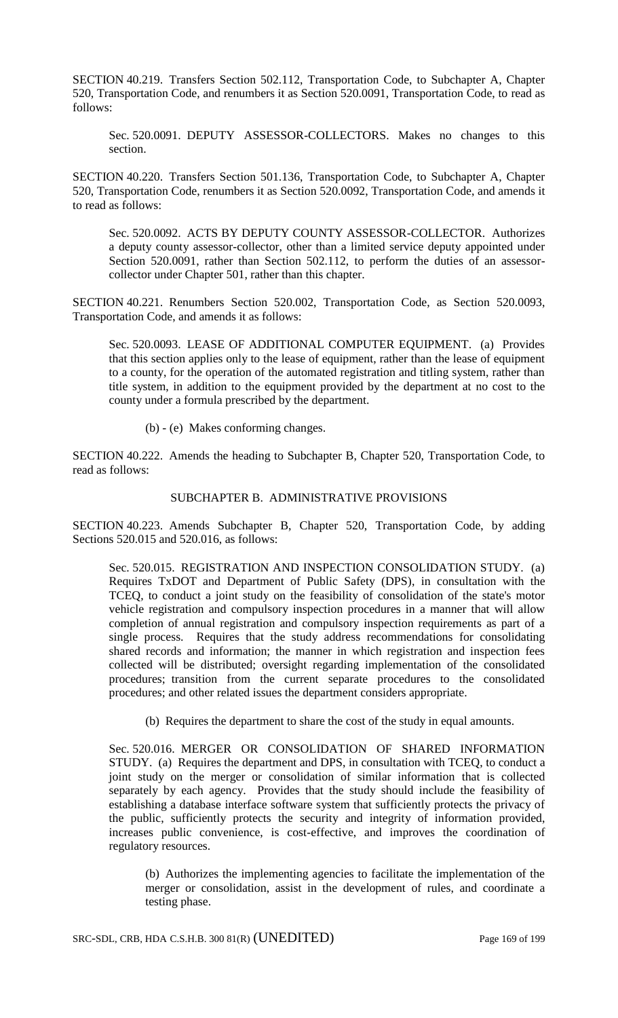SECTION 40.219. Transfers Section 502.112, Transportation Code, to Subchapter A, Chapter 520, Transportation Code, and renumbers it as Section 520.0091, Transportation Code, to read as follows:

Sec. 520.0091. DEPUTY ASSESSOR-COLLECTORS. Makes no changes to this section.

SECTION 40.220. Transfers Section 501.136, Transportation Code, to Subchapter A, Chapter 520, Transportation Code, renumbers it as Section 520.0092, Transportation Code, and amends it to read as follows:

Sec. 520.0092. ACTS BY DEPUTY COUNTY ASSESSOR-COLLECTOR. Authorizes a deputy county assessor-collector, other than a limited service deputy appointed under Section 520.0091, rather than Section 502.112, to perform the duties of an assessorcollector under Chapter 501, rather than this chapter.

SECTION 40.221. Renumbers Section 520.002, Transportation Code, as Section 520.0093, Transportation Code, and amends it as follows:

Sec. 520.0093. LEASE OF ADDITIONAL COMPUTER EQUIPMENT. (a) Provides that this section applies only to the lease of equipment, rather than the lease of equipment to a county, for the operation of the automated registration and titling system, rather than title system, in addition to the equipment provided by the department at no cost to the county under a formula prescribed by the department.

(b) - (e) Makes conforming changes.

SECTION 40.222. Amends the heading to Subchapter B, Chapter 520, Transportation Code, to read as follows:

## SUBCHAPTER B. ADMINISTRATIVE PROVISIONS

SECTION 40.223. Amends Subchapter B, Chapter 520, Transportation Code, by adding Sections 520.015 and 520.016, as follows:

Sec. 520.015. REGISTRATION AND INSPECTION CONSOLIDATION STUDY. (a) Requires TxDOT and Department of Public Safety (DPS), in consultation with the TCEQ, to conduct a joint study on the feasibility of consolidation of the state's motor vehicle registration and compulsory inspection procedures in a manner that will allow completion of annual registration and compulsory inspection requirements as part of a single process. Requires that the study address recommendations for consolidating shared records and information; the manner in which registration and inspection fees collected will be distributed; oversight regarding implementation of the consolidated procedures; transition from the current separate procedures to the consolidated procedures; and other related issues the department considers appropriate.

(b) Requires the department to share the cost of the study in equal amounts.

Sec. 520.016. MERGER OR CONSOLIDATION OF SHARED INFORMATION STUDY. (a) Requires the department and DPS, in consultation with TCEQ, to conduct a joint study on the merger or consolidation of similar information that is collected separately by each agency. Provides that the study should include the feasibility of establishing a database interface software system that sufficiently protects the privacy of the public, sufficiently protects the security and integrity of information provided, increases public convenience, is cost-effective, and improves the coordination of regulatory resources.

(b) Authorizes the implementing agencies to facilitate the implementation of the merger or consolidation, assist in the development of rules, and coordinate a testing phase.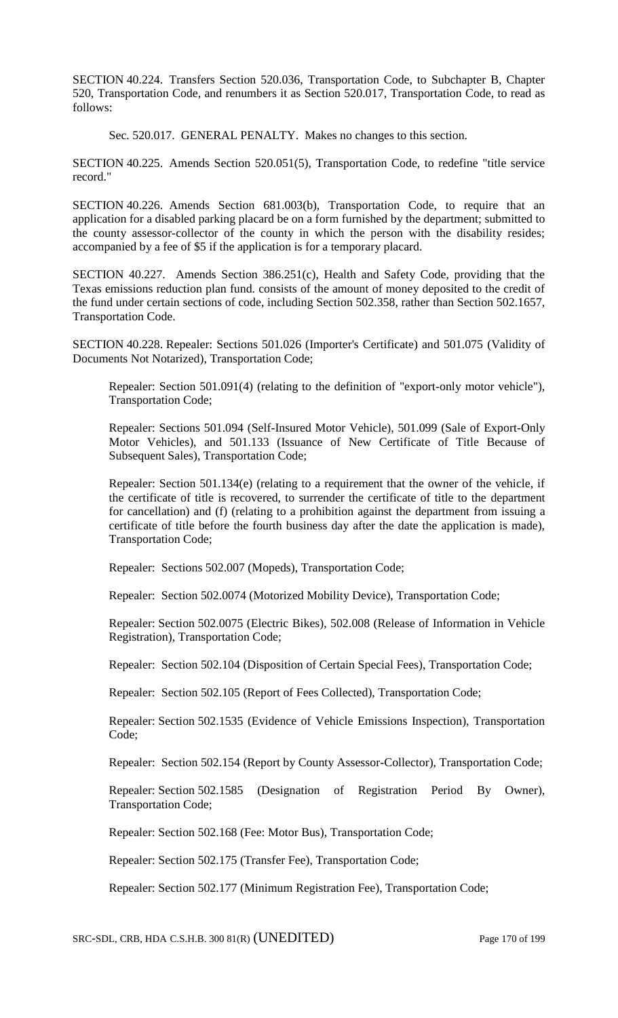SECTION 40.224. Transfers Section 520.036, Transportation Code, to Subchapter B, Chapter 520, Transportation Code, and renumbers it as Section 520.017, Transportation Code, to read as follows:

Sec. 520.017. GENERAL PENALTY. Makes no changes to this section.

SECTION 40.225. Amends Section 520.051(5), Transportation Code, to redefine "title service record."

SECTION 40.226. Amends Section 681.003(b), Transportation Code, to require that an application for a disabled parking placard be on a form furnished by the department; submitted to the county assessor-collector of the county in which the person with the disability resides; accompanied by a fee of \$5 if the application is for a temporary placard.

SECTION 40.227. Amends Section 386.251(c), Health and Safety Code, providing that the Texas emissions reduction plan fund. consists of the amount of money deposited to the credit of the fund under certain sections of code, including Section 502.358, rather than Section 502.1657, Transportation Code.

SECTION 40.228. Repealer: Sections 501.026 (Importer's Certificate) and 501.075 (Validity of Documents Not Notarized), Transportation Code;

Repealer: Section 501.091(4) (relating to the definition of "export-only motor vehicle"), Transportation Code;

Repealer: Sections 501.094 (Self-Insured Motor Vehicle), 501.099 (Sale of Export-Only Motor Vehicles), and 501.133 (Issuance of New Certificate of Title Because of Subsequent Sales), Transportation Code;

Repealer: Section 501.134(e) (relating to a requirement that the owner of the vehicle, if the certificate of title is recovered, to surrender the certificate of title to the department for cancellation) and (f) (relating to a prohibition against the department from issuing a certificate of title before the fourth business day after the date the application is made), Transportation Code;

Repealer: Sections 502.007 (Mopeds), Transportation Code;

Repealer: Section 502.0074 (Motorized Mobility Device), Transportation Code;

Repealer: Section 502.0075 (Electric Bikes), 502.008 (Release of Information in Vehicle Registration), Transportation Code;

Repealer: Section 502.104 (Disposition of Certain Special Fees), Transportation Code;

Repealer: Section 502.105 (Report of Fees Collected), Transportation Code;

Repealer: Section 502.1535 (Evidence of Vehicle Emissions Inspection), Transportation Code;

Repealer: Section 502.154 (Report by County Assessor-Collector), Transportation Code;

Repealer: Section 502.1585 (Designation of Registration Period By Owner), Transportation Code;

Repealer: Section 502.168 (Fee: Motor Bus), Transportation Code;

Repealer: Section 502.175 (Transfer Fee), Transportation Code;

Repealer: Section 502.177 (Minimum Registration Fee), Transportation Code;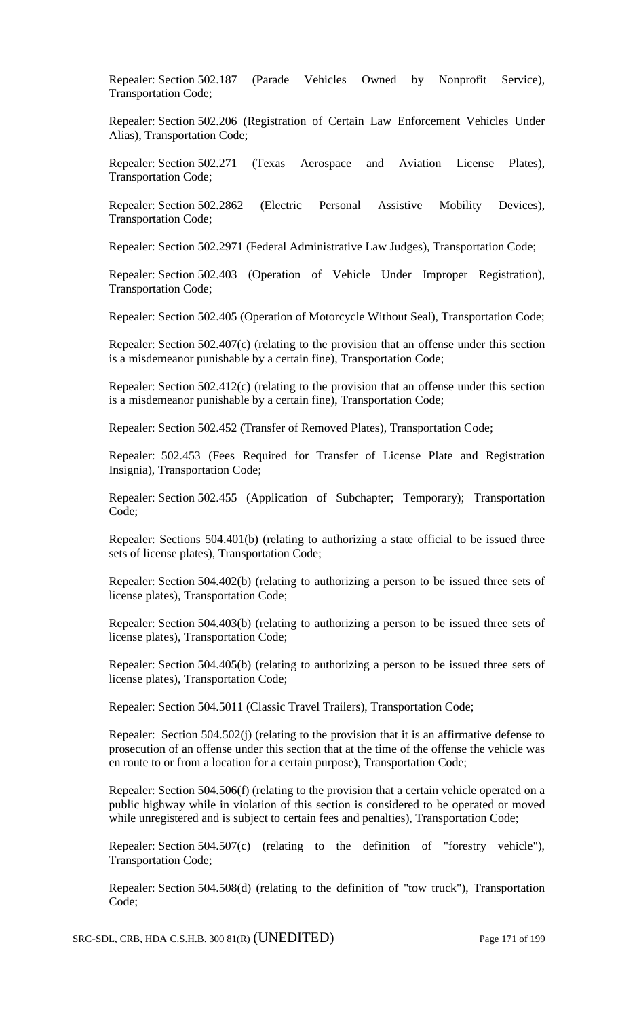Repealer: Section 502.187 (Parade Vehicles Owned by Nonprofit Service), Transportation Code;

Repealer: Section 502.206 (Registration of Certain Law Enforcement Vehicles Under Alias), Transportation Code;

Repealer: Section 502.271 (Texas Aerospace and Aviation License Plates), Transportation Code;

Repealer: Section 502.2862 (Electric Personal Assistive Mobility Devices), Transportation Code;

Repealer: Section 502.2971 (Federal Administrative Law Judges), Transportation Code;

Repealer: Section 502.403 (Operation of Vehicle Under Improper Registration), Transportation Code;

Repealer: Section 502.405 (Operation of Motorcycle Without Seal), Transportation Code;

Repealer: Section 502.407(c) (relating to the provision that an offense under this section is a misdemeanor punishable by a certain fine), Transportation Code;

Repealer: Section 502.412(c) (relating to the provision that an offense under this section is a misdemeanor punishable by a certain fine), Transportation Code;

Repealer: Section 502.452 (Transfer of Removed Plates), Transportation Code;

Repealer: 502.453 (Fees Required for Transfer of License Plate and Registration Insignia), Transportation Code;

Repealer: Section 502.455 (Application of Subchapter; Temporary); Transportation Code;

Repealer: Sections 504.401(b) (relating to authorizing a state official to be issued three sets of license plates), Transportation Code;

Repealer: Section 504.402(b) (relating to authorizing a person to be issued three sets of license plates), Transportation Code;

Repealer: Section 504.403(b) (relating to authorizing a person to be issued three sets of license plates), Transportation Code;

Repealer: Section 504.405(b) (relating to authorizing a person to be issued three sets of license plates), Transportation Code;

Repealer: Section 504.5011 (Classic Travel Trailers), Transportation Code;

Repealer: Section 504.502(j) (relating to the provision that it is an affirmative defense to prosecution of an offense under this section that at the time of the offense the vehicle was en route to or from a location for a certain purpose), Transportation Code;

Repealer: Section 504.506(f) (relating to the provision that a certain vehicle operated on a public highway while in violation of this section is considered to be operated or moved while unregistered and is subject to certain fees and penalties), Transportation Code;

Repealer: Section 504.507(c) (relating to the definition of "forestry vehicle"), Transportation Code;

Repealer: Section 504.508(d) (relating to the definition of "tow truck"), Transportation Code;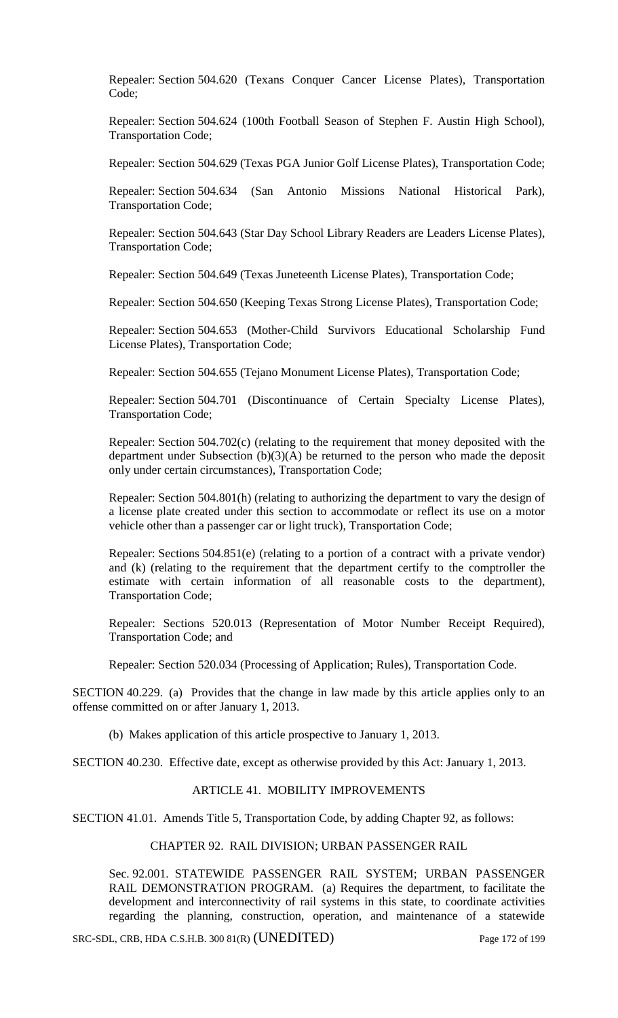Repealer: Section 504.620 (Texans Conquer Cancer License Plates), Transportation Code;

Repealer: Section 504.624 (100th Football Season of Stephen F. Austin High School), Transportation Code;

Repealer: Section 504.629 (Texas PGA Junior Golf License Plates), Transportation Code;

Repealer: Section 504.634 (San Antonio Missions National Historical Park), Transportation Code;

Repealer: Section 504.643 (Star Day School Library Readers are Leaders License Plates), Transportation Code;

Repealer: Section 504.649 (Texas Juneteenth License Plates), Transportation Code;

Repealer: Section 504.650 (Keeping Texas Strong License Plates), Transportation Code;

Repealer: Section 504.653 (Mother-Child Survivors Educational Scholarship Fund License Plates), Transportation Code;

Repealer: Section 504.655 (Tejano Monument License Plates), Transportation Code;

Repealer: Section 504.701 (Discontinuance of Certain Specialty License Plates), Transportation Code;

Repealer: Section 504.702(c) (relating to the requirement that money deposited with the department under Subsection (b)(3)(A) be returned to the person who made the deposit only under certain circumstances), Transportation Code;

Repealer: Section 504.801(h) (relating to authorizing the department to vary the design of a license plate created under this section to accommodate or reflect its use on a motor vehicle other than a passenger car or light truck), Transportation Code;

Repealer: Sections 504.851(e) (relating to a portion of a contract with a private vendor) and (k) (relating to the requirement that the department certify to the comptroller the estimate with certain information of all reasonable costs to the department), Transportation Code;

Repealer: Sections 520.013 (Representation of Motor Number Receipt Required), Transportation Code; and

Repealer: Section 520.034 (Processing of Application; Rules), Transportation Code.

SECTION 40.229. (a) Provides that the change in law made by this article applies only to an offense committed on or after January 1, 2013.

(b) Makes application of this article prospective to January 1, 2013.

SECTION 40.230. Effective date, except as otherwise provided by this Act: January 1, 2013.

#### ARTICLE 41. MOBILITY IMPROVEMENTS

SECTION 41.01. Amends Title 5, Transportation Code, by adding Chapter 92, as follows:

### CHAPTER 92. RAIL DIVISION; URBAN PASSENGER RAIL

Sec. 92.001. STATEWIDE PASSENGER RAIL SYSTEM; URBAN PASSENGER RAIL DEMONSTRATION PROGRAM. (a) Requires the department, to facilitate the development and interconnectivity of rail systems in this state, to coordinate activities regarding the planning, construction, operation, and maintenance of a statewide

SRC-SDL, CRB, HDA C.S.H.B. 300 81(R) (UNEDITED) Page 172 of 199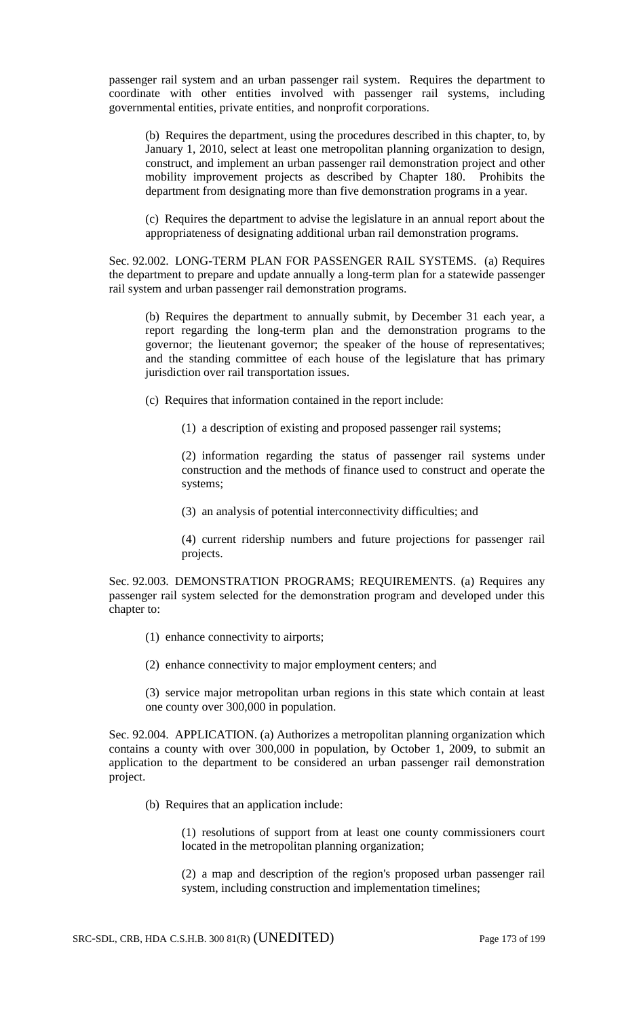passenger rail system and an urban passenger rail system. Requires the department to coordinate with other entities involved with passenger rail systems, including governmental entities, private entities, and nonprofit corporations.

(b) Requires the department, using the procedures described in this chapter, to, by January 1, 2010, select at least one metropolitan planning organization to design, construct, and implement an urban passenger rail demonstration project and other mobility improvement projects as described by Chapter 180. Prohibits the department from designating more than five demonstration programs in a year.

(c) Requires the department to advise the legislature in an annual report about the appropriateness of designating additional urban rail demonstration programs.

Sec. 92.002. LONG-TERM PLAN FOR PASSENGER RAIL SYSTEMS. (a) Requires the department to prepare and update annually a long-term plan for a statewide passenger rail system and urban passenger rail demonstration programs.

(b) Requires the department to annually submit, by December 31 each year, a report regarding the long-term plan and the demonstration programs to the governor; the lieutenant governor; the speaker of the house of representatives; and the standing committee of each house of the legislature that has primary jurisdiction over rail transportation issues.

(c) Requires that information contained in the report include:

(1) a description of existing and proposed passenger rail systems;

(2) information regarding the status of passenger rail systems under construction and the methods of finance used to construct and operate the systems;

(3) an analysis of potential interconnectivity difficulties; and

(4) current ridership numbers and future projections for passenger rail projects.

Sec. 92.003. DEMONSTRATION PROGRAMS; REQUIREMENTS. (a) Requires any passenger rail system selected for the demonstration program and developed under this chapter to:

- (1) enhance connectivity to airports;
- (2) enhance connectivity to major employment centers; and

(3) service major metropolitan urban regions in this state which contain at least one county over 300,000 in population.

Sec. 92.004. APPLICATION. (a) Authorizes a metropolitan planning organization which contains a county with over 300,000 in population, by October 1, 2009, to submit an application to the department to be considered an urban passenger rail demonstration project.

(b) Requires that an application include:

(1) resolutions of support from at least one county commissioners court located in the metropolitan planning organization;

(2) a map and description of the region's proposed urban passenger rail system, including construction and implementation timelines;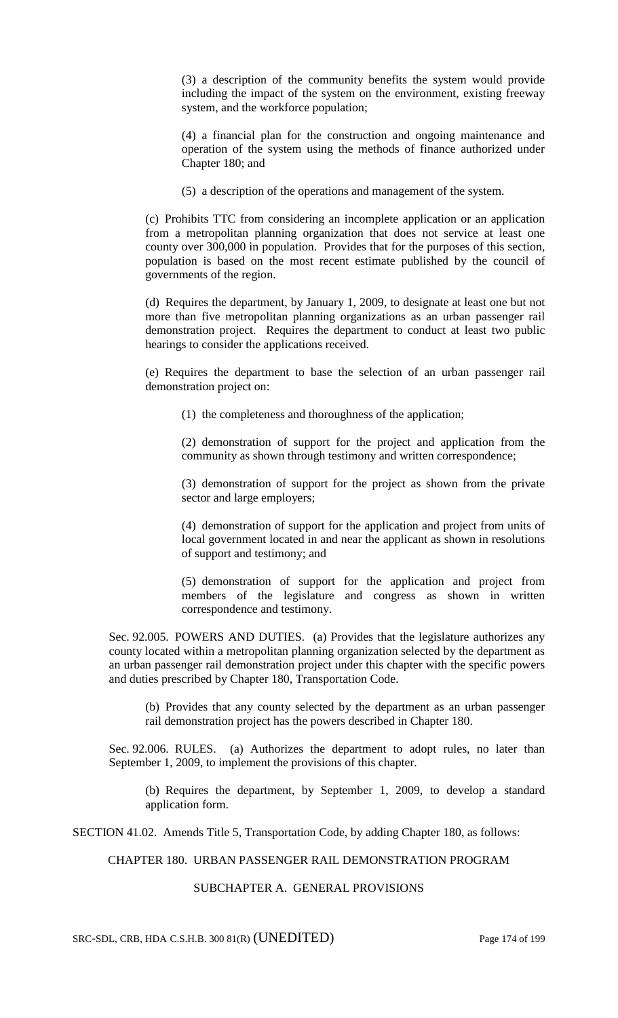(3) a description of the community benefits the system would provide including the impact of the system on the environment, existing freeway system, and the workforce population;

(4) a financial plan for the construction and ongoing maintenance and operation of the system using the methods of finance authorized under Chapter 180; and

(5) a description of the operations and management of the system.

(c) Prohibits TTC from considering an incomplete application or an application from a metropolitan planning organization that does not service at least one county over 300,000 in population. Provides that for the purposes of this section, population is based on the most recent estimate published by the council of governments of the region.

(d) Requires the department, by January 1, 2009, to designate at least one but not more than five metropolitan planning organizations as an urban passenger rail demonstration project. Requires the department to conduct at least two public hearings to consider the applications received.

(e) Requires the department to base the selection of an urban passenger rail demonstration project on:

(1) the completeness and thoroughness of the application;

(2) demonstration of support for the project and application from the community as shown through testimony and written correspondence;

(3) demonstration of support for the project as shown from the private sector and large employers;

(4) demonstration of support for the application and project from units of local government located in and near the applicant as shown in resolutions of support and testimony; and

(5) demonstration of support for the application and project from members of the legislature and congress as shown in written correspondence and testimony.

Sec. 92.005. POWERS AND DUTIES. (a) Provides that the legislature authorizes any county located within a metropolitan planning organization selected by the department as an urban passenger rail demonstration project under this chapter with the specific powers and duties prescribed by Chapter 180, Transportation Code.

(b) Provides that any county selected by the department as an urban passenger rail demonstration project has the powers described in Chapter 180.

Sec. 92.006. RULES. (a) Authorizes the department to adopt rules, no later than September 1, 2009, to implement the provisions of this chapter.

(b) Requires the department, by September 1, 2009, to develop a standard application form.

SECTION 41.02. Amends Title 5, Transportation Code, by adding Chapter 180, as follows:

CHAPTER 180. URBAN PASSENGER RAIL DEMONSTRATION PROGRAM

## SUBCHAPTER A. GENERAL PROVISIONS

SRC-SDL, CRB, HDA C.S.H.B. 300 81(R) (UNEDITED) Page 174 of 199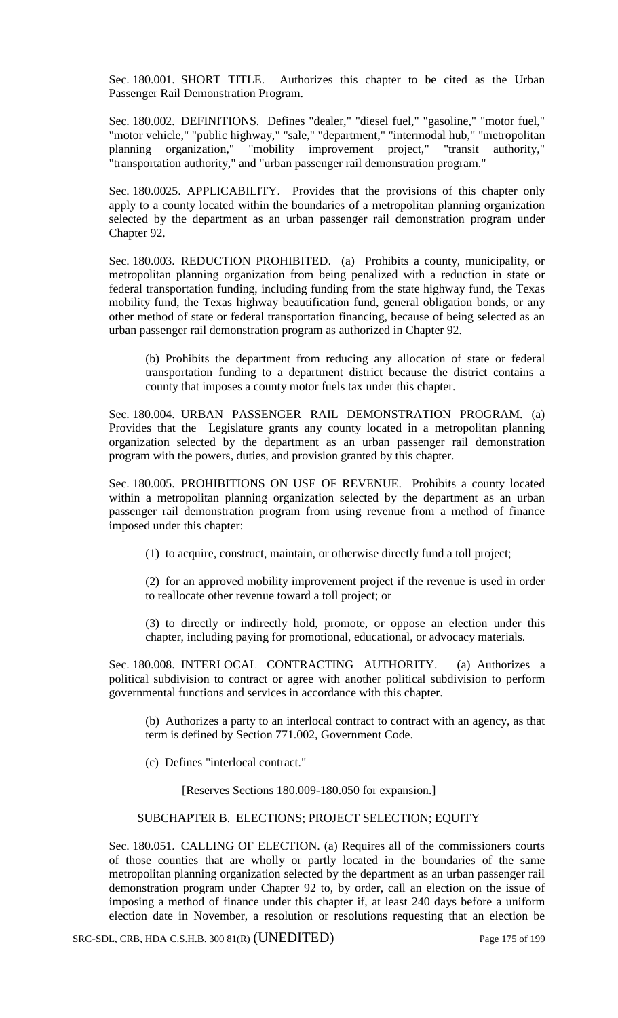Sec. 180.001. SHORT TITLE. Authorizes this chapter to be cited as the Urban Passenger Rail Demonstration Program.

Sec. 180.002. DEFINITIONS. Defines "dealer," "diesel fuel," "gasoline," "motor fuel," "motor vehicle," "public highway," "sale," "department," "intermodal hub," "metropolitan planning organization," "mobility improvement project," "transit authority," "transportation authority," and "urban passenger rail demonstration program."

Sec. 180.0025. APPLICABILITY. Provides that the provisions of this chapter only apply to a county located within the boundaries of a metropolitan planning organization selected by the department as an urban passenger rail demonstration program under Chapter 92.

Sec. 180.003. REDUCTION PROHIBITED. (a) Prohibits a county, municipality, or metropolitan planning organization from being penalized with a reduction in state or federal transportation funding, including funding from the state highway fund, the Texas mobility fund, the Texas highway beautification fund, general obligation bonds, or any other method of state or federal transportation financing, because of being selected as an urban passenger rail demonstration program as authorized in Chapter 92.

(b) Prohibits the department from reducing any allocation of state or federal transportation funding to a department district because the district contains a county that imposes a county motor fuels tax under this chapter.

Sec. 180.004. URBAN PASSENGER RAIL DEMONSTRATION PROGRAM. (a) Provides that the Legislature grants any county located in a metropolitan planning organization selected by the department as an urban passenger rail demonstration program with the powers, duties, and provision granted by this chapter.

Sec. 180.005. PROHIBITIONS ON USE OF REVENUE. Prohibits a county located within a metropolitan planning organization selected by the department as an urban passenger rail demonstration program from using revenue from a method of finance imposed under this chapter:

(1) to acquire, construct, maintain, or otherwise directly fund a toll project;

(2) for an approved mobility improvement project if the revenue is used in order to reallocate other revenue toward a toll project; or

(3) to directly or indirectly hold, promote, or oppose an election under this chapter, including paying for promotional, educational, or advocacy materials.

Sec. 180.008. INTERLOCAL CONTRACTING AUTHORITY. (a) Authorizes a political subdivision to contract or agree with another political subdivision to perform governmental functions and services in accordance with this chapter.

(b) Authorizes a party to an interlocal contract to contract with an agency, as that term is defined by Section 771.002, Government Code.

(c) Defines "interlocal contract."

[Reserves Sections 180.009-180.050 for expansion.]

## SUBCHAPTER B. ELECTIONS; PROJECT SELECTION; EQUITY

Sec. 180.051. CALLING OF ELECTION. (a) Requires all of the commissioners courts of those counties that are wholly or partly located in the boundaries of the same metropolitan planning organization selected by the department as an urban passenger rail demonstration program under Chapter 92 to, by order, call an election on the issue of imposing a method of finance under this chapter if, at least 240 days before a uniform election date in November, a resolution or resolutions requesting that an election be

SRC-SDL, CRB, HDA C.S.H.B. 300 81(R) (UNEDITED) Page 175 of 199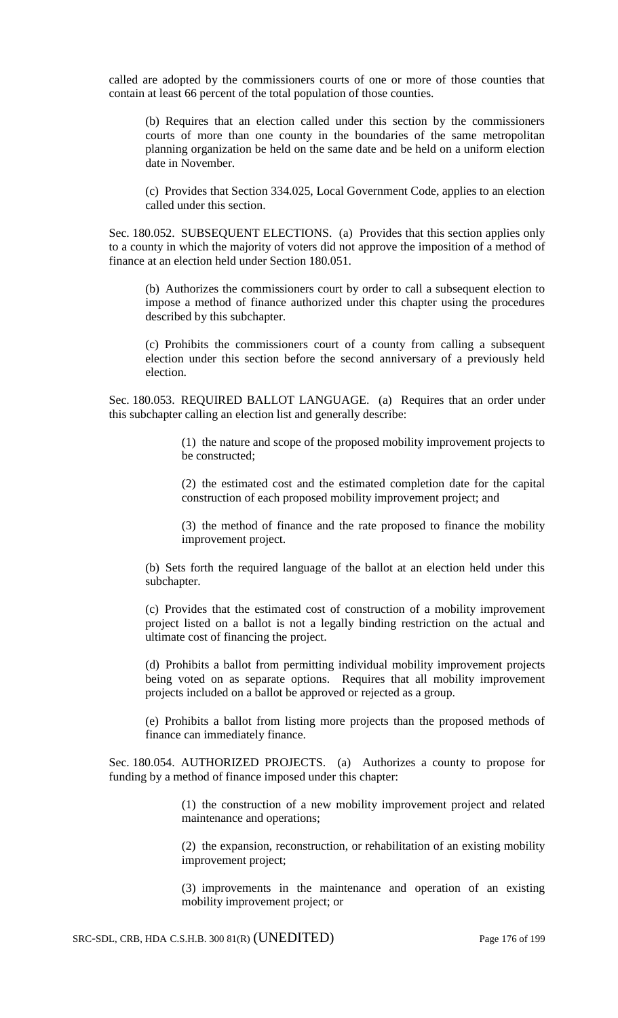called are adopted by the commissioners courts of one or more of those counties that contain at least 66 percent of the total population of those counties.

(b) Requires that an election called under this section by the commissioners courts of more than one county in the boundaries of the same metropolitan planning organization be held on the same date and be held on a uniform election date in November.

(c) Provides that Section 334.025, Local Government Code, applies to an election called under this section.

Sec. 180.052. SUBSEQUENT ELECTIONS. (a) Provides that this section applies only to a county in which the majority of voters did not approve the imposition of a method of finance at an election held under Section 180.051.

(b) Authorizes the commissioners court by order to call a subsequent election to impose a method of finance authorized under this chapter using the procedures described by this subchapter.

(c) Prohibits the commissioners court of a county from calling a subsequent election under this section before the second anniversary of a previously held election.

Sec. 180.053. REQUIRED BALLOT LANGUAGE. (a) Requires that an order under this subchapter calling an election list and generally describe:

> (1) the nature and scope of the proposed mobility improvement projects to be constructed;

> (2) the estimated cost and the estimated completion date for the capital construction of each proposed mobility improvement project; and

> (3) the method of finance and the rate proposed to finance the mobility improvement project.

(b) Sets forth the required language of the ballot at an election held under this subchapter.

(c) Provides that the estimated cost of construction of a mobility improvement project listed on a ballot is not a legally binding restriction on the actual and ultimate cost of financing the project.

(d) Prohibits a ballot from permitting individual mobility improvement projects being voted on as separate options. Requires that all mobility improvement projects included on a ballot be approved or rejected as a group.

(e) Prohibits a ballot from listing more projects than the proposed methods of finance can immediately finance.

Sec. 180.054. AUTHORIZED PROJECTS. (a) Authorizes a county to propose for funding by a method of finance imposed under this chapter:

> (1) the construction of a new mobility improvement project and related maintenance and operations;

> (2) the expansion, reconstruction, or rehabilitation of an existing mobility improvement project;

> (3) improvements in the maintenance and operation of an existing mobility improvement project; or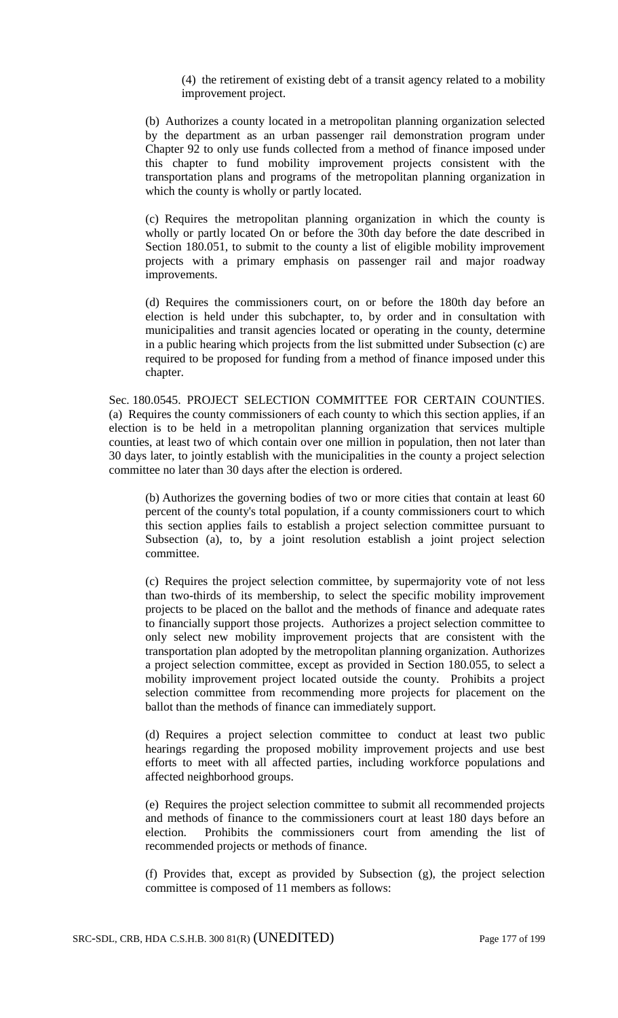(4) the retirement of existing debt of a transit agency related to a mobility improvement project.

(b) Authorizes a county located in a metropolitan planning organization selected by the department as an urban passenger rail demonstration program under Chapter 92 to only use funds collected from a method of finance imposed under this chapter to fund mobility improvement projects consistent with the transportation plans and programs of the metropolitan planning organization in which the county is wholly or partly located.

(c) Requires the metropolitan planning organization in which the county is wholly or partly located On or before the 30th day before the date described in Section 180.051, to submit to the county a list of eligible mobility improvement projects with a primary emphasis on passenger rail and major roadway improvements.

(d) Requires the commissioners court, on or before the 180th day before an election is held under this subchapter, to, by order and in consultation with municipalities and transit agencies located or operating in the county, determine in a public hearing which projects from the list submitted under Subsection (c) are required to be proposed for funding from a method of finance imposed under this chapter.

Sec. 180.0545. PROJECT SELECTION COMMITTEE FOR CERTAIN COUNTIES. (a) Requires the county commissioners of each county to which this section applies, if an election is to be held in a metropolitan planning organization that services multiple counties, at least two of which contain over one million in population, then not later than 30 days later, to jointly establish with the municipalities in the county a project selection committee no later than 30 days after the election is ordered.

(b) Authorizes the governing bodies of two or more cities that contain at least 60 percent of the county's total population, if a county commissioners court to which this section applies fails to establish a project selection committee pursuant to Subsection (a), to, by a joint resolution establish a joint project selection committee.

(c) Requires the project selection committee, by supermajority vote of not less than two-thirds of its membership, to select the specific mobility improvement projects to be placed on the ballot and the methods of finance and adequate rates to financially support those projects. Authorizes a project selection committee to only select new mobility improvement projects that are consistent with the transportation plan adopted by the metropolitan planning organization. Authorizes a project selection committee, except as provided in Section 180.055, to select a mobility improvement project located outside the county. Prohibits a project selection committee from recommending more projects for placement on the ballot than the methods of finance can immediately support.

(d) Requires a project selection committee to conduct at least two public hearings regarding the proposed mobility improvement projects and use best efforts to meet with all affected parties, including workforce populations and affected neighborhood groups.

(e) Requires the project selection committee to submit all recommended projects and methods of finance to the commissioners court at least 180 days before an election. Prohibits the commissioners court from amending the list of recommended projects or methods of finance.

(f) Provides that, except as provided by Subsection (g), the project selection committee is composed of 11 members as follows: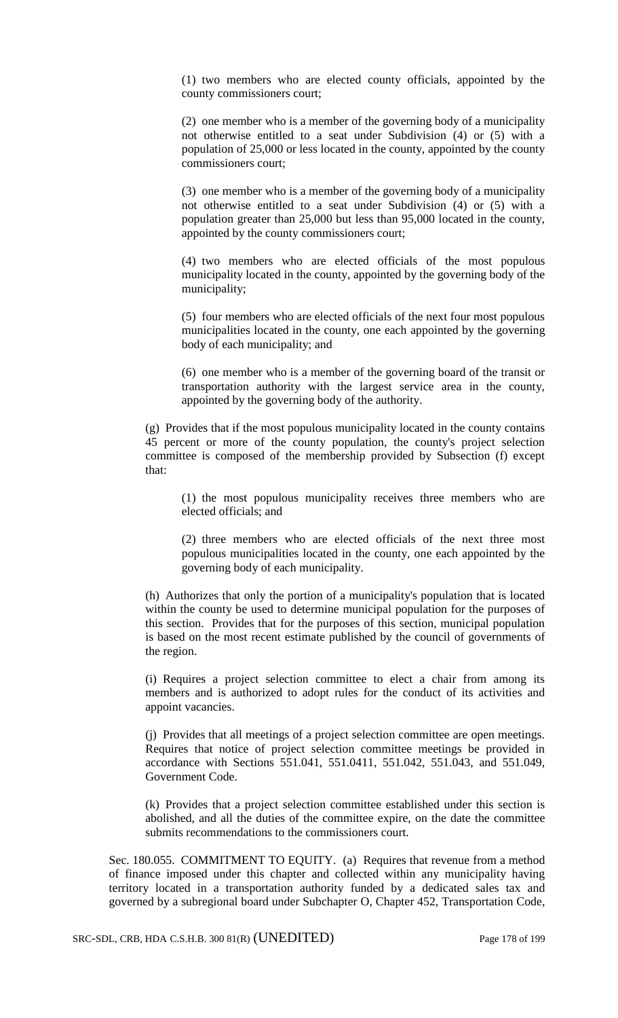(1) two members who are elected county officials, appointed by the county commissioners court;

(2) one member who is a member of the governing body of a municipality not otherwise entitled to a seat under Subdivision (4) or (5) with a population of 25,000 or less located in the county, appointed by the county commissioners court;

(3) one member who is a member of the governing body of a municipality not otherwise entitled to a seat under Subdivision (4) or (5) with a population greater than 25,000 but less than 95,000 located in the county, appointed by the county commissioners court;

(4) two members who are elected officials of the most populous municipality located in the county, appointed by the governing body of the municipality;

(5) four members who are elected officials of the next four most populous municipalities located in the county, one each appointed by the governing body of each municipality; and

(6) one member who is a member of the governing board of the transit or transportation authority with the largest service area in the county, appointed by the governing body of the authority.

(g) Provides that if the most populous municipality located in the county contains 45 percent or more of the county population, the county's project selection committee is composed of the membership provided by Subsection (f) except that:

(1) the most populous municipality receives three members who are elected officials; and

(2) three members who are elected officials of the next three most populous municipalities located in the county, one each appointed by the governing body of each municipality.

(h) Authorizes that only the portion of a municipality's population that is located within the county be used to determine municipal population for the purposes of this section. Provides that for the purposes of this section, municipal population is based on the most recent estimate published by the council of governments of the region.

(i) Requires a project selection committee to elect a chair from among its members and is authorized to adopt rules for the conduct of its activities and appoint vacancies.

(j) Provides that all meetings of a project selection committee are open meetings. Requires that notice of project selection committee meetings be provided in accordance with Sections 551.041, 551.0411, 551.042, 551.043, and 551.049, Government Code.

(k) Provides that a project selection committee established under this section is abolished, and all the duties of the committee expire, on the date the committee submits recommendations to the commissioners court.

Sec. 180.055. COMMITMENT TO EQUITY. (a) Requires that revenue from a method of finance imposed under this chapter and collected within any municipality having territory located in a transportation authority funded by a dedicated sales tax and governed by a subregional board under Subchapter O, Chapter 452, Transportation Code,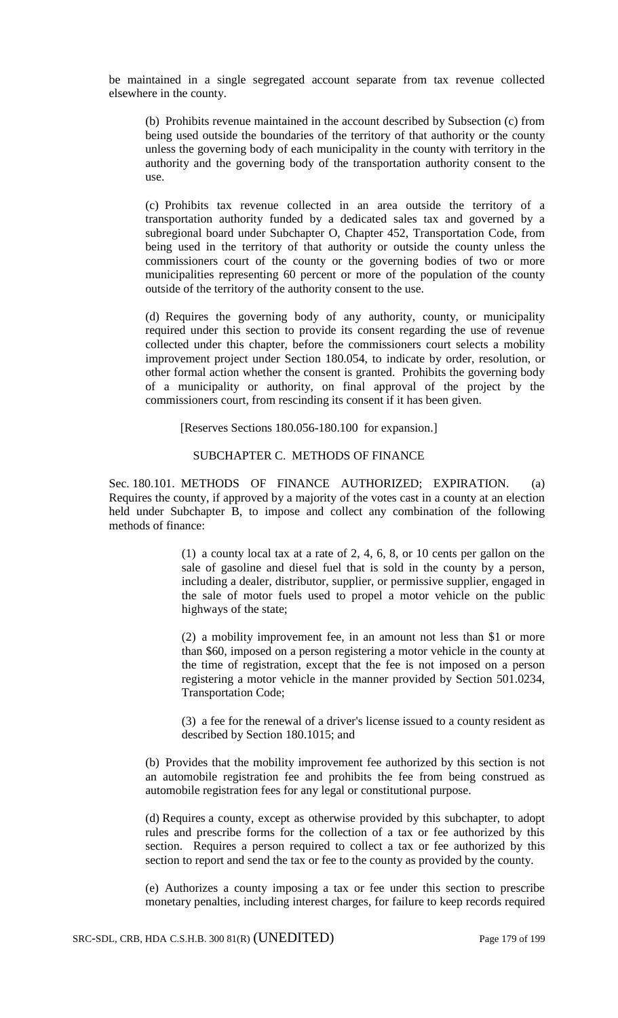be maintained in a single segregated account separate from tax revenue collected elsewhere in the county.

(b) Prohibits revenue maintained in the account described by Subsection (c) from being used outside the boundaries of the territory of that authority or the county unless the governing body of each municipality in the county with territory in the authority and the governing body of the transportation authority consent to the use.

(c) Prohibits tax revenue collected in an area outside the territory of a transportation authority funded by a dedicated sales tax and governed by a subregional board under Subchapter O, Chapter 452, Transportation Code, from being used in the territory of that authority or outside the county unless the commissioners court of the county or the governing bodies of two or more municipalities representing 60 percent or more of the population of the county outside of the territory of the authority consent to the use.

(d) Requires the governing body of any authority, county, or municipality required under this section to provide its consent regarding the use of revenue collected under this chapter, before the commissioners court selects a mobility improvement project under Section 180.054, to indicate by order, resolution, or other formal action whether the consent is granted. Prohibits the governing body of a municipality or authority, on final approval of the project by the commissioners court, from rescinding its consent if it has been given.

[Reserves Sections 180.056-180.100 for expansion.]

## SUBCHAPTER C. METHODS OF FINANCE

Sec. 180.101. METHODS OF FINANCE AUTHORIZED; EXPIRATION. (a) Requires the county, if approved by a majority of the votes cast in a county at an election held under Subchapter B, to impose and collect any combination of the following methods of finance:

> (1) a county local tax at a rate of 2, 4, 6, 8, or 10 cents per gallon on the sale of gasoline and diesel fuel that is sold in the county by a person, including a dealer, distributor, supplier, or permissive supplier, engaged in the sale of motor fuels used to propel a motor vehicle on the public highways of the state;

> (2) a mobility improvement fee, in an amount not less than \$1 or more than \$60, imposed on a person registering a motor vehicle in the county at the time of registration, except that the fee is not imposed on a person registering a motor vehicle in the manner provided by Section 501.0234, Transportation Code;

> (3) a fee for the renewal of a driver's license issued to a county resident as described by Section 180.1015; and

(b) Provides that the mobility improvement fee authorized by this section is not an automobile registration fee and prohibits the fee from being construed as automobile registration fees for any legal or constitutional purpose.

(d) Requires a county, except as otherwise provided by this subchapter, to adopt rules and prescribe forms for the collection of a tax or fee authorized by this section. Requires a person required to collect a tax or fee authorized by this section to report and send the tax or fee to the county as provided by the county.

(e) Authorizes a county imposing a tax or fee under this section to prescribe monetary penalties, including interest charges, for failure to keep records required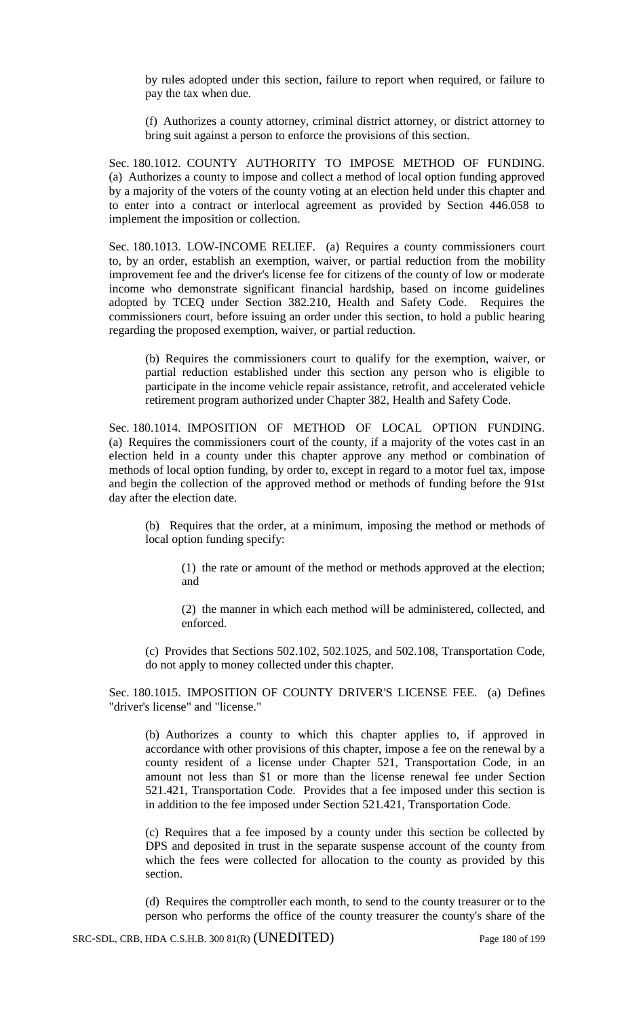by rules adopted under this section, failure to report when required, or failure to pay the tax when due.

(f) Authorizes a county attorney, criminal district attorney, or district attorney to bring suit against a person to enforce the provisions of this section.

Sec. 180.1012. COUNTY AUTHORITY TO IMPOSE METHOD OF FUNDING. (a) Authorizes a county to impose and collect a method of local option funding approved by a majority of the voters of the county voting at an election held under this chapter and to enter into a contract or interlocal agreement as provided by Section 446.058 to implement the imposition or collection.

Sec. 180.1013. LOW-INCOME RELIEF. (a) Requires a county commissioners court to, by an order, establish an exemption, waiver, or partial reduction from the mobility improvement fee and the driver's license fee for citizens of the county of low or moderate income who demonstrate significant financial hardship, based on income guidelines adopted by TCEQ under Section 382.210, Health and Safety Code. Requires the commissioners court, before issuing an order under this section, to hold a public hearing regarding the proposed exemption, waiver, or partial reduction.

(b) Requires the commissioners court to qualify for the exemption, waiver, or partial reduction established under this section any person who is eligible to participate in the income vehicle repair assistance, retrofit, and accelerated vehicle retirement program authorized under Chapter 382, Health and Safety Code.

Sec. 180.1014. IMPOSITION OF METHOD OF LOCAL OPTION FUNDING. (a) Requires the commissioners court of the county, if a majority of the votes cast in an election held in a county under this chapter approve any method or combination of methods of local option funding, by order to, except in regard to a motor fuel tax, impose and begin the collection of the approved method or methods of funding before the 91st day after the election date.

(b) Requires that the order, at a minimum, imposing the method or methods of local option funding specify:

(1) the rate or amount of the method or methods approved at the election; and

(2) the manner in which each method will be administered, collected, and enforced.

(c) Provides that Sections 502.102, 502.1025, and 502.108, Transportation Code, do not apply to money collected under this chapter.

Sec. 180.1015. IMPOSITION OF COUNTY DRIVER'S LICENSE FEE. (a) Defines "driver's license" and "license."

(b) Authorizes a county to which this chapter applies to, if approved in accordance with other provisions of this chapter, impose a fee on the renewal by a county resident of a license under Chapter 521, Transportation Code, in an amount not less than \$1 or more than the license renewal fee under Section 521.421, Transportation Code. Provides that a fee imposed under this section is in addition to the fee imposed under Section 521.421, Transportation Code.

(c) Requires that a fee imposed by a county under this section be collected by DPS and deposited in trust in the separate suspense account of the county from which the fees were collected for allocation to the county as provided by this section.

(d) Requires the comptroller each month, to send to the county treasurer or to the person who performs the office of the county treasurer the county's share of the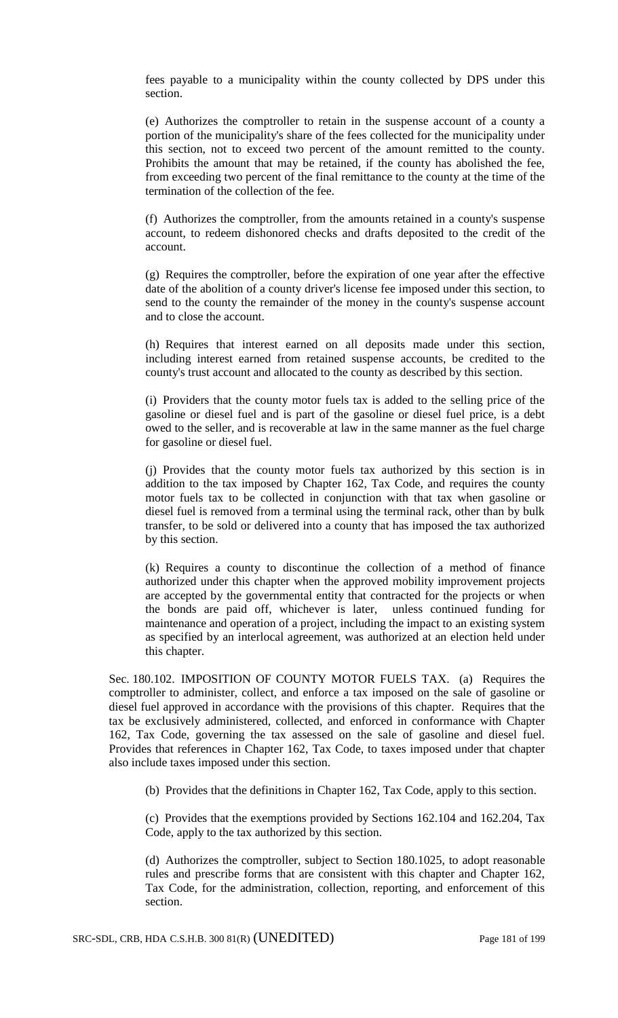fees payable to a municipality within the county collected by DPS under this section.

(e) Authorizes the comptroller to retain in the suspense account of a county a portion of the municipality's share of the fees collected for the municipality under this section, not to exceed two percent of the amount remitted to the county. Prohibits the amount that may be retained, if the county has abolished the fee, from exceeding two percent of the final remittance to the county at the time of the termination of the collection of the fee.

(f) Authorizes the comptroller, from the amounts retained in a county's suspense account, to redeem dishonored checks and drafts deposited to the credit of the account.

(g) Requires the comptroller, before the expiration of one year after the effective date of the abolition of a county driver's license fee imposed under this section, to send to the county the remainder of the money in the county's suspense account and to close the account.

(h) Requires that interest earned on all deposits made under this section, including interest earned from retained suspense accounts, be credited to the county's trust account and allocated to the county as described by this section.

(i) Providers that the county motor fuels tax is added to the selling price of the gasoline or diesel fuel and is part of the gasoline or diesel fuel price, is a debt owed to the seller, and is recoverable at law in the same manner as the fuel charge for gasoline or diesel fuel.

(j) Provides that the county motor fuels tax authorized by this section is in addition to the tax imposed by Chapter 162, Tax Code, and requires the county motor fuels tax to be collected in conjunction with that tax when gasoline or diesel fuel is removed from a terminal using the terminal rack, other than by bulk transfer, to be sold or delivered into a county that has imposed the tax authorized by this section.

(k) Requires a county to discontinue the collection of a method of finance authorized under this chapter when the approved mobility improvement projects are accepted by the governmental entity that contracted for the projects or when the bonds are paid off, whichever is later, unless continued funding for maintenance and operation of a project, including the impact to an existing system as specified by an interlocal agreement, was authorized at an election held under this chapter.

Sec. 180.102. IMPOSITION OF COUNTY MOTOR FUELS TAX. (a) Requires the comptroller to administer, collect, and enforce a tax imposed on the sale of gasoline or diesel fuel approved in accordance with the provisions of this chapter. Requires that the tax be exclusively administered, collected, and enforced in conformance with Chapter 162, Tax Code, governing the tax assessed on the sale of gasoline and diesel fuel. Provides that references in Chapter 162, Tax Code, to taxes imposed under that chapter also include taxes imposed under this section.

(b) Provides that the definitions in Chapter 162, Tax Code, apply to this section.

(c) Provides that the exemptions provided by Sections 162.104 and 162.204, Tax Code, apply to the tax authorized by this section.

(d) Authorizes the comptroller, subject to Section 180.1025, to adopt reasonable rules and prescribe forms that are consistent with this chapter and Chapter 162, Tax Code, for the administration, collection, reporting, and enforcement of this section.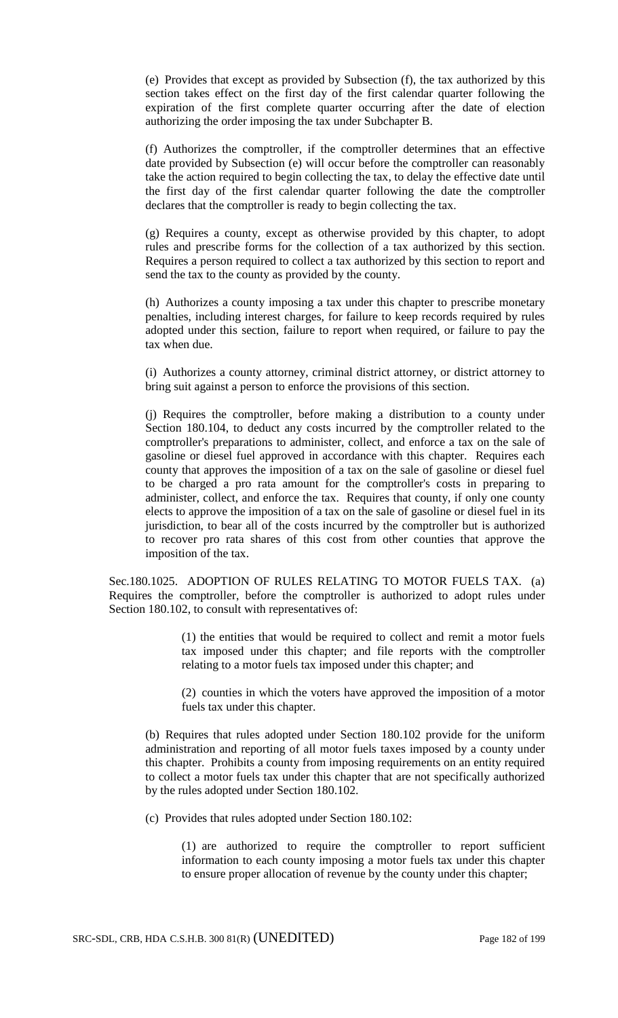(e) Provides that except as provided by Subsection (f), the tax authorized by this section takes effect on the first day of the first calendar quarter following the expiration of the first complete quarter occurring after the date of election authorizing the order imposing the tax under Subchapter B.

(f) Authorizes the comptroller, if the comptroller determines that an effective date provided by Subsection (e) will occur before the comptroller can reasonably take the action required to begin collecting the tax, to delay the effective date until the first day of the first calendar quarter following the date the comptroller declares that the comptroller is ready to begin collecting the tax.

(g) Requires a county, except as otherwise provided by this chapter, to adopt rules and prescribe forms for the collection of a tax authorized by this section. Requires a person required to collect a tax authorized by this section to report and send the tax to the county as provided by the county.

(h) Authorizes a county imposing a tax under this chapter to prescribe monetary penalties, including interest charges, for failure to keep records required by rules adopted under this section, failure to report when required, or failure to pay the tax when due.

(i) Authorizes a county attorney, criminal district attorney, or district attorney to bring suit against a person to enforce the provisions of this section.

(j) Requires the comptroller, before making a distribution to a county under Section 180.104, to deduct any costs incurred by the comptroller related to the comptroller's preparations to administer, collect, and enforce a tax on the sale of gasoline or diesel fuel approved in accordance with this chapter. Requires each county that approves the imposition of a tax on the sale of gasoline or diesel fuel to be charged a pro rata amount for the comptroller's costs in preparing to administer, collect, and enforce the tax. Requires that county, if only one county elects to approve the imposition of a tax on the sale of gasoline or diesel fuel in its jurisdiction, to bear all of the costs incurred by the comptroller but is authorized to recover pro rata shares of this cost from other counties that approve the imposition of the tax.

Sec.180.1025. ADOPTION OF RULES RELATING TO MOTOR FUELS TAX. (a) Requires the comptroller, before the comptroller is authorized to adopt rules under Section 180.102, to consult with representatives of:

> (1) the entities that would be required to collect and remit a motor fuels tax imposed under this chapter; and file reports with the comptroller relating to a motor fuels tax imposed under this chapter; and

> (2) counties in which the voters have approved the imposition of a motor fuels tax under this chapter.

(b) Requires that rules adopted under Section 180.102 provide for the uniform administration and reporting of all motor fuels taxes imposed by a county under this chapter. Prohibits a county from imposing requirements on an entity required to collect a motor fuels tax under this chapter that are not specifically authorized by the rules adopted under Section 180.102.

(c) Provides that rules adopted under Section 180.102:

(1) are authorized to require the comptroller to report sufficient information to each county imposing a motor fuels tax under this chapter to ensure proper allocation of revenue by the county under this chapter;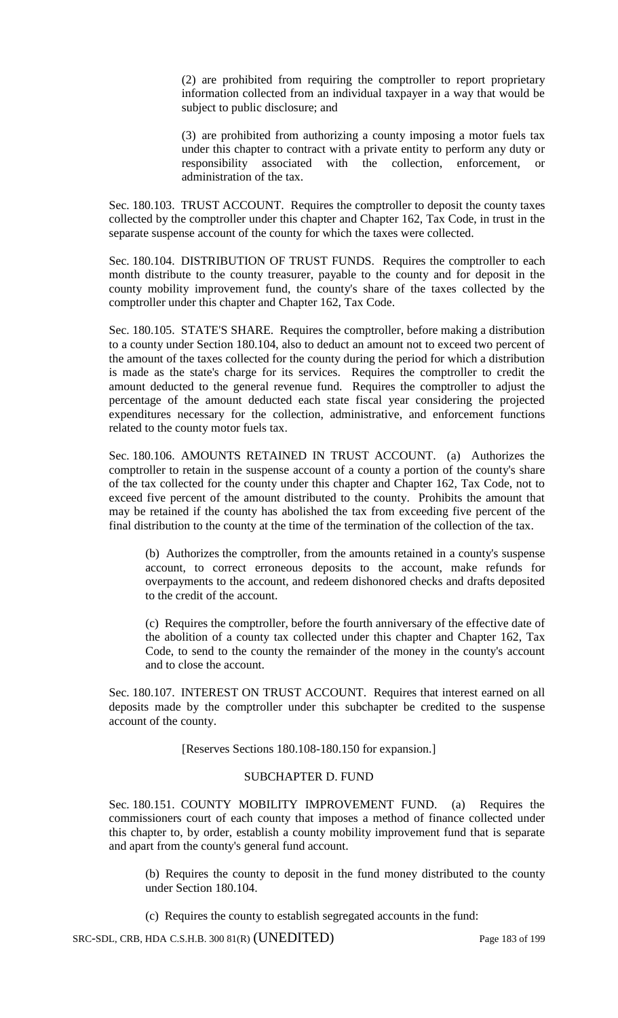(2) are prohibited from requiring the comptroller to report proprietary information collected from an individual taxpayer in a way that would be subject to public disclosure; and

(3) are prohibited from authorizing a county imposing a motor fuels tax under this chapter to contract with a private entity to perform any duty or responsibility associated with the collection, enforcement, administration of the tax.

Sec. 180.103. TRUST ACCOUNT. Requires the comptroller to deposit the county taxes collected by the comptroller under this chapter and Chapter 162, Tax Code, in trust in the separate suspense account of the county for which the taxes were collected.

Sec. 180.104. DISTRIBUTION OF TRUST FUNDS. Requires the comptroller to each month distribute to the county treasurer, payable to the county and for deposit in the county mobility improvement fund, the county's share of the taxes collected by the comptroller under this chapter and Chapter 162, Tax Code.

Sec. 180.105. STATE'S SHARE. Requires the comptroller, before making a distribution to a county under Section 180.104, also to deduct an amount not to exceed two percent of the amount of the taxes collected for the county during the period for which a distribution is made as the state's charge for its services. Requires the comptroller to credit the amount deducted to the general revenue fund. Requires the comptroller to adjust the percentage of the amount deducted each state fiscal year considering the projected expenditures necessary for the collection, administrative, and enforcement functions related to the county motor fuels tax.

Sec. 180.106. AMOUNTS RETAINED IN TRUST ACCOUNT. (a) Authorizes the comptroller to retain in the suspense account of a county a portion of the county's share of the tax collected for the county under this chapter and Chapter 162, Tax Code, not to exceed five percent of the amount distributed to the county. Prohibits the amount that may be retained if the county has abolished the tax from exceeding five percent of the final distribution to the county at the time of the termination of the collection of the tax.

(b) Authorizes the comptroller, from the amounts retained in a county's suspense account, to correct erroneous deposits to the account, make refunds for overpayments to the account, and redeem dishonored checks and drafts deposited to the credit of the account.

(c) Requires the comptroller, before the fourth anniversary of the effective date of the abolition of a county tax collected under this chapter and Chapter 162, Tax Code, to send to the county the remainder of the money in the county's account and to close the account.

Sec. 180.107. INTEREST ON TRUST ACCOUNT. Requires that interest earned on all deposits made by the comptroller under this subchapter be credited to the suspense account of the county.

[Reserves Sections 180.108-180.150 for expansion.]

#### SUBCHAPTER D. FUND

Sec. 180.151. COUNTY MOBILITY IMPROVEMENT FUND. (a) Requires the commissioners court of each county that imposes a method of finance collected under this chapter to, by order, establish a county mobility improvement fund that is separate and apart from the county's general fund account.

(b) Requires the county to deposit in the fund money distributed to the county under Section 180.104.

(c) Requires the county to establish segregated accounts in the fund: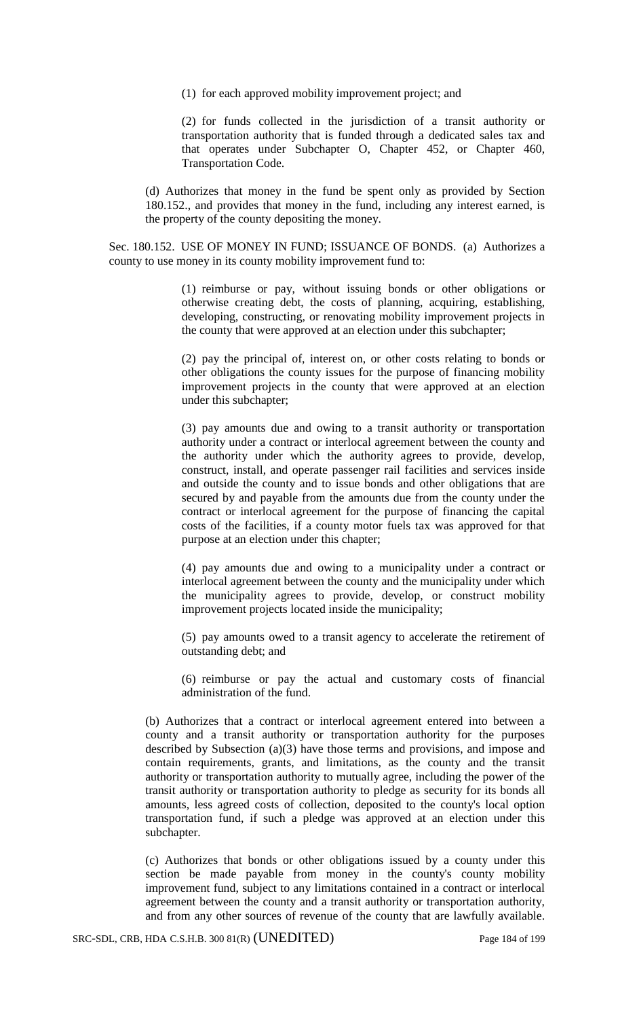(1) for each approved mobility improvement project; and

(2) for funds collected in the jurisdiction of a transit authority or transportation authority that is funded through a dedicated sales tax and that operates under Subchapter O, Chapter 452, or Chapter 460, Transportation Code.

(d) Authorizes that money in the fund be spent only as provided by Section 180.152., and provides that money in the fund, including any interest earned, is the property of the county depositing the money.

Sec. 180.152. USE OF MONEY IN FUND; ISSUANCE OF BONDS. (a) Authorizes a county to use money in its county mobility improvement fund to:

> (1) reimburse or pay, without issuing bonds or other obligations or otherwise creating debt, the costs of planning, acquiring, establishing, developing, constructing, or renovating mobility improvement projects in the county that were approved at an election under this subchapter;

> (2) pay the principal of, interest on, or other costs relating to bonds or other obligations the county issues for the purpose of financing mobility improvement projects in the county that were approved at an election under this subchapter;

> (3) pay amounts due and owing to a transit authority or transportation authority under a contract or interlocal agreement between the county and the authority under which the authority agrees to provide, develop, construct, install, and operate passenger rail facilities and services inside and outside the county and to issue bonds and other obligations that are secured by and payable from the amounts due from the county under the contract or interlocal agreement for the purpose of financing the capital costs of the facilities, if a county motor fuels tax was approved for that purpose at an election under this chapter;

> (4) pay amounts due and owing to a municipality under a contract or interlocal agreement between the county and the municipality under which the municipality agrees to provide, develop, or construct mobility improvement projects located inside the municipality;

> (5) pay amounts owed to a transit agency to accelerate the retirement of outstanding debt; and

> (6) reimburse or pay the actual and customary costs of financial administration of the fund.

(b) Authorizes that a contract or interlocal agreement entered into between a county and a transit authority or transportation authority for the purposes described by Subsection (a)(3) have those terms and provisions, and impose and contain requirements, grants, and limitations, as the county and the transit authority or transportation authority to mutually agree, including the power of the transit authority or transportation authority to pledge as security for its bonds all amounts, less agreed costs of collection, deposited to the county's local option transportation fund, if such a pledge was approved at an election under this subchapter.

(c) Authorizes that bonds or other obligations issued by a county under this section be made payable from money in the county's county mobility improvement fund, subject to any limitations contained in a contract or interlocal agreement between the county and a transit authority or transportation authority, and from any other sources of revenue of the county that are lawfully available.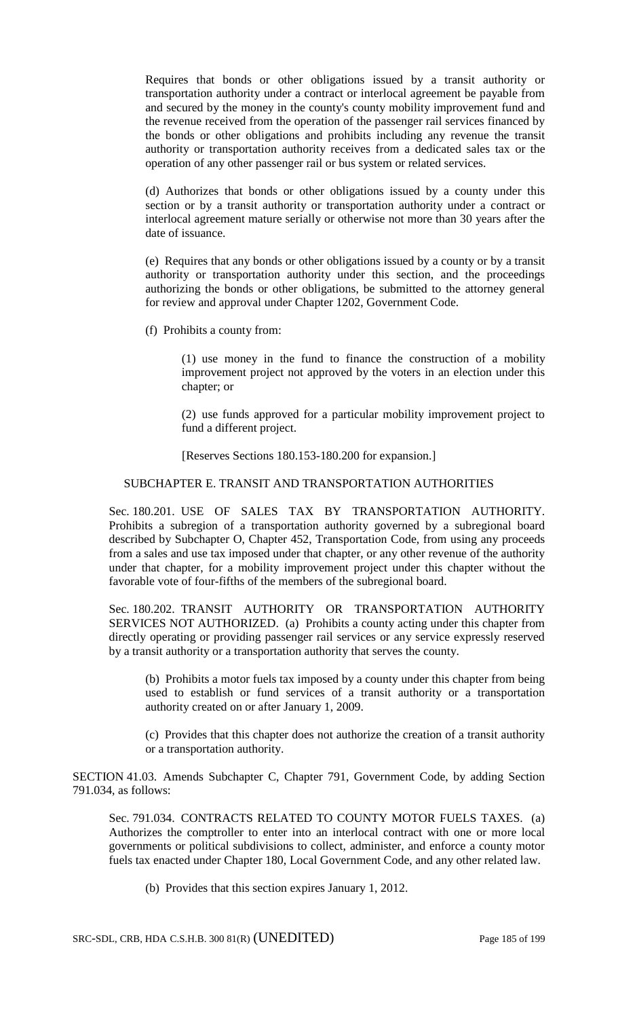Requires that bonds or other obligations issued by a transit authority or transportation authority under a contract or interlocal agreement be payable from and secured by the money in the county's county mobility improvement fund and the revenue received from the operation of the passenger rail services financed by the bonds or other obligations and prohibits including any revenue the transit authority or transportation authority receives from a dedicated sales tax or the operation of any other passenger rail or bus system or related services.

(d) Authorizes that bonds or other obligations issued by a county under this section or by a transit authority or transportation authority under a contract or interlocal agreement mature serially or otherwise not more than 30 years after the date of issuance.

(e) Requires that any bonds or other obligations issued by a county or by a transit authority or transportation authority under this section, and the proceedings authorizing the bonds or other obligations, be submitted to the attorney general for review and approval under Chapter 1202, Government Code.

(f) Prohibits a county from:

(1) use money in the fund to finance the construction of a mobility improvement project not approved by the voters in an election under this chapter; or

(2) use funds approved for a particular mobility improvement project to fund a different project.

[Reserves Sections 180.153-180.200 for expansion.]

### SUBCHAPTER E. TRANSIT AND TRANSPORTATION AUTHORITIES

Sec. 180.201. USE OF SALES TAX BY TRANSPORTATION AUTHORITY. Prohibits a subregion of a transportation authority governed by a subregional board described by Subchapter O, Chapter 452, Transportation Code, from using any proceeds from a sales and use tax imposed under that chapter, or any other revenue of the authority under that chapter, for a mobility improvement project under this chapter without the favorable vote of four-fifths of the members of the subregional board.

Sec. 180.202. TRANSIT AUTHORITY OR TRANSPORTATION AUTHORITY SERVICES NOT AUTHORIZED. (a) Prohibits a county acting under this chapter from directly operating or providing passenger rail services or any service expressly reserved by a transit authority or a transportation authority that serves the county.

(b) Prohibits a motor fuels tax imposed by a county under this chapter from being used to establish or fund services of a transit authority or a transportation authority created on or after January 1, 2009.

(c) Provides that this chapter does not authorize the creation of a transit authority or a transportation authority.

SECTION 41.03. Amends Subchapter C, Chapter 791, Government Code, by adding Section 791.034, as follows:

Sec. 791.034. CONTRACTS RELATED TO COUNTY MOTOR FUELS TAXES. (a) Authorizes the comptroller to enter into an interlocal contract with one or more local governments or political subdivisions to collect, administer, and enforce a county motor fuels tax enacted under Chapter 180, Local Government Code, and any other related law.

(b) Provides that this section expires January 1, 2012.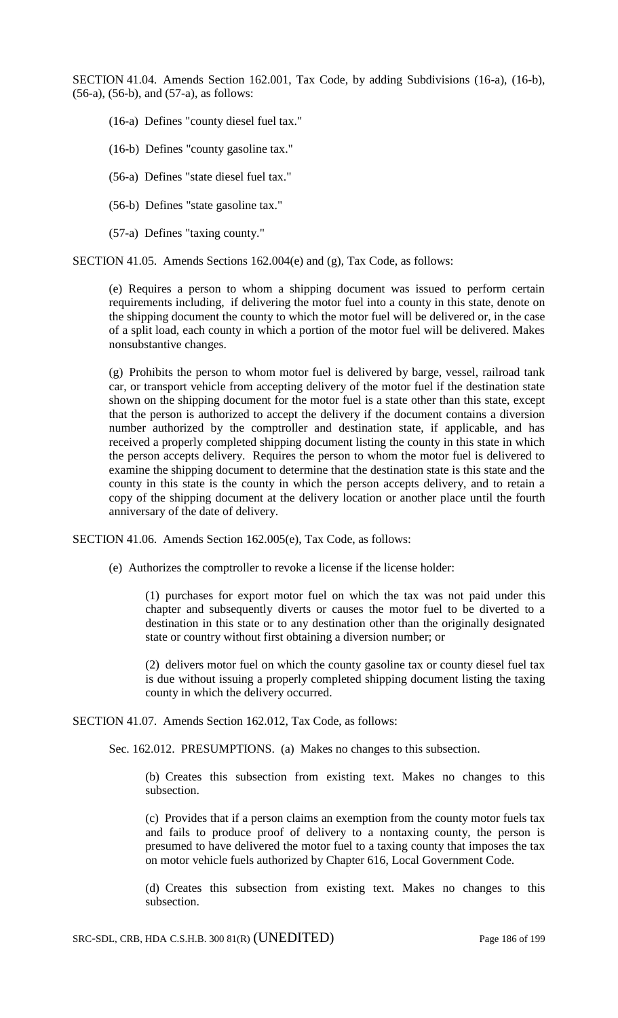SECTION 41.04. Amends Section 162.001, Tax Code, by adding Subdivisions (16-a), (16-b), (56-a), (56-b), and (57-a), as follows:

(16-a) Defines "county diesel fuel tax."

(16-b) Defines "county gasoline tax."

(56-a) Defines "state diesel fuel tax."

(56-b) Defines "state gasoline tax."

(57-a) Defines "taxing county."

SECTION 41.05. Amends Sections 162.004(e) and (g), Tax Code, as follows:

(e) Requires a person to whom a shipping document was issued to perform certain requirements including, if delivering the motor fuel into a county in this state, denote on the shipping document the county to which the motor fuel will be delivered or, in the case of a split load, each county in which a portion of the motor fuel will be delivered. Makes nonsubstantive changes.

(g) Prohibits the person to whom motor fuel is delivered by barge, vessel, railroad tank car, or transport vehicle from accepting delivery of the motor fuel if the destination state shown on the shipping document for the motor fuel is a state other than this state, except that the person is authorized to accept the delivery if the document contains a diversion number authorized by the comptroller and destination state, if applicable, and has received a properly completed shipping document listing the county in this state in which the person accepts delivery. Requires the person to whom the motor fuel is delivered to examine the shipping document to determine that the destination state is this state and the county in this state is the county in which the person accepts delivery, and to retain a copy of the shipping document at the delivery location or another place until the fourth anniversary of the date of delivery.

SECTION 41.06. Amends Section 162.005(e), Tax Code, as follows:

(e) Authorizes the comptroller to revoke a license if the license holder:

(1) purchases for export motor fuel on which the tax was not paid under this chapter and subsequently diverts or causes the motor fuel to be diverted to a destination in this state or to any destination other than the originally designated state or country without first obtaining a diversion number; or

(2) delivers motor fuel on which the county gasoline tax or county diesel fuel tax is due without issuing a properly completed shipping document listing the taxing county in which the delivery occurred.

SECTION 41.07. Amends Section 162.012, Tax Code, as follows:

Sec. 162.012. PRESUMPTIONS. (a) Makes no changes to this subsection.

(b) Creates this subsection from existing text. Makes no changes to this subsection.

(c) Provides that if a person claims an exemption from the county motor fuels tax and fails to produce proof of delivery to a nontaxing county, the person is presumed to have delivered the motor fuel to a taxing county that imposes the tax on motor vehicle fuels authorized by Chapter 616, Local Government Code.

(d) Creates this subsection from existing text. Makes no changes to this subsection.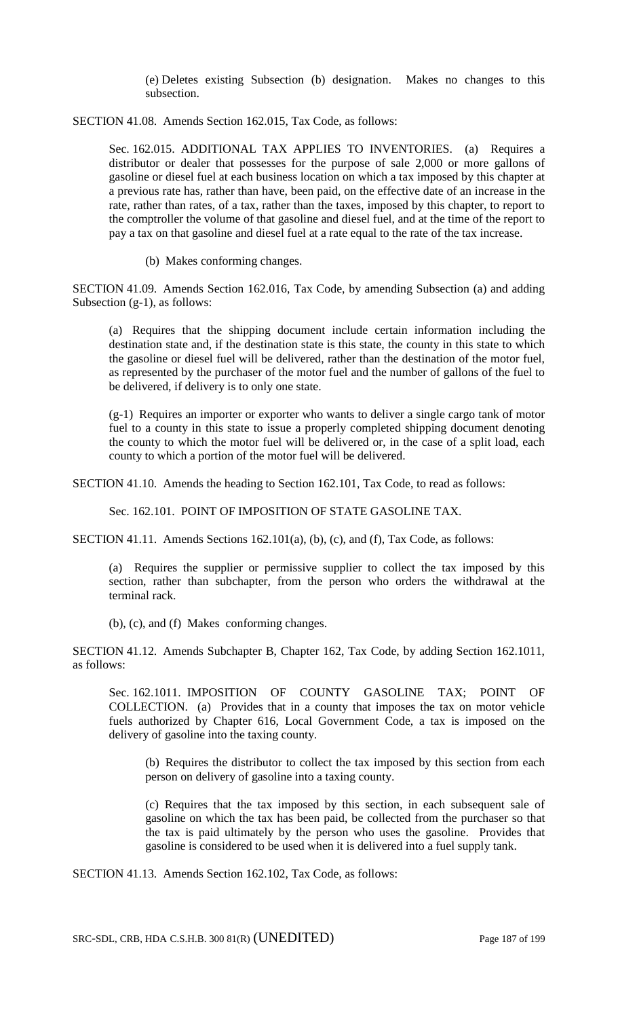(e) Deletes existing Subsection (b) designation. Makes no changes to this subsection.

SECTION 41.08. Amends Section 162.015, Tax Code, as follows:

Sec. 162.015. ADDITIONAL TAX APPLIES TO INVENTORIES. (a) Requires a distributor or dealer that possesses for the purpose of sale 2,000 or more gallons of gasoline or diesel fuel at each business location on which a tax imposed by this chapter at a previous rate has, rather than have, been paid, on the effective date of an increase in the rate, rather than rates, of a tax, rather than the taxes, imposed by this chapter, to report to the comptroller the volume of that gasoline and diesel fuel, and at the time of the report to pay a tax on that gasoline and diesel fuel at a rate equal to the rate of the tax increase.

(b) Makes conforming changes.

SECTION 41.09. Amends Section 162.016, Tax Code, by amending Subsection (a) and adding Subsection (g-1), as follows:

(a) Requires that the shipping document include certain information including the destination state and, if the destination state is this state, the county in this state to which the gasoline or diesel fuel will be delivered, rather than the destination of the motor fuel, as represented by the purchaser of the motor fuel and the number of gallons of the fuel to be delivered, if delivery is to only one state.

(g-1) Requires an importer or exporter who wants to deliver a single cargo tank of motor fuel to a county in this state to issue a properly completed shipping document denoting the county to which the motor fuel will be delivered or, in the case of a split load, each county to which a portion of the motor fuel will be delivered.

SECTION 41.10. Amends the heading to Section 162.101, Tax Code, to read as follows:

Sec. 162.101. POINT OF IMPOSITION OF STATE GASOLINE TAX.

SECTION 41.11. Amends Sections 162.101(a), (b), (c), and (f), Tax Code, as follows:

(a) Requires the supplier or permissive supplier to collect the tax imposed by this section, rather than subchapter, from the person who orders the withdrawal at the terminal rack.

(b), (c), and (f) Makes conforming changes.

SECTION 41.12. Amends Subchapter B, Chapter 162, Tax Code, by adding Section 162.1011, as follows:

Sec. 162.1011. IMPOSITION OF COUNTY GASOLINE TAX; POINT OF COLLECTION. (a) Provides that in a county that imposes the tax on motor vehicle fuels authorized by Chapter 616, Local Government Code, a tax is imposed on the delivery of gasoline into the taxing county.

(b) Requires the distributor to collect the tax imposed by this section from each person on delivery of gasoline into a taxing county.

(c) Requires that the tax imposed by this section, in each subsequent sale of gasoline on which the tax has been paid, be collected from the purchaser so that the tax is paid ultimately by the person who uses the gasoline. Provides that gasoline is considered to be used when it is delivered into a fuel supply tank.

SECTION 41.13. Amends Section 162.102, Tax Code, as follows: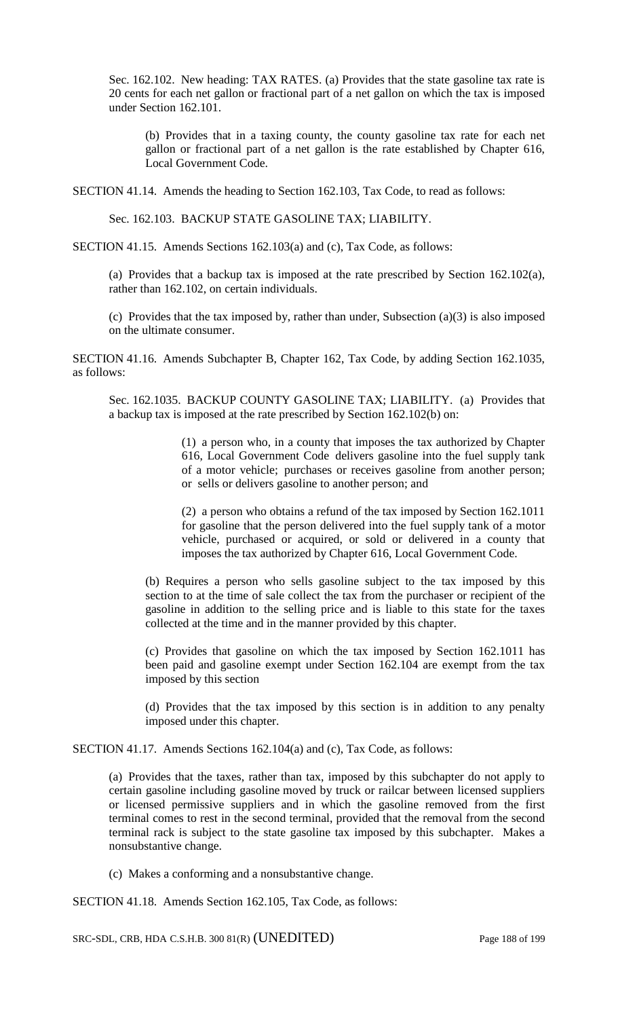Sec. 162.102. New heading: TAX RATES. (a) Provides that the state gasoline tax rate is 20 cents for each net gallon or fractional part of a net gallon on which the tax is imposed under Section 162.101.

(b) Provides that in a taxing county, the county gasoline tax rate for each net gallon or fractional part of a net gallon is the rate established by Chapter 616, Local Government Code.

SECTION 41.14. Amends the heading to Section 162.103, Tax Code, to read as follows:

Sec. 162.103. BACKUP STATE GASOLINE TAX; LIABILITY.

SECTION 41.15. Amends Sections 162.103(a) and (c), Tax Code, as follows:

(a) Provides that a backup tax is imposed at the rate prescribed by Section 162.102(a), rather than 162.102, on certain individuals.

(c) Provides that the tax imposed by, rather than under, Subsection (a)(3) is also imposed on the ultimate consumer.

SECTION 41.16. Amends Subchapter B, Chapter 162, Tax Code, by adding Section 162.1035, as follows:

Sec. 162.1035. BACKUP COUNTY GASOLINE TAX; LIABILITY. (a) Provides that a backup tax is imposed at the rate prescribed by Section 162.102(b) on:

> (1) a person who, in a county that imposes the tax authorized by Chapter 616, Local Government Code delivers gasoline into the fuel supply tank of a motor vehicle; purchases or receives gasoline from another person; or sells or delivers gasoline to another person; and

> (2) a person who obtains a refund of the tax imposed by Section 162.1011 for gasoline that the person delivered into the fuel supply tank of a motor vehicle, purchased or acquired, or sold or delivered in a county that imposes the tax authorized by Chapter 616, Local Government Code.

(b) Requires a person who sells gasoline subject to the tax imposed by this section to at the time of sale collect the tax from the purchaser or recipient of the gasoline in addition to the selling price and is liable to this state for the taxes collected at the time and in the manner provided by this chapter.

(c) Provides that gasoline on which the tax imposed by Section 162.1011 has been paid and gasoline exempt under Section 162.104 are exempt from the tax imposed by this section

(d) Provides that the tax imposed by this section is in addition to any penalty imposed under this chapter.

SECTION 41.17. Amends Sections 162.104(a) and (c), Tax Code, as follows:

(a) Provides that the taxes, rather than tax, imposed by this subchapter do not apply to certain gasoline including gasoline moved by truck or railcar between licensed suppliers or licensed permissive suppliers and in which the gasoline removed from the first terminal comes to rest in the second terminal, provided that the removal from the second terminal rack is subject to the state gasoline tax imposed by this subchapter. Makes a nonsubstantive change.

(c) Makes a conforming and a nonsubstantive change.

SECTION 41.18. Amends Section 162.105, Tax Code, as follows:

SRC-SDL, CRB, HDA C.S.H.B. 300 81(R) (UNEDITED) Page 188 of 199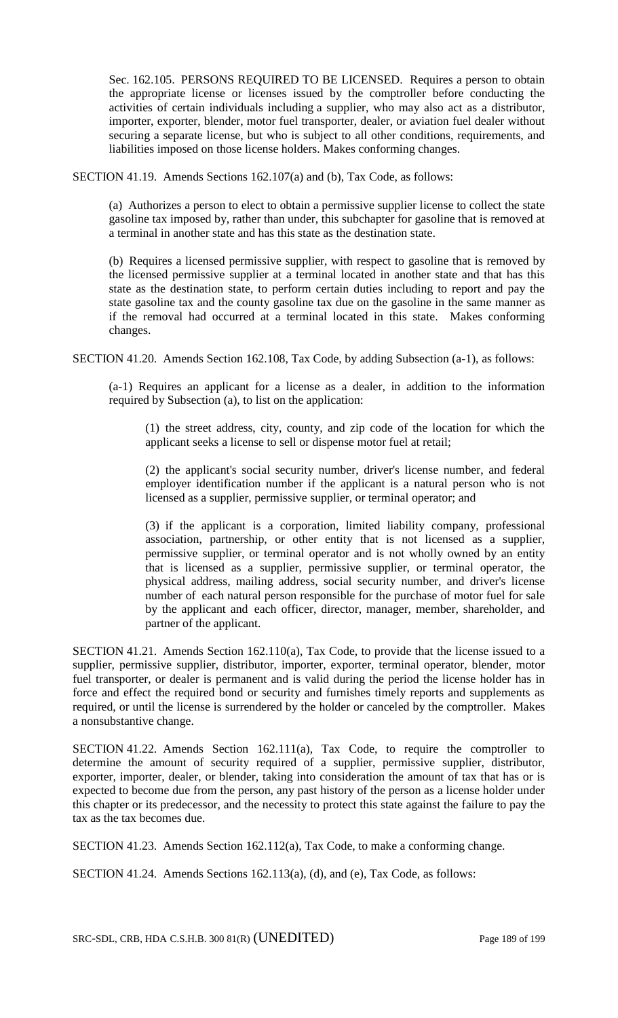Sec. 162.105. PERSONS REQUIRED TO BE LICENSED. Requires a person to obtain the appropriate license or licenses issued by the comptroller before conducting the activities of certain individuals including a supplier, who may also act as a distributor, importer, exporter, blender, motor fuel transporter, dealer, or aviation fuel dealer without securing a separate license, but who is subject to all other conditions, requirements, and liabilities imposed on those license holders. Makes conforming changes.

SECTION 41.19. Amends Sections 162.107(a) and (b), Tax Code, as follows:

(a) Authorizes a person to elect to obtain a permissive supplier license to collect the state gasoline tax imposed by, rather than under, this subchapter for gasoline that is removed at a terminal in another state and has this state as the destination state.

(b) Requires a licensed permissive supplier, with respect to gasoline that is removed by the licensed permissive supplier at a terminal located in another state and that has this state as the destination state, to perform certain duties including to report and pay the state gasoline tax and the county gasoline tax due on the gasoline in the same manner as if the removal had occurred at a terminal located in this state. Makes conforming changes.

SECTION 41.20. Amends Section 162.108, Tax Code, by adding Subsection (a-1), as follows:

(a-1) Requires an applicant for a license as a dealer, in addition to the information required by Subsection (a), to list on the application:

(1) the street address, city, county, and zip code of the location for which the applicant seeks a license to sell or dispense motor fuel at retail;

(2) the applicant's social security number, driver's license number, and federal employer identification number if the applicant is a natural person who is not licensed as a supplier, permissive supplier, or terminal operator; and

(3) if the applicant is a corporation, limited liability company, professional association, partnership, or other entity that is not licensed as a supplier, permissive supplier, or terminal operator and is not wholly owned by an entity that is licensed as a supplier, permissive supplier, or terminal operator, the physical address, mailing address, social security number, and driver's license number of each natural person responsible for the purchase of motor fuel for sale by the applicant and each officer, director, manager, member, shareholder, and partner of the applicant.

SECTION 41.21. Amends Section 162.110(a), Tax Code, to provide that the license issued to a supplier, permissive supplier, distributor, importer, exporter, terminal operator, blender, motor fuel transporter, or dealer is permanent and is valid during the period the license holder has in force and effect the required bond or security and furnishes timely reports and supplements as required, or until the license is surrendered by the holder or canceled by the comptroller. Makes a nonsubstantive change.

SECTION 41.22. Amends Section 162.111(a), Tax Code, to require the comptroller to determine the amount of security required of a supplier, permissive supplier, distributor, exporter, importer, dealer, or blender, taking into consideration the amount of tax that has or is expected to become due from the person, any past history of the person as a license holder under this chapter or its predecessor, and the necessity to protect this state against the failure to pay the tax as the tax becomes due.

SECTION 41.23. Amends Section 162.112(a), Tax Code, to make a conforming change.

SECTION 41.24. Amends Sections 162.113(a), (d), and (e), Tax Code, as follows: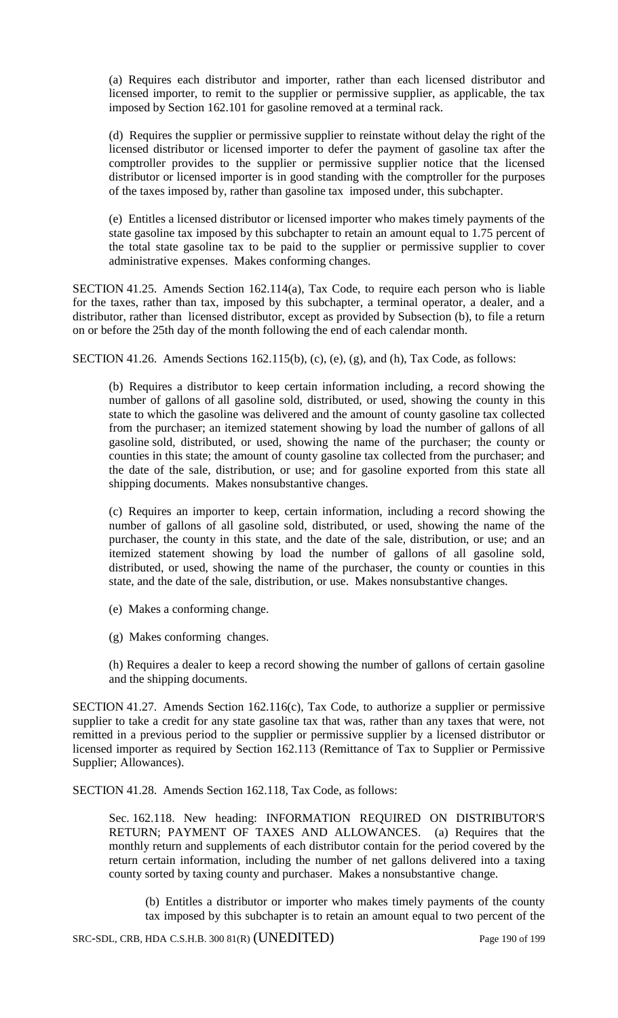(a) Requires each distributor and importer, rather than each licensed distributor and licensed importer, to remit to the supplier or permissive supplier, as applicable, the tax imposed by Section 162.101 for gasoline removed at a terminal rack.

(d) Requires the supplier or permissive supplier to reinstate without delay the right of the licensed distributor or licensed importer to defer the payment of gasoline tax after the comptroller provides to the supplier or permissive supplier notice that the licensed distributor or licensed importer is in good standing with the comptroller for the purposes of the taxes imposed by, rather than gasoline tax imposed under, this subchapter.

(e) Entitles a licensed distributor or licensed importer who makes timely payments of the state gasoline tax imposed by this subchapter to retain an amount equal to 1.75 percent of the total state gasoline tax to be paid to the supplier or permissive supplier to cover administrative expenses. Makes conforming changes.

SECTION 41.25. Amends Section 162.114(a), Tax Code, to require each person who is liable for the taxes, rather than tax, imposed by this subchapter, a terminal operator, a dealer, and a distributor, rather than licensed distributor, except as provided by Subsection (b), to file a return on or before the 25th day of the month following the end of each calendar month.

SECTION 41.26. Amends Sections 162.115(b), (c), (e), (g), and (h), Tax Code, as follows:

(b) Requires a distributor to keep certain information including, a record showing the number of gallons of all gasoline sold, distributed, or used, showing the county in this state to which the gasoline was delivered and the amount of county gasoline tax collected from the purchaser; an itemized statement showing by load the number of gallons of all gasoline sold, distributed, or used, showing the name of the purchaser; the county or counties in this state; the amount of county gasoline tax collected from the purchaser; and the date of the sale, distribution, or use; and for gasoline exported from this state all shipping documents. Makes nonsubstantive changes.

(c) Requires an importer to keep, certain information, including a record showing the number of gallons of all gasoline sold, distributed, or used, showing the name of the purchaser, the county in this state, and the date of the sale, distribution, or use; and an itemized statement showing by load the number of gallons of all gasoline sold, distributed, or used, showing the name of the purchaser, the county or counties in this state, and the date of the sale, distribution, or use. Makes nonsubstantive changes.

- (e) Makes a conforming change.
- (g) Makes conforming changes.

(h) Requires a dealer to keep a record showing the number of gallons of certain gasoline and the shipping documents.

SECTION 41.27. Amends Section 162.116(c), Tax Code, to authorize a supplier or permissive supplier to take a credit for any state gasoline tax that was, rather than any taxes that were, not remitted in a previous period to the supplier or permissive supplier by a licensed distributor or licensed importer as required by Section 162.113 (Remittance of Tax to Supplier or Permissive Supplier; Allowances).

SECTION 41.28. Amends Section 162.118, Tax Code, as follows:

Sec. 162.118. New heading: INFORMATION REQUIRED ON DISTRIBUTOR'S RETURN; PAYMENT OF TAXES AND ALLOWANCES. (a) Requires that the monthly return and supplements of each distributor contain for the period covered by the return certain information, including the number of net gallons delivered into a taxing county sorted by taxing county and purchaser. Makes a nonsubstantive change.

(b) Entitles a distributor or importer who makes timely payments of the county tax imposed by this subchapter is to retain an amount equal to two percent of the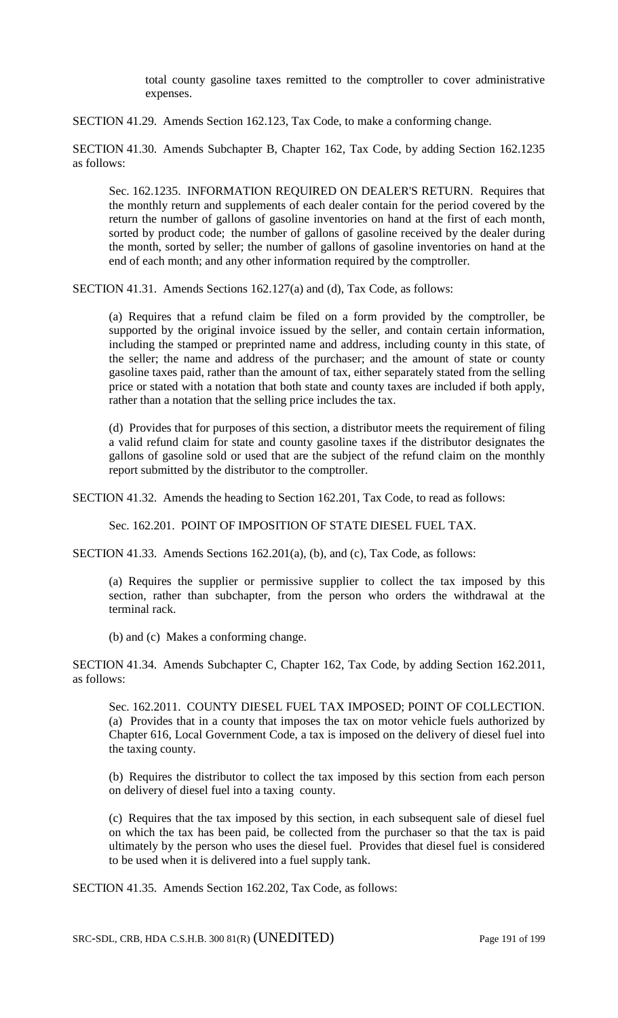total county gasoline taxes remitted to the comptroller to cover administrative expenses.

SECTION 41.29. Amends Section 162.123, Tax Code, to make a conforming change.

SECTION 41.30. Amends Subchapter B, Chapter 162, Tax Code, by adding Section 162.1235 as follows:

Sec. 162.1235. INFORMATION REQUIRED ON DEALER'S RETURN. Requires that the monthly return and supplements of each dealer contain for the period covered by the return the number of gallons of gasoline inventories on hand at the first of each month, sorted by product code; the number of gallons of gasoline received by the dealer during the month, sorted by seller; the number of gallons of gasoline inventories on hand at the end of each month; and any other information required by the comptroller.

SECTION 41.31. Amends Sections 162.127(a) and (d), Tax Code, as follows:

(a) Requires that a refund claim be filed on a form provided by the comptroller, be supported by the original invoice issued by the seller, and contain certain information, including the stamped or preprinted name and address, including county in this state, of the seller; the name and address of the purchaser; and the amount of state or county gasoline taxes paid, rather than the amount of tax, either separately stated from the selling price or stated with a notation that both state and county taxes are included if both apply, rather than a notation that the selling price includes the tax.

(d) Provides that for purposes of this section, a distributor meets the requirement of filing a valid refund claim for state and county gasoline taxes if the distributor designates the gallons of gasoline sold or used that are the subject of the refund claim on the monthly report submitted by the distributor to the comptroller.

SECTION 41.32. Amends the heading to Section 162.201, Tax Code, to read as follows:

Sec. 162.201. POINT OF IMPOSITION OF STATE DIESEL FUEL TAX.

SECTION 41.33. Amends Sections 162.201(a), (b), and (c), Tax Code, as follows:

(a) Requires the supplier or permissive supplier to collect the tax imposed by this section, rather than subchapter, from the person who orders the withdrawal at the terminal rack.

(b) and (c) Makes a conforming change.

SECTION 41.34. Amends Subchapter C, Chapter 162, Tax Code, by adding Section 162.2011, as follows:

Sec. 162.2011. COUNTY DIESEL FUEL TAX IMPOSED; POINT OF COLLECTION. (a) Provides that in a county that imposes the tax on motor vehicle fuels authorized by Chapter 616, Local Government Code, a tax is imposed on the delivery of diesel fuel into the taxing county.

(b) Requires the distributor to collect the tax imposed by this section from each person on delivery of diesel fuel into a taxing county.

(c) Requires that the tax imposed by this section, in each subsequent sale of diesel fuel on which the tax has been paid, be collected from the purchaser so that the tax is paid ultimately by the person who uses the diesel fuel. Provides that diesel fuel is considered to be used when it is delivered into a fuel supply tank.

SECTION 41.35. Amends Section 162.202, Tax Code, as follows:

SRC-SDL, CRB, HDA C.S.H.B. 300 81(R) (UNEDITED) Page 191 of 199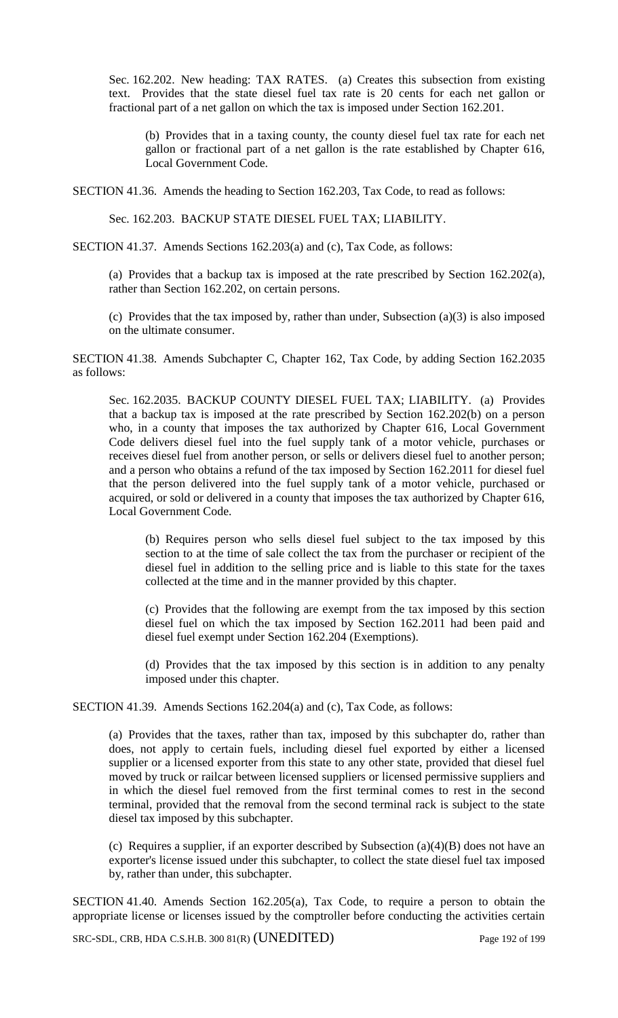Sec. 162.202. New heading: TAX RATES. (a) Creates this subsection from existing text. Provides that the state diesel fuel tax rate is 20 cents for each net gallon or fractional part of a net gallon on which the tax is imposed under Section 162.201.

(b) Provides that in a taxing county, the county diesel fuel tax rate for each net gallon or fractional part of a net gallon is the rate established by Chapter 616, Local Government Code.

SECTION 41.36. Amends the heading to Section 162.203, Tax Code, to read as follows:

Sec. 162.203. BACKUP STATE DIESEL FUEL TAX; LIABILITY.

SECTION 41.37. Amends Sections 162.203(a) and (c), Tax Code, as follows:

(a) Provides that a backup tax is imposed at the rate prescribed by Section 162.202(a), rather than Section 162.202, on certain persons.

(c) Provides that the tax imposed by, rather than under, Subsection (a)(3) is also imposed on the ultimate consumer.

SECTION 41.38. Amends Subchapter C, Chapter 162, Tax Code, by adding Section 162.2035 as follows:

Sec. 162.2035. BACKUP COUNTY DIESEL FUEL TAX; LIABILITY. (a) Provides that a backup tax is imposed at the rate prescribed by Section 162.202(b) on a person who, in a county that imposes the tax authorized by Chapter 616, Local Government Code delivers diesel fuel into the fuel supply tank of a motor vehicle, purchases or receives diesel fuel from another person, or sells or delivers diesel fuel to another person; and a person who obtains a refund of the tax imposed by Section 162.2011 for diesel fuel that the person delivered into the fuel supply tank of a motor vehicle, purchased or acquired, or sold or delivered in a county that imposes the tax authorized by Chapter 616, Local Government Code.

(b) Requires person who sells diesel fuel subject to the tax imposed by this section to at the time of sale collect the tax from the purchaser or recipient of the diesel fuel in addition to the selling price and is liable to this state for the taxes collected at the time and in the manner provided by this chapter.

(c) Provides that the following are exempt from the tax imposed by this section diesel fuel on which the tax imposed by Section 162.2011 had been paid and diesel fuel exempt under Section 162.204 (Exemptions).

(d) Provides that the tax imposed by this section is in addition to any penalty imposed under this chapter.

SECTION 41.39. Amends Sections 162.204(a) and (c), Tax Code, as follows:

(a) Provides that the taxes, rather than tax, imposed by this subchapter do, rather than does, not apply to certain fuels, including diesel fuel exported by either a licensed supplier or a licensed exporter from this state to any other state, provided that diesel fuel moved by truck or railcar between licensed suppliers or licensed permissive suppliers and in which the diesel fuel removed from the first terminal comes to rest in the second terminal, provided that the removal from the second terminal rack is subject to the state diesel tax imposed by this subchapter.

(c) Requires a supplier, if an exporter described by Subsection (a)(4)(B) does not have an exporter's license issued under this subchapter, to collect the state diesel fuel tax imposed by, rather than under, this subchapter.

SECTION 41.40. Amends Section 162.205(a), Tax Code, to require a person to obtain the appropriate license or licenses issued by the comptroller before conducting the activities certain

SRC-SDL, CRB, HDA C.S.H.B. 300 81(R) (UNEDITED) Page 192 of 199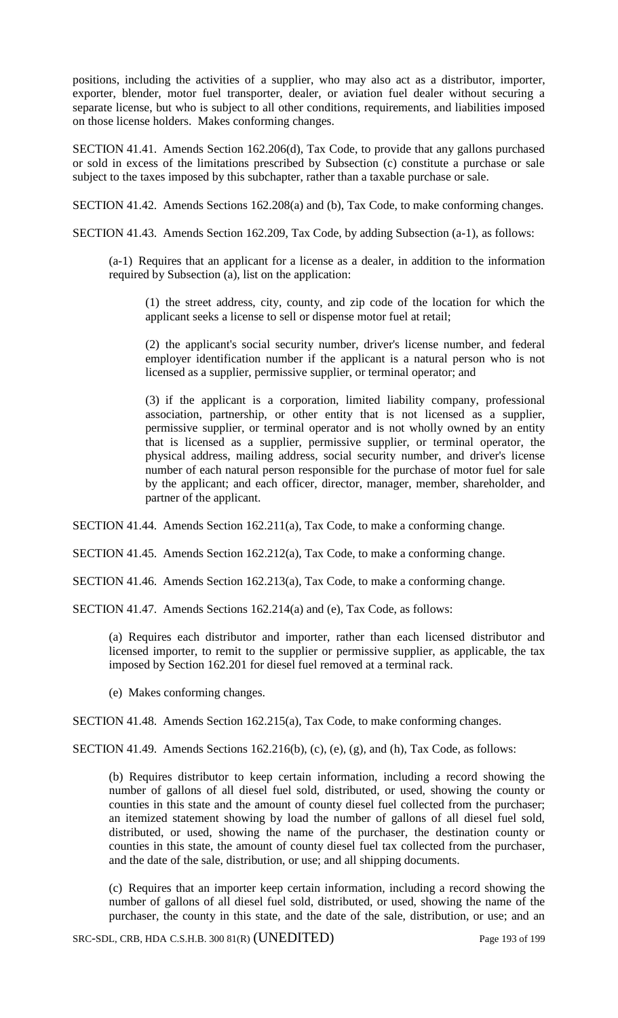positions, including the activities of a supplier, who may also act as a distributor, importer, exporter, blender, motor fuel transporter, dealer, or aviation fuel dealer without securing a separate license, but who is subject to all other conditions, requirements, and liabilities imposed on those license holders. Makes conforming changes.

SECTION 41.41. Amends Section 162.206(d), Tax Code, to provide that any gallons purchased or sold in excess of the limitations prescribed by Subsection (c) constitute a purchase or sale subject to the taxes imposed by this subchapter, rather than a taxable purchase or sale.

SECTION 41.42. Amends Sections 162.208(a) and (b), Tax Code, to make conforming changes.

SECTION 41.43. Amends Section 162.209, Tax Code, by adding Subsection (a-1), as follows:

(a-1) Requires that an applicant for a license as a dealer, in addition to the information required by Subsection (a), list on the application:

(1) the street address, city, county, and zip code of the location for which the applicant seeks a license to sell or dispense motor fuel at retail;

(2) the applicant's social security number, driver's license number, and federal employer identification number if the applicant is a natural person who is not licensed as a supplier, permissive supplier, or terminal operator; and

(3) if the applicant is a corporation, limited liability company, professional association, partnership, or other entity that is not licensed as a supplier, permissive supplier, or terminal operator and is not wholly owned by an entity that is licensed as a supplier, permissive supplier, or terminal operator, the physical address, mailing address, social security number, and driver's license number of each natural person responsible for the purchase of motor fuel for sale by the applicant; and each officer, director, manager, member, shareholder, and partner of the applicant.

SECTION 41.44. Amends Section 162.211(a), Tax Code, to make a conforming change.

SECTION 41.45. Amends Section 162.212(a), Tax Code, to make a conforming change.

SECTION 41.46. Amends Section 162.213(a), Tax Code, to make a conforming change.

SECTION 41.47. Amends Sections 162.214(a) and (e), Tax Code, as follows:

(a) Requires each distributor and importer, rather than each licensed distributor and licensed importer, to remit to the supplier or permissive supplier, as applicable, the tax imposed by Section 162.201 for diesel fuel removed at a terminal rack.

(e) Makes conforming changes.

SECTION 41.48. Amends Section 162.215(a), Tax Code, to make conforming changes.

SECTION 41.49. Amends Sections 162.216(b), (c), (e), (g), and (h), Tax Code, as follows:

(b) Requires distributor to keep certain information, including a record showing the number of gallons of all diesel fuel sold, distributed, or used, showing the county or counties in this state and the amount of county diesel fuel collected from the purchaser; an itemized statement showing by load the number of gallons of all diesel fuel sold, distributed, or used, showing the name of the purchaser, the destination county or counties in this state, the amount of county diesel fuel tax collected from the purchaser, and the date of the sale, distribution, or use; and all shipping documents.

(c) Requires that an importer keep certain information, including a record showing the number of gallons of all diesel fuel sold, distributed, or used, showing the name of the purchaser, the county in this state, and the date of the sale, distribution, or use; and an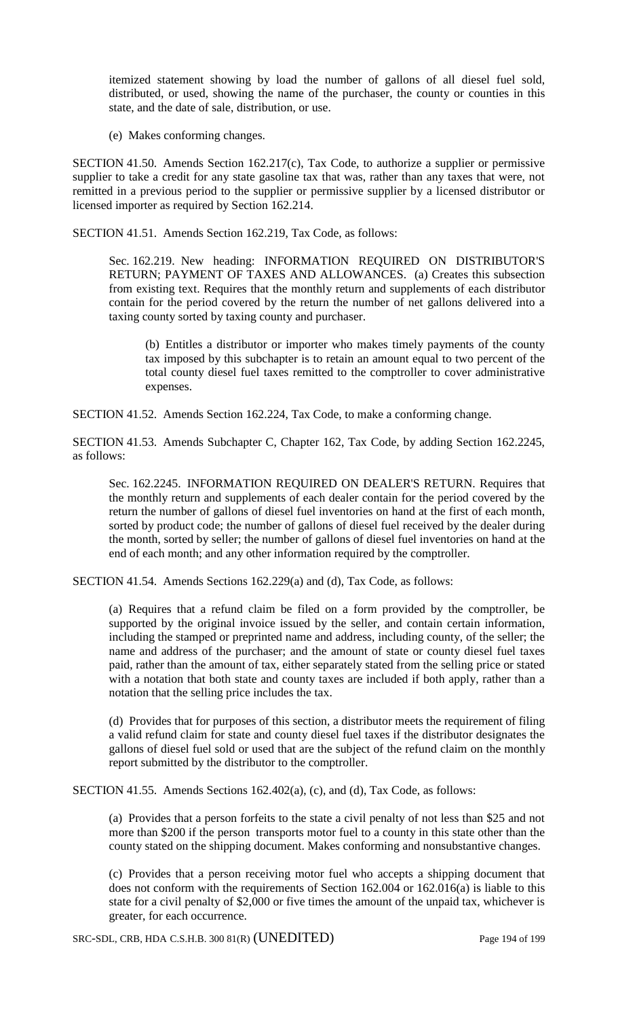itemized statement showing by load the number of gallons of all diesel fuel sold, distributed, or used, showing the name of the purchaser, the county or counties in this state, and the date of sale, distribution, or use.

(e) Makes conforming changes.

SECTION 41.50. Amends Section 162.217(c), Tax Code, to authorize a supplier or permissive supplier to take a credit for any state gasoline tax that was, rather than any taxes that were, not remitted in a previous period to the supplier or permissive supplier by a licensed distributor or licensed importer as required by Section 162.214.

SECTION 41.51. Amends Section 162.219, Tax Code, as follows:

Sec. 162.219. New heading: INFORMATION REQUIRED ON DISTRIBUTOR'S RETURN; PAYMENT OF TAXES AND ALLOWANCES. (a) Creates this subsection from existing text. Requires that the monthly return and supplements of each distributor contain for the period covered by the return the number of net gallons delivered into a taxing county sorted by taxing county and purchaser.

(b) Entitles a distributor or importer who makes timely payments of the county tax imposed by this subchapter is to retain an amount equal to two percent of the total county diesel fuel taxes remitted to the comptroller to cover administrative expenses.

SECTION 41.52. Amends Section 162.224, Tax Code, to make a conforming change.

SECTION 41.53. Amends Subchapter C, Chapter 162, Tax Code, by adding Section 162.2245, as follows:

Sec. 162.2245. INFORMATION REQUIRED ON DEALER'S RETURN. Requires that the monthly return and supplements of each dealer contain for the period covered by the return the number of gallons of diesel fuel inventories on hand at the first of each month, sorted by product code; the number of gallons of diesel fuel received by the dealer during the month, sorted by seller; the number of gallons of diesel fuel inventories on hand at the end of each month; and any other information required by the comptroller.

SECTION 41.54. Amends Sections 162.229(a) and (d), Tax Code, as follows:

(a) Requires that a refund claim be filed on a form provided by the comptroller, be supported by the original invoice issued by the seller, and contain certain information, including the stamped or preprinted name and address, including county, of the seller; the name and address of the purchaser; and the amount of state or county diesel fuel taxes paid, rather than the amount of tax, either separately stated from the selling price or stated with a notation that both state and county taxes are included if both apply, rather than a notation that the selling price includes the tax.

(d) Provides that for purposes of this section, a distributor meets the requirement of filing a valid refund claim for state and county diesel fuel taxes if the distributor designates the gallons of diesel fuel sold or used that are the subject of the refund claim on the monthly report submitted by the distributor to the comptroller.

SECTION 41.55. Amends Sections 162.402(a), (c), and (d), Tax Code, as follows:

(a) Provides that a person forfeits to the state a civil penalty of not less than \$25 and not more than \$200 if the person transports motor fuel to a county in this state other than the county stated on the shipping document. Makes conforming and nonsubstantive changes.

(c) Provides that a person receiving motor fuel who accepts a shipping document that does not conform with the requirements of Section 162.004 or 162.016(a) is liable to this state for a civil penalty of \$2,000 or five times the amount of the unpaid tax, whichever is greater, for each occurrence.

SRC-SDL, CRB, HDA C.S.H.B. 300 81(R) (UNEDITED) Page 194 of 199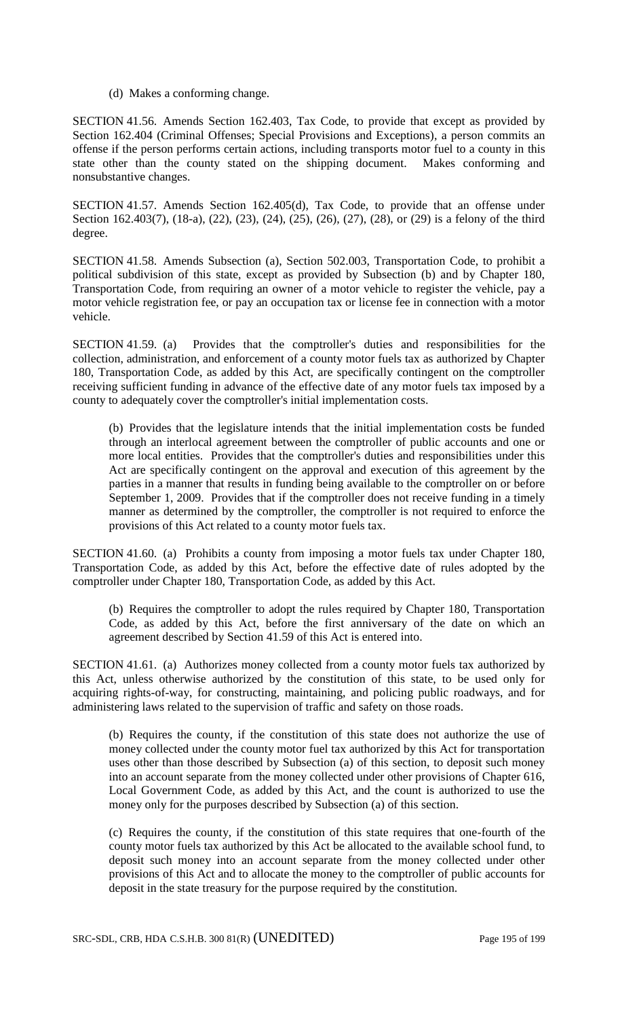(d) Makes a conforming change.

SECTION 41.56. Amends Section 162.403, Tax Code, to provide that except as provided by Section 162.404 (Criminal Offenses; Special Provisions and Exceptions), a person commits an offense if the person performs certain actions, including transports motor fuel to a county in this state other than the county stated on the shipping document. Makes conforming and nonsubstantive changes.

SECTION 41.57. Amends Section 162.405(d), Tax Code, to provide that an offense under Section 162.403(7), (18-a), (22), (23), (24), (25), (26), (27), (28), or (29) is a felony of the third degree.

SECTION 41.58. Amends Subsection (a), Section 502.003, Transportation Code, to prohibit a political subdivision of this state, except as provided by Subsection (b) and by Chapter 180, Transportation Code, from requiring an owner of a motor vehicle to register the vehicle, pay a motor vehicle registration fee, or pay an occupation tax or license fee in connection with a motor vehicle.

SECTION 41.59. (a) Provides that the comptroller's duties and responsibilities for the collection, administration, and enforcement of a county motor fuels tax as authorized by Chapter 180, Transportation Code, as added by this Act, are specifically contingent on the comptroller receiving sufficient funding in advance of the effective date of any motor fuels tax imposed by a county to adequately cover the comptroller's initial implementation costs.

(b) Provides that the legislature intends that the initial implementation costs be funded through an interlocal agreement between the comptroller of public accounts and one or more local entities. Provides that the comptroller's duties and responsibilities under this Act are specifically contingent on the approval and execution of this agreement by the parties in a manner that results in funding being available to the comptroller on or before September 1, 2009. Provides that if the comptroller does not receive funding in a timely manner as determined by the comptroller, the comptroller is not required to enforce the provisions of this Act related to a county motor fuels tax.

SECTION 41.60. (a) Prohibits a county from imposing a motor fuels tax under Chapter 180, Transportation Code, as added by this Act, before the effective date of rules adopted by the comptroller under Chapter 180, Transportation Code, as added by this Act.

(b) Requires the comptroller to adopt the rules required by Chapter 180, Transportation Code, as added by this Act, before the first anniversary of the date on which an agreement described by Section 41.59 of this Act is entered into.

SECTION 41.61. (a) Authorizes money collected from a county motor fuels tax authorized by this Act, unless otherwise authorized by the constitution of this state, to be used only for acquiring rights-of-way, for constructing, maintaining, and policing public roadways, and for administering laws related to the supervision of traffic and safety on those roads.

(b) Requires the county, if the constitution of this state does not authorize the use of money collected under the county motor fuel tax authorized by this Act for transportation uses other than those described by Subsection (a) of this section, to deposit such money into an account separate from the money collected under other provisions of Chapter 616, Local Government Code, as added by this Act, and the count is authorized to use the money only for the purposes described by Subsection (a) of this section.

(c) Requires the county, if the constitution of this state requires that one-fourth of the county motor fuels tax authorized by this Act be allocated to the available school fund, to deposit such money into an account separate from the money collected under other provisions of this Act and to allocate the money to the comptroller of public accounts for deposit in the state treasury for the purpose required by the constitution.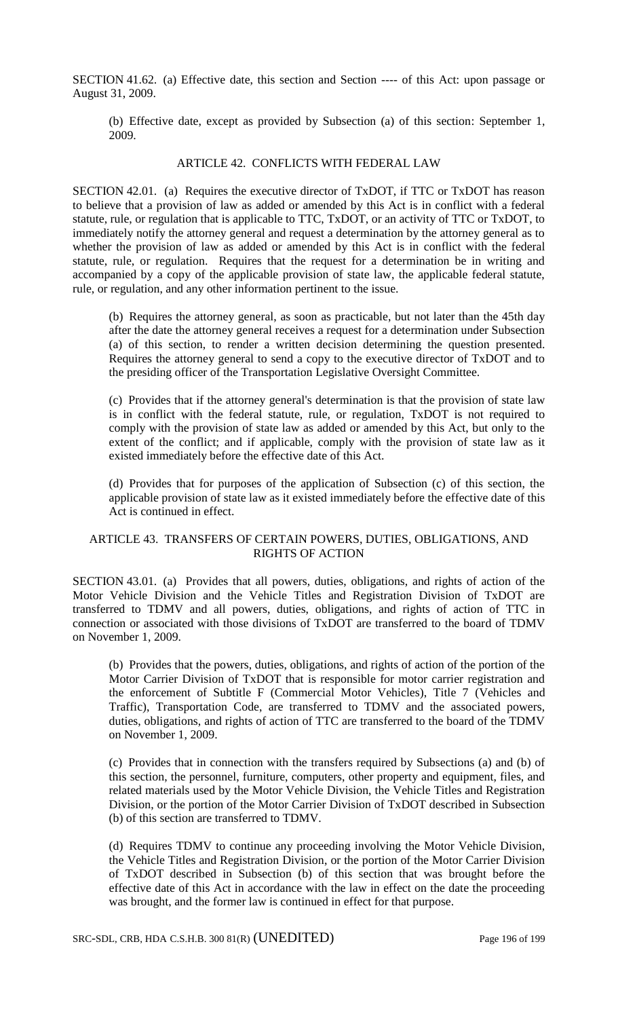SECTION 41.62. (a) Effective date, this section and Section ---- of this Act: upon passage or August 31, 2009.

(b) Effective date, except as provided by Subsection (a) of this section: September 1, 2009.

#### ARTICLE 42. CONFLICTS WITH FEDERAL LAW

SECTION 42.01. (a) Requires the executive director of TxDOT, if TTC or TxDOT has reason to believe that a provision of law as added or amended by this Act is in conflict with a federal statute, rule, or regulation that is applicable to TTC, TxDOT, or an activity of TTC or TxDOT, to immediately notify the attorney general and request a determination by the attorney general as to whether the provision of law as added or amended by this Act is in conflict with the federal statute, rule, or regulation. Requires that the request for a determination be in writing and accompanied by a copy of the applicable provision of state law, the applicable federal statute, rule, or regulation, and any other information pertinent to the issue.

(b) Requires the attorney general, as soon as practicable, but not later than the 45th day after the date the attorney general receives a request for a determination under Subsection (a) of this section, to render a written decision determining the question presented. Requires the attorney general to send a copy to the executive director of TxDOT and to the presiding officer of the Transportation Legislative Oversight Committee.

(c) Provides that if the attorney general's determination is that the provision of state law is in conflict with the federal statute, rule, or regulation, TxDOT is not required to comply with the provision of state law as added or amended by this Act, but only to the extent of the conflict; and if applicable, comply with the provision of state law as it existed immediately before the effective date of this Act.

(d) Provides that for purposes of the application of Subsection (c) of this section, the applicable provision of state law as it existed immediately before the effective date of this Act is continued in effect.

#### ARTICLE 43. TRANSFERS OF CERTAIN POWERS, DUTIES, OBLIGATIONS, AND RIGHTS OF ACTION

SECTION 43.01. (a) Provides that all powers, duties, obligations, and rights of action of the Motor Vehicle Division and the Vehicle Titles and Registration Division of TxDOT are transferred to TDMV and all powers, duties, obligations, and rights of action of TTC in connection or associated with those divisions of TxDOT are transferred to the board of TDMV on November 1, 2009.

(b) Provides that the powers, duties, obligations, and rights of action of the portion of the Motor Carrier Division of TxDOT that is responsible for motor carrier registration and the enforcement of Subtitle F (Commercial Motor Vehicles), Title 7 (Vehicles and Traffic), Transportation Code, are transferred to TDMV and the associated powers, duties, obligations, and rights of action of TTC are transferred to the board of the TDMV on November 1, 2009.

(c) Provides that in connection with the transfers required by Subsections (a) and (b) of this section, the personnel, furniture, computers, other property and equipment, files, and related materials used by the Motor Vehicle Division, the Vehicle Titles and Registration Division, or the portion of the Motor Carrier Division of TxDOT described in Subsection (b) of this section are transferred to TDMV.

(d) Requires TDMV to continue any proceeding involving the Motor Vehicle Division, the Vehicle Titles and Registration Division, or the portion of the Motor Carrier Division of TxDOT described in Subsection (b) of this section that was brought before the effective date of this Act in accordance with the law in effect on the date the proceeding was brought, and the former law is continued in effect for that purpose.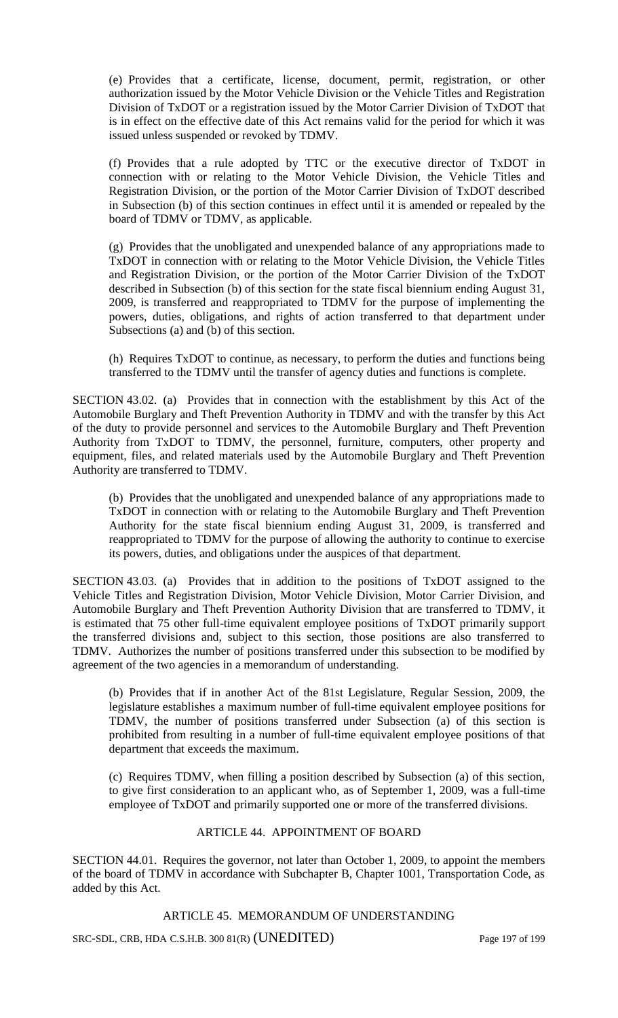(e) Provides that a certificate, license, document, permit, registration, or other authorization issued by the Motor Vehicle Division or the Vehicle Titles and Registration Division of TxDOT or a registration issued by the Motor Carrier Division of TxDOT that is in effect on the effective date of this Act remains valid for the period for which it was issued unless suspended or revoked by TDMV.

(f) Provides that a rule adopted by TTC or the executive director of TxDOT in connection with or relating to the Motor Vehicle Division, the Vehicle Titles and Registration Division, or the portion of the Motor Carrier Division of TxDOT described in Subsection (b) of this section continues in effect until it is amended or repealed by the board of TDMV or TDMV, as applicable.

(g) Provides that the unobligated and unexpended balance of any appropriations made to TxDOT in connection with or relating to the Motor Vehicle Division, the Vehicle Titles and Registration Division, or the portion of the Motor Carrier Division of the TxDOT described in Subsection (b) of this section for the state fiscal biennium ending August 31, 2009, is transferred and reappropriated to TDMV for the purpose of implementing the powers, duties, obligations, and rights of action transferred to that department under Subsections (a) and (b) of this section.

(h) Requires TxDOT to continue, as necessary, to perform the duties and functions being transferred to the TDMV until the transfer of agency duties and functions is complete.

SECTION 43.02. (a) Provides that in connection with the establishment by this Act of the Automobile Burglary and Theft Prevention Authority in TDMV and with the transfer by this Act of the duty to provide personnel and services to the Automobile Burglary and Theft Prevention Authority from TxDOT to TDMV, the personnel, furniture, computers, other property and equipment, files, and related materials used by the Automobile Burglary and Theft Prevention Authority are transferred to TDMV.

(b) Provides that the unobligated and unexpended balance of any appropriations made to TxDOT in connection with or relating to the Automobile Burglary and Theft Prevention Authority for the state fiscal biennium ending August 31, 2009, is transferred and reappropriated to TDMV for the purpose of allowing the authority to continue to exercise its powers, duties, and obligations under the auspices of that department.

SECTION 43.03. (a) Provides that in addition to the positions of TxDOT assigned to the Vehicle Titles and Registration Division, Motor Vehicle Division, Motor Carrier Division, and Automobile Burglary and Theft Prevention Authority Division that are transferred to TDMV, it is estimated that 75 other full-time equivalent employee positions of TxDOT primarily support the transferred divisions and, subject to this section, those positions are also transferred to TDMV. Authorizes the number of positions transferred under this subsection to be modified by agreement of the two agencies in a memorandum of understanding.

(b) Provides that if in another Act of the 81st Legislature, Regular Session, 2009, the legislature establishes a maximum number of full-time equivalent employee positions for TDMV, the number of positions transferred under Subsection (a) of this section is prohibited from resulting in a number of full-time equivalent employee positions of that department that exceeds the maximum.

(c) Requires TDMV, when filling a position described by Subsection (a) of this section, to give first consideration to an applicant who, as of September 1, 2009, was a full-time employee of TxDOT and primarily supported one or more of the transferred divisions.

### ARTICLE 44. APPOINTMENT OF BOARD

SECTION 44.01. Requires the governor, not later than October 1, 2009, to appoint the members of the board of TDMV in accordance with Subchapter B, Chapter 1001, Transportation Code, as added by this Act.

ARTICLE 45. MEMORANDUM OF UNDERSTANDING

SRC-SDL, CRB, HDA C.S.H.B. 300 81(R) (UNEDITED) Page 197 of 199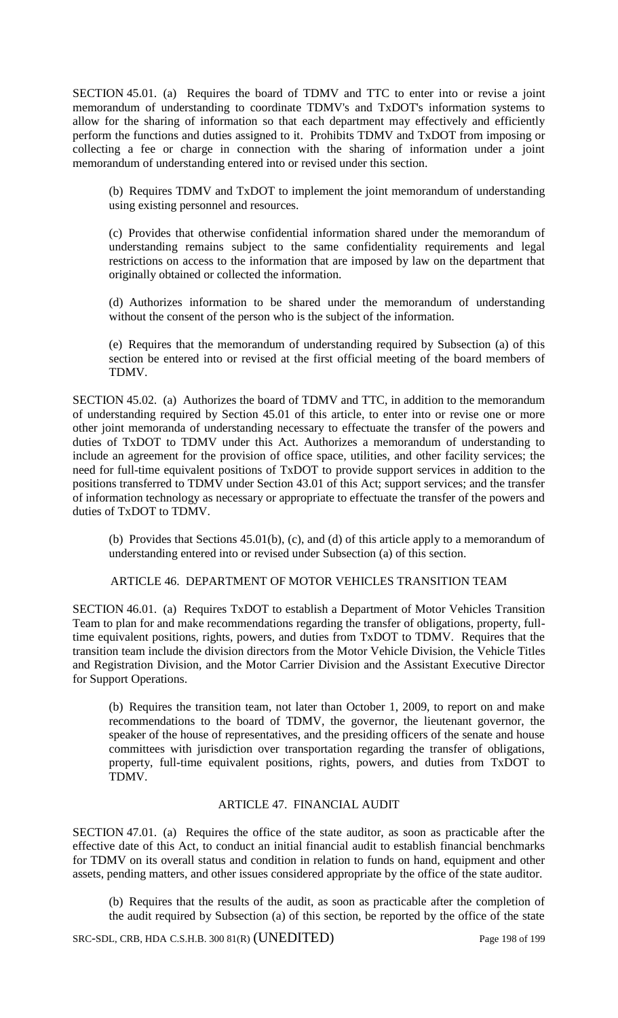SECTION 45.01. (a) Requires the board of TDMV and TTC to enter into or revise a joint memorandum of understanding to coordinate TDMV's and TxDOT's information systems to allow for the sharing of information so that each department may effectively and efficiently perform the functions and duties assigned to it. Prohibits TDMV and TxDOT from imposing or collecting a fee or charge in connection with the sharing of information under a joint memorandum of understanding entered into or revised under this section.

(b) Requires TDMV and TxDOT to implement the joint memorandum of understanding using existing personnel and resources.

(c) Provides that otherwise confidential information shared under the memorandum of understanding remains subject to the same confidentiality requirements and legal restrictions on access to the information that are imposed by law on the department that originally obtained or collected the information.

(d) Authorizes information to be shared under the memorandum of understanding without the consent of the person who is the subject of the information.

(e) Requires that the memorandum of understanding required by Subsection (a) of this section be entered into or revised at the first official meeting of the board members of TDMV.

SECTION 45.02. (a) Authorizes the board of TDMV and TTC, in addition to the memorandum of understanding required by Section 45.01 of this article, to enter into or revise one or more other joint memoranda of understanding necessary to effectuate the transfer of the powers and duties of TxDOT to TDMV under this Act. Authorizes a memorandum of understanding to include an agreement for the provision of office space, utilities, and other facility services; the need for full-time equivalent positions of TxDOT to provide support services in addition to the positions transferred to TDMV under Section 43.01 of this Act; support services; and the transfer of information technology as necessary or appropriate to effectuate the transfer of the powers and duties of TxDOT to TDMV.

(b) Provides that Sections 45.01(b), (c), and (d) of this article apply to a memorandum of understanding entered into or revised under Subsection (a) of this section.

ARTICLE 46. DEPARTMENT OF MOTOR VEHICLES TRANSITION TEAM

SECTION 46.01. (a) Requires TxDOT to establish a Department of Motor Vehicles Transition Team to plan for and make recommendations regarding the transfer of obligations, property, fulltime equivalent positions, rights, powers, and duties from TxDOT to TDMV. Requires that the transition team include the division directors from the Motor Vehicle Division, the Vehicle Titles and Registration Division, and the Motor Carrier Division and the Assistant Executive Director for Support Operations.

(b) Requires the transition team, not later than October 1, 2009, to report on and make recommendations to the board of TDMV, the governor, the lieutenant governor, the speaker of the house of representatives, and the presiding officers of the senate and house committees with jurisdiction over transportation regarding the transfer of obligations, property, full-time equivalent positions, rights, powers, and duties from TxDOT to TDMV.

# ARTICLE 47. FINANCIAL AUDIT

SECTION 47.01. (a) Requires the office of the state auditor, as soon as practicable after the effective date of this Act, to conduct an initial financial audit to establish financial benchmarks for TDMV on its overall status and condition in relation to funds on hand, equipment and other assets, pending matters, and other issues considered appropriate by the office of the state auditor.

(b) Requires that the results of the audit, as soon as practicable after the completion of the audit required by Subsection (a) of this section, be reported by the office of the state